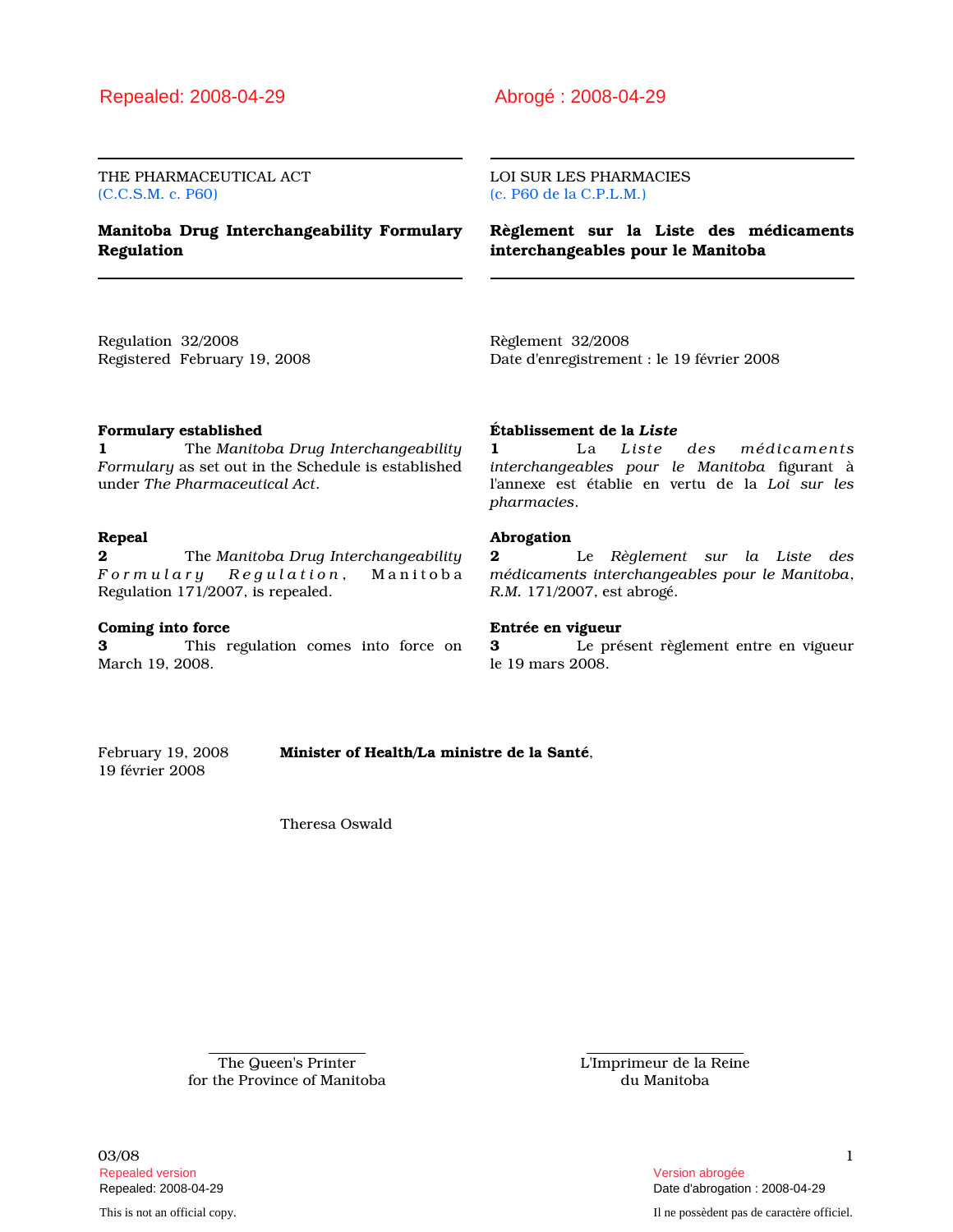THE PHARMACEUTICAL ACT (C.C.S.M. c. P60)

## Manitoba Drug Interchangeability Formulary Regulation

#### LOI SUR LES PHARMACIES (c. P60 de la C.P.L.M.)

Règlement sur la Liste des médicaments interchangeables pour le Manitoba

Regulation 32/2008 Registered February 19, 2008 Règlement 32/2008 Date d'enregistrement : le 19 février 2008

## Formulary established

1 The Manitoba Drug Interchangeability Formulary as set out in the Schedule is established under The Pharmaceutical Act.

## Repeal

**2** The Manitoba Drug Interchangeability Formulary Regulation, Manitoba Regulation 171/2007, is repealed.

#### Coming into force

3 This regulation comes into force on March 19, 2008.

## Établissement de la Liste

1 La Liste des médicaments interchangeables pour le Manitoba figurant à l'annexe est établie en vertu de la Loi sur les pharmacies.

#### Abrogation

2 Le Règlement sur la Liste des médicaments interchangeables pour le Manitoba, R.M. 171/2007, est abrogé.

#### Entrée en vigueur

3 Le présent règlement entre en vigueur le 19 mars 2008.

19 février 2008

February 19, 2008 **Minister of Health/La ministre de la Santé**,

Theresa Oswald

The Queen's Printer for the Province of Manitoba L'Imprimeur de la Reine du Manitoba

 $03/08$  and  $1$ Repealed version abrogée et al. (2009) and the set of the set of the set of the set of the set of the set of the set of the set of the set of the set of the set of the set of the set of the set of the set of the set of the

This is not an official copy. Il ne possèdent pas de caractère officiel.

Repealed: 2008-04-29 Date d'abrogation : 2008-04-29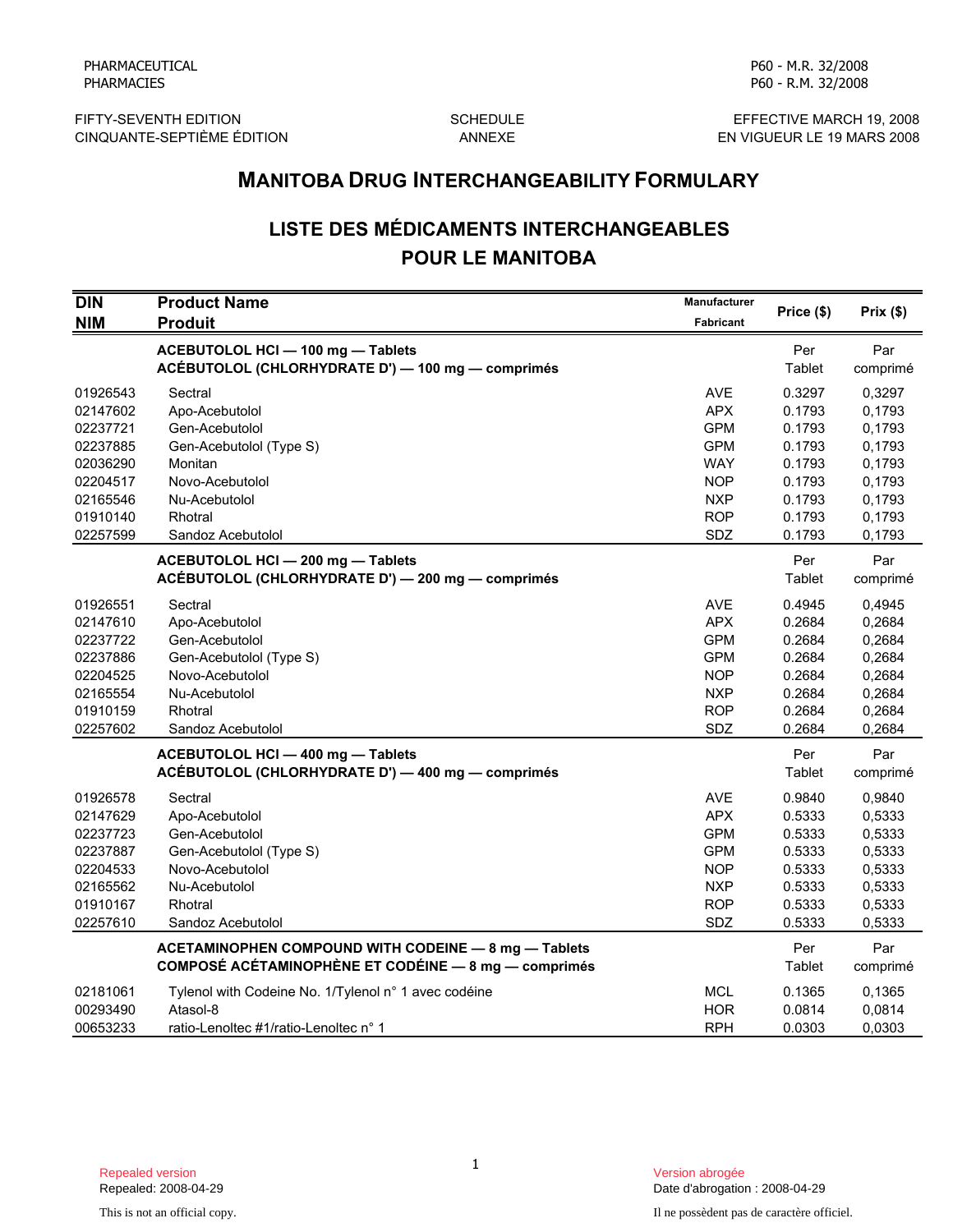FIFTY-SEVENTH EDITION SCHEDULE<br>CINQUANTE-SEPTIÈME ÉDITION ANNEXE ANNEXE CINQUANTE-SEPTIÈME ÉDITION

P60 - R.M. 32/2008

P60 - M.R. 32/2008

# LISTE DES MÉDICAMENTS INTERCHANGEABLES POUR LE MANITOBA

|                                                                                              | <b>MANITOBA DRUG INTERCHANGEABILITY FORMULARY</b>                                                                                          |                                                                                                              |                                                                              |                                                                              |  |
|----------------------------------------------------------------------------------------------|--------------------------------------------------------------------------------------------------------------------------------------------|--------------------------------------------------------------------------------------------------------------|------------------------------------------------------------------------------|------------------------------------------------------------------------------|--|
|                                                                                              | <b>LISTE DES MÉDICAMENTS INTERCHANGEABLES</b><br><b>POUR LE MANITOBA</b>                                                                   |                                                                                                              |                                                                              |                                                                              |  |
| <b>DIN</b><br><b>NIM</b>                                                                     | <b>Product Name</b><br><b>Produit</b>                                                                                                      | Manufacturer<br>Fabricant                                                                                    | Price (\$)                                                                   | Prix(\$)                                                                     |  |
|                                                                                              | ACEBUTOLOL HCI - 100 mg - Tablets<br>ACÉBUTOLOL (CHLORHYDRATE D') - 100 mg - comprimés                                                     |                                                                                                              | Per<br>Tablet                                                                | Par<br>comprimé                                                              |  |
| 01926543<br>02147602<br>02237721<br>02237885<br>02036290<br>02204517<br>02165546<br>01910140 | Sectral<br>Apo-Acebutolol<br>Gen-Acebutolol<br>Gen-Acebutolol (Type S)<br>Monitan<br>Novo-Acebutolol<br>Nu-Acebutolol<br>Rhotral           | <b>AVE</b><br><b>APX</b><br><b>GPM</b><br><b>GPM</b><br><b>WAY</b><br><b>NOP</b><br><b>NXP</b><br><b>ROP</b> | 0.3297<br>0.1793<br>0.1793<br>0.1793<br>0.1793<br>0.1793<br>0.1793<br>0.1793 | 0,3297<br>0,1793<br>0,1793<br>0,1793<br>0,1793<br>0,1793<br>0,1793<br>0,1793 |  |
| 02257599                                                                                     | Sandoz Acebutolol<br>ACEBUTOLOL HCI - 200 mg - Tablets<br>ACÉBUTOLOL (CHLORHYDRATE D') - 200 mg - comprimés                                | SDZ                                                                                                          | 0.1793<br>Per<br>Tablet                                                      | 0,1793<br>Par<br>comprimé                                                    |  |
| 01926551<br>02147610<br>02237722<br>02237886<br>02204525<br>02165554<br>01910159<br>02257602 | Sectral<br>Apo-Acebutolol<br>Gen-Acebutolol<br>Gen-Acebutolol (Type S)<br>Novo-Acebutolol<br>Nu-Acebutolol<br>Rhotral<br>Sandoz Acebutolol | <b>AVE</b><br><b>APX</b><br><b>GPM</b><br><b>GPM</b><br><b>NOP</b><br><b>NXP</b><br><b>ROP</b><br>SDZ        | 0.4945<br>0.2684<br>0.2684<br>0.2684<br>0.2684<br>0.2684<br>0.2684<br>0.2684 | 0,4945<br>0,2684<br>0,2684<br>0,2684<br>0,2684<br>0,2684<br>0,2684<br>0,2684 |  |
|                                                                                              | ACEBUTOLOL HCI - 400 mg - Tablets<br>ACÉBUTOLOL (CHLORHYDRATE D') - 400 mg - comprimés                                                     |                                                                                                              | Per<br>Tablet                                                                | Par<br>comprimé                                                              |  |
| 01926578<br>02147629<br>02237723<br>02237887<br>02204533<br>02165562<br>01910167<br>02257610 | Sectral<br>Apo-Acebutolol<br>Gen-Acebutolol<br>Gen-Acebutolol (Type S)<br>Novo-Acebutolol<br>Nu-Acebutolol<br>Rhotral<br>Sandoz Acebutolol | <b>AVE</b><br><b>APX</b><br><b>GPM</b><br><b>GPM</b><br><b>NOP</b><br><b>NXP</b><br><b>ROP</b><br>SDZ        | 0.9840<br>0.5333<br>0.5333<br>0.5333<br>0.5333<br>0.5333<br>0.5333<br>0.5333 | 0,9840<br>0,5333<br>0,5333<br>0,5333<br>0,5333<br>0,5333<br>0,5333<br>0,5333 |  |
|                                                                                              | ACETAMINOPHEN COMPOUND WITH CODEINE - 8 mg - Tablets<br>COMPOSÉ ACÉTAMINOPHÈNE ET CODÉINE - 8 mg - comprimés                               |                                                                                                              | Per<br>Tablet                                                                | Par<br>comprimé                                                              |  |
| 02181061<br>00293490<br>00653233                                                             | Tylenol with Codeine No. 1/Tylenol n° 1 avec codéine<br>Atasol-8<br>ratio-Lenoltec #1/ratio-Lenoltec n° 1                                  | MCL<br><b>HOR</b><br><b>RPH</b>                                                                              | 0.1365<br>0.0814<br>0.0303                                                   | 0,1365<br>0,0814<br>0,0303                                                   |  |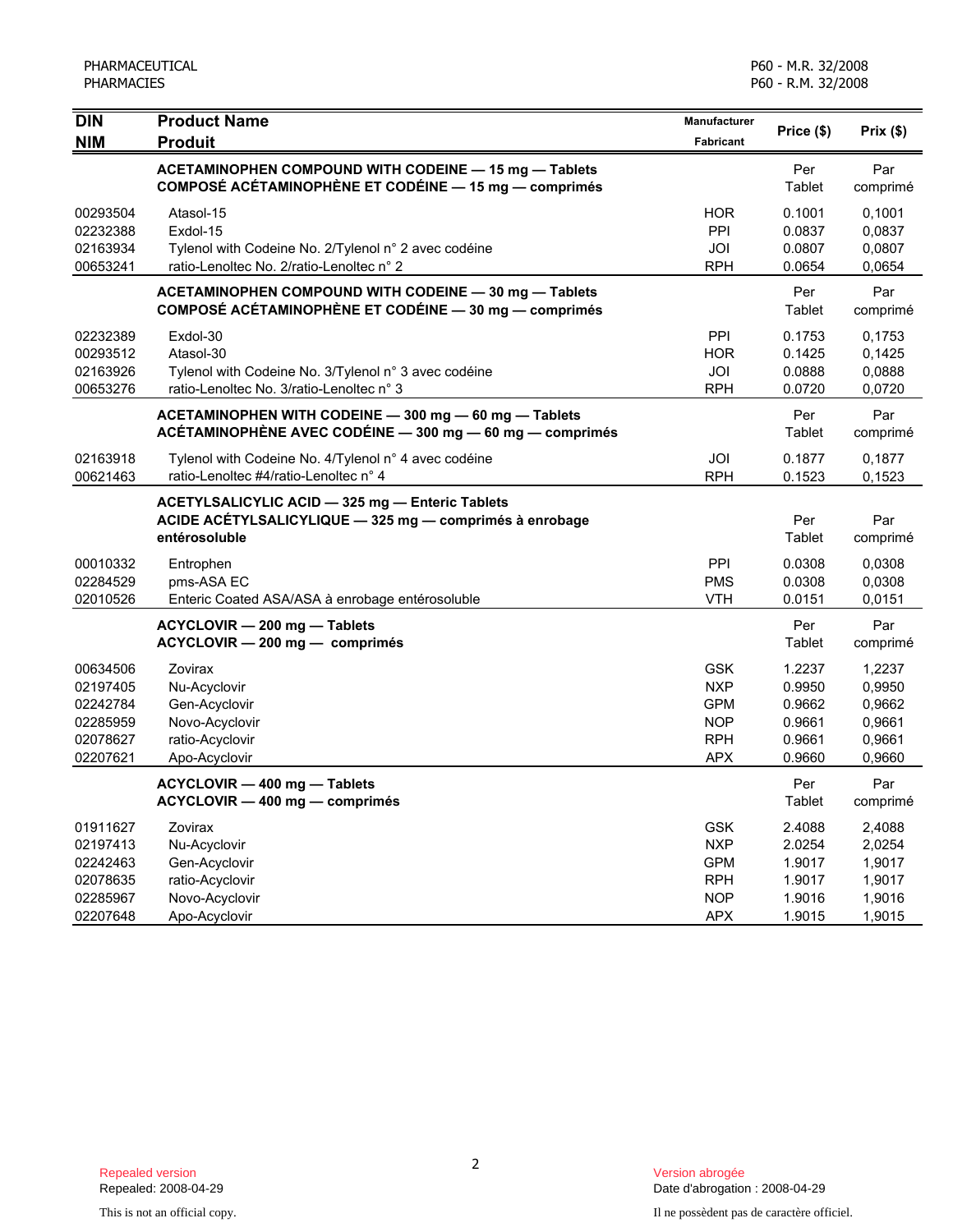| <b>DIN</b>           | <b>Product Name</b>                                                                              | Manufacturer      | Price (\$)       | Prix(\$)         |
|----------------------|--------------------------------------------------------------------------------------------------|-------------------|------------------|------------------|
| <b>NIM</b>           | <b>Produit</b><br>ACETAMINOPHEN COMPOUND WITH CODEINE - 15 mg - Tablets                          | <b>Fabricant</b>  | Per              | Par              |
|                      | COMPOSÉ ACÉTAMINOPHÈNE ET CODÉINE - 15 mg - comprimés                                            |                   | Tablet           | comprimé         |
| 00293504             | Atasol-15                                                                                        | <b>HOR</b>        | 0.1001           | 0,1001           |
| 02232388             | Exdol-15                                                                                         | PPI               | 0.0837           | 0,0837           |
| 02163934<br>00653241 | Tylenol with Codeine No. 2/Tylenol n° 2 avec codéine<br>ratio-Lenoltec No. 2/ratio-Lenoltec n° 2 | JOI<br><b>RPH</b> | 0.0807<br>0.0654 | 0,0807<br>0,0654 |
|                      | ACETAMINOPHEN COMPOUND WITH CODEINE - 30 mg - Tablets                                            |                   | Per              | Par              |
|                      | COMPOSÉ ACÉTAMINOPHÈNE ET CODÉINE - 30 mg - comprimés                                            |                   | Tablet           | comprimé         |
| 02232389             | Exdol-30                                                                                         | PPI               | 0.1753           | 0,1753           |
| 00293512             | Atasol-30                                                                                        | <b>HOR</b>        | 0.1425           | 0,1425           |
| 02163926             | Tylenol with Codeine No. 3/Tylenol n° 3 avec codéine                                             | JOI               | 0.0888           | 0,0888           |
| 00653276             | ratio-Lenoltec No. 3/ratio-Lenoltec n° 3                                                         | <b>RPH</b>        | 0.0720           | 0,0720           |
|                      | ACETAMINOPHEN WITH CODEINE - 300 mg - 60 mg - Tablets                                            |                   | Per              | Par              |
|                      | ACÉTAMINOPHÈNE AVEC CODÉINE - 300 mg - 60 mg - comprimés                                         |                   | Tablet           | comprimé         |
| 02163918             | Tylenol with Codeine No. 4/Tylenol n° 4 avec codéine                                             | JOI               | 0.1877           | 0,1877           |
| 00621463             | ratio-Lenoltec #4/ratio-Lenoltec n° 4                                                            | <b>RPH</b>        | 0.1523           | 0,1523           |
|                      | ACETYLSALICYLIC ACID - 325 mg - Enteric Tablets                                                  |                   |                  |                  |
|                      | ACIDE ACÉTYLSALICYLIQUE - 325 mg - comprimés à enrobage                                          |                   | Per              | Par              |
|                      | entérosoluble                                                                                    |                   | Tablet           | comprimé         |
| 00010332             | Entrophen                                                                                        | PPI               | 0.0308           | 0,0308           |
| 02284529             | pms-ASA EC                                                                                       | <b>PMS</b>        | 0.0308           | 0,0308           |
| 02010526             | Enteric Coated ASA/ASA à enrobage entérosoluble                                                  | <b>VTH</b>        | 0.0151           | 0,0151           |
|                      | ACYCLOVIR - 200 mg - Tablets                                                                     |                   | Per              | Par              |
|                      | ACYCLOVIR - 200 mg - comprimés                                                                   |                   | Tablet           | comprimé         |
| 00634506             | Zovirax                                                                                          | <b>GSK</b>        | 1.2237           | 1,2237           |
| 02197405             | Nu-Acyclovir                                                                                     | <b>NXP</b>        | 0.9950           | 0,9950           |
| 02242784             | Gen-Acyclovir                                                                                    | <b>GPM</b>        | 0.9662           | 0,9662           |
| 02285959             | Novo-Acyclovir                                                                                   | <b>NOP</b>        | 0.9661           | 0,9661           |
| 02078627             | ratio-Acyclovir                                                                                  | <b>RPH</b>        | 0.9661           | 0,9661           |
| 02207621             | Apo-Acyclovir                                                                                    | <b>APX</b>        | 0.9660           | 0,9660           |
|                      | ACYCLOVIR - 400 mg - Tablets                                                                     |                   | Per              | Par              |
|                      | ACYCLOVIR - 400 mg - comprimés                                                                   |                   | Tablet           | comprimé         |
| 01911627             | Zovirax                                                                                          | <b>GSK</b>        | 2.4088           | 2,4088           |
| 02197413             | Nu-Acyclovir                                                                                     | <b>NXP</b>        | 2.0254           | 2,0254           |
| 02242463             | Gen-Acyclovir                                                                                    | <b>GPM</b>        | 1.9017           | 1,9017           |
| 02078635             | ratio-Acyclovir                                                                                  | <b>RPH</b>        | 1.9017           | 1,9017           |
| 02285967             | Novo-Acyclovir                                                                                   | <b>NOP</b>        | 1.9016           | 1,9016           |
| 02207648             | Apo-Acyclovir                                                                                    | <b>APX</b>        | 1.9015           | 1,9015           |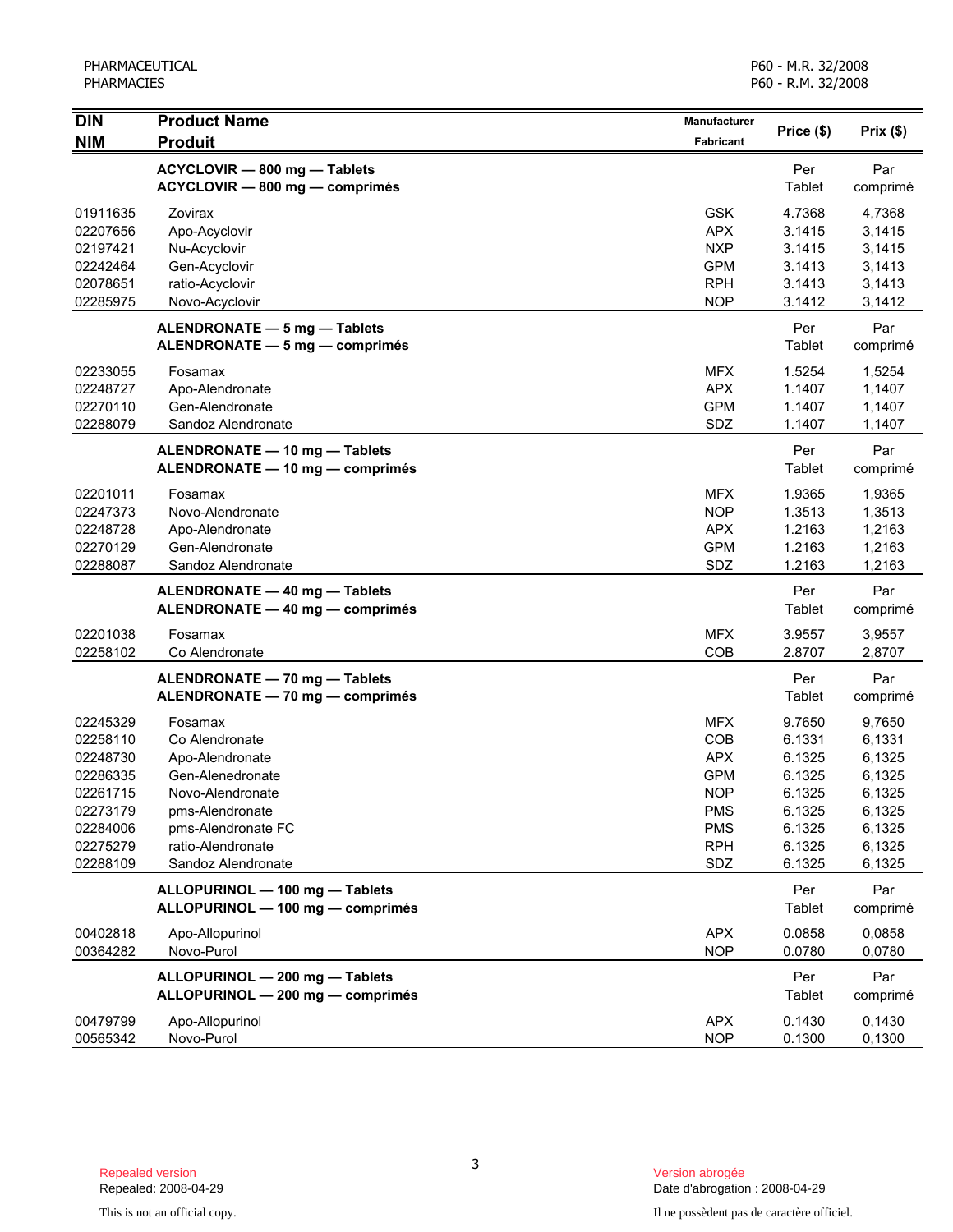| <b>DIN</b> | <b>Product Name</b>              | Manufacturer     | Price (\$) | Prix(\$) |
|------------|----------------------------------|------------------|------------|----------|
| <b>NIM</b> | <b>Produit</b>                   | <b>Fabricant</b> |            |          |
|            | ACYCLOVIR - 800 mg - Tablets     |                  | Per        | Par      |
|            | ACYCLOVIR - 800 mg - comprimés   |                  | Tablet     | comprimé |
| 01911635   | Zovirax                          | <b>GSK</b>       | 4.7368     | 4,7368   |
| 02207656   | Apo-Acyclovir                    | <b>APX</b>       | 3.1415     | 3,1415   |
| 02197421   | Nu-Acyclovir                     | <b>NXP</b>       | 3.1415     | 3,1415   |
| 02242464   | Gen-Acyclovir                    | <b>GPM</b>       | 3.1413     | 3,1413   |
| 02078651   | ratio-Acyclovir                  | <b>RPH</b>       | 3.1413     | 3,1413   |
| 02285975   | Novo-Acyclovir                   | <b>NOP</b>       | 3.1412     | 3,1412   |
|            | ALENDRONATE - 5 mg - Tablets     |                  | Per        | Par      |
|            | ALENDRONATE - 5 mg - comprimés   |                  | Tablet     | comprimé |
| 02233055   | Fosamax                          | <b>MFX</b>       | 1.5254     | 1,5254   |
| 02248727   | Apo-Alendronate                  | <b>APX</b>       | 1.1407     | 1,1407   |
| 02270110   | Gen-Alendronate                  | <b>GPM</b>       | 1.1407     | 1,1407   |
| 02288079   | Sandoz Alendronate               | SDZ              | 1.1407     | 1,1407   |
|            | ALENDRONATE - 10 mg - Tablets    |                  | Per        | Par      |
|            | ALENDRONATE - 10 mg - comprimés  |                  | Tablet     | comprimé |
| 02201011   | Fosamax                          | <b>MFX</b>       | 1.9365     | 1,9365   |
| 02247373   | Novo-Alendronate                 | <b>NOP</b>       | 1.3513     | 1,3513   |
| 02248728   | Apo-Alendronate                  | <b>APX</b>       | 1.2163     | 1,2163   |
| 02270129   | Gen-Alendronate                  | <b>GPM</b>       | 1.2163     | 1,2163   |
| 02288087   | Sandoz Alendronate               | SDZ              | 1.2163     | 1,2163   |
|            | ALENDRONATE - 40 mg - Tablets    |                  | Per        | Par      |
|            | ALENDRONATE - 40 mg - comprimés  |                  | Tablet     | comprimé |
| 02201038   | Fosamax                          | <b>MFX</b>       | 3.9557     | 3,9557   |
| 02258102   | Co Alendronate                   | COB              | 2.8707     | 2,8707   |
|            | ALENDRONATE - 70 mg - Tablets    |                  | Per        | Par      |
|            | ALENDRONATE - 70 mg - comprimés  |                  | Tablet     | comprimé |
| 02245329   | Fosamax                          | <b>MFX</b>       | 9.7650     | 9,7650   |
| 02258110   | Co Alendronate                   | COB              | 6.1331     | 6,1331   |
| 02248730   | Apo-Alendronate                  | <b>APX</b>       | 6.1325     | 6,1325   |
| 02286335   | Gen-Alenedronate                 | <b>GPM</b>       | 6.1325     | 6,1325   |
| 02261715   | Novo-Alendronate                 | <b>NOP</b>       | 6.1325     | 6,1325   |
| 02273179   | pms-Alendronate                  | <b>PMS</b>       | 6.1325     | 6,1325   |
| 02284006   | pms-Alendronate FC               | <b>PMS</b>       | 6.1325     | 6,1325   |
| 02275279   | ratio-Alendronate                | <b>RPH</b>       | 6.1325     | 6,1325   |
| 02288109   | Sandoz Alendronate               | SDZ              | 6.1325     | 6,1325   |
|            | ALLOPURINOL - 100 mg - Tablets   |                  | Per        | Par      |
|            | ALLOPURINOL - 100 mg - comprimés |                  | Tablet     | comprimé |
| 00402818   | Apo-Allopurinol                  | <b>APX</b>       | 0.0858     | 0.0858   |
| 00364282   | Novo-Purol                       | <b>NOP</b>       | 0.0780     | 0,0780   |
|            | ALLOPURINOL - 200 mg - Tablets   |                  | Per        | Par      |
|            | ALLOPURINOL - 200 mg - comprimés |                  | Tablet     | comprimé |
| 00479799   | Apo-Allopurinol                  | <b>APX</b>       | 0.1430     | 0,1430   |
| 00565342   | Novo-Purol                       | <b>NOP</b>       | 0.1300     | 0,1300   |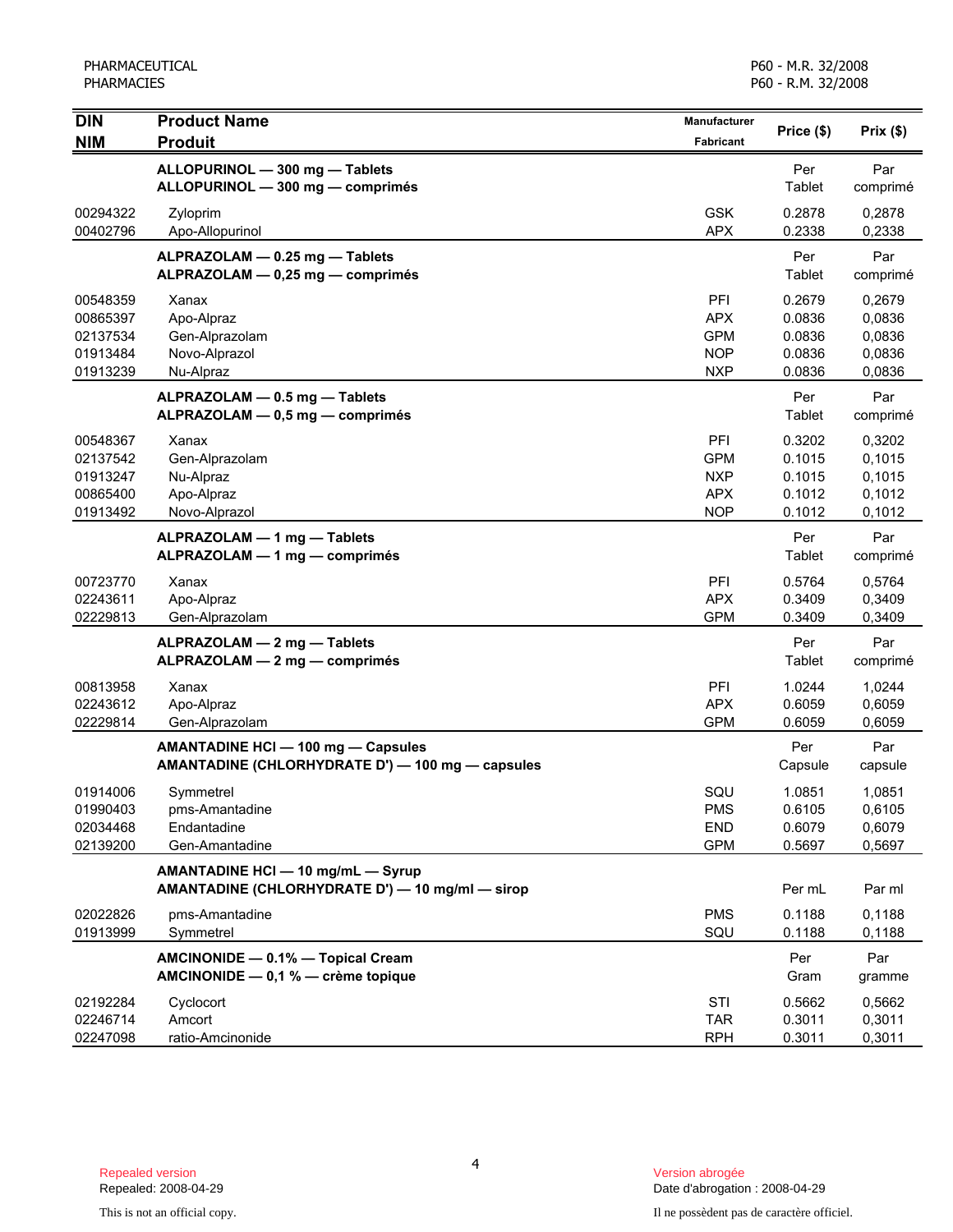| <b>DIN</b>           | <b>Product Name</b>                                                                    | <b>Manufacturer</b>      | Price (\$)       | Prix(\$)         |
|----------------------|----------------------------------------------------------------------------------------|--------------------------|------------------|------------------|
| <b>NIM</b>           | <b>Produit</b>                                                                         | <b>Fabricant</b>         |                  |                  |
|                      | ALLOPURINOL - 300 mg - Tablets                                                         |                          | Per              | Par              |
|                      | ALLOPURINOL - 300 mg - comprimés                                                       |                          | Tablet           | comprimé         |
| 00294322             | Zyloprim                                                                               | <b>GSK</b>               | 0.2878           | 0,2878           |
| 00402796             | Apo-Allopurinol                                                                        | <b>APX</b>               | 0.2338           | 0,2338           |
|                      | ALPRAZOLAM - 0.25 mg - Tablets                                                         |                          | Per              | Par              |
|                      | ALPRAZOLAM - 0,25 mg - comprimés                                                       |                          | Tablet           | comprimé         |
| 00548359             | Xanax                                                                                  | PFI                      | 0.2679           | 0,2679           |
| 00865397<br>02137534 | Apo-Alpraz                                                                             | <b>APX</b><br><b>GPM</b> | 0.0836<br>0.0836 | 0,0836<br>0,0836 |
| 01913484             | Gen-Alprazolam<br>Novo-Alprazol                                                        | <b>NOP</b>               | 0.0836           | 0,0836           |
| 01913239             | Nu-Alpraz                                                                              | <b>NXP</b>               | 0.0836           | 0,0836           |
|                      | ALPRAZOLAM - 0.5 mg - Tablets                                                          |                          | Per              | Par              |
|                      | ALPRAZOLAM - 0,5 mg - comprimés                                                        |                          | Tablet           | comprimé         |
| 00548367             | Xanax                                                                                  | PFI                      | 0.3202           | 0,3202           |
| 02137542             | Gen-Alprazolam                                                                         | <b>GPM</b>               | 0.1015           | 0,1015           |
| 01913247             | Nu-Alpraz                                                                              | <b>NXP</b>               | 0.1015           | 0,1015           |
| 00865400             | Apo-Alpraz                                                                             | <b>APX</b>               | 0.1012           | 0,1012           |
| 01913492             | Novo-Alprazol                                                                          | <b>NOP</b>               | 0.1012           | 0,1012           |
|                      | ALPRAZOLAM - 1 mg - Tablets                                                            |                          | Per              | Par              |
|                      | ALPRAZOLAM - 1 mg - comprimés                                                          |                          | Tablet           | comprimé         |
| 00723770             | Xanax                                                                                  | PFI                      | 0.5764           | 0,5764           |
| 02243611             | Apo-Alpraz                                                                             | <b>APX</b>               | 0.3409           | 0,3409           |
| 02229813             | Gen-Alprazolam                                                                         | <b>GPM</b>               | 0.3409           | 0,3409           |
|                      | ALPRAZOLAM - 2 mg - Tablets                                                            |                          | Per<br>Tablet    | Par              |
|                      | ALPRAZOLAM - 2 mg - comprimés                                                          |                          |                  | comprimé         |
| 00813958             | Xanax                                                                                  | PFI                      | 1.0244           | 1,0244           |
| 02243612<br>02229814 | Apo-Alpraz<br>Gen-Alprazolam                                                           | <b>APX</b><br><b>GPM</b> | 0.6059<br>0.6059 | 0,6059<br>0,6059 |
|                      |                                                                                        |                          | Per              | Par              |
|                      | AMANTADINE HCI - 100 mg - Capsules<br>AMANTADINE (CHLORHYDRATE D') - 100 mg - capsules |                          | Capsule          | capsule          |
| 01914006             | Symmetrel                                                                              | SQU                      | 1.0851           | 1,0851           |
| 01990403             | pms-Amantadine                                                                         | PMS                      | 0.6105           | 0,6105           |
| 02034468             | Endantadine                                                                            | <b>END</b>               | 0.6079           | 0,6079           |
| 02139200             | Gen-Amantadine                                                                         | <b>GPM</b>               | 0.5697           | 0,5697           |
|                      | AMANTADINE HCI - 10 mg/mL - Syrup<br>AMANTADINE (CHLORHYDRATE D') - 10 mg/ml - sirop   |                          | Per mL           | Par ml           |
| 02022826             | pms-Amantadine                                                                         | <b>PMS</b>               | 0.1188           | 0,1188           |
| 01913999             | Symmetrel                                                                              | SQU                      | 0.1188           | 0,1188           |
|                      | AMCINONIDE - 0.1% - Topical Cream<br>AMCINONIDE - 0,1 % - crème topique                |                          | Per<br>Gram      | Par<br>gramme    |
| 02192284             | Cyclocort                                                                              | STI                      | 0.5662           | 0,5662           |
| 02246714             | Amcort                                                                                 | <b>TAR</b>               | 0.3011           | 0,3011           |
| 02247098             | ratio-Amcinonide                                                                       | <b>RPH</b>               | 0.3011           | 0,3011           |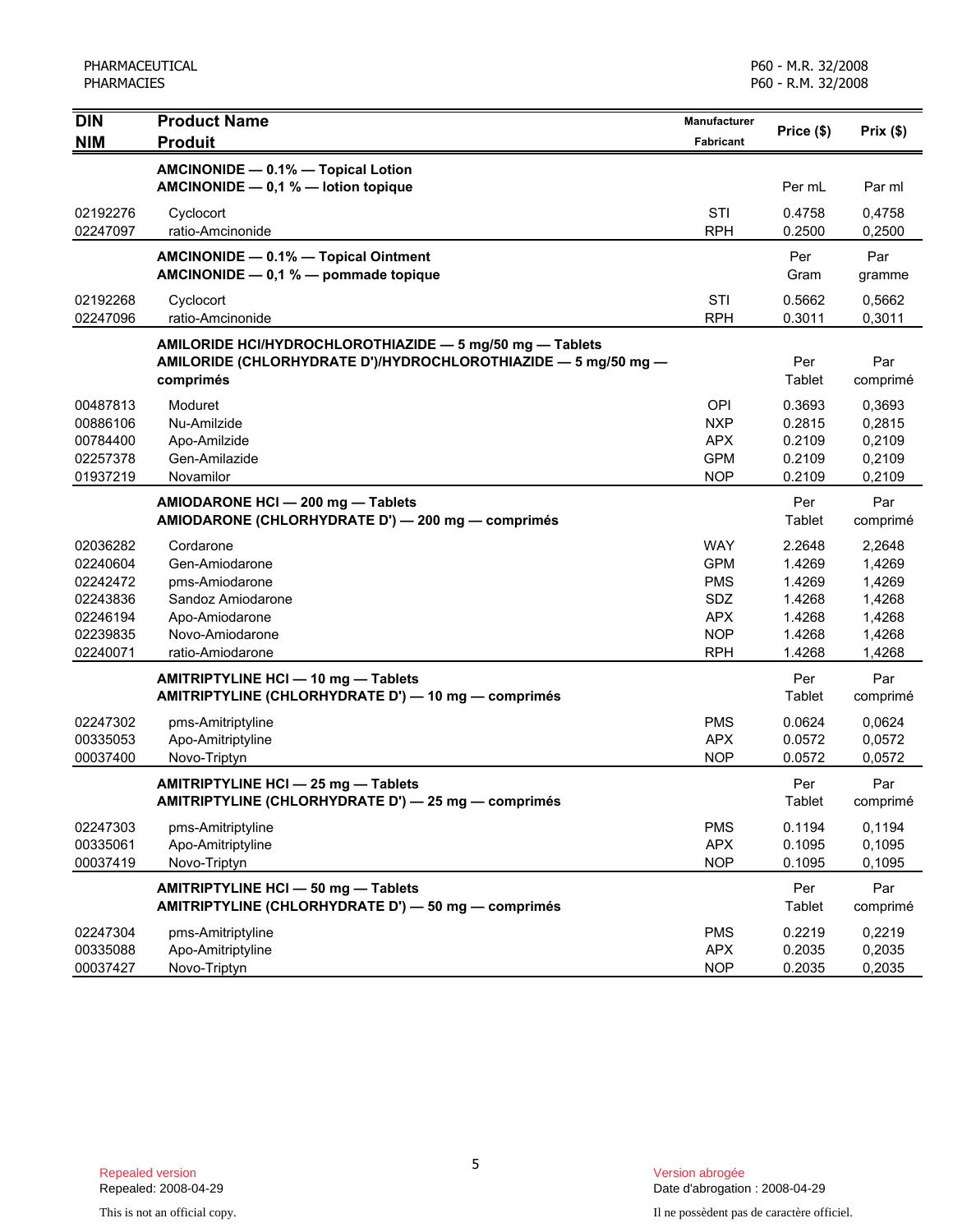| <b>DIN</b><br><b>NIM</b> | <b>Product Name</b><br><b>Produit</b>                                                                                                   | Manufacturer<br><b>Fabricant</b> | Price (\$)       | Prix(\$)         |
|--------------------------|-----------------------------------------------------------------------------------------------------------------------------------------|----------------------------------|------------------|------------------|
|                          | AMCINONIDE - 0.1% - Topical Lotion<br>AMCINONIDE $- 0.1 %$ - lotion topique                                                             |                                  | Per mL           | Par ml           |
| 02192276<br>02247097     | Cyclocort<br>ratio-Amcinonide                                                                                                           | STI<br><b>RPH</b>                | 0.4758<br>0.2500 | 0,4758<br>0,2500 |
|                          | AMCINONIDE - 0.1% - Topical Ointment<br>AMCINONIDE - 0,1 % - pommade topique                                                            |                                  | Per<br>Gram      | Par<br>gramme    |
| 02192268<br>02247096     | Cyclocort<br>ratio-Amcinonide                                                                                                           | STI<br><b>RPH</b>                | 0.5662<br>0.3011 | 0,5662<br>0,3011 |
|                          | AMILORIDE HCI/HYDROCHLOROTHIAZIDE - 5 mg/50 mg - Tablets<br>AMILORIDE (CHLORHYDRATE D')/HYDROCHLOROTHIAZIDE - 5 mg/50 mg -<br>comprimés |                                  | Per<br>Tablet    | Par<br>comprimé  |
| 00487813                 | Moduret                                                                                                                                 | <b>OPI</b>                       | 0.3693           | 0,3693           |
| 00886106<br>00784400     | Nu-Amilzide<br>Apo-Amilzide                                                                                                             | <b>NXP</b><br><b>APX</b>         | 0.2815<br>0.2109 | 0,2815<br>0,2109 |
| 02257378                 | Gen-Amilazide                                                                                                                           | <b>GPM</b>                       | 0.2109           | 0,2109           |
| 01937219                 | Novamilor                                                                                                                               | <b>NOP</b>                       | 0.2109           | 0,2109           |
|                          | AMIODARONE HCI - 200 mg - Tablets<br>AMIODARONE (CHLORHYDRATE D') - 200 mg - comprimés                                                  |                                  | Per<br>Tablet    | Par<br>comprimé  |
| 02036282                 | Cordarone                                                                                                                               | <b>WAY</b>                       | 2.2648           | 2,2648           |
| 02240604                 | Gen-Amiodarone                                                                                                                          | <b>GPM</b>                       | 1.4269           | 1,4269           |
| 02242472                 | pms-Amiodarone                                                                                                                          | <b>PMS</b>                       | 1.4269           | 1,4269           |
| 02243836<br>02246194     | Sandoz Amiodarone<br>Apo-Amiodarone                                                                                                     | <b>SDZ</b><br><b>APX</b>         | 1.4268<br>1.4268 | 1,4268<br>1,4268 |
| 02239835                 | Novo-Amiodarone                                                                                                                         | <b>NOP</b>                       | 1.4268           | 1,4268           |
| 02240071                 | ratio-Amiodarone                                                                                                                        | <b>RPH</b>                       | 1.4268           | 1,4268           |
|                          | AMITRIPTYLINE HCI - 10 mg - Tablets<br>AMITRIPTYLINE (CHLORHYDRATE D') - 10 mg - comprimés                                              |                                  | Per<br>Tablet    | Par<br>comprimé  |
| 02247302                 | pms-Amitriptyline                                                                                                                       | <b>PMS</b>                       | 0.0624           | 0,0624           |
| 00335053                 | Apo-Amitriptyline                                                                                                                       | <b>APX</b>                       | 0.0572           | 0,0572           |
| 00037400                 | Novo-Triptyn                                                                                                                            | <b>NOP</b>                       | 0.0572           | 0,0572           |
|                          | AMITRIPTYLINE HCI - 25 mg - Tablets<br>AMITRIPTYLINE (CHLORHYDRATE D') - 25 mg - comprimés                                              |                                  | Per<br>Tablet    | Par<br>comprimé  |
| 02247303                 | pms-Amitriptyline                                                                                                                       | <b>PMS</b>                       | 0.1194           | 0,1194           |
| 00335061                 | Apo-Amitriptyline                                                                                                                       | <b>APX</b>                       | 0.1095           | 0,1095           |
| 00037419                 | Novo-Triptyn                                                                                                                            | <b>NOP</b>                       | 0.1095           | 0,1095           |
|                          | AMITRIPTYLINE HCI - 50 mg - Tablets<br>AMITRIPTYLINE (CHLORHYDRATE D') - 50 mg - comprimés                                              |                                  | Per<br>Tablet    | Par<br>comprimé  |
| 02247304                 | pms-Amitriptyline                                                                                                                       | <b>PMS</b>                       | 0.2219           | 0,2219           |
| 00335088                 | Apo-Amitriptyline                                                                                                                       | <b>APX</b>                       | 0.2035           | 0,2035           |
| 00037427                 | Novo-Triptyn                                                                                                                            | <b>NOP</b>                       | 0.2035           | 0,2035           |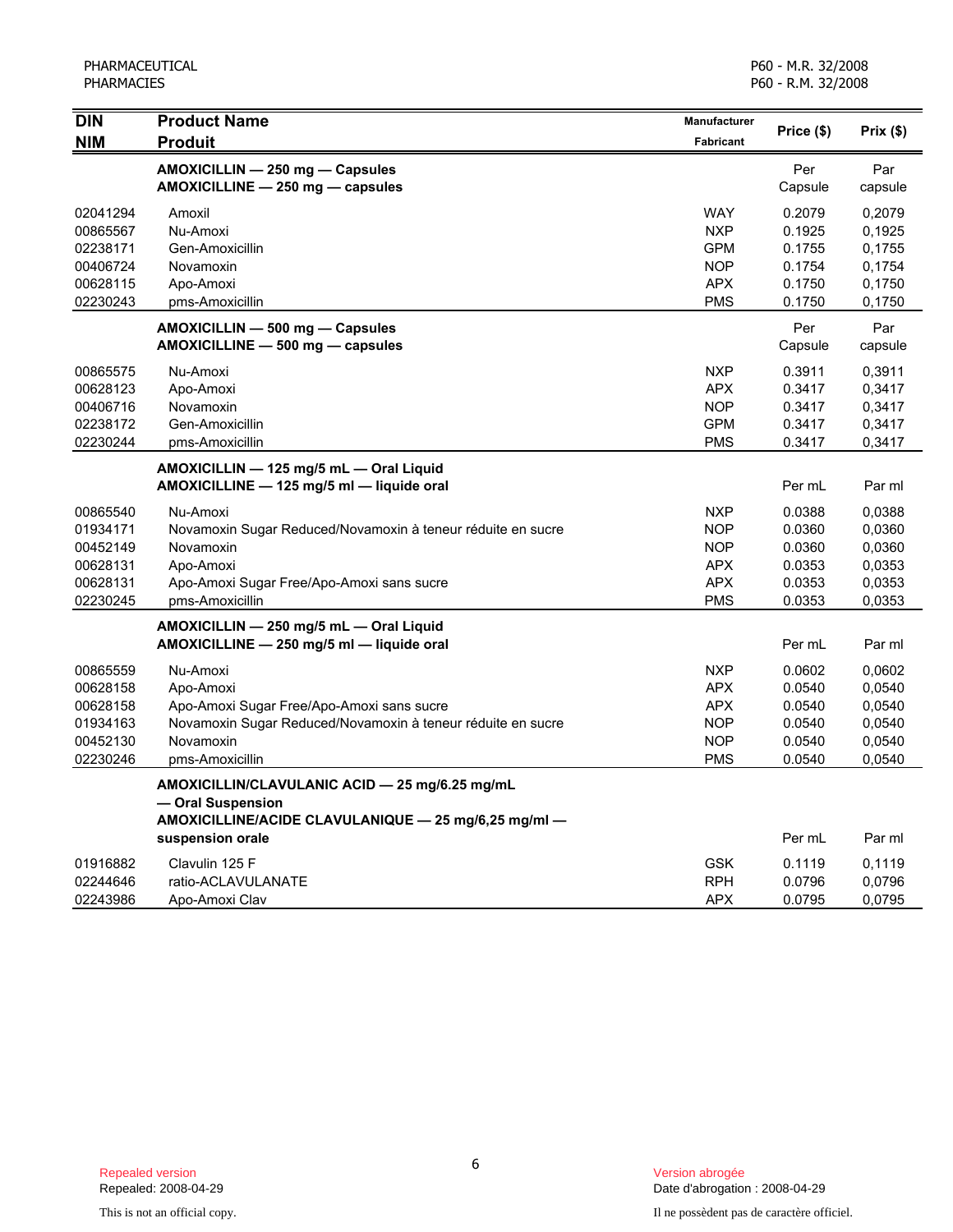| <b>DIN</b> | <b>Product Name</b>                                         |            |            |          |
|------------|-------------------------------------------------------------|------------|------------|----------|
| <b>NIM</b> | <b>Produit</b>                                              | Fabricant  | Price (\$) | Prix(\$) |
|            | AMOXICILLIN - 250 mg - Capsules                             |            | Per        | Par      |
|            | AMOXICILLINE - 250 mg - capsules                            |            | Capsule    | capsule  |
| 02041294   | Amoxil                                                      | <b>WAY</b> | 0.2079     | 0,2079   |
| 00865567   | Nu-Amoxi                                                    | <b>NXP</b> | 0.1925     | 0,1925   |
| 02238171   | Gen-Amoxicillin                                             | <b>GPM</b> | 0.1755     | 0,1755   |
| 00406724   | Novamoxin                                                   | <b>NOP</b> | 0.1754     | 0,1754   |
| 00628115   | Apo-Amoxi                                                   | <b>APX</b> | 0.1750     | 0,1750   |
| 02230243   | pms-Amoxicillin                                             | <b>PMS</b> | 0.1750     | 0,1750   |
|            | AMOXICILLIN - 500 mg - Capsules                             |            | Per        | Par      |
|            | AMOXICILLINE - 500 mg - capsules                            |            | Capsule    | capsule  |
| 00865575   | Nu-Amoxi                                                    | <b>NXP</b> | 0.3911     | 0,3911   |
| 00628123   | Apo-Amoxi                                                   | <b>APX</b> | 0.3417     | 0,3417   |
| 00406716   | Novamoxin                                                   | <b>NOP</b> | 0.3417     | 0,3417   |
| 02238172   | Gen-Amoxicillin                                             | <b>GPM</b> | 0.3417     | 0,3417   |
| 02230244   | pms-Amoxicillin                                             | <b>PMS</b> | 0.3417     | 0,3417   |
|            | AMOXICILLIN - 125 mg/5 mL - Oral Liquid                     |            |            |          |
|            | AMOXICILLINE - 125 mg/5 ml - liquide oral                   |            | Per mL     | Par ml   |
| 00865540   | Nu-Amoxi                                                    | <b>NXP</b> | 0.0388     | 0,0388   |
| 01934171   | Novamoxin Sugar Reduced/Novamoxin à teneur réduite en sucre | <b>NOP</b> | 0.0360     | 0,0360   |
| 00452149   | Novamoxin                                                   | <b>NOP</b> | 0.0360     | 0,0360   |
| 00628131   | Apo-Amoxi                                                   | <b>APX</b> | 0.0353     | 0,0353   |
| 00628131   | Apo-Amoxi Sugar Free/Apo-Amoxi sans sucre                   | <b>APX</b> | 0.0353     | 0,0353   |
| 02230245   | pms-Amoxicillin                                             | <b>PMS</b> | 0.0353     | 0,0353   |
|            | AMOXICILLIN - 250 mg/5 mL - Oral Liquid                     |            |            |          |
|            | AMOXICILLINE - 250 mg/5 ml - liquide oral                   |            | Per mL     | Par ml   |
| 00865559   | Nu-Amoxi                                                    | <b>NXP</b> | 0.0602     | 0,0602   |
| 00628158   | Apo-Amoxi                                                   | <b>APX</b> | 0.0540     | 0,0540   |
| 00628158   | Apo-Amoxi Sugar Free/Apo-Amoxi sans sucre                   | <b>APX</b> | 0.0540     | 0,0540   |
| 01934163   | Novamoxin Sugar Reduced/Novamoxin à teneur réduite en sucre | <b>NOP</b> | 0.0540     | 0,0540   |
| 00452130   | Novamoxin                                                   | <b>NOP</b> | 0.0540     | 0,0540   |
| 02230246   | pms-Amoxicillin                                             | <b>PMS</b> | 0.0540     | 0,0540   |
|            | AMOXICILLIN/CLAVULANIC ACID - 25 mg/6.25 mg/mL              |            |            |          |
|            | - Oral Suspension                                           |            |            |          |
|            | AMOXICILLINE/ACIDE CLAVULANIQUE - 25 mg/6,25 mg/ml -        |            |            |          |
|            | suspension orale                                            |            | Per mL     | Par ml   |
| 01916882   | Clavulin 125 F                                              | <b>GSK</b> | 0.1119     | 0,1119   |
| 02244646   | ratio-ACLAVULANATE                                          | <b>RPH</b> | 0.0796     | 0,0796   |
| 02243986   | Apo-Amoxi Clav                                              | <b>APX</b> | 0.0795     | 0,0795   |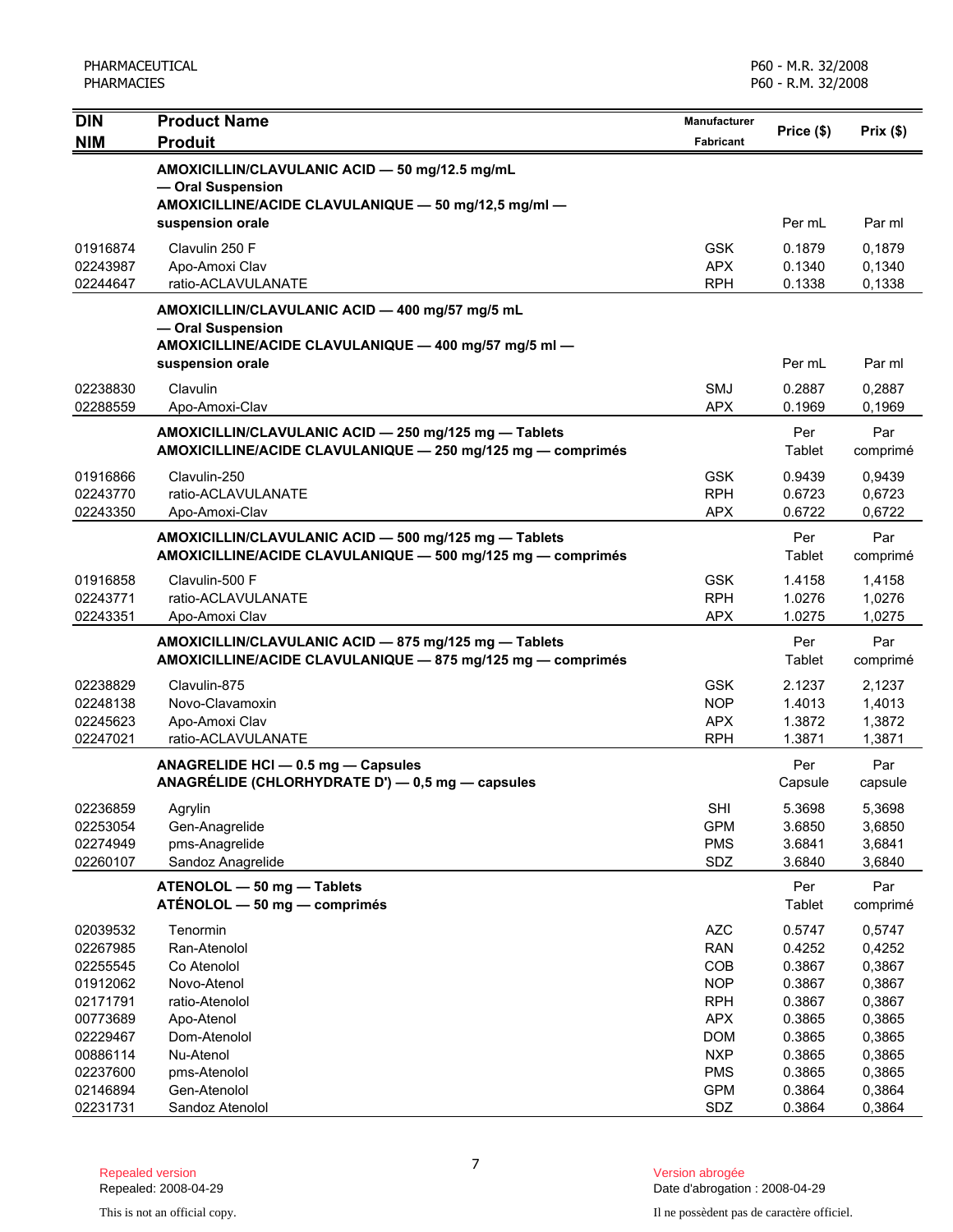| <b>DIN</b>           | <b>Product Name</b>                                                                                                         | <b>Manufacturer</b>      | Price (\$)       | Prix(\$)         |
|----------------------|-----------------------------------------------------------------------------------------------------------------------------|--------------------------|------------------|------------------|
| <b>NIM</b>           | <b>Produit</b>                                                                                                              | <b>Fabricant</b>         |                  |                  |
|                      | AMOXICILLIN/CLAVULANIC ACID - 50 mg/12.5 mg/mL<br>- Oral Suspension<br>AMOXICILLINE/ACIDE CLAVULANIQUE - 50 mg/12,5 mg/ml - |                          |                  |                  |
|                      | suspension orale                                                                                                            |                          | Per mL           | Par ml           |
| 01916874             | Clavulin 250 F                                                                                                              | <b>GSK</b>               | 0.1879           | 0,1879           |
| 02243987             | Apo-Amoxi Clav                                                                                                              | <b>APX</b>               | 0.1340           | 0,1340           |
| 02244647             | ratio-ACLAVULANATE                                                                                                          | <b>RPH</b>               | 0.1338           | 0,1338           |
|                      | AMOXICILLIN/CLAVULANIC ACID - 400 mg/57 mg/5 mL                                                                             |                          |                  |                  |
|                      | - Oral Suspension                                                                                                           |                          |                  |                  |
|                      | AMOXICILLINE/ACIDE CLAVULANIQUE - 400 mg/57 mg/5 ml -<br>suspension orale                                                   |                          | Per mL           | Par ml           |
|                      |                                                                                                                             |                          |                  |                  |
| 02238830             | Clavulin                                                                                                                    | <b>SMJ</b>               | 0.2887           | 0,2887           |
| 02288559             | Apo-Amoxi-Clav                                                                                                              | <b>APX</b>               | 0.1969           | 0,1969           |
|                      | AMOXICILLIN/CLAVULANIC ACID - 250 mg/125 mg - Tablets<br>AMOXICILLINE/ACIDE CLAVULANIQUE - 250 mg/125 mg - comprimés        |                          | Per<br>Tablet    | Par<br>comprimé  |
| 01916866             | Clavulin-250                                                                                                                | <b>GSK</b>               | 0.9439           | 0.9439           |
| 02243770             | ratio-ACLAVULANATE                                                                                                          | <b>RPH</b>               | 0.6723           | 0,6723           |
| 02243350             | Apo-Amoxi-Clav                                                                                                              | <b>APX</b>               | 0.6722           | 0,6722           |
|                      | AMOXICILLIN/CLAVULANIC ACID - 500 mg/125 mg - Tablets                                                                       |                          | Per              | Par              |
|                      | AMOXICILLINE/ACIDE CLAVULANIQUE - 500 mg/125 mg - comprimés                                                                 |                          | Tablet           | comprimé         |
| 01916858             | Clavulin-500 F                                                                                                              | <b>GSK</b>               | 1.4158           | 1,4158           |
| 02243771             | ratio-ACLAVULANATE                                                                                                          | <b>RPH</b>               | 1.0276           | 1,0276           |
| 02243351             | Apo-Amoxi Clav                                                                                                              | <b>APX</b>               | 1.0275           | 1,0275           |
|                      | AMOXICILLIN/CLAVULANIC ACID - 875 mg/125 mg - Tablets                                                                       |                          | Per              | Par              |
|                      | AMOXICILLINE/ACIDE CLAVULANIQUE - 875 mg/125 mg - comprimés                                                                 |                          | Tablet           | comprimé         |
| 02238829             | Clavulin-875                                                                                                                | <b>GSK</b>               | 2.1237           | 2,1237           |
| 02248138             | Novo-Clavamoxin                                                                                                             | <b>NOP</b>               | 1.4013           | 1,4013           |
| 02245623             | Apo-Amoxi Clav                                                                                                              | <b>APX</b>               | 1.3872           | 1,3872           |
| 02247021             | ratio-ACLAVULANATE                                                                                                          | <b>RPH</b>               | 1.3871           | 1,3871           |
|                      | ANAGRELIDE HCI - 0.5 mg - Capsules                                                                                          |                          | Per              | Par              |
|                      | ANAGRÉLIDE (CHLORHYDRATE D') - 0,5 mg - capsules                                                                            |                          | Capsule          | capsule          |
| 02236859             | Agrylin                                                                                                                     | <b>SHI</b>               | 5.3698           | 5,3698           |
| 02253054             | Gen-Anagrelide                                                                                                              | <b>GPM</b>               | 3.6850           | 3,6850           |
| 02274949             | pms-Anagrelide                                                                                                              | <b>PMS</b>               | 3.6841           | 3,6841           |
| 02260107             | Sandoz Anagrelide                                                                                                           | SDZ                      | 3.6840           | 3,6840           |
|                      | ATENOLOL - 50 mg - Tablets                                                                                                  |                          | Per              | Par              |
|                      | ATÉNOLOL — 50 mg — comprimés                                                                                                |                          | Tablet           | comprimé         |
| 02039532             | Tenormin                                                                                                                    | <b>AZC</b>               | 0.5747           | 0,5747           |
| 02267985             | Ran-Atenolol                                                                                                                | <b>RAN</b>               | 0.4252           | 0,4252           |
| 02255545             | Co Atenolol                                                                                                                 | COB                      | 0.3867           | 0,3867           |
| 01912062             | Novo-Atenol                                                                                                                 | <b>NOP</b>               | 0.3867           | 0,3867           |
| 02171791             | ratio-Atenolol                                                                                                              | <b>RPH</b>               | 0.3867           | 0,3867           |
| 00773689             | Apo-Atenol<br>Dom-Atenolol                                                                                                  | <b>APX</b><br><b>DOM</b> | 0.3865<br>0.3865 | 0,3865           |
| 02229467<br>00886114 | Nu-Atenol                                                                                                                   | <b>NXP</b>               | 0.3865           | 0,3865<br>0,3865 |
| 02237600             | pms-Atenolol                                                                                                                | <b>PMS</b>               | 0.3865           | 0,3865           |
| 02146894             | Gen-Atenolol                                                                                                                | <b>GPM</b>               | 0.3864           | 0,3864           |
| 02231731             | Sandoz Atenolol                                                                                                             | SDZ                      | 0.3864           | 0,3864           |

7

Date d'abrogation : 2008-04-29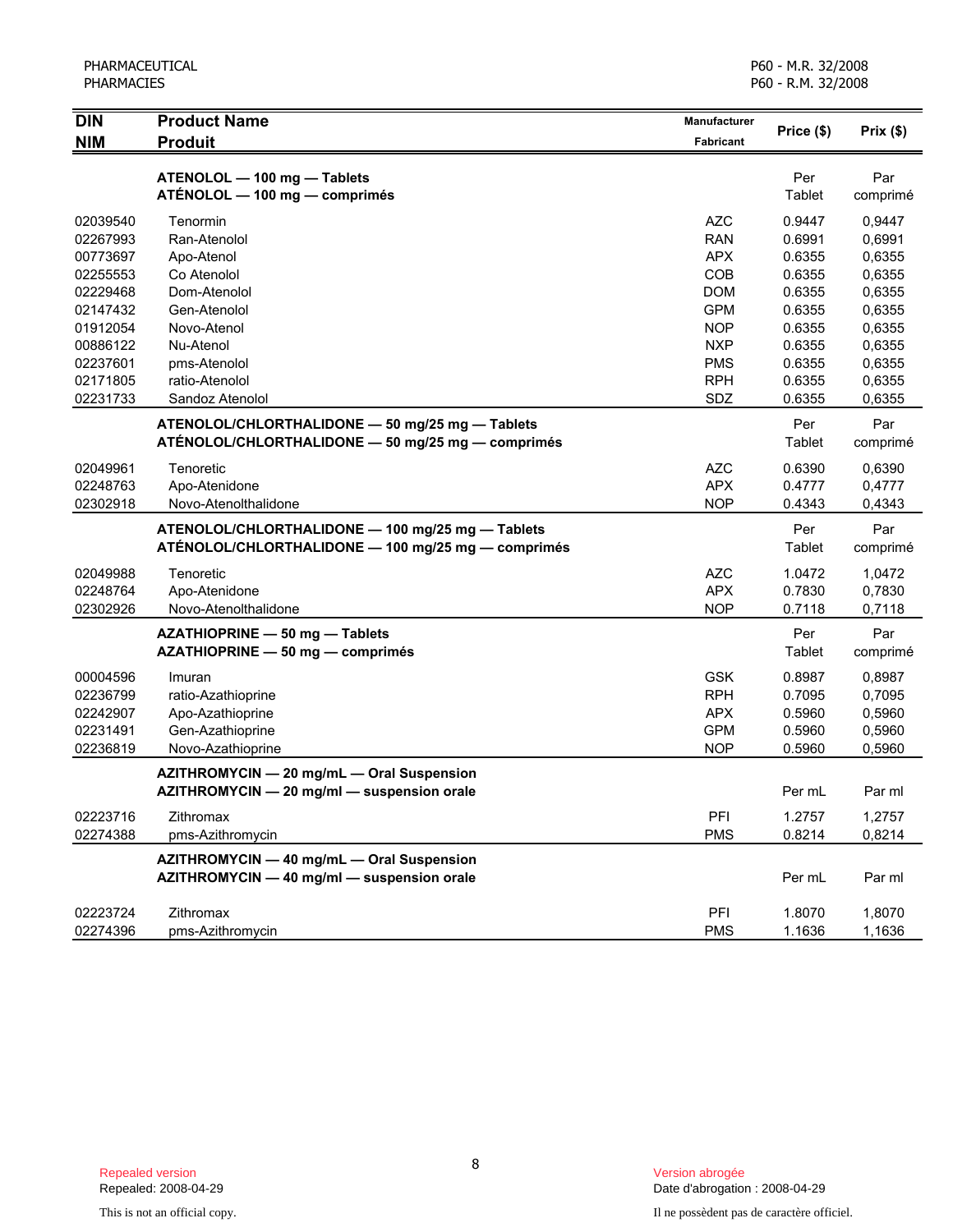| <b>DIN</b> | <b>Product Name</b>                                                                     | <b>Manufacturer</b> | Price (\$) | Prix(\$) |
|------------|-----------------------------------------------------------------------------------------|---------------------|------------|----------|
| <b>NIM</b> | <b>Produit</b>                                                                          | Fabricant           |            |          |
|            |                                                                                         |                     |            |          |
|            | ATENOLOL - 100 mg - Tablets                                                             |                     | Per        | Par      |
|            | ATÉNOLOL - 100 mg - comprimés                                                           |                     | Tablet     | comprimé |
| 02039540   | Tenormin                                                                                | <b>AZC</b>          | 0.9447     | 0,9447   |
| 02267993   | Ran-Atenolol                                                                            | <b>RAN</b>          | 0.6991     | 0,6991   |
| 00773697   | Apo-Atenol                                                                              | <b>APX</b>          | 0.6355     | 0,6355   |
| 02255553   | Co Atenolol                                                                             | COB                 | 0.6355     | 0,6355   |
| 02229468   | Dom-Atenolol                                                                            | <b>DOM</b>          | 0.6355     | 0,6355   |
| 02147432   | Gen-Atenolol                                                                            | <b>GPM</b>          | 0.6355     | 0,6355   |
| 01912054   | Novo-Atenol                                                                             | <b>NOP</b>          | 0.6355     | 0,6355   |
| 00886122   | Nu-Atenol                                                                               | <b>NXP</b>          | 0.6355     | 0,6355   |
| 02237601   | pms-Atenolol                                                                            | <b>PMS</b>          | 0.6355     | 0,6355   |
| 02171805   | ratio-Atenolol                                                                          | <b>RPH</b>          | 0.6355     | 0,6355   |
| 02231733   | Sandoz Atenolol                                                                         | SDZ                 | 0.6355     | 0,6355   |
|            | ATENOLOL/CHLORTHALIDONE - 50 mg/25 mg - Tablets                                         |                     | Per        | Par      |
|            | ATÉNOLOL/CHLORTHALIDONE - 50 mg/25 mg - comprimés                                       |                     | Tablet     | comprimé |
|            |                                                                                         |                     |            |          |
| 02049961   | Tenoretic                                                                               | <b>AZC</b>          | 0.6390     | 0,6390   |
| 02248763   | Apo-Atenidone                                                                           | <b>APX</b>          | 0.4777     | 0,4777   |
| 02302918   | Novo-Atenolthalidone                                                                    | <b>NOP</b>          | 0.4343     | 0,4343   |
|            | ATENOLOL/CHLORTHALIDONE - 100 mg/25 mg - Tablets                                        |                     | Per        | Par      |
|            | ATÉNOLOL/CHLORTHALIDONE - 100 mg/25 mg - comprimés                                      |                     | Tablet     | comprimé |
| 02049988   | Tenoretic                                                                               | <b>AZC</b>          | 1.0472     | 1,0472   |
| 02248764   | Apo-Atenidone                                                                           | <b>APX</b>          | 0.7830     | 0,7830   |
| 02302926   | Novo-Atenolthalidone                                                                    | <b>NOP</b>          | 0.7118     | 0,7118   |
|            | AZATHIOPRINE - 50 mg - Tablets                                                          |                     | Per        | Par      |
|            | AZATHIOPRINE - 50 mg - comprimés                                                        |                     | Tablet     | comprimé |
|            |                                                                                         |                     |            |          |
| 00004596   | Imuran                                                                                  | <b>GSK</b>          | 0.8987     | 0,8987   |
| 02236799   | ratio-Azathioprine                                                                      | <b>RPH</b>          | 0.7095     | 0,7095   |
| 02242907   | Apo-Azathioprine                                                                        | <b>APX</b>          | 0.5960     | 0,5960   |
| 02231491   | Gen-Azathioprine                                                                        | <b>GPM</b>          | 0.5960     | 0,5960   |
| 02236819   | Novo-Azathioprine                                                                       | <b>NOP</b>          | 0.5960     | 0,5960   |
|            | AZITHROMYCIN - 20 mg/mL - Oral Suspension                                               |                     |            |          |
|            | AZITHROMYCIN - 20 mg/ml - suspension orale                                              |                     | Per mL     | Par ml   |
| 02223716   | Zithromax                                                                               | PFI                 | 1.2757     | 1,2757   |
| 02274388   | pms-Azithromycin                                                                        | <b>PMS</b>          | 0.8214     | 0,8214   |
|            |                                                                                         |                     |            |          |
|            | AZITHROMYCIN - 40 mg/mL - Oral Suspension<br>AZITHROMYCIN - 40 mg/ml - suspension orale |                     | Per mL     | Par ml   |
|            |                                                                                         |                     |            |          |
| 02223724   | Zithromax                                                                               | PFI                 | 1.8070     | 1,8070   |
| 02274396   | pms-Azithromycin                                                                        | <b>PMS</b>          | 1.1636     | 1,1636   |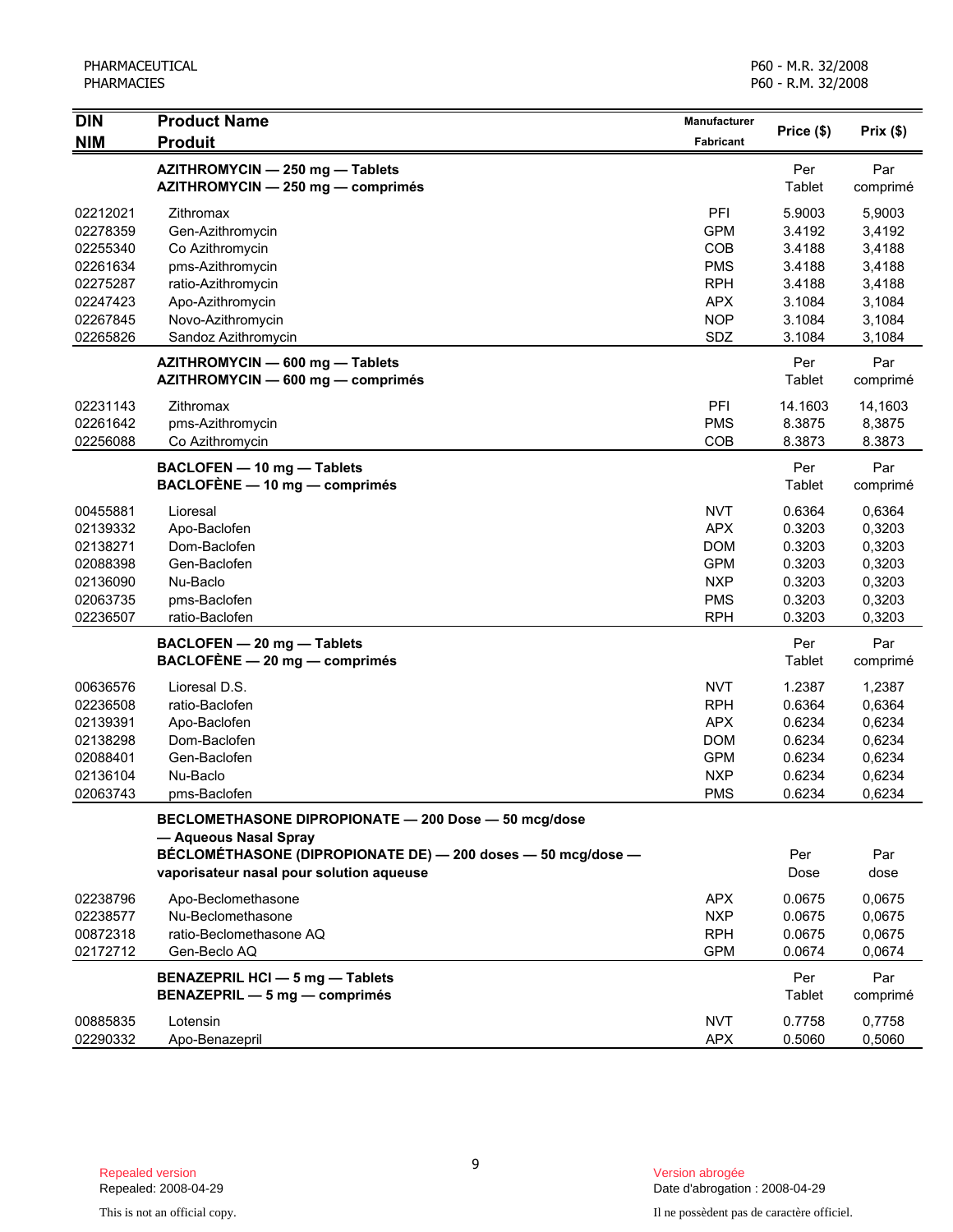| <b>DIN</b>                                                                       | <b>Product Name</b>                                                                                                                                                                       | Manufacturer                                                                                   |                                                                    |                                                                    |
|----------------------------------------------------------------------------------|-------------------------------------------------------------------------------------------------------------------------------------------------------------------------------------------|------------------------------------------------------------------------------------------------|--------------------------------------------------------------------|--------------------------------------------------------------------|
| <b>NIM</b>                                                                       | <b>Produit</b>                                                                                                                                                                            | Fabricant                                                                                      | Price (\$)                                                         | Prix (\$)                                                          |
|                                                                                  | AZITHROMYCIN - 250 mg - Tablets<br>AZITHROMYCIN - 250 mg - comprimés                                                                                                                      |                                                                                                | Per<br>Tablet                                                      | Par<br>comprimé                                                    |
| 02212021<br>02278359<br>02255340                                                 | Zithromax<br>Gen-Azithromycin<br>Co Azithromycin                                                                                                                                          | PFI<br><b>GPM</b><br>COB                                                                       | 5.9003<br>3.4192<br>3.4188                                         | 5,9003<br>3,4192<br>3,4188                                         |
| 02261634<br>02275287<br>02247423<br>02267845                                     | pms-Azithromycin<br>ratio-Azithromycin<br>Apo-Azithromycin<br>Novo-Azithromycin                                                                                                           | <b>PMS</b><br><b>RPH</b><br><b>APX</b><br><b>NOP</b>                                           | 3.4188<br>3.4188<br>3.1084<br>3.1084                               | 3,4188<br>3,4188<br>3,1084<br>3,1084                               |
| 02265826                                                                         | Sandoz Azithromycin<br>AZITHROMYCIN - 600 mg - Tablets<br>AZITHROMYCIN - 600 mg - comprimés                                                                                               | SDZ                                                                                            | 3.1084<br>Per<br>Tablet                                            | 3,1084<br>Par<br>comprimé                                          |
| 02231143<br>02261642<br>02256088                                                 | Zithromax<br>pms-Azithromycin<br>Co Azithromycin                                                                                                                                          | PFI<br><b>PMS</b><br>COB                                                                       | 14.1603<br>8.3875<br>8.3873                                        | 14,1603<br>8,3875<br>8.3873                                        |
|                                                                                  | BACLOFEN - 10 mg - Tablets<br>BACLOFENE - 10 mg - comprimés                                                                                                                               |                                                                                                | Per<br>Tablet                                                      | Par<br>comprimé                                                    |
| 00455881<br>02139332<br>02138271<br>02088398<br>02136090<br>02063735<br>02236507 | Lioresal<br>Apo-Baclofen<br>Dom-Baclofen<br>Gen-Baclofen<br>Nu-Baclo<br>pms-Baclofen<br>ratio-Baclofen                                                                                    | <b>NVT</b><br><b>APX</b><br><b>DOM</b><br><b>GPM</b><br><b>NXP</b><br><b>PMS</b><br><b>RPH</b> | 0.6364<br>0.3203<br>0.3203<br>0.3203<br>0.3203<br>0.3203<br>0.3203 | 0,6364<br>0,3203<br>0,3203<br>0,3203<br>0,3203<br>0,3203<br>0,3203 |
|                                                                                  | BACLOFEN - 20 mg - Tablets<br>$BACLOFÈNE - 20 mg - comprimés$                                                                                                                             |                                                                                                | Per<br>Tablet                                                      | Par<br>comprimé                                                    |
| 00636576<br>02236508<br>02139391<br>02138298<br>02088401<br>02136104<br>02063743 | Lioresal D.S.<br>ratio-Baclofen<br>Apo-Baclofen<br>Dom-Baclofen<br>Gen-Baclofen<br>Nu-Baclo<br>pms-Baclofen                                                                               | <b>NVT</b><br><b>RPH</b><br><b>APX</b><br><b>DOM</b><br><b>GPM</b><br><b>NXP</b><br><b>PMS</b> | 1.2387<br>0.6364<br>0.6234<br>0.6234<br>0.6234<br>0.6234<br>0.6234 | 1,2387<br>0,6364<br>0,6234<br>0,6234<br>0,6234<br>0,6234<br>0,6234 |
|                                                                                  | BECLOMETHASONE DIPROPIONATE - 200 Dose - 50 mcg/dose<br>- Aqueous Nasal Spray<br>BÉCLOMÉTHASONE (DIPROPIONATE DE) - 200 doses - 50 mcg/dose -<br>vaporisateur nasal pour solution aqueuse |                                                                                                | Per<br>Dose                                                        | Par<br>dose                                                        |
| 02238796<br>02238577<br>00872318<br>02172712                                     | Apo-Beclomethasone<br>Nu-Beclomethasone<br>ratio-Beclomethasone AQ<br>Gen-Beclo AQ                                                                                                        | <b>APX</b><br><b>NXP</b><br><b>RPH</b><br><b>GPM</b>                                           | 0.0675<br>0.0675<br>0.0675<br>0.0674                               | 0,0675<br>0,0675<br>0,0675<br>0,0674                               |
|                                                                                  | <b>BENAZEPRIL HCI - 5 mg - Tablets</b><br>BENAZEPRIL - 5 mg - comprimés                                                                                                                   |                                                                                                | Per<br>Tablet                                                      | Par<br>comprimé                                                    |
| 00885835<br>02290332                                                             | Lotensin<br>Apo-Benazepril                                                                                                                                                                | <b>NVT</b><br><b>APX</b>                                                                       | 0.7758<br>0.5060                                                   | 0,7758<br>0,5060                                                   |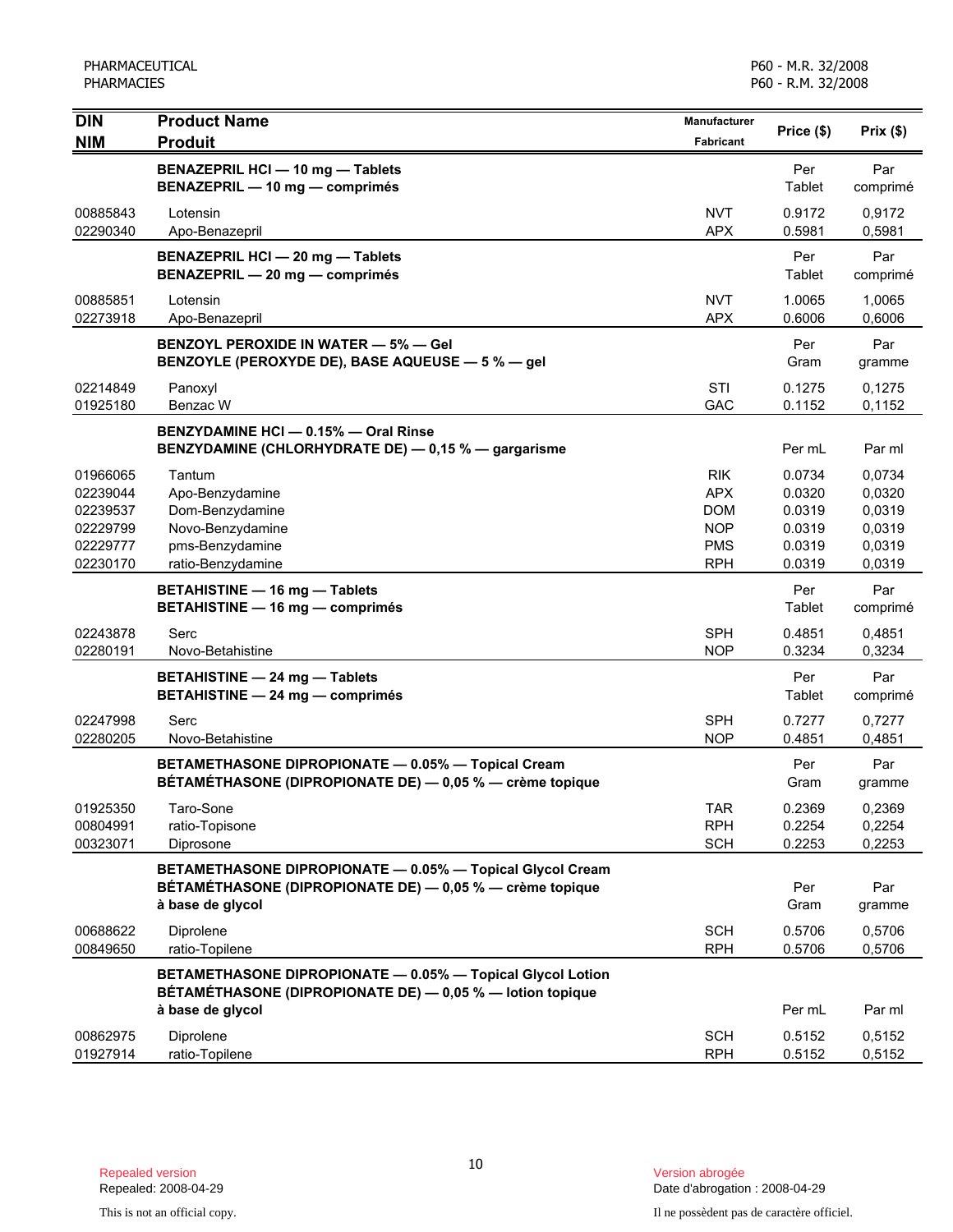| <b>DIN</b>                                               | <b>Product Name</b>                                                                                                                       | <b>Manufacturer</b>                                                | Price (\$)                                     | Prix(\$)                                       |
|----------------------------------------------------------|-------------------------------------------------------------------------------------------------------------------------------------------|--------------------------------------------------------------------|------------------------------------------------|------------------------------------------------|
| <b>NIM</b>                                               | <b>Produit</b>                                                                                                                            | <b>Fabricant</b>                                                   |                                                |                                                |
|                                                          | BENAZEPRIL HCI - 10 mg - Tablets<br>BENAZEPRIL - 10 mg - comprimés                                                                        |                                                                    | Per<br>Tablet                                  | Par<br>comprimé                                |
| 00885843<br>02290340                                     | Lotensin<br>Apo-Benazepril                                                                                                                | <b>NVT</b><br><b>APX</b>                                           | 0.9172<br>0.5981                               | 0,9172<br>0,5981                               |
|                                                          | BENAZEPRIL HCI - 20 mg - Tablets<br>BENAZEPRIL - 20 mg - comprimés                                                                        |                                                                    | Per<br>Tablet                                  | Par<br>comprimé                                |
| 00885851<br>02273918                                     | Lotensin<br>Apo-Benazepril                                                                                                                | <b>NVT</b><br><b>APX</b>                                           | 1.0065<br>0.6006                               | 1,0065<br>0,6006                               |
|                                                          | <b>BENZOYL PEROXIDE IN WATER - 5% - Gel</b><br>BENZOYLE (PEROXYDE DE), BASE AQUEUSE - 5 % - gel                                           |                                                                    | Per<br>Gram                                    | Par<br>gramme                                  |
| 02214849<br>01925180                                     | Panoxyl<br>Benzac W                                                                                                                       | <b>STI</b><br>GAC                                                  | 0.1275<br>0.1152                               | 0,1275<br>0,1152                               |
|                                                          | BENZYDAMINE HCI - 0.15% - Oral Rinse<br>BENZYDAMINE (CHLORHYDRATE DE) - 0,15 % - gargarisme                                               |                                                                    | Per mL                                         | Par ml                                         |
| 01966065<br>02239044<br>02239537<br>02229799<br>02229777 | Tantum<br>Apo-Benzydamine<br>Dom-Benzydamine<br>Novo-Benzydamine<br>pms-Benzydamine                                                       | <b>RIK</b><br><b>APX</b><br><b>DOM</b><br><b>NOP</b><br><b>PMS</b> | 0.0734<br>0.0320<br>0.0319<br>0.0319<br>0.0319 | 0,0734<br>0,0320<br>0,0319<br>0,0319<br>0,0319 |
| 02230170                                                 | ratio-Benzydamine<br><b>BETAHISTINE - 16 mg - Tablets</b><br><b>BETAHISTINE - 16 mg - comprimés</b>                                       | <b>RPH</b>                                                         | 0.0319<br>Per<br>Tablet                        | 0,0319<br>Par<br>comprimé                      |
| 02243878<br>02280191                                     | Serc<br>Novo-Betahistine                                                                                                                  | <b>SPH</b><br><b>NOP</b>                                           | 0.4851<br>0.3234                               | 0,4851<br>0,3234                               |
|                                                          | <b>BETAHISTINE - 24 mg - Tablets</b><br><b>BETAHISTINE - 24 mg - comprimés</b>                                                            |                                                                    | Per<br>Tablet                                  | Par<br>comprimé                                |
| 02247998<br>02280205                                     | Serc<br>Novo-Betahistine                                                                                                                  | <b>SPH</b><br><b>NOP</b>                                           | 0.7277<br>0.4851                               | 0,7277<br>0,4851                               |
|                                                          | BETAMETHASONE DIPROPIONATE - 0.05% - Topical Cream<br>BÉTAMÉTHASONE (DIPROPIONATE DE) — 0,05 % — crème topique                            |                                                                    | Per<br>Gram                                    | Par<br>gramme                                  |
| 01925350<br>00804991<br>00323071                         | Taro-Sone<br>ratio-Topisone<br>Diprosone                                                                                                  | <b>TAR</b><br><b>RPH</b><br><b>SCH</b>                             | 0.2369<br>0.2254<br>0.2253                     | 0,2369<br>0,2254<br>0,2253                     |
|                                                          | BETAMETHASONE DIPROPIONATE - 0.05% - Topical Glycol Cream<br>BÉTAMÉTHASONE (DIPROPIONATE DE) - 0,05 % - crème topique<br>à base de glycol |                                                                    | Per<br>Gram                                    | Par<br>gramme                                  |
| 00688622<br>00849650                                     | Diprolene<br>ratio-Topilene                                                                                                               | <b>SCH</b><br><b>RPH</b>                                           | 0.5706<br>0.5706                               | 0,5706<br>0,5706                               |
|                                                          | BETAMETHASONE DIPROPIONATE - 0.05% - Topical Glycol Lotion<br>BÉTAMÉTHASONE (DIPROPIONATE DE) - 0,05 % - lotion topique                   |                                                                    | Per mL                                         | Par ml                                         |
| 00862975<br>01927914                                     | à base de glycol<br>Diprolene<br>ratio-Topilene                                                                                           | <b>SCH</b><br><b>RPH</b>                                           | 0.5152<br>0.5152                               | 0,5152<br>0,5152                               |

Date d'abrogation : 2008-04-29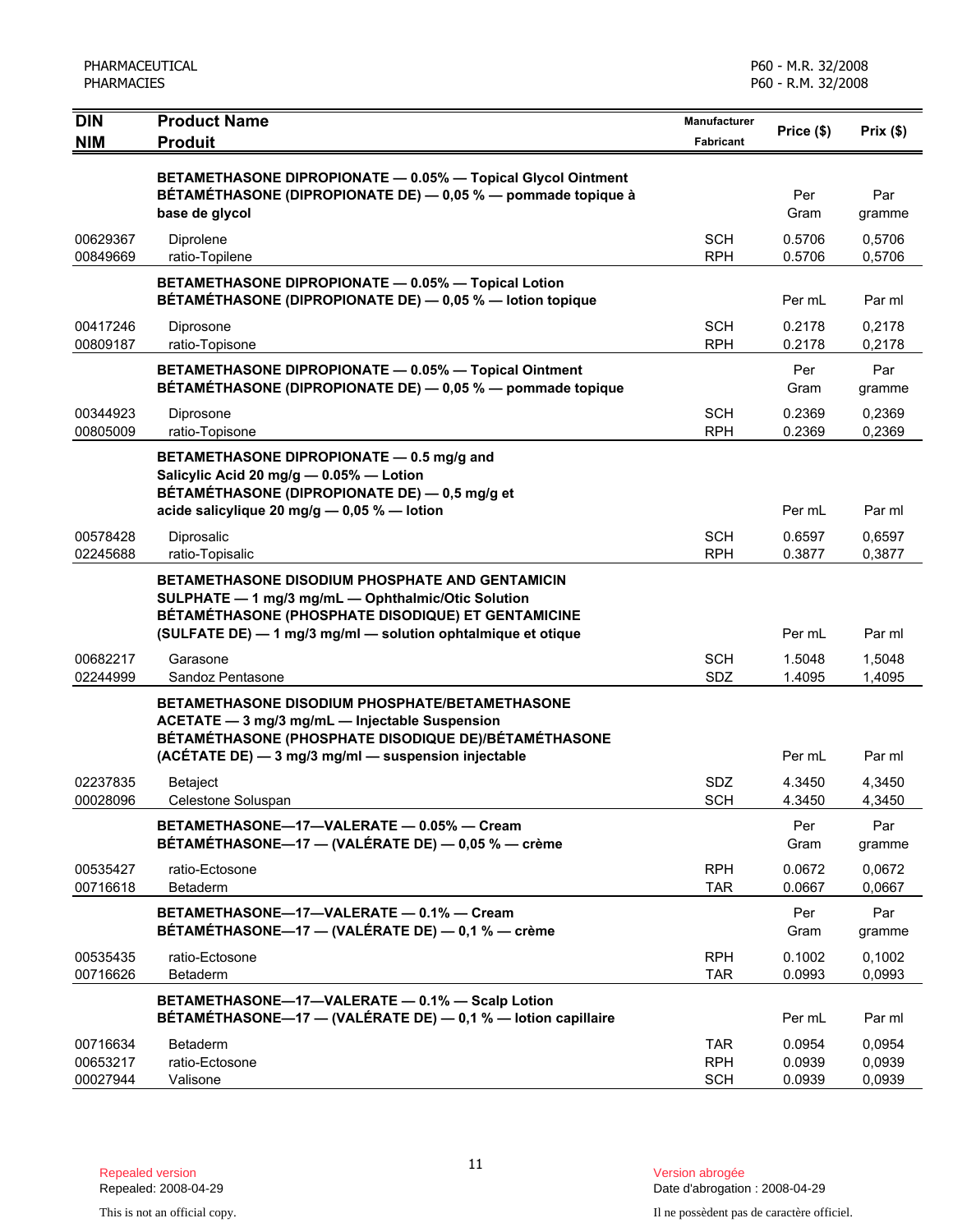| <b>DIN</b>                       | <b>Product Name</b>                                                                                                                                                                                                         | <b>Manufacturer</b>                    | Price (\$)                 | Prix(\$)                   |
|----------------------------------|-----------------------------------------------------------------------------------------------------------------------------------------------------------------------------------------------------------------------------|----------------------------------------|----------------------------|----------------------------|
| <b>NIM</b>                       | <b>Produit</b>                                                                                                                                                                                                              | <b>Fabricant</b>                       |                            |                            |
|                                  | BETAMETHASONE DIPROPIONATE - 0.05% - Topical Glycol Ointment<br>BÉTAMÉTHASONE (DIPROPIONATE DE) - 0,05 % - pommade topique à<br>base de glycol                                                                              |                                        | Per<br>Gram                | Par<br>gramme              |
| 00629367<br>00849669             | Diprolene<br>ratio-Topilene                                                                                                                                                                                                 | <b>SCH</b><br><b>RPH</b>               | 0.5706<br>0.5706           | 0,5706<br>0,5706           |
|                                  | BETAMETHASONE DIPROPIONATE - 0.05% - Topical Lotion<br>BÉTAMÉTHASONE (DIPROPIONATE DE) - 0,05 % - lotion topique                                                                                                            |                                        | Per mL                     | Par ml                     |
| 00417246<br>00809187             | Diprosone<br>ratio-Topisone                                                                                                                                                                                                 | <b>SCH</b><br><b>RPH</b>               | 0.2178<br>0.2178           | 0,2178<br>0,2178           |
|                                  | BETAMETHASONE DIPROPIONATE - 0.05% - Topical Ointment<br>BÉTAMÉTHASONE (DIPROPIONATE DE) — 0,05 % — pommade topique                                                                                                         |                                        | Per<br>Gram                | Par<br>gramme              |
| 00344923<br>00805009             | Diprosone<br>ratio-Topisone                                                                                                                                                                                                 | <b>SCH</b><br><b>RPH</b>               | 0.2369<br>0.2369           | 0,2369<br>0,2369           |
|                                  | BETAMETHASONE DIPROPIONATE - 0.5 mg/g and<br>Salicylic Acid 20 mg/g - 0.05% - Lotion<br>BÉTAMÉTHASONE (DIPROPIONATE DE) — 0,5 mg/g et                                                                                       |                                        |                            |                            |
|                                  | acide salicylique 20 mg/g $-$ 0,05 % $-$ lotion                                                                                                                                                                             |                                        | Per mL                     | Par ml                     |
| 00578428<br>02245688             | Diprosalic<br>ratio-Topisalic                                                                                                                                                                                               | <b>SCH</b><br><b>RPH</b>               | 0.6597<br>0.3877           | 0,6597<br>0,3877           |
|                                  | BETAMETHASONE DISODIUM PHOSPHATE AND GENTAMICIN<br>SULPHATE - 1 mg/3 mg/mL - Ophthalmic/Otic Solution<br>BÉTAMÉTHASONE (PHOSPHATE DISODIQUE) ET GENTAMICINE<br>(SULFATE DE) - 1 mg/3 mg/ml - solution ophtalmique et otique |                                        | Per mL                     | Par ml                     |
| 00682217<br>02244999             | Garasone<br>Sandoz Pentasone                                                                                                                                                                                                | <b>SCH</b><br>SDZ                      | 1.5048<br>1.4095           | 1,5048<br>1,4095           |
|                                  | <b>BETAMETHASONE DISODIUM PHOSPHATE/BETAMETHASONE</b><br>ACETATE - 3 mg/3 mg/mL - Injectable Suspension<br>BÉTAMÉTHASONE (PHOSPHATE DISODIQUE DE)/BÉTAMÉTHASONE<br>(ACÉTATE DE) - 3 mg/3 mg/ml - suspension injectable      |                                        | Per mL                     | Par ml                     |
| 02237835                         | <b>Betaject</b>                                                                                                                                                                                                             | <b>SDZ</b>                             | 4.3450                     | 4,3450                     |
| 00028096                         | Celestone Soluspan                                                                                                                                                                                                          | <b>SCH</b>                             | 4.3450                     | 4,3450                     |
|                                  | BETAMETHASONE-17-VALERATE - 0.05% - Cream<br>BÉTAMÉTHASONE-17 - (VALÉRATE DE) - 0,05 % - crème                                                                                                                              |                                        | Per<br>Gram                | Par<br>gramme              |
| 00535427<br>00716618             | ratio-Ectosone<br>Betaderm                                                                                                                                                                                                  | <b>RPH</b><br><b>TAR</b>               | 0.0672<br>0.0667           | 0,0672<br>0.0667           |
|                                  | BETAMETHASONE-17-VALERATE - 0.1% - Cream<br>BÉTAMÉTHASONE-17 - (VALÉRATE DE) - 0,1 % - crème                                                                                                                                |                                        | Per<br>Gram                | Par<br>gramme              |
| 00535435<br>00716626             | ratio-Ectosone<br>Betaderm                                                                                                                                                                                                  | <b>RPH</b><br><b>TAR</b>               | 0.1002<br>0.0993           | 0,1002<br>0.0993           |
|                                  | BETAMETHASONE-17-VALERATE - 0.1% - Scalp Lotion<br>BÉTAMÉTHASONE-17 - (VALÉRATE DE) - 0,1 % - lotion capillaire                                                                                                             |                                        | Per mL                     | Par ml                     |
| 00716634<br>00653217<br>00027944 | <b>Betaderm</b><br>ratio-Ectosone<br>Valisone                                                                                                                                                                               | <b>TAR</b><br><b>RPH</b><br><b>SCH</b> | 0.0954<br>0.0939<br>0.0939 | 0,0954<br>0,0939<br>0,0939 |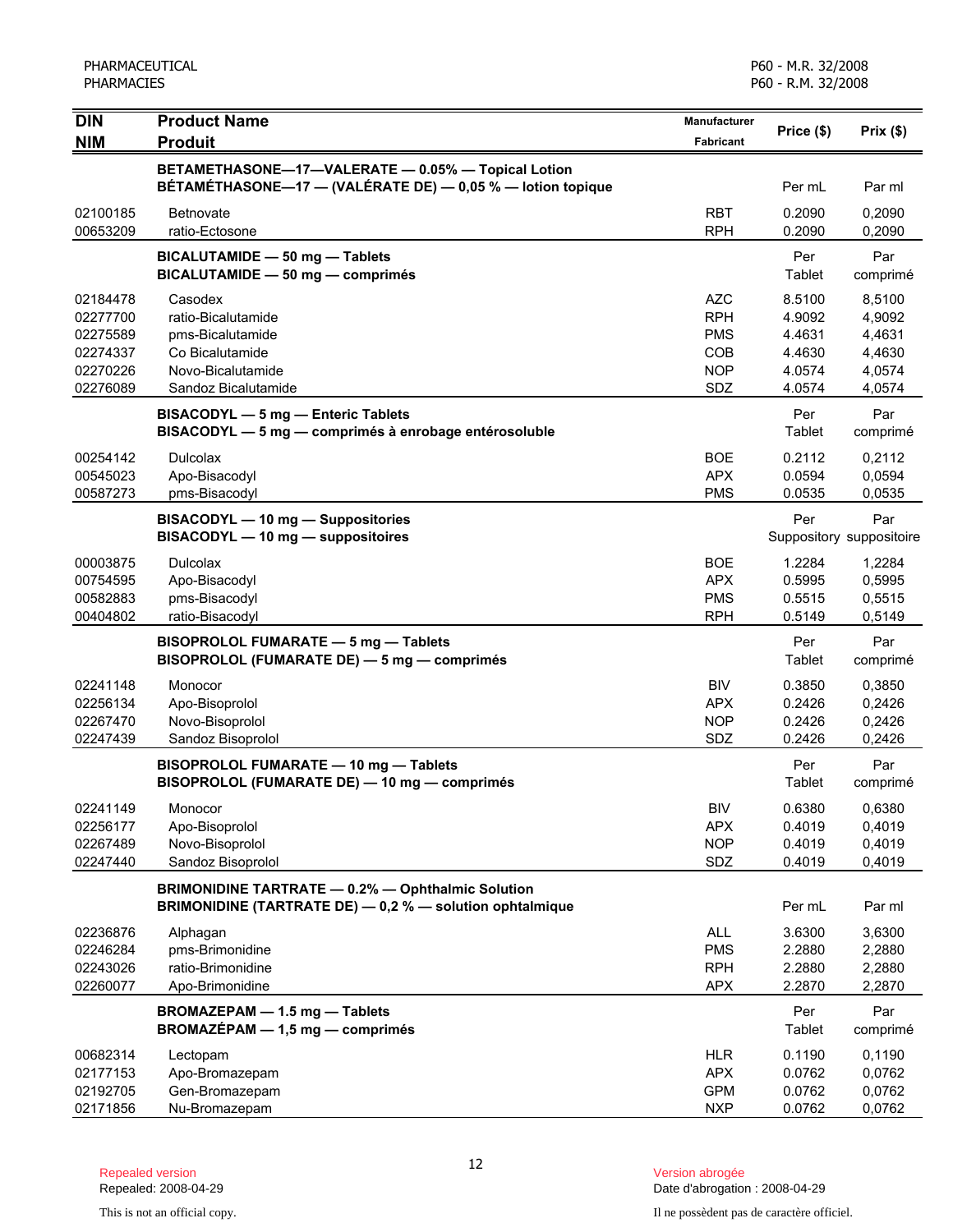| <b>DIN</b><br><b>NIM</b>                                             | <b>Product Name</b><br><b>Produit</b>                                                                                | <b>Manufacturer</b><br><b>Fabricant</b>                            | Price (\$)                                               | Prix(\$)                                                 |
|----------------------------------------------------------------------|----------------------------------------------------------------------------------------------------------------------|--------------------------------------------------------------------|----------------------------------------------------------|----------------------------------------------------------|
|                                                                      | BETAMETHASONE-17-VALERATE - 0.05% - Topical Lotion<br>BÉTAMÉTHASONE-17 - (VALÉRATE DE) - 0,05 % - lotion topique     |                                                                    | Per mL                                                   | Par ml                                                   |
| 02100185<br>00653209                                                 | <b>Betnovate</b><br>ratio-Ectosone                                                                                   | <b>RBT</b><br><b>RPH</b>                                           | 0.2090<br>0.2090                                         | 0,2090<br>0,2090                                         |
|                                                                      | BICALUTAMIDE - 50 mg - Tablets<br>BICALUTAMIDE - 50 mg - comprimés                                                   |                                                                    | Per<br>Tablet                                            | Par<br>comprimé                                          |
| 02184478<br>02277700<br>02275589<br>02274337<br>02270226<br>02276089 | Casodex<br>ratio-Bicalutamide<br>pms-Bicalutamide<br>Co Bicalutamide<br>Novo-Bicalutamide<br>Sandoz Bicalutamide     | AZC<br><b>RPH</b><br><b>PMS</b><br><b>COB</b><br><b>NOP</b><br>SDZ | 8.5100<br>4.9092<br>4.4631<br>4.4630<br>4.0574<br>4.0574 | 8,5100<br>4,9092<br>4,4631<br>4,4630<br>4,0574<br>4,0574 |
|                                                                      | BISACODYL - 5 mg - Enteric Tablets<br>BISACODYL - 5 mg - comprimés à enrobage entérosoluble                          |                                                                    | Per<br>Tablet                                            | Par<br>comprimé                                          |
| 00254142<br>00545023<br>00587273                                     | <b>Dulcolax</b><br>Apo-Bisacodyl<br>pms-Bisacodyl                                                                    | <b>BOE</b><br><b>APX</b><br><b>PMS</b>                             | 0.2112<br>0.0594<br>0.0535                               | 0,2112<br>0,0594<br>0,0535                               |
|                                                                      | BISACODYL - 10 mg - Suppositories<br>BISACODYL - 10 mg - suppositoires                                               |                                                                    | Per                                                      | Par<br>Suppository suppositoire                          |
| 00003875<br>00754595<br>00582883<br>00404802                         | <b>Dulcolax</b><br>Apo-Bisacodyl<br>pms-Bisacodyl<br>ratio-Bisacodyl                                                 | <b>BOE</b><br><b>APX</b><br><b>PMS</b><br><b>RPH</b>               | 1.2284<br>0.5995<br>0.5515<br>0.5149                     | 1,2284<br>0,5995<br>0,5515<br>0,5149                     |
|                                                                      | BISOPROLOL FUMARATE - 5 mg - Tablets<br>BISOPROLOL (FUMARATE DE) - 5 mg - comprimés                                  |                                                                    | Per<br>Tablet                                            | Par<br>comprimé                                          |
| 02241148<br>02256134<br>02267470<br>02247439                         | Monocor<br>Apo-Bisoprolol<br>Novo-Bisoprolol<br>Sandoz Bisoprolol                                                    | <b>BIV</b><br><b>APX</b><br><b>NOP</b><br>SDZ                      | 0.3850<br>0.2426<br>0.2426<br>0.2426                     | 0,3850<br>0,2426<br>0,2426<br>0,2426                     |
|                                                                      | BISOPROLOL FUMARATE - 10 mg - Tablets<br>BISOPROLOL (FUMARATE DE) - 10 mg - comprimés                                |                                                                    | Per<br>Tablet                                            | Par<br>comprimé                                          |
| 02241149<br>02256177<br>02267489<br>02247440                         | Monocor<br>Apo-Bisoprolol<br>Novo-Bisoprolol<br>Sandoz Bisoprolol                                                    | <b>BIV</b><br><b>APX</b><br><b>NOP</b><br>SDZ                      | 0.6380<br>0.4019<br>0.4019<br>0.4019                     | 0,6380<br>0,4019<br>0,4019<br>0,4019                     |
|                                                                      | <b>BRIMONIDINE TARTRATE - 0.2% - Ophthalmic Solution</b><br>BRIMONIDINE (TARTRATE DE) - 0,2 % - solution ophtalmique |                                                                    | Per mL                                                   | Par ml                                                   |
| 02236876<br>02246284<br>02243026<br>02260077                         | Alphagan<br>pms-Brimonidine<br>ratio-Brimonidine<br>Apo-Brimonidine                                                  | <b>ALL</b><br><b>PMS</b><br><b>RPH</b><br><b>APX</b>               | 3.6300<br>2.2880<br>2.2880<br>2.2870                     | 3,6300<br>2,2880<br>2,2880<br>2,2870                     |
|                                                                      | BROMAZEPAM - 1.5 mg - Tablets<br>$BROMAZÉPAM - 1,5 mg - comprimés$                                                   |                                                                    | Per<br>Tablet                                            | Par<br>comprimé                                          |
| 00682314<br>02177153<br>02192705<br>02171856                         | Lectopam<br>Apo-Bromazepam<br>Gen-Bromazepam<br>Nu-Bromazepam                                                        | <b>HLR</b><br><b>APX</b><br><b>GPM</b><br><b>NXP</b>               | 0.1190<br>0.0762<br>0.0762<br>0.0762                     | 0,1190<br>0,0762<br>0,0762<br>0,0762                     |

Date d'abrogation : 2008-04-29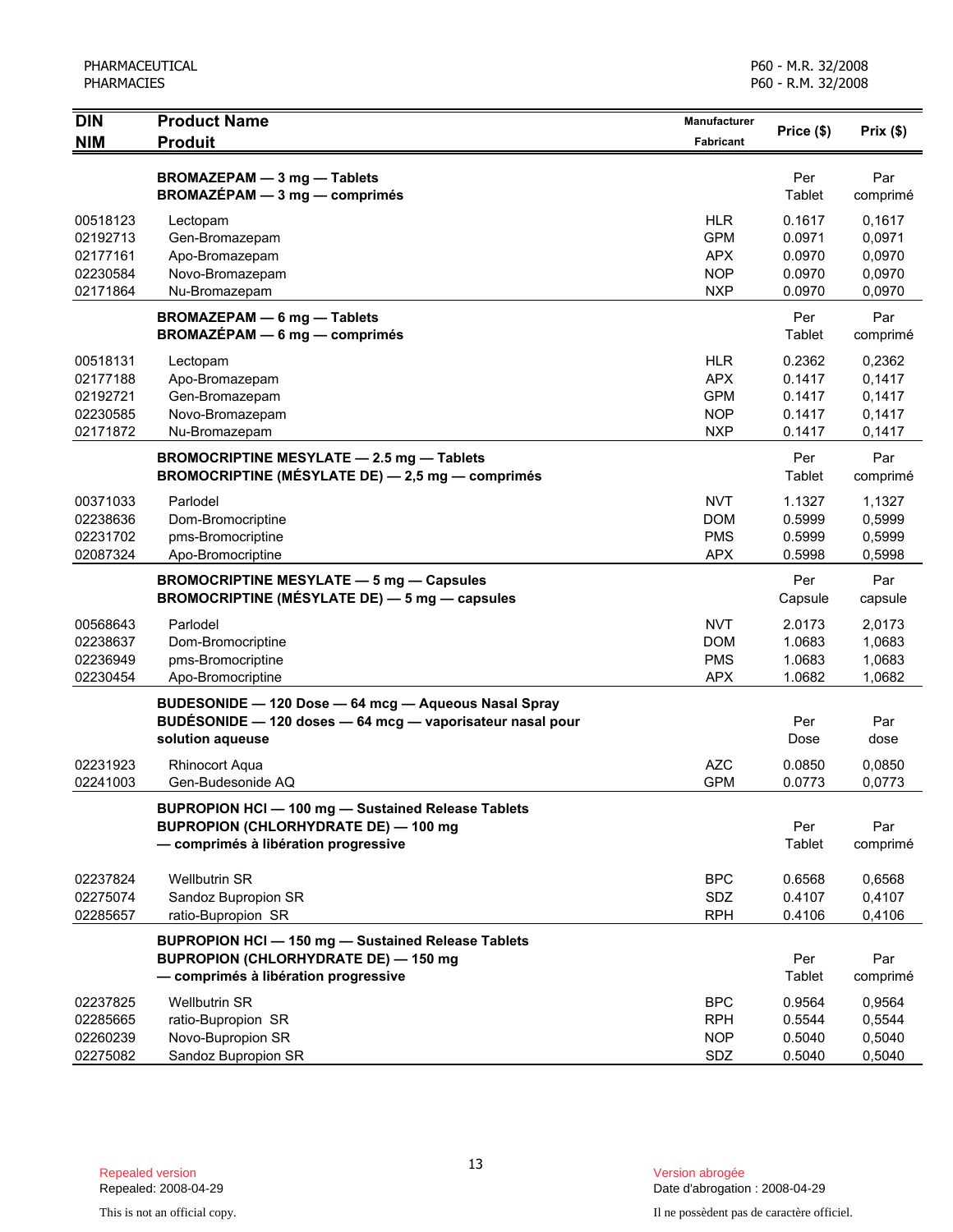| <b>DIN</b>                                               | <b>Product Name</b>                                                                                                                              | Manufacturer                                                       | Price (\$)                                     | Prix(\$)                                       |
|----------------------------------------------------------|--------------------------------------------------------------------------------------------------------------------------------------------------|--------------------------------------------------------------------|------------------------------------------------|------------------------------------------------|
| <b>NIM</b>                                               | <b>Produit</b>                                                                                                                                   | Fabricant                                                          |                                                |                                                |
|                                                          | BROMAZEPAM - 3 mg - Tablets<br>BROMAZÉPAM - 3 mg - comprimés                                                                                     |                                                                    | Per<br>Tablet                                  | Par<br>comprimé                                |
| 00518123<br>02192713<br>02177161<br>02230584<br>02171864 | Lectopam<br>Gen-Bromazepam<br>Apo-Bromazepam<br>Novo-Bromazepam<br>Nu-Bromazepam                                                                 | <b>HLR</b><br><b>GPM</b><br><b>APX</b><br><b>NOP</b><br><b>NXP</b> | 0.1617<br>0.0971<br>0.0970<br>0.0970<br>0.0970 | 0,1617<br>0,0971<br>0,0970<br>0,0970<br>0,0970 |
|                                                          | <b>BROMAZEPAM - 6 mg - Tablets</b><br><b>BROMAZÉPAM - 6 mg - comprimés</b>                                                                       |                                                                    | Per<br>Tablet                                  | Par<br>comprimé                                |
| 00518131<br>02177188<br>02192721<br>02230585<br>02171872 | Lectopam<br>Apo-Bromazepam<br>Gen-Bromazepam<br>Novo-Bromazepam<br>Nu-Bromazepam                                                                 | <b>HLR</b><br><b>APX</b><br><b>GPM</b><br><b>NOP</b><br><b>NXP</b> | 0.2362<br>0.1417<br>0.1417<br>0.1417<br>0.1417 | 0,2362<br>0,1417<br>0,1417<br>0,1417<br>0,1417 |
|                                                          | <b>BROMOCRIPTINE MESYLATE - 2.5 mg - Tablets</b><br>BROMOCRIPTINE (MÉSYLATE DE) - 2,5 mg - comprimés                                             |                                                                    | Per<br>Tablet                                  | Par<br>comprimé                                |
| 00371033<br>02238636<br>02231702<br>02087324             | Parlodel<br>Dom-Bromocriptine<br>pms-Bromocriptine<br>Apo-Bromocriptine                                                                          | <b>NVT</b><br><b>DOM</b><br><b>PMS</b><br><b>APX</b>               | 1.1327<br>0.5999<br>0.5999<br>0.5998           | 1,1327<br>0,5999<br>0,5999<br>0,5998           |
|                                                          | <b>BROMOCRIPTINE MESYLATE - 5 mg - Capsules</b><br>BROMOCRIPTINE (MÉSYLATE DE) - 5 mg - capsules                                                 |                                                                    | Per<br>Capsule                                 | Par<br>capsule                                 |
| 00568643<br>02238637<br>02236949<br>02230454             | Parlodel<br>Dom-Bromocriptine<br>pms-Bromocriptine<br>Apo-Bromocriptine                                                                          | <b>NVT</b><br><b>DOM</b><br><b>PMS</b><br><b>APX</b>               | 2.0173<br>1.0683<br>1.0683<br>1.0682           | 2,0173<br>1,0683<br>1,0683<br>1,0682           |
|                                                          | BUDESONIDE - 120 Dose - 64 mcg - Aqueous Nasal Spray<br>BUDÉSONIDE - 120 doses - 64 mcg - vaporisateur nasal pour<br>solution aqueuse            |                                                                    | Per<br>Dose                                    | Par<br>dose                                    |
| 02231923<br>02241003                                     | <b>Rhinocort Aqua</b><br>Gen-Budesonide AQ                                                                                                       | <b>AZC</b><br><b>GPM</b>                                           | 0.0850<br>0.0773                               | 0,0850<br>0,0773                               |
|                                                          | <b>BUPROPION HCI-100 mg-Sustained Release Tablets</b><br><b>BUPROPION (CHLORHYDRATE DE) - 100 mg</b><br>- comprimés à libération progressive     |                                                                    | Per<br>Tablet                                  | Par<br>comprimé                                |
| 02237824<br>02275074<br>02285657                         | <b>Wellbutrin SR</b><br>Sandoz Bupropion SR<br>ratio-Bupropion SR                                                                                | <b>BPC</b><br>SDZ<br><b>RPH</b>                                    | 0.6568<br>0.4107<br>0.4106                     | 0,6568<br>0,4107<br>0,4106                     |
|                                                          | <b>BUPROPION HCI - 150 mg - Sustained Release Tablets</b><br><b>BUPROPION (CHLORHYDRATE DE) - 150 mg</b><br>- comprimés à libération progressive |                                                                    | Per<br>Tablet                                  | Par<br>comprimé                                |
| 02237825<br>02285665<br>02260239<br>02275082             | <b>Wellbutrin SR</b><br>ratio-Bupropion SR<br>Novo-Bupropion SR<br>Sandoz Bupropion SR                                                           | <b>BPC</b><br><b>RPH</b><br><b>NOP</b><br>SDZ                      | 0.9564<br>0.5544<br>0.5040<br>0.5040           | 0,9564<br>0,5544<br>0,5040<br>0,5040           |

Date d'abrogation : 2008-04-29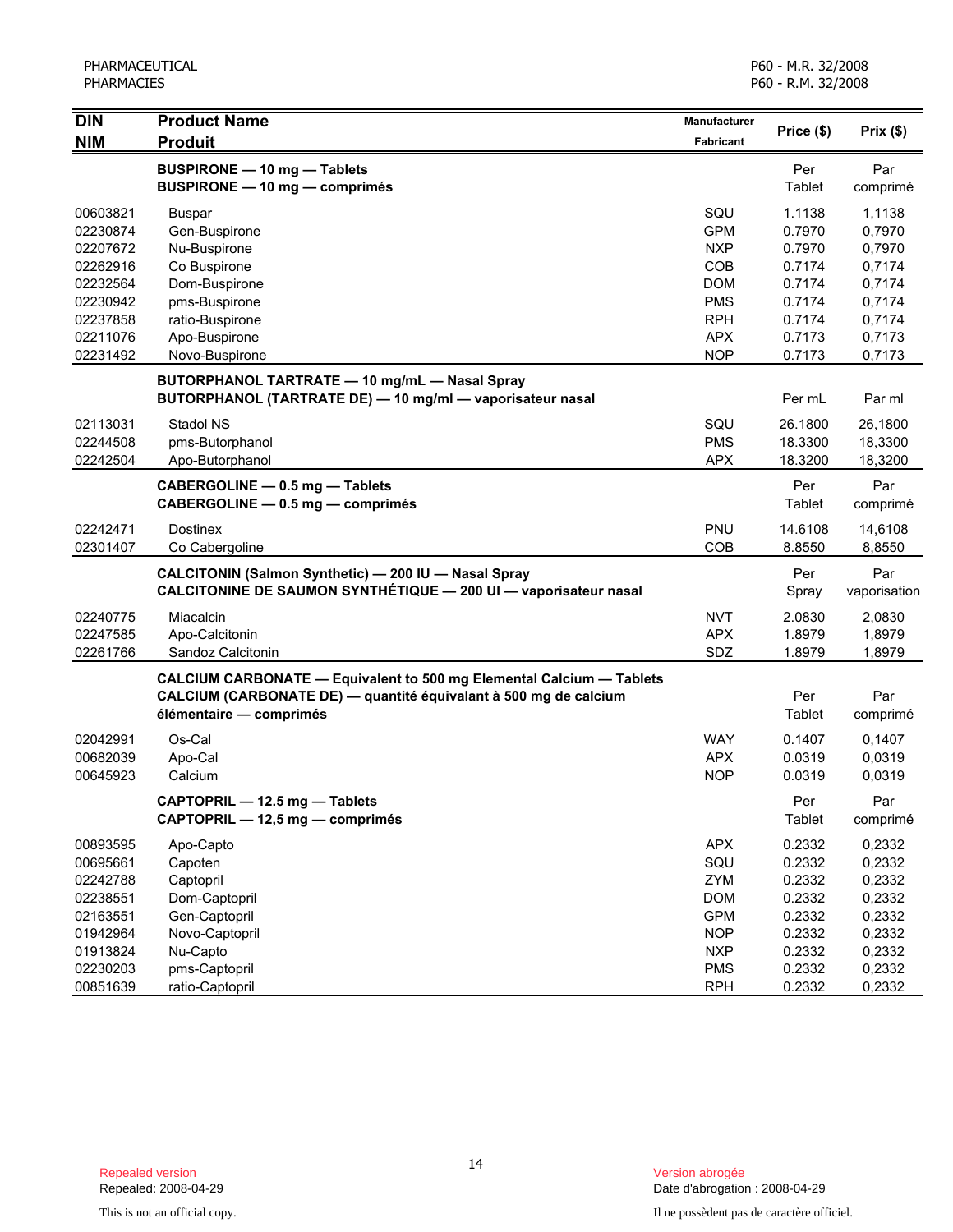| $\overline{D}$       | <b>Product Name</b>                                                                                                                                                 | Manufacturer     |                   |                     |
|----------------------|---------------------------------------------------------------------------------------------------------------------------------------------------------------------|------------------|-------------------|---------------------|
| <b>NIM</b>           | <b>Produit</b>                                                                                                                                                      | <b>Fabricant</b> | Price (\$)        | Prix(\$)            |
|                      | <b>BUSPIRONE - 10 mg - Tablets</b><br><b>BUSPIRONE - 10 mg - comprimés</b>                                                                                          |                  | Per<br>Tablet     | Par<br>comprimé     |
| 00603821             | <b>Buspar</b>                                                                                                                                                       | SQU              | 1.1138            | 1,1138              |
| 02230874             | Gen-Buspirone                                                                                                                                                       | <b>GPM</b>       | 0.7970            | 0,7970              |
| 02207672             | Nu-Buspirone                                                                                                                                                        | <b>NXP</b>       | 0.7970            | 0,7970              |
| 02262916             | Co Buspirone                                                                                                                                                        | COB              | 0.7174            | 0,7174              |
| 02232564             | Dom-Buspirone                                                                                                                                                       | <b>DOM</b>       | 0.7174            | 0,7174              |
| 02230942             | pms-Buspirone                                                                                                                                                       | <b>PMS</b>       | 0.7174            | 0,7174              |
| 02237858             | ratio-Buspirone                                                                                                                                                     | <b>RPH</b>       | 0.7174            | 0,7174              |
| 02211076             | Apo-Buspirone                                                                                                                                                       | <b>APX</b>       | 0.7173            | 0,7173              |
| 02231492             | Novo-Buspirone                                                                                                                                                      | <b>NOP</b>       | 0.7173            | 0,7173              |
|                      | BUTORPHANOL TARTRATE - 10 mg/mL - Nasal Spray<br>BUTORPHANOL (TARTRATE DE) - 10 mg/ml - vaporisateur nasal                                                          |                  | Per mL            | Par ml              |
| 02113031             | Stadol NS                                                                                                                                                           | SQU              | 26.1800           | 26,1800             |
| 02244508             | pms-Butorphanol                                                                                                                                                     | <b>PMS</b>       | 18.3300           | 18,3300             |
| 02242504             | Apo-Butorphanol                                                                                                                                                     | <b>APX</b>       | 18.3200           | 18,3200             |
|                      | CABERGOLINE - 0.5 mg - Tablets<br>CABERGOLINE - 0.5 mg - comprimés                                                                                                  |                  | Per<br>Tablet     | Par<br>comprimé     |
| 02242471<br>02301407 | <b>Dostinex</b><br>Co Cabergoline                                                                                                                                   | PNU<br>COB       | 14.6108<br>8.8550 | 14,6108<br>8,8550   |
|                      | CALCITONIN (Salmon Synthetic) - 200 IU - Nasal Spray<br>CALCITONINE DE SAUMON SYNTHÉTIQUE - 200 UI - vaporisateur nasal                                             |                  | Per<br>Spray      | Par<br>vaporisation |
| 02240775             | Miacalcin                                                                                                                                                           | <b>NVT</b>       | 2.0830            | 2,0830              |
| 02247585             | Apo-Calcitonin                                                                                                                                                      | <b>APX</b>       | 1.8979            | 1,8979              |
| 02261766             | Sandoz Calcitonin                                                                                                                                                   | SDZ              | 1.8979            | 1,8979              |
|                      | CALCIUM CARBONATE - Equivalent to 500 mg Elemental Calcium - Tablets<br>CALCIUM (CARBONATE DE) — quantité équivalant à 500 mg de calcium<br>élémentaire - comprimés |                  | Per<br>Tablet     | Par<br>comprimé     |
| 02042991             | Os-Cal                                                                                                                                                              | <b>WAY</b>       | 0.1407            | 0,1407              |
| 00682039             | Apo-Cal                                                                                                                                                             | <b>APX</b>       | 0.0319            | 0,0319              |
| 00645923             | Calcium                                                                                                                                                             | <b>NOP</b>       | 0.0319            | 0,0319              |
|                      | CAPTOPRIL - 12.5 mg - Tablets<br>CAPTOPRIL - 12,5 mg - comprimés                                                                                                    |                  | Per<br>Tablet     | Par<br>comprimé     |
| 00893595             | Apo-Capto                                                                                                                                                           | <b>APX</b>       | 0.2332            | 0,2332              |
| 00695661             | Capoten                                                                                                                                                             | SQU              | 0.2332            | 0,2332              |
| 02242788             | Captopril                                                                                                                                                           | ZYM              | 0.2332            | 0,2332              |
| 02238551             | Dom-Captopril                                                                                                                                                       | <b>DOM</b>       | 0.2332            | 0,2332              |
| 02163551             | Gen-Captopril                                                                                                                                                       | <b>GPM</b>       | 0.2332            | 0,2332              |
| 01942964             | Novo-Captopril                                                                                                                                                      | <b>NOP</b>       | 0.2332            | 0,2332              |
| 01913824             | Nu-Capto                                                                                                                                                            | <b>NXP</b>       | 0.2332            | 0,2332              |
| 02230203             | pms-Captopril                                                                                                                                                       | <b>PMS</b>       | 0.2332            | 0,2332              |
| 00851639             | ratio-Captopril                                                                                                                                                     | <b>RPH</b>       | 0.2332            | 0,2332              |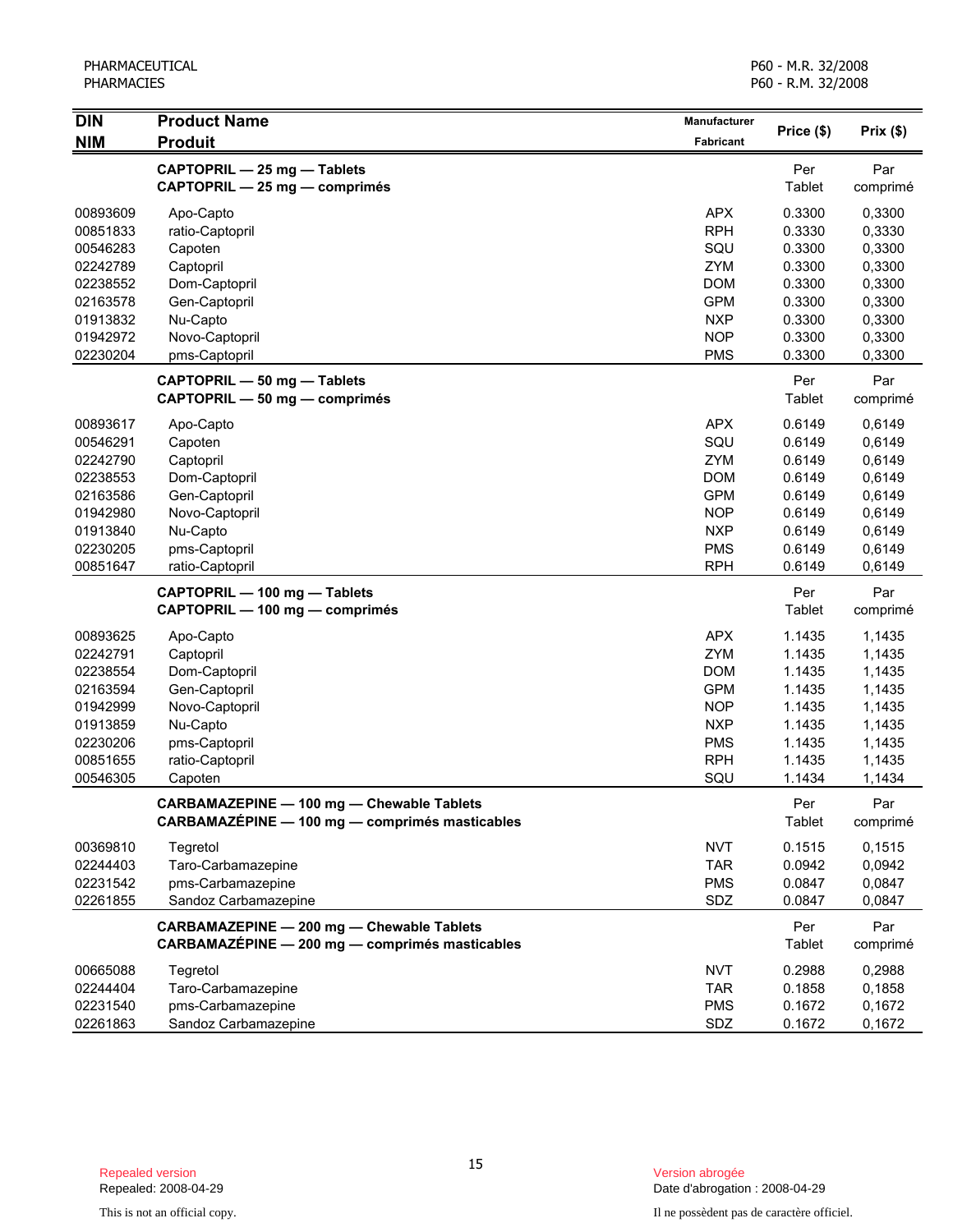| <b>DIN</b> | <b>Product Name</b><br><b>Produit</b>          | Manufacturer | Price (\$) |          |
|------------|------------------------------------------------|--------------|------------|----------|
| <b>NIM</b> |                                                | Fabricant    |            | Prix(\$) |
|            | CAPTOPRIL - 25 mg - Tablets                    |              | Per        | Par      |
|            | CAPTOPRIL - 25 mg - comprimés                  |              | Tablet     | comprimé |
| 00893609   | Apo-Capto                                      | <b>APX</b>   | 0.3300     | 0,3300   |
| 00851833   | ratio-Captopril                                | <b>RPH</b>   | 0.3330     | 0,3330   |
| 00546283   | Capoten                                        | SQU          | 0.3300     | 0,3300   |
| 02242789   | Captopril                                      | ZYM          | 0.3300     | 0,3300   |
| 02238552   | Dom-Captopril                                  | <b>DOM</b>   | 0.3300     | 0,3300   |
| 02163578   | Gen-Captopril                                  | <b>GPM</b>   | 0.3300     | 0,3300   |
| 01913832   | Nu-Capto                                       | <b>NXP</b>   | 0.3300     | 0,3300   |
| 01942972   | Novo-Captopril                                 | <b>NOP</b>   | 0.3300     | 0,3300   |
| 02230204   | pms-Captopril                                  | <b>PMS</b>   | 0.3300     | 0,3300   |
|            | CAPTOPRIL - 50 mg - Tablets                    |              | Per        | Par      |
|            | CAPTOPRIL - 50 mg - comprimés                  |              | Tablet     | comprimé |
| 00893617   | Apo-Capto                                      | <b>APX</b>   | 0.6149     | 0,6149   |
| 00546291   | Capoten                                        | SQU          | 0.6149     | 0,6149   |
| 02242790   | Captopril                                      | ZYM          | 0.6149     | 0,6149   |
| 02238553   | Dom-Captopril                                  | <b>DOM</b>   | 0.6149     | 0,6149   |
| 02163586   | Gen-Captopril                                  | <b>GPM</b>   | 0.6149     | 0,6149   |
| 01942980   | Novo-Captopril                                 | <b>NOP</b>   | 0.6149     | 0,6149   |
| 01913840   | Nu-Capto                                       | <b>NXP</b>   | 0.6149     | 0,6149   |
| 02230205   | pms-Captopril                                  | <b>PMS</b>   | 0.6149     | 0,6149   |
| 00851647   | ratio-Captopril                                | <b>RPH</b>   | 0.6149     | 0,6149   |
|            | CAPTOPRIL - 100 mg - Tablets                   |              | Per        | Par      |
|            | CAPTOPRIL - 100 mg - comprimés                 |              | Tablet     | comprimé |
| 00893625   | Apo-Capto                                      | <b>APX</b>   | 1.1435     | 1,1435   |
| 02242791   | Captopril                                      | <b>ZYM</b>   | 1.1435     | 1,1435   |
| 02238554   | Dom-Captopril                                  | <b>DOM</b>   | 1.1435     | 1,1435   |
| 02163594   | Gen-Captopril                                  | <b>GPM</b>   | 1.1435     | 1,1435   |
| 01942999   | Novo-Captopril                                 | <b>NOP</b>   | 1.1435     | 1,1435   |
| 01913859   | Nu-Capto                                       | <b>NXP</b>   | 1.1435     | 1,1435   |
| 02230206   | pms-Captopril                                  | <b>PMS</b>   | 1.1435     | 1,1435   |
| 00851655   | ratio-Captopril                                | <b>RPH</b>   | 1.1435     | 1,1435   |
| 00546305   | Capoten                                        | SQU          | 1.1434     | 1,1434   |
|            | CARBAMAZEPINE - 100 mg - Chewable Tablets      |              | Per        | Par      |
|            | CARBAMAZÉPINE - 100 mg - comprimés masticables |              | Tablet     | comprimé |
| 00369810   | Tegretol                                       | <b>NVT</b>   | 0.1515     | 0,1515   |
| 02244403   | Taro-Carbamazepine                             | <b>TAR</b>   | 0.0942     | 0,0942   |
| 02231542   | pms-Carbamazepine                              | <b>PMS</b>   | 0.0847     | 0,0847   |
| 02261855   | Sandoz Carbamazepine                           | SDZ          | 0.0847     | 0,0847   |
|            | CARBAMAZEPINE - 200 mg - Chewable Tablets      |              | Per        | Par      |
|            | CARBAMAZÉPINE - 200 mg - comprimés masticables |              | Tablet     | comprimé |
| 00665088   | Tegretol                                       | <b>NVT</b>   | 0.2988     | 0,2988   |
| 02244404   | Taro-Carbamazepine                             | <b>TAR</b>   | 0.1858     | 0,1858   |
| 02231540   | pms-Carbamazepine                              | <b>PMS</b>   | 0.1672     | 0,1672   |
| 02261863   | Sandoz Carbamazepine                           | SDZ          | 0.1672     | 0,1672   |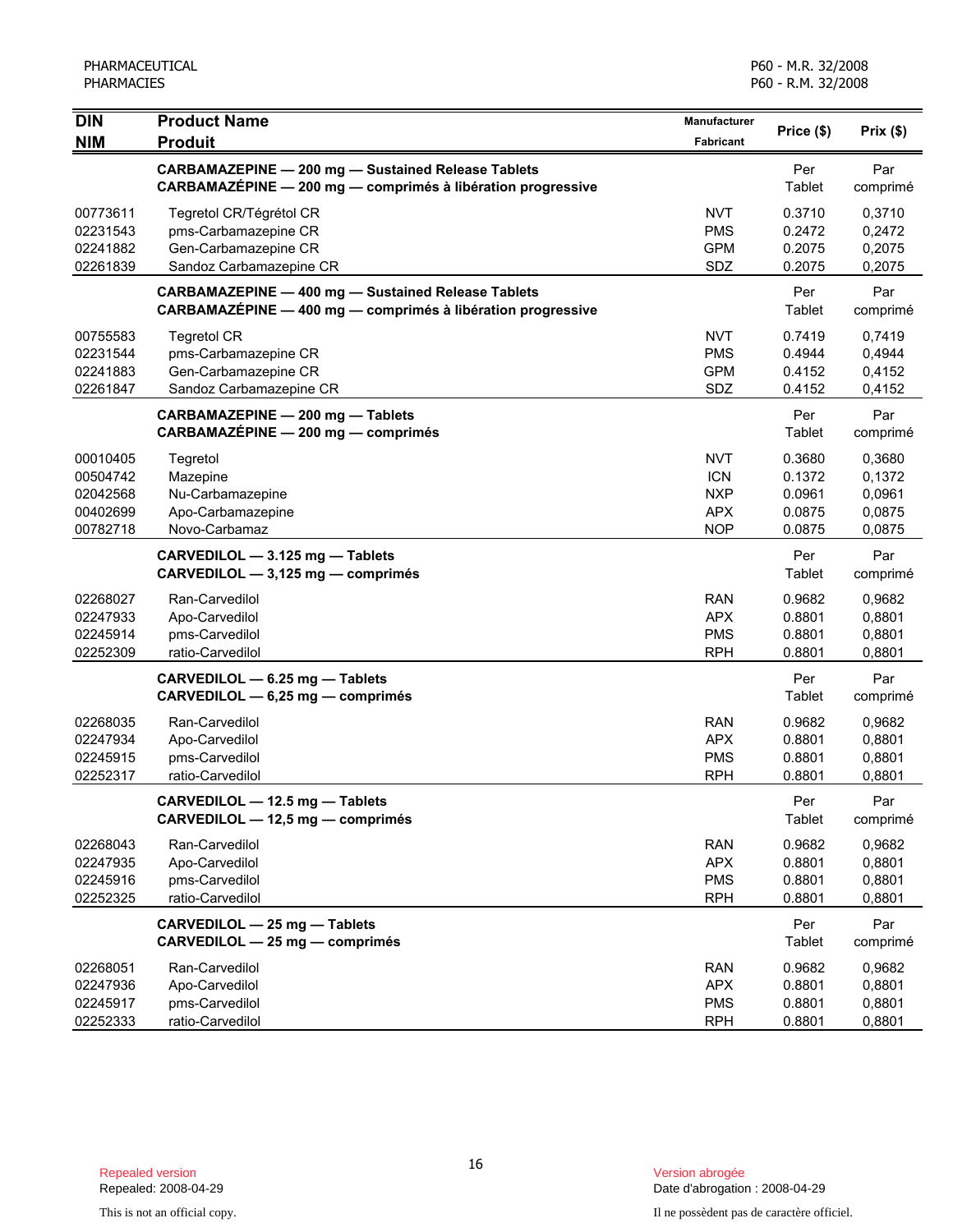| <b>DIN</b> | <b>Product Name</b>                                                                                                      | Manufacturer | Price (\$)    | Prix(\$)        |
|------------|--------------------------------------------------------------------------------------------------------------------------|--------------|---------------|-----------------|
| <b>NIM</b> | <b>Produit</b>                                                                                                           | Fabricant    |               |                 |
|            | <b>CARBAMAZEPINE - 200 mg - Sustained Release Tablets</b><br>CARBAMAZÉPINE - 200 mg - comprimés à libération progressive |              | Per<br>Tablet | Par<br>comprimé |
| 00773611   | Tegretol CR/Tégrétol CR                                                                                                  | <b>NVT</b>   | 0.3710        | 0,3710          |
| 02231543   | pms-Carbamazepine CR                                                                                                     | <b>PMS</b>   | 0.2472        | 0,2472          |
| 02241882   | Gen-Carbamazepine CR                                                                                                     | <b>GPM</b>   | 0.2075        | 0,2075          |
| 02261839   | Sandoz Carbamazepine CR                                                                                                  | SDZ          | 0.2075        | 0,2075          |
|            | <b>CARBAMAZEPINE - 400 mg - Sustained Release Tablets</b><br>CARBAMAZÉPINE - 400 mg - comprimés à libération progressive |              | Per<br>Tablet | Par<br>comprimé |
| 00755583   | <b>Tegretol CR</b>                                                                                                       | <b>NVT</b>   | 0.7419        | 0,7419          |
| 02231544   | pms-Carbamazepine CR                                                                                                     | <b>PMS</b>   | 0.4944        | 0,4944          |
| 02241883   | Gen-Carbamazepine CR                                                                                                     | <b>GPM</b>   | 0.4152        | 0,4152          |
| 02261847   | Sandoz Carbamazepine CR                                                                                                  | SDZ          | 0.4152        | 0,4152          |
|            | CARBAMAZEPINE - 200 mg - Tablets<br>CARBAMAZÉPINE - 200 mg - comprimés                                                   |              | Per<br>Tablet | Par<br>comprimé |
| 00010405   | Tegretol                                                                                                                 | <b>NVT</b>   | 0.3680        | 0,3680          |
| 00504742   | Mazepine                                                                                                                 | <b>ICN</b>   | 0.1372        | 0,1372          |
| 02042568   | Nu-Carbamazepine                                                                                                         | <b>NXP</b>   | 0.0961        | 0,0961          |
| 00402699   | Apo-Carbamazepine                                                                                                        | <b>APX</b>   | 0.0875        | 0,0875          |
| 00782718   | Novo-Carbamaz                                                                                                            | <b>NOP</b>   | 0.0875        | 0,0875          |
|            | CARVEDILOL - 3.125 mg - Tablets<br>CARVEDILOL - 3,125 mg - comprimés                                                     |              | Per<br>Tablet | Par<br>comprimé |
| 02268027   | Ran-Carvedilol                                                                                                           | <b>RAN</b>   | 0.9682        | 0,9682          |
| 02247933   | Apo-Carvedilol                                                                                                           | <b>APX</b>   | 0.8801        | 0,8801          |
| 02245914   | pms-Carvedilol                                                                                                           | <b>PMS</b>   | 0.8801        | 0,8801          |
| 02252309   | ratio-Carvedilol                                                                                                         | <b>RPH</b>   | 0.8801        | 0,8801          |
|            | CARVEDILOL - 6.25 mg - Tablets<br>CARVEDILOL - 6,25 mg - comprimés                                                       |              | Per<br>Tablet | Par<br>comprimé |
| 02268035   | Ran-Carvedilol                                                                                                           | <b>RAN</b>   | 0.9682        | 0,9682          |
| 02247934   | Apo-Carvedilol                                                                                                           | <b>APX</b>   | 0.8801        | 0,8801          |
| 02245915   | pms-Carvedilol                                                                                                           | <b>PMS</b>   | 0.8801        | 0,8801          |
| 02252317   | ratio-Carvedilol                                                                                                         | <b>RPH</b>   | 0.8801        | 0,8801          |
|            | CARVEDILOL - 12.5 mg - Tablets<br>CARVEDILOL - 12,5 mg - comprimés                                                       |              | Per<br>Tablet | Par<br>comprimé |
| 02268043   | Ran-Carvedilol                                                                                                           | <b>RAN</b>   | 0.9682        | 0,9682          |
| 02247935   | Apo-Carvedilol                                                                                                           | <b>APX</b>   | 0.8801        | 0,8801          |
| 02245916   | pms-Carvedilol                                                                                                           | <b>PMS</b>   | 0.8801        | 0,8801          |
| 02252325   | ratio-Carvedilol                                                                                                         | <b>RPH</b>   | 0.8801        | 0,8801          |
|            | CARVEDILOL - 25 mg - Tablets<br>CARVEDILOL - 25 mg - comprimés                                                           |              | Per<br>Tablet | Par<br>comprimé |
| 02268051   | Ran-Carvedilol                                                                                                           | <b>RAN</b>   | 0.9682        | 0,9682          |
| 02247936   | Apo-Carvedilol                                                                                                           | <b>APX</b>   | 0.8801        | 0,8801          |
| 02245917   | pms-Carvedilol                                                                                                           | <b>PMS</b>   | 0.8801        | 0,8801          |
| 02252333   | ratio-Carvedilol                                                                                                         | <b>RPH</b>   | 0.8801        | 0,8801          |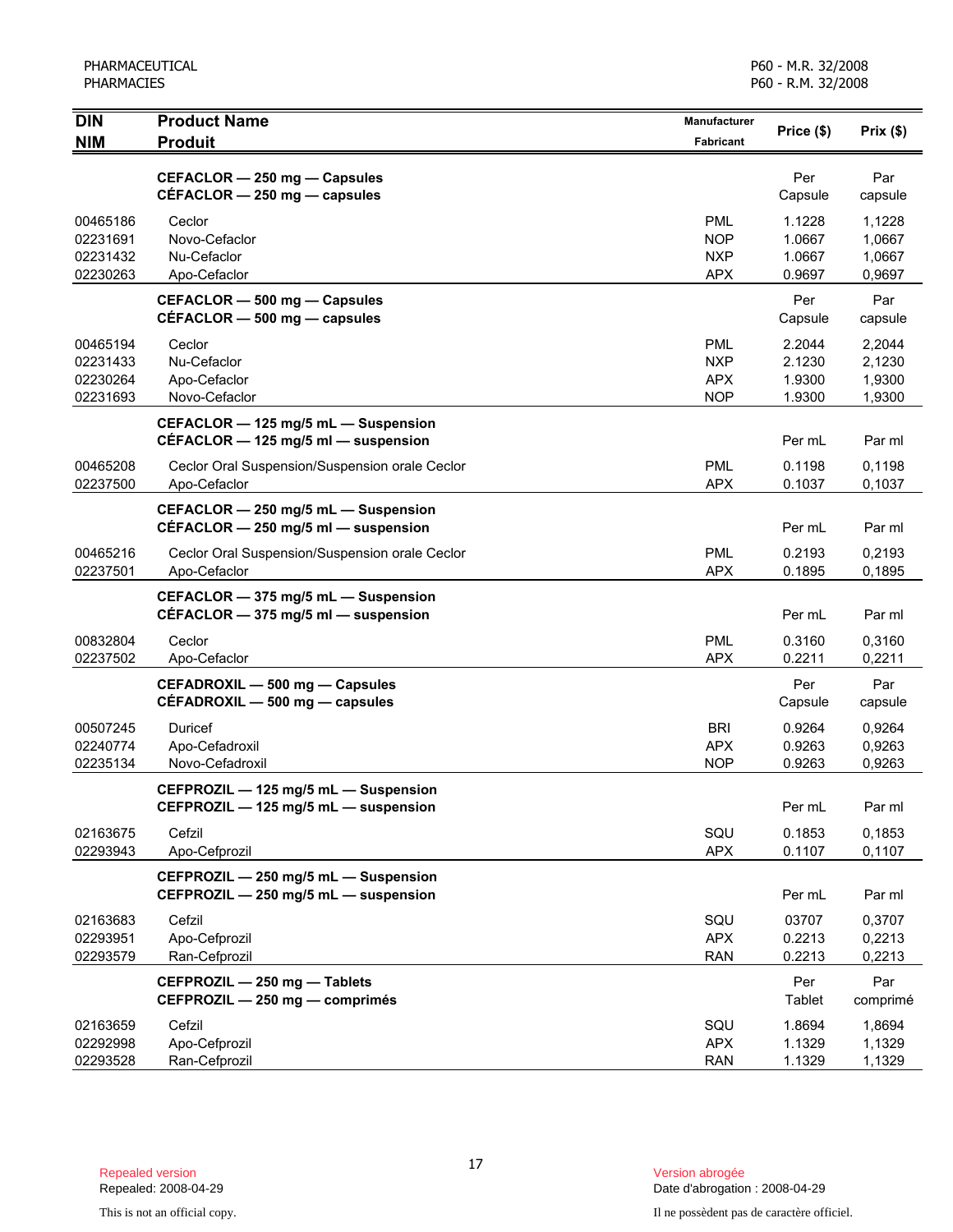| <b>DIN</b><br><b>NIM</b>                     | <b>Product Name</b><br><b>Produit</b>                                          | <b>Manufacturer</b><br>Fabricant                     | Price (\$)                           | Prix(\$)                             |
|----------------------------------------------|--------------------------------------------------------------------------------|------------------------------------------------------|--------------------------------------|--------------------------------------|
|                                              | CEFACLOR - 250 mg - Capsules<br>$CEFACLOR - 250$ mg $-$ capsules               |                                                      | Per<br>Capsule                       | Par<br>capsule                       |
| 00465186<br>02231691<br>02231432<br>02230263 | Ceclor<br>Novo-Cefaclor<br>Nu-Cefaclor<br>Apo-Cefaclor                         | <b>PML</b><br><b>NOP</b><br><b>NXP</b><br><b>APX</b> | 1.1228<br>1.0667<br>1.0667<br>0.9697 | 1,1228<br>1,0667<br>1,0667<br>0,9697 |
|                                              | CEFACLOR - 500 mg - Capsules<br>$CÉFACLOR - 500$ mg $-$ capsules               |                                                      | Per<br>Capsule                       | Par<br>capsule                       |
| 00465194<br>02231433<br>02230264<br>02231693 | Ceclor<br>Nu-Cefaclor<br>Apo-Cefaclor<br>Novo-Cefaclor                         | <b>PML</b><br><b>NXP</b><br><b>APX</b><br><b>NOP</b> | 2.2044<br>2.1230<br>1.9300<br>1.9300 | 2,2044<br>2,1230<br>1,9300<br>1,9300 |
|                                              | CEFACLOR - 125 mg/5 mL - Suspension<br>CEFACLOR $-$ 125 mg/5 ml $-$ suspension |                                                      | Per mL                               | Par ml                               |
| 00465208<br>02237500                         | Ceclor Oral Suspension/Suspension orale Ceclor<br>Apo-Cefaclor                 | <b>PML</b><br><b>APX</b>                             | 0.1198<br>0.1037                     | 0,1198<br>0,1037                     |
|                                              | CEFACLOR - 250 mg/5 mL - Suspension<br>CÉFACLOR $-$ 250 mg/5 ml $-$ suspension |                                                      | Per mL                               | Par ml                               |
| 00465216<br>02237501                         | Ceclor Oral Suspension/Suspension orale Ceclor<br>Apo-Cefaclor                 | <b>PML</b><br><b>APX</b>                             | 0.2193<br>0.1895                     | 0,2193<br>0,1895                     |
|                                              | CEFACLOR - 375 mg/5 mL - Suspension<br>CÉFACLOR - 375 mg/5 ml - suspension     |                                                      | Per mL                               | Par ml                               |
| 00832804<br>02237502                         | Ceclor<br>Apo-Cefaclor                                                         | <b>PML</b><br><b>APX</b>                             | 0.3160<br>0.2211                     | 0,3160<br>0,2211                     |
|                                              | CEFADROXIL - 500 mg - Capsules<br>CEFADROXIL - 500 mg - capsules               |                                                      | Per<br>Capsule                       | Par<br>capsule                       |
| 00507245<br>02240774<br>02235134             | Duricef<br>Apo-Cefadroxil<br>Novo-Cefadroxil                                   | <b>BRI</b><br><b>APX</b><br><b>NOP</b>               | 0.9264<br>0.9263<br>0.9263           | 0,9264<br>0,9263<br>0,9263           |
|                                              | CEFPROZIL - 125 mg/5 mL - Suspension<br>CEFPROZIL - 125 mg/5 mL - suspension   |                                                      | Per mL                               | Par ml                               |
| 02163675<br>02293943                         | Cefzil<br>Apo-Cefprozil                                                        | SQU<br><b>APX</b>                                    | 0.1853<br>0.1107                     | 0,1853<br>0,1107                     |
|                                              | CEFPROZIL - 250 mg/5 mL - Suspension<br>CEFPROZIL - 250 mg/5 mL - suspension   |                                                      | Per mL                               | Par ml                               |
| 02163683<br>02293951<br>02293579             | Cefzil<br>Apo-Cefprozil<br>Ran-Cefprozil                                       | SQU<br><b>APX</b><br><b>RAN</b>                      | 03707<br>0.2213<br>0.2213            | 0,3707<br>0,2213<br>0,2213           |
|                                              | CEFPROZIL - 250 mg - Tablets<br>CEFPROZIL - 250 mg - comprimés                 |                                                      | Per<br>Tablet                        | Par<br>comprimé                      |
| 02163659<br>02292998<br>02293528             | Cefzil<br>Apo-Cefprozil<br>Ran-Cefprozil                                       | SQU<br><b>APX</b><br><b>RAN</b>                      | 1.8694<br>1.1329<br>1.1329           | 1,8694<br>1,1329<br>1,1329           |

Repealed: 2008-04-29 Date d'abrogation : 2008-04-29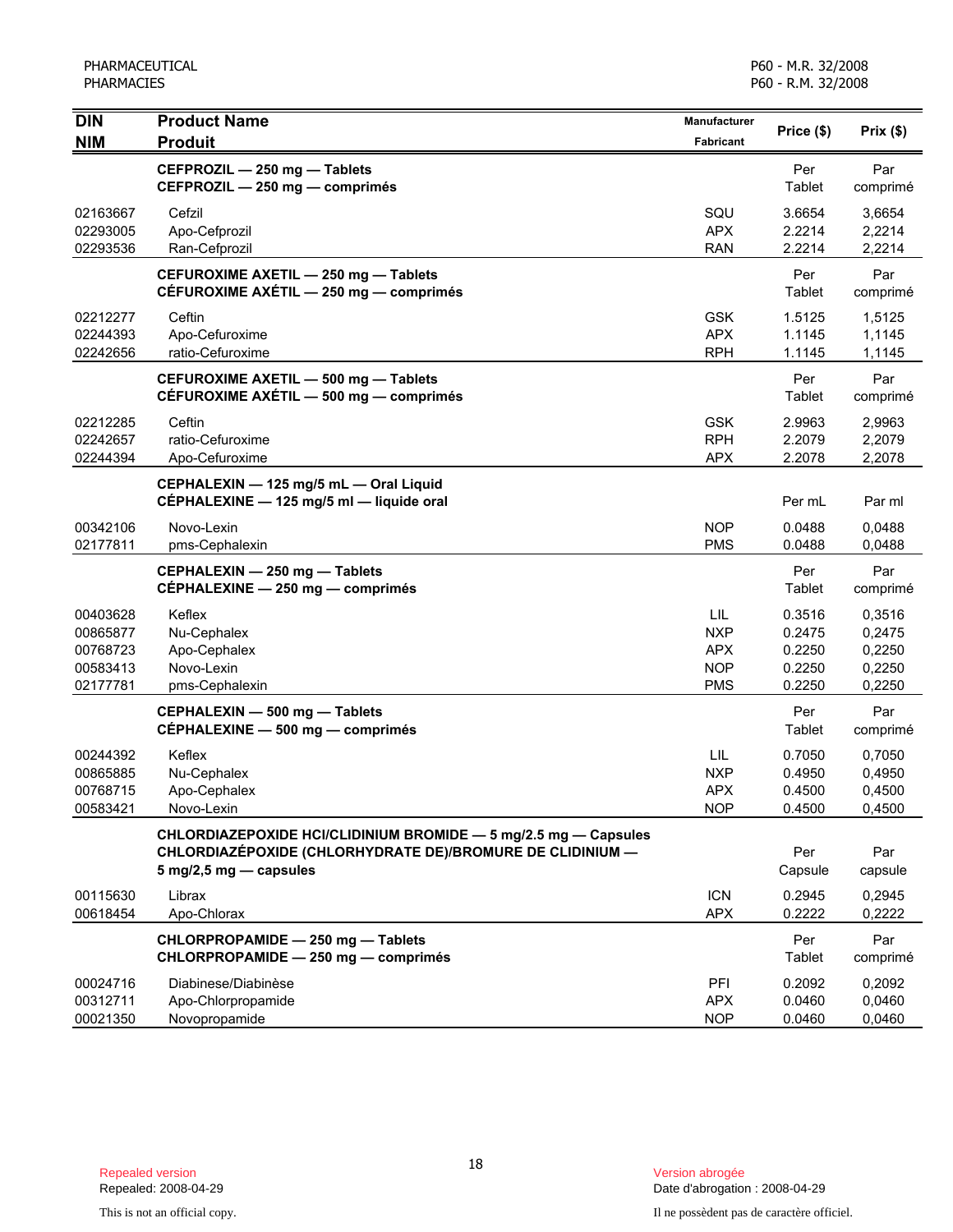| <b>DIN</b>                       | <b>Product Name</b>                                                                                                          | Manufacturer                           | Price (\$)                 | Prix(\$)                   |
|----------------------------------|------------------------------------------------------------------------------------------------------------------------------|----------------------------------------|----------------------------|----------------------------|
| <b>NIM</b>                       | <b>Produit</b>                                                                                                               | Fabricant                              |                            |                            |
|                                  | CEFPROZIL - 250 mg - Tablets<br>CEFPROZIL - 250 mg - comprimés                                                               |                                        | Per<br>Tablet              | Par<br>comprimé            |
| 02163667<br>02293005             | Cefzil<br>Apo-Cefprozil                                                                                                      | SQU<br><b>APX</b>                      | 3.6654<br>2.2214           | 3,6654<br>2,2214           |
| 02293536                         | Ran-Cefprozil                                                                                                                | <b>RAN</b>                             | 2.2214                     | 2,2214                     |
|                                  | CEFUROXIME AXETIL - 250 mg - Tablets<br>CÉFUROXIME AXÉTIL - 250 mg - comprimés                                               |                                        | Per<br>Tablet              | Par<br>comprimé            |
| 02212277<br>02244393<br>02242656 | Ceftin<br>Apo-Cefuroxime<br>ratio-Cefuroxime                                                                                 | <b>GSK</b><br><b>APX</b><br><b>RPH</b> | 1.5125<br>1.1145<br>1.1145 | 1,5125<br>1,1145<br>1,1145 |
|                                  | CEFUROXIME AXETIL - 500 mg - Tablets<br>CÉFUROXIME AXÉTIL - 500 mg - comprimés                                               |                                        | Per<br>Tablet              | Par<br>comprimé            |
| 02212285<br>02242657             | Ceftin<br>ratio-Cefuroxime                                                                                                   | <b>GSK</b><br><b>RPH</b>               | 2.9963<br>2.2079           | 2,9963<br>2,2079           |
| 02244394                         | Apo-Cefuroxime                                                                                                               | <b>APX</b>                             | 2.2078                     | 2,2078                     |
|                                  | CEPHALEXIN - 125 mg/5 mL - Oral Liquid<br>CÉPHALEXINE - 125 mg/5 ml - liquide oral                                           |                                        | Per mL                     | Par ml                     |
| 00342106<br>02177811             | Novo-Lexin<br>pms-Cephalexin                                                                                                 | <b>NOP</b><br><b>PMS</b>               | 0.0488<br>0.0488           | 0,0488<br>0,0488           |
|                                  | CEPHALEXIN - 250 mg - Tablets<br>CÉPHALEXINE - 250 mg - comprimés                                                            |                                        | Per<br>Tablet              | Par<br>comprimé            |
| 00403628                         | Keflex                                                                                                                       | LIL                                    | 0.3516                     | 0,3516                     |
| 00865877                         | Nu-Cephalex                                                                                                                  | <b>NXP</b>                             | 0.2475                     | 0,2475                     |
| 00768723                         | Apo-Cephalex                                                                                                                 | <b>APX</b>                             | 0.2250                     | 0,2250                     |
| 00583413                         | Novo-Lexin                                                                                                                   | <b>NOP</b>                             | 0.2250                     | 0,2250                     |
| 02177781                         | pms-Cephalexin                                                                                                               | <b>PMS</b>                             | 0.2250                     | 0,2250                     |
|                                  | CEPHALEXIN - 500 mg - Tablets<br>CÉPHALEXINE - 500 mg - comprimés                                                            |                                        | Per<br>Tablet              | Par<br>comprimé            |
| 00244392                         | Keflex                                                                                                                       | LIL                                    | 0.7050                     | 0,7050                     |
| 00865885                         | Nu-Cephalex                                                                                                                  | <b>NXP</b>                             | 0.4950                     | 0,4950                     |
| 00768715                         | Apo-Cephalex                                                                                                                 | <b>APX</b>                             | 0.4500                     | 0,4500                     |
| 00583421                         | Novo-Lexin                                                                                                                   | NOP                                    | 0.4500                     | 0,4500                     |
|                                  | CHLORDIAZEPOXIDE HCI/CLIDINIUM BROMIDE - 5 mg/2.5 mg - Capsules<br>CHLORDIAZÉPOXIDE (CHLORHYDRATE DE)/BROMURE DE CLIDINIUM - |                                        | Per                        | Par                        |
|                                  | 5 mg/2,5 mg - capsules                                                                                                       |                                        | Capsule                    | capsule                    |
| 00115630<br>00618454             | Librax<br>Apo-Chlorax                                                                                                        | <b>ICN</b><br><b>APX</b>               | 0.2945<br>0.2222           | 0,2945<br>0,2222           |
|                                  | CHLORPROPAMIDE - 250 mg - Tablets<br>CHLORPROPAMIDE - 250 mg - comprimés                                                     |                                        | Per<br>Tablet              | Par<br>comprimé            |
| 00024716                         | Diabinese/Diabinèse                                                                                                          | PFI                                    | 0.2092                     | 0,2092                     |
| 00312711                         | Apo-Chlorpropamide                                                                                                           | <b>APX</b>                             | 0.0460                     | 0,0460                     |
| 00021350                         | Novopropamide                                                                                                                | <b>NOP</b>                             | 0.0460                     | 0,0460                     |

Date d'abrogation : 2008-04-29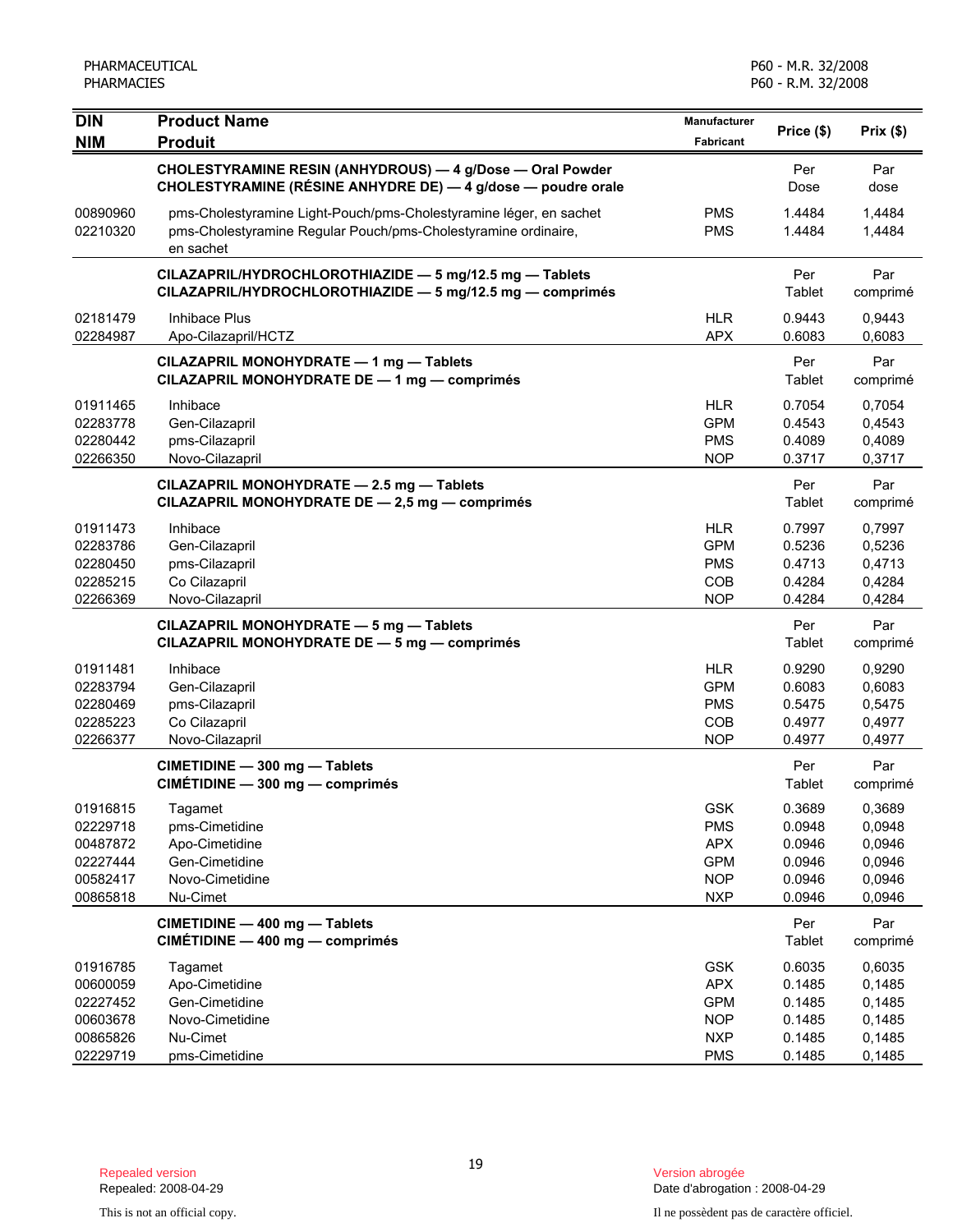| <b>DIN</b>                                                           | <b>Product Name</b>                                                                                                                               | <b>Manufacturer</b>                                                              | Price (\$)                                               | Prix(\$)                                                 |
|----------------------------------------------------------------------|---------------------------------------------------------------------------------------------------------------------------------------------------|----------------------------------------------------------------------------------|----------------------------------------------------------|----------------------------------------------------------|
| <b>NIM</b>                                                           | <b>Produit</b>                                                                                                                                    | Fabricant                                                                        |                                                          |                                                          |
|                                                                      | CHOLESTYRAMINE RESIN (ANHYDROUS) - 4 g/Dose - Oral Powder<br>CHOLESTYRAMINE (RÉSINE ANHYDRE DE) — 4 g/dose — poudre orale                         |                                                                                  | Per<br>Dose                                              | Par<br>dose                                              |
| 00890960<br>02210320                                                 | pms-Cholestyramine Light-Pouch/pms-Cholestyramine léger, en sachet<br>pms-Cholestyramine Regular Pouch/pms-Cholestyramine ordinaire,<br>en sachet | <b>PMS</b><br><b>PMS</b>                                                         | 1.4484<br>1.4484                                         | 1,4484<br>1,4484                                         |
|                                                                      | CILAZAPRIL/HYDROCHLOROTHIAZIDE - 5 mg/12.5 mg - Tablets<br>CILAZAPRIL/HYDROCHLOROTHIAZIDE - 5 mg/12.5 mg - comprimés                              |                                                                                  | Per<br>Tablet                                            | Par<br>comprimé                                          |
| 02181479<br>02284987                                                 | Inhibace Plus<br>Apo-Cilazapril/HCTZ                                                                                                              | <b>HLR</b><br><b>APX</b>                                                         | 0.9443<br>0.6083                                         | 0,9443<br>0,6083                                         |
|                                                                      | CILAZAPRIL MONOHYDRATE - 1 mg - Tablets<br>CILAZAPRIL MONOHYDRATE DE - 1 mg - comprimés                                                           |                                                                                  | Per<br>Tablet                                            | Par<br>comprimé                                          |
| 01911465<br>02283778<br>02280442<br>02266350                         | Inhibace<br>Gen-Cilazapril<br>pms-Cilazapril<br>Novo-Cilazapril                                                                                   | <b>HLR</b><br><b>GPM</b><br><b>PMS</b><br><b>NOP</b>                             | 0.7054<br>0.4543<br>0.4089<br>0.3717                     | 0,7054<br>0,4543<br>0,4089<br>0,3717                     |
|                                                                      | CILAZAPRIL MONOHYDRATE - 2.5 mg - Tablets<br>CILAZAPRIL MONOHYDRATE DE - 2,5 mg - comprimés                                                       |                                                                                  | Per<br>Tablet                                            | Par<br>comprimé                                          |
| 01911473<br>02283786<br>02280450<br>02285215<br>02266369             | Inhibace<br>Gen-Cilazapril<br>pms-Cilazapril<br>Co Cilazapril<br>Novo-Cilazapril                                                                  | <b>HLR</b><br><b>GPM</b><br><b>PMS</b><br>COB<br><b>NOP</b>                      | 0.7997<br>0.5236<br>0.4713<br>0.4284<br>0.4284           | 0,7997<br>0,5236<br>0,4713<br>0,4284<br>0,4284           |
|                                                                      | CILAZAPRIL MONOHYDRATE - 5 mg - Tablets<br>CILAZAPRIL MONOHYDRATE DE - 5 mg - comprimés                                                           |                                                                                  | Per<br>Tablet                                            | Par<br>comprimé                                          |
| 01911481<br>02283794<br>02280469<br>02285223<br>02266377             | Inhibace<br>Gen-Cilazapril<br>pms-Cilazapril<br>Co Cilazapril<br>Novo-Cilazapril                                                                  | <b>HLR</b><br><b>GPM</b><br><b>PMS</b><br>COB<br><b>NOP</b>                      | 0.9290<br>0.6083<br>0.5475<br>0.4977<br>0.4977           | 0,9290<br>0,6083<br>0,5475<br>0,4977<br>0,4977           |
|                                                                      | CIMETIDINE - 300 mg - Tablets<br>CIMÉTIDINE - 300 mg - comprimés                                                                                  |                                                                                  | Per<br>Tablet                                            | Par<br>comprimé                                          |
| 01916815<br>02229718<br>00487872<br>02227444<br>00582417<br>00865818 | Tagamet<br>pms-Cimetidine<br>Apo-Cimetidine<br>Gen-Cimetidine<br>Novo-Cimetidine<br>Nu-Cimet                                                      | <b>GSK</b><br><b>PMS</b><br><b>APX</b><br><b>GPM</b><br><b>NOP</b><br><b>NXP</b> | 0.3689<br>0.0948<br>0.0946<br>0.0946<br>0.0946<br>0.0946 | 0,3689<br>0,0948<br>0,0946<br>0,0946<br>0,0946<br>0,0946 |
|                                                                      | CIMETIDINE - 400 mg - Tablets<br>CIMÉTIDINE - 400 mg - comprimés                                                                                  |                                                                                  | Per<br>Tablet                                            | Par<br>comprimé                                          |
| 01916785<br>00600059<br>02227452<br>00603678<br>00865826<br>02229719 | Tagamet<br>Apo-Cimetidine<br>Gen-Cimetidine<br>Novo-Cimetidine<br>Nu-Cimet<br>pms-Cimetidine                                                      | <b>GSK</b><br><b>APX</b><br><b>GPM</b><br><b>NOP</b><br><b>NXP</b><br><b>PMS</b> | 0.6035<br>0.1485<br>0.1485<br>0.1485<br>0.1485<br>0.1485 | 0,6035<br>0,1485<br>0,1485<br>0,1485<br>0,1485<br>0,1485 |

Date d'abrogation : 2008-04-29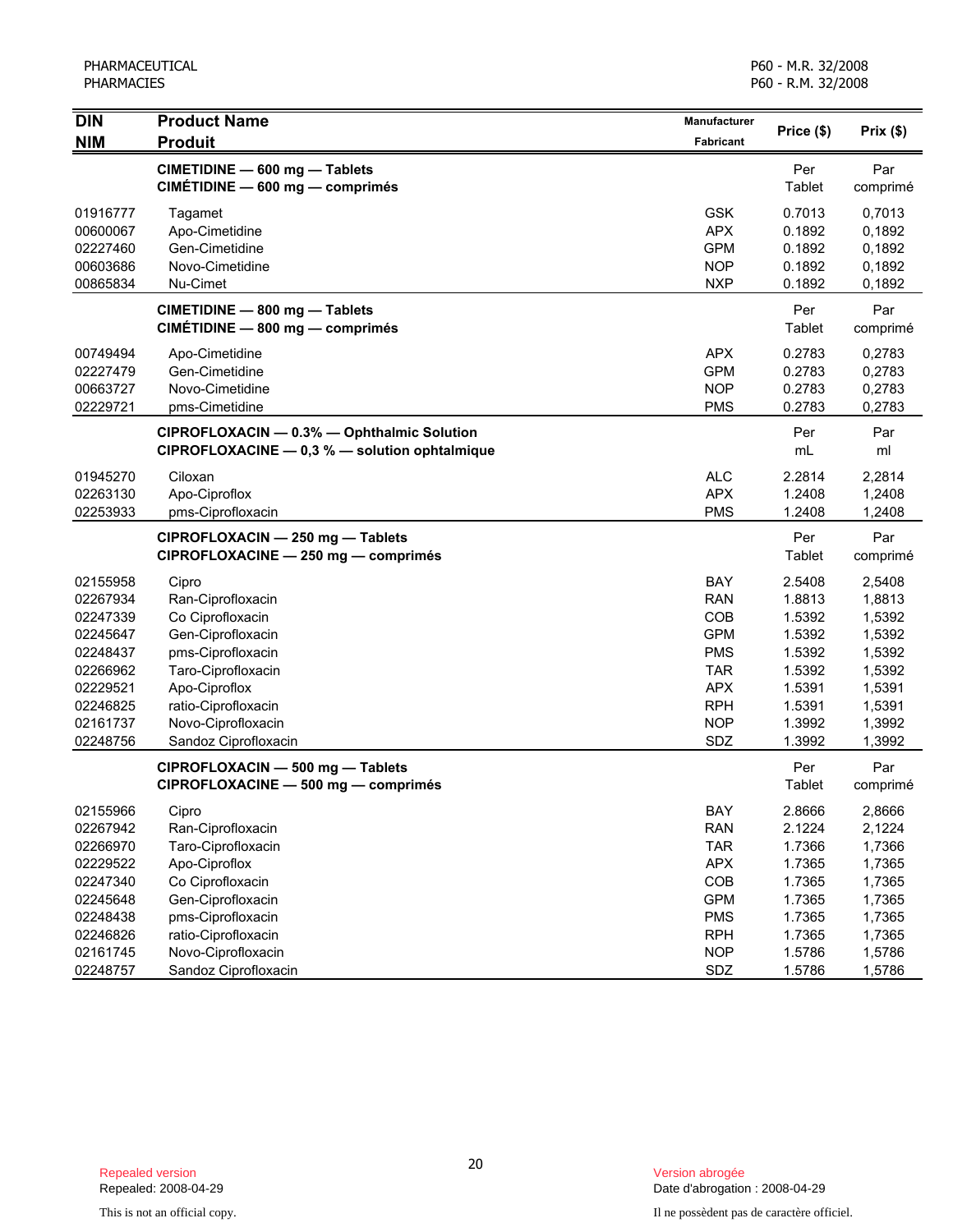| <b>DIN</b> | <b>Product Name</b>                           | <b>Manufacturer</b> |               |           |
|------------|-----------------------------------------------|---------------------|---------------|-----------|
| <b>NIM</b> | <b>Produit</b>                                | Fabricant           | Price (\$)    | Prix (\$) |
|            | CIMETIDINE - 600 mg - Tablets                 |                     | Per           | Par       |
|            | CIMÉTIDINE - 600 mg - comprimés               |                     | Tablet        | comprimé  |
| 01916777   | Tagamet                                       | <b>GSK</b>          | 0.7013        | 0,7013    |
| 00600067   | Apo-Cimetidine                                | <b>APX</b>          | 0.1892        | 0,1892    |
| 02227460   | Gen-Cimetidine                                | <b>GPM</b>          | 0.1892        | 0,1892    |
| 00603686   | Novo-Cimetidine                               | <b>NOP</b>          | 0.1892        | 0,1892    |
| 00865834   | Nu-Cimet                                      | <b>NXP</b>          | 0.1892        | 0,1892    |
|            | CIMETIDINE - 800 mg - Tablets                 |                     | Per           | Par       |
|            | CIMÉTIDINE - 800 mg - comprimés               |                     | Tablet        | comprimé  |
| 00749494   | Apo-Cimetidine                                | <b>APX</b>          | 0.2783        | 0,2783    |
| 02227479   | Gen-Cimetidine                                | <b>GPM</b>          | 0.2783        | 0,2783    |
| 00663727   | Novo-Cimetidine                               | <b>NOP</b>          | 0.2783        | 0,2783    |
| 02229721   | pms-Cimetidine                                | <b>PMS</b>          | 0.2783        | 0,2783    |
|            | CIPROFLOXACIN - 0.3% - Ophthalmic Solution    |                     | Per           | Par       |
|            | CIPROFLOXACINE - 0,3 % - solution ophtalmique |                     | mL            | ml        |
| 01945270   | Ciloxan                                       | <b>ALC</b>          | 2.2814        | 2,2814    |
| 02263130   | Apo-Ciproflox                                 | <b>APX</b>          | 1.2408        | 1,2408    |
| 02253933   | pms-Ciprofloxacin                             | <b>PMS</b>          | 1.2408        | 1,2408    |
|            | CIPROFLOXACIN - 250 mg - Tablets              |                     | Per           | Par       |
|            | CIPROFLOXACINE - 250 mg - comprimés           |                     | <b>Tablet</b> | comprimé  |
| 02155958   | Cipro                                         | BAY                 | 2.5408        | 2,5408    |
| 02267934   | Ran-Ciprofloxacin                             | <b>RAN</b>          | 1.8813        | 1,8813    |
| 02247339   | Co Ciprofloxacin                              | COB                 | 1.5392        | 1,5392    |
| 02245647   | Gen-Ciprofloxacin                             | <b>GPM</b>          | 1.5392        | 1,5392    |
| 02248437   | pms-Ciprofloxacin                             | <b>PMS</b>          | 1.5392        | 1,5392    |
| 02266962   | Taro-Ciprofloxacin                            | <b>TAR</b>          | 1.5392        | 1,5392    |
| 02229521   | Apo-Ciproflox                                 | <b>APX</b>          | 1.5391        | 1,5391    |
| 02246825   | ratio-Ciprofloxacin                           | <b>RPH</b>          | 1.5391        | 1,5391    |
| 02161737   | Novo-Ciprofloxacin                            | <b>NOP</b>          | 1.3992        | 1,3992    |
| 02248756   | Sandoz Ciprofloxacin                          | SDZ                 | 1.3992        | 1,3992    |
|            | CIPROFLOXACIN - 500 mg - Tablets              |                     | Per           | Par       |
|            | CIPROFLOXACINE - 500 mg - comprimés           |                     | Tablet        | comprimé  |
| 02155966   | Cipro                                         | <b>BAY</b>          | 2.8666        | 2,8666    |
| 02267942   | Ran-Ciprofloxacin                             | <b>RAN</b>          | 2.1224        | 2,1224    |
| 02266970   | Taro-Ciprofloxacin                            | <b>TAR</b>          | 1.7366        | 1,7366    |
| 02229522   | Apo-Ciproflox                                 | <b>APX</b>          | 1.7365        | 1,7365    |
| 02247340   | Co Ciprofloxacin                              | COB                 | 1.7365        | 1,7365    |
| 02245648   | Gen-Ciprofloxacin                             | <b>GPM</b>          | 1.7365        | 1,7365    |
| 02248438   | pms-Ciprofloxacin                             | <b>PMS</b>          | 1.7365        | 1,7365    |
| 02246826   | ratio-Ciprofloxacin                           | <b>RPH</b>          | 1.7365        | 1,7365    |
| 02161745   | Novo-Ciprofloxacin                            | <b>NOP</b>          | 1.5786        | 1,5786    |
| 02248757   | Sandoz Ciprofloxacin                          | SDZ                 | 1.5786        | 1,5786    |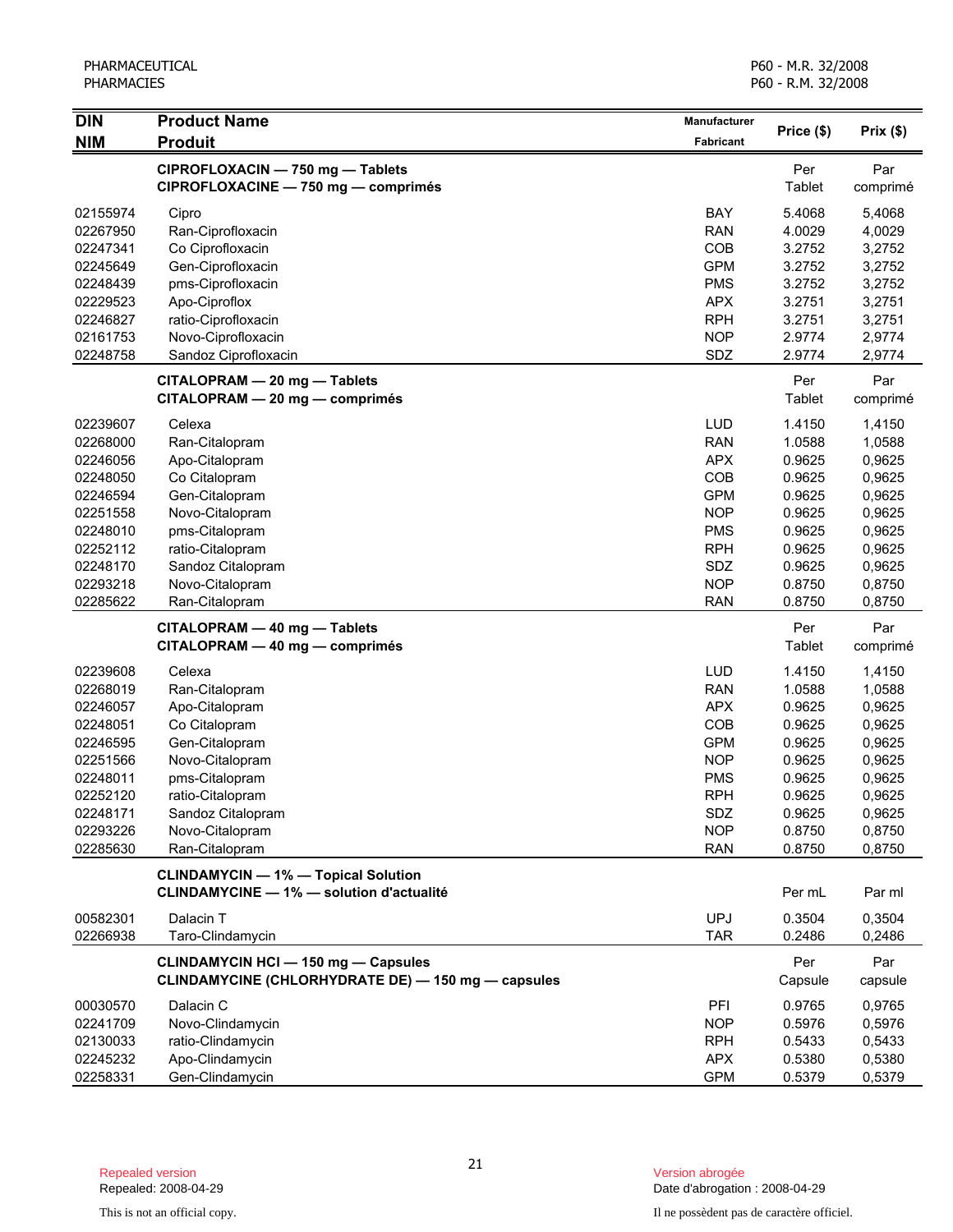| <b>DIN</b> | <b>Product Name</b>                                                                              | Manufacturer |                | Prix(\$)        |
|------------|--------------------------------------------------------------------------------------------------|--------------|----------------|-----------------|
| <b>NIM</b> | <b>Produit</b>                                                                                   | Fabricant    | Price (\$)     |                 |
|            | CIPROFLOXACIN - 750 mg - Tablets<br>CIPROFLOXACINE - 750 mg - comprimés                          |              | Per<br>Tablet  | Par<br>comprimé |
| 02155974   | Cipro                                                                                            | BAY          | 5.4068         | 5,4068          |
| 02267950   | Ran-Ciprofloxacin                                                                                | <b>RAN</b>   | 4.0029         | 4,0029          |
| 02247341   | Co Ciprofloxacin                                                                                 | COB          | 3.2752         | 3,2752          |
| 02245649   | Gen-Ciprofloxacin                                                                                | <b>GPM</b>   | 3.2752         | 3,2752          |
| 02248439   | pms-Ciprofloxacin                                                                                | <b>PMS</b>   | 3.2752         | 3,2752          |
| 02229523   | Apo-Ciproflox                                                                                    | <b>APX</b>   | 3.2751         | 3,2751          |
| 02246827   | ratio-Ciprofloxacin                                                                              | <b>RPH</b>   | 3.2751         | 3,2751          |
| 02161753   | Novo-Ciprofloxacin                                                                               | <b>NOP</b>   | 2.9774         | 2,9774          |
| 02248758   | Sandoz Ciprofloxacin                                                                             | SDZ          | 2.9774         | 2,9774          |
|            | CITALOPRAM - 20 mg - Tablets<br>CITALOPRAM - 20 mg - comprimés                                   |              | Per<br>Tablet  | Par<br>comprimé |
| 02239607   | Celexa                                                                                           | <b>LUD</b>   | 1.4150         | 1,4150          |
| 02268000   | Ran-Citalopram                                                                                   | <b>RAN</b>   | 1.0588         | 1,0588          |
| 02246056   | Apo-Citalopram                                                                                   | <b>APX</b>   | 0.9625         | 0,9625          |
| 02248050   | Co Citalopram                                                                                    | COB          | 0.9625         | 0,9625          |
| 02246594   | Gen-Citalopram                                                                                   | <b>GPM</b>   | 0.9625         | 0,9625          |
| 02251558   | Novo-Citalopram                                                                                  | <b>NOP</b>   | 0.9625         | 0,9625          |
| 02248010   | pms-Citalopram                                                                                   | <b>PMS</b>   | 0.9625         | 0,9625          |
| 02252112   | ratio-Citalopram                                                                                 | <b>RPH</b>   | 0.9625         | 0,9625          |
| 02248170   | Sandoz Citalopram                                                                                | SDZ          | 0.9625         | 0,9625          |
| 02293218   | Novo-Citalopram                                                                                  | <b>NOP</b>   | 0.8750         | 0,8750          |
| 02285622   | Ran-Citalopram                                                                                   | <b>RAN</b>   | 0.8750         | 0,8750          |
|            |                                                                                                  |              |                |                 |
|            | CITALOPRAM - 40 mg - Tablets                                                                     |              | Per            | Par             |
|            | CITALOPRAM - 40 mg - comprimés                                                                   |              | Tablet         | comprimé        |
| 02239608   | Celexa                                                                                           | LUD          | 1.4150         | 1,4150          |
| 02268019   | Ran-Citalopram                                                                                   | <b>RAN</b>   | 1.0588         | 1,0588          |
| 02246057   | Apo-Citalopram                                                                                   | <b>APX</b>   | 0.9625         | 0,9625          |
| 02248051   | Co Citalopram                                                                                    | COB          | 0.9625         | 0,9625          |
| 02246595   | Gen-Citalopram                                                                                   | <b>GPM</b>   | 0.9625         | 0,9625          |
| 02251566   | Novo-Citalopram                                                                                  | <b>NOP</b>   | 0.9625         | 0,9625          |
| 02248011   | pms-Citalopram                                                                                   | <b>PMS</b>   | 0.9625         | 0,9625          |
| 02252120   | ratio-Citalopram                                                                                 | <b>RPH</b>   | 0.9625         | 0,9625          |
| 02248171   | Sandoz Citalopram                                                                                | SDZ          | 0.9625         | 0,9625          |
| 02293226   | Novo-Citalopram                                                                                  | <b>NOP</b>   | 0.8750         | 0,8750          |
| 02285630   | Ran-Citalopram                                                                                   | <b>RAN</b>   | 0.8750         | 0,8750          |
|            | <b>CLINDAMYCIN - 1% - Topical Solution</b><br><b>CLINDAMYCINE - 1% - solution d'actualité</b>    |              | Per mL         | Par ml          |
|            |                                                                                                  |              |                |                 |
| 00582301   | Dalacin T                                                                                        | <b>UPJ</b>   | 0.3504         | 0,3504          |
| 02266938   | Taro-Clindamycin                                                                                 | <b>TAR</b>   | 0.2486         | 0,2486          |
|            | <b>CLINDAMYCIN HCI - 150 mg - Capsules</b><br>CLINDAMYCINE (CHLORHYDRATE DE) - 150 mg - capsules |              | Per<br>Capsule | Par<br>capsule  |
| 00030570   | Dalacin C                                                                                        | PFI          | 0.9765         | 0,9765          |
| 02241709   | Novo-Clindamycin                                                                                 | <b>NOP</b>   | 0.5976         | 0,5976          |
| 02130033   | ratio-Clindamycin                                                                                | <b>RPH</b>   | 0.5433         | 0,5433          |
| 02245232   | Apo-Clindamycin                                                                                  | <b>APX</b>   | 0.5380         | 0,5380          |
| 02258331   | Gen-Clindamycin                                                                                  | <b>GPM</b>   | 0.5379         | 0,5379          |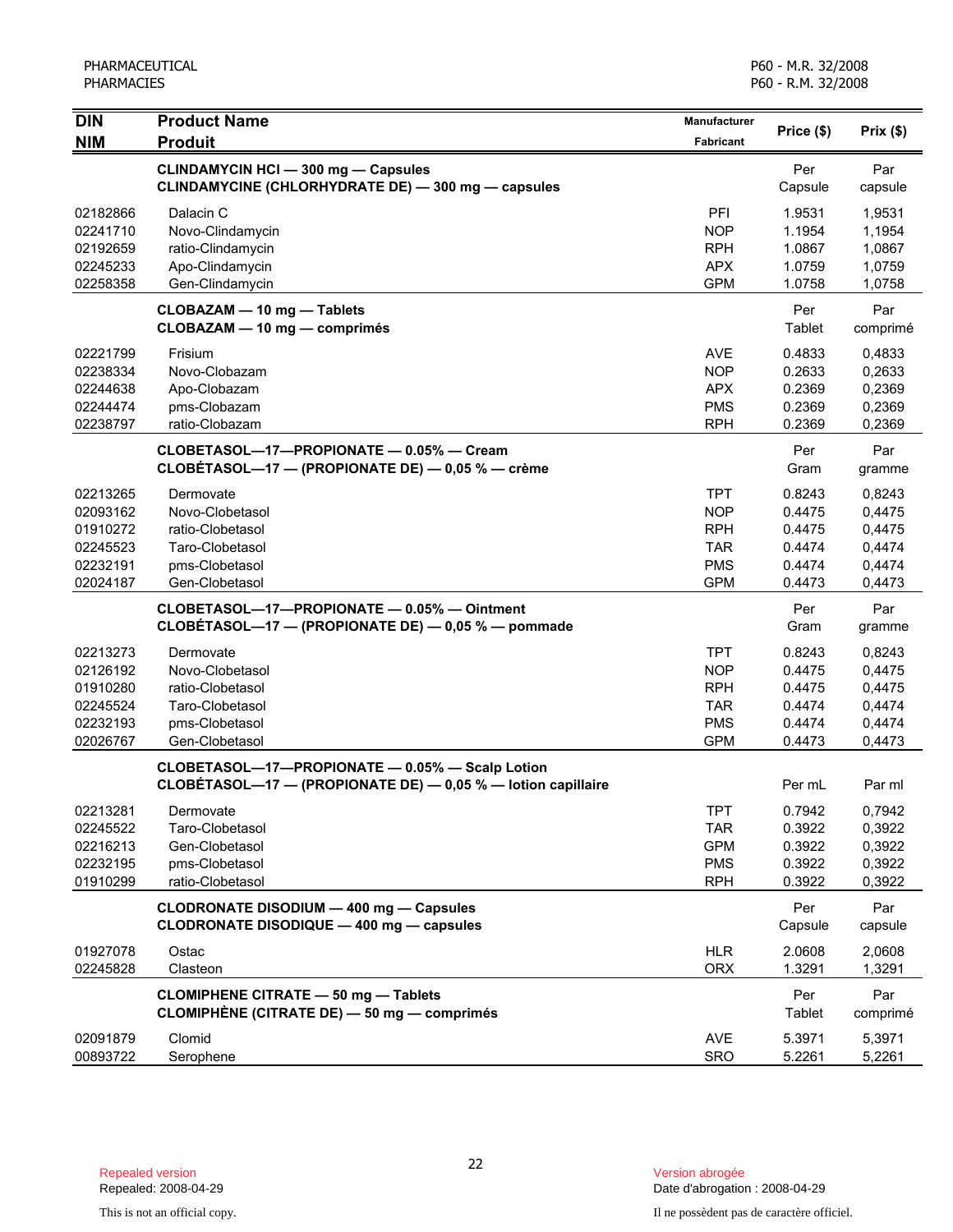| <b>DIN</b> | <b>Product Name</b>                                          | <b>Manufacturer</b> |            | Prix(\$) |
|------------|--------------------------------------------------------------|---------------------|------------|----------|
| <b>NIM</b> | <b>Produit</b>                                               | Fabricant           | Price (\$) |          |
|            | <b>CLINDAMYCIN HCI - 300 mg - Capsules</b>                   |                     | Per        | Par      |
|            | CLINDAMYCINE (CHLORHYDRATE DE) - 300 mg - capsules           |                     | Capsule    | capsule  |
| 02182866   | Dalacin C                                                    | PFI                 | 1.9531     | 1,9531   |
| 02241710   | Novo-Clindamycin                                             | <b>NOP</b>          | 1.1954     | 1,1954   |
| 02192659   | ratio-Clindamycin                                            | <b>RPH</b>          | 1.0867     | 1,0867   |
| 02245233   | Apo-Clindamycin                                              | <b>APX</b>          | 1.0759     | 1,0759   |
| 02258358   | Gen-Clindamycin                                              | <b>GPM</b>          | 1.0758     | 1,0758   |
|            | CLOBAZAM - 10 mg - Tablets                                   |                     | Per        | Par      |
|            | CLOBAZAM - 10 mg - comprimés                                 |                     | Tablet     | comprimé |
| 02221799   | Frisium                                                      | <b>AVE</b>          | 0.4833     | 0,4833   |
| 02238334   | Novo-Clobazam                                                | <b>NOP</b>          | 0.2633     | 0,2633   |
| 02244638   | Apo-Clobazam                                                 | <b>APX</b>          | 0.2369     | 0,2369   |
| 02244474   | pms-Clobazam                                                 | <b>PMS</b>          | 0.2369     | 0,2369   |
| 02238797   | ratio-Clobazam                                               | <b>RPH</b>          | 0.2369     | 0,2369   |
|            | CLOBETASOL-17-PROPIONATE - 0.05% - Cream                     |                     | Per        | Par      |
|            | CLOBÉTASOL-17 - (PROPIONATE DE) - 0,05 % - crème             |                     | Gram       | gramme   |
| 02213265   | Dermovate                                                    | <b>TPT</b>          | 0.8243     | 0,8243   |
| 02093162   | Novo-Clobetasol                                              | <b>NOP</b>          | 0.4475     | 0,4475   |
| 01910272   | ratio-Clobetasol                                             | <b>RPH</b>          | 0.4475     | 0,4475   |
| 02245523   | Taro-Clobetasol                                              | <b>TAR</b>          | 0.4474     | 0,4474   |
| 02232191   | pms-Clobetasol                                               | <b>PMS</b>          | 0.4474     | 0,4474   |
| 02024187   | Gen-Clobetasol                                               | <b>GPM</b>          | 0.4473     | 0,4473   |
|            | CLOBETASOL-17-PROPIONATE - 0.05% - Ointment                  |                     | Per        | Par      |
|            | CLOBÉTASOL-17 - (PROPIONATE DE) - 0,05 % - pommade           |                     | Gram       | gramme   |
| 02213273   | Dermovate                                                    | <b>TPT</b>          | 0.8243     | 0,8243   |
| 02126192   | Novo-Clobetasol                                              | <b>NOP</b>          | 0.4475     | 0,4475   |
| 01910280   | ratio-Clobetasol                                             | <b>RPH</b>          | 0.4475     | 0,4475   |
| 02245524   | Taro-Clobetasol                                              | <b>TAR</b>          | 0.4474     | 0,4474   |
| 02232193   | pms-Clobetasol                                               | <b>PMS</b>          | 0.4474     | 0,4474   |
| 02026767   | Gen-Clobetasol                                               | <b>GPM</b>          | 0.4473     | 0,4473   |
|            | CLOBETASOL-17-PROPIONATE - 0.05% - Scalp Lotion              |                     |            |          |
|            | CLOBÉTASOL-17 - (PROPIONATE DE) - 0,05 % - lotion capillaire |                     | Per mL     | Par ml   |
| 02213281   | Dermovate                                                    | IPI                 | 0.7942     | 0,7942   |
| 02245522   | Taro-Clobetasol                                              | <b>TAR</b>          | 0.3922     | 0,3922   |
| 02216213   | Gen-Clobetasol                                               | <b>GPM</b>          | 0.3922     | 0,3922   |
| 02232195   | pms-Clobetasol                                               | <b>PMS</b>          | 0.3922     | 0,3922   |
| 01910299   | ratio-Clobetasol                                             | <b>RPH</b>          | 0.3922     | 0,3922   |
|            | CLODRONATE DISODIUM - 400 mg - Capsules                      |                     | Per        | Par      |
|            | CLODRONATE DISODIQUE - 400 mg - capsules                     |                     | Capsule    | capsule  |
| 01927078   | Ostac                                                        | <b>HLR</b>          | 2.0608     | 2,0608   |
| 02245828   | Clasteon                                                     | <b>ORX</b>          | 1.3291     | 1,3291   |
|            | <b>CLOMIPHENE CITRATE - 50 mg - Tablets</b>                  |                     | Per        | Par      |
|            | CLOMIPHÈNE (CITRATE DE) - 50 mg - comprimés                  |                     | Tablet     | comprimé |
| 02091879   | Clomid                                                       | <b>AVE</b>          | 5.3971     | 5,3971   |
| 00893722   | Serophene                                                    | SRO                 | 5.2261     | 5,2261   |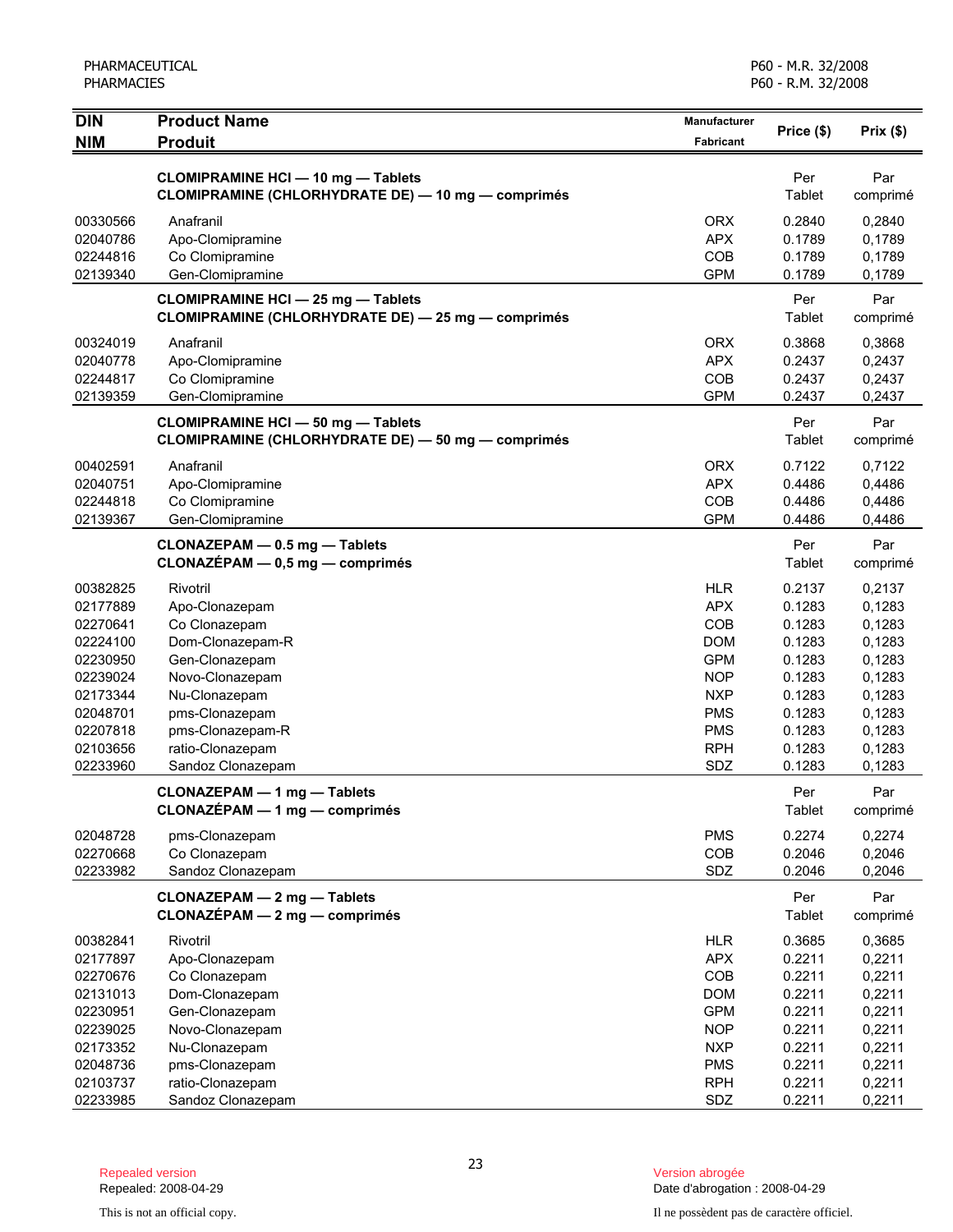| <b>DIN</b>           | <b>Product Name</b>                                                                             | Manufacturer      | Price (\$)       | $Prix($ \$)      |
|----------------------|-------------------------------------------------------------------------------------------------|-------------------|------------------|------------------|
| <b>NIM</b>           | <b>Produit</b>                                                                                  | <b>Fabricant</b>  |                  |                  |
|                      | <b>CLOMIPRAMINE HCI - 10 mg - Tablets</b>                                                       |                   | Per              | Par              |
|                      | CLOMIPRAMINE (CHLORHYDRATE DE) - 10 mg - comprimés                                              |                   | Tablet           | comprimé         |
|                      |                                                                                                 |                   |                  |                  |
| 00330566             | Anafranil                                                                                       | <b>ORX</b>        | 0.2840           | 0,2840           |
| 02040786<br>02244816 | Apo-Clomipramine<br>Co Clomipramine                                                             | <b>APX</b><br>COB | 0.1789<br>0.1789 | 0,1789           |
| 02139340             | Gen-Clomipramine                                                                                | <b>GPM</b>        | 0.1789           | 0,1789<br>0,1789 |
|                      |                                                                                                 |                   |                  |                  |
|                      | <b>CLOMIPRAMINE HCI - 25 mg - Tablets</b><br>CLOMIPRAMINE (CHLORHYDRATE DE) - 25 mg - comprimés |                   | Per<br>Tablet    | Par<br>comprimé  |
| 00324019             | Anafranil                                                                                       | <b>ORX</b>        | 0.3868           | 0,3868           |
| 02040778             | Apo-Clomipramine                                                                                | <b>APX</b>        | 0.2437           | 0,2437           |
| 02244817             | Co Clomipramine                                                                                 | COB               | 0.2437           | 0,2437           |
| 02139359             | Gen-Clomipramine                                                                                | <b>GPM</b>        | 0.2437           | 0,2437           |
|                      | <b>CLOMIPRAMINE HCI - 50 mg - Tablets</b><br>CLOMIPRAMINE (CHLORHYDRATE DE) - 50 mg - comprimés |                   | Per<br>Tablet    | Par<br>comprimé  |
| 00402591             | Anafranil                                                                                       | <b>ORX</b>        | 0.7122           | 0,7122           |
| 02040751             | Apo-Clomipramine                                                                                | <b>APX</b>        | 0.4486           | 0,4486           |
| 02244818             | Co Clomipramine                                                                                 | COB               | 0.4486           | 0,4486           |
| 02139367             | Gen-Clomipramine                                                                                | <b>GPM</b>        | 0.4486           | 0,4486           |
|                      | CLONAZEPAM - 0.5 mg - Tablets<br>CLONAZÉPAM - 0,5 mg - comprimés                                |                   | Per<br>Tablet    | Par<br>comprimé  |
| 00382825             | Rivotril                                                                                        | <b>HLR</b>        | 0.2137           | 0,2137           |
| 02177889             | Apo-Clonazepam                                                                                  | <b>APX</b>        | 0.1283           | 0,1283           |
| 02270641             | Co Clonazepam                                                                                   | COB               | 0.1283           | 0,1283           |
| 02224100             | Dom-Clonazepam-R                                                                                | <b>DOM</b>        | 0.1283           | 0,1283           |
| 02230950             | Gen-Clonazepam                                                                                  | <b>GPM</b>        | 0.1283           | 0,1283           |
| 02239024             | Novo-Clonazepam                                                                                 | <b>NOP</b>        | 0.1283           | 0,1283           |
| 02173344             | Nu-Clonazepam                                                                                   | <b>NXP</b>        | 0.1283           | 0,1283           |
| 02048701             | pms-Clonazepam                                                                                  | <b>PMS</b>        | 0.1283           | 0,1283           |
| 02207818             | pms-Clonazepam-R                                                                                | <b>PMS</b>        | 0.1283           | 0,1283           |
| 02103656             | ratio-Clonazepam                                                                                | <b>RPH</b>        | 0.1283           | 0,1283           |
| 02233960             | Sandoz Clonazepam                                                                               | SDZ               | 0.1283           | 0,1283           |
|                      | <b>CLONAZEPAM - 1 mg - Tablets</b><br><b>CLONAZÉPAM - 1 mg - comprimés</b>                      |                   | Per<br>Tablet    | Par<br>comprimé  |
| 02048728             | pms-Clonazepam                                                                                  | <b>PMS</b>        | 0.2274           | 0,2274           |
| 02270668             | Co Clonazepam                                                                                   | COB               | 0.2046           | 0,2046           |
| 02233982             | Sandoz Clonazepam                                                                               | SDZ               | 0.2046           | 0,2046           |
|                      | CLONAZEPAM - 2 mg - Tablets<br>CLONAZÉPAM - 2 mg - comprimés                                    |                   | Per<br>Tablet    | Par<br>comprimé  |
| 00382841             | Rivotril                                                                                        | <b>HLR</b>        | 0.3685           | 0,3685           |
| 02177897             | Apo-Clonazepam                                                                                  | <b>APX</b>        | 0.2211           | 0,2211           |
| 02270676             | Co Clonazepam                                                                                   | COB               | 0.2211           | 0,2211           |
| 02131013             | Dom-Clonazepam                                                                                  | <b>DOM</b>        | 0.2211           | 0,2211           |
| 02230951             | Gen-Clonazepam                                                                                  | <b>GPM</b>        | 0.2211           | 0,2211           |
| 02239025             | Novo-Clonazepam                                                                                 | <b>NOP</b>        | 0.2211           | 0,2211           |
| 02173352             | Nu-Clonazepam                                                                                   | <b>NXP</b>        | 0.2211           | 0,2211           |
| 02048736             | pms-Clonazepam                                                                                  | <b>PMS</b>        | 0.2211           | 0,2211           |
| 02103737             | ratio-Clonazepam                                                                                | <b>RPH</b>        | 0.2211           | 0,2211           |
| 02233985             | Sandoz Clonazepam                                                                               | SDZ               | 0.2211           | 0,2211           |

Date d'abrogation : 2008-04-29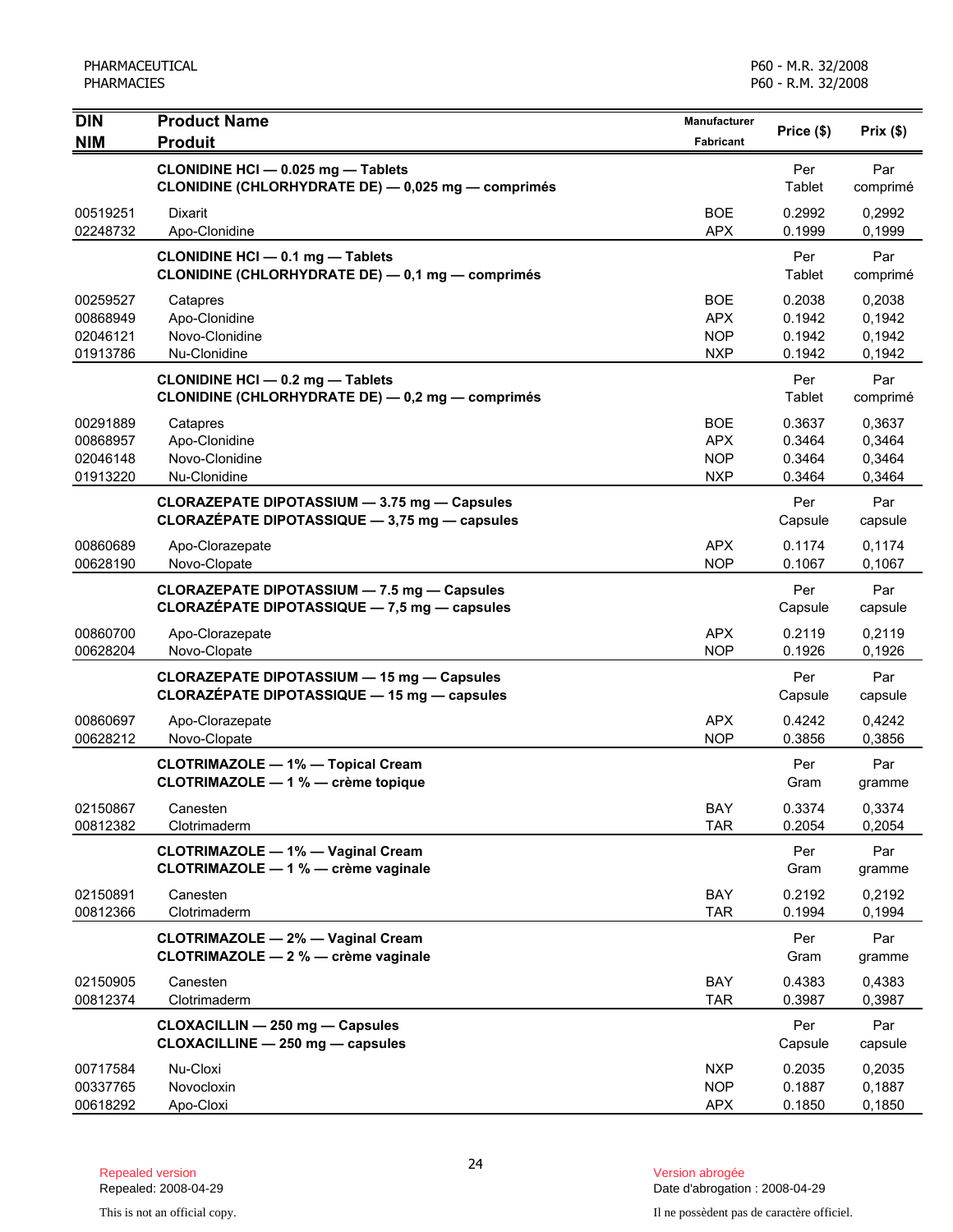| <b>DIN</b><br><b>NIM</b>                     | <b>Product Name</b><br><b>Produit</b>                                                              | <b>Manufacturer</b><br><b>Fabricant</b>              | Price (\$)                           | Prix(\$)                             |
|----------------------------------------------|----------------------------------------------------------------------------------------------------|------------------------------------------------------|--------------------------------------|--------------------------------------|
|                                              | CLONIDINE HCI - 0.025 mg - Tablets<br>CLONIDINE (CHLORHYDRATE DE) - 0,025 mg - comprimés           |                                                      | Per<br>Tablet                        | Par<br>comprimé                      |
| 00519251<br>02248732                         | Dixarit<br>Apo-Clonidine                                                                           | <b>BOE</b><br><b>APX</b>                             | 0.2992<br>0.1999                     | 0,2992<br>0,1999                     |
|                                              | <b>CLONIDINE HCI - 0.1 mg - Tablets</b><br><b>CLONIDINE (CHLORHYDRATE DE) - 0,1 mg - comprimés</b> |                                                      | Per<br>Tablet                        | Par<br>comprimé                      |
| 00259527<br>00868949<br>02046121<br>01913786 | Catapres<br>Apo-Clonidine<br>Novo-Clonidine<br>Nu-Clonidine                                        | <b>BOE</b><br><b>APX</b><br><b>NOP</b><br><b>NXP</b> | 0.2038<br>0.1942<br>0.1942<br>0.1942 | 0,2038<br>0,1942<br>0,1942<br>0,1942 |
|                                              | <b>CLONIDINE HCI - 0.2 mg - Tablets</b><br><b>CLONIDINE (CHLORHYDRATE DE) - 0,2 mg - comprimés</b> |                                                      | Per<br>Tablet                        | Par<br>comprimé                      |
| 00291889<br>00868957<br>02046148<br>01913220 | Catapres<br>Apo-Clonidine<br>Novo-Clonidine<br>Nu-Clonidine                                        | <b>BOE</b><br><b>APX</b><br><b>NOP</b><br><b>NXP</b> | 0.3637<br>0.3464<br>0.3464<br>0.3464 | 0.3637<br>0,3464<br>0,3464<br>0,3464 |
|                                              | CLORAZEPATE DIPOTASSIUM - 3.75 mg - Capsules<br>CLORAZEPATE DIPOTASSIQUE - 3,75 mg - capsules      |                                                      | Per<br>Capsule                       | Par<br>capsule                       |
| 00860689<br>00628190                         | Apo-Clorazepate<br>Novo-Clopate                                                                    | <b>APX</b><br><b>NOP</b>                             | 0.1174<br>0.1067                     | 0,1174<br>0,1067                     |
|                                              | <b>CLORAZEPATE DIPOTASSIUM - 7.5 mg - Capsules</b><br>CLORAZÉPATE DIPOTASSIQUE - 7,5 mg - capsules |                                                      | Per<br>Capsule                       | Par<br>capsule                       |
| 00860700<br>00628204                         | Apo-Clorazepate<br>Novo-Clopate                                                                    | <b>APX</b><br><b>NOP</b>                             | 0.2119<br>0.1926                     | 0,2119<br>0,1926                     |
|                                              | <b>CLORAZEPATE DIPOTASSIUM - 15 mg - Capsules</b><br>CLORAZÉPATE DIPOTASSIQUE - 15 mg - capsules   |                                                      | Per<br>Capsule                       | Par<br>capsule                       |
| 00860697<br>00628212                         | Apo-Clorazepate<br>Novo-Clopate                                                                    | <b>APX</b><br><b>NOP</b>                             | 0.4242<br>0.3856                     | 0,4242<br>0,3856                     |
|                                              | <b>CLOTRIMAZOLE - 1% - Topical Cream</b><br>CLOTRIMAZOLE - 1 % - crème topique                     |                                                      | Per<br>Gram                          | Par<br>gramme                        |
| 02150867<br>00812382                         | Canesten<br>Clotrimaderm                                                                           | BAY<br><b>TAR</b>                                    | 0.3374<br>0.2054                     | 0,3374<br>0,2054                     |
|                                              | <b>CLOTRIMAZOLE - 1% - Vaginal Cream</b><br>CLOTRIMAZOLE - 1 % - crème vaginale                    |                                                      | Per<br>Gram                          | Par<br>gramme                        |
| 02150891<br>00812366                         | Canesten<br>Clotrimaderm                                                                           | BAY<br><b>TAR</b>                                    | 0.2192<br>0.1994                     | 0,2192<br>0,1994                     |
|                                              | <b>CLOTRIMAZOLE - 2% - Vaginal Cream</b><br>CLOTRIMAZOLE - 2 % - crème vaginale                    |                                                      | Per<br>Gram                          | Par<br>gramme                        |
| 02150905<br>00812374                         | Canesten<br>Clotrimaderm                                                                           | BAY<br><b>TAR</b>                                    | 0.4383<br>0.3987                     | 0,4383<br>0,3987                     |
|                                              | <b>CLOXACILLIN - 250 mg - Capsules</b><br>CLOXACILLINE - 250 mg - capsules                         |                                                      | Per<br>Capsule                       | Par<br>capsule                       |
| 00717584<br>00337765<br>00618292             | Nu-Cloxi<br>Novocloxin<br>Apo-Cloxi                                                                | <b>NXP</b><br><b>NOP</b><br><b>APX</b>               | 0.2035<br>0.1887<br>0.1850           | 0,2035<br>0,1887<br>0,1850           |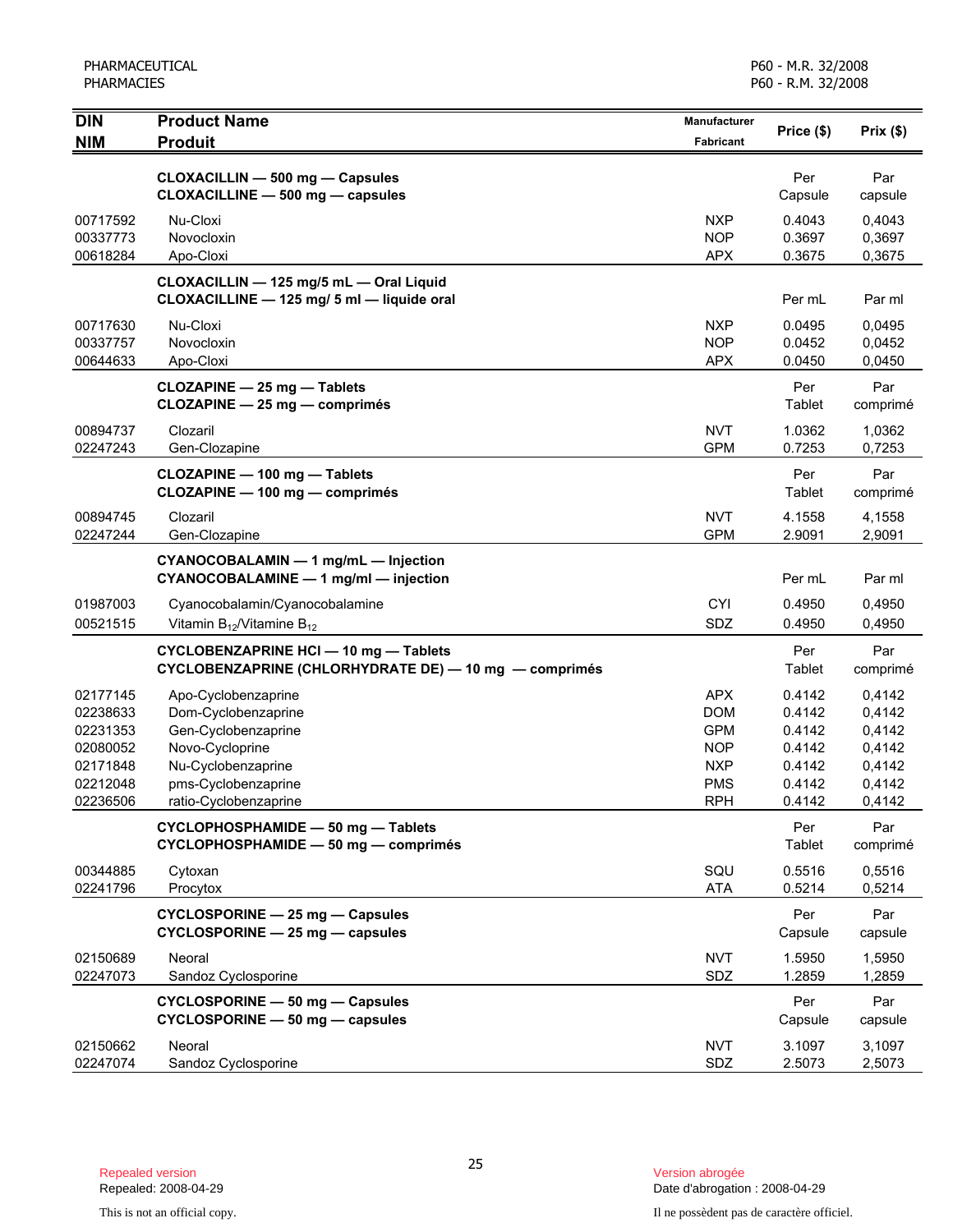| <b>DIN</b>           | <b>Product Name</b>                                                        | <b>Manufacturer</b>      | Price (\$)       | Prix(\$)         |
|----------------------|----------------------------------------------------------------------------|--------------------------|------------------|------------------|
| <b>NIM</b>           | <b>Produit</b>                                                             | <b>Fabricant</b>         |                  |                  |
|                      | <b>CLOXACILLIN - 500 mg - Capsules</b>                                     |                          | Per              | Par              |
|                      | CLOXACILLINE - 500 mg - capsules                                           |                          | Capsule          | capsule          |
| 00717592             | Nu-Cloxi                                                                   | <b>NXP</b>               | 0.4043           | 0,4043           |
| 00337773             | Novocloxin                                                                 | <b>NOP</b>               | 0.3697           | 0,3697           |
| 00618284             | Apo-Cloxi                                                                  | <b>APX</b>               | 0.3675           | 0,3675           |
|                      | CLOXACILLIN - 125 mg/5 mL - Oral Liquid                                    |                          |                  |                  |
|                      | CLOXACILLINE - 125 mg/ 5 ml - liquide oral                                 |                          | Per mL           | Par ml           |
| 00717630             | Nu-Cloxi                                                                   | <b>NXP</b>               | 0.0495           | 0,0495           |
| 00337757             | Novocloxin                                                                 | <b>NOP</b>               | 0.0452           | 0,0452           |
| 00644633             | Apo-Cloxi                                                                  | <b>APX</b>               | 0.0450           | 0,0450           |
|                      | <b>CLOZAPINE - 25 mg - Tablets</b>                                         |                          | Per              | Par              |
|                      | CLOZAPINE - 25 mg - comprimés                                              |                          | Tablet           | comprimé         |
| 00894737             | Clozaril                                                                   | <b>NVT</b>               | 1.0362           | 1,0362           |
| 02247243             | Gen-Clozapine                                                              | <b>GPM</b>               | 0.7253           | 0,7253           |
|                      | CLOZAPINE - 100 mg - Tablets                                               |                          | Per              | Par              |
|                      | CLOZAPINE - 100 mg - comprimés                                             |                          | Tablet           | comprimé         |
| 00894745             | Clozaril                                                                   | <b>NVT</b>               | 4.1558           | 4,1558           |
| 02247244             | Gen-Clozapine                                                              | <b>GPM</b>               | 2.9091           | 2,9091           |
|                      | CYANOCOBALAMIN - 1 mg/mL - Injection                                       |                          |                  |                  |
|                      | CYANOCOBALAMINE - 1 mg/ml - injection                                      |                          | Per mL           | Par ml           |
| 01987003             | Cyanocobalamin/Cyanocobalamine                                             | <b>CYI</b>               | 0.4950           | 0,4950           |
| 00521515             | Vitamin $B_{12}$ /Vitamine $B_{12}$                                        | SDZ                      | 0.4950           | 0,4950           |
|                      | <b>CYCLOBENZAPRINE HCI-10 mg-Tablets</b>                                   |                          | Per              | Par              |
|                      | CYCLOBENZAPRINE (CHLORHYDRATE DE) - 10 mg - comprimés                      |                          | Tablet           | comprimé         |
| 02177145             | Apo-Cyclobenzaprine                                                        | <b>APX</b>               | 0.4142           | 0,4142           |
| 02238633             | Dom-Cyclobenzaprine                                                        | <b>DOM</b>               | 0.4142           | 0,4142           |
| 02231353             | Gen-Cyclobenzaprine                                                        | <b>GPM</b>               | 0.4142           | 0,4142           |
| 02080052             | Novo-Cycloprine                                                            | <b>NOP</b>               | 0.4142           | 0,4142           |
| 02171848             | Nu-Cyclobenzaprine                                                         | <b>NXP</b>               | 0.4142           | 0,4142           |
| 02212048<br>02236506 | pms-Cyclobenzaprine<br>ratio-Cyclobenzaprine                               | <b>PMS</b><br><b>RPH</b> | 0.4142<br>0.4142 | 0,4142<br>0,4142 |
|                      |                                                                            |                          |                  |                  |
|                      | CYCLOPHOSPHAMIDE - 50 mg - Tablets<br>CYCLOPHOSPHAMIDE - 50 mg - comprimés |                          | Per<br>Tablet    | Par<br>comprimé  |
|                      |                                                                            |                          |                  |                  |
| 00344885<br>02241796 | Cytoxan                                                                    | SQU                      | 0.5516           | 0,5516           |
|                      | Procytox                                                                   | <b>ATA</b>               | 0.5214           | 0,5214           |
|                      | CYCLOSPORINE - 25 mg - Capsules                                            |                          | Per              | Par              |
|                      | CYCLOSPORINE - 25 mg - capsules                                            |                          | Capsule          | capsule          |
| 02150689             | Neoral                                                                     | <b>NVT</b>               | 1.5950           | 1,5950           |
| 02247073             | Sandoz Cyclosporine                                                        | SDZ                      | 1.2859           | 1,2859           |
|                      | CYCLOSPORINE - 50 mg - Capsules                                            |                          | Per              | Par              |
|                      | CYCLOSPORINE - 50 mg - capsules                                            |                          | Capsule          | capsule          |
| 02150662             | Neoral                                                                     | <b>NVT</b>               | 3.1097           | 3,1097           |
| 02247074             | Sandoz Cyclosporine                                                        | SDZ                      | 2.5073           | 2,5073           |

Date d'abrogation : 2008-04-29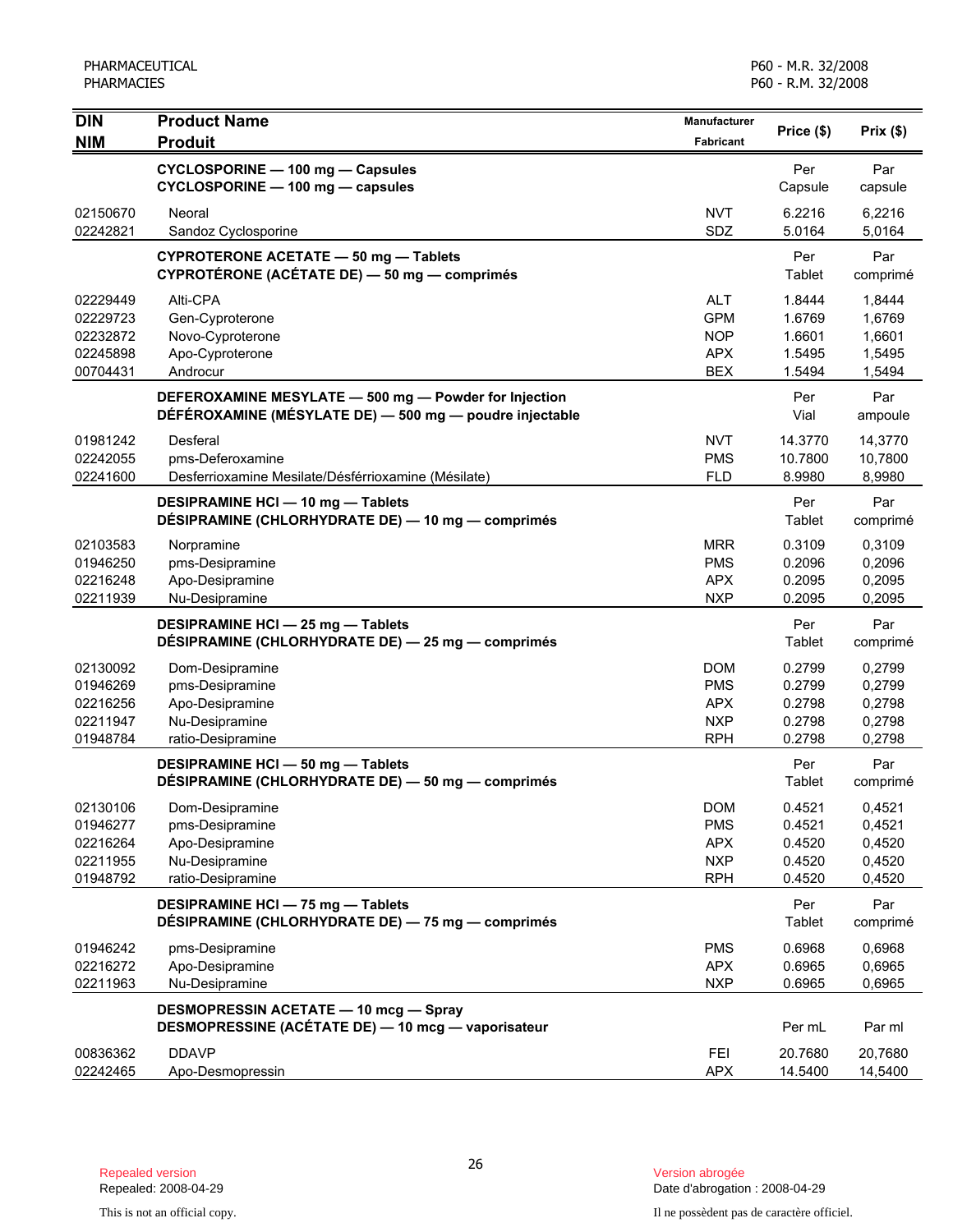| <b>DIN</b> | <b>Product Name</b>                                     | Manufacturer | Price (\$) | Prix(\$) |
|------------|---------------------------------------------------------|--------------|------------|----------|
| <b>NIM</b> | <b>Produit</b>                                          | Fabricant    |            |          |
|            | CYCLOSPORINE - 100 mg - Capsules                        |              | Per        | Par      |
|            | CYCLOSPORINE - 100 mg - capsules                        |              | Capsule    | capsule  |
| 02150670   | Neoral                                                  | <b>NVT</b>   | 6.2216     | 6,2216   |
| 02242821   | Sandoz Cyclosporine                                     | SDZ          | 5.0164     | 5,0164   |
|            | <b>CYPROTERONE ACETATE - 50 mg - Tablets</b>            |              | Per        | Par      |
|            | CYPROTÉRONE (ACÉTATE DE) — 50 mg — comprimés            |              | Tablet     | comprimé |
| 02229449   | Alti-CPA                                                | <b>ALT</b>   | 1.8444     | 1,8444   |
| 02229723   | Gen-Cyproterone                                         | <b>GPM</b>   | 1.6769     | 1,6769   |
| 02232872   | Novo-Cyproterone                                        | <b>NOP</b>   | 1.6601     | 1,6601   |
| 02245898   | Apo-Cyproterone                                         | <b>APX</b>   | 1.5495     | 1,5495   |
| 00704431   | Androcur                                                | <b>BEX</b>   | 1.5494     | 1,5494   |
|            | DEFEROXAMINE MESYLATE - 500 mg - Powder for Injection   |              | Per        | Par      |
|            | DÉFÉROXAMINE (MÉSYLATE DE) - 500 mg - poudre injectable |              | Vial       | ampoule  |
| 01981242   | Desferal                                                | <b>NVT</b>   | 14.3770    | 14,3770  |
| 02242055   | pms-Deferoxamine                                        | <b>PMS</b>   | 10.7800    | 10,7800  |
| 02241600   | Desferrioxamine Mesilate/Désférrioxamine (Mésilate)     | <b>FLD</b>   | 8.9980     | 8,9980   |
|            | DESIPRAMINE HCI - 10 mg - Tablets                       |              | Per        | Par      |
|            | DÉSIPRAMINE (CHLORHYDRATE DE) — 10 mg — comprimés       |              | Tablet     | comprimé |
| 02103583   | Norpramine                                              | <b>MRR</b>   | 0.3109     | 0,3109   |
| 01946250   | pms-Desipramine                                         | <b>PMS</b>   | 0.2096     | 0,2096   |
| 02216248   | Apo-Desipramine                                         | <b>APX</b>   | 0.2095     | 0,2095   |
| 02211939   | Nu-Desipramine                                          | <b>NXP</b>   | 0.2095     | 0,2095   |
|            | DESIPRAMINE HCI - 25 mg - Tablets                       |              | Per        | Par      |
|            | DÉSIPRAMINE (CHLORHYDRATE DE) - 25 mg - comprimés       |              | Tablet     | comprimé |
| 02130092   | Dom-Desipramine                                         | <b>DOM</b>   | 0.2799     | 0,2799   |
| 01946269   | pms-Desipramine                                         | <b>PMS</b>   | 0.2799     | 0,2799   |
| 02216256   | Apo-Desipramine                                         | <b>APX</b>   | 0.2798     | 0,2798   |
| 02211947   | Nu-Desipramine                                          | <b>NXP</b>   | 0.2798     | 0,2798   |
| 01948784   | ratio-Desipramine                                       | <b>RPH</b>   | 0.2798     | 0,2798   |
|            | DESIPRAMINE HCI-50 mg-Tablets                           |              | Per        | Par      |
|            | DÉSIPRAMINE (CHLORHYDRATE DE) - 50 mg - comprimés       |              | Tablet     | comprimé |
| 02130106   | Dom-Desipramine                                         | <b>DOM</b>   | 0.4521     | 0,4521   |
| 01946277   | pms-Desipramine                                         | <b>PMS</b>   | 0.4521     | 0,4521   |
| 02216264   | Apo-Desipramine                                         | <b>APX</b>   | 0.4520     | 0,4520   |
| 02211955   | Nu-Desipramine                                          | <b>NXP</b>   | 0.4520     | 0,4520   |
| 01948792   | ratio-Desipramine                                       | <b>RPH</b>   | 0.4520     | 0,4520   |
|            | DESIPRAMINE HCI - 75 mg - Tablets                       |              | Per        | Par      |
|            | DÉSIPRAMINE (CHLORHYDRATE DE) - 75 mg - comprimés       |              | Tablet     | comprimé |
| 01946242   | pms-Desipramine                                         | <b>PMS</b>   | 0.6968     | 0,6968   |
| 02216272   | Apo-Desipramine                                         | <b>APX</b>   | 0.6965     | 0,6965   |
| 02211963   | Nu-Desipramine                                          | <b>NXP</b>   | 0.6965     | 0,6965   |
|            | <b>DESMOPRESSIN ACETATE - 10 mcg - Spray</b>            |              |            |          |
|            | DESMOPRESSINE (ACÉTATE DE) - 10 mcg - vaporisateur      |              | Per mL     | Par ml   |
| 00836362   | <b>DDAVP</b>                                            | FEI          | 20.7680    | 20,7680  |
| 02242465   | Apo-Desmopressin                                        | APX          | 14.5400    | 14,5400  |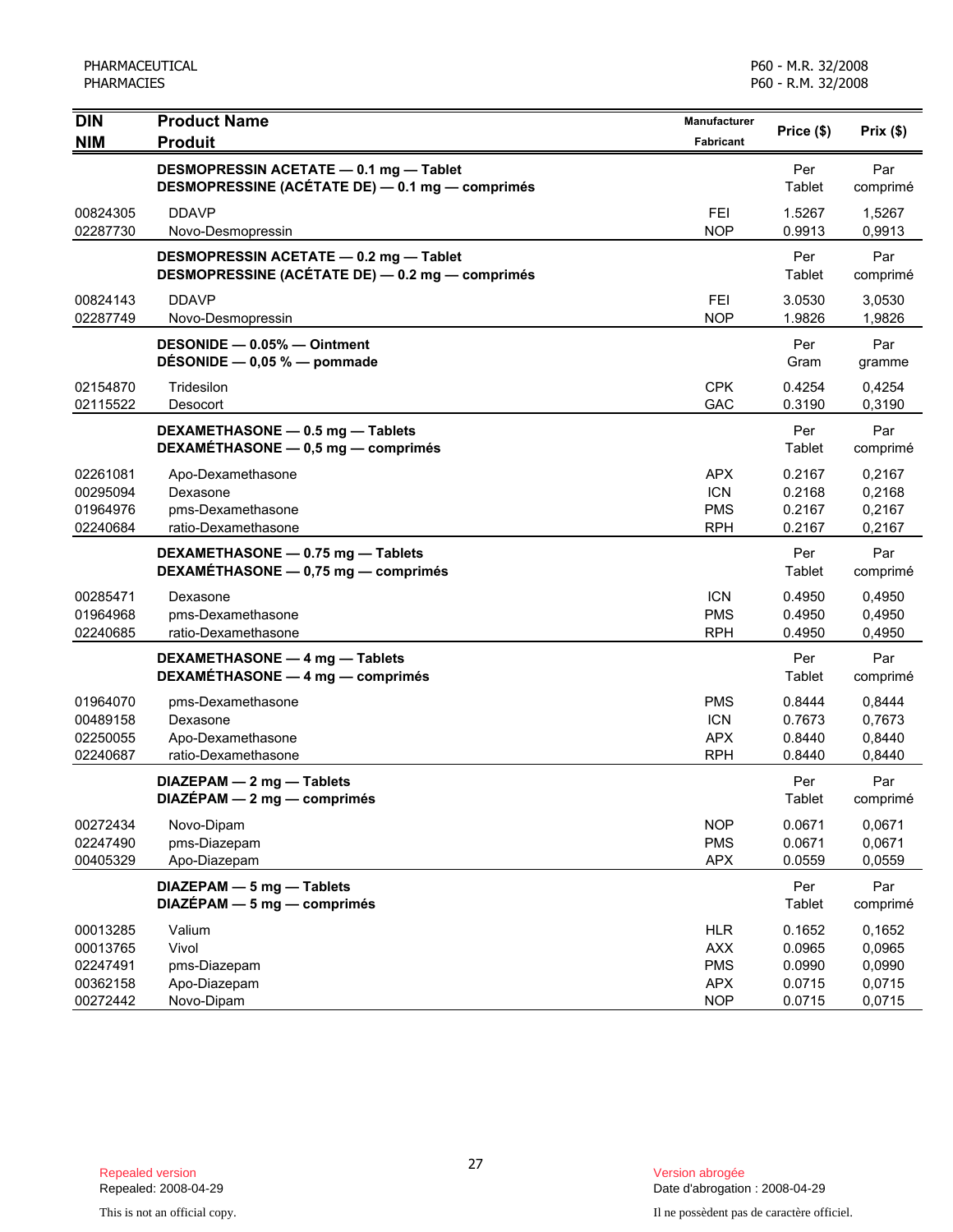| <b>DIN</b><br><b>NIM</b>                                 | <b>Product Name</b><br><b>Produit</b>                                                     | Manufacturer<br><b>Fabricant</b>                                   | Price (\$)                                     | Prix(\$)                                       |
|----------------------------------------------------------|-------------------------------------------------------------------------------------------|--------------------------------------------------------------------|------------------------------------------------|------------------------------------------------|
|                                                          | DESMOPRESSIN ACETATE - 0.1 mg - Tablet<br>DESMOPRESSINE (ACÉTATE DE) - 0.1 mg - comprimés |                                                                    | Per<br>Tablet                                  | Par<br>comprimé                                |
| 00824305<br>02287730                                     | <b>DDAVP</b><br>Novo-Desmopressin                                                         | <b>FEI</b><br><b>NOP</b>                                           | 1.5267<br>0.9913                               | 1,5267<br>0,9913                               |
|                                                          | DESMOPRESSIN ACETATE - 0.2 mg - Tablet<br>DESMOPRESSINE (ACÉTATE DE) - 0.2 mg - comprimés |                                                                    | Per<br>Tablet                                  | Par<br>comprimé                                |
| 00824143<br>02287749                                     | <b>DDAVP</b><br>Novo-Desmopressin                                                         | FEI<br><b>NOP</b>                                                  | 3.0530<br>1.9826                               | 3,0530<br>1,9826                               |
|                                                          | DESONIDE - 0.05% - Ointment<br>DESONIDE $-$ 0,05 % $-$ pommade                            |                                                                    | Per<br>Gram                                    | Par<br>gramme                                  |
| 02154870<br>02115522                                     | Tridesilon<br>Desocort                                                                    | <b>CPK</b><br>GAC                                                  | 0.4254<br>0.3190                               | 0,4254<br>0,3190                               |
|                                                          | DEXAMETHASONE - 0.5 mg - Tablets<br>DEXAMÉTHASONE - 0,5 mg - comprimés                    |                                                                    | Per<br>Tablet                                  | Par<br>comprimé                                |
| 02261081<br>00295094<br>01964976<br>02240684             | Apo-Dexamethasone<br>Dexasone<br>pms-Dexamethasone<br>ratio-Dexamethasone                 | <b>APX</b><br><b>ICN</b><br><b>PMS</b><br><b>RPH</b>               | 0.2167<br>0.2168<br>0.2167<br>0.2167           | 0,2167<br>0,2168<br>0,2167<br>0,2167           |
|                                                          | DEXAMETHASONE - 0.75 mg - Tablets<br>DEXAMÉTHASONE - 0,75 mg - comprimés                  |                                                                    | Per<br>Tablet                                  | Par<br>comprimé                                |
| 00285471<br>01964968<br>02240685                         | Dexasone<br>pms-Dexamethasone<br>ratio-Dexamethasone                                      | <b>ICN</b><br><b>PMS</b><br><b>RPH</b>                             | 0.4950<br>0.4950<br>0.4950                     | 0,4950<br>0,4950<br>0,4950                     |
|                                                          | DEXAMETHASONE - 4 mg - Tablets<br>DEXAMÉTHASONE - 4 mg - comprimés                        |                                                                    | Per<br>Tablet                                  | Par<br>comprimé                                |
| 01964070<br>00489158<br>02250055<br>02240687             | pms-Dexamethasone<br>Dexasone<br>Apo-Dexamethasone<br>ratio-Dexamethasone                 | <b>PMS</b><br><b>ICN</b><br><b>APX</b><br><b>RPH</b>               | 0.8444<br>0.7673<br>0.8440<br>0.8440           | 0,8444<br>0,7673<br>0,8440<br>0,8440           |
|                                                          | DIAZEPAM - 2 mg - Tablets<br>DIAZÉPAM - 2 mg - comprimés                                  |                                                                    | Per<br>Tablet                                  | Par<br>comprimé                                |
| 00272434<br>02247490<br>00405329                         | Novo-Dipam<br>pms-Diazepam<br>Apo-Diazepam                                                | <b>NOP</b><br><b>PMS</b><br><b>APX</b>                             | 0.0671<br>0.0671<br>0.0559                     | 0,0671<br>0,0671<br>0,0559                     |
|                                                          | DIAZEPAM - 5 mg - Tablets<br>$DIAZÉPAM - 5 mg - comprimés$                                |                                                                    | Per<br>Tablet                                  | Par<br>comprimé                                |
| 00013285<br>00013765<br>02247491<br>00362158<br>00272442 | Valium<br>Vivol<br>pms-Diazepam<br>Apo-Diazepam<br>Novo-Dipam                             | <b>HLR</b><br><b>AXX</b><br><b>PMS</b><br><b>APX</b><br><b>NOP</b> | 0.1652<br>0.0965<br>0.0990<br>0.0715<br>0.0715 | 0,1652<br>0,0965<br>0,0990<br>0,0715<br>0,0715 |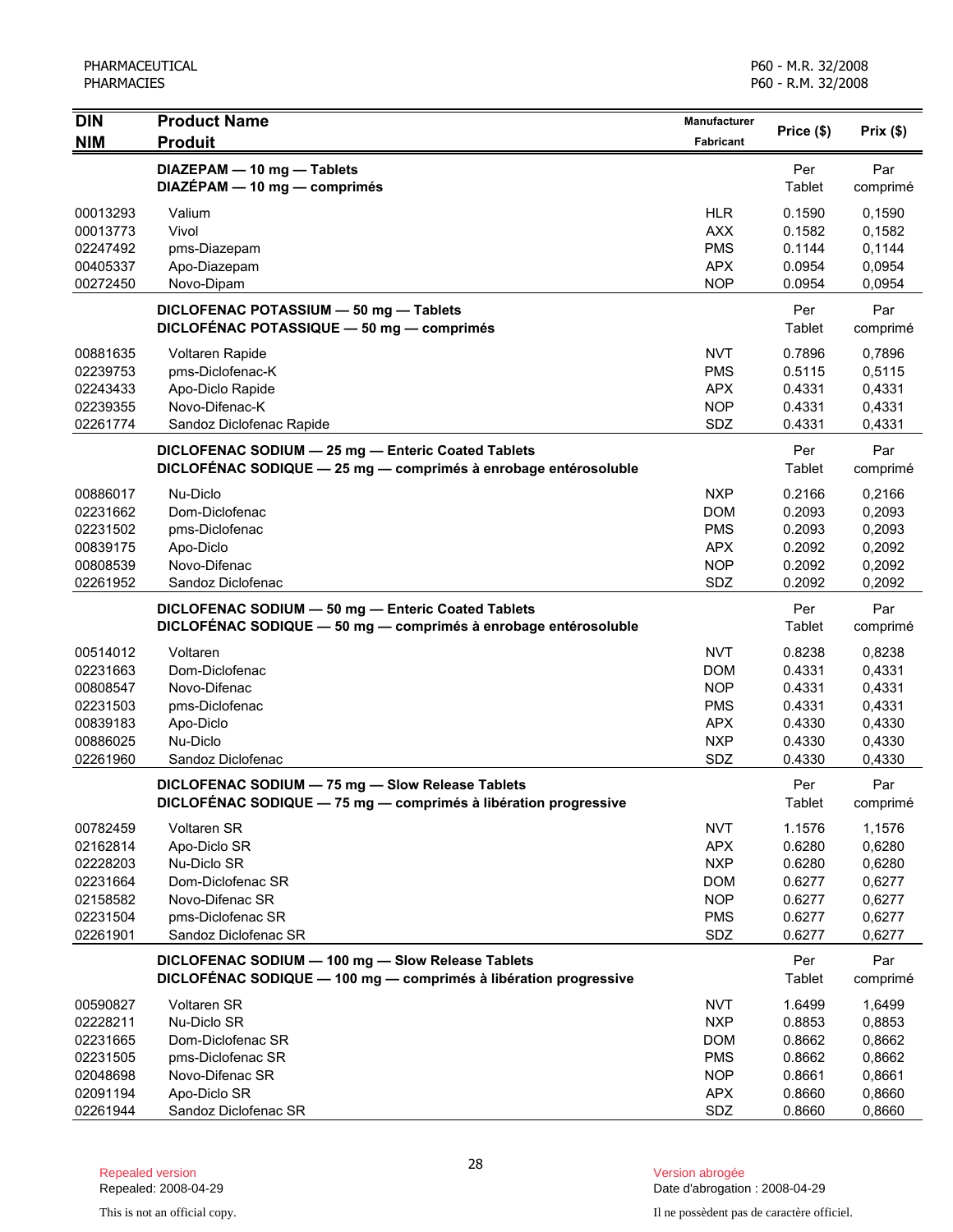| <b>DIN</b>           | <b>Product Name</b>                                                                                                   | Manufacturer             |                  |                  |
|----------------------|-----------------------------------------------------------------------------------------------------------------------|--------------------------|------------------|------------------|
| <b>NIM</b>           | <b>Produit</b>                                                                                                        | <b>Fabricant</b>         | Price (\$)       | Prix(\$)         |
|                      | DIAZEPAM - 10 mg - Tablets<br>DIAZÉPAM - 10 mg - comprimés                                                            |                          | Per<br>Tablet    | Par<br>comprimé  |
| 00013293             | Valium                                                                                                                | <b>HLR</b>               | 0.1590           | 0,1590           |
| 00013773             | Vivol                                                                                                                 | <b>AXX</b>               | 0.1582           | 0,1582           |
| 02247492             | pms-Diazepam                                                                                                          | <b>PMS</b>               | 0.1144           | 0,1144           |
| 00405337             | Apo-Diazepam                                                                                                          | <b>APX</b>               | 0.0954           | 0,0954           |
| 00272450             | Novo-Dipam                                                                                                            | <b>NOP</b>               | 0.0954           | 0,0954           |
|                      | DICLOFENAC POTASSIUM - 50 mg - Tablets<br>DICLOFÉNAC POTASSIQUE - 50 mg - comprimés                                   |                          | Per<br>Tablet    | Par<br>comprimé  |
| 00881635             | Voltaren Rapide                                                                                                       | NVT                      | 0.7896           | 0,7896           |
| 02239753             | pms-Diclofenac-K                                                                                                      | <b>PMS</b>               | 0.5115           | 0,5115           |
| 02243433             | Apo-Diclo Rapide                                                                                                      | <b>APX</b>               | 0.4331           | 0,4331           |
| 02239355             | Novo-Difenac-K                                                                                                        | <b>NOP</b>               | 0.4331           | 0,4331           |
| 02261774             | Sandoz Diclofenac Rapide                                                                                              | SDZ                      | 0.4331           | 0,4331           |
|                      | DICLOFENAC SODIUM - 25 mg - Enteric Coated Tablets<br>DICLOFÉNAC SODIQUE - 25 mg - comprimés à enrobage entérosoluble |                          | Per<br>Tablet    | Par<br>comprimé  |
| 00886017             | Nu-Diclo                                                                                                              | <b>NXP</b>               | 0.2166           | 0,2166           |
| 02231662             | Dom-Diclofenac                                                                                                        | <b>DOM</b>               | 0.2093           | 0,2093           |
| 02231502             | pms-Diclofenac                                                                                                        | <b>PMS</b>               | 0.2093           | 0,2093           |
| 00839175             | Apo-Diclo                                                                                                             | <b>APX</b>               | 0.2092           | 0,2092           |
| 00808539             | Novo-Difenac                                                                                                          | <b>NOP</b>               | 0.2092           | 0,2092           |
| 02261952             | Sandoz Diclofenac                                                                                                     | SDZ                      | 0.2092           | 0,2092           |
|                      | DICLOFENAC SODIUM - 50 mg - Enteric Coated Tablets<br>DICLOFÉNAC SODIQUE - 50 mg - comprimés à enrobage entérosoluble |                          | Per<br>Tablet    | Par<br>comprimé  |
| 00514012             | Voltaren                                                                                                              | <b>NVT</b>               | 0.8238           | 0,8238           |
| 02231663             | Dom-Diclofenac                                                                                                        | <b>DOM</b>               | 0.4331           | 0,4331           |
| 00808547             | Novo-Difenac                                                                                                          | <b>NOP</b>               | 0.4331           | 0,4331           |
| 02231503             | pms-Diclofenac                                                                                                        | <b>PMS</b>               | 0.4331           | 0,4331           |
| 00839183             | Apo-Diclo                                                                                                             | <b>APX</b>               | 0.4330           | 0,4330           |
| 00886025             | Nu-Diclo                                                                                                              | <b>NXP</b>               | 0.4330           | 0,4330           |
| 02261960             | Sandoz Diclofenac                                                                                                     | SDZ                      | 0.4330           | 0,4330           |
|                      | DICLOFENAC SODIUM - 75 mg - Slow Release Tablets<br>DICLOFENAC SODIQUE - 75 mg - comprimés à libération progressive   |                          | Per<br>Tablet    | Par<br>comprimé  |
| 00782459             | Voltaren SR                                                                                                           | <b>NVT</b>               | 1.1576           | 1,1576           |
| 02162814             | Apo-Diclo SR                                                                                                          | <b>APX</b>               | 0.6280           | 0,6280           |
| 02228203             | Nu-Diclo SR                                                                                                           | <b>NXP</b>               | 0.6280           | 0,6280           |
| 02231664             | Dom-Diclofenac SR                                                                                                     | <b>DOM</b>               | 0.6277           | 0,6277           |
| 02158582             | Novo-Difenac SR                                                                                                       | <b>NOP</b>               | 0.6277           | 0,6277           |
| 02231504             | pms-Diclofenac SR                                                                                                     | <b>PMS</b>               | 0.6277           | 0,6277           |
| 02261901             | Sandoz Diclofenac SR                                                                                                  | SDZ                      | 0.6277           | 0,6277           |
|                      | DICLOFENAC SODIUM - 100 mg - Slow Release Tablets<br>DICLOFÉNAC SODIQUE - 100 mg - comprimés à libération progressive |                          | Per<br>Tablet    | Par<br>comprimé  |
|                      |                                                                                                                       |                          |                  |                  |
| 00590827<br>02228211 | <b>Voltaren SR</b><br>Nu-Diclo SR                                                                                     | <b>NVT</b><br><b>NXP</b> | 1.6499           | 1,6499<br>0,8853 |
| 02231665             | Dom-Diclofenac SR                                                                                                     | <b>DOM</b>               | 0.8853<br>0.8662 | 0,8662           |
| 02231505             | pms-Diclofenac SR                                                                                                     | <b>PMS</b>               | 0.8662           | 0,8662           |
| 02048698             | Novo-Difenac SR                                                                                                       | <b>NOP</b>               | 0.8661           | 0,8661           |
| 02091194             | Apo-Diclo SR                                                                                                          | <b>APX</b>               | 0.8660           | 0,8660           |
| 02261944             | Sandoz Diclofenac SR                                                                                                  | SDZ                      | 0.8660           | 0,8660           |

Date d'abrogation : 2008-04-29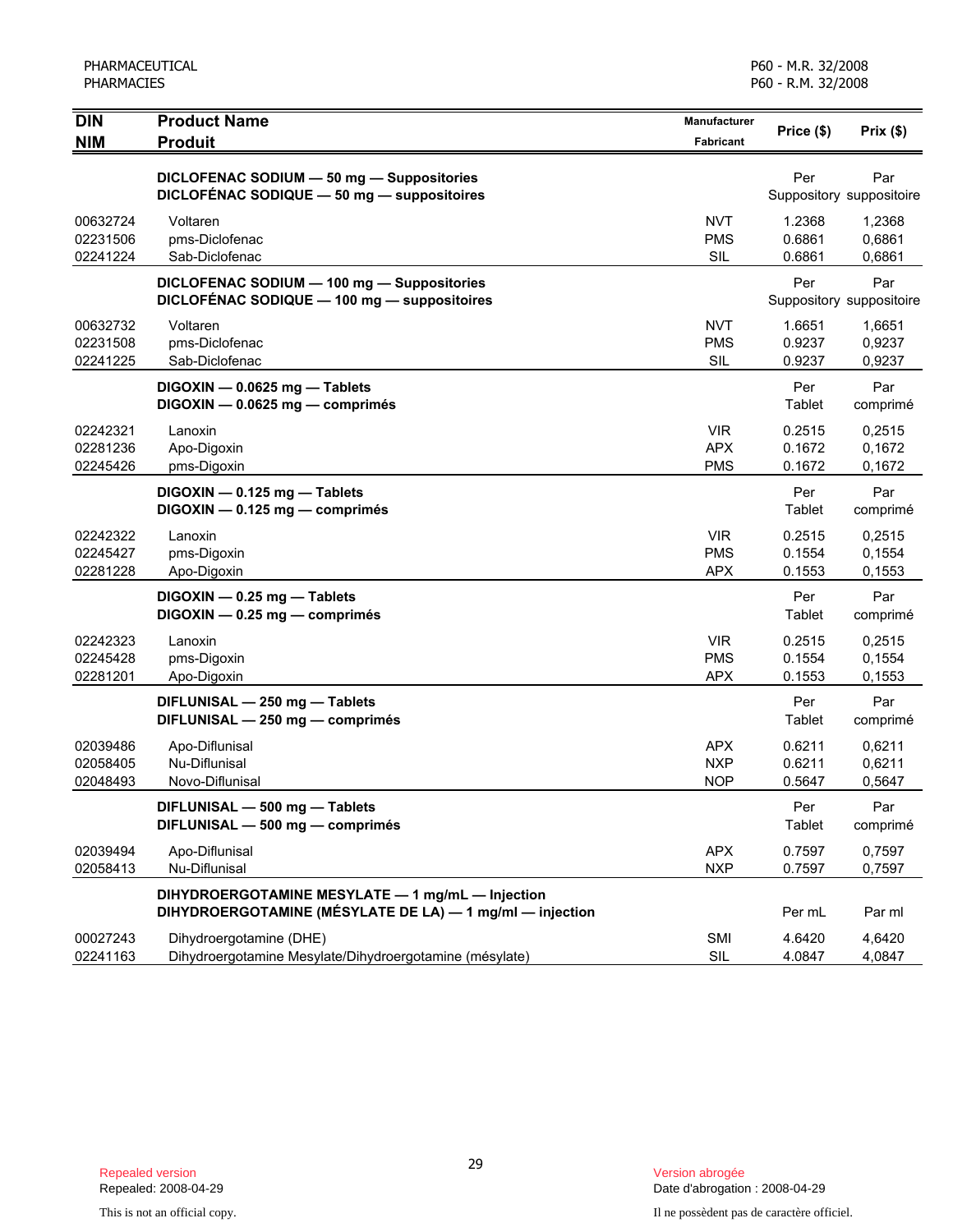| <b>DIN</b>                       | <b>Product Name</b>                                                                                          | <b>Manufacturer</b>                    | Price (\$)                 | Prix(\$)                        |
|----------------------------------|--------------------------------------------------------------------------------------------------------------|----------------------------------------|----------------------------|---------------------------------|
| <b>NIM</b>                       | <b>Produit</b>                                                                                               | <b>Fabricant</b>                       |                            |                                 |
|                                  | DICLOFENAC SODIUM - 50 mg - Suppositories<br>DICLOFÉNAC SODIQUE - 50 mg - suppositoires                      |                                        | Per                        | Par<br>Suppository suppositoire |
| 00632724<br>02231506<br>02241224 | Voltaren<br>pms-Diclofenac<br>Sab-Diclofenac                                                                 | NVT<br><b>PMS</b><br><b>SIL</b>        | 1.2368<br>0.6861<br>0.6861 | 1,2368<br>0,6861<br>0,6861      |
|                                  | DICLOFENAC SODIUM - 100 mg - Suppositories<br>DICLOFÉNAC SODIQUE - 100 mg - suppositoires                    |                                        | Per                        | Par<br>Suppository suppositoire |
| 00632732<br>02231508<br>02241225 | Voltaren<br>pms-Diclofenac<br>Sab-Diclofenac                                                                 | <b>NVT</b><br><b>PMS</b><br><b>SIL</b> | 1.6651<br>0.9237<br>0.9237 | 1,6651<br>0,9237<br>0,9237      |
|                                  | DIGOXIN - 0.0625 mg - Tablets<br>DIGOXIN - 0.0625 mg - comprimés                                             |                                        | Per<br>Tablet              | Par<br>comprimé                 |
| 02242321<br>02281236<br>02245426 | Lanoxin<br>Apo-Digoxin<br>pms-Digoxin                                                                        | <b>VIR</b><br><b>APX</b><br><b>PMS</b> | 0.2515<br>0.1672<br>0.1672 | 0,2515<br>0,1672<br>0,1672      |
|                                  | DIGOXIN - 0.125 mg - Tablets<br>DIGOXIN - 0.125 mg - comprimés                                               |                                        | Per<br>Tablet              | Par<br>comprimé                 |
| 02242322<br>02245427<br>02281228 | Lanoxin<br>pms-Digoxin<br>Apo-Digoxin                                                                        | <b>VIR</b><br><b>PMS</b><br><b>APX</b> | 0.2515<br>0.1554<br>0.1553 | 0,2515<br>0,1554<br>0,1553      |
|                                  | DIGOXIN - 0.25 mg - Tablets<br>DIGOXIN - 0.25 mg - comprimés                                                 |                                        | Per<br>Tablet              | Par<br>comprimé                 |
| 02242323<br>02245428<br>02281201 | Lanoxin<br>pms-Digoxin<br>Apo-Digoxin                                                                        | <b>VIR</b><br><b>PMS</b><br><b>APX</b> | 0.2515<br>0.1554<br>0.1553 | 0,2515<br>0,1554<br>0,1553      |
|                                  | DIFLUNISAL - 250 mg - Tablets<br>DIFLUNISAL - 250 mg - comprimés                                             |                                        | Per<br>Tablet              | Par<br>comprimé                 |
| 02039486<br>02058405<br>02048493 | Apo-Diflunisal<br>Nu-Diflunisal<br>Novo-Diflunisal                                                           | <b>APX</b><br><b>NXP</b><br><b>NOP</b> | 0.6211<br>0.6211<br>0.5647 | 0,6211<br>0,6211<br>0.5647      |
|                                  | DIFLUNISAL - 500 mg - Tablets<br>DIFLUNISAL - 500 mg - comprimés                                             |                                        | Per<br>Tablet              | Par<br>comprimé                 |
| 02039494<br>02058413             | Apo-Diflunisal<br>Nu-Diflunisal                                                                              | <b>APX</b><br><b>NXP</b>               | 0.7597<br>0.7597           | 0,7597<br>0,7597                |
|                                  | DIHYDROERGOTAMINE MESYLATE - 1 mg/mL - Injection<br>DIHYDROERGOTAMINE (MÉSYLATE DE LA) - 1 mg/ml - injection |                                        | Per mL                     | Par ml                          |
| 00027243<br>02241163             | Dihydroergotamine (DHE)<br>Dihydroergotamine Mesylate/Dihydroergotamine (mésylate)                           | <b>SMI</b><br>SIL                      | 4.6420<br>4.0847           | 4,6420<br>4,0847                |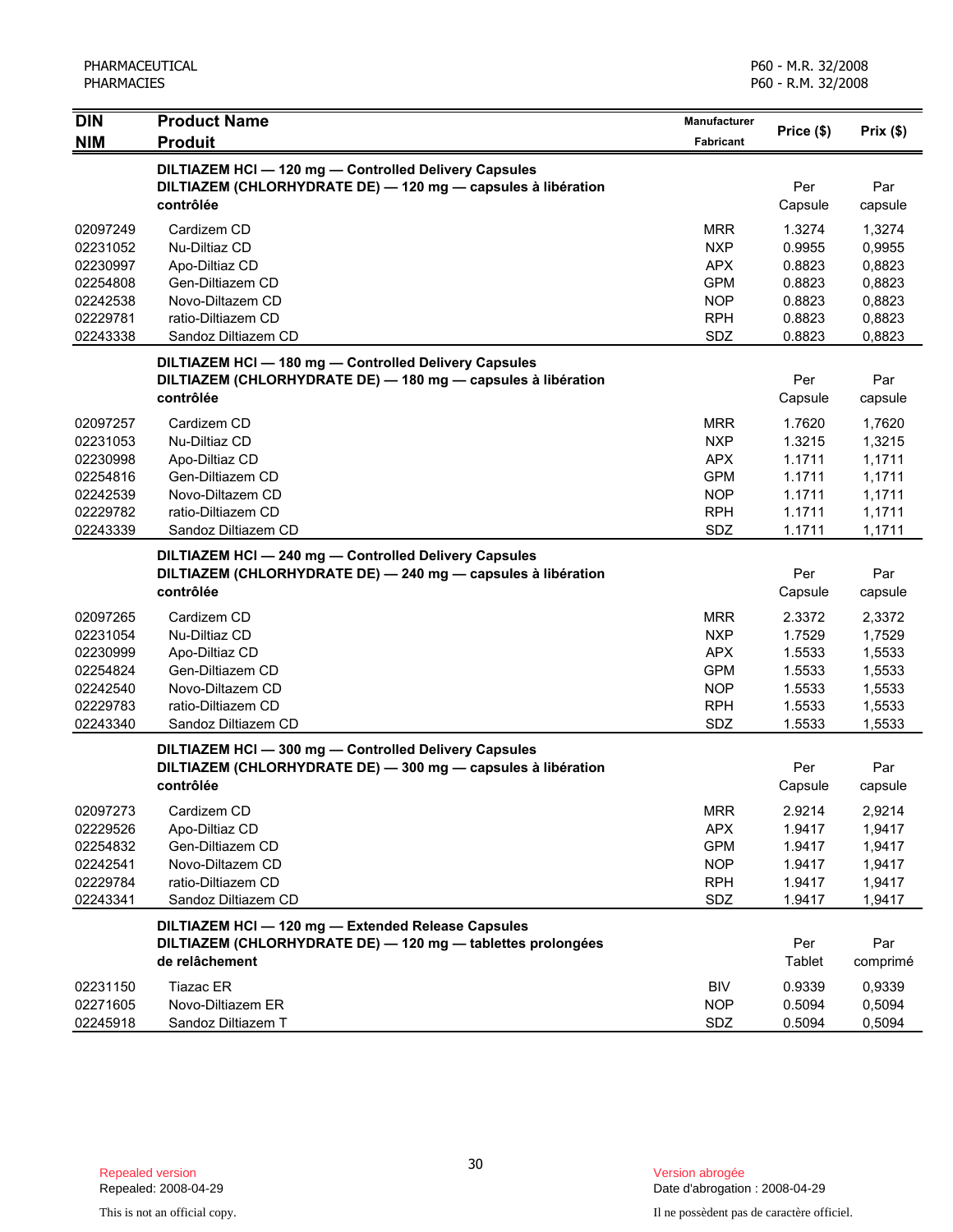| <b>DIN</b>                                                                       | <b>Product Name</b>                                                                                                                 | <b>Manufacturer</b>                                                                     | Price (\$)                                                         | Prix(\$)                                                           |
|----------------------------------------------------------------------------------|-------------------------------------------------------------------------------------------------------------------------------------|-----------------------------------------------------------------------------------------|--------------------------------------------------------------------|--------------------------------------------------------------------|
| <b>NIM</b>                                                                       | <b>Produit</b>                                                                                                                      | Fabricant                                                                               |                                                                    |                                                                    |
|                                                                                  | DILTIAZEM HCI - 120 mg - Controlled Delivery Capsules<br>DILTIAZEM (CHLORHYDRATE DE) - 120 mg - capsules à libération<br>contrôlée  |                                                                                         | Per<br>Capsule                                                     | Par<br>capsule                                                     |
| 02097249<br>02231052<br>02230997<br>02254808<br>02242538<br>02229781<br>02243338 | Cardizem CD<br>Nu-Diltiaz CD<br>Apo-Diltiaz CD<br>Gen-Diltiazem CD<br>Novo-Diltazem CD<br>ratio-Diltiazem CD<br>Sandoz Diltiazem CD | <b>MRR</b><br><b>NXP</b><br><b>APX</b><br><b>GPM</b><br><b>NOP</b><br><b>RPH</b><br>SDZ | 1.3274<br>0.9955<br>0.8823<br>0.8823<br>0.8823<br>0.8823<br>0.8823 | 1,3274<br>0,9955<br>0,8823<br>0,8823<br>0,8823<br>0,8823<br>0,8823 |
|                                                                                  | DILTIAZEM HCI-180 mg-Controlled Delivery Capsules<br>DILTIAZEM (CHLORHYDRATE DE) - 180 mg - capsules à libération<br>contrôlée      |                                                                                         | Per<br>Capsule                                                     | Par<br>capsule                                                     |
| 02097257<br>02231053<br>02230998<br>02254816<br>02242539<br>02229782<br>02243339 | Cardizem CD<br>Nu-Diltiaz CD<br>Apo-Diltiaz CD<br>Gen-Diltiazem CD<br>Novo-Diltazem CD<br>ratio-Diltiazem CD<br>Sandoz Diltiazem CD | <b>MRR</b><br><b>NXP</b><br><b>APX</b><br><b>GPM</b><br><b>NOP</b><br><b>RPH</b><br>SDZ | 1.7620<br>1.3215<br>1.1711<br>1.1711<br>1.1711<br>1.1711<br>1.1711 | 1,7620<br>1,3215<br>1,1711<br>1,1711<br>1,1711<br>1,1711<br>1,1711 |
|                                                                                  | DILTIAZEM HCI-240 mg-Controlled Delivery Capsules<br>DILTIAZEM (CHLORHYDRATE DE) - 240 mg - capsules à libération<br>contrôlée      |                                                                                         | Per<br>Capsule                                                     | Par<br>capsule                                                     |
| 02097265<br>02231054<br>02230999<br>02254824<br>02242540<br>02229783<br>02243340 | Cardizem CD<br>Nu-Diltiaz CD<br>Apo-Diltiaz CD<br>Gen-Diltiazem CD<br>Novo-Diltazem CD<br>ratio-Diltiazem CD<br>Sandoz Diltiazem CD | <b>MRR</b><br><b>NXP</b><br><b>APX</b><br><b>GPM</b><br><b>NOP</b><br><b>RPH</b><br>SDZ | 2.3372<br>1.7529<br>1.5533<br>1.5533<br>1.5533<br>1.5533<br>1.5533 | 2,3372<br>1,7529<br>1,5533<br>1,5533<br>1,5533<br>1,5533<br>1,5533 |
|                                                                                  | DILTIAZEM HCI-300 mg-Controlled Delivery Capsules<br>DILTIAZEM (CHLORHYDRATE DE) - 300 mg - capsules à libération<br>contrôlée      |                                                                                         | Per<br>Capsule                                                     | Par<br>capsule                                                     |
| 02097273<br>02229526<br>02254832<br>02242541<br>02229784<br>02243341             | Cardizem CD<br>Apo-Diltiaz CD<br>Gen-Diltiazem CD<br>Novo-Diltazem CD<br>ratio-Diltiazem CD<br>Sandoz Diltiazem CD                  | <b>MRR</b><br><b>APX</b><br><b>GPM</b><br><b>NOP</b><br><b>RPH</b><br>SDZ               | 2.9214<br>1.9417<br>1.9417<br>1.9417<br>1.9417<br>1.9417           | 2,9214<br>1,9417<br>1,9417<br>1,9417<br>1,9417<br>1,9417           |
|                                                                                  | DILTIAZEM HCI - 120 mg - Extended Release Capsules<br>DILTIAZEM (CHLORHYDRATE DE) - 120 mg - tablettes prolongées<br>de relâchement |                                                                                         | Per<br>Tablet                                                      | Par<br>comprimé                                                    |
| 02231150<br>02271605<br>02245918                                                 | <b>Tiazac ER</b><br>Novo-Diltiazem ER<br>Sandoz Diltiazem T                                                                         | BIV<br><b>NOP</b><br>SDZ                                                                | 0.9339<br>0.5094<br>0.5094                                         | 0,9339<br>0,5094<br>0,5094                                         |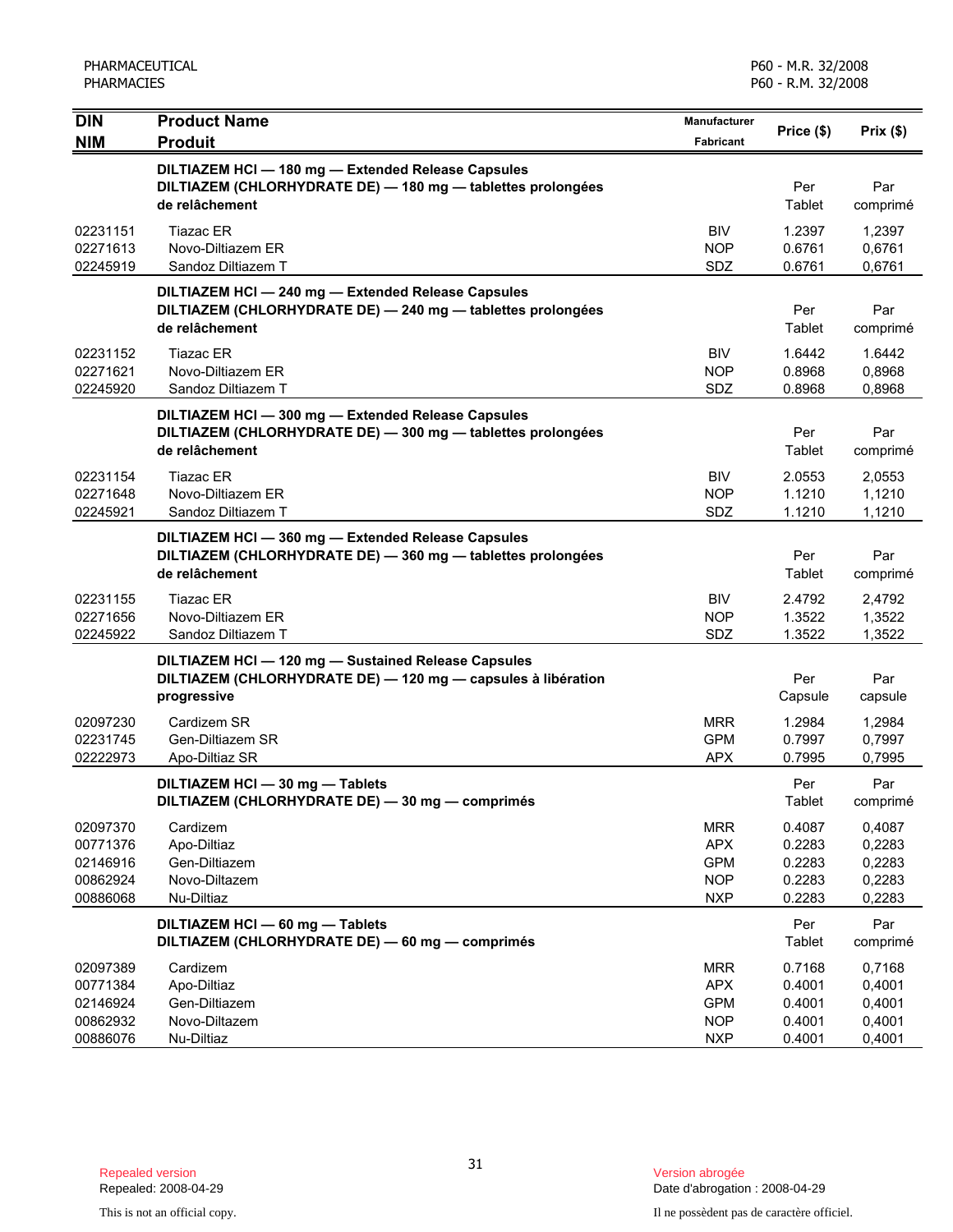| <b>DIN</b>                                               | <b>Product Name</b>                                                                                                                 | <b>Manufacturer</b>                                                | Price (\$)                                     | Prix(\$)                                       |
|----------------------------------------------------------|-------------------------------------------------------------------------------------------------------------------------------------|--------------------------------------------------------------------|------------------------------------------------|------------------------------------------------|
| <b>NIM</b>                                               | <b>Produit</b>                                                                                                                      | Fabricant                                                          |                                                |                                                |
|                                                          | DILTIAZEM HCI - 180 mg - Extended Release Capsules<br>DILTIAZEM (CHLORHYDRATE DE) - 180 mg - tablettes prolongées<br>de relâchement |                                                                    | Per<br>Tablet                                  | Par<br>comprimé                                |
| 02231151<br>02271613<br>02245919                         | <b>Tiazac ER</b><br>Novo-Diltiazem ER<br>Sandoz Diltiazem T                                                                         | <b>BIV</b><br><b>NOP</b><br>SDZ                                    | 1.2397<br>0.6761<br>0.6761                     | 1,2397<br>0,6761<br>0,6761                     |
|                                                          | DILTIAZEM HCI-240 mg-Extended Release Capsules<br>DILTIAZEM (CHLORHYDRATE DE) - 240 mg - tablettes prolongées<br>de relâchement     |                                                                    | Per<br>Tablet                                  | Par<br>comprimé                                |
| 02231152<br>02271621<br>02245920                         | <b>Tiazac ER</b><br>Novo-Diltiazem ER<br>Sandoz Diltiazem T                                                                         | <b>BIV</b><br><b>NOP</b><br>SDZ                                    | 1.6442<br>0.8968<br>0.8968                     | 1.6442<br>0,8968<br>0,8968                     |
|                                                          | DILTIAZEM HCI - 300 mg - Extended Release Capsules<br>DILTIAZEM (CHLORHYDRATE DE) - 300 mg - tablettes prolongées<br>de relâchement |                                                                    | Per<br>Tablet                                  | Par<br>comprimé                                |
| 02231154<br>02271648<br>02245921                         | <b>Tiazac ER</b><br>Novo-Diltiazem ER<br>Sandoz Diltiazem T                                                                         | <b>BIV</b><br><b>NOP</b><br>SDZ                                    | 2.0553<br>1.1210<br>1.1210                     | 2,0553<br>1,1210<br>1,1210                     |
|                                                          | DILTIAZEM HCI-360 mg-Extended Release Capsules<br>DILTIAZEM (CHLORHYDRATE DE) - 360 mg - tablettes prolongées<br>de relâchement     |                                                                    | Per<br>Tablet                                  | Par<br>comprimé                                |
| 02231155<br>02271656<br>02245922                         | Tiazac ER<br>Novo-Diltiazem ER<br>Sandoz Diltiazem T                                                                                | <b>BIV</b><br><b>NOP</b><br>SDZ                                    | 2.4792<br>1.3522<br>1.3522                     | 2,4792<br>1,3522<br>1,3522                     |
|                                                          | DILTIAZEM HCI - 120 mg - Sustained Release Capsules<br>DILTIAZEM (CHLORHYDRATE DE) - 120 mg - capsules à libération<br>progressive  |                                                                    | Per<br>Capsule                                 | Par<br>capsule                                 |
| 02097230<br>02231745<br>02222973                         | Cardizem SR<br>Gen-Diltiazem SR<br>Apo-Diltiaz SR                                                                                   | <b>MRR</b><br><b>GPM</b><br><b>APX</b>                             | 1.2984<br>0.7997<br>0.7995                     | 1,2984<br>0,7997<br>0,7995                     |
|                                                          | DILTIAZEM HCI - 30 mg - Tablets<br>DILTIAZEM (CHLORHYDRATE DE) - 30 mg - comprimés                                                  |                                                                    | Per<br>Tablet                                  | Par<br>comprimé                                |
| 02097370<br>00771376<br>02146916<br>00862924<br>00886068 | Cardizem<br>Apo-Diltiaz<br>Gen-Diltiazem<br>Novo-Diltazem<br>Nu-Diltiaz                                                             | <b>MRR</b><br><b>APX</b><br><b>GPM</b><br><b>NOP</b><br><b>NXP</b> | 0.4087<br>0.2283<br>0.2283<br>0.2283<br>0.2283 | 0,4087<br>0,2283<br>0,2283<br>0,2283<br>0,2283 |
|                                                          | DILTIAZEM HCI - 60 mg - Tablets<br>DILTIAZEM (CHLORHYDRATE DE) - 60 mg - comprimés                                                  |                                                                    | Per<br>Tablet                                  | Par<br>comprimé                                |
| 02097389<br>00771384<br>02146924<br>00862932<br>00886076 | Cardizem<br>Apo-Diltiaz<br>Gen-Diltiazem<br>Novo-Diltazem<br>Nu-Diltiaz                                                             | <b>MRR</b><br><b>APX</b><br><b>GPM</b><br><b>NOP</b><br><b>NXP</b> | 0.7168<br>0.4001<br>0.4001<br>0.4001<br>0.4001 | 0,7168<br>0,4001<br>0,4001<br>0,4001<br>0,4001 |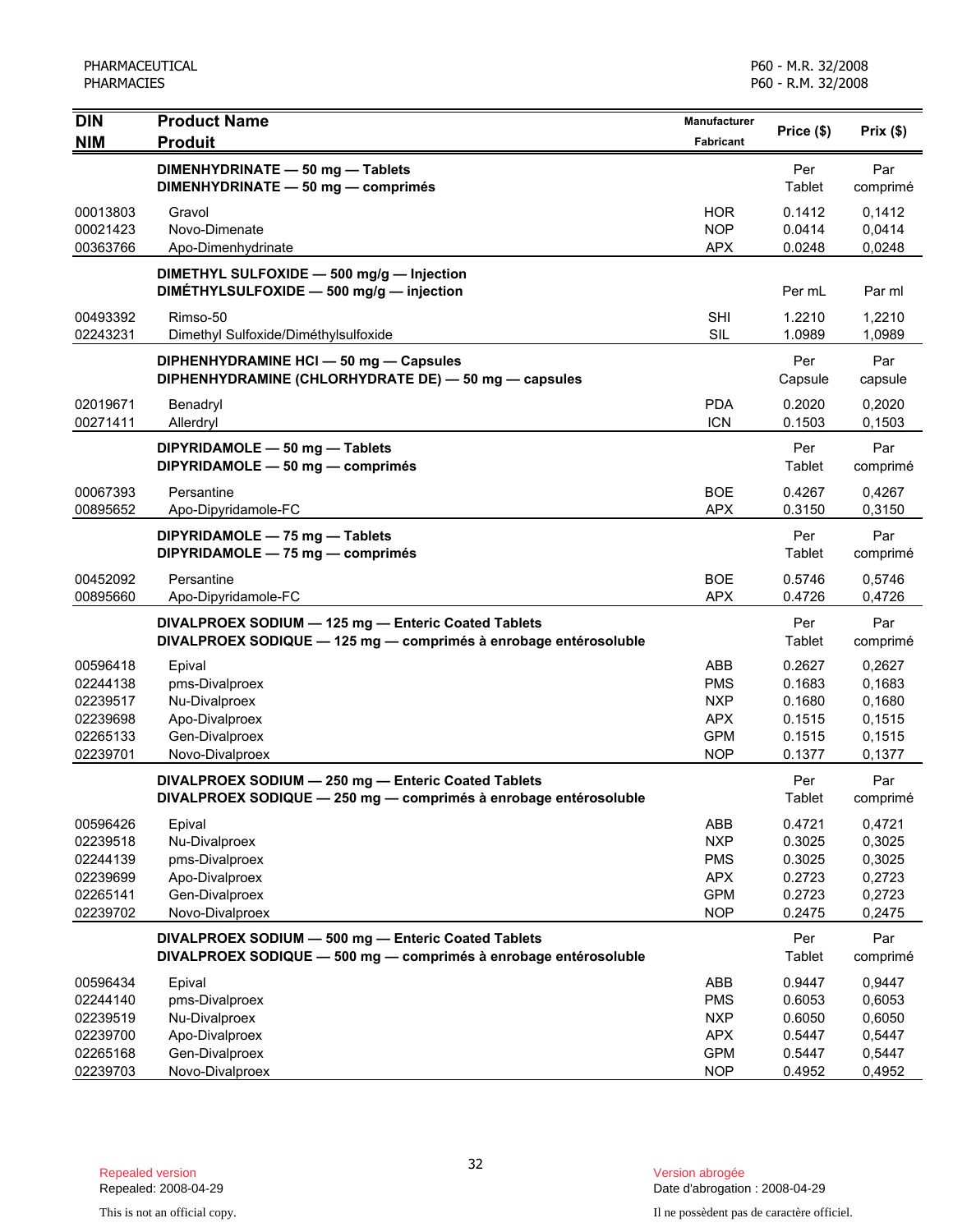| <b>DIN</b>                       | <b>Product Name</b>                                                                                                     | Manufacturer                           |                            |                            |
|----------------------------------|-------------------------------------------------------------------------------------------------------------------------|----------------------------------------|----------------------------|----------------------------|
| <b>NIM</b>                       | <b>Produit</b>                                                                                                          | <b>Fabricant</b>                       | Price (\$)                 | Prix(\$)                   |
|                                  | DIMENHYDRINATE - 50 mg - Tablets<br>DIMENHYDRINATE - 50 mg - comprimés                                                  |                                        | Per<br>Tablet              | Par<br>comprimé            |
| 00013803<br>00021423<br>00363766 | Gravol<br>Novo-Dimenate<br>Apo-Dimenhydrinate                                                                           | <b>HOR</b><br><b>NOP</b><br><b>APX</b> | 0.1412<br>0.0414<br>0.0248 | 0,1412<br>0,0414<br>0,0248 |
|                                  | DIMETHYL SULFOXIDE - 500 mg/g - Injection<br>DIMÉTHYLSULFOXIDE - 500 mg/g - injection                                   |                                        | Per mL                     | Par ml                     |
| 00493392<br>02243231             | Rimso-50<br>Dimethyl Sulfoxide/Diméthylsulfoxide                                                                        | <b>SHI</b><br>SIL                      | 1.2210<br>1.0989           | 1,2210<br>1,0989           |
|                                  | DIPHENHYDRAMINE HCI - 50 mg - Capsules<br>DIPHENHYDRAMINE (CHLORHYDRATE DE) - 50 mg - capsules                          |                                        | Per<br>Capsule             | Par<br>capsule             |
| 02019671<br>00271411             | Benadryl<br>Allerdryl                                                                                                   | <b>PDA</b><br><b>ICN</b>               | 0.2020<br>0.1503           | 0,2020<br>0,1503           |
|                                  | DIPYRIDAMOLE - 50 mg - Tablets<br>DIPYRIDAMOLE - 50 mg - comprimés                                                      |                                        | Per<br>Tablet              | Par<br>comprimé            |
| 00067393<br>00895652             | Persantine<br>Apo-Dipyridamole-FC                                                                                       | <b>BOE</b><br><b>APX</b>               | 0.4267<br>0.3150           | 0,4267<br>0,3150           |
|                                  | DIPYRIDAMOLE - 75 mg - Tablets<br>DIPYRIDAMOLE - 75 mg - comprimés                                                      |                                        | Per<br>Tablet              | Par<br>comprimé            |
| 00452092<br>00895660             | Persantine<br>Apo-Dipyridamole-FC                                                                                       | <b>BOE</b><br><b>APX</b>               | 0.5746<br>0.4726           | 0,5746<br>0,4726           |
|                                  | DIVALPROEX SODIUM - 125 mg - Enteric Coated Tablets<br>DIVALPROEX SODIQUE - 125 mg - comprimés à enrobage entérosoluble |                                        | Per<br>Tablet              | Par<br>comprimé            |
| 00596418                         | Epival                                                                                                                  | ABB                                    | 0.2627                     | 0,2627                     |
| 02244138                         | pms-Divalproex                                                                                                          | <b>PMS</b>                             | 0.1683                     | 0,1683                     |
| 02239517                         | Nu-Divalproex                                                                                                           | <b>NXP</b>                             | 0.1680                     | 0,1680                     |
| 02239698                         | Apo-Divalproex                                                                                                          | <b>APX</b>                             | 0.1515                     | 0,1515                     |
| 02265133                         | Gen-Divalproex                                                                                                          | <b>GPM</b>                             | 0.1515                     | 0,1515                     |
| 02239701                         | Novo-Divalproex                                                                                                         | <b>NOP</b>                             | 0.1377                     | 0,1377                     |
|                                  | DIVALPROEX SODIUM - 250 mg - Enteric Coated Tablets<br>DIVALPROEX SODIQUE - 250 mg - comprimés à enrobage entérosoluble |                                        | Per<br>Tablet              | Par<br>comprimé            |
| 00596426                         | Epival                                                                                                                  | ABB                                    | 0.4721                     | 0,4721                     |
| 02239518                         | Nu-Divalproex                                                                                                           | <b>NXP</b>                             | 0.3025                     | 0,3025                     |
| 02244139                         | pms-Divalproex                                                                                                          | <b>PMS</b>                             | 0.3025                     | 0,3025                     |
| 02239699                         | Apo-Divalproex                                                                                                          | <b>APX</b>                             | 0.2723                     | 0,2723                     |
| 02265141<br>02239702             | Gen-Divalproex<br>Novo-Divalproex                                                                                       | <b>GPM</b><br><b>NOP</b>               | 0.2723<br>0.2475           | 0,2723<br>0,2475           |
|                                  |                                                                                                                         |                                        |                            |                            |
|                                  | DIVALPROEX SODIUM - 500 mg - Enteric Coated Tablets<br>DIVALPROEX SODIQUE - 500 mg - comprimés à enrobage entérosoluble |                                        | Per<br>Tablet              | Par<br>comprimé            |
| 00596434                         | Epival                                                                                                                  | ABB                                    | 0.9447                     | 0,9447                     |
| 02244140                         | pms-Divalproex                                                                                                          | <b>PMS</b>                             | 0.6053                     | 0,6053                     |
| 02239519                         | Nu-Divalproex                                                                                                           | <b>NXP</b>                             | 0.6050                     | 0,6050                     |
| 02239700                         | Apo-Divalproex                                                                                                          | <b>APX</b>                             | 0.5447                     | 0,5447<br>0,5447           |
| 02265168<br>02239703             | Gen-Divalproex<br>Novo-Divalproex                                                                                       | <b>GPM</b><br><b>NOP</b>               | 0.5447<br>0.4952           | 0,4952                     |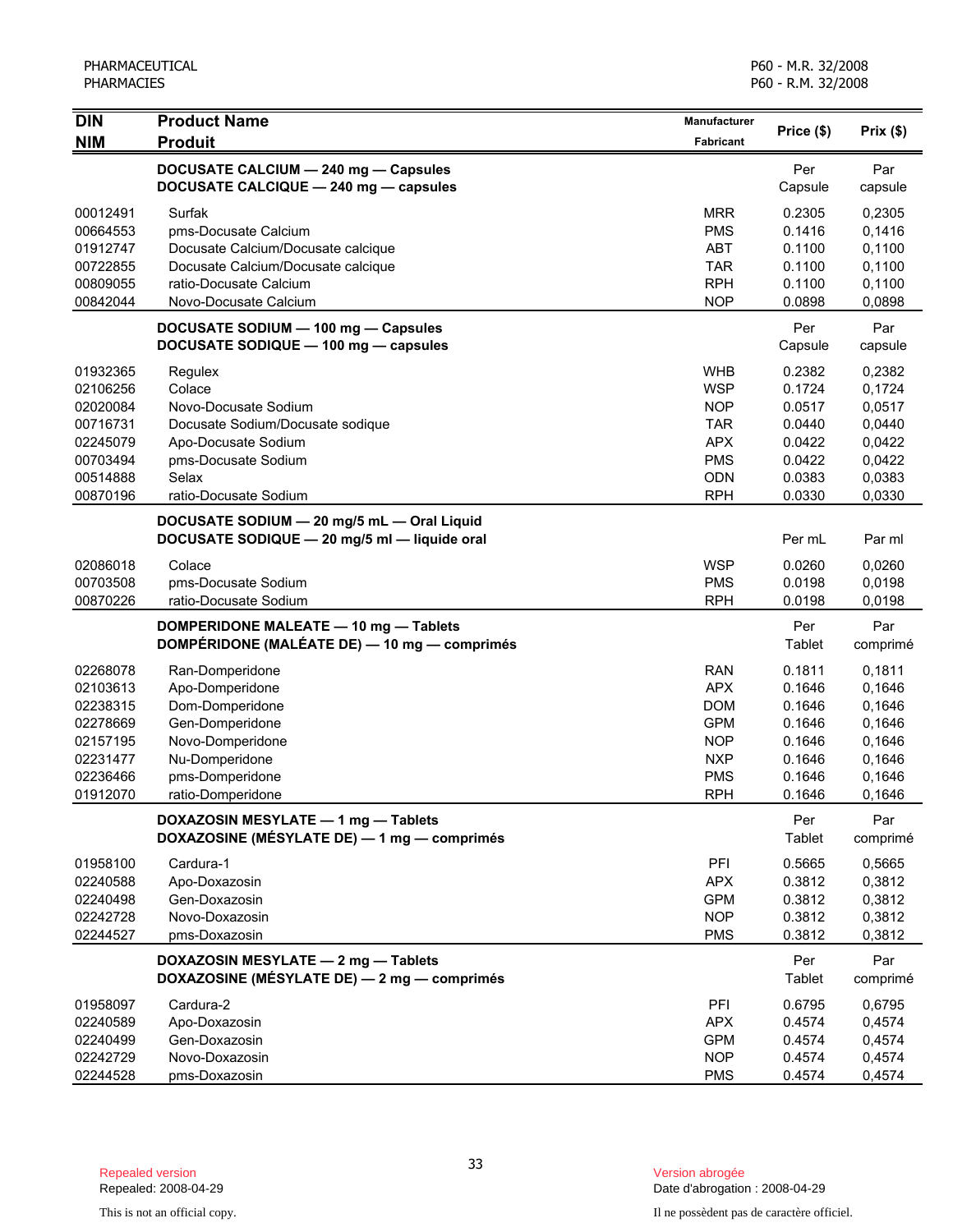| <b>DIN</b> | <b>Product Name</b>                                                                        | Manufacturer     |                |                |
|------------|--------------------------------------------------------------------------------------------|------------------|----------------|----------------|
| <b>NIM</b> | <b>Produit</b>                                                                             | <b>Fabricant</b> | Price (\$)     | Prix(\$)       |
|            | DOCUSATE CALCIUM - 240 mg - Capsules                                                       |                  | Per            | Par            |
|            | DOCUSATE CALCIQUE - 240 mg - capsules                                                      |                  | Capsule        | capsule        |
| 00012491   | Surfak                                                                                     | <b>MRR</b>       | 0.2305         | 0,2305         |
| 00664553   | pms-Docusate Calcium                                                                       | <b>PMS</b>       | 0.1416         | 0,1416         |
| 01912747   | Docusate Calcium/Docusate calcique                                                         | <b>ABT</b>       | 0.1100         | 0,1100         |
| 00722855   | Docusate Calcium/Docusate calcique                                                         | <b>TAR</b>       | 0.1100         | 0,1100         |
| 00809055   | ratio-Docusate Calcium                                                                     | <b>RPH</b>       | 0.1100         | 0,1100         |
| 00842044   | Novo-Docusate Calcium                                                                      | <b>NOP</b>       | 0.0898         | 0,0898         |
|            | DOCUSATE SODIUM - 100 mg - Capsules<br>DOCUSATE SODIQUE - 100 mg - capsules                |                  | Per<br>Capsule | Par<br>capsule |
| 01932365   | Regulex                                                                                    | <b>WHB</b>       | 0.2382         | 0,2382         |
| 02106256   | Colace                                                                                     | <b>WSP</b>       | 0.1724         | 0,1724         |
| 02020084   | Novo-Docusate Sodium                                                                       | <b>NOP</b>       | 0.0517         | 0,0517         |
| 00716731   | Docusate Sodium/Docusate sodique                                                           | <b>TAR</b>       | 0.0440         | 0,0440         |
| 02245079   | Apo-Docusate Sodium                                                                        | <b>APX</b>       | 0.0422         | 0,0422         |
| 00703494   | pms-Docusate Sodium                                                                        | <b>PMS</b>       | 0.0422         | 0,0422         |
| 00514888   | Selax                                                                                      | ODN              | 0.0383         | 0,0383         |
| 00870196   | ratio-Docusate Sodium                                                                      | <b>RPH</b>       | 0.0330         | 0,0330         |
|            | DOCUSATE SODIUM - 20 mg/5 mL - Oral Liquid<br>DOCUSATE SODIQUE - 20 mg/5 ml - liquide oral |                  | Per mL         | Par ml         |
|            |                                                                                            |                  |                |                |
| 02086018   | Colace                                                                                     | <b>WSP</b>       | 0.0260         | 0,0260         |
| 00703508   | pms-Docusate Sodium                                                                        | <b>PMS</b>       | 0.0198         | 0,0198         |
| 00870226   | ratio-Docusate Sodium                                                                      | <b>RPH</b>       | 0.0198         | 0,0198         |
|            | DOMPERIDONE MALEATE - 10 mg - Tablets                                                      |                  | Per            | Par            |
|            | DOMPÉRIDONE (MALÉATE DE) — 10 mg — comprimés                                               |                  | Tablet         | comprimé       |
| 02268078   | Ran-Domperidone                                                                            | <b>RAN</b>       | 0.1811         | 0,1811         |
| 02103613   | Apo-Domperidone                                                                            | <b>APX</b>       | 0.1646         | 0,1646         |
| 02238315   | Dom-Domperidone                                                                            | <b>DOM</b>       | 0.1646         | 0,1646         |
| 02278669   | Gen-Domperidone                                                                            | <b>GPM</b>       | 0.1646         | 0,1646         |
| 02157195   | Novo-Domperidone                                                                           | <b>NOP</b>       | 0.1646         | 0,1646         |
| 02231477   | Nu-Domperidone                                                                             | <b>NXP</b>       | 0.1646         | 0,1646         |
| 02236466   | pms-Domperidone                                                                            | <b>PMS</b>       | 0.1646         | 0,1646         |
| 01912070   | ratio-Domperidone                                                                          | <b>RPH</b>       | 0.1646         | 0,1646         |
|            | DOXAZOSIN MESYLATE - 1 mg - Tablets                                                        |                  | Per            | Par            |
|            | DOXAZOSINE (MÉSYLATE DE) - 1 mg - comprimés                                                |                  | Tablet         | comprimé       |
| 01958100   | Cardura-1                                                                                  | PFI              | 0.5665         | 0,5665         |
| 02240588   | Apo-Doxazosin                                                                              | <b>APX</b>       | 0.3812         | 0,3812         |
| 02240498   | Gen-Doxazosin                                                                              | <b>GPM</b>       | 0.3812         | 0,3812         |
| 02242728   | Novo-Doxazosin                                                                             | <b>NOP</b>       | 0.3812         | 0,3812         |
| 02244527   | pms-Doxazosin                                                                              | <b>PMS</b>       | 0.3812         | 0,3812         |
|            | DOXAZOSIN MESYLATE - 2 mg - Tablets                                                        |                  | Per            | Par            |
|            | DOXAZOSINE (MÉSYLATE DE) - 2 mg - comprimés                                                |                  | Tablet         | comprimé       |
| 01958097   | Cardura-2                                                                                  | PFI              | 0.6795         | 0,6795         |
| 02240589   | Apo-Doxazosin                                                                              | <b>APX</b>       | 0.4574         | 0,4574         |
| 02240499   | Gen-Doxazosin                                                                              | <b>GPM</b>       | 0.4574         | 0,4574         |
| 02242729   | Novo-Doxazosin                                                                             | <b>NOP</b>       | 0.4574         | 0,4574         |
| 02244528   | pms-Doxazosin                                                                              | <b>PMS</b>       | 0.4574         | 0,4574         |

Date d'abrogation : 2008-04-29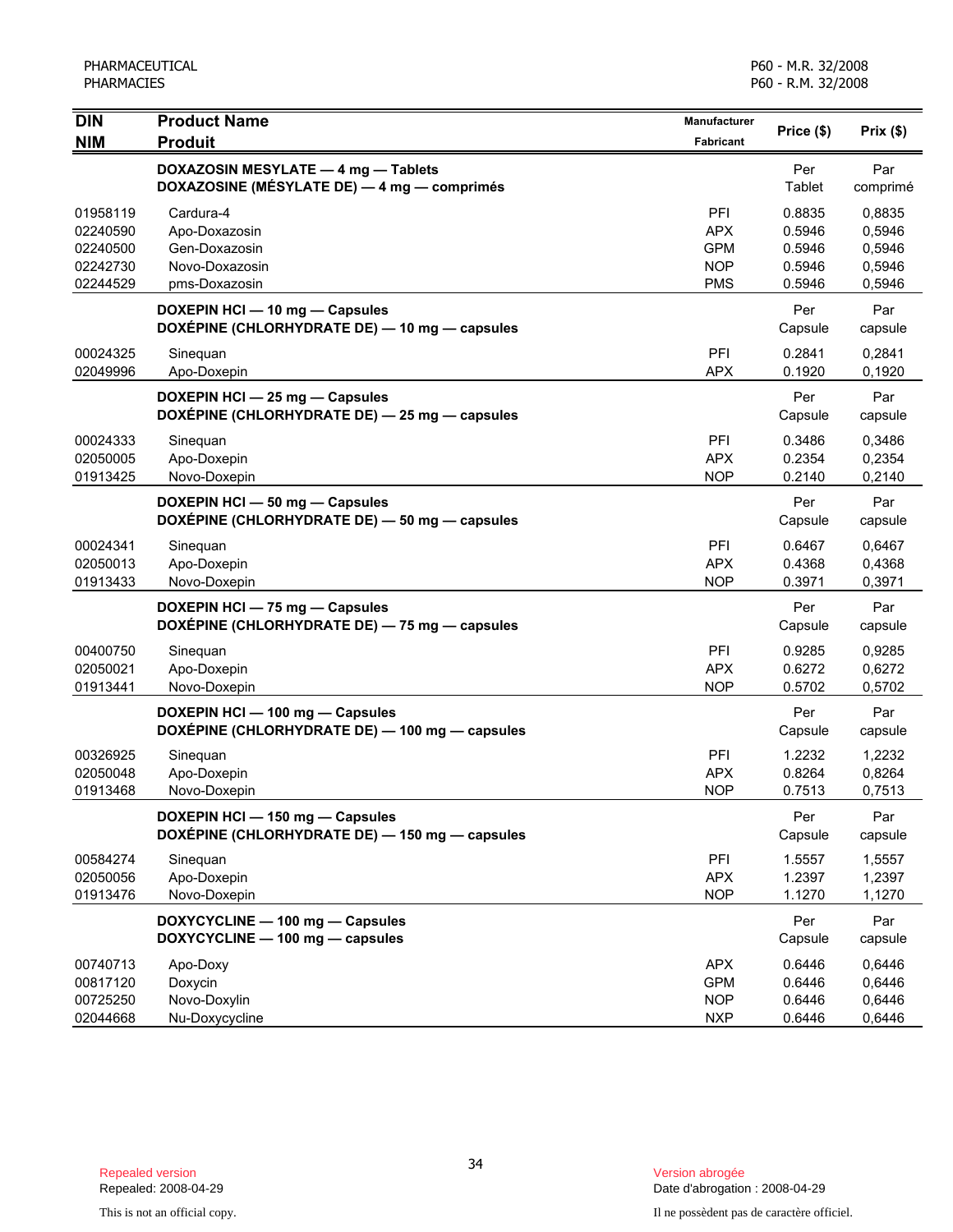| $\overline{D}$<br><b>Product Name</b>                                              | <b>Manufacturer</b>      | Price (\$)       | Prix(\$)         |
|------------------------------------------------------------------------------------|--------------------------|------------------|------------------|
| <b>NIM</b><br><b>Produit</b>                                                       | Fabricant                |                  |                  |
| DOXAZOSIN MESYLATE - 4 mg - Tablets<br>DOXAZOSINE (MÉSYLATE DE) - 4 mg - comprimés |                          | Per<br>Tablet    | Par<br>comprimé  |
| Cardura-4<br>01958119                                                              | PFI                      | 0.8835           | 0,8835           |
| 02240590<br>Apo-Doxazosin                                                          | <b>APX</b>               | 0.5946           | 0,5946           |
| Gen-Doxazosin<br>02240500<br>Novo-Doxazosin                                        | <b>GPM</b>               | 0.5946           | 0,5946           |
| 02242730<br>02244529<br>pms-Doxazosin                                              | <b>NOP</b><br><b>PMS</b> | 0.5946<br>0.5946 | 0,5946<br>0,5946 |
| DOXEPIN HCI - 10 mg - Capsules<br>DOXÉPINE (CHLORHYDRATE DE) - 10 mg - capsules    |                          | Per<br>Capsule   | Par<br>capsule   |
| 00024325<br>Sinequan                                                               | PFI                      | 0.2841           | 0,2841           |
| 02049996<br>Apo-Doxepin                                                            | <b>APX</b>               | 0.1920           | 0,1920           |
| DOXEPIN HCI - 25 mg - Capsules<br>DOXÉPINE (CHLORHYDRATE DE) - 25 mg - capsules    |                          | Per<br>Capsule   | Par<br>capsule   |
| 00024333<br>Sinequan                                                               | <b>PFI</b>               | 0.3486           | 0,3486           |
| Apo-Doxepin<br>02050005                                                            | <b>APX</b>               | 0.2354           | 0,2354           |
| Novo-Doxepin<br>01913425                                                           | <b>NOP</b>               | 0.2140           | 0,2140           |
| DOXEPIN HCI - 50 mg - Capsules<br>DOXÉPINE (CHLORHYDRATE DE) - 50 mg - capsules    |                          | Per<br>Capsule   | Par<br>capsule   |
| 00024341<br>Sinequan                                                               | <b>PFI</b>               | 0.6467           | 0,6467           |
| Apo-Doxepin<br>02050013                                                            | <b>APX</b>               | 0.4368           | 0,4368           |
| 01913433<br>Novo-Doxepin                                                           | <b>NOP</b>               | 0.3971           | 0,3971           |
| DOXEPIN HCI - 75 mg - Capsules<br>DOXÉPINE (CHLORHYDRATE DE) - 75 mg - capsules    |                          | Per<br>Capsule   | Par<br>capsule   |
| 00400750<br>Sinequan                                                               | PFI                      | 0.9285           | 0,9285           |
| Apo-Doxepin<br>02050021                                                            | <b>APX</b>               | 0.6272           | 0,6272           |
| Novo-Doxepin<br>01913441                                                           | <b>NOP</b>               | 0.5702           | 0,5702           |
| DOXEPIN HCI - 100 mg - Capsules<br>DOXÉPINE (CHLORHYDRATE DE) - 100 mg - capsules  |                          | Per<br>Capsule   | Par<br>capsule   |
| 00326925<br>Sinequan                                                               | <b>PFI</b>               | 1.2232           | 1,2232           |
| 02050048<br>Apo-Doxepin                                                            | <b>APX</b>               | 0.8264           | 0,8264           |
| 01913468<br>Novo-Doxepin                                                           | <b>NOP</b>               | 0.7513           | 0,7513           |
| DOXEPIN HCI - 150 mg - Capsules<br>DOXÉPINE (CHLORHYDRATE DE) - 150 mg - capsules  |                          | Per<br>Capsule   | Par<br>capsule   |
| 00584274<br>Sinequan                                                               | PFI                      | 1.5557           | 1,5557           |
| Apo-Doxepin<br>02050056                                                            | <b>APX</b>               | 1.2397           | 1,2397           |
| Novo-Doxepin<br>01913476                                                           | <b>NOP</b>               | 1.1270           | 1,1270           |
| DOXYCYCLINE - 100 mg - Capsules<br>DOXYCYCLINE - 100 mg - capsules                 |                          | Per<br>Capsule   | Par<br>capsule   |
| 00740713<br>Apo-Doxy                                                               | <b>APX</b>               | 0.6446           | 0,6446           |
| Doxycin<br>00817120                                                                | <b>GPM</b>               | 0.6446           | 0,6446           |
| 00725250<br>Novo-Doxylin<br>02044668<br>Nu-Doxycycline                             | <b>NOP</b><br><b>NXP</b> | 0.6446<br>0.6446 | 0,6446<br>0,6446 |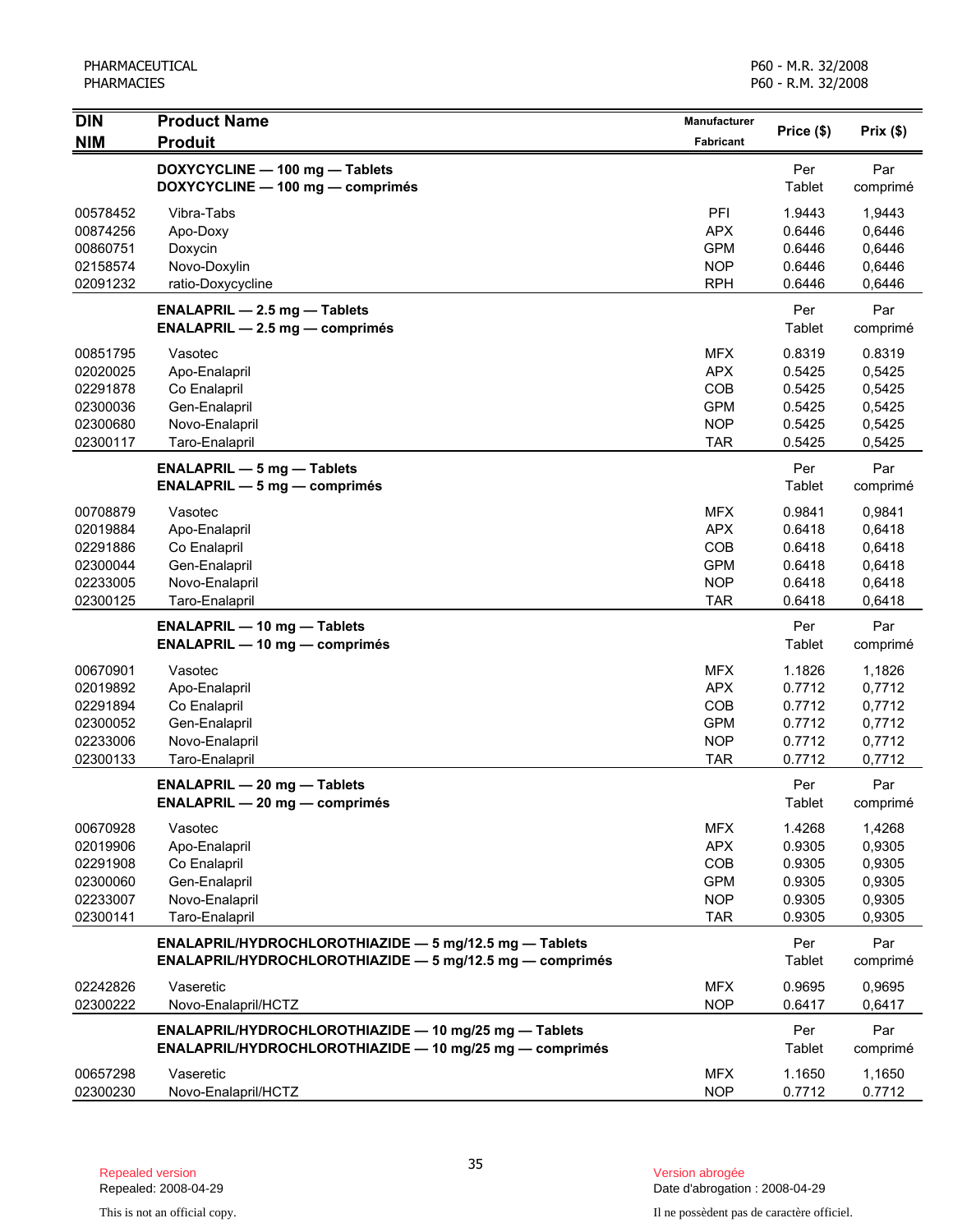| Price (\$)<br><b>NIM</b><br><b>Produit</b><br><b>Fabricant</b><br>DOXYCYCLINE - 100 mg - Tablets<br>Per<br>Par<br>DOXYCYCLINE - 100 mg - comprimés<br>Tablet<br>comprimé<br>PFI<br>00578452<br>Vibra-Tabs<br>1.9443<br>1,9443<br><b>APX</b><br>00874256<br>Apo-Doxy<br>0.6446<br>0,6446<br>Doxycin<br><b>GPM</b><br>0,6446<br>00860751<br>0.6446<br>Novo-Doxylin<br><b>NOP</b><br>0,6446<br>02158574<br>0.6446<br><b>RPH</b><br>02091232<br>0.6446<br>0,6446<br>ratio-Doxycycline<br>Par<br>Per<br><b>ENALAPRIL - 2.5 mg - Tablets</b><br><b>Tablet</b><br>$ENALAPRIL - 2.5 mg - comprimés$<br>comprimé<br>00851795<br><b>MFX</b><br>0.8319<br>0.8319<br>Vasotec<br><b>APX</b><br>02020025<br>Apo-Enalapril<br>0.5425<br>0,5425<br>COB<br>02291878<br>Co Enalapril<br>0.5425<br>0,5425<br><b>GPM</b><br>0.5425<br>02300036<br>Gen-Enalapril<br>0,5425 | Prix(\$) |
|-------------------------------------------------------------------------------------------------------------------------------------------------------------------------------------------------------------------------------------------------------------------------------------------------------------------------------------------------------------------------------------------------------------------------------------------------------------------------------------------------------------------------------------------------------------------------------------------------------------------------------------------------------------------------------------------------------------------------------------------------------------------------------------------------------------------------------------------------------|----------|
|                                                                                                                                                                                                                                                                                                                                                                                                                                                                                                                                                                                                                                                                                                                                                                                                                                                       |          |
|                                                                                                                                                                                                                                                                                                                                                                                                                                                                                                                                                                                                                                                                                                                                                                                                                                                       |          |
|                                                                                                                                                                                                                                                                                                                                                                                                                                                                                                                                                                                                                                                                                                                                                                                                                                                       |          |
|                                                                                                                                                                                                                                                                                                                                                                                                                                                                                                                                                                                                                                                                                                                                                                                                                                                       |          |
|                                                                                                                                                                                                                                                                                                                                                                                                                                                                                                                                                                                                                                                                                                                                                                                                                                                       |          |
|                                                                                                                                                                                                                                                                                                                                                                                                                                                                                                                                                                                                                                                                                                                                                                                                                                                       |          |
|                                                                                                                                                                                                                                                                                                                                                                                                                                                                                                                                                                                                                                                                                                                                                                                                                                                       |          |
|                                                                                                                                                                                                                                                                                                                                                                                                                                                                                                                                                                                                                                                                                                                                                                                                                                                       |          |
|                                                                                                                                                                                                                                                                                                                                                                                                                                                                                                                                                                                                                                                                                                                                                                                                                                                       |          |
|                                                                                                                                                                                                                                                                                                                                                                                                                                                                                                                                                                                                                                                                                                                                                                                                                                                       |          |
|                                                                                                                                                                                                                                                                                                                                                                                                                                                                                                                                                                                                                                                                                                                                                                                                                                                       |          |
|                                                                                                                                                                                                                                                                                                                                                                                                                                                                                                                                                                                                                                                                                                                                                                                                                                                       |          |
|                                                                                                                                                                                                                                                                                                                                                                                                                                                                                                                                                                                                                                                                                                                                                                                                                                                       |          |
|                                                                                                                                                                                                                                                                                                                                                                                                                                                                                                                                                                                                                                                                                                                                                                                                                                                       |          |
| <b>NOP</b><br>02300680<br>Novo-Enalapril<br>0.5425<br>0,5425                                                                                                                                                                                                                                                                                                                                                                                                                                                                                                                                                                                                                                                                                                                                                                                          |          |
| 02300117<br>Taro-Enalapril<br><b>TAR</b><br>0.5425<br>0,5425                                                                                                                                                                                                                                                                                                                                                                                                                                                                                                                                                                                                                                                                                                                                                                                          |          |
| Per<br>Par<br><b>ENALAPRIL - 5 mg - Tablets</b>                                                                                                                                                                                                                                                                                                                                                                                                                                                                                                                                                                                                                                                                                                                                                                                                       |          |
| $ENALAPRIL - 5 mg - comprimés$<br>Tablet<br>comprimé                                                                                                                                                                                                                                                                                                                                                                                                                                                                                                                                                                                                                                                                                                                                                                                                  |          |
| 00708879<br>Vasotec<br><b>MFX</b><br>0.9841<br>0,9841                                                                                                                                                                                                                                                                                                                                                                                                                                                                                                                                                                                                                                                                                                                                                                                                 |          |
| <b>APX</b><br>02019884<br>0.6418<br>0,6418<br>Apo-Enalapril                                                                                                                                                                                                                                                                                                                                                                                                                                                                                                                                                                                                                                                                                                                                                                                           |          |
| COB<br>0.6418<br>0,6418<br>02291886<br>Co Enalapril                                                                                                                                                                                                                                                                                                                                                                                                                                                                                                                                                                                                                                                                                                                                                                                                   |          |
| <b>GPM</b><br>0.6418<br>02300044<br>Gen-Enalapril<br>0,6418                                                                                                                                                                                                                                                                                                                                                                                                                                                                                                                                                                                                                                                                                                                                                                                           |          |
| <b>NOP</b><br>0.6418<br>0,6418<br>02233005<br>Novo-Enalapril                                                                                                                                                                                                                                                                                                                                                                                                                                                                                                                                                                                                                                                                                                                                                                                          |          |
| 02300125<br>Taro-Enalapril<br><b>TAR</b><br>0.6418<br>0,6418                                                                                                                                                                                                                                                                                                                                                                                                                                                                                                                                                                                                                                                                                                                                                                                          |          |
| Per<br>Par<br><b>ENALAPRIL - 10 mg - Tablets</b>                                                                                                                                                                                                                                                                                                                                                                                                                                                                                                                                                                                                                                                                                                                                                                                                      |          |
| Tablet<br><b>ENALAPRIL — 10 mg — comprimés</b><br>comprimé                                                                                                                                                                                                                                                                                                                                                                                                                                                                                                                                                                                                                                                                                                                                                                                            |          |
| 00670901<br>Vasotec<br><b>MFX</b><br>1.1826<br>1,1826                                                                                                                                                                                                                                                                                                                                                                                                                                                                                                                                                                                                                                                                                                                                                                                                 |          |
| <b>APX</b><br>02019892<br>Apo-Enalapril<br>0.7712<br>0,7712                                                                                                                                                                                                                                                                                                                                                                                                                                                                                                                                                                                                                                                                                                                                                                                           |          |
| COB<br>02291894<br>Co Enalapril<br>0.7712<br>0,7712                                                                                                                                                                                                                                                                                                                                                                                                                                                                                                                                                                                                                                                                                                                                                                                                   |          |
| <b>GPM</b><br>0.7712<br>02300052<br>Gen-Enalapril<br>0,7712                                                                                                                                                                                                                                                                                                                                                                                                                                                                                                                                                                                                                                                                                                                                                                                           |          |
| <b>NOP</b><br>0.7712<br>02233006<br>Novo-Enalapril<br>0,7712                                                                                                                                                                                                                                                                                                                                                                                                                                                                                                                                                                                                                                                                                                                                                                                          |          |
| 02300133<br>0.7712<br>0,7712<br>Taro-Enalapril<br><b>TAR</b>                                                                                                                                                                                                                                                                                                                                                                                                                                                                                                                                                                                                                                                                                                                                                                                          |          |
| Per<br>Par<br><b>ENALAPRIL - 20 mg - Tablets</b>                                                                                                                                                                                                                                                                                                                                                                                                                                                                                                                                                                                                                                                                                                                                                                                                      |          |
| <b>ENALAPRIL - 20 mg - comprimés</b><br>Tablet<br>comprimé                                                                                                                                                                                                                                                                                                                                                                                                                                                                                                                                                                                                                                                                                                                                                                                            |          |
| <b>MFX</b><br>1.4268<br>1,4268<br>00670928<br>Vasotec                                                                                                                                                                                                                                                                                                                                                                                                                                                                                                                                                                                                                                                                                                                                                                                                 |          |
| 02019906<br>Apo-Enalapril<br><b>APX</b><br>0.9305<br>0,9305                                                                                                                                                                                                                                                                                                                                                                                                                                                                                                                                                                                                                                                                                                                                                                                           |          |
| 02291908<br>Co Enalapril<br>COB<br>0.9305<br>0,9305                                                                                                                                                                                                                                                                                                                                                                                                                                                                                                                                                                                                                                                                                                                                                                                                   |          |
| 02300060<br>Gen-Enalapril<br><b>GPM</b><br>0.9305<br>0,9305                                                                                                                                                                                                                                                                                                                                                                                                                                                                                                                                                                                                                                                                                                                                                                                           |          |
| <b>NOP</b><br>0.9305<br>0,9305<br>02233007<br>Novo-Enalapril                                                                                                                                                                                                                                                                                                                                                                                                                                                                                                                                                                                                                                                                                                                                                                                          |          |
| Taro-Enalapril<br>02300141<br><b>TAR</b><br>0.9305<br>0,9305                                                                                                                                                                                                                                                                                                                                                                                                                                                                                                                                                                                                                                                                                                                                                                                          |          |
| Per<br>ENALAPRIL/HYDROCHLOROTHIAZIDE - 5 mg/12.5 mg - Tablets<br>Par                                                                                                                                                                                                                                                                                                                                                                                                                                                                                                                                                                                                                                                                                                                                                                                  |          |
| ENALAPRIL/HYDROCHLOROTHIAZIDE - 5 mg/12.5 mg - comprimés<br>Tablet<br>comprimé                                                                                                                                                                                                                                                                                                                                                                                                                                                                                                                                                                                                                                                                                                                                                                        |          |
| Vaseretic<br><b>MFX</b><br>0.9695<br>0,9695<br>02242826                                                                                                                                                                                                                                                                                                                                                                                                                                                                                                                                                                                                                                                                                                                                                                                               |          |
| 02300222<br><b>NOP</b><br>0.6417<br>0,6417<br>Novo-Enalapril/HCTZ                                                                                                                                                                                                                                                                                                                                                                                                                                                                                                                                                                                                                                                                                                                                                                                     |          |
| ENALAPRIL/HYDROCHLOROTHIAZIDE - 10 mg/25 mg - Tablets<br>Per<br>Par                                                                                                                                                                                                                                                                                                                                                                                                                                                                                                                                                                                                                                                                                                                                                                                   |          |
| ENALAPRIL/HYDROCHLOROTHIAZIDE - 10 mg/25 mg - comprimés<br>Tablet<br>comprimé                                                                                                                                                                                                                                                                                                                                                                                                                                                                                                                                                                                                                                                                                                                                                                         |          |
| <b>MFX</b><br>1.1650<br>00657298<br>Vaseretic<br>1,1650                                                                                                                                                                                                                                                                                                                                                                                                                                                                                                                                                                                                                                                                                                                                                                                               |          |
| <b>NOP</b><br>0.7712<br>02300230<br>Novo-Enalapril/HCTZ<br>0.7712                                                                                                                                                                                                                                                                                                                                                                                                                                                                                                                                                                                                                                                                                                                                                                                     |          |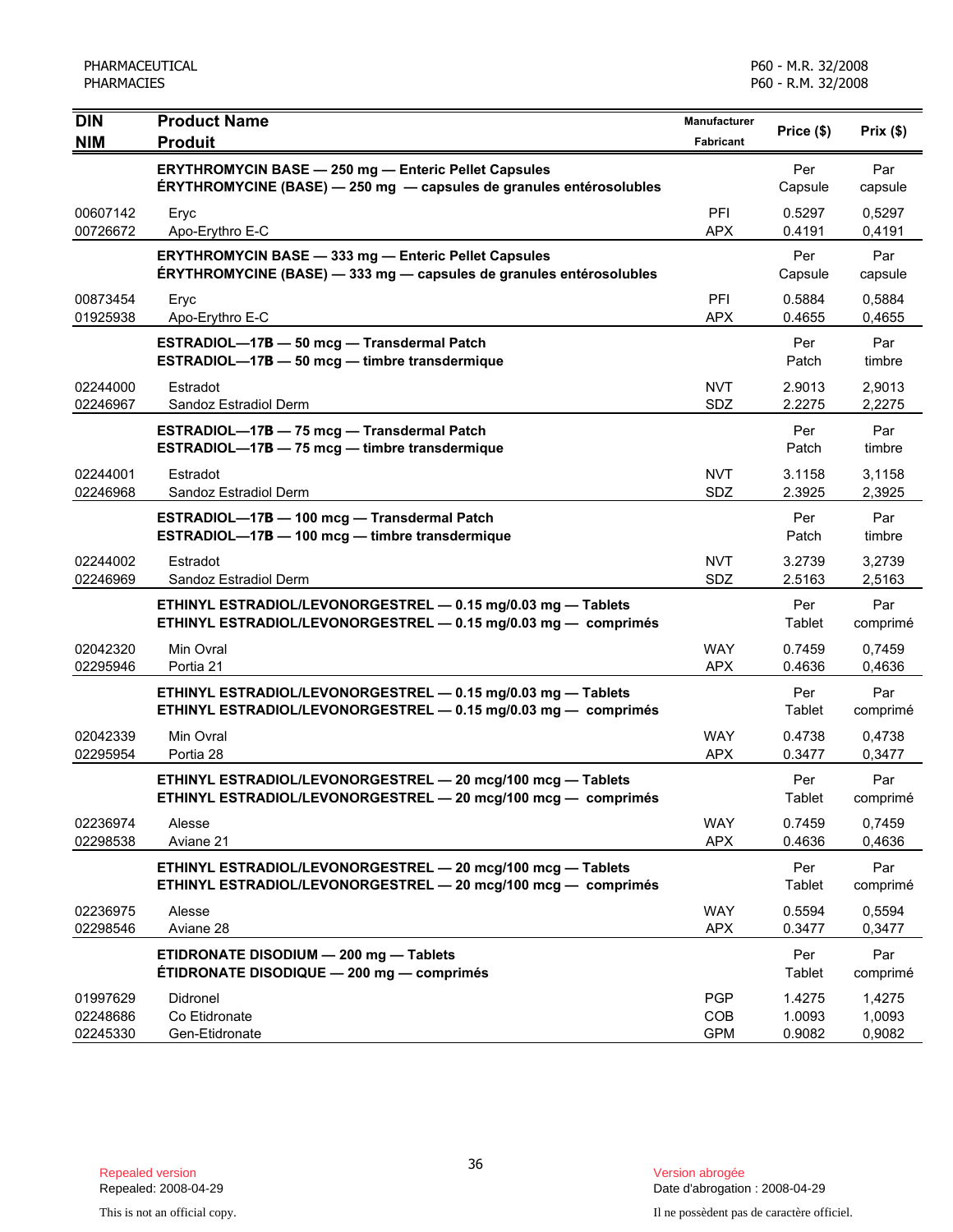| <b>DIN</b>                       | <b>Product Name</b>                                                                                                                | Manufacturer                    | Price (\$)                 | Prix(\$)                   |
|----------------------------------|------------------------------------------------------------------------------------------------------------------------------------|---------------------------------|----------------------------|----------------------------|
| <b>NIM</b>                       | <b>Produit</b>                                                                                                                     | Fabricant                       |                            |                            |
|                                  | <b>ERYTHROMYCIN BASE - 250 mg - Enteric Pellet Capsules</b><br>ERYTHROMYCINE (BASE) - 250 mg - capsules de granules entérosolubles |                                 | Per<br>Capsule             | Par<br>capsule             |
| 00607142<br>00726672             | Eryc<br>Apo-Erythro E-C                                                                                                            | PFI<br><b>APX</b>               | 0.5297<br>0.4191           | 0,5297<br>0,4191           |
|                                  | <b>ERYTHROMYCIN BASE - 333 mg - Enteric Pellet Capsules</b><br>ÉRYTHROMYCINE (BASE) - 333 mg - capsules de granules entérosolubles |                                 | Per<br>Capsule             | Par<br>capsule             |
| 00873454<br>01925938             | Eryc<br>Apo-Erythro E-C                                                                                                            | PFI<br><b>APX</b>               | 0.5884<br>0.4655           | 0.5884<br>0,4655           |
|                                  | ESTRADIOL-17B - 50 mcg - Transdermal Patch<br>ESTRADIOL-17B - 50 mcg - timbre transdermique                                        |                                 | Per<br>Patch               | Par<br>timbre              |
| 02244000<br>02246967             | Estradot<br>Sandoz Estradiol Derm                                                                                                  | <b>NVT</b><br>SDZ               | 2.9013<br>2.2275           | 2,9013<br>2,2275           |
|                                  | ESTRADIOL-17B - 75 mcg - Transdermal Patch<br>ESTRADIOL-17B - 75 mcg - timbre transdermique                                        |                                 | Per<br>Patch               | Par<br>timbre              |
| 02244001<br>02246968             | Estradot<br>Sandoz Estradiol Derm                                                                                                  | <b>NVT</b><br><b>SDZ</b>        | 3.1158<br>2.3925           | 3,1158<br>2,3925           |
|                                  | ESTRADIOL-17B - 100 mcg - Transdermal Patch<br>ESTRADIOL-17B - 100 mcg - timbre transdermique                                      |                                 | Per<br>Patch               | Par<br>timbre              |
| 02244002<br>02246969             | Estradot<br>Sandoz Estradiol Derm                                                                                                  | <b>NVT</b><br>SDZ               | 3.2739<br>2.5163           | 3,2739<br>2,5163           |
|                                  | ETHINYL ESTRADIOL/LEVONORGESTREL - 0.15 mg/0.03 mg - Tablets<br>ETHINYL ESTRADIOL/LEVONORGESTREL - 0.15 mg/0.03 mg - comprimés     |                                 | Per<br>Tablet              | Par<br>comprimé            |
| 02042320<br>02295946             | Min Ovral<br>Portia 21                                                                                                             | <b>WAY</b><br><b>APX</b>        | 0.7459<br>0.4636           | 0,7459<br>0,4636           |
|                                  | ETHINYL ESTRADIOL/LEVONORGESTREL - 0.15 mg/0.03 mg - Tablets<br>ETHINYL ESTRADIOL/LEVONORGESTREL - 0.15 mg/0.03 mg - comprimés     |                                 | Per<br>Tablet              | Par<br>comprimé            |
| 02042339<br>02295954             | Min Ovral<br>Portia 28                                                                                                             | <b>WAY</b><br><b>APX</b>        | 0.4738<br>0.3477           | 0,4738<br>0,3477           |
|                                  | ETHINYL ESTRADIOL/LEVONORGESTREL - 20 mcg/100 mcg - Tablets<br>ETHINYL ESTRADIOL/LEVONORGESTREL - 20 mcg/100 mcg - comprimés       |                                 | Per<br>Tablet              | Par<br>comprimé            |
| 02236974<br>02298538             | Alesse<br>Aviane 21                                                                                                                | <b>WAY</b><br><b>APX</b>        | 0.7459<br>0.4636           | 0,7459<br>0,4636           |
|                                  | ETHINYL ESTRADIOL/LEVONORGESTREL - 20 mcg/100 mcg - Tablets<br>ETHINYL ESTRADIOL/LEVONORGESTREL - 20 mcg/100 mcg - comprimés       |                                 | Per<br>Tablet              | Par<br>comprimé            |
| 02236975<br>02298546             | Alesse<br>Aviane 28                                                                                                                | <b>WAY</b><br><b>APX</b>        | 0.5594<br>0.3477           | 0,5594<br>0,3477           |
|                                  | ETIDRONATE DISODIUM - 200 mg - Tablets<br>ÉTIDRONATE DISODIQUE - 200 mg - comprimés                                                |                                 | Per<br><b>Tablet</b>       | Par<br>comprimé            |
| 01997629<br>02248686<br>02245330 | Didronel<br>Co Etidronate<br>Gen-Etidronate                                                                                        | <b>PGP</b><br>COB<br><b>GPM</b> | 1.4275<br>1.0093<br>0.9082 | 1,4275<br>1,0093<br>0,9082 |

Date d'abrogation : 2008-04-29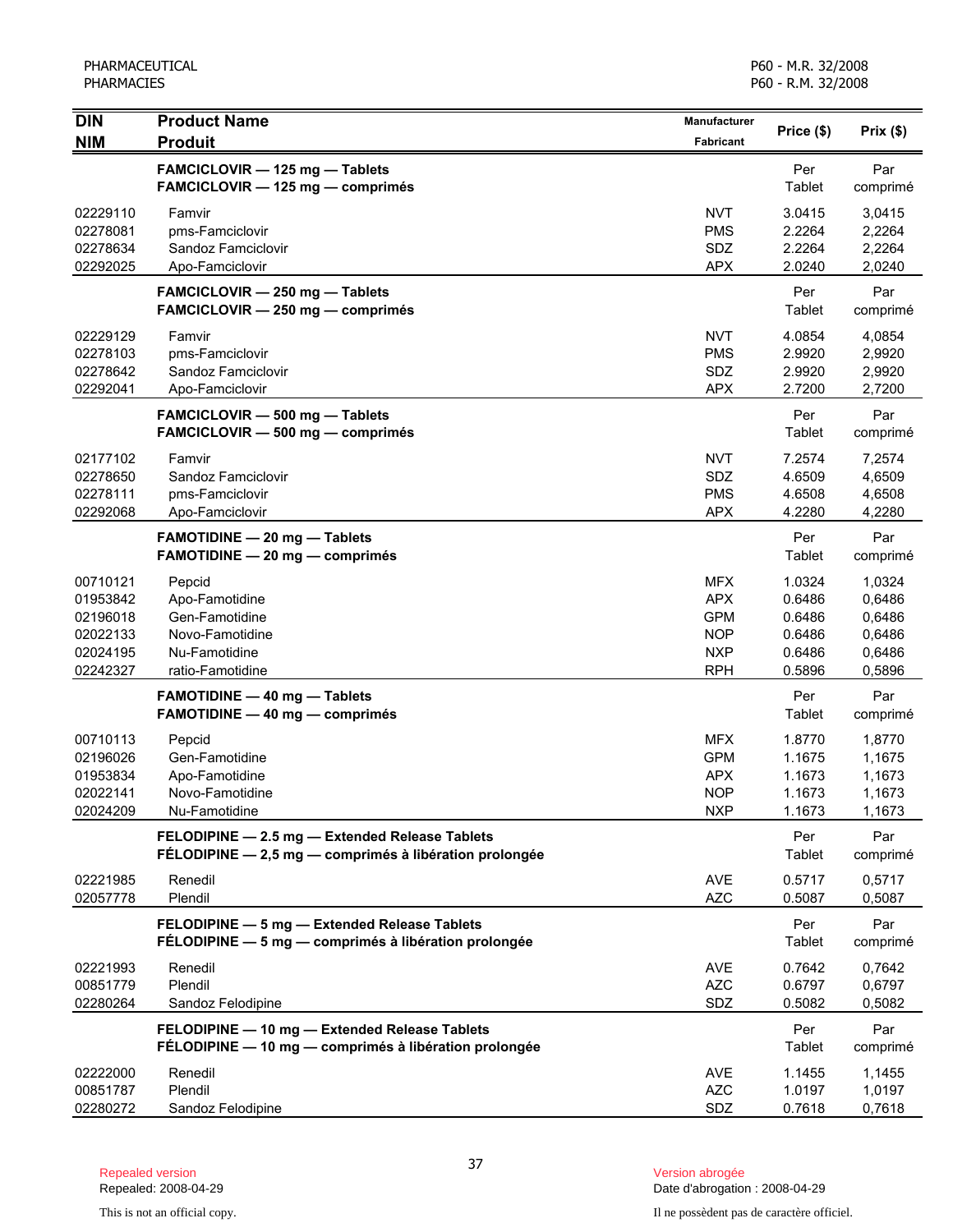| <b>DIN</b><br><b>NIM</b>                                             | <b>Product Name</b><br><b>Produit</b>                                                                    | Manufacturer<br><b>Fabricant</b>                                                 | Price (\$)                                               | Prix(\$)                                                 |
|----------------------------------------------------------------------|----------------------------------------------------------------------------------------------------------|----------------------------------------------------------------------------------|----------------------------------------------------------|----------------------------------------------------------|
|                                                                      | FAMCICLOVIR - 125 mg - Tablets<br>FAMCICLOVIR - 125 mg - comprimés                                       |                                                                                  | Per<br>Tablet                                            | Par<br>comprimé                                          |
| 02229110<br>02278081<br>02278634<br>02292025                         | Famvir<br>pms-Famciclovir<br>Sandoz Famciclovir<br>Apo-Famciclovir                                       | <b>NVT</b><br><b>PMS</b><br>SDZ<br><b>APX</b>                                    | 3.0415<br>2.2264<br>2.2264<br>2.0240                     | 3,0415<br>2,2264<br>2,2264<br>2,0240                     |
|                                                                      | FAMCICLOVIR - 250 mg - Tablets<br>FAMCICLOVIR - 250 mg - comprimés                                       |                                                                                  | Per<br>Tablet                                            | Par<br>comprimé                                          |
| 02229129<br>02278103<br>02278642<br>02292041                         | Famvir<br>pms-Famciclovir<br>Sandoz Famciclovir<br>Apo-Famciclovir                                       | <b>NVT</b><br><b>PMS</b><br>SDZ<br><b>APX</b>                                    | 4.0854<br>2.9920<br>2.9920<br>2.7200                     | 4,0854<br>2,9920<br>2,9920<br>2,7200                     |
|                                                                      | FAMCICLOVIR - 500 mg - Tablets<br>FAMCICLOVIR - 500 mg - comprimés                                       |                                                                                  | Per<br>Tablet                                            | Par<br>comprimé                                          |
| 02177102<br>02278650<br>02278111<br>02292068                         | Famvir<br>Sandoz Famciclovir<br>pms-Famciclovir<br>Apo-Famciclovir                                       | <b>NVT</b><br>SDZ<br><b>PMS</b><br><b>APX</b>                                    | 7.2574<br>4.6509<br>4.6508<br>4.2280                     | 7,2574<br>4,6509<br>4,6508<br>4,2280                     |
|                                                                      | FAMOTIDINE - 20 mg - Tablets<br><b>FAMOTIDINE - 20 mg - comprimés</b>                                    |                                                                                  | Per<br>Tablet                                            | Par<br>comprimé                                          |
| 00710121<br>01953842<br>02196018<br>02022133<br>02024195<br>02242327 | Pepcid<br>Apo-Famotidine<br>Gen-Famotidine<br>Novo-Famotidine<br>Nu-Famotidine<br>ratio-Famotidine       | <b>MFX</b><br><b>APX</b><br><b>GPM</b><br><b>NOP</b><br><b>NXP</b><br><b>RPH</b> | 1.0324<br>0.6486<br>0.6486<br>0.6486<br>0.6486<br>0.5896 | 1,0324<br>0,6486<br>0,6486<br>0,6486<br>0,6486<br>0,5896 |
|                                                                      | <b>FAMOTIDINE - 40 mg - Tablets</b><br><b>FAMOTIDINE - 40 mg - comprimés</b>                             |                                                                                  | Per<br>Tablet                                            | Par<br>comprimé                                          |
| 00710113<br>02196026<br>01953834<br>02022141<br>02024209             | Pepcid<br>Gen-Famotidine<br>Apo-Famotidine<br>Novo-Famotidine<br>Nu-Famotidine                           | <b>MFX</b><br><b>GPM</b><br><b>APX</b><br><b>NOP</b><br><b>NXP</b>               | 1.8770<br>1.1675<br>1.1673<br>1.1673<br>1.1673           | 1,8770<br>1,1675<br>1,1673<br>1,1673<br>1,1673           |
|                                                                      | FELODIPINE - 2.5 mg - Extended Release Tablets<br>FÉLODIPINE - 2,5 mg - comprimés à libération prolongée |                                                                                  | Per<br>Tablet                                            | Par<br>comprimé                                          |
| 02221985<br>02057778                                                 | Renedil<br>Plendil                                                                                       | <b>AVE</b><br><b>AZC</b>                                                         | 0.5717<br>0.5087                                         | 0,5717<br>0,5087                                         |
|                                                                      | FELODIPINE - 5 mg - Extended Release Tablets<br>FÉLODIPINE - 5 mg - comprimés à libération prolongée     |                                                                                  | Per<br>Tablet                                            | Par<br>comprimé                                          |
| 02221993<br>00851779<br>02280264                                     | Renedil<br>Plendil<br>Sandoz Felodipine                                                                  | <b>AVE</b><br><b>AZC</b><br><b>SDZ</b>                                           | 0.7642<br>0.6797<br>0.5082                               | 0,7642<br>0,6797<br>0,5082                               |
|                                                                      | FELODIPINE - 10 mg - Extended Release Tablets<br>FÉLODIPINE - 10 mg - comprimés à libération prolongée   |                                                                                  | Per<br>Tablet                                            | Par<br>comprimé                                          |
| 02222000<br>00851787<br>02280272                                     | Renedil<br>Plendil<br>Sandoz Felodipine                                                                  | <b>AVE</b><br><b>AZC</b><br>SDZ                                                  | 1.1455<br>1.0197<br>0.7618                               | 1,1455<br>1,0197<br>0,7618                               |

Repealed: 2008-04-29 Date d'abrogation : 2008-04-29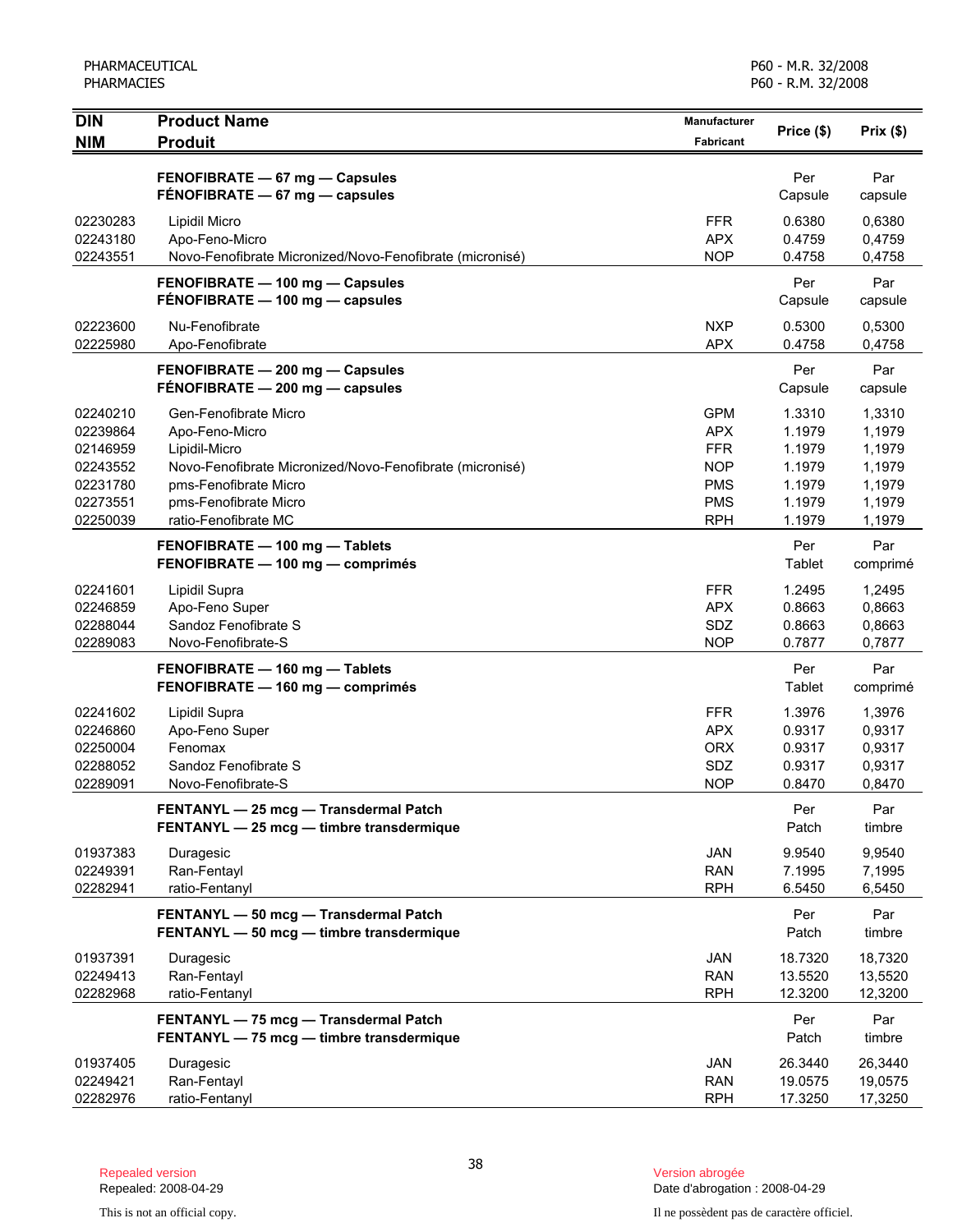| <b>DIN</b><br><b>NIM</b>                                                         | <b>Product Name</b><br><b>Produit</b>                                                                                                                                                          | Manufacturer<br><b>Fabricant</b>                                                               | Price (\$)                                                         | Prix(\$)                                                           |
|----------------------------------------------------------------------------------|------------------------------------------------------------------------------------------------------------------------------------------------------------------------------------------------|------------------------------------------------------------------------------------------------|--------------------------------------------------------------------|--------------------------------------------------------------------|
|                                                                                  | FENOFIBRATE - 67 mg - Capsules<br>FÉNOFIBRATE $-67$ mg $-$ capsules                                                                                                                            |                                                                                                | Per<br>Capsule                                                     | Par<br>capsule                                                     |
| 02230283<br>02243180<br>02243551                                                 | Lipidil Micro<br>Apo-Feno-Micro<br>Novo-Fenofibrate Micronized/Novo-Fenofibrate (micronisé)                                                                                                    | <b>FFR</b><br><b>APX</b><br><b>NOP</b>                                                         | 0.6380<br>0.4759<br>0.4758                                         | 0,6380<br>0,4759<br>0,4758                                         |
|                                                                                  | FENOFIBRATE - 100 mg - Capsules<br>FÉNOFIBRATE - 100 mg - capsules                                                                                                                             |                                                                                                | Per<br>Capsule                                                     | Par<br>capsule                                                     |
| 02223600<br>02225980                                                             | Nu-Fenofibrate<br>Apo-Fenofibrate                                                                                                                                                              | <b>NXP</b><br><b>APX</b>                                                                       | 0.5300<br>0.4758                                                   | 0,5300<br>0,4758                                                   |
|                                                                                  | FENOFIBRATE - 200 mg - Capsules<br>FENOFIBRATE - 200 mg - capsules                                                                                                                             |                                                                                                | Per<br>Capsule                                                     | Par<br>capsule                                                     |
| 02240210<br>02239864<br>02146959<br>02243552<br>02231780<br>02273551<br>02250039 | Gen-Fenofibrate Micro<br>Apo-Feno-Micro<br>Lipidil-Micro<br>Novo-Fenofibrate Micronized/Novo-Fenofibrate (micronisé)<br>pms-Fenofibrate Micro<br>pms-Fenofibrate Micro<br>ratio-Fenofibrate MC | <b>GPM</b><br><b>APX</b><br><b>FFR</b><br><b>NOP</b><br><b>PMS</b><br><b>PMS</b><br><b>RPH</b> | 1.3310<br>1.1979<br>1.1979<br>1.1979<br>1.1979<br>1.1979<br>1.1979 | 1,3310<br>1,1979<br>1,1979<br>1,1979<br>1,1979<br>1,1979<br>1,1979 |
|                                                                                  | FENOFIBRATE - 100 mg - Tablets<br>FENOFIBRATE - 100 mg - comprimés                                                                                                                             |                                                                                                | Per<br>Tablet                                                      | Par<br>comprimé                                                    |
| 02241601<br>02246859<br>02288044<br>02289083                                     | Lipidil Supra<br>Apo-Feno Super<br>Sandoz Fenofibrate S<br>Novo-Fenofibrate-S                                                                                                                  | <b>FFR</b><br><b>APX</b><br>SDZ<br><b>NOP</b>                                                  | 1.2495<br>0.8663<br>0.8663<br>0.7877                               | 1,2495<br>0,8663<br>0,8663<br>0,7877                               |
|                                                                                  | FENOFIBRATE - 160 mg - Tablets<br>FENOFIBRATE - 160 mg - comprimés                                                                                                                             |                                                                                                | Per<br>Tablet                                                      | Par<br>comprimé                                                    |
| 02241602<br>02246860<br>02250004<br>02288052<br>02289091                         | Lipidil Supra<br>Apo-Feno Super<br>Fenomax<br>Sandoz Fenofibrate S<br>Novo-Fenofibrate-S                                                                                                       | <b>FFR</b><br><b>APX</b><br><b>ORX</b><br>SDZ<br><b>NOP</b>                                    | 1.3976<br>0.9317<br>0.9317<br>0.9317<br>0.8470                     | 1,3976<br>0,9317<br>0,9317<br>0,9317<br>0,8470                     |
|                                                                                  | FENTANYL - 25 mcg - Transdermal Patch<br>FENTANYL - 25 mcg - timbre transdermique                                                                                                              |                                                                                                | Per<br>Patch                                                       | Par<br>timbre                                                      |
| 01937383<br>02249391<br>02282941                                                 | Duragesic<br>Ran-Fentayl<br>ratio-Fentanyl                                                                                                                                                     | <b>JAN</b><br><b>RAN</b><br><b>RPH</b>                                                         | 9.9540<br>7.1995<br>6.5450                                         | 9,9540<br>7,1995<br>6,5450                                         |
|                                                                                  | FENTANYL - 50 mcg - Transdermal Patch<br>FENTANYL - 50 mcg - timbre transdermique                                                                                                              |                                                                                                | Per<br>Patch                                                       | Par<br>timbre                                                      |
| 01937391<br>02249413<br>02282968                                                 | Duragesic<br>Ran-Fentayl<br>ratio-Fentanyl                                                                                                                                                     | <b>JAN</b><br><b>RAN</b><br><b>RPH</b>                                                         | 18.7320<br>13.5520<br>12.3200                                      | 18,7320<br>13,5520<br>12,3200                                      |
|                                                                                  | FENTANYL - 75 mcg - Transdermal Patch<br>FENTANYL - 75 mcg - timbre transdermique                                                                                                              |                                                                                                | Per<br>Patch                                                       | Par<br>timbre                                                      |
| 01937405<br>02249421<br>02282976                                                 | Duragesic<br>Ran-Fentayl<br>ratio-Fentanyl                                                                                                                                                     | JAN<br><b>RAN</b><br><b>RPH</b>                                                                | 26.3440<br>19.0575<br>17.3250                                      | 26,3440<br>19,0575<br>17,3250                                      |

Date d'abrogation : 2008-04-29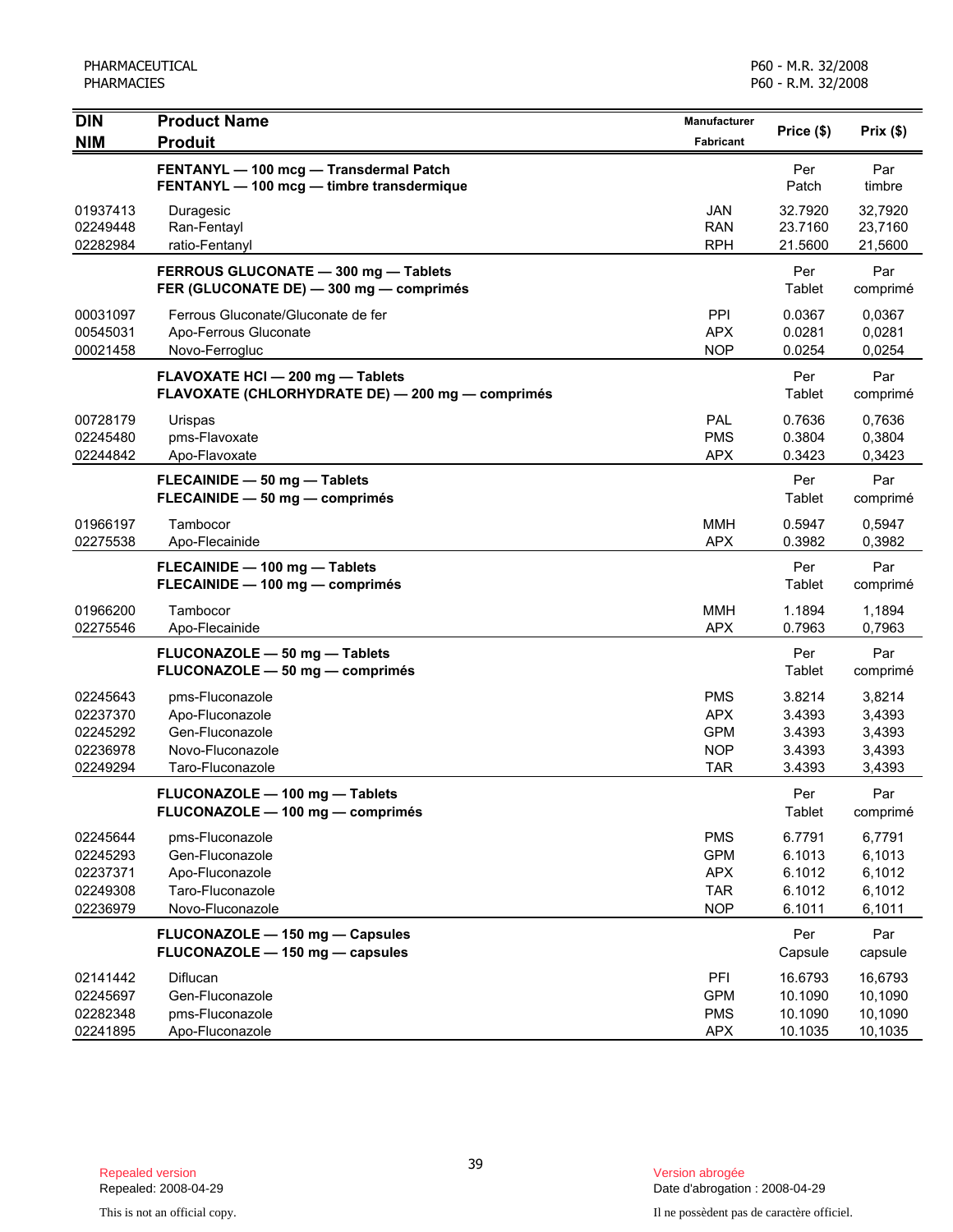| <b>DIN</b>                                               | <b>Product Name</b>                                                                           | Manufacturer                                                       | Price (\$)                                     |                                                |
|----------------------------------------------------------|-----------------------------------------------------------------------------------------------|--------------------------------------------------------------------|------------------------------------------------|------------------------------------------------|
| <b>NIM</b>                                               | <b>Produit</b>                                                                                | Fabricant                                                          |                                                | Prix(\$)                                       |
|                                                          | FENTANYL - 100 mcg - Transdermal Patch<br>FENTANYL - 100 mcg - timbre transdermique           |                                                                    | Per<br>Patch                                   | Par<br>timbre                                  |
| 01937413<br>02249448<br>02282984                         | Duragesic<br>Ran-Fentayl<br>ratio-Fentanyl                                                    | <b>JAN</b><br><b>RAN</b><br><b>RPH</b>                             | 32.7920<br>23.7160<br>21.5600                  | 32,7920<br>23,7160<br>21,5600                  |
|                                                          | FERROUS GLUCONATE - 300 mg - Tablets<br>FER (GLUCONATE DE) - 300 mg - comprimés               |                                                                    | Per<br>Tablet                                  | Par<br>comprimé                                |
| 00031097<br>00545031<br>00021458                         | Ferrous Gluconate/Gluconate de fer<br>Apo-Ferrous Gluconate<br>Novo-Ferrogluc                 | PPI<br><b>APX</b><br><b>NOP</b>                                    | 0.0367<br>0.0281<br>0.0254                     | 0,0367<br>0,0281<br>0,0254                     |
|                                                          | FLAVOXATE HCI - 200 mg - Tablets<br>FLAVOXATE (CHLORHYDRATE DE) - 200 mg - comprimés          |                                                                    | Per<br>Tablet                                  | Par<br>comprimé                                |
| 00728179<br>02245480<br>02244842                         | Urispas<br>pms-Flavoxate<br>Apo-Flavoxate                                                     | PAL<br><b>PMS</b><br><b>APX</b>                                    | 0.7636<br>0.3804<br>0.3423                     | 0,7636<br>0,3804<br>0,3423                     |
|                                                          | FLECAINIDE - 50 mg - Tablets<br>FLECAINIDE - 50 mg - comprimés                                |                                                                    | Per<br>Tablet                                  | Par<br>comprimé                                |
| 01966197<br>02275538                                     | Tambocor<br>Apo-Flecainide                                                                    | <b>MMH</b><br><b>APX</b>                                           | 0.5947<br>0.3982                               | 0,5947<br>0,3982                               |
|                                                          | FLECAINIDE - 100 mg - Tablets<br>FLECAINIDE - 100 mg - comprimés                              |                                                                    | Per<br>Tablet                                  | Par<br>comprimé                                |
| 01966200<br>02275546                                     | Tambocor<br>Apo-Flecainide                                                                    | <b>MMH</b><br><b>APX</b>                                           | 1.1894<br>0.7963                               | 1,1894<br>0,7963                               |
|                                                          | FLUCONAZOLE - 50 mg - Tablets<br>FLUCONAZOLE - 50 mg - comprimés                              |                                                                    | Per<br>Tablet                                  | Par<br>comprimé                                |
| 02245643<br>02237370<br>02245292<br>02236978<br>02249294 | pms-Fluconazole<br>Apo-Fluconazole<br>Gen-Fluconazole<br>Novo-Fluconazole<br>Taro-Fluconazole | <b>PMS</b><br><b>APX</b><br><b>GPM</b><br><b>NOP</b><br><b>TAR</b> | 3.8214<br>3.4393<br>3.4393<br>3.4393<br>3.4393 | 3,8214<br>3,4393<br>3,4393<br>3,4393<br>3,4393 |
|                                                          | FLUCONAZOLE - 100 mg - Tablets<br>FLUCONAZOLE - 100 mg - comprimés                            |                                                                    | Per<br>Tablet                                  | Par<br>comprimé                                |
| 02245644<br>02245293<br>02237371<br>02249308<br>02236979 | pms-Fluconazole<br>Gen-Fluconazole<br>Apo-Fluconazole<br>Taro-Fluconazole<br>Novo-Fluconazole | <b>PMS</b><br><b>GPM</b><br><b>APX</b><br><b>TAR</b><br><b>NOP</b> | 6.7791<br>6.1013<br>6.1012<br>6.1012<br>6.1011 | 6,7791<br>6,1013<br>6,1012<br>6,1012<br>6,1011 |
|                                                          | FLUCONAZOLE - 150 mg - Capsules<br>FLUCONAZOLE - 150 mg - capsules                            |                                                                    | Per<br>Capsule                                 | Par<br>capsule                                 |
| 02141442<br>02245697<br>02282348<br>02241895             | Diflucan<br>Gen-Fluconazole<br>pms-Fluconazole<br>Apo-Fluconazole                             | PFI<br><b>GPM</b><br><b>PMS</b><br><b>APX</b>                      | 16.6793<br>10.1090<br>10.1090<br>10.1035       | 16,6793<br>10,1090<br>10,1090<br>10,1035       |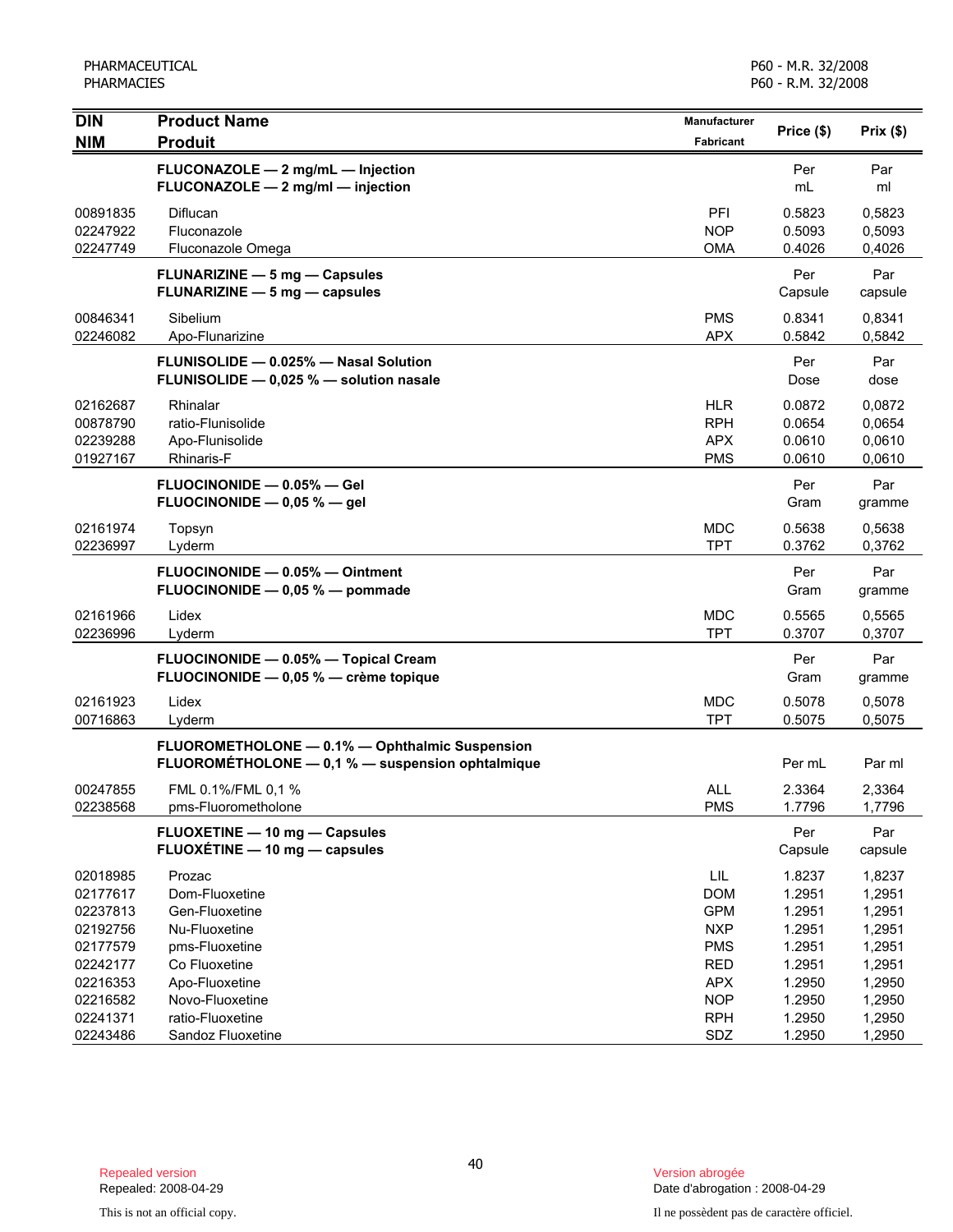PHARMACEUTICAL PHARMACIES

P60 - M.R. 32/2008 P60 - R.M. 32/2008

| <b>NIM</b><br><b>Produit</b><br>Fabricant                                 | Price (\$)       | Prix(\$)         |
|---------------------------------------------------------------------------|------------------|------------------|
| FLUCONAZOLE - 2 mg/mL - Injection                                         | Per              | Par              |
| FLUCONAZOLE - 2 mg/ml - injection                                         | mL               | ml               |
| PFI<br>00891835<br>Diflucan                                               | 0.5823           | 0,5823           |
| <b>NOP</b><br>02247922<br>Fluconazole                                     | 0.5093           | 0,5093           |
| <b>OMA</b><br>02247749<br>Fluconazole Omega                               | 0.4026           | 0,4026           |
| <b>FLUNARIZINE - 5 mg - Capsules</b><br>FLUNARIZINE - 5 mg - capsules     | Per<br>Capsule   | Par<br>capsule   |
| 00846341<br><b>PMS</b><br>Sibelium                                        | 0.8341           | 0,8341           |
| 02246082<br><b>APX</b><br>Apo-Flunarizine                                 | 0.5842           | 0,5842           |
| FLUNISOLIDE - 0.025% - Nasal Solution                                     | Per              | Par              |
| FLUNISOLIDE - 0,025 % - solution nasale                                   | Dose             | dose             |
| <b>HLR</b><br>02162687<br>Rhinalar                                        | 0.0872           | 0,0872           |
| <b>RPH</b><br>00878790<br>ratio-Flunisolide                               | 0.0654           | 0,0654           |
| <b>APX</b><br>02239288<br>Apo-Flunisolide                                 | 0.0610           | 0,0610           |
| <b>PMS</b><br>01927167<br>Rhinaris-F                                      | 0.0610           | 0,0610           |
| FLUOCINONIDE - 0.05% - Gel                                                | Per              | Par              |
| FLUOCINONIDE $-$ 0,05 % $-$ gel                                           | Gram             | gramme           |
| 02161974<br><b>MDC</b><br>Topsyn                                          | 0.5638           | 0,5638           |
| <b>TPT</b><br>02236997<br>Lyderm                                          | 0.3762           | 0,3762           |
| FLUOCINONIDE - 0.05% - Ointment                                           | Per              | Par              |
| FLUOCINONIDE - 0,05 % - pommade                                           | Gram             | gramme           |
| 02161966<br><b>MDC</b><br>Lidex                                           | 0.5565           | 0,5565           |
| <b>TPT</b><br>02236996<br>Lyderm                                          | 0.3707           | 0,3707           |
| FLUOCINONIDE - 0.05% - Topical Cream                                      | Per              | Par              |
| FLUOCINONIDE - 0,05 % - crème topique                                     | Gram             | gramme           |
| <b>MDC</b><br>02161923<br>Lidex                                           | 0.5078           | 0,5078           |
| 00716863<br><b>TPT</b><br>Lyderm                                          | 0.5075           | 0,5075           |
| FLUOROMETHOLONE - 0.1% - Ophthalmic Suspension                            |                  |                  |
| FLUOROMÉTHOLONE - 0,1 % - suspension ophtalmique                          | Per mL           | Par ml           |
| FML 0.1%/FML 0,1 %<br><b>ALL</b><br>00247855                              | 2.3364           | 2,3364           |
| <b>PMS</b><br>02238568<br>pms-Fluorometholone                             | 1.7796           | 1,7796           |
| FLUOXETINE - 10 mg - Capsules                                             | Per              | Par              |
| FLUOXÉTINE - 10 mg - capsules                                             | Capsule          | capsule          |
| LIL<br>02018985<br>Prozac                                                 | 1.8237           | 1,8237           |
| Dom-Fluoxetine<br><b>DOM</b><br>02177617                                  | 1.2951           | 1,2951           |
| <b>GPM</b><br>02237813<br>Gen-Fluoxetine                                  | 1.2951           | 1,2951           |
| <b>NXP</b><br>02192756<br>Nu-Fluoxetine                                   | 1.2951           | 1,2951           |
| 02177579<br><b>PMS</b><br>pms-Fluoxetine                                  | 1.2951           | 1,2951           |
| 02242177<br>Co Fluoxetine<br><b>RED</b>                                   | 1.2951           | 1,2951           |
| <b>APX</b><br>02216353<br>Apo-Fluoxetine<br><b>NOP</b>                    | 1.2950           | 1,2950           |
| 02216582<br>Novo-Fluoxetine<br>02241371<br>ratio-Fluoxetine<br><b>RPH</b> | 1.2950<br>1.2950 | 1,2950<br>1,2950 |
| 02243486<br>Sandoz Fluoxetine<br>SDZ                                      | 1.2950           | 1,2950           |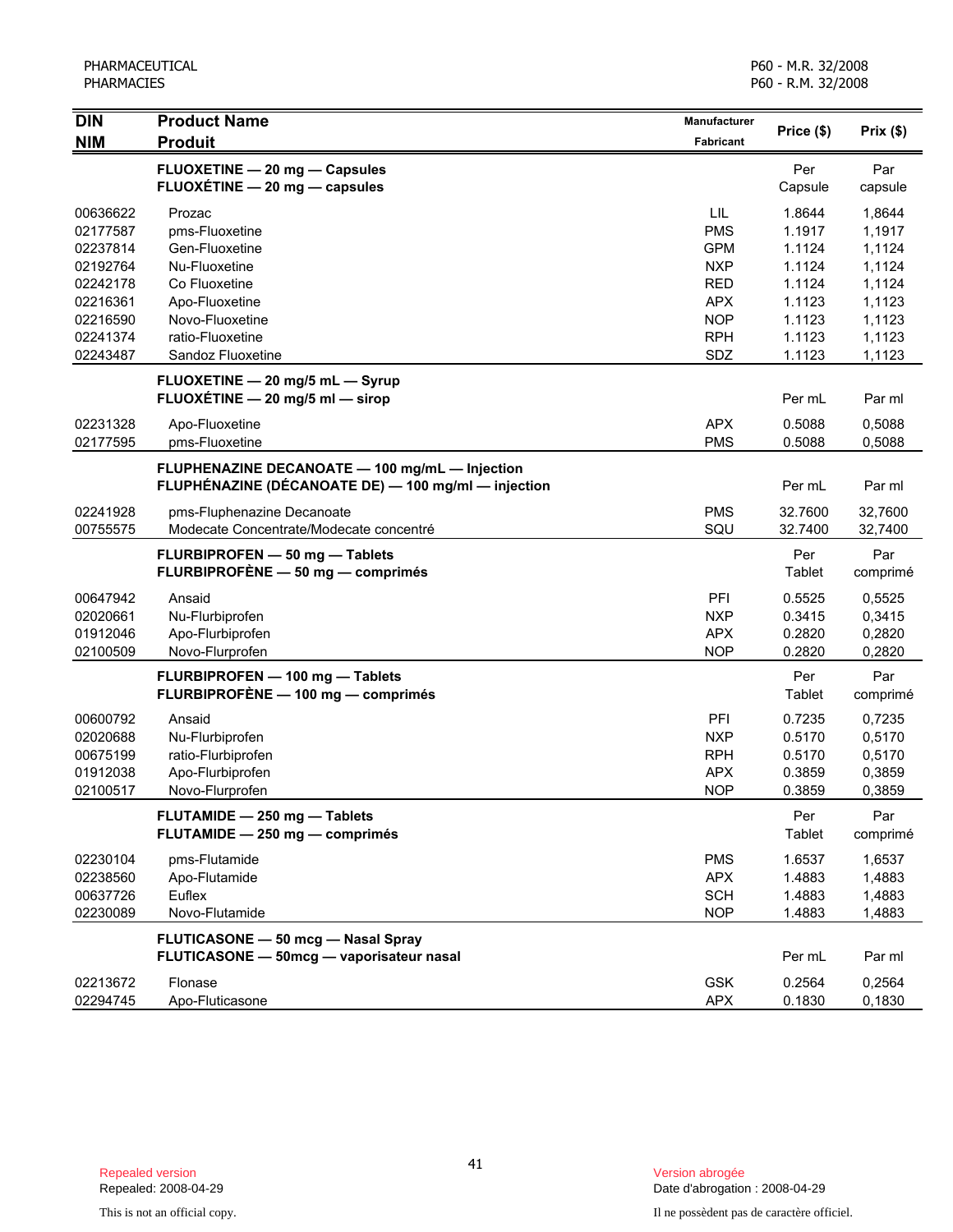| <b>DIN</b>                                                                                                           | <b>Product Name</b>                                                                                                                                                                                                                                | Manufacturer                                                                                                               | Price (\$)                                                                                                 | Prix (\$)                                                                                                  |
|----------------------------------------------------------------------------------------------------------------------|----------------------------------------------------------------------------------------------------------------------------------------------------------------------------------------------------------------------------------------------------|----------------------------------------------------------------------------------------------------------------------------|------------------------------------------------------------------------------------------------------------|------------------------------------------------------------------------------------------------------------|
| <b>NIM</b>                                                                                                           | <b>Produit</b>                                                                                                                                                                                                                                     | <b>Fabricant</b>                                                                                                           |                                                                                                            |                                                                                                            |
|                                                                                                                      | FLUOXETINE - 20 mg - Capsules<br>FLUOXÉTINE - 20 mg - capsules                                                                                                                                                                                     |                                                                                                                            | Per<br>Capsule                                                                                             | Par<br>capsule                                                                                             |
| 00636622<br>02177587<br>02237814<br>02192764<br>02242178<br>02216361<br>02216590<br>02241374<br>02243487<br>02231328 | Prozac<br>pms-Fluoxetine<br>Gen-Fluoxetine<br>Nu-Fluoxetine<br>Co Fluoxetine<br>Apo-Fluoxetine<br>Novo-Fluoxetine<br>ratio-Fluoxetine<br>Sandoz Fluoxetine<br>FLUOXETINE - 20 mg/5 mL - Syrup<br>FLUOXÉTINE - 20 mg/5 ml - sirop<br>Apo-Fluoxetine | LIL<br><b>PMS</b><br><b>GPM</b><br><b>NXP</b><br><b>RED</b><br><b>APX</b><br><b>NOP</b><br><b>RPH</b><br>SDZ<br><b>APX</b> | 1.8644<br>1.1917<br>1.1124<br>1.1124<br>1.1124<br>1.1123<br>1.1123<br>1.1123<br>1.1123<br>Per mL<br>0.5088 | 1,8644<br>1,1917<br>1,1124<br>1,1124<br>1,1124<br>1,1123<br>1,1123<br>1,1123<br>1,1123<br>Par ml<br>0,5088 |
| 02177595                                                                                                             | pms-Fluoxetine                                                                                                                                                                                                                                     | <b>PMS</b>                                                                                                                 | 0.5088                                                                                                     | 0,5088                                                                                                     |
|                                                                                                                      | FLUPHENAZINE DECANOATE - 100 mg/mL - Injection<br>FLUPHÉNAZINE (DÉCANOATE DE) - 100 mg/ml - injection                                                                                                                                              |                                                                                                                            | Per mL                                                                                                     | Par ml                                                                                                     |
| 02241928<br>00755575                                                                                                 | pms-Fluphenazine Decanoate<br>Modecate Concentrate/Modecate concentré                                                                                                                                                                              | <b>PMS</b><br>SQU                                                                                                          | 32.7600<br>32.7400                                                                                         | 32,7600<br>32,7400                                                                                         |
|                                                                                                                      | FLURBIPROFEN - 50 mg - Tablets<br>FLURBIPROFÈNE - 50 mg - comprimés                                                                                                                                                                                |                                                                                                                            | Per<br>Tablet                                                                                              | Par<br>comprimé                                                                                            |
| 00647942<br>02020661<br>01912046<br>02100509                                                                         | Ansaid<br>Nu-Flurbiprofen<br>Apo-Flurbiprofen<br>Novo-Flurprofen                                                                                                                                                                                   | PFI<br><b>NXP</b><br><b>APX</b><br><b>NOP</b>                                                                              | 0.5525<br>0.3415<br>0.2820<br>0.2820                                                                       | 0,5525<br>0,3415<br>0,2820<br>0,2820                                                                       |
|                                                                                                                      | FLURBIPROFEN - 100 mg - Tablets<br>FLURBIPROFÈNE - 100 mg - comprimés                                                                                                                                                                              |                                                                                                                            | Per<br>Tablet                                                                                              | Par<br>comprimé                                                                                            |
| 00600792<br>02020688<br>00675199<br>01912038<br>02100517                                                             | Ansaid<br>Nu-Flurbiprofen<br>ratio-Flurbiprofen<br>Apo-Flurbiprofen<br>Novo-Flurprofen                                                                                                                                                             | PFI<br><b>NXP</b><br><b>RPH</b><br><b>APX</b><br><b>NOP</b>                                                                | 0.7235<br>0.5170<br>0.5170<br>0.3859<br>0.3859                                                             | 0,7235<br>0,5170<br>0,5170<br>0,3859<br>0,3859                                                             |
|                                                                                                                      | FLUTAMIDE - 250 mg - Tablets<br>FLUTAMIDE - 250 mg - comprimés                                                                                                                                                                                     |                                                                                                                            | Per<br>Tablet                                                                                              | Par<br>comprimé                                                                                            |
| 02230104<br>02238560<br>00637726<br>02230089                                                                         | pms-Flutamide<br>Apo-Flutamide<br>Euflex<br>Novo-Flutamide                                                                                                                                                                                         | <b>PMS</b><br><b>APX</b><br><b>SCH</b><br><b>NOP</b>                                                                       | 1.6537<br>1.4883<br>1.4883<br>1.4883                                                                       | 1,6537<br>1,4883<br>1,4883<br>1,4883                                                                       |
|                                                                                                                      | <b>FLUTICASONE - 50 mcg - Nasal Spray</b><br>FLUTICASONE - 50mcg - vaporisateur nasal                                                                                                                                                              |                                                                                                                            | Per mL                                                                                                     | Par ml                                                                                                     |
| 02213672<br>02294745                                                                                                 | Flonase<br>Apo-Fluticasone                                                                                                                                                                                                                         | <b>GSK</b><br><b>APX</b>                                                                                                   | 0.2564<br>0.1830                                                                                           | 0,2564<br>0,1830                                                                                           |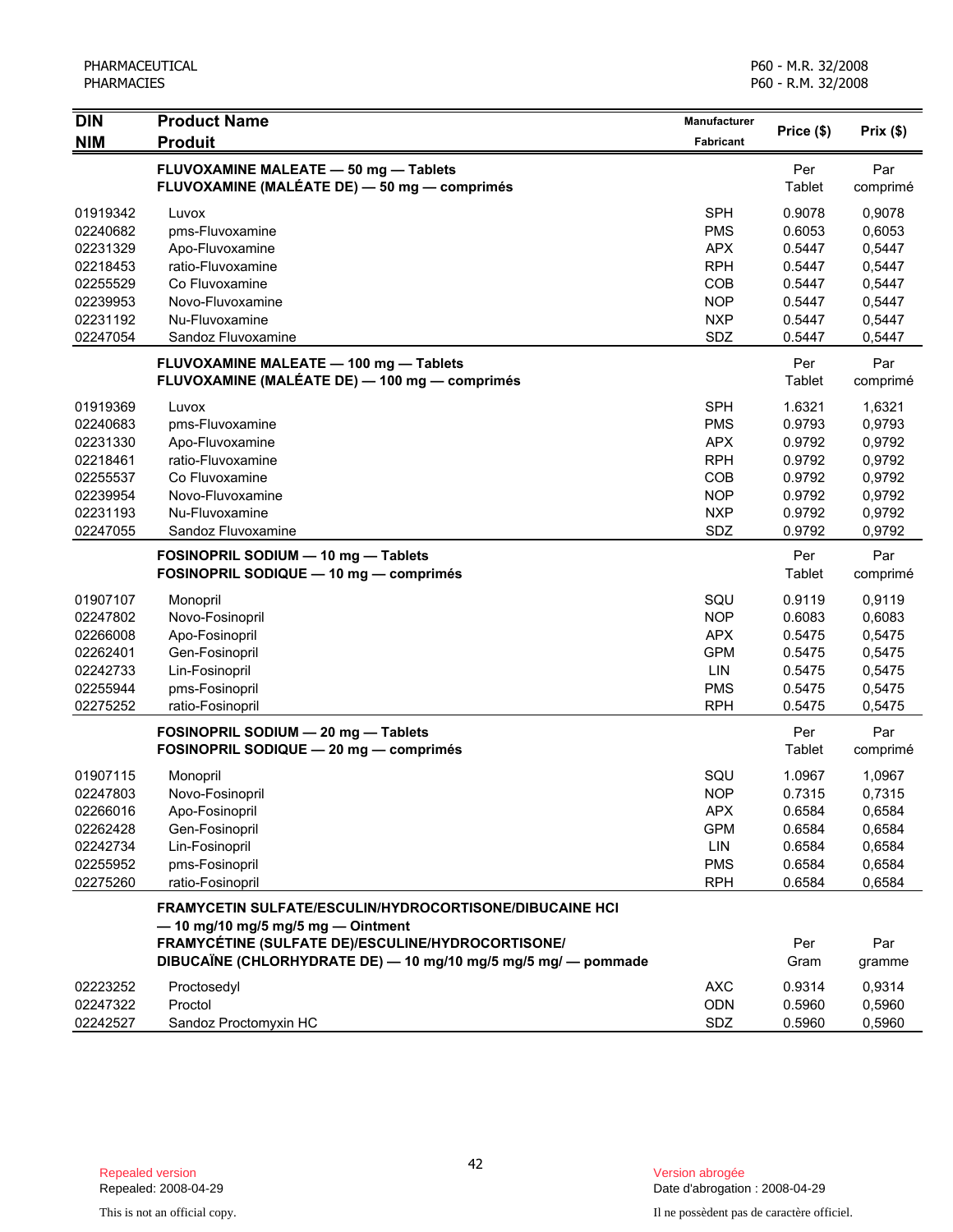| <b>DIN</b> | <b>Product Name</b>                                            | Manufacturer     |            |          |  |  |
|------------|----------------------------------------------------------------|------------------|------------|----------|--|--|
| <b>NIM</b> | <b>Produit</b>                                                 | <b>Fabricant</b> | Price (\$) | Prix(\$) |  |  |
|            | FLUVOXAMINE MALEATE - 50 mg - Tablets                          |                  | Per        | Par      |  |  |
|            | FLUVOXAMINE (MALÉATE DE) - 50 mg - comprimés                   |                  | Tablet     | comprimé |  |  |
| 01919342   | Luvox                                                          | <b>SPH</b>       | 0.9078     | 0,9078   |  |  |
| 02240682   | pms-Fluvoxamine                                                | <b>PMS</b>       | 0.6053     | 0,6053   |  |  |
| 02231329   | Apo-Fluvoxamine                                                | <b>APX</b>       | 0.5447     | 0,5447   |  |  |
| 02218453   | ratio-Fluvoxamine                                              | <b>RPH</b>       | 0.5447     | 0,5447   |  |  |
| 02255529   | Co Fluvoxamine                                                 | COB              | 0.5447     | 0,5447   |  |  |
| 02239953   | Novo-Fluvoxamine                                               | <b>NOP</b>       | 0.5447     | 0,5447   |  |  |
| 02231192   | Nu-Fluvoxamine                                                 | <b>NXP</b>       | 0.5447     | 0,5447   |  |  |
| 02247054   | Sandoz Fluvoxamine                                             | SDZ              | 0.5447     | 0,5447   |  |  |
|            | FLUVOXAMINE MALEATE - 100 mg - Tablets                         |                  | Per        | Par      |  |  |
|            | FLUVOXAMINE (MALÉATE DE) — 100 mg — comprimés                  |                  | Tablet     | comprimé |  |  |
| 01919369   | Luvox                                                          | <b>SPH</b>       | 1.6321     | 1,6321   |  |  |
| 02240683   | pms-Fluvoxamine                                                | <b>PMS</b>       | 0.9793     | 0,9793   |  |  |
| 02231330   | Apo-Fluvoxamine                                                | <b>APX</b>       | 0.9792     | 0,9792   |  |  |
| 02218461   | ratio-Fluvoxamine                                              | <b>RPH</b>       | 0.9792     | 0,9792   |  |  |
| 02255537   | Co Fluvoxamine                                                 | COB              | 0.9792     | 0,9792   |  |  |
| 02239954   | Novo-Fluvoxamine                                               | <b>NOP</b>       | 0.9792     | 0,9792   |  |  |
| 02231193   | Nu-Fluvoxamine                                                 | <b>NXP</b>       | 0.9792     | 0,9792   |  |  |
| 02247055   | Sandoz Fluvoxamine                                             | SDZ              | 0.9792     | 0,9792   |  |  |
|            | FOSINOPRIL SODIUM - 10 mg - Tablets                            |                  | Per        | Par      |  |  |
|            | FOSINOPRIL SODIQUE - 10 mg - comprimés                         |                  | Tablet     | comprimé |  |  |
| 01907107   | Monopril                                                       | SQU              | 0.9119     | 0,9119   |  |  |
| 02247802   | Novo-Fosinopril                                                | <b>NOP</b>       | 0.6083     | 0,6083   |  |  |
| 02266008   | Apo-Fosinopril                                                 | <b>APX</b>       | 0.5475     | 0,5475   |  |  |
| 02262401   | Gen-Fosinopril                                                 | <b>GPM</b>       | 0.5475     | 0,5475   |  |  |
| 02242733   | Lin-Fosinopril                                                 | <b>LIN</b>       | 0.5475     | 0,5475   |  |  |
| 02255944   | pms-Fosinopril                                                 | <b>PMS</b>       | 0.5475     | 0,5475   |  |  |
| 02275252   | ratio-Fosinopril                                               | <b>RPH</b>       | 0.5475     | 0,5475   |  |  |
|            | FOSINOPRIL SODIUM - 20 mg - Tablets                            |                  | Per        | Par      |  |  |
|            | FOSINOPRIL SODIQUE - 20 mg - comprimés                         |                  | Tablet     | comprimé |  |  |
| 01907115   | Monopril                                                       | SQU              | 1.0967     | 1,0967   |  |  |
| 02247803   | Novo-Fosinopril                                                | <b>NOP</b>       | 0.7315     | 0,7315   |  |  |
| 02266016   | Apo-Fosinopril                                                 | <b>APX</b>       | 0.6584     | 0,6584   |  |  |
| 02262428   | Gen-Fosinopril                                                 | <b>GPM</b>       | 0.6584     | 0,6584   |  |  |
| 02242734   | Lin-Fosinopril                                                 | LIN              | 0.6584     | 0,6584   |  |  |
| 02255952   | pms-Fosinopril                                                 | <b>PMS</b>       | 0.6584     | 0,6584   |  |  |
| 02275260   | ratio-Fosinopril                                               | <b>RPH</b>       | 0.6584     | 0,6584   |  |  |
|            | <b>FRAMYCETIN SULFATE/ESCULIN/HYDROCORTISONE/DIBUCAINE HCI</b> |                  |            |          |  |  |
|            | $-$ 10 mg/10 mg/5 mg/5 mg $-$ Ointment                         |                  |            |          |  |  |
|            | FRAMYCÉTINE (SULFATE DE)/ESCULINE/HYDROCORTISONE/              |                  | Per        | Par      |  |  |
|            | DIBUCAÏNE (CHLORHYDRATE DE) - 10 mg/10 mg/5 mg/5 mg/ - pommade |                  | Gram       | gramme   |  |  |
| 02223252   | Proctosedyl                                                    | <b>AXC</b>       | 0.9314     | 0,9314   |  |  |
| 02247322   | Proctol                                                        | ODN              | 0.5960     | 0,5960   |  |  |
| 02242527   | Sandoz Proctomyxin HC                                          | SDZ              | 0.5960     | 0,5960   |  |  |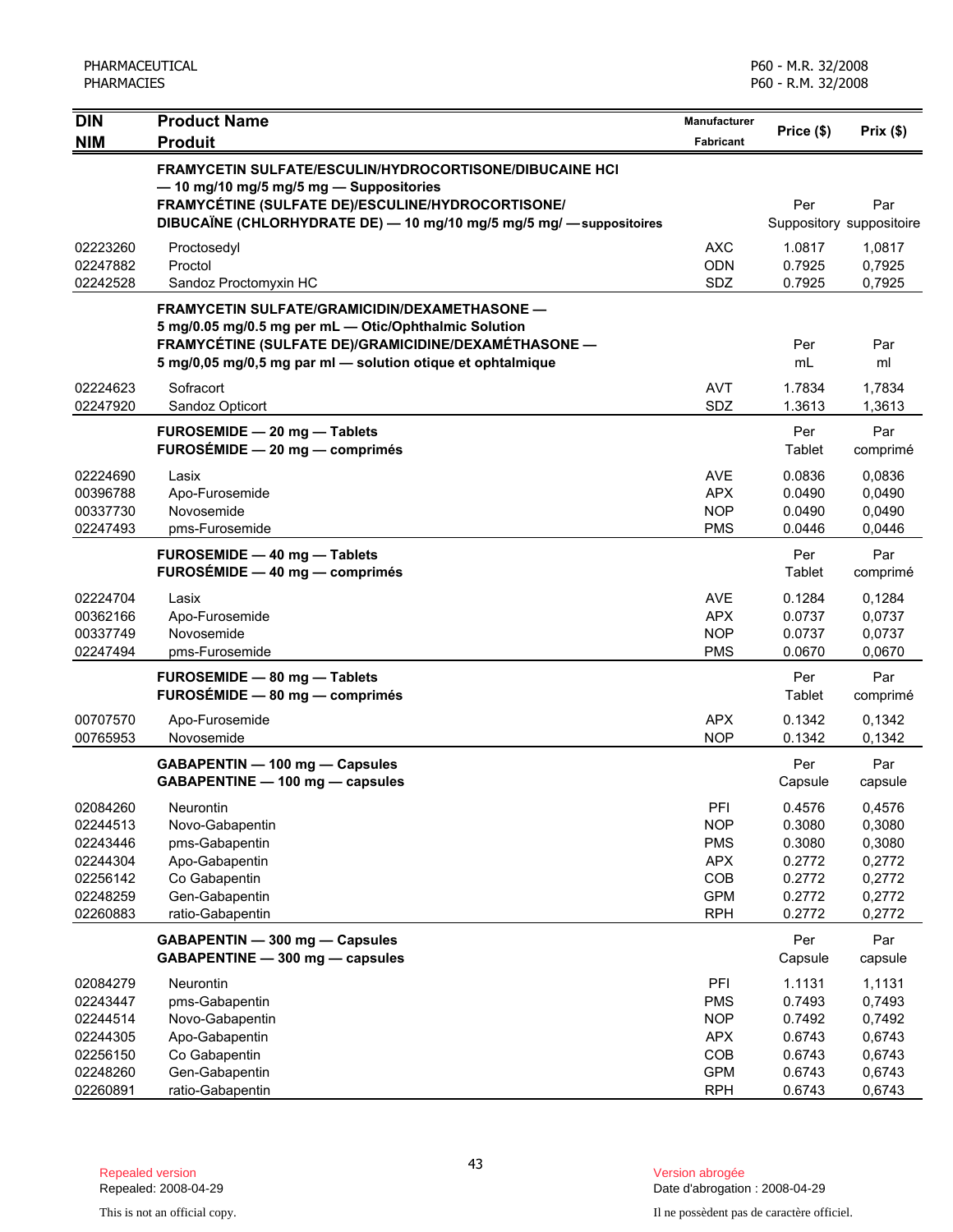| <b>DIN</b>                                                                       | <b>Product Name</b>                                                                                                                                                                                                                               | Manufacturer                                                                     |                                                                    |                                                                    |
|----------------------------------------------------------------------------------|---------------------------------------------------------------------------------------------------------------------------------------------------------------------------------------------------------------------------------------------------|----------------------------------------------------------------------------------|--------------------------------------------------------------------|--------------------------------------------------------------------|
| <b>NIM</b>                                                                       | <b>Produit</b>                                                                                                                                                                                                                                    | Fabricant                                                                        | Price (\$)                                                         | Prix(\$)                                                           |
|                                                                                  | <b>FRAMYCETIN SULFATE/ESCULIN/HYDROCORTISONE/DIBUCAINE HCI</b><br>- 10 mg/10 mg/5 mg/5 mg - Suppositories<br>FRAMYCÉTINE (SULFATE DE)/ESCULINE/HYDROCORTISONE/<br>DIBUCAÏNE (CHLORHYDRATE DE) - 10 mg/10 mg/5 mg/5 mg/ - suppositoires            |                                                                                  | Per                                                                | Par<br>Suppository suppositoire                                    |
| 02223260<br>02247882<br>02242528                                                 | Proctosedyl<br>Proctol<br>Sandoz Proctomyxin HC                                                                                                                                                                                                   | <b>AXC</b><br><b>ODN</b><br>SDZ                                                  | 1.0817<br>0.7925<br>0.7925                                         | 1,0817<br>0,7925<br>0,7925                                         |
| 02224623                                                                         | <b>FRAMYCETIN SULFATE/GRAMICIDIN/DEXAMETHASONE —</b><br>5 mg/0.05 mg/0.5 mg per mL - Otic/Ophthalmic Solution<br>FRAMYCÉTINE (SULFATE DE)/GRAMICIDINE/DEXAMÉTHASONE -<br>5 mg/0,05 mg/0,5 mg par ml - solution otique et ophtalmique<br>Sofracort | AVT                                                                              | Per<br>mL<br>1.7834                                                | Par<br>ml<br>1,7834                                                |
| 02247920                                                                         | Sandoz Opticort                                                                                                                                                                                                                                   | SDZ                                                                              | 1.3613                                                             | 1,3613                                                             |
|                                                                                  | FUROSEMIDE - 20 mg - Tablets<br>FUROSÉMIDE - 20 mg - comprimés                                                                                                                                                                                    |                                                                                  | Per<br>Tablet                                                      | Par<br>comprimé                                                    |
| 02224690<br>00396788<br>00337730<br>02247493                                     | Lasix<br>Apo-Furosemide<br>Novosemide<br>pms-Furosemide                                                                                                                                                                                           | AVE<br>APX<br><b>NOP</b><br><b>PMS</b>                                           | 0.0836<br>0.0490<br>0.0490<br>0.0446                               | 0,0836<br>0,0490<br>0,0490<br>0,0446                               |
|                                                                                  | FUROSEMIDE - 40 mg - Tablets<br>FUROSÉMIDE - 40 mg - comprimés                                                                                                                                                                                    |                                                                                  | Per<br>Tablet                                                      | Par<br>comprimé                                                    |
| 02224704<br>00362166<br>00337749<br>02247494                                     | Lasix<br>Apo-Furosemide<br>Novosemide<br>pms-Furosemide                                                                                                                                                                                           | <b>AVE</b><br><b>APX</b><br><b>NOP</b><br><b>PMS</b>                             | 0.1284<br>0.0737<br>0.0737<br>0.0670                               | 0,1284<br>0,0737<br>0,0737<br>0,0670                               |
|                                                                                  | FUROSEMIDE - 80 mg - Tablets<br>FUROSÉMIDE - 80 mg - comprimés                                                                                                                                                                                    |                                                                                  | Per<br>Tablet                                                      | Par<br>comprimé                                                    |
| 00707570<br>00765953                                                             | Apo-Furosemide<br>Novosemide                                                                                                                                                                                                                      | <b>APX</b><br><b>NOP</b>                                                         | 0.1342<br>0.1342                                                   | 0,1342<br>0,1342                                                   |
|                                                                                  | GABAPENTIN - 100 mg - Capsules<br>GABAPENTINE - 100 mg - capsules                                                                                                                                                                                 |                                                                                  | Per<br>Capsule                                                     | Par<br>capsule                                                     |
| 02084260<br>02244513<br>02243446<br>02244304<br>02256142<br>02248259<br>02260883 | Neurontin<br>Novo-Gabapentin<br>pms-Gabapentin<br>Apo-Gabapentin<br>Co Gabapentin<br>Gen-Gabapentin<br>ratio-Gabapentin                                                                                                                           | PFI<br><b>NOP</b><br><b>PMS</b><br><b>APX</b><br>COB<br><b>GPM</b><br><b>RPH</b> | 0.4576<br>0.3080<br>0.3080<br>0.2772<br>0.2772<br>0.2772<br>0.2772 | 0,4576<br>0,3080<br>0,3080<br>0,2772<br>0,2772<br>0,2772<br>0,2772 |
|                                                                                  | GABAPENTIN - 300 mg - Capsules<br>GABAPENTINE - 300 mg - capsules                                                                                                                                                                                 |                                                                                  | Per<br>Capsule                                                     | Par<br>capsule                                                     |
| 02084279<br>02243447<br>02244514<br>02244305<br>02256150<br>02248260             | Neurontin<br>pms-Gabapentin<br>Novo-Gabapentin<br>Apo-Gabapentin<br>Co Gabapentin<br>Gen-Gabapentin                                                                                                                                               | PFI<br><b>PMS</b><br><b>NOP</b><br><b>APX</b><br>COB<br><b>GPM</b>               | 1.1131<br>0.7493<br>0.7492<br>0.6743<br>0.6743<br>0.6743           | 1,1131<br>0,7493<br>0,7492<br>0,6743<br>0,6743<br>0,6743           |
| 02260891                                                                         | ratio-Gabapentin                                                                                                                                                                                                                                  | <b>RPH</b>                                                                       | 0.6743                                                             | 0,6743                                                             |

Date d'abrogation : 2008-04-29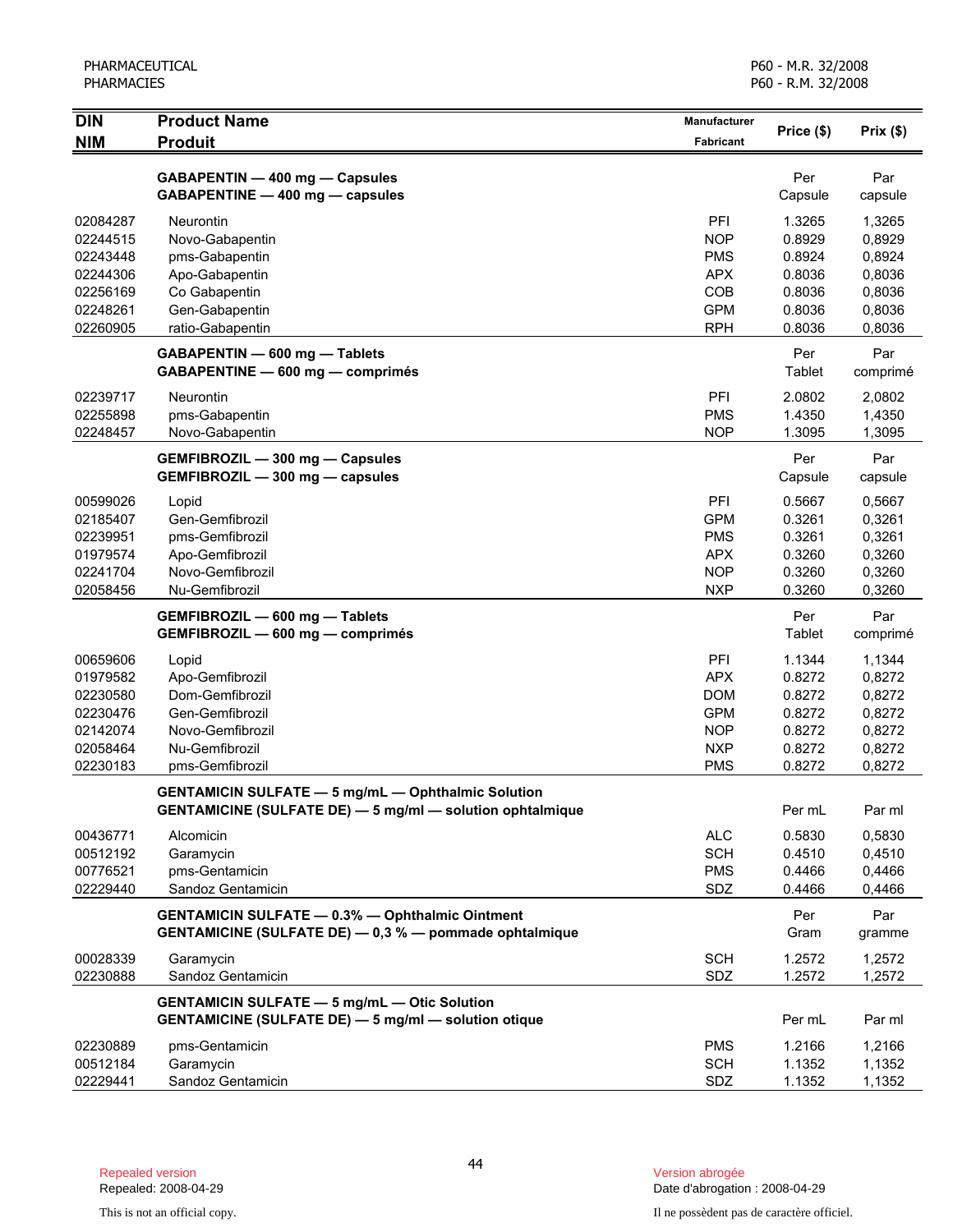| <b>DIN</b> | <b>Product Name</b>                                              | Manufacturer     | Price (\$) | Prix(\$) |
|------------|------------------------------------------------------------------|------------------|------------|----------|
| <b>NIM</b> | <b>Produit</b>                                                   | <b>Fabricant</b> |            |          |
|            | GABAPENTIN - 400 mg - Capsules                                   |                  | Per        | Par      |
|            | GABAPENTINE - 400 mg - capsules                                  |                  | Capsule    | capsule  |
| 02084287   | Neurontin                                                        | PFI              | 1.3265     | 1,3265   |
| 02244515   | Novo-Gabapentin                                                  | <b>NOP</b>       | 0.8929     | 0,8929   |
| 02243448   | pms-Gabapentin                                                   | <b>PMS</b>       | 0.8924     | 0,8924   |
| 02244306   | Apo-Gabapentin                                                   | <b>APX</b>       | 0.8036     | 0,8036   |
| 02256169   | Co Gabapentin                                                    | COB              | 0.8036     | 0,8036   |
| 02248261   | Gen-Gabapentin                                                   | <b>GPM</b>       | 0.8036     | 0,8036   |
| 02260905   | ratio-Gabapentin                                                 | <b>RPH</b>       | 0.8036     | 0,8036   |
|            | GABAPENTIN - 600 mg - Tablets                                    |                  | Per        | Par      |
|            | GABAPENTINE - 600 mg - comprimés                                 |                  | Tablet     | comprimé |
| 02239717   | Neurontin                                                        | PFI              | 2.0802     | 2,0802   |
| 02255898   | pms-Gabapentin                                                   | <b>PMS</b>       | 1.4350     | 1,4350   |
| 02248457   | Novo-Gabapentin                                                  | <b>NOP</b>       | 1.3095     | 1,3095   |
|            | GEMFIBROZIL - 300 mg - Capsules                                  |                  | Per        | Par      |
|            | GEMFIBROZIL - 300 mg - capsules                                  |                  | Capsule    | capsule  |
| 00599026   | Lopid                                                            | PFI              | 0.5667     | 0,5667   |
| 02185407   | Gen-Gemfibrozil                                                  | <b>GPM</b>       | 0.3261     | 0,3261   |
| 02239951   | pms-Gemfibrozil                                                  | <b>PMS</b>       | 0.3261     | 0,3261   |
| 01979574   | Apo-Gemfibrozil                                                  | <b>APX</b>       | 0.3260     | 0,3260   |
| 02241704   | Novo-Gemfibrozil                                                 | <b>NOP</b>       | 0.3260     | 0,3260   |
| 02058456   | Nu-Gemfibrozil                                                   | <b>NXP</b>       | 0.3260     | 0,3260   |
|            | GEMFIBROZIL - 600 mg - Tablets                                   |                  | Per        | Par      |
|            | GEMFIBROZIL - 600 mg - comprimés                                 |                  | Tablet     | comprimé |
| 00659606   | Lopid                                                            | PFI              | 1.1344     | 1,1344   |
| 01979582   | Apo-Gemfibrozil                                                  | <b>APX</b>       | 0.8272     | 0,8272   |
| 02230580   | Dom-Gemfibrozil                                                  | <b>DOM</b>       | 0.8272     | 0,8272   |
| 02230476   | Gen-Gemfibrozil                                                  | <b>GPM</b>       | 0.8272     | 0,8272   |
| 02142074   | Novo-Gemfibrozil                                                 | <b>NOP</b>       | 0.8272     | 0,8272   |
| 02058464   | Nu-Gemfibrozil                                                   | <b>NXP</b>       | 0.8272     | 0,8272   |
| 02230183   | pms-Gemfibrozil                                                  | <b>PMS</b>       | 0.8272     | 0,8272   |
|            | <b>GENTAMICIN SULFATE - 5 mg/mL - Ophthalmic Solution</b>        |                  |            |          |
|            | <b>GENTAMICINE (SULFATE DE) - 5 mg/ml - solution ophtalmique</b> |                  | Per mL     | Par ml   |
| 00436771   | Alcomicin                                                        | <b>ALC</b>       | 0.5830     | 0,5830   |
| 00512192   | Garamycin                                                        | <b>SCH</b>       | 0.4510     | 0,4510   |
| 00776521   | pms-Gentamicin                                                   | <b>PMS</b>       | 0.4466     | 0,4466   |
| 02229440   | Sandoz Gentamicin                                                | SDZ              | 0.4466     | 0,4466   |
|            | <b>GENTAMICIN SULFATE - 0.3% - Ophthalmic Ointment</b>           |                  | Per        | Par      |
|            | GENTAMICINE (SULFATE DE) - 0,3 % - pommade ophtalmique           |                  | Gram       | gramme   |
| 00028339   | Garamycin                                                        | <b>SCH</b>       | 1.2572     | 1,2572   |
| 02230888   | Sandoz Gentamicin                                                | SDZ              | 1.2572     | 1,2572   |
|            | <b>GENTAMICIN SULFATE - 5 mg/mL - Otic Solution</b>              |                  |            |          |
|            | <b>GENTAMICINE (SULFATE DE) - 5 mg/ml - solution otique</b>      |                  | Per mL     | Par ml   |
| 02230889   | pms-Gentamicin                                                   | <b>PMS</b>       | 1.2166     | 1,2166   |
| 00512184   | Garamycin                                                        | <b>SCH</b>       | 1.1352     | 1,1352   |
| 02229441   | Sandoz Gentamicin                                                | SDZ              | 1.1352     | 1,1352   |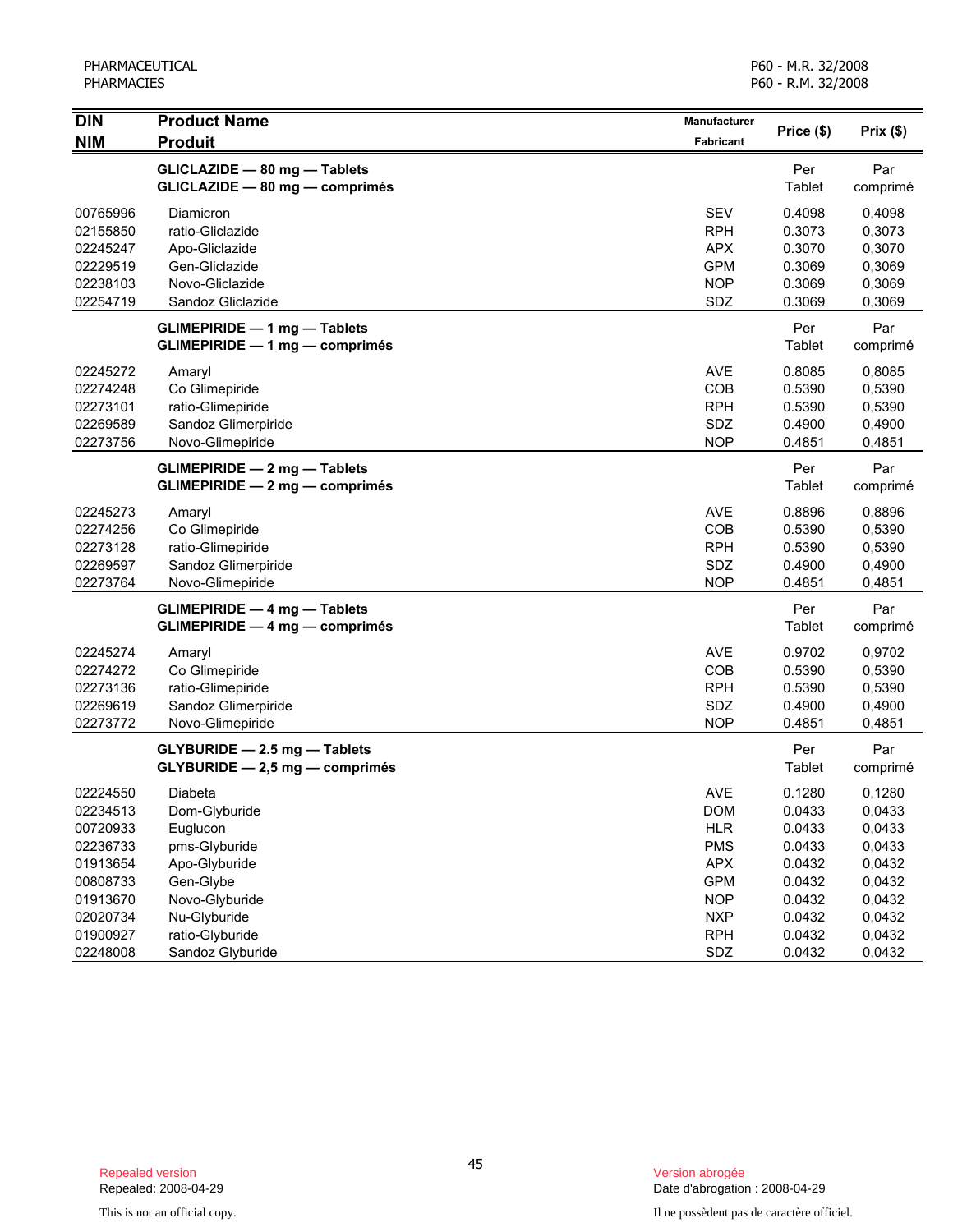| <b>DIN</b> | <b>Product Name</b>                 | Manufacturer |            |          |
|------------|-------------------------------------|--------------|------------|----------|
| <b>NIM</b> | <b>Produit</b>                      | Fabricant    | Price (\$) | Prix(\$) |
|            | GLICLAZIDE - 80 mg - Tablets        |              | Per        | Par      |
|            | GLICLAZIDE - 80 mg - comprimés      |              | Tablet     | comprimé |
| 00765996   | Diamicron                           | <b>SEV</b>   | 0.4098     | 0,4098   |
| 02155850   | ratio-Gliclazide                    | <b>RPH</b>   | 0.3073     | 0,3073   |
| 02245247   | Apo-Gliclazide                      | <b>APX</b>   | 0.3070     | 0,3070   |
| 02229519   | Gen-Gliclazide                      | <b>GPM</b>   | 0.3069     | 0,3069   |
| 02238103   | Novo-Gliclazide                     | <b>NOP</b>   | 0.3069     | 0,3069   |
| 02254719   | Sandoz Gliclazide                   | SDZ          | 0.3069     | 0,3069   |
|            | <b>GLIMEPIRIDE - 1 mg - Tablets</b> |              | Per        | Par      |
|            | GLIMEPIRIDE - 1 mg - comprimés      |              | Tablet     | comprimé |
| 02245272   | Amaryl                              | <b>AVE</b>   | 0.8085     | 0,8085   |
| 02274248   | Co Glimepiride                      | COB          | 0.5390     | 0,5390   |
| 02273101   | ratio-Glimepiride                   | <b>RPH</b>   | 0.5390     | 0,5390   |
| 02269589   | Sandoz Glimerpiride                 | SDZ          | 0.4900     | 0,4900   |
| 02273756   | Novo-Glimepiride                    | <b>NOP</b>   | 0.4851     | 0,4851   |
|            | GLIMEPIRIDE - 2 mg - Tablets        |              | Per        | Par      |
|            | GLIMEPIRIDE - 2 mg - comprimés      |              | Tablet     | comprimé |
| 02245273   | Amaryl                              | <b>AVE</b>   | 0.8896     | 0,8896   |
| 02274256   | Co Glimepiride                      | COB          | 0.5390     | 0,5390   |
| 02273128   | ratio-Glimepiride                   | <b>RPH</b>   | 0.5390     | 0,5390   |
| 02269597   | Sandoz Glimerpiride                 | SDZ          | 0.4900     | 0,4900   |
| 02273764   | Novo-Glimepiride                    | <b>NOP</b>   | 0.4851     | 0,4851   |
|            | <b>GLIMEPIRIDE - 4 mg - Tablets</b> |              | Per        | Par      |
|            | GLIMEPIRIDE - 4 mg - comprimés      |              | Tablet     | comprimé |
| 02245274   | Amaryl                              | <b>AVE</b>   | 0.9702     | 0,9702   |
| 02274272   | Co Glimepiride                      | COB          | 0.5390     | 0,5390   |
| 02273136   | ratio-Glimepiride                   | <b>RPH</b>   | 0.5390     | 0,5390   |
| 02269619   | Sandoz Glimerpiride                 | SDZ          | 0.4900     | 0,4900   |
| 02273772   | Novo-Glimepiride                    | <b>NOP</b>   | 0.4851     | 0,4851   |
|            | GLYBURIDE - 2.5 mg - Tablets        |              | Per        | Par      |
|            | GLYBURIDE - 2,5 mg - comprimés      |              | Tablet     | comprimé |
| 02224550   | Diabeta                             | <b>AVE</b>   | 0.1280     | 0,1280   |
| 02234513   | Dom-Glyburide                       | <b>DOM</b>   | 0.0433     | 0,0433   |
| 00720933   | Euglucon                            | <b>HLR</b>   | 0.0433     | 0,0433   |
| 02236733   | pms-Glyburide                       | <b>PMS</b>   | 0.0433     | 0,0433   |
| 01913654   | Apo-Glyburide                       | <b>APX</b>   | 0.0432     | 0,0432   |
| 00808733   | Gen-Glybe                           | <b>GPM</b>   | 0.0432     | 0,0432   |
| 01913670   | Novo-Glyburide                      | <b>NOP</b>   | 0.0432     | 0,0432   |
| 02020734   | Nu-Glyburide                        | <b>NXP</b>   | 0.0432     | 0,0432   |
| 01900927   | ratio-Glyburide                     | <b>RPH</b>   | 0.0432     | 0,0432   |
| 02248008   | Sandoz Glyburide                    | SDZ          | 0.0432     | 0,0432   |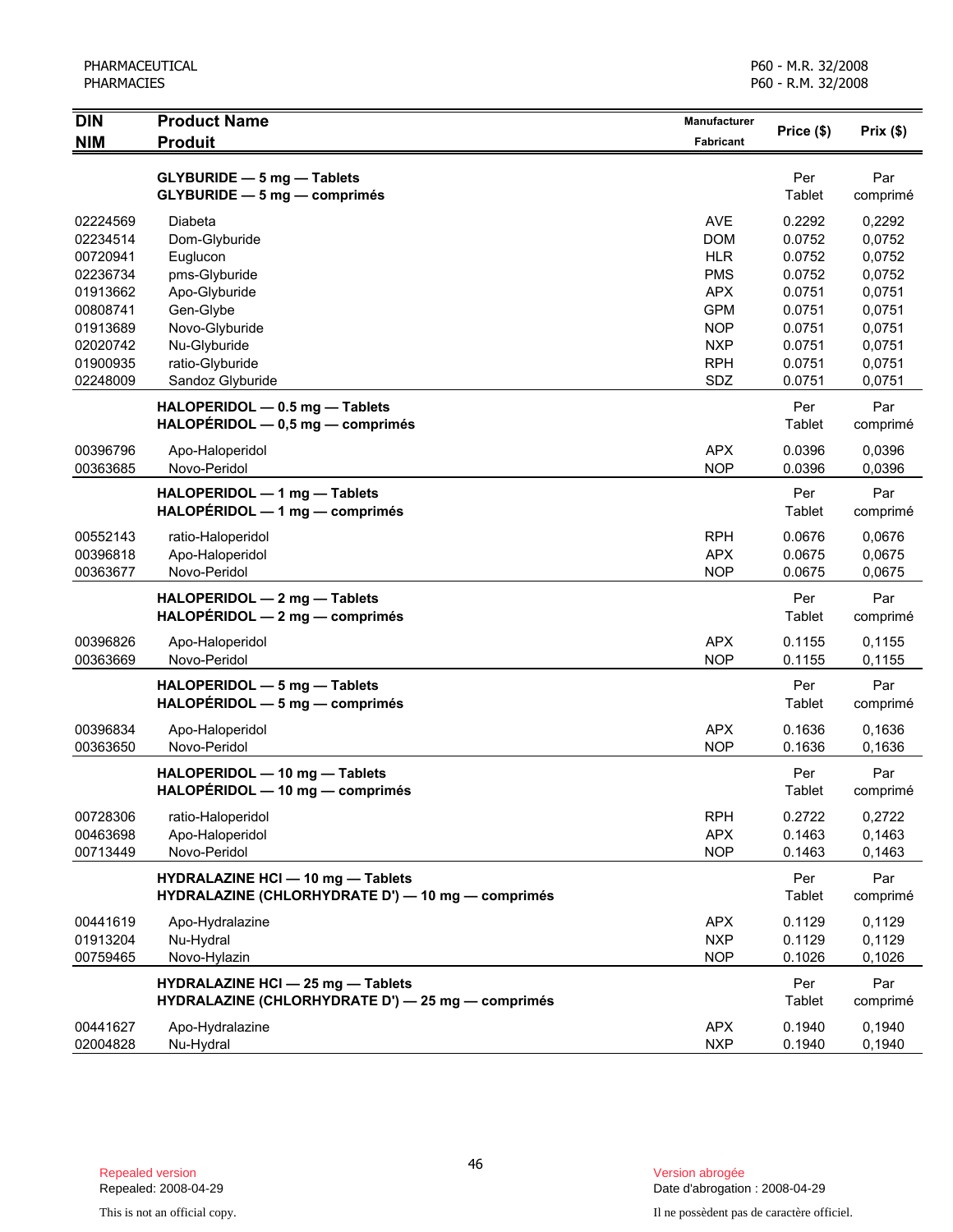| PHARMACEUTICAL |  |  |
|----------------|--|--|
| PHARMACIES     |  |  |
|                |  |  |

| <b>DIN</b>                                                                                                           | <b>Product Name</b>                                                                                                                                          | Manufacturer                                                                                                                      | Price (\$)                                                                                       | Prix(\$)                                                                                         |
|----------------------------------------------------------------------------------------------------------------------|--------------------------------------------------------------------------------------------------------------------------------------------------------------|-----------------------------------------------------------------------------------------------------------------------------------|--------------------------------------------------------------------------------------------------|--------------------------------------------------------------------------------------------------|
| <b>NIM</b>                                                                                                           | <b>Produit</b>                                                                                                                                               | Fabricant                                                                                                                         |                                                                                                  |                                                                                                  |
|                                                                                                                      | GLYBURIDE - 5 mg - Tablets<br>GLYBURIDE - 5 mg - comprimés                                                                                                   |                                                                                                                                   | Per<br>Tablet                                                                                    | Par<br>comprimé                                                                                  |
| 02224569<br>02234514<br>00720941<br>02236734<br>01913662<br>00808741<br>01913689<br>02020742<br>01900935<br>02248009 | Diabeta<br>Dom-Glyburide<br>Euglucon<br>pms-Glyburide<br>Apo-Glyburide<br>Gen-Glybe<br>Novo-Glyburide<br>Nu-Glyburide<br>ratio-Glyburide<br>Sandoz Glyburide | <b>AVE</b><br><b>DOM</b><br><b>HLR</b><br><b>PMS</b><br><b>APX</b><br><b>GPM</b><br><b>NOP</b><br><b>NXP</b><br><b>RPH</b><br>SDZ | 0.2292<br>0.0752<br>0.0752<br>0.0752<br>0.0751<br>0.0751<br>0.0751<br>0.0751<br>0.0751<br>0.0751 | 0,2292<br>0,0752<br>0,0752<br>0,0752<br>0,0751<br>0,0751<br>0,0751<br>0,0751<br>0,0751<br>0,0751 |
|                                                                                                                      | HALOPERIDOL - 0.5 mg - Tablets<br>$HALOPÉRIDOL - 0.5 mg - comprimés$                                                                                         |                                                                                                                                   | Per<br>Tablet                                                                                    | Par<br>comprimé                                                                                  |
| 00396796<br>00363685                                                                                                 | Apo-Haloperidol<br>Novo-Peridol                                                                                                                              | <b>APX</b><br><b>NOP</b>                                                                                                          | 0.0396<br>0.0396                                                                                 | 0,0396<br>0,0396                                                                                 |
|                                                                                                                      | HALOPERIDOL - 1 mg - Tablets<br>$HALOPÉRIDOL - 1 mg - comprimés$                                                                                             |                                                                                                                                   | Per<br>Tablet                                                                                    | Par<br>comprimé                                                                                  |
| 00552143<br>00396818<br>00363677                                                                                     | ratio-Haloperidol<br>Apo-Haloperidol<br>Novo-Peridol                                                                                                         | <b>RPH</b><br><b>APX</b><br><b>NOP</b>                                                                                            | 0.0676<br>0.0675<br>0.0675                                                                       | 0,0676<br>0,0675<br>0,0675                                                                       |
|                                                                                                                      | HALOPERIDOL - 2 mg - Tablets<br>$HALOPÉRIDOL - 2 mg - comprimés$                                                                                             |                                                                                                                                   | Per<br>Tablet                                                                                    | Par<br>comprimé                                                                                  |
| 00396826<br>00363669                                                                                                 | Apo-Haloperidol<br>Novo-Peridol                                                                                                                              | <b>APX</b><br><b>NOP</b>                                                                                                          | 0.1155<br>0.1155                                                                                 | 0,1155<br>0,1155                                                                                 |
|                                                                                                                      | HALOPERIDOL - 5 mg - Tablets<br>$HALOPÉRIDOL - 5 mg - comprimés$                                                                                             |                                                                                                                                   | Per<br>Tablet                                                                                    | Par<br>comprimé                                                                                  |
| 00396834<br>00363650                                                                                                 | Apo-Haloperidol<br>Novo-Peridol                                                                                                                              | <b>APX</b><br><b>NOP</b>                                                                                                          | 0.1636<br>0.1636                                                                                 | 0.1636<br>0,1636                                                                                 |
|                                                                                                                      | HALOPERIDOL - 10 mg - Tablets<br>HALOPERIDOL - 10 mg - comprimés                                                                                             |                                                                                                                                   | Per<br>Tablet                                                                                    | Par<br>comprimé                                                                                  |
| 00728306<br>00463698<br>00713449                                                                                     | ratio-Haloperidol<br>Apo-Haloperidol<br>Novo-Peridol                                                                                                         | <b>RPH</b><br><b>APX</b><br><b>NOP</b>                                                                                            | 0.2722<br>0.1463<br>0.1463                                                                       | 0,2722<br>0,1463<br>0,1463                                                                       |
|                                                                                                                      | <b>HYDRALAZINE HCI - 10 mg - Tablets</b><br>HYDRALAZINE (CHLORHYDRATE D') - 10 mg - comprimés                                                                |                                                                                                                                   | Per<br>Tablet                                                                                    | Par<br>comprimé                                                                                  |
| 00441619<br>01913204<br>00759465                                                                                     | Apo-Hydralazine<br>Nu-Hydral<br>Novo-Hylazin                                                                                                                 | <b>APX</b><br><b>NXP</b><br><b>NOP</b>                                                                                            | 0.1129<br>0.1129<br>0.1026                                                                       | 0,1129<br>0,1129<br>0,1026                                                                       |
|                                                                                                                      | <b>HYDRALAZINE HCI - 25 mg - Tablets</b><br>HYDRALAZINE (CHLORHYDRATE D') - 25 mg - comprimés                                                                |                                                                                                                                   | Per<br>Tablet                                                                                    | Par<br>comprimé                                                                                  |
| 00441627<br>02004828                                                                                                 | Apo-Hydralazine<br>Nu-Hydral                                                                                                                                 | <b>APX</b><br><b>NXP</b>                                                                                                          | 0.1940<br>0.1940                                                                                 | 0,1940<br>0,1940                                                                                 |

Version abrogée<br>Date d'abrogation : 2008-04-29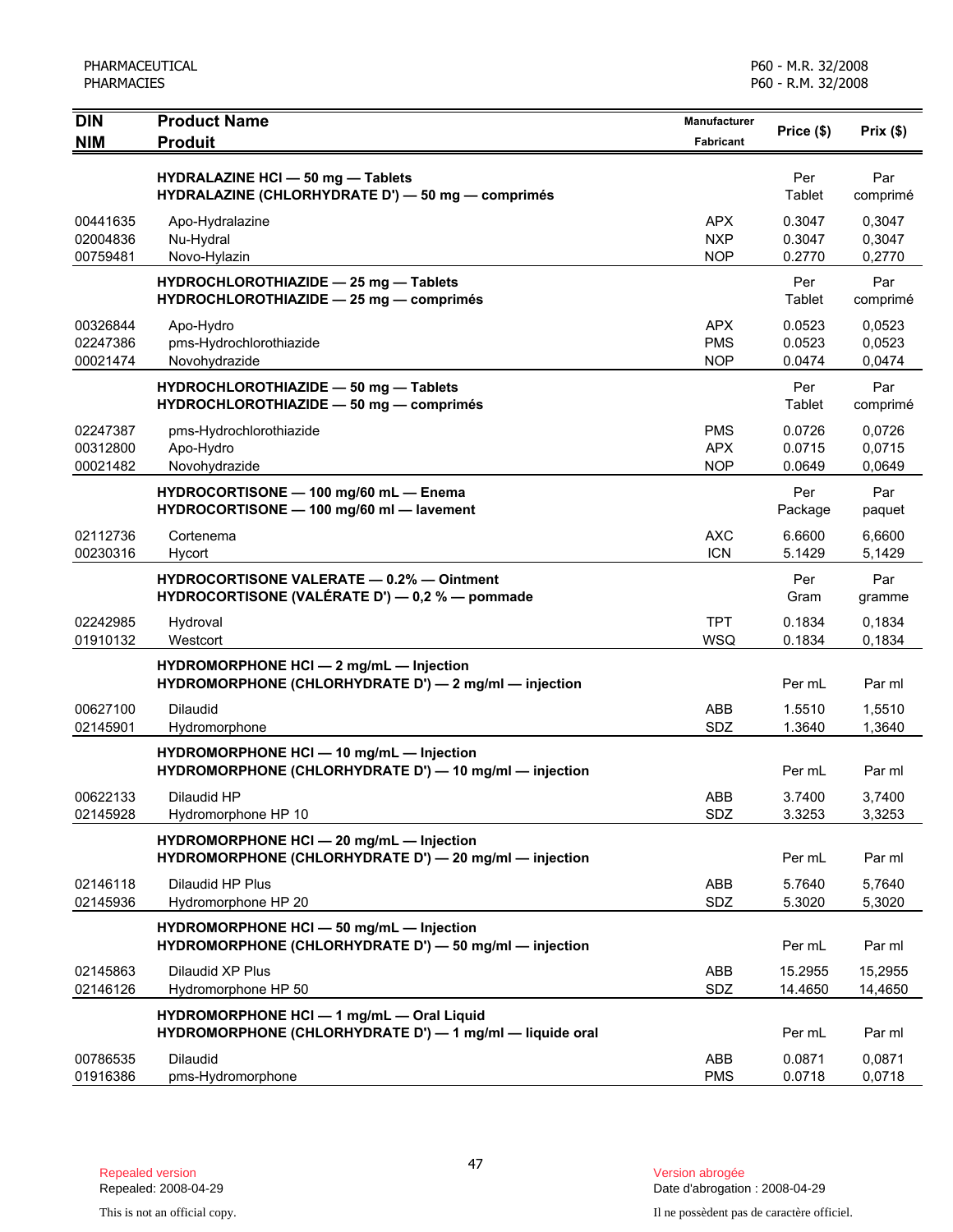| <b>DIN</b><br><b>NIM</b>         | <b>Product Name</b><br><b>Produit</b>                                                                 | <b>Manufacturer</b><br><b>Fabricant</b> | Price (\$)                 | Prix(\$)                   |
|----------------------------------|-------------------------------------------------------------------------------------------------------|-----------------------------------------|----------------------------|----------------------------|
|                                  | HYDRALAZINE HCI - 50 mg - Tablets<br>HYDRALAZINE (CHLORHYDRATE D') - 50 mg - comprimés                |                                         | Per<br>Tablet              | Par<br>comprimé            |
| 00441635<br>02004836<br>00759481 | Apo-Hydralazine<br>Nu-Hydral<br>Novo-Hylazin                                                          | <b>APX</b><br><b>NXP</b><br><b>NOP</b>  | 0.3047<br>0.3047<br>0.2770 | 0.3047<br>0,3047<br>0,2770 |
|                                  | HYDROCHLOROTHIAZIDE - 25 mg - Tablets<br>HYDROCHLOROTHIAZIDE - 25 mg - comprimés                      |                                         | Per<br>Tablet              | Par<br>comprimé            |
| 00326844<br>02247386<br>00021474 | Apo-Hydro<br>pms-Hydrochlorothiazide<br>Novohydrazide                                                 | <b>APX</b><br><b>PMS</b><br><b>NOP</b>  | 0.0523<br>0.0523<br>0.0474 | 0,0523<br>0,0523<br>0,0474 |
|                                  | HYDROCHLOROTHIAZIDE - 50 mg - Tablets<br>HYDROCHLOROTHIAZIDE - 50 mg - comprimés                      |                                         | Per<br>Tablet              | Par<br>comprimé            |
| 02247387<br>00312800<br>00021482 | pms-Hydrochlorothiazide<br>Apo-Hydro<br>Novohydrazide                                                 | <b>PMS</b><br><b>APX</b><br><b>NOP</b>  | 0.0726<br>0.0715<br>0.0649 | 0,0726<br>0,0715<br>0,0649 |
|                                  | HYDROCORTISONE - 100 mg/60 mL - Enema<br>HYDROCORTISONE - 100 mg/60 ml - lavement                     |                                         | Per<br>Package             | Par<br>paquet              |
| 02112736<br>00230316             | Cortenema<br>Hycort                                                                                   | <b>AXC</b><br><b>ICN</b>                | 6.6600<br>5.1429           | 6,6600<br>5,1429           |
|                                  | <b>HYDROCORTISONE VALERATE - 0.2% - Ointment</b><br>HYDROCORTISONE (VALÉRATE D') — 0,2 % — pommade    |                                         | Per<br>Gram                | Par<br>gramme              |
| 02242985<br>01910132             | Hydroval<br>Westcort                                                                                  | <b>TPT</b><br><b>WSQ</b>                | 0.1834<br>0.1834           | 0,1834<br>0,1834           |
|                                  | HYDROMORPHONE HCI - 2 mg/mL - Injection<br>HYDROMORPHONE (CHLORHYDRATE D') — 2 mg/ml — injection      |                                         | Per mL                     | Par ml                     |
| 00627100<br>02145901             | Dilaudid<br>Hydromorphone                                                                             | <b>ABB</b><br>SDZ                       | 1.5510<br>1.3640           | 1,5510<br>1,3640           |
|                                  | HYDROMORPHONE HCI - 10 mg/mL - Injection<br>HYDROMORPHONE (CHLORHYDRATE D') - 10 mg/ml - injection    |                                         | Per mL                     | Par ml                     |
| 00622133<br>02145928             | Dilaudid HP<br>Hydromorphone HP 10                                                                    | ABB<br>SDZ                              | 3.7400<br>3.3253           | 3,7400<br>3,3253           |
|                                  | HYDROMORPHONE HCI - 20 mg/mL - Injection<br>HYDROMORPHONE (CHLORHYDRATE D') - 20 mg/ml - injection    |                                         | Per mL                     | Par ml                     |
| 02146118<br>02145936             | Dilaudid HP Plus<br>Hydromorphone HP 20                                                               | ABB<br>SDZ                              | 5.7640<br>5.3020           | 5,7640<br>5,3020           |
|                                  | HYDROMORPHONE HCI - 50 mg/mL - Injection<br>HYDROMORPHONE (CHLORHYDRATE D') - 50 mg/ml - injection    |                                         | Per mL                     | Par ml                     |
| 02145863<br>02146126             | Dilaudid XP Plus<br>Hydromorphone HP 50                                                               | ABB<br>SDZ                              | 15.2955<br>14.4650         | 15,2955<br>14,4650         |
|                                  | HYDROMORPHONE HCI - 1 mg/mL - Oral Liquid<br>HYDROMORPHONE (CHLORHYDRATE D') - 1 mg/ml - liquide oral |                                         | Per mL                     | Par ml                     |
| 00786535<br>01916386             | Dilaudid<br>pms-Hydromorphone                                                                         | ABB<br><b>PMS</b>                       | 0.0871<br>0.0718           | 0,0871<br>0,0718           |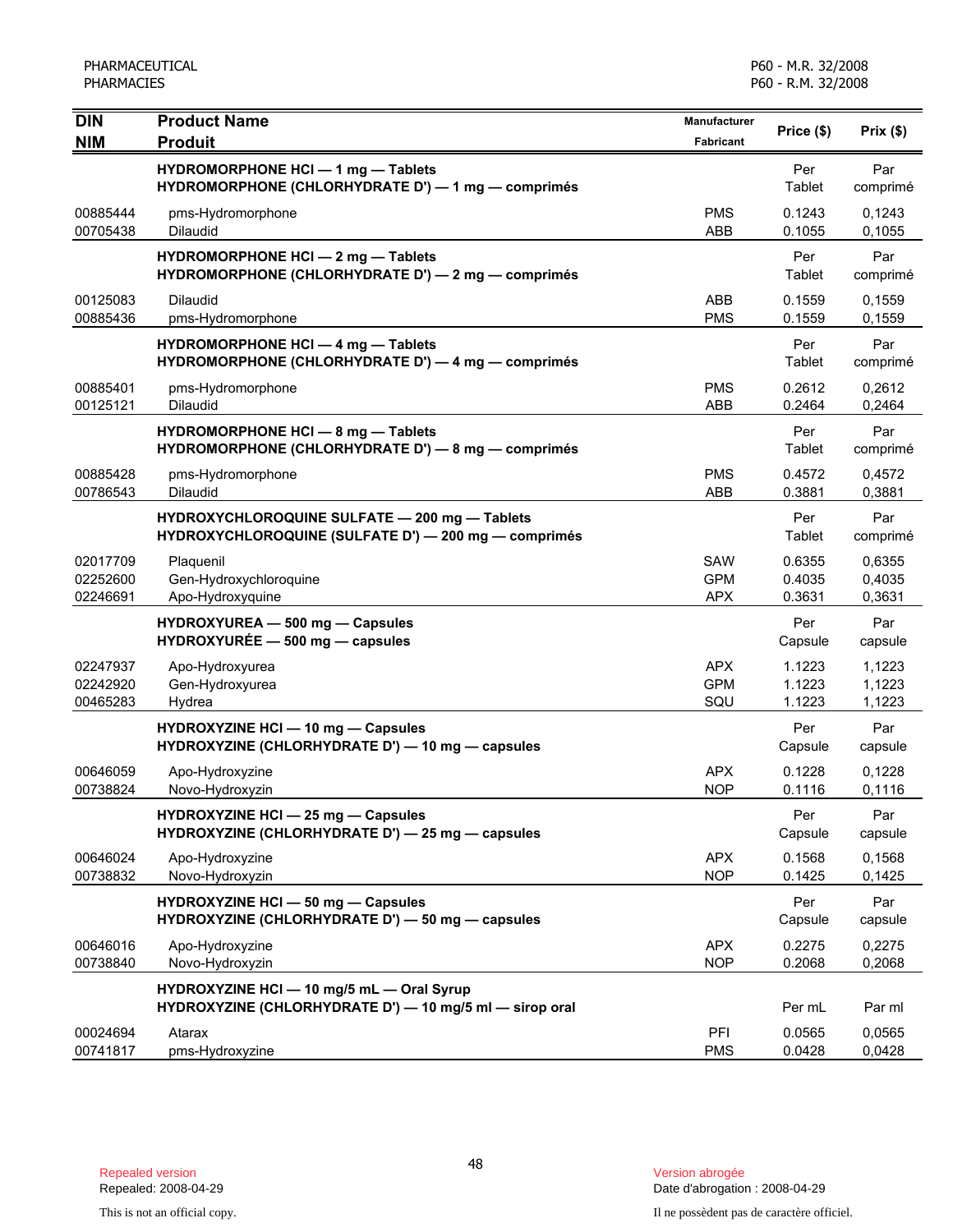| <b>DIN</b>                       | <b>Product Name</b>                                                                                   | <b>Manufacturer</b>                    | Price (\$)                 | Prix(\$)                   |
|----------------------------------|-------------------------------------------------------------------------------------------------------|----------------------------------------|----------------------------|----------------------------|
| <b>NIM</b>                       | <b>Produit</b>                                                                                        | <b>Fabricant</b>                       |                            |                            |
|                                  | HYDROMORPHONE HCI - 1 mg - Tablets<br>HYDROMORPHONE (CHLORHYDRATE D') - 1 mg - comprimés              |                                        | Per<br>Tablet              | Par<br>comprimé            |
| 00885444<br>00705438             | pms-Hydromorphone<br>Dilaudid                                                                         | <b>PMS</b><br>ABB                      | 0.1243<br>0.1055           | 0,1243<br>0,1055           |
|                                  | HYDROMORPHONE HCI - 2 mg - Tablets<br>HYDROMORPHONE (CHLORHYDRATE D') - 2 mg - comprimés              |                                        | Per<br>Tablet              | Par<br>comprimé            |
| 00125083<br>00885436             | <b>Dilaudid</b><br>pms-Hydromorphone                                                                  | <b>ABB</b><br><b>PMS</b>               | 0.1559<br>0.1559           | 0,1559<br>0,1559           |
|                                  | HYDROMORPHONE HCI - 4 mg - Tablets<br>HYDROMORPHONE (CHLORHYDRATE D') - 4 mg - comprimés              |                                        | Per<br>Tablet              | Par<br>comprimé            |
| 00885401<br>00125121             | pms-Hydromorphone<br>Dilaudid                                                                         | <b>PMS</b><br>ABB                      | 0.2612<br>0.2464           | 0,2612<br>0,2464           |
|                                  | HYDROMORPHONE HCI - 8 mg - Tablets<br>HYDROMORPHONE (CHLORHYDRATE D') - 8 mg - comprimés              |                                        | Per<br>Tablet              | Par<br>comprimé            |
| 00885428<br>00786543             | pms-Hydromorphone<br>Dilaudid                                                                         | <b>PMS</b><br><b>ABB</b>               | 0.4572<br>0.3881           | 0,4572<br>0,3881           |
|                                  | HYDROXYCHLOROQUINE SULFATE - 200 mg - Tablets<br>HYDROXYCHLOROQUINE (SULFATE D') - 200 mg - comprimés |                                        | Per<br>Tablet              | Par<br>comprimé            |
| 02017709<br>02252600<br>02246691 | Plaquenil<br>Gen-Hydroxychloroquine<br>Apo-Hydroxyquine                                               | <b>SAW</b><br><b>GPM</b><br><b>APX</b> | 0.6355<br>0.4035<br>0.3631 | 0,6355<br>0,4035<br>0,3631 |
|                                  | HYDROXYUREA - 500 mg - Capsules<br>HYDROXYURÉE - 500 mg - capsules                                    |                                        | Per<br>Capsule             | Par<br>capsule             |
| 02247937<br>02242920<br>00465283 | Apo-Hydroxyurea<br>Gen-Hydroxyurea<br>Hydrea                                                          | <b>APX</b><br><b>GPM</b><br>SQU        | 1.1223<br>1.1223<br>1.1223 | 1,1223<br>1,1223<br>1,1223 |
|                                  | HYDROXYZINE HCI - 10 mg - Capsules<br>HYDROXYZINE (CHLORHYDRATE D') - 10 mg - capsules                |                                        | Per<br>Capsule             | Par<br>capsule             |
| 00646059<br>00738824             | Apo-Hydroxyzine<br>Novo-Hydroxyzin                                                                    | <b>APX</b><br><b>NOP</b>               | 0.1228<br>0.1116           | 0,1228<br>0,1116           |
|                                  | <b>HYDROXYZINE HCI - 25 mg - Capsules</b><br>HYDROXYZINE (CHLORHYDRATE D') - 25 mg - capsules         |                                        | Per<br>Capsule             | Par<br>capsule             |
| 00646024<br>00738832             | Apo-Hydroxyzine<br>Novo-Hydroxyzin                                                                    | <b>APX</b><br><b>NOP</b>               | 0.1568<br>0.1425           | 0,1568<br>0,1425           |
|                                  | <b>HYDROXYZINE HCI - 50 mg - Capsules</b><br>HYDROXYZINE (CHLORHYDRATE D') - 50 mg - capsules         |                                        | Per<br>Capsule             | Par<br>capsule             |
| 00646016<br>00738840             | Apo-Hydroxyzine<br>Novo-Hydroxyzin                                                                    | <b>APX</b><br><b>NOP</b>               | 0.2275<br>0.2068           | 0,2275<br>0,2068           |
|                                  | HYDROXYZINE HCI - 10 mg/5 mL - Oral Syrup<br>HYDROXYZINE (CHLORHYDRATE D') - 10 mg/5 ml - sirop oral  |                                        | Per mL                     | Par ml                     |
| 00024694<br>00741817             | Atarax<br>pms-Hydroxyzine                                                                             | PFI<br><b>PMS</b>                      | 0.0565<br>0.0428           | 0,0565<br>0,0428           |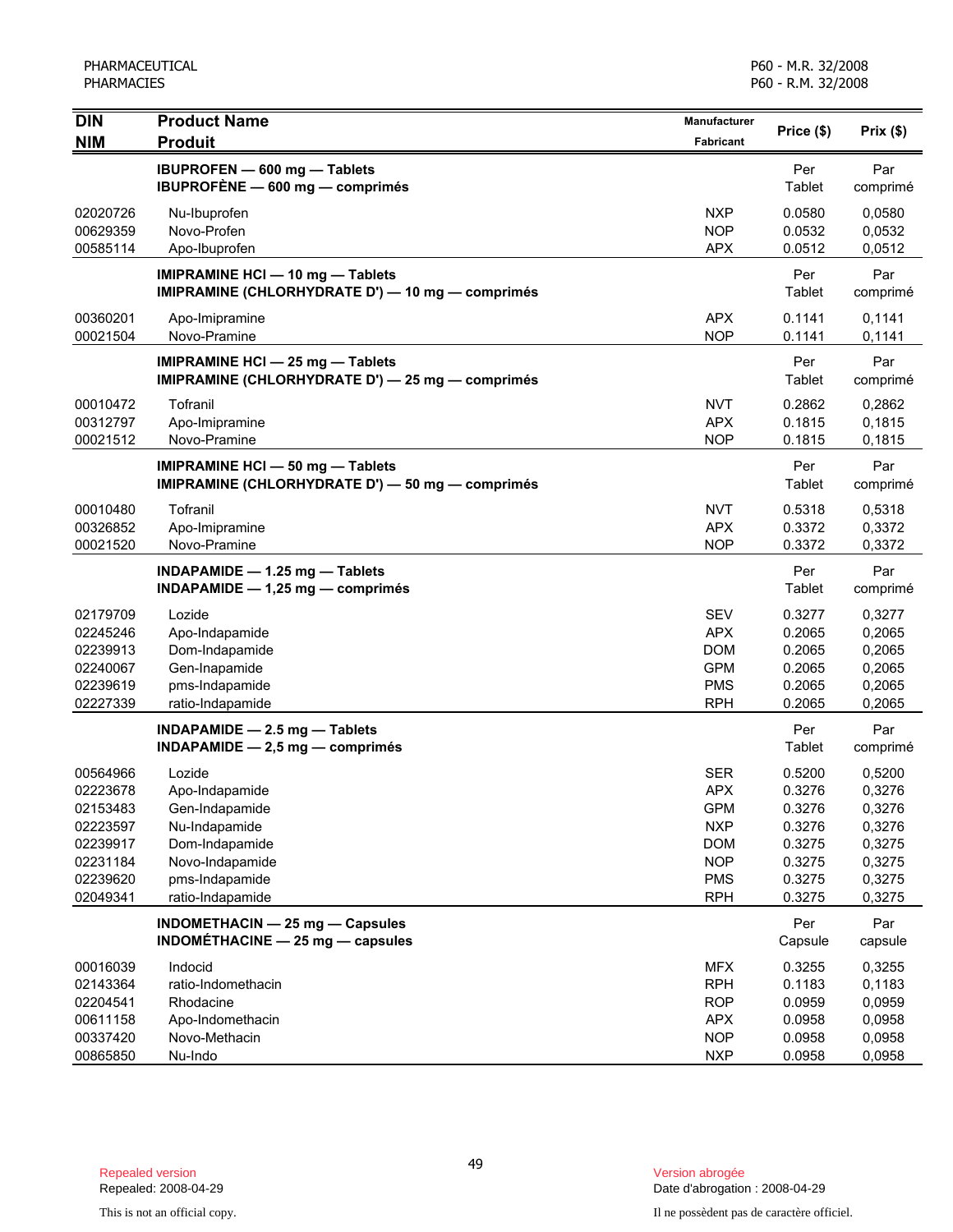| <b>DIN</b>                                                                                   | <b>Product Name</b>                                                                                                                    | Manufacturer                                                                                                 | Price (\$)                                                                   |                                                                              |
|----------------------------------------------------------------------------------------------|----------------------------------------------------------------------------------------------------------------------------------------|--------------------------------------------------------------------------------------------------------------|------------------------------------------------------------------------------|------------------------------------------------------------------------------|
| <b>NIM</b>                                                                                   | <b>Produit</b>                                                                                                                         | <b>Fabricant</b>                                                                                             |                                                                              | Prix(\$)                                                                     |
|                                                                                              | <b>IBUPROFEN - 600 mg - Tablets</b><br>IBUPROFÈNE - 600 mg - comprimés                                                                 |                                                                                                              | Per<br>Tablet                                                                | Par<br>comprimé                                                              |
| 02020726<br>00629359<br>00585114                                                             | Nu-Ibuprofen<br>Novo-Profen<br>Apo-Ibuprofen                                                                                           | <b>NXP</b><br><b>NOP</b><br><b>APX</b>                                                                       | 0.0580<br>0.0532<br>0.0512                                                   | 0.0580<br>0,0532<br>0,0512                                                   |
|                                                                                              | IMIPRAMINE HCI - 10 mg - Tablets<br>IMIPRAMINE (CHLORHYDRATE D') - 10 mg - comprimés                                                   |                                                                                                              | Per<br>Tablet                                                                | Par<br>comprimé                                                              |
| 00360201<br>00021504                                                                         | Apo-Imipramine<br>Novo-Pramine                                                                                                         | <b>APX</b><br><b>NOP</b>                                                                                     | 0.1141<br>0.1141                                                             | 0,1141<br>0,1141                                                             |
|                                                                                              | <b>IMIPRAMINE HCI - 25 mg - Tablets</b><br>IMIPRAMINE (CHLORHYDRATE D') - 25 mg - comprimés                                            |                                                                                                              | Per<br>Tablet                                                                | Par<br>comprimé                                                              |
| 00010472<br>00312797<br>00021512                                                             | Tofranil<br>Apo-Imipramine<br>Novo-Pramine                                                                                             | <b>NVT</b><br><b>APX</b><br><b>NOP</b>                                                                       | 0.2862<br>0.1815<br>0.1815                                                   | 0,2862<br>0,1815<br>0,1815                                                   |
|                                                                                              | <b>IMIPRAMINE HCI - 50 mg - Tablets</b><br>IMIPRAMINE (CHLORHYDRATE D') - 50 mg - comprimés                                            |                                                                                                              | Per<br>Tablet                                                                | Par<br>comprimé                                                              |
| 00010480<br>00326852<br>00021520                                                             | Tofranil<br>Apo-Imipramine<br>Novo-Pramine                                                                                             | <b>NVT</b><br><b>APX</b><br><b>NOP</b>                                                                       | 0.5318<br>0.3372<br>0.3372                                                   | 0,5318<br>0,3372<br>0,3372                                                   |
|                                                                                              | INDAPAMIDE - 1.25 mg - Tablets<br>INDAPAMIDE $- 1,25$ mg $-$ comprimés                                                                 |                                                                                                              | Per<br>Tablet                                                                | Par<br>comprimé                                                              |
| 02179709<br>02245246<br>02239913<br>02240067<br>02239619<br>02227339                         | Lozide<br>Apo-Indapamide<br>Dom-Indapamide<br>Gen-Inapamide<br>pms-Indapamide<br>ratio-Indapamide                                      | <b>SEV</b><br><b>APX</b><br><b>DOM</b><br><b>GPM</b><br><b>PMS</b><br><b>RPH</b>                             | 0.3277<br>0.2065<br>0.2065<br>0.2065<br>0.2065<br>0.2065                     | 0,3277<br>0,2065<br>0,2065<br>0,2065<br>0,2065<br>0,2065                     |
|                                                                                              | INDAPAMIDE $-2.5$ mg $-$ Tablets<br>$INDAPAMIDE - 2,5 mg - comprimés$                                                                  |                                                                                                              | Per<br>Tablet                                                                | Par<br>comprimé                                                              |
| 00564966<br>02223678<br>02153483<br>02223597<br>02239917<br>02231184<br>02239620<br>02049341 | Lozide<br>Apo-Indapamide<br>Gen-Indapamide<br>Nu-Indapamide<br>Dom-Indapamide<br>Novo-Indapamide<br>pms-Indapamide<br>ratio-Indapamide | <b>SER</b><br><b>APX</b><br><b>GPM</b><br><b>NXP</b><br><b>DOM</b><br><b>NOP</b><br><b>PMS</b><br><b>RPH</b> | 0.5200<br>0.3276<br>0.3276<br>0.3276<br>0.3275<br>0.3275<br>0.3275<br>0.3275 | 0,5200<br>0,3276<br>0,3276<br>0,3276<br>0,3275<br>0,3275<br>0,3275<br>0,3275 |
|                                                                                              | INDOMETHACIN - 25 mg - Capsules<br>INDOMÉTHACINE - 25 mg - capsules                                                                    |                                                                                                              | Per<br>Capsule                                                               | Par<br>capsule                                                               |
| 00016039<br>02143364<br>02204541<br>00611158<br>00337420<br>00865850                         | Indocid<br>ratio-Indomethacin<br>Rhodacine<br>Apo-Indomethacin<br>Novo-Methacin<br>Nu-Indo                                             | <b>MFX</b><br><b>RPH</b><br><b>ROP</b><br><b>APX</b><br><b>NOP</b><br><b>NXP</b>                             | 0.3255<br>0.1183<br>0.0959<br>0.0958<br>0.0958<br>0.0958                     | 0,3255<br>0,1183<br>0,0959<br>0,0958<br>0,0958<br>0,0958                     |

Date d'abrogation : 2008-04-29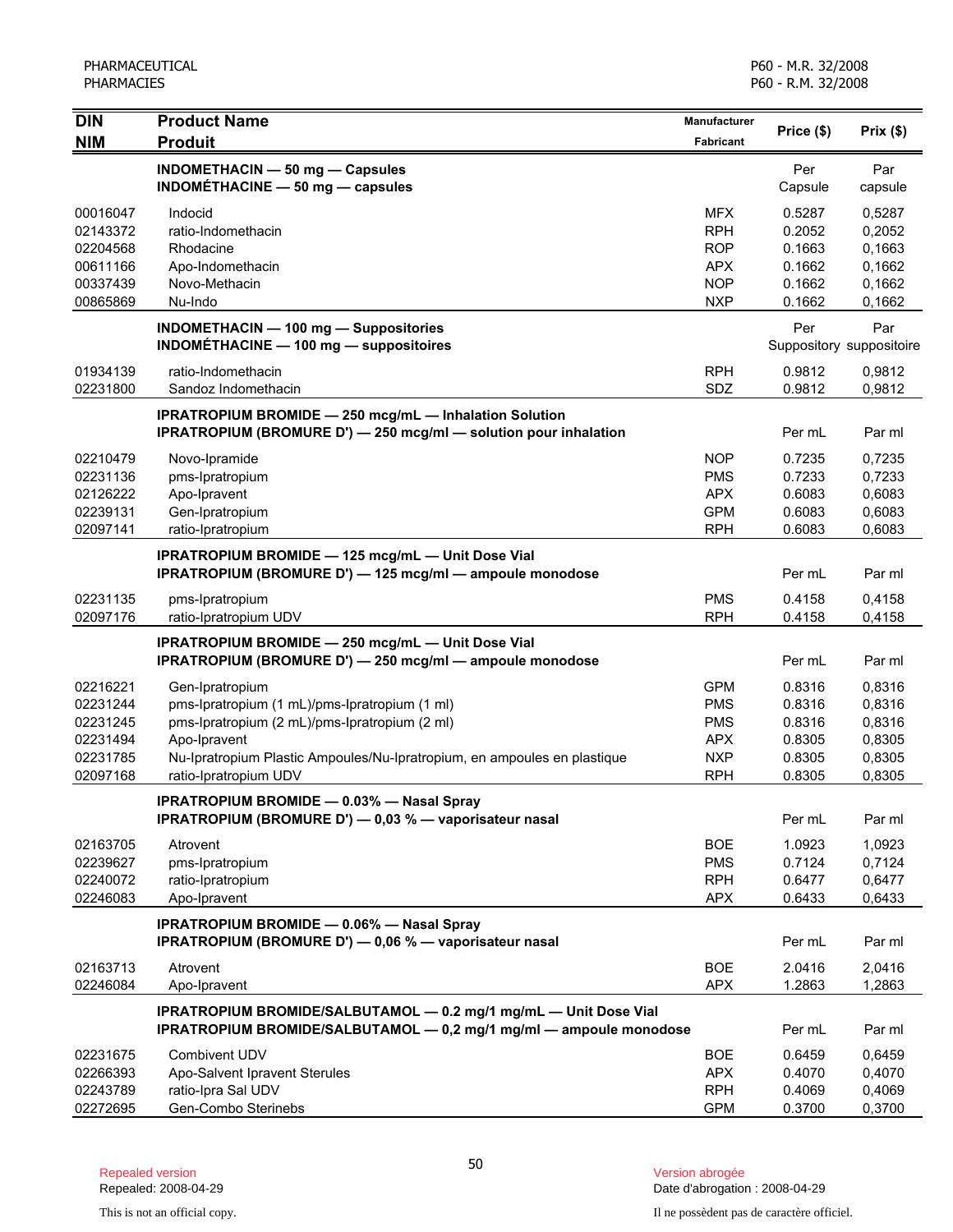| <b>DIN</b> | <b>Product Name</b><br><b>Produit</b>                                    | <b>Manufacturer</b> |            |                          |
|------------|--------------------------------------------------------------------------|---------------------|------------|--------------------------|
| <b>NIM</b> |                                                                          | <b>Fabricant</b>    | Price (\$) | Prix(\$)                 |
|            | INDOMETHACIN - 50 mg - Capsules                                          |                     | Per        | Par                      |
|            | INDOMÉTHACINE $-$ 50 mg $-$ capsules                                     |                     | Capsule    | capsule                  |
| 00016047   | Indocid                                                                  | <b>MFX</b>          | 0.5287     | 0,5287                   |
| 02143372   | ratio-Indomethacin                                                       | <b>RPH</b>          | 0.2052     | 0,2052                   |
| 02204568   | Rhodacine                                                                | <b>ROP</b>          | 0.1663     | 0,1663                   |
| 00611166   | Apo-Indomethacin                                                         | <b>APX</b>          | 0.1662     | 0,1662                   |
| 00337439   | Novo-Methacin                                                            | <b>NOP</b>          | 0.1662     | 0,1662                   |
| 00865869   | Nu-Indo                                                                  | <b>NXP</b>          | 0.1662     | 0,1662                   |
|            | <b>INDOMETHACIN - 100 mg - Suppositories</b>                             |                     | Per        | Par                      |
|            | INDOMÉTHACINE - 100 mg - suppositoires                                   |                     |            | Suppository suppositoire |
| 01934139   | ratio-Indomethacin                                                       | <b>RPH</b>          | 0.9812     | 0,9812                   |
| 02231800   | Sandoz Indomethacin                                                      | SDZ                 | 0.9812     | 0,9812                   |
|            | <b>IPRATROPIUM BROMIDE - 250 mcg/mL - Inhalation Solution</b>            |                     |            |                          |
|            | <b>IPRATROPIUM (BROMURE D') - 250 mcg/ml - solution pour inhalation</b>  |                     | Per mL     | Par ml                   |
| 02210479   | Novo-Ipramide                                                            | <b>NOP</b>          | 0.7235     | 0,7235                   |
| 02231136   | pms-Ipratropium                                                          | <b>PMS</b>          | 0.7233     | 0,7233                   |
| 02126222   | Apo-Ipravent                                                             | <b>APX</b>          | 0.6083     | 0,6083                   |
| 02239131   | Gen-Ipratropium                                                          | <b>GPM</b>          | 0.6083     | 0,6083                   |
| 02097141   | ratio-Ipratropium                                                        | <b>RPH</b>          | 0.6083     | 0,6083                   |
|            | IPRATROPIUM BROMIDE - 125 mcg/mL - Unit Dose Vial                        |                     |            |                          |
|            | IPRATROPIUM (BROMURE D') - 125 mcg/ml - ampoule monodose                 |                     | Per mL     | Par ml                   |
| 02231135   | pms-Ipratropium                                                          | <b>PMS</b>          | 0.4158     | 0,4158                   |
| 02097176   | ratio-Ipratropium UDV                                                    | <b>RPH</b>          | 0.4158     | 0,4158                   |
|            | <b>IPRATROPIUM BROMIDE - 250 mcg/mL - Unit Dose Vial</b>                 |                     |            |                          |
|            | IPRATROPIUM (BROMURE D') - 250 mcg/ml - ampoule monodose                 |                     | Per mL     | Par ml                   |
| 02216221   | Gen-Ipratropium                                                          | <b>GPM</b>          | 0.8316     | 0,8316                   |
| 02231244   | pms-Ipratropium (1 mL)/pms-Ipratropium (1 ml)                            | <b>PMS</b>          | 0.8316     | 0,8316                   |
| 02231245   | pms-Ipratropium (2 mL)/pms-Ipratropium (2 ml)                            | <b>PMS</b>          | 0.8316     | 0,8316                   |
| 02231494   | Apo-Ipravent                                                             | <b>APX</b>          | 0.8305     | 0,8305                   |
| 02231785   | Nu-Ipratropium Plastic Ampoules/Nu-Ipratropium, en ampoules en plastique | <b>NXP</b>          | 0.8305     | 0,8305                   |
| 02097168   | ratio-Ipratropium UDV                                                    | <b>RPH</b>          | 0.8305     | 0,8305                   |
|            | <b>IPRATROPIUM BROMIDE - 0.03% - Nasal Sprav</b>                         |                     |            |                          |
|            | IPRATROPIUM (BROMURE D') - 0,03 % - vaporisateur nasal                   |                     | Per mL     | Par ml                   |
| 02163705   | Atrovent                                                                 | <b>BOE</b>          | 1.0923     | 1,0923                   |
| 02239627   | pms-Ipratropium                                                          | <b>PMS</b>          | 0.7124     | 0,7124                   |
| 02240072   | ratio-Ipratropium                                                        | <b>RPH</b>          | 0.6477     | 0,6477                   |
| 02246083   | Apo-Ipravent                                                             | <b>APX</b>          | 0.6433     | 0,6433                   |
|            | <b>IPRATROPIUM BROMIDE - 0.06% - Nasal Spray</b>                         |                     |            |                          |
|            | IPRATROPIUM (BROMURE D') - 0,06 % - vaporisateur nasal                   |                     | Per mL     | Par ml                   |
| 02163713   | Atrovent                                                                 | <b>BOE</b>          | 2.0416     | 2,0416                   |
| 02246084   | Apo-Ipravent                                                             | <b>APX</b>          | 1.2863     | 1,2863                   |
|            | IPRATROPIUM BROMIDE/SALBUTAMOL - 0.2 mg/1 mg/mL - Unit Dose Vial         |                     |            |                          |
|            | IPRATROPIUM BROMIDE/SALBUTAMOL - 0,2 mg/1 mg/ml - ampoule monodose       |                     | Per mL     | Par ml                   |
| 02231675   | Combivent UDV                                                            | <b>BOE</b>          | 0.6459     | 0,6459                   |
| 02266393   | Apo-Salvent Ipravent Sterules                                            | <b>APX</b>          | 0.4070     | 0,4070                   |
| 02243789   | ratio-Ipra Sal UDV                                                       | <b>RPH</b>          | 0.4069     | 0,4069                   |
| 02272695   | Gen-Combo Sterinebs                                                      | <b>GPM</b>          | 0.3700     | 0,3700                   |

Date d'abrogation : 2008-04-29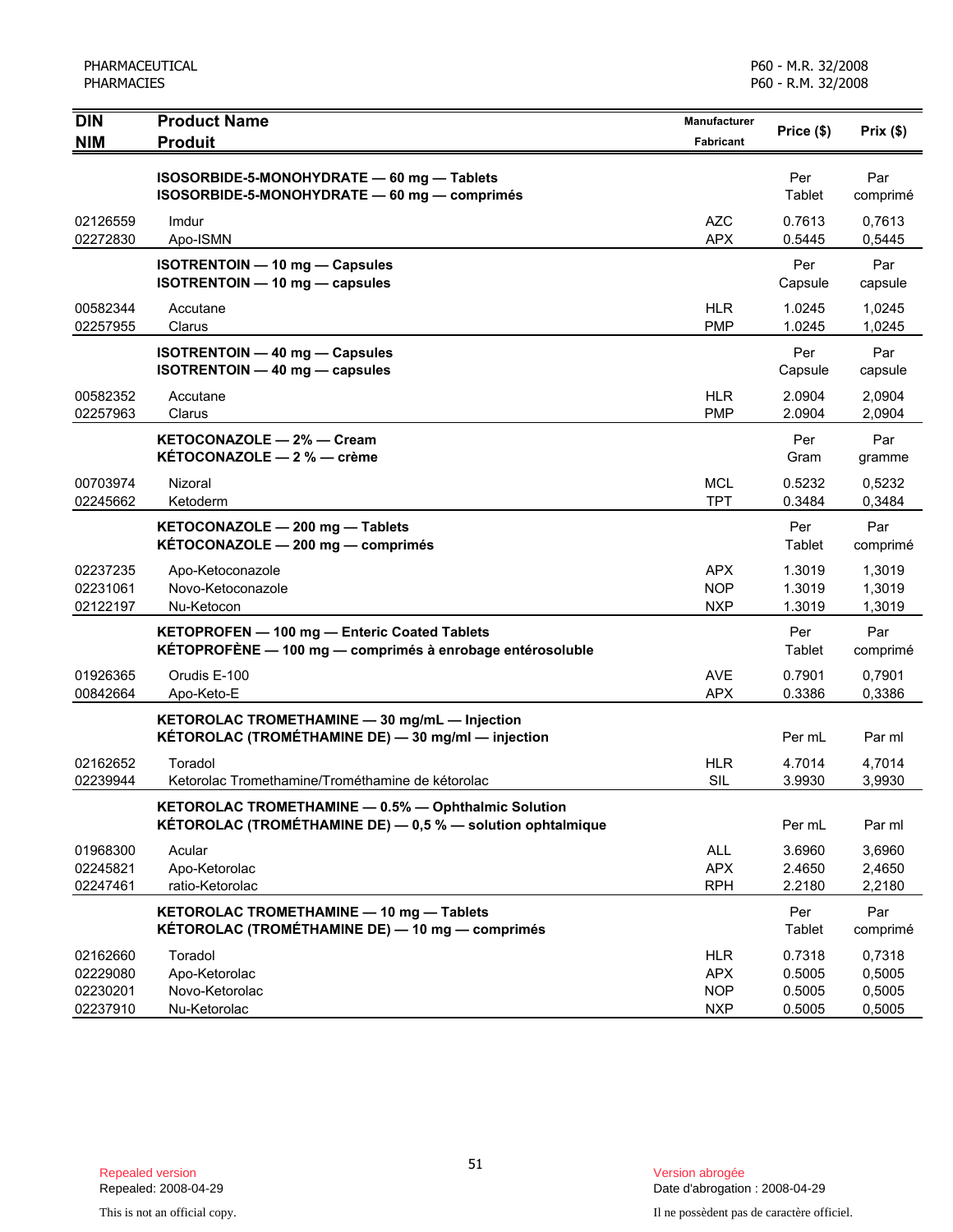| <b>DIN</b>                                   | <b>Product Name</b>                                                                                               | <b>Manufacturer</b>                                  | Price (\$)                           | Prix(\$)                             |
|----------------------------------------------|-------------------------------------------------------------------------------------------------------------------|------------------------------------------------------|--------------------------------------|--------------------------------------|
| <b>NIM</b>                                   | <b>Produit</b>                                                                                                    | <b>Fabricant</b>                                     |                                      |                                      |
|                                              | ISOSORBIDE-5-MONOHYDRATE - 60 mg - Tablets<br>ISOSORBIDE-5-MONOHYDRATE - 60 mg - comprimés                        |                                                      | Per<br>Tablet                        | Par<br>comprimé                      |
| 02126559<br>02272830                         | Imdur<br>Apo-ISMN                                                                                                 | <b>AZC</b><br><b>APX</b>                             | 0.7613<br>0.5445                     | 0,7613<br>0,5445                     |
|                                              | <b>ISOTRENTOIN - 10 mg - Capsules</b><br>ISOTRENTOIN - 10 mg - capsules                                           |                                                      | Per<br>Capsule                       | Par<br>capsule                       |
| 00582344<br>02257955                         | Accutane<br>Clarus                                                                                                | <b>HLR</b><br><b>PMP</b>                             | 1.0245<br>1.0245                     | 1.0245<br>1,0245                     |
|                                              | <b>ISOTRENTOIN - 40 mg - Capsules</b><br><b>ISOTRENTOIN - 40 mg - capsules</b>                                    |                                                      | Per<br>Capsule                       | Par<br>capsule                       |
| 00582352<br>02257963                         | Accutane<br>Clarus                                                                                                | <b>HLR</b><br><b>PMP</b>                             | 2.0904<br>2.0904                     | 2,0904<br>2,0904                     |
|                                              | KETOCONAZOLE - 2% - Cream<br>KÉTOCONAZOLE - 2 % - crème                                                           |                                                      | Per<br>Gram                          | Par<br>gramme                        |
| 00703974<br>02245662                         | Nizoral<br>Ketoderm                                                                                               | <b>MCL</b><br><b>TPT</b>                             | 0.5232<br>0.3484                     | 0,5232<br>0,3484                     |
|                                              | KETOCONAZOLE - 200 mg - Tablets<br>KÉTOCONAZOLE - 200 mg - comprimés                                              |                                                      | Per<br>Tablet                        | Par<br>comprimé                      |
| 02237235<br>02231061<br>02122197             | Apo-Ketoconazole<br>Novo-Ketoconazole<br>Nu-Ketocon                                                               | <b>APX</b><br><b>NOP</b><br><b>NXP</b>               | 1.3019<br>1.3019<br>1.3019           | 1,3019<br>1,3019<br>1,3019           |
|                                              | KETOPROFEN - 100 mg - Enteric Coated Tablets<br>KÉTOPROFÈNE - 100 mg - comprimés à enrobage entérosoluble         |                                                      | Per<br>Tablet                        | Par<br>comprimé                      |
| 01926365<br>00842664                         | Orudis E-100<br>Apo-Keto-E                                                                                        | <b>AVE</b><br><b>APX</b>                             | 0.7901<br>0.3386                     | 0,7901<br>0,3386                     |
|                                              | KETOROLAC TROMETHAMINE - 30 mg/mL - Injection<br>KÉTOROLAC (TROMÉTHAMINE DE) - 30 mg/ml - injection               |                                                      | Per mL                               | Par ml                               |
| 02162652<br>02239944                         | Toradol<br>Ketorolac Tromethamine/Trométhamine de kétorolac                                                       | <b>HLR</b><br><b>SIL</b>                             | 4.7014<br>3.9930                     | 4,7014<br>3,9930                     |
|                                              | KETOROLAC TROMETHAMINE - 0.5% - Ophthalmic Solution<br>KÉTOROLAC (TROMÉTHAMINE DE) - 0,5 % - solution ophtalmique |                                                      | Per mL                               | Par ml                               |
| 01968300<br>02245821<br>02247461             | Acular<br>Apo-Ketorolac<br>ratio-Ketorolac                                                                        | ALL<br><b>APX</b><br><b>RPH</b>                      | 3.6960<br>2.4650<br>2.2180           | 3,6960<br>2,4650<br>2,2180           |
|                                              | KETOROLAC TROMETHAMINE - 10 mg - Tablets<br>KÉTOROLAC (TROMÉTHAMINE DE) - 10 mg - comprimés                       |                                                      | Per<br><b>Tablet</b>                 | Par<br>comprimé                      |
| 02162660<br>02229080<br>02230201<br>02237910 | Toradol<br>Apo-Ketorolac<br>Novo-Ketorolac<br>Nu-Ketorolac                                                        | <b>HLR</b><br><b>APX</b><br><b>NOP</b><br><b>NXP</b> | 0.7318<br>0.5005<br>0.5005<br>0.5005 | 0,7318<br>0,5005<br>0,5005<br>0,5005 |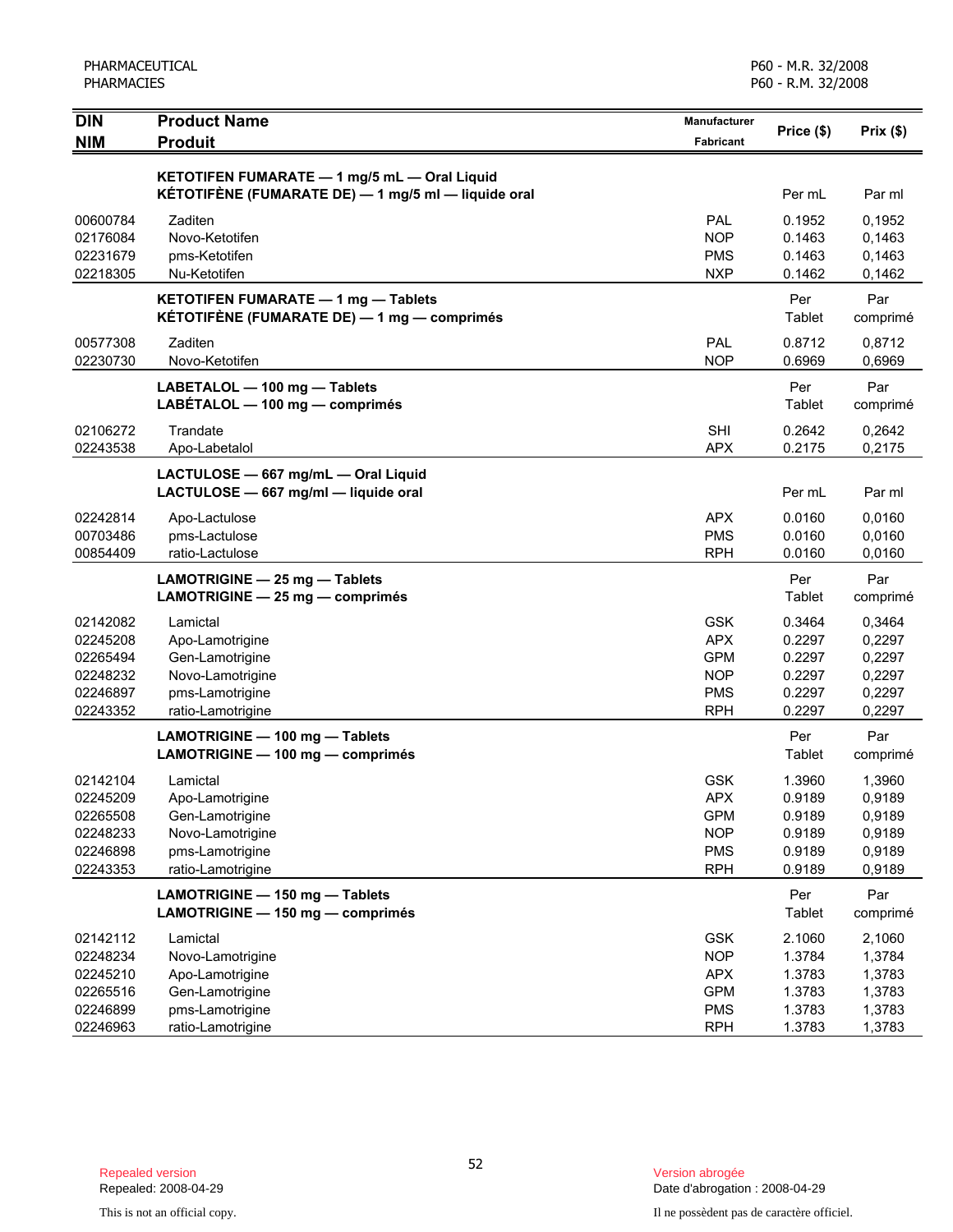| <b>DIN</b> | <b>Product Name</b><br><b>Produit</b>               | <b>Manufacturer</b> | Price (\$) | Prix(\$) |
|------------|-----------------------------------------------------|---------------------|------------|----------|
| <b>NIM</b> |                                                     | <b>Fabricant</b>    |            |          |
|            | KETOTIFEN FUMARATE - 1 mg/5 mL - Oral Liquid        |                     |            |          |
|            | KÉTOTIFÈNE (FUMARATE DE) — 1 mg/5 ml — liquide oral |                     | Per mL     | Par ml   |
| 00600784   | Zaditen                                             | PAL                 | 0.1952     | 0,1952   |
| 02176084   | Novo-Ketotifen                                      | <b>NOP</b>          | 0.1463     | 0,1463   |
| 02231679   | pms-Ketotifen                                       | <b>PMS</b>          | 0.1463     | 0,1463   |
| 02218305   | Nu-Ketotifen                                        | <b>NXP</b>          | 0.1462     | 0,1462   |
|            | KETOTIFEN FUMARATE - 1 mg - Tablets                 |                     | Per        | Par      |
|            | KÉTOTIFÈNE (FUMARATE DE) — 1 mg — comprimés         |                     | Tablet     | comprimé |
| 00577308   | Zaditen                                             | <b>PAL</b>          | 0.8712     | 0,8712   |
| 02230730   | Novo-Ketotifen                                      | <b>NOP</b>          | 0.6969     | 0,6969   |
|            | LABETALOL - 100 mg - Tablets                        |                     | Per        | Par      |
|            | LABETALOL - 100 mg - comprimés                      |                     | Tablet     | comprimé |
| 02106272   | Trandate                                            | <b>SHI</b>          | 0.2642     | 0,2642   |
| 02243538   | Apo-Labetalol                                       | <b>APX</b>          | 0.2175     | 0,2175   |
|            | LACTULOSE - 667 mg/mL - Oral Liquid                 |                     |            |          |
|            | LACTULOSE - 667 mg/ml - liquide oral                |                     | Per mL     | Par ml   |
| 02242814   | Apo-Lactulose                                       | <b>APX</b>          | 0.0160     | 0,0160   |
| 00703486   | pms-Lactulose                                       | <b>PMS</b>          | 0.0160     | 0,0160   |
| 00854409   | ratio-Lactulose                                     | <b>RPH</b>          | 0.0160     | 0,0160   |
|            | LAMOTRIGINE - 25 mg - Tablets                       |                     | Per        | Par      |
|            | LAMOTRIGINE - 25 mg - comprimés                     |                     | Tablet     | comprimé |
| 02142082   | Lamictal                                            | <b>GSK</b>          | 0.3464     | 0,3464   |
| 02245208   | Apo-Lamotrigine                                     | <b>APX</b>          | 0.2297     | 0,2297   |
| 02265494   | Gen-Lamotrigine                                     | <b>GPM</b>          | 0.2297     | 0,2297   |
| 02248232   | Novo-Lamotrigine                                    | <b>NOP</b>          | 0.2297     | 0,2297   |
| 02246897   | pms-Lamotrigine                                     | <b>PMS</b>          | 0.2297     | 0,2297   |
| 02243352   | ratio-Lamotrigine                                   | <b>RPH</b>          | 0.2297     | 0,2297   |
|            | LAMOTRIGINE - 100 mg - Tablets                      |                     | Per        | Par      |
|            | LAMOTRIGINE - 100 mg - comprimés                    |                     | Tablet     | comprimé |
| 02142104   | Lamictal                                            | <b>GSK</b>          | 1.3960     | 1,3960   |
| 02245209   | Apo-Lamotrigine                                     | APX                 | 0.9189     | 0,9189   |
| 02265508   | Gen-Lamotrigine                                     | <b>GPM</b>          | 0.9189     | 0,9189   |
| 02248233   | Novo-Lamotrigine                                    | <b>NOP</b>          | 0.9189     | 0,9189   |
| 02246898   | pms-Lamotrigine                                     | <b>PMS</b>          | 0.9189     | 0,9189   |
| 02243353   | ratio-Lamotrigine                                   | <b>RPH</b>          | 0.9189     | 0,9189   |
|            | LAMOTRIGINE - 150 mg - Tablets                      |                     | Per        | Par      |
|            | LAMOTRIGINE - 150 mg - comprimés                    |                     | Tablet     | comprimé |
| 02142112   | Lamictal                                            | <b>GSK</b>          | 2.1060     | 2,1060   |
| 02248234   | Novo-Lamotrigine                                    | <b>NOP</b>          | 1.3784     | 1,3784   |
| 02245210   | Apo-Lamotrigine                                     | <b>APX</b>          | 1.3783     | 1,3783   |
| 02265516   | Gen-Lamotrigine                                     | <b>GPM</b>          | 1.3783     | 1,3783   |
| 02246899   | pms-Lamotrigine                                     | <b>PMS</b>          | 1.3783     | 1,3783   |
| 02246963   | ratio-Lamotrigine                                   | <b>RPH</b>          | 1.3783     | 1,3783   |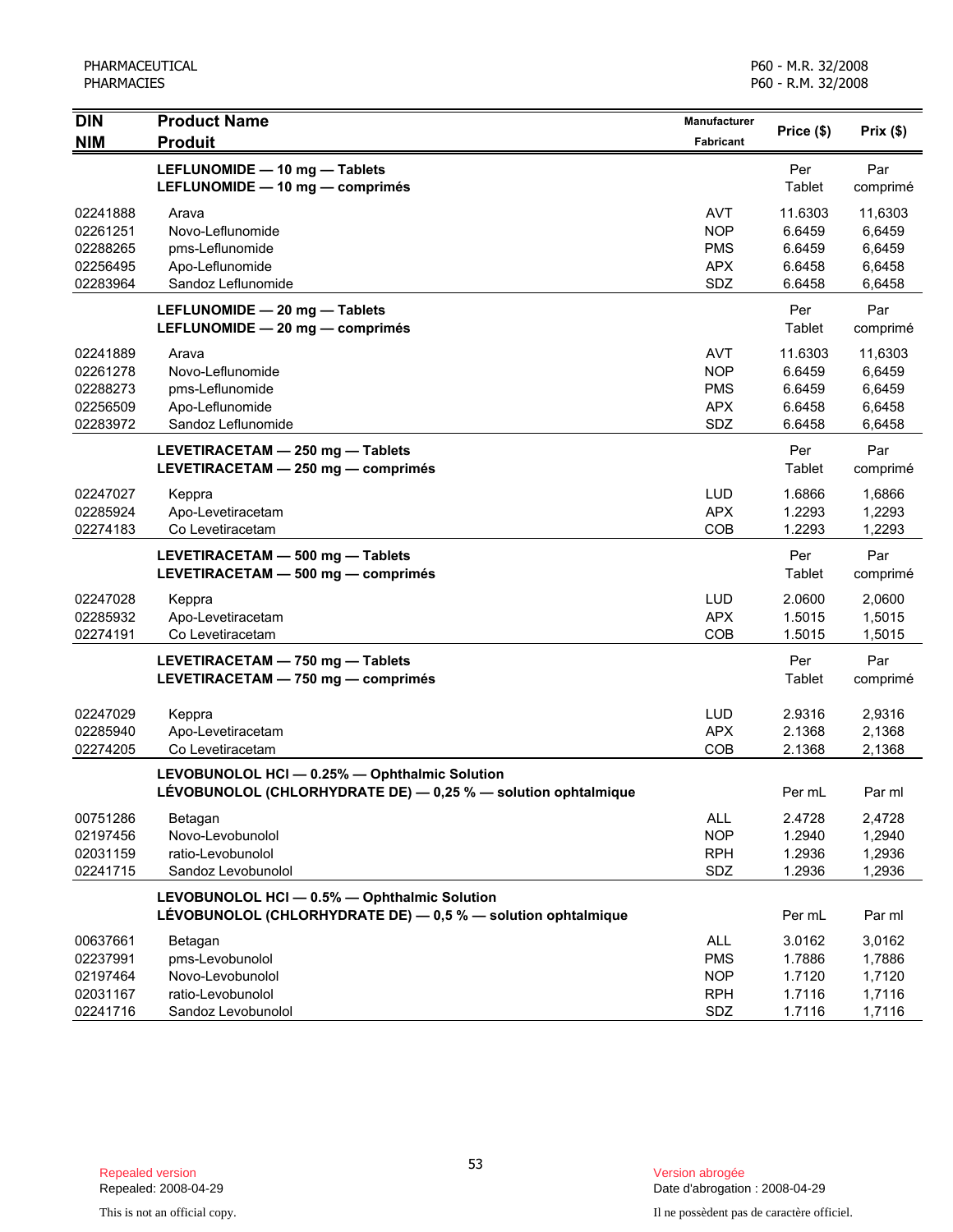| <b>DIN</b> | <b>Product Name</b>                                                                                            | Manufacturer     |            |          |
|------------|----------------------------------------------------------------------------------------------------------------|------------------|------------|----------|
| <b>NIM</b> | <b>Produit</b>                                                                                                 | <b>Fabricant</b> | Price (\$) | Prix(\$) |
|            | LEFLUNOMIDE - 10 mg - Tablets                                                                                  |                  | Per        | Par      |
|            | LEFLUNOMIDE - 10 mg - comprimés                                                                                |                  | Tablet     | comprimé |
| 02241888   | Arava                                                                                                          | <b>AVT</b>       | 11.6303    | 11,6303  |
| 02261251   | Novo-Leflunomide                                                                                               | <b>NOP</b>       | 6.6459     | 6,6459   |
| 02288265   | pms-Leflunomide                                                                                                | <b>PMS</b>       | 6.6459     | 6,6459   |
| 02256495   | Apo-Leflunomide                                                                                                | <b>APX</b>       | 6.6458     | 6,6458   |
| 02283964   | Sandoz Leflunomide                                                                                             | SDZ              | 6.6458     | 6,6458   |
|            | LEFLUNOMIDE - 20 mg - Tablets                                                                                  |                  | Per        | Par      |
|            | LEFLUNOMIDE - 20 mg - comprimés                                                                                |                  | Tablet     | comprimé |
| 02241889   | Arava                                                                                                          | <b>AVT</b>       | 11.6303    | 11,6303  |
| 02261278   | Novo-Leflunomide                                                                                               | <b>NOP</b>       | 6.6459     | 6,6459   |
| 02288273   | pms-Leflunomide                                                                                                | <b>PMS</b>       | 6.6459     | 6,6459   |
| 02256509   | Apo-Leflunomide                                                                                                | <b>APX</b>       | 6.6458     | 6,6458   |
| 02283972   | Sandoz Leflunomide                                                                                             | SDZ              | 6.6458     | 6,6458   |
|            | LEVETIRACETAM - 250 mg - Tablets                                                                               |                  | Per        | Par      |
|            | LEVETIRACETAM - 250 mg - comprimés                                                                             |                  | Tablet     | comprimé |
| 02247027   | Keppra                                                                                                         | LUD              | 1.6866     | 1,6866   |
| 02285924   | Apo-Levetiracetam                                                                                              | <b>APX</b>       | 1.2293     | 1,2293   |
| 02274183   | Co Levetiracetam                                                                                               | <b>COB</b>       | 1.2293     | 1,2293   |
|            | LEVETIRACETAM - 500 mg - Tablets                                                                               |                  | Per        | Par      |
|            | LEVETIRACETAM - 500 mg - comprimés                                                                             |                  | Tablet     | comprimé |
| 02247028   | Keppra                                                                                                         | <b>LUD</b>       | 2.0600     | 2,0600   |
| 02285932   | Apo-Levetiracetam                                                                                              | <b>APX</b>       | 1.5015     | 1,5015   |
| 02274191   | Co Levetiracetam                                                                                               | COB              | 1.5015     | 1,5015   |
|            | LEVETIRACETAM - 750 mg - Tablets                                                                               |                  | Per        | Par      |
|            | LEVETIRACETAM - 750 mg - comprimés                                                                             |                  | Tablet     | comprimé |
| 02247029   | Keppra                                                                                                         | <b>LUD</b>       | 2.9316     | 2,9316   |
| 02285940   | Apo-Levetiracetam                                                                                              | <b>APX</b>       | 2.1368     | 2,1368   |
| 02274205   | Co Levetiracetam                                                                                               | COB              | 2.1368     | 2,1368   |
|            |                                                                                                                |                  |            |          |
|            | LEVOBUNOLOL HCI - 0.25% - Ophthalmic Solution<br>LÉVOBUNOLOL (CHLORHYDRATE DE) - 0,25 % - solution ophtalmique |                  | Per mL     | Par ml   |
| 00751286   | Betagan                                                                                                        | ALL              | 2.4728     | 2,4728   |
| 02197456   | Novo-Levobunolol                                                                                               | <b>NOP</b>       | 1.2940     | 1,2940   |
| 02031159   | ratio-Levobunolol                                                                                              | <b>RPH</b>       | 1.2936     | 1,2936   |
| 02241715   | Sandoz Levobunolol                                                                                             | SDZ              | 1.2936     | 1,2936   |
|            | LEVOBUNOLOL HCI - 0.5% - Ophthalmic Solution                                                                   |                  |            |          |
|            | LÉVOBUNOLOL (CHLORHYDRATE DE) - 0,5 % - solution ophtalmique                                                   |                  | Per mL     | Par ml   |
| 00637661   | Betagan                                                                                                        | ALL              | 3.0162     | 3,0162   |
| 02237991   | pms-Levobunolol                                                                                                | <b>PMS</b>       | 1.7886     | 1,7886   |
| 02197464   | Novo-Levobunolol                                                                                               | <b>NOP</b>       | 1.7120     | 1,7120   |
| 02031167   | ratio-Levobunolol                                                                                              | <b>RPH</b>       | 1.7116     | 1,7116   |
| 02241716   | Sandoz Levobunolol                                                                                             | SDZ              | 1.7116     | 1,7116   |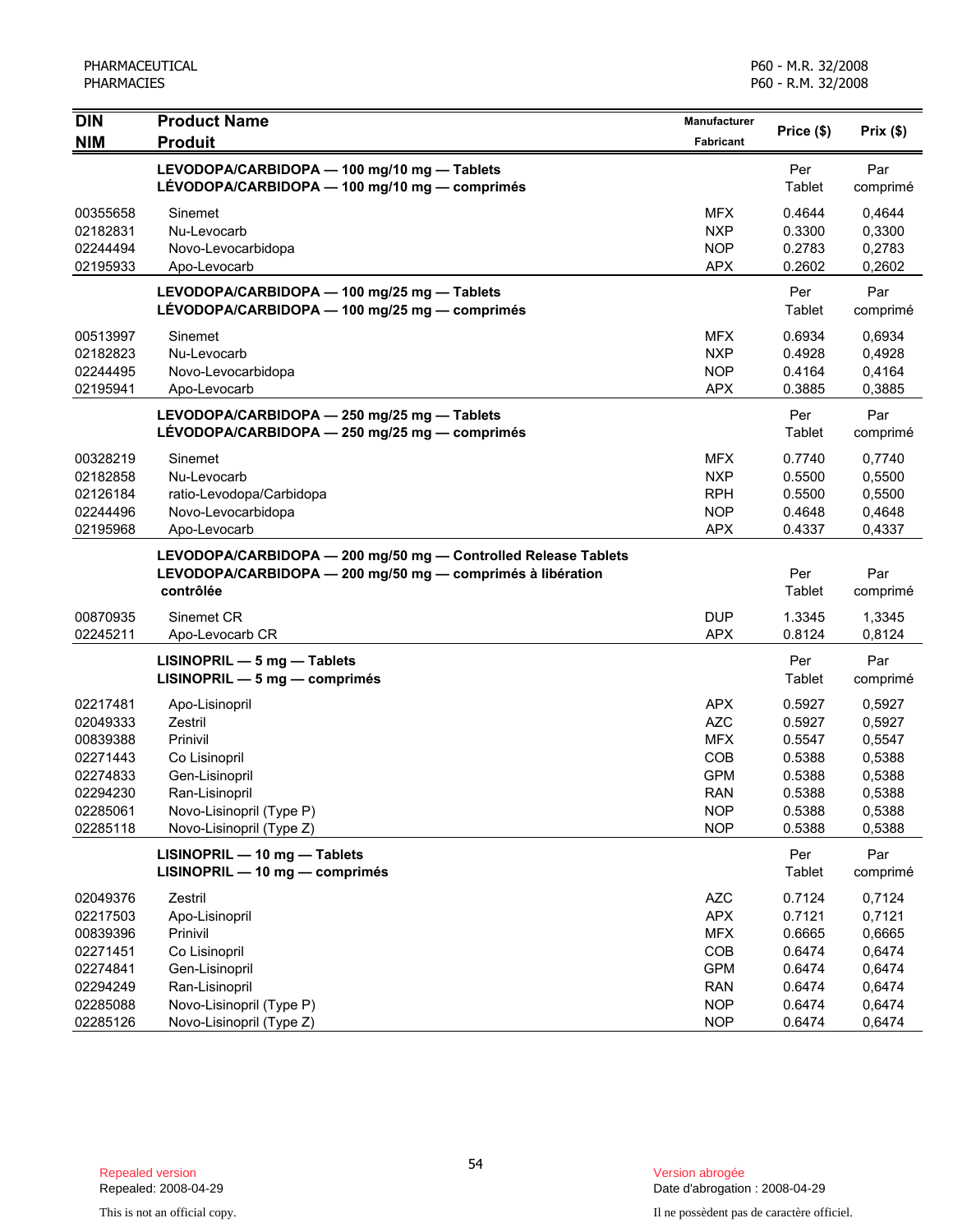| <b>DIN</b> | <b>Product Name</b>                                                                          | Manufacturer | Price (\$)    | Prix(\$)        |
|------------|----------------------------------------------------------------------------------------------|--------------|---------------|-----------------|
| <b>NIM</b> | <b>Produit</b>                                                                               | Fabricant    |               |                 |
|            | LEVODOPA/CARBIDOPA - 100 mg/10 mg - Tablets                                                  |              | Per           | Par             |
|            | LÉVODOPA/CARBIDOPA - 100 mg/10 mg - comprimés                                                |              | Tablet        | comprimé        |
| 00355658   | Sinemet                                                                                      | <b>MFX</b>   | 0.4644        | 0,4644          |
| 02182831   | Nu-Levocarb                                                                                  | <b>NXP</b>   | 0.3300        | 0,3300          |
| 02244494   | Novo-Levocarbidopa                                                                           | <b>NOP</b>   | 0.2783        | 0,2783          |
| 02195933   | Apo-Levocarb                                                                                 | <b>APX</b>   | 0.2602        | 0,2602          |
|            | LEVODOPA/CARBIDOPA - 100 mg/25 mg - Tablets                                                  |              | Per           | Par             |
|            | LÉVODOPA/CARBIDOPA - 100 mg/25 mg - comprimés                                                |              | Tablet        | comprimé        |
| 00513997   | Sinemet                                                                                      | <b>MFX</b>   | 0.6934        | 0,6934          |
| 02182823   | Nu-Levocarb                                                                                  | <b>NXP</b>   | 0.4928        | 0,4928          |
| 02244495   | Novo-Levocarbidopa                                                                           | <b>NOP</b>   | 0.4164        | 0,4164          |
| 02195941   | Apo-Levocarb                                                                                 | <b>APX</b>   | 0.3885        | 0,3885          |
|            |                                                                                              |              |               |                 |
|            | LEVODOPA/CARBIDOPA - 250 mg/25 mg - Tablets<br>LÉVODOPA/CARBIDOPA - 250 mg/25 mg - comprimés |              | Per<br>Tablet | Par<br>comprimé |
|            |                                                                                              |              |               |                 |
| 00328219   | Sinemet                                                                                      | <b>MFX</b>   | 0.7740        | 0,7740          |
| 02182858   | Nu-Levocarb                                                                                  | <b>NXP</b>   | 0.5500        | 0,5500          |
| 02126184   | ratio-Levodopa/Carbidopa                                                                     | <b>RPH</b>   | 0.5500        | 0,5500          |
| 02244496   | Novo-Levocarbidopa                                                                           | <b>NOP</b>   | 0.4648        | 0,4648          |
| 02195968   | Apo-Levocarb                                                                                 | <b>APX</b>   | 0.4337        | 0,4337          |
|            | LEVODOPA/CARBIDOPA - 200 mg/50 mg - Controlled Release Tablets                               |              |               |                 |
|            | LEVODOPA/CARBIDOPA - 200 mg/50 mg - comprimés à libération                                   |              | Per           | Par             |
|            | contrôlée                                                                                    |              | Tablet        | comprimé        |
| 00870935   | Sinemet CR                                                                                   | <b>DUP</b>   | 1.3345        | 1,3345          |
| 02245211   | Apo-Levocarb CR                                                                              | <b>APX</b>   | 0.8124        | 0,8124          |
|            | $LISINOPRIL - 5 mg - Tables$                                                                 |              | Per           | Par             |
|            | $LISINOPRIL - 5 mg - comprimés$                                                              |              | Tablet        | comprimé        |
| 02217481   | Apo-Lisinopril                                                                               | <b>APX</b>   | 0.5927        | 0,5927          |
| 02049333   | Zestril                                                                                      | <b>AZC</b>   | 0.5927        | 0,5927          |
| 00839388   | Prinivil                                                                                     | <b>MFX</b>   | 0.5547        | 0,5547          |
| 02271443   | Co Lisinopril                                                                                | COB          | 0.5388        | 0,5388          |
| 02274833   | Gen-Lisinopril                                                                               | <b>GPM</b>   | 0.5388        | 0,5388          |
| 02294230   | Ran-Lisinopril                                                                               | <b>RAN</b>   | 0.5388        | 0,5388          |
| 02285061   | Novo-Lisinopril (Type P)                                                                     | <b>NOP</b>   | 0.5388        | 0,5388          |
| 02285118   | Novo-Lisinopril (Type Z)                                                                     | <b>NOP</b>   | 0.5388        | 0,5388          |
|            | LISINOPRIL - 10 mg - Tablets                                                                 |              | Per           | Par             |
|            | LISINOPRIL - 10 mg - comprimés                                                               |              | Tablet        | comprimé        |
| 02049376   | Zestril                                                                                      | <b>AZC</b>   | 0.7124        | 0,7124          |
| 02217503   | Apo-Lisinopril                                                                               | <b>APX</b>   | 0.7121        | 0,7121          |
| 00839396   | Prinivil                                                                                     | <b>MFX</b>   | 0.6665        | 0,6665          |
| 02271451   | Co Lisinopril                                                                                | COB          | 0.6474        | 0,6474          |
| 02274841   | Gen-Lisinopril                                                                               | <b>GPM</b>   | 0.6474        | 0,6474          |
| 02294249   | Ran-Lisinopril                                                                               | <b>RAN</b>   | 0.6474        | 0,6474          |
| 02285088   | Novo-Lisinopril (Type P)                                                                     | <b>NOP</b>   | 0.6474        | 0,6474          |
| 02285126   | Novo-Lisinopril (Type Z)                                                                     | <b>NOP</b>   | 0.6474        | 0,6474          |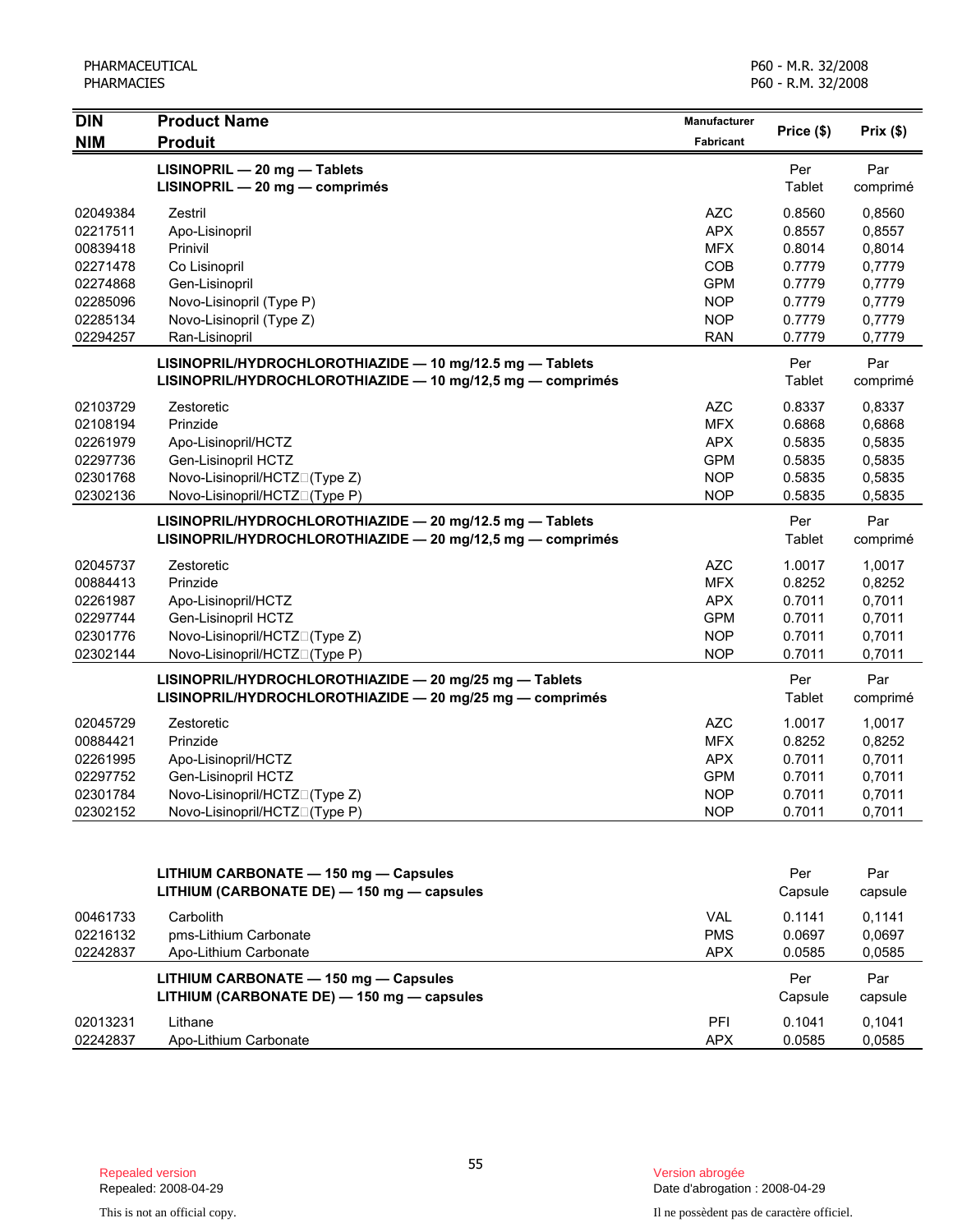| <b>DIN</b>           | <b>Product Name</b>                                                                                                | Manufacturer             |                  |                  |
|----------------------|--------------------------------------------------------------------------------------------------------------------|--------------------------|------------------|------------------|
| <b>NIM</b>           | <b>Produit</b>                                                                                                     | <b>Fabricant</b>         | Price (\$)       | Prix(\$)         |
|                      | LISINOPRIL - 20 mg - Tablets                                                                                       |                          | Per              | Par              |
|                      | LISINOPRIL - 20 mg - comprimés                                                                                     |                          | Tablet           | comprimé         |
| 02049384             | Zestril                                                                                                            | AZC                      | 0.8560           | 0,8560           |
| 02217511             | Apo-Lisinopril                                                                                                     | <b>APX</b>               | 0.8557           | 0,8557           |
| 00839418             | Prinivil                                                                                                           | <b>MFX</b>               | 0.8014           | 0,8014           |
| 02271478             | Co Lisinopril                                                                                                      | COB                      | 0.7779           | 0,7779           |
| 02274868             | Gen-Lisinopril                                                                                                     | <b>GPM</b>               | 0.7779           | 0,7779           |
| 02285096             | Novo-Lisinopril (Type P)                                                                                           | <b>NOP</b>               | 0.7779           | 0,7779           |
| 02285134             | Novo-Lisinopril (Type Z)                                                                                           | <b>NOP</b>               | 0.7779           | 0,7779           |
| 02294257             | Ran-Lisinopril                                                                                                     | <b>RAN</b>               | 0.7779           | 0,7779           |
|                      | LISINOPRIL/HYDROCHLOROTHIAZIDE - 10 mg/12.5 mg - Tablets                                                           |                          | Per              | Par              |
|                      | LISINOPRIL/HYDROCHLOROTHIAZIDE - 10 mg/12,5 mg - comprimés                                                         |                          | Tablet           | comprimé         |
| 02103729             | Zestoretic                                                                                                         | AZC                      | 0.8337           | 0,8337           |
| 02108194             | Prinzide                                                                                                           | <b>MFX</b>               | 0.6868           | 0,6868           |
| 02261979             | Apo-Lisinopril/HCTZ                                                                                                | <b>APX</b>               | 0.5835           | 0,5835           |
| 02297736             | Gen-Lisinopril HCTZ                                                                                                | <b>GPM</b>               | 0.5835           | 0,5835           |
| 02301768             | Novo-Lisinopril/HCTZN(Type Z)                                                                                      | <b>NOP</b>               | 0.5835           | 0,5835           |
| 02302136             | Novo-Lisinopril/HCTZN(Type P)                                                                                      | <b>NOP</b>               | 0.5835           | 0,5835           |
|                      | LISINOPRIL/HYDROCHLOROTHIAZIDE - 20 mg/12.5 mg - Tablets                                                           |                          | Per              | Par              |
|                      | LISINOPRIL/HYDROCHLOROTHIAZIDE - 20 mg/12,5 mg - comprimés                                                         |                          | Tablet           | comprimé         |
| 02045737             | Zestoretic                                                                                                         | <b>AZC</b>               | 1.0017           | 1,0017           |
| 00884413             | Prinzide                                                                                                           | <b>MFX</b>               | 0.8252           | 0,8252           |
| 02261987             | Apo-Lisinopril/HCTZ                                                                                                | <b>APX</b>               | 0.7011           | 0,7011           |
| 02297744             | Gen-Lisinopril HCTZ                                                                                                | <b>GPM</b>               | 0.7011           | 0,7011           |
| 02301776<br>02302144 | Novo-Lisinopril/HCTZN(Type Z)<br>Novo-Lisinopril/HCTZN(Type P)                                                     | <b>NOP</b><br><b>NOP</b> | 0.7011<br>0.7011 | 0,7011<br>0,7011 |
|                      |                                                                                                                    |                          |                  |                  |
|                      | LISINOPRIL/HYDROCHLOROTHIAZIDE - 20 mg/25 mg - Tablets<br>LISINOPRIL/HYDROCHLOROTHIAZIDE - 20 mg/25 mg - comprimés |                          | Per<br>Tablet    | Par              |
|                      |                                                                                                                    |                          |                  | comprimé         |
| 02045729             | Zestoretic                                                                                                         | <b>AZC</b>               | 1.0017           | 1,0017           |
| 00884421             | Prinzide                                                                                                           | <b>MFX</b>               | 0.8252           | 0,8252           |
| 02261995             | Apo-Lisinopril/HCTZ                                                                                                | <b>APX</b>               | 0.7011           | 0,7011           |
| 02297752             | Gen-Lisinopril HCTZ                                                                                                | <b>GPM</b>               | 0.7011           | 0,7011           |
| 02301784             | Novo-Lisinopril/HCTZN(Type Z)                                                                                      | <b>NOP</b>               | 0.7011           | 0,7011           |
| 02302152             | Novo-Lisinopril/HCTZN(Type P)                                                                                      | <b>NOP</b>               | 0.7011           | 0,7011           |
|                      |                                                                                                                    |                          |                  |                  |
|                      | LITHIUM CARBONATE - 150 mg - Capsules                                                                              |                          | Per              | Par              |
|                      | LITHIUM (CARBONATE DE) - 150 mg - capsules                                                                         |                          | Capsule          | capsule          |
| 00461733             | Carbolith                                                                                                          | <b>VAL</b>               | 0.1141           | 0.1141           |
| 02216132             | pms-Lithium Carbonate                                                                                              | <b>PMS</b>               | 0.0697           | 0,0697           |
| 02242837             | Apo-Lithium Carbonate                                                                                              | <b>APX</b>               | 0.0585           | 0,0585           |
|                      | LITHIUM CARBONATE - 150 mg - Capsules                                                                              |                          | Per              | Par              |
|                      | LITHIUM (CARBONATE DE) - 150 mg - capsules                                                                         |                          | Capsule          | capsule          |
| 02013231             | Lithane                                                                                                            | PFI                      | 0.1041           | 0,1041           |
| 02242837             | Apo-Lithium Carbonate                                                                                              | <b>APX</b>               | 0.0585           | 0,0585           |

Date d'abrogation : 2008-04-29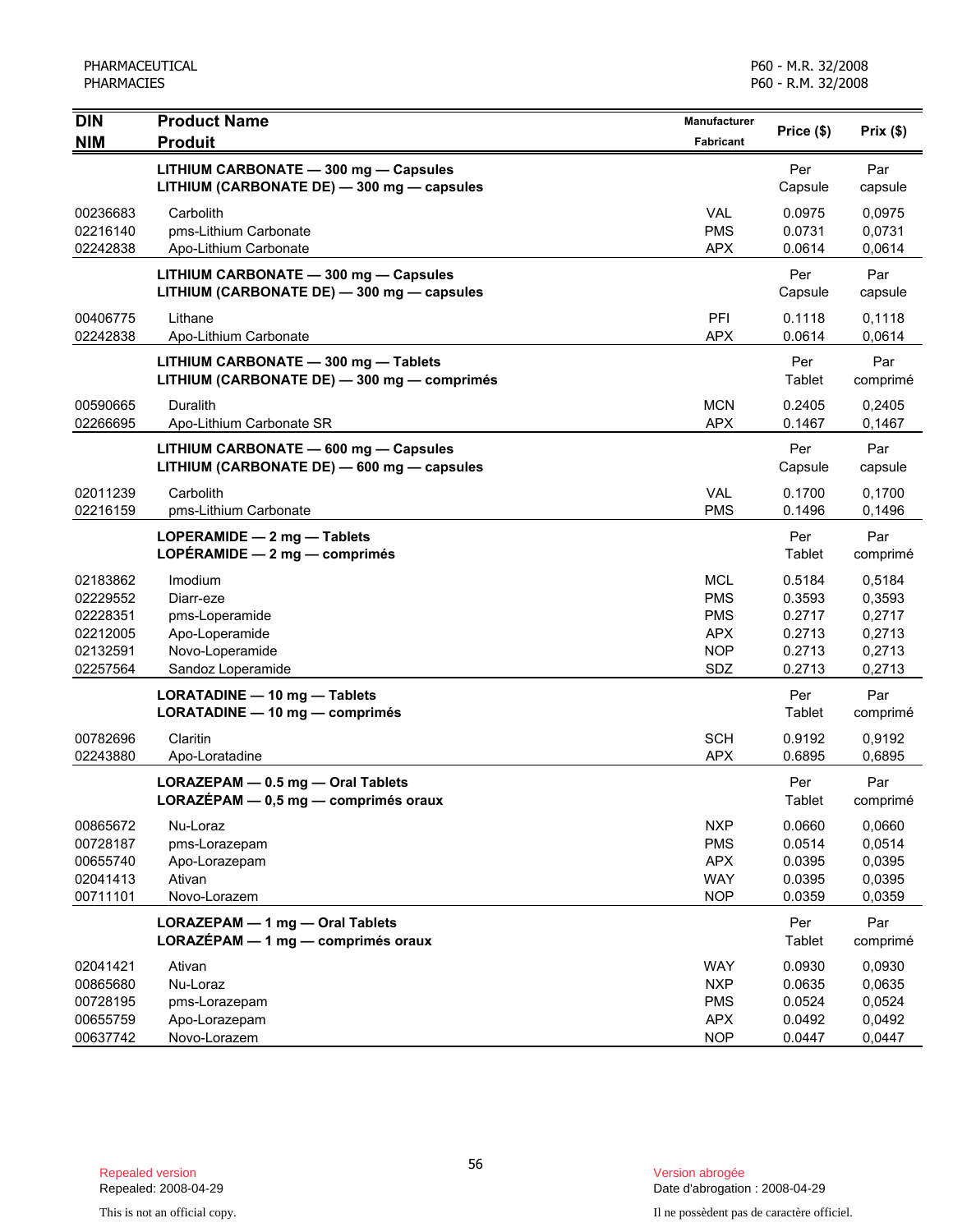| $\overline{D}$                                                       | <b>Product Name</b>                                                                              | <b>Manufacturer</b>                                                       | Price (\$)                                               | Prix(\$)                                                 |
|----------------------------------------------------------------------|--------------------------------------------------------------------------------------------------|---------------------------------------------------------------------------|----------------------------------------------------------|----------------------------------------------------------|
| <b>NIM</b>                                                           | <b>Produit</b>                                                                                   | <b>Fabricant</b>                                                          |                                                          |                                                          |
|                                                                      | LITHIUM CARBONATE - 300 mg - Capsules<br>LITHIUM (CARBONATE DE) - 300 mg - capsules              |                                                                           | Per<br>Capsule                                           | Par<br>capsule                                           |
| 00236683<br>02216140<br>02242838                                     | Carbolith<br>pms-Lithium Carbonate<br>Apo-Lithium Carbonate                                      | <b>VAL</b><br><b>PMS</b><br><b>APX</b>                                    | 0.0975<br>0.0731<br>0.0614                               | 0,0975<br>0,0731<br>0,0614                               |
|                                                                      | LITHIUM CARBONATE - 300 mg - Capsules<br>LITHIUM (CARBONATE DE) - 300 mg - capsules              |                                                                           | Per<br>Capsule                                           | Par<br>capsule                                           |
| 00406775<br>02242838                                                 | Lithane<br>Apo-Lithium Carbonate                                                                 | PFI<br><b>APX</b>                                                         | 0.1118<br>0.0614                                         | 0,1118<br>0,0614                                         |
|                                                                      | LITHIUM CARBONATE - 300 mg - Tablets<br>LITHIUM (CARBONATE DE) - 300 mg - comprimés              |                                                                           | Per<br>Tablet                                            | Par<br>comprimé                                          |
| 00590665<br>02266695                                                 | Duralith<br>Apo-Lithium Carbonate SR                                                             | <b>MCN</b><br><b>APX</b>                                                  | 0.2405<br>0.1467                                         | 0,2405<br>0,1467                                         |
|                                                                      | LITHIUM CARBONATE - 600 mg - Capsules<br>LITHIUM (CARBONATE DE) - 600 mg - capsules              |                                                                           | Per<br>Capsule                                           | Par<br>capsule                                           |
| 02011239<br>02216159                                                 | Carbolith<br>pms-Lithium Carbonate                                                               | <b>VAL</b><br><b>PMS</b>                                                  | 0.1700<br>0.1496                                         | 0,1700<br>0,1496                                         |
|                                                                      | LOPERAMIDE - 2 mg - Tablets<br>LOPÉRAMIDE $-2$ mg $-$ comprimés                                  |                                                                           | Per<br>Tablet                                            | Par<br>comprimé                                          |
| 02183862<br>02229552<br>02228351<br>02212005<br>02132591<br>02257564 | Imodium<br>Diarr-eze<br>pms-Loperamide<br>Apo-Loperamide<br>Novo-Loperamide<br>Sandoz Loperamide | <b>MCL</b><br><b>PMS</b><br><b>PMS</b><br><b>APX</b><br><b>NOP</b><br>SDZ | 0.5184<br>0.3593<br>0.2717<br>0.2713<br>0.2713<br>0.2713 | 0,5184<br>0,3593<br>0,2717<br>0,2713<br>0,2713<br>0,2713 |
|                                                                      | LORATADINE - 10 mg - Tablets<br>LORATADINE - 10 mg - comprimés                                   |                                                                           | Per<br>Tablet                                            | Par<br>comprimé                                          |
| 00782696<br>02243880                                                 | Claritin<br>Apo-Loratadine                                                                       | <b>SCH</b><br><b>APX</b>                                                  | 0.9192<br>0.6895                                         | 0,9192<br>0,6895                                         |
|                                                                      | LORAZEPAM - 0.5 mg - Oral Tablets<br>$LORAZEPAM - 0.5$ mg — comprimés oraux                      |                                                                           | Per<br>Tablet                                            | Par<br>comprimé                                          |
| 00865672<br>00728187<br>00655740<br>02041413<br>00711101             | Nu-Loraz<br>pms-Lorazepam<br>Apo-Lorazepam<br>Ativan<br>Novo-Lorazem                             | <b>NXP</b><br><b>PMS</b><br><b>APX</b><br><b>WAY</b><br><b>NOP</b>        | 0.0660<br>0.0514<br>0.0395<br>0.0395<br>0.0359           | 0,0660<br>0,0514<br>0,0395<br>0,0395<br>0,0359           |
|                                                                      | LORAZEPAM - 1 mg - Oral Tablets<br>LORAZÉPAM - 1 mg - comprimés oraux                            |                                                                           | Per<br>Tablet                                            | Par<br>comprimé                                          |
| 02041421<br>00865680<br>00728195<br>00655759<br>00637742             | Ativan<br>Nu-Loraz<br>pms-Lorazepam<br>Apo-Lorazepam<br>Novo-Lorazem                             | <b>WAY</b><br><b>NXP</b><br><b>PMS</b><br><b>APX</b><br><b>NOP</b>        | 0.0930<br>0.0635<br>0.0524<br>0.0492<br>0.0447           | 0,0930<br>0,0635<br>0,0524<br>0,0492<br>0,0447           |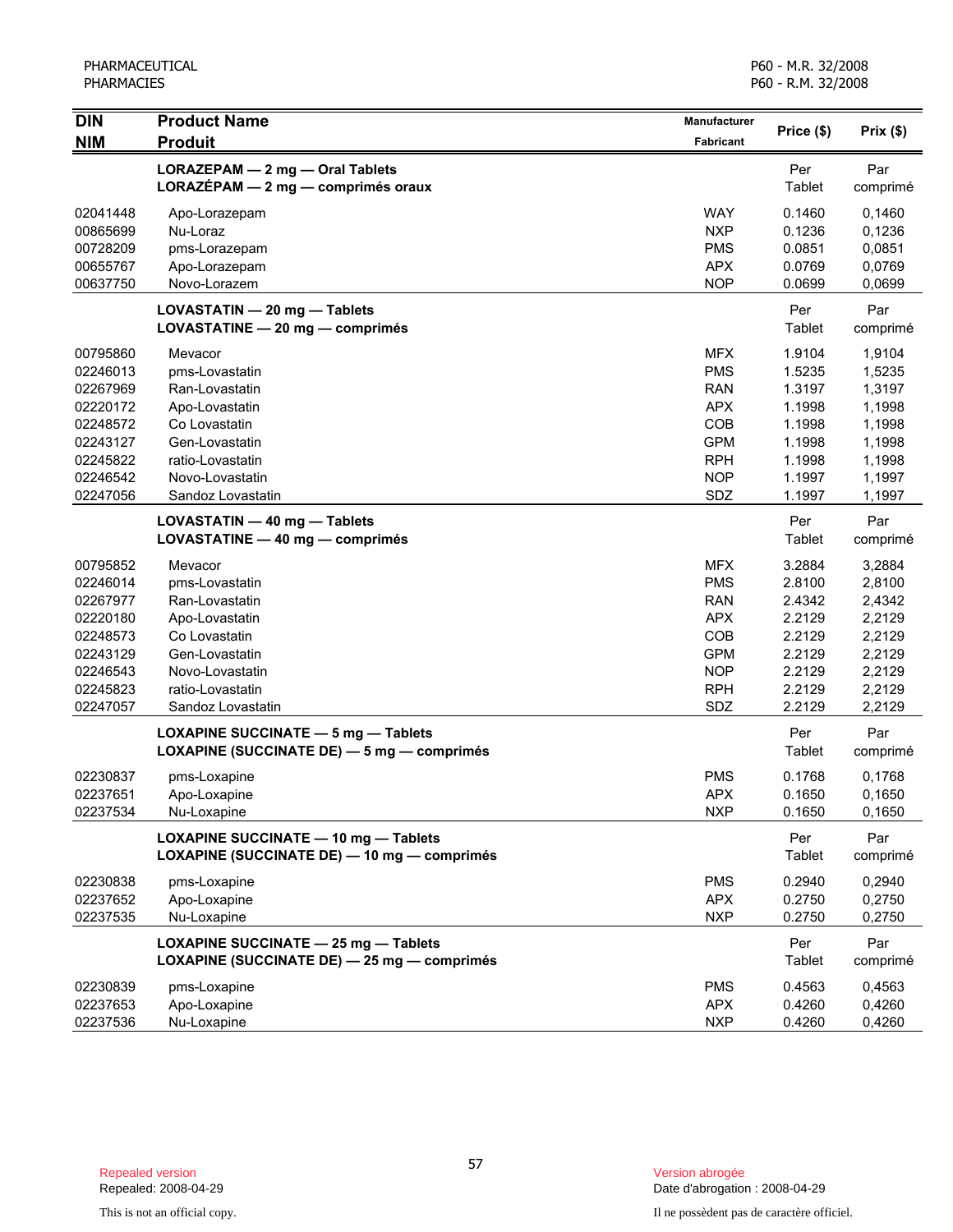| <b>DIN</b> | <b>Product Name</b>                         | <b>Manufacturer</b> |            |          |
|------------|---------------------------------------------|---------------------|------------|----------|
| <b>NIM</b> | <b>Produit</b>                              | Fabricant           | Price (\$) | Prix(\$) |
|            | LORAZEPAM - 2 mg - Oral Tablets             |                     | Per        | Par      |
|            | LORAZEPAM - 2 mg - comprimés oraux          |                     | Tablet     | comprimé |
| 02041448   | Apo-Lorazepam                               | <b>WAY</b>          | 0.1460     | 0,1460   |
| 00865699   | Nu-Loraz                                    | <b>NXP</b>          | 0.1236     | 0,1236   |
| 00728209   | pms-Lorazepam                               | <b>PMS</b>          | 0.0851     | 0,0851   |
| 00655767   | Apo-Lorazepam                               | <b>APX</b>          | 0.0769     | 0,0769   |
| 00637750   | Novo-Lorazem                                | <b>NOP</b>          | 0.0699     | 0,0699   |
|            | LOVASTATIN - 20 mg - Tablets                |                     | Per        | Par      |
|            | LOVASTATINE - 20 mg - comprimés             |                     | Tablet     | comprimé |
| 00795860   | Mevacor                                     | <b>MFX</b>          | 1.9104     | 1,9104   |
| 02246013   | pms-Lovastatin                              | <b>PMS</b>          | 1.5235     | 1,5235   |
| 02267969   | Ran-Lovastatin                              | <b>RAN</b>          | 1.3197     | 1,3197   |
| 02220172   | Apo-Lovastatin                              | <b>APX</b>          | 1.1998     | 1,1998   |
| 02248572   | Co Lovastatin                               | COB                 | 1.1998     | 1,1998   |
| 02243127   | Gen-Lovastatin                              | <b>GPM</b>          | 1.1998     | 1,1998   |
| 02245822   | ratio-Lovastatin                            | <b>RPH</b>          | 1.1998     | 1,1998   |
| 02246542   | Novo-Lovastatin                             | <b>NOP</b>          | 1.1997     | 1,1997   |
| 02247056   | Sandoz Lovastatin                           | SDZ                 | 1.1997     | 1,1997   |
|            | LOVASTATIN - 40 mg - Tablets                |                     | Per        | Par      |
|            | LOVASTATINE - 40 mg - comprimés             |                     | Tablet     | comprimé |
| 00795852   | Mevacor                                     | <b>MFX</b>          | 3.2884     | 3,2884   |
| 02246014   | pms-Lovastatin                              | <b>PMS</b>          | 2.8100     | 2,8100   |
| 02267977   | Ran-Lovastatin                              | <b>RAN</b>          | 2.4342     | 2,4342   |
| 02220180   | Apo-Lovastatin                              | <b>APX</b>          | 2.2129     | 2,2129   |
| 02248573   | Co Lovastatin                               | COB                 | 2.2129     | 2,2129   |
| 02243129   | Gen-Lovastatin                              | <b>GPM</b>          | 2.2129     | 2,2129   |
| 02246543   | Novo-Lovastatin                             | <b>NOP</b>          | 2.2129     | 2,2129   |
| 02245823   | ratio-Lovastatin                            | <b>RPH</b>          | 2.2129     | 2,2129   |
| 02247057   | Sandoz Lovastatin                           | SDZ                 | 2.2129     | 2,2129   |
|            | <b>LOXAPINE SUCCINATE - 5 mg - Tablets</b>  |                     | Per        | Par      |
|            | LOXAPINE (SUCCINATE DE) - 5 mg - comprimés  |                     | Tablet     | comprimé |
| 02230837   | pms-Loxapine                                | <b>PMS</b>          | 0.1768     | 0,1768   |
| 02237651   | Apo-Loxapine                                | <b>APX</b>          | 0.1650     | 0,1650   |
| 02237534   | Nu-Loxapine                                 | <b>NXP</b>          | 0.1650     | 0,1650   |
|            | <b>LOXAPINE SUCCINATE - 10 mg - Tablets</b> |                     | Per        | Par      |
|            | LOXAPINE (SUCCINATE DE) - 10 mg - comprimés |                     | Tablet     | comprimé |
| 02230838   | pms-Loxapine                                | <b>PMS</b>          | 0.2940     | 0,2940   |
| 02237652   | Apo-Loxapine                                | <b>APX</b>          | 0.2750     | 0,2750   |
| 02237535   | Nu-Loxapine                                 | <b>NXP</b>          | 0.2750     | 0,2750   |
|            | LOXAPINE SUCCINATE - 25 mg - Tablets        |                     | Per        | Par      |
|            | LOXAPINE (SUCCINATE DE) - 25 mg - comprimés |                     | Tablet     | comprimé |
| 02230839   | pms-Loxapine                                | <b>PMS</b>          | 0.4563     | 0,4563   |
| 02237653   | Apo-Loxapine                                | <b>APX</b>          | 0.4260     | 0,4260   |
| 02237536   | Nu-Loxapine                                 | <b>NXP</b>          | 0.4260     | 0,4260   |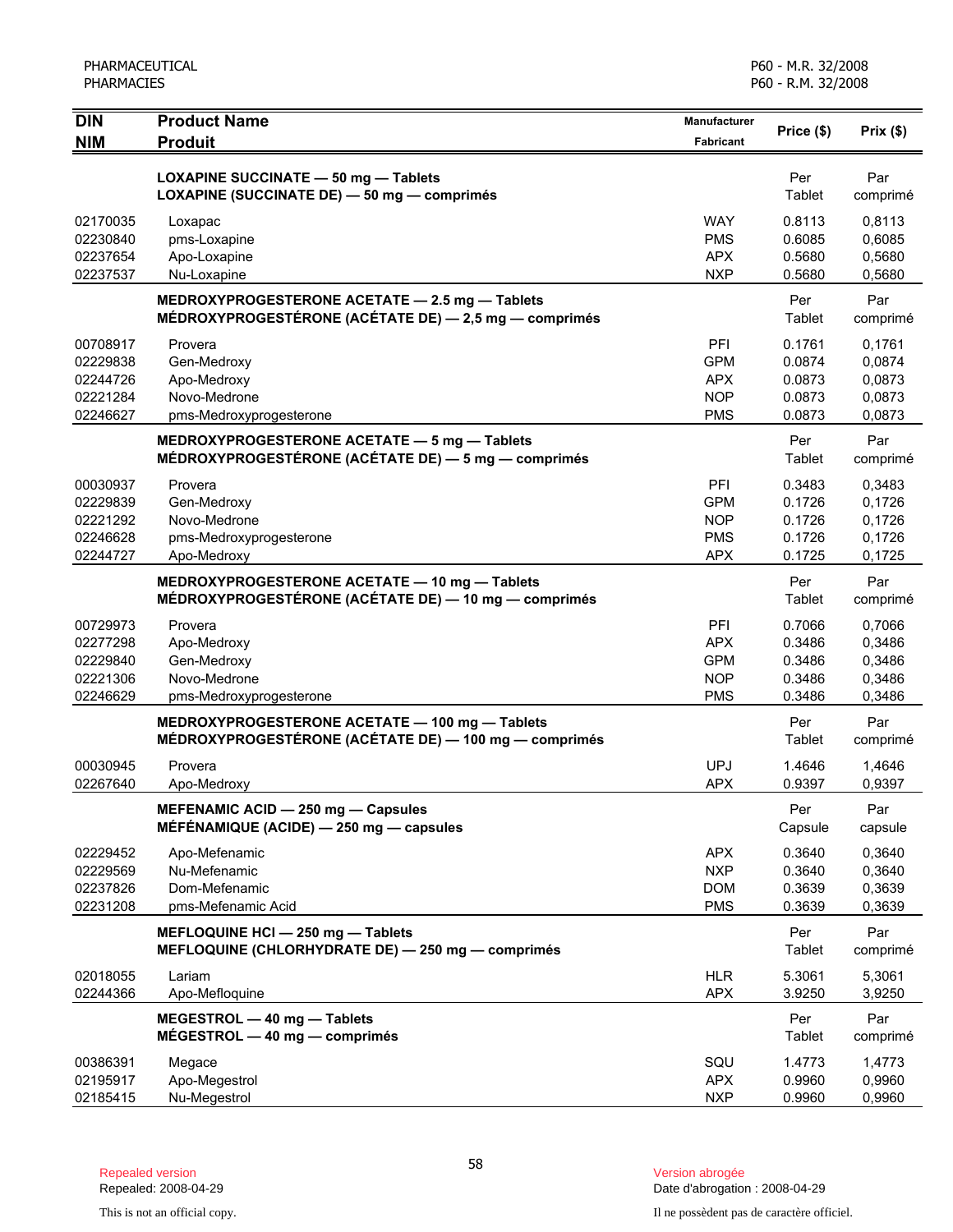| <b>DIN</b>           | <b>Product Name</b>                                   | <b>Manufacturer</b>      |                  |                  |
|----------------------|-------------------------------------------------------|--------------------------|------------------|------------------|
| <b>NIM</b>           | <b>Produit</b>                                        | <b>Fabricant</b>         | Price (\$)       | Prix(\$)         |
|                      |                                                       |                          |                  |                  |
|                      | LOXAPINE SUCCINATE - 50 mg - Tablets                  |                          | Per              | Par              |
|                      | LOXAPINE (SUCCINATE DE) - 50 mg - comprimés           |                          | Tablet           | comprimé         |
| 02170035             | Loxapac                                               | <b>WAY</b>               | 0.8113           | 0,8113           |
| 02230840             | pms-Loxapine                                          | <b>PMS</b>               | 0.6085           | 0,6085           |
| 02237654             | Apo-Loxapine                                          | <b>APX</b>               | 0.5680           | 0,5680           |
| 02237537             | Nu-Loxapine                                           | <b>NXP</b>               | 0.5680           | 0,5680           |
|                      | MEDROXYPROGESTERONE ACETATE - 2.5 mg - Tablets        |                          | Per              | Par              |
|                      | MÉDROXYPROGESTÉRONE (ACÉTATE DE) - 2,5 mg - comprimés |                          | Tablet           | comprimé         |
| 00708917             | Provera                                               | PFI                      | 0.1761           | 0,1761           |
| 02229838             | Gen-Medroxy                                           | <b>GPM</b>               | 0.0874           | 0,0874           |
| 02244726             | Apo-Medroxy                                           | <b>APX</b>               | 0.0873           | 0,0873           |
| 02221284             | Novo-Medrone                                          | <b>NOP</b>               | 0.0873           | 0,0873           |
| 02246627             | pms-Medroxyprogesterone                               | <b>PMS</b>               | 0.0873           | 0,0873           |
|                      | MEDROXYPROGESTERONE ACETATE - 5 mg - Tablets          |                          | Per              | Par              |
|                      | MÉDROXYPROGESTÉRONE (ACÉTATE DE) — 5 mg — comprimés   |                          | Tablet           | comprimé         |
| 00030937             | Provera                                               | PFI                      | 0.3483           | 0,3483           |
| 02229839             | Gen-Medroxy                                           | <b>GPM</b>               | 0.1726           | 0,1726           |
| 02221292             | Novo-Medrone                                          | <b>NOP</b>               | 0.1726           | 0,1726           |
| 02246628             | pms-Medroxyprogesterone                               | <b>PMS</b>               | 0.1726           | 0,1726           |
| 02244727             | Apo-Medroxy                                           | <b>APX</b>               | 0.1725           | 0,1725           |
|                      | MEDROXYPROGESTERONE ACETATE - 10 mg - Tablets         |                          | Per              | Par              |
|                      | MÉDROXYPROGESTÉRONE (ACÉTATE DE) — 10 mg — comprimés  |                          | Tablet           | comprimé         |
|                      |                                                       |                          |                  |                  |
| 00729973             | Provera                                               | PFI                      | 0.7066           | 0,7066           |
| 02277298             | Apo-Medroxy                                           | <b>APX</b>               | 0.3486           | 0,3486           |
| 02229840             | Gen-Medroxy                                           | <b>GPM</b>               | 0.3486           | 0,3486           |
| 02221306<br>02246629 | Novo-Medrone                                          | <b>NOP</b><br><b>PMS</b> | 0.3486<br>0.3486 | 0,3486<br>0,3486 |
|                      | pms-Medroxyprogesterone                               |                          |                  |                  |
|                      | MEDROXYPROGESTERONE ACETATE - 100 mg - Tablets        |                          | Per              | Par              |
|                      | MÉDROXYPROGESTÉRONE (ACÉTATE DE) — 100 mg — comprimés |                          | Tablet           | comprimé         |
| 00030945             | Provera                                               | <b>UPJ</b>               | 1.4646           | 1,4646           |
| 02267640             | Apo-Medroxy                                           | <b>APX</b>               | 0.9397           | 0.9397           |
|                      | MEFENAMIC ACID - 250 mg - Capsules                    |                          | Per              | Par              |
|                      | MÉFÉNAMIQUE (ACIDE) $-$ 250 mg $-$ capsules           |                          | Capsule          | capsule          |
| 02229452             | Apo-Mefenamic                                         | <b>APX</b>               | 0.3640           | 0,3640           |
| 02229569             | Nu-Mefenamic                                          | <b>NXP</b>               | 0.3640           | 0,3640           |
| 02237826             | Dom-Mefenamic                                         | <b>DOM</b>               | 0.3639           | 0,3639           |
| 02231208             | pms-Mefenamic Acid                                    | <b>PMS</b>               | 0.3639           | 0,3639           |
|                      | MEFLOQUINE HCI - 250 mg - Tablets                     |                          | Per              | Par              |
|                      | MEFLOQUINE (CHLORHYDRATE DE) - 250 mg - comprimés     |                          | Tablet           | comprimé         |
| 02018055             | Lariam                                                | <b>HLR</b>               | 5.3061           | 5,3061           |
| 02244366             | Apo-Mefloquine                                        | <b>APX</b>               | 3.9250           | 3,9250           |
|                      | MEGESTROL - 40 mg - Tablets                           |                          | Per              | Par              |
|                      | $MÉGESTROL - 40 mg - comprimés$                       |                          | Tablet           | comprimé         |
| 00386391             | Megace                                                | SQU                      | 1.4773           | 1,4773           |
| 02195917             | Apo-Megestrol                                         | <b>APX</b>               | 0.9960           | 0,9960           |
| 02185415             | Nu-Megestrol                                          | <b>NXP</b>               | 0.9960           | 0,9960           |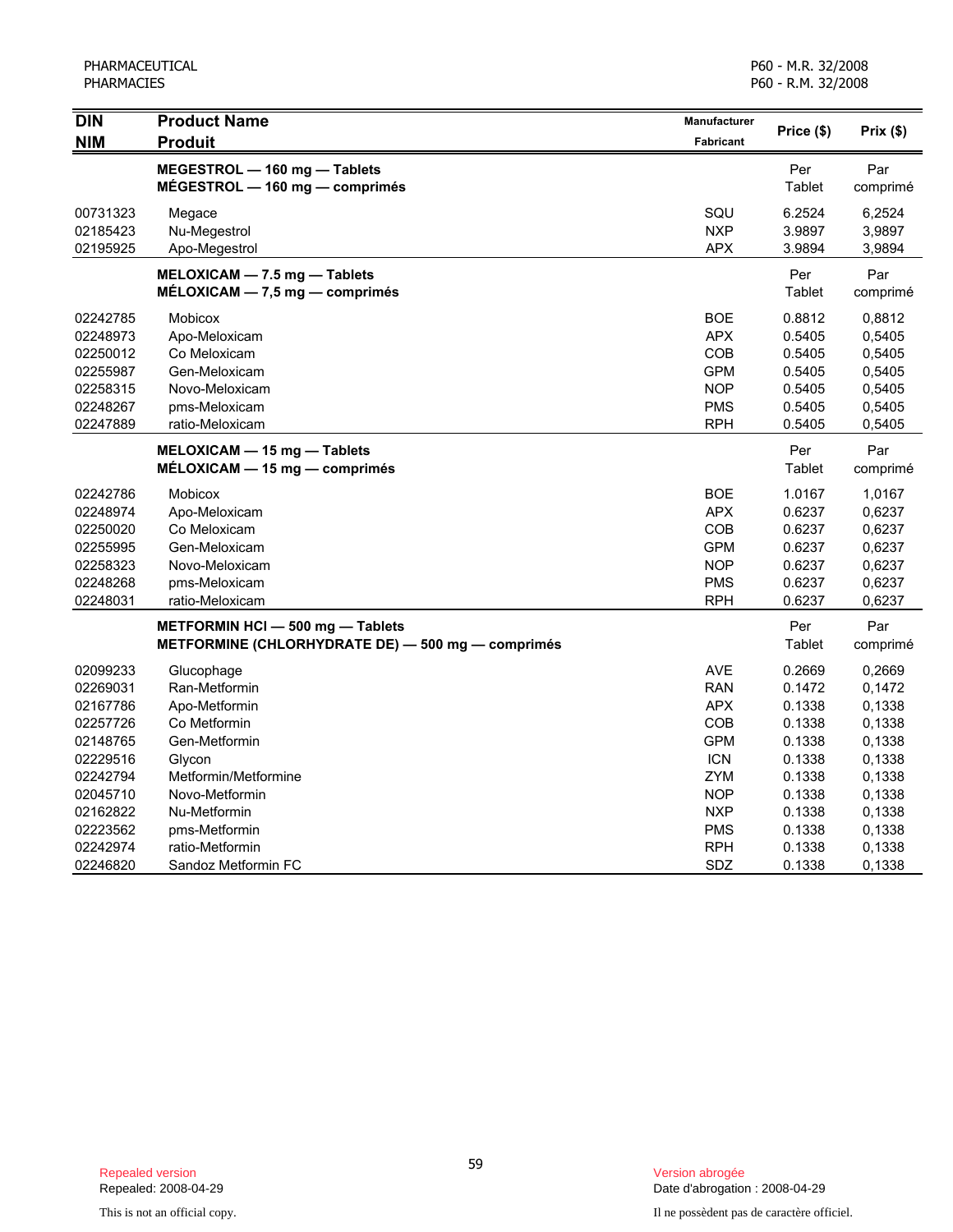| <b>DIN</b>           | <b>Product Name</b>                               | Manufacturer             | Price (\$)       | Prix(\$)         |
|----------------------|---------------------------------------------------|--------------------------|------------------|------------------|
| <b>NIM</b>           | <b>Produit</b>                                    | <b>Fabricant</b>         |                  |                  |
|                      | MEGESTROL - 160 mg - Tablets                      |                          | Per              | Par              |
|                      | $MÉGESTROL - 160 mg - comprimés$                  |                          | Tablet           | comprimé         |
| 00731323             | Megace                                            | SQU                      | 6.2524           | 6,2524           |
| 02185423             | Nu-Megestrol                                      | <b>NXP</b>               | 3.9897           | 3,9897           |
| 02195925             | Apo-Megestrol                                     | <b>APX</b>               | 3.9894           | 3,9894           |
|                      | MELOXICAM - 7.5 mg - Tablets                      |                          | Per              | Par              |
|                      | $MELOXICAM - 7.5 mg - comprimés$                  |                          | Tablet           | comprimé         |
| 02242785             | Mobicox                                           | <b>BOE</b>               | 0.8812           | 0,8812           |
| 02248973             | Apo-Meloxicam                                     | <b>APX</b>               | 0.5405           | 0,5405           |
| 02250012             | Co Meloxicam                                      | <b>COB</b>               | 0.5405           | 0,5405           |
| 02255987             | Gen-Meloxicam                                     | <b>GPM</b>               | 0.5405           | 0,5405           |
| 02258315             | Novo-Meloxicam                                    | <b>NOP</b>               | 0.5405           | 0,5405           |
| 02248267<br>02247889 | pms-Meloxicam<br>ratio-Meloxicam                  | <b>PMS</b><br><b>RPH</b> | 0.5405<br>0.5405 | 0,5405<br>0,5405 |
|                      |                                                   |                          |                  |                  |
|                      | MELOXICAM - 15 mg - Tablets                       |                          | Per              | Par              |
|                      | $MÉLOXICAM - 15 mg - comprimés$                   |                          | Tablet           | comprimé         |
| 02242786             | <b>Mobicox</b>                                    | <b>BOE</b>               | 1.0167           | 1,0167           |
| 02248974             | Apo-Meloxicam                                     | <b>APX</b>               | 0.6237           | 0,6237           |
| 02250020             | Co Meloxicam                                      | <b>COB</b>               | 0.6237           | 0,6237           |
| 02255995             | Gen-Meloxicam                                     | <b>GPM</b>               | 0.6237           | 0,6237           |
| 02258323             | Novo-Meloxicam                                    | <b>NOP</b>               | 0.6237           | 0,6237           |
| 02248268             | pms-Meloxicam                                     | <b>PMS</b>               | 0.6237           | 0,6237           |
| 02248031             | ratio-Meloxicam                                   | <b>RPH</b>               | 0.6237           | 0,6237           |
|                      | METFORMIN HCI - 500 mg - Tablets                  |                          | Per              | Par              |
|                      | METFORMINE (CHLORHYDRATE DE) - 500 mg - comprimés |                          | Tablet           | comprimé         |
| 02099233             | Glucophage                                        | AVE                      | 0.2669           | 0,2669           |
| 02269031             | Ran-Metformin                                     | <b>RAN</b>               | 0.1472           | 0,1472           |
| 02167786             | Apo-Metformin                                     | <b>APX</b>               | 0.1338           | 0,1338           |
| 02257726             | Co Metformin                                      | COB                      | 0.1338           | 0,1338           |
| 02148765             | Gen-Metformin                                     | <b>GPM</b>               | 0.1338           | 0,1338           |
| 02229516             | Glycon                                            | <b>ICN</b>               | 0.1338           | 0,1338           |
| 02242794             | Metformin/Metformine                              | <b>ZYM</b>               | 0.1338           | 0,1338           |
| 02045710             | Novo-Metformin                                    | NOP                      | 0.1338           | 0,1338           |
| 02162822             | Nu-Metformin                                      | <b>NXP</b>               | 0.1338           | 0,1338           |
| 02223562             | pms-Metformin                                     | <b>PMS</b>               | 0.1338           | 0,1338           |
| 02242974             | ratio-Metformin                                   | <b>RPH</b>               | 0.1338           | 0,1338           |
| 02246820             | Sandoz Metformin FC                               | <b>SDZ</b>               | 0.1338           | 0,1338           |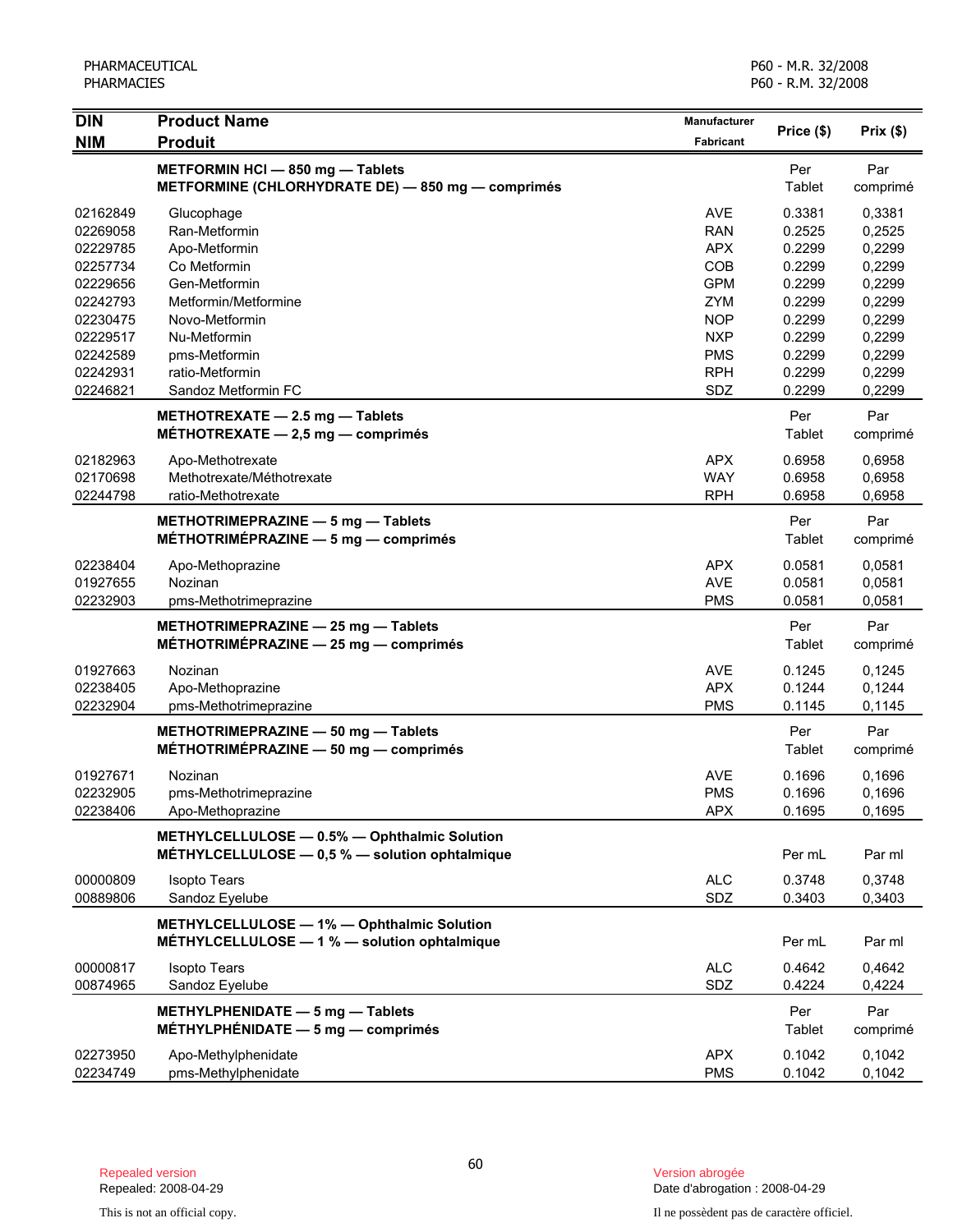| <b>DIN</b>           | <b>Product Name</b>                                                                            | Manufacturer             |                  |                  |
|----------------------|------------------------------------------------------------------------------------------------|--------------------------|------------------|------------------|
| <b>NIM</b>           | <b>Produit</b>                                                                                 | <b>Fabricant</b>         | Price (\$)       | Prix(\$)         |
|                      | METFORMIN HCI - 850 mg - Tablets<br>METFORMINE (CHLORHYDRATE DE) - 850 mg - comprimés          |                          | Per<br>Tablet    | Par<br>comprimé  |
| 02162849<br>02269058 | Glucophage<br>Ran-Metformin                                                                    | <b>AVE</b><br><b>RAN</b> | 0.3381<br>0.2525 | 0,3381<br>0,2525 |
| 02229785             | Apo-Metformin                                                                                  | <b>APX</b>               | 0.2299           | 0,2299           |
| 02257734             | Co Metformin                                                                                   | COB                      | 0.2299           | 0,2299           |
| 02229656             | Gen-Metformin                                                                                  | <b>GPM</b>               | 0.2299           | 0,2299           |
| 02242793             | Metformin/Metformine                                                                           | <b>ZYM</b>               | 0.2299           | 0,2299           |
| 02230475             | Novo-Metformin                                                                                 | <b>NOP</b>               | 0.2299           | 0,2299           |
| 02229517             | Nu-Metformin                                                                                   | <b>NXP</b>               | 0.2299           | 0,2299           |
| 02242589             | pms-Metformin                                                                                  | <b>PMS</b>               | 0.2299           | 0,2299           |
| 02242931             | ratio-Metformin                                                                                | <b>RPH</b>               | 0.2299           | 0,2299           |
| 02246821             | Sandoz Metformin FC                                                                            | SDZ                      | 0.2299           | 0,2299           |
|                      | METHOTREXATE - 2.5 mg - Tablets<br>MÉTHOTREXATE $-2,5$ mg $-$ comprimés                        |                          | Per<br>Tablet    | Par<br>comprimé  |
| 02182963             | Apo-Methotrexate                                                                               | <b>APX</b>               | 0.6958           | 0,6958           |
| 02170698             | Methotrexate/Méthotrexate                                                                      | <b>WAY</b>               | 0.6958           | 0,6958           |
| 02244798             | ratio-Methotrexate                                                                             | <b>RPH</b>               | 0.6958           | 0,6958           |
|                      | METHOTRIMEPRAZINE - 5 mg - Tablets                                                             |                          | Per              | Par              |
|                      | MÉTHOTRIMÉPRAZINE $-5$ mg $-$ comprimés                                                        |                          | Tablet           | comprimé         |
| 02238404             | Apo-Methoprazine                                                                               | <b>APX</b>               | 0.0581           | 0,0581           |
| 01927655             | Nozinan                                                                                        | <b>AVE</b>               | 0.0581           | 0,0581           |
| 02232903             | pms-Methotrimeprazine                                                                          | <b>PMS</b>               | 0.0581           | 0.0581           |
|                      | METHOTRIMEPRAZINE - 25 mg - Tablets<br>MÉTHOTRIMÉPRAZINE $-$ 25 mg $-$ comprimés               |                          | Per<br>Tablet    | Par<br>comprimé  |
| 01927663             | Nozinan                                                                                        | <b>AVE</b>               | 0.1245           | 0,1245           |
| 02238405             | Apo-Methoprazine                                                                               | <b>APX</b>               | 0.1244           | 0,1244           |
| 02232904             | pms-Methotrimeprazine                                                                          | <b>PMS</b>               | 0.1145           | 0,1145           |
|                      | METHOTRIMEPRAZINE - 50 mg - Tablets<br>MÉTHOTRIMÉPRAZINE $-$ 50 mg $-$ comprimés               |                          | Per<br>Tablet    | Par<br>comprimé  |
| 01927671             | Nozinan                                                                                        | AVE                      | 0.1696           | 0,1696           |
| 02232905             | pms-Methotrimeprazine                                                                          | <b>PMS</b>               | 0.1696           | 0,1696           |
| 02238406             | Apo-Methoprazine                                                                               | <b>APX</b>               | 0.1695           | 0,1695           |
|                      | METHYLCELLULOSE - 0.5% - Ophthalmic Solution<br>MÉTHYLCELLULOSE - 0,5 % - solution ophtalmique |                          | Per mL           | Par ml           |
| 00000809             | <b>Isopto Tears</b>                                                                            | <b>ALC</b>               | 0.3748           | 0,3748           |
| 00889806             | Sandoz Eyelube                                                                                 | SDZ                      | 0.3403           | 0,3403           |
|                      | METHYLCELLULOSE - 1% - Ophthalmic Solution<br>MÉTHYLCELLULOSE - 1 % - solution ophtalmique     |                          | Per mL           | Par ml           |
| 00000817             | <b>Isopto Tears</b>                                                                            | <b>ALC</b>               | 0.4642           | 0,4642           |
| 00874965             | Sandoz Eyelube                                                                                 | SDZ                      | 0.4224           | 0,4224           |
|                      | METHYLPHENIDATE - 5 mg - Tablets                                                               |                          | Per              | Par              |
|                      | MÉTHYLPHÉNIDATE $-5$ mg $-$ comprimés                                                          |                          | Tablet           | comprimé         |
| 02273950             | Apo-Methylphenidate                                                                            | <b>APX</b>               | 0.1042           | 0,1042           |
| 02234749             | pms-Methylphenidate                                                                            | <b>PMS</b>               | 0.1042           | 0,1042           |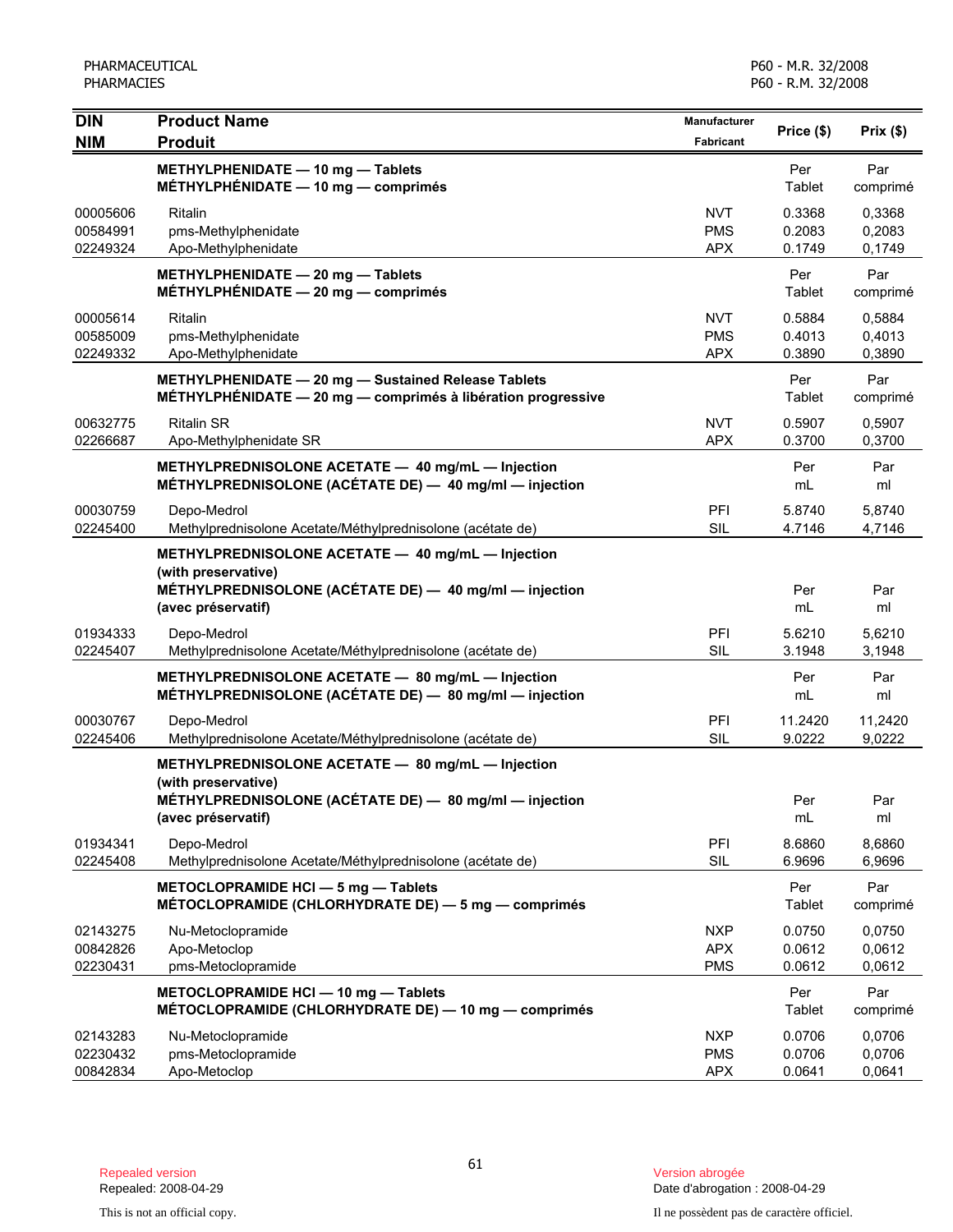| <b>DIN</b><br><b>NIM</b>         | <b>Product Name</b><br><b>Produit</b>                                                                                                                    | Manufacturer<br>Fabricant              | Price (\$)                 | Prix(\$)                   |
|----------------------------------|----------------------------------------------------------------------------------------------------------------------------------------------------------|----------------------------------------|----------------------------|----------------------------|
|                                  | METHYLPHENIDATE - 10 mg - Tablets<br>MÉTHYLPHÉNIDATE $-$ 10 mg $-$ comprimés                                                                             |                                        | Per<br>Tablet              | Par<br>comprimé            |
| 00005606<br>00584991<br>02249324 | Ritalin<br>pms-Methylphenidate<br>Apo-Methylphenidate                                                                                                    | <b>NVT</b><br><b>PMS</b><br><b>APX</b> | 0.3368<br>0.2083<br>0.1749 | 0,3368<br>0,2083<br>0,1749 |
|                                  | METHYLPHENIDATE - 20 mg - Tablets<br>MÉTHYLPHÉNIDATE $-20$ mg $-$ comprimés                                                                              |                                        | Per<br>Tablet              | Par<br>comprimé            |
| 00005614<br>00585009<br>02249332 | Ritalin<br>pms-Methylphenidate<br>Apo-Methylphenidate                                                                                                    | <b>NVT</b><br><b>PMS</b><br><b>APX</b> | 0.5884<br>0.4013<br>0.3890 | 0,5884<br>0,4013<br>0,3890 |
|                                  | METHYLPHENIDATE - 20 mg - Sustained Release Tablets<br>MÉTHYLPHÉNIDATE - 20 mg - comprimés à libération progressive                                      |                                        | Per<br>Tablet              | Par<br>comprimé            |
| 00632775<br>02266687             | <b>Ritalin SR</b><br>Apo-Methylphenidate SR                                                                                                              | <b>NVT</b><br><b>APX</b>               | 0.5907<br>0.3700           | 0,5907<br>0,3700           |
|                                  | METHYLPREDNISOLONE ACETATE - 40 mg/mL - Injection<br>MÉTHYLPREDNISOLONE (ACÉTATE DE) - 40 mg/ml - injection                                              |                                        | Per<br>mL                  | Par<br>ml                  |
| 00030759<br>02245400             | Depo-Medrol<br>Methylprednisolone Acetate/Méthylprednisolone (acétate de)                                                                                | PFI<br>SIL                             | 5.8740<br>4.7146           | 5,8740<br>4,7146           |
|                                  | METHYLPREDNISOLONE ACETATE - 40 mg/mL - Injection<br>(with preservative)                                                                                 |                                        |                            |                            |
|                                  | MÉTHYLPREDNISOLONE (ACÉTATE DE) - 40 mg/ml - injection<br>(avec préservatif)                                                                             |                                        | Per<br>mL                  | Par<br>ml                  |
| 01934333<br>02245407             | Depo-Medrol<br>Methylprednisolone Acetate/Méthylprednisolone (acétate de)                                                                                | PFI<br>SIL                             | 5.6210<br>3.1948           | 5,6210<br>3,1948           |
|                                  | METHYLPREDNISOLONE ACETATE - 80 mg/mL - Injection<br>MÉTHYLPREDNISOLONE (ACÉTATE DE) - 80 mg/ml - injection                                              |                                        | Per<br>mL                  | Par<br>ml                  |
| 00030767<br>02245406             | Depo-Medrol<br>Methylprednisolone Acetate/Méthylprednisolone (acétate de)                                                                                | PFI<br>SIL                             | 11.2420<br>9.0222          | 11,2420<br>9,0222          |
|                                  | METHYLPREDNISOLONE ACETATE - 80 mg/mL - Injection<br>(with preservative)<br>MÉTHYLPREDNISOLONE (ACÉTATE DE) - 80 mg/ml - injection<br>(avec préservatif) |                                        | Per<br>mL                  | Par<br>ml                  |
| 01934341<br>02245408             | Depo-Medrol<br>Methylprednisolone Acetate/Méthylprednisolone (acétate de)                                                                                | PFI<br><b>SIL</b>                      | 8.6860<br>6.9696           | 8,6860<br>6,9696           |
|                                  | METOCLOPRAMIDE HCI - 5 mg - Tablets<br>MÉTOCLOPRAMIDE (CHLORHYDRATE DE) - 5 mg - comprimés                                                               |                                        | Per<br>Tablet              | Par<br>comprimé            |
| 02143275<br>00842826<br>02230431 | Nu-Metoclopramide<br>Apo-Metoclop<br>pms-Metoclopramide                                                                                                  | <b>NXP</b><br><b>APX</b><br><b>PMS</b> | 0.0750<br>0.0612<br>0.0612 | 0,0750<br>0,0612<br>0,0612 |
|                                  | METOCLOPRAMIDE HCI - 10 mg - Tablets<br>MÉTOCLOPRAMIDE (CHLORHYDRATE DE) - 10 mg - comprimés                                                             |                                        | Per<br>Tablet              | Par<br>comprimé            |
| 02143283<br>02230432<br>00842834 | Nu-Metoclopramide<br>pms-Metoclopramide<br>Apo-Metoclop                                                                                                  | <b>NXP</b><br><b>PMS</b><br><b>APX</b> | 0.0706<br>0.0706<br>0.0641 | 0,0706<br>0,0706<br>0,0641 |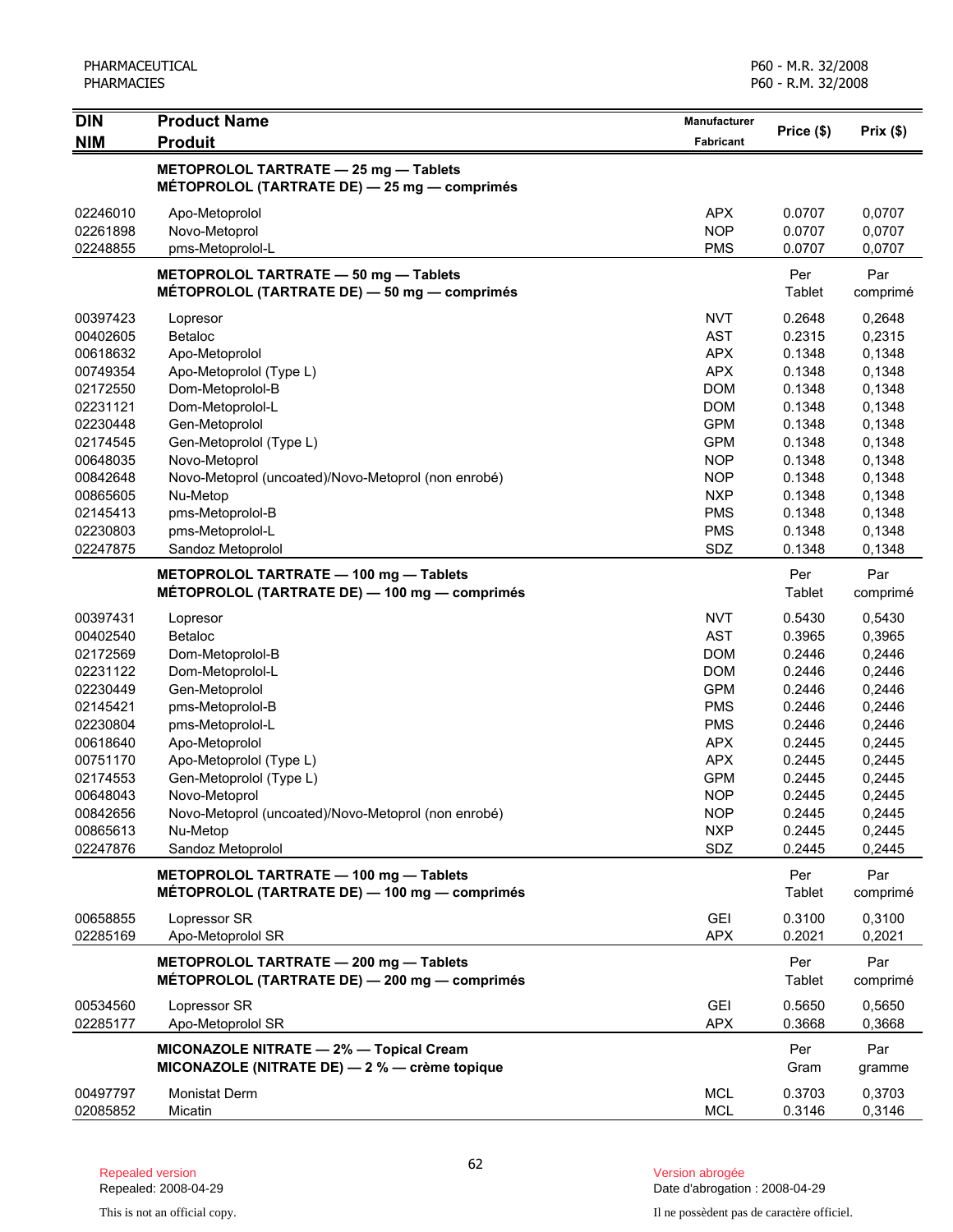| <b>DIN</b>           | <b>Product Name</b>                                                                         | Manufacturer             | Price (\$)       | Prix(\$)         |
|----------------------|---------------------------------------------------------------------------------------------|--------------------------|------------------|------------------|
| <b>NIM</b>           | <b>Produit</b>                                                                              | Fabricant                |                  |                  |
|                      | METOPROLOL TARTRATE - 25 mg - Tablets<br>MÉTOPROLOL (TARTRATE DE) - 25 mg - comprimés       |                          |                  |                  |
| 02246010             | Apo-Metoprolol                                                                              | <b>APX</b>               | 0.0707           | 0,0707           |
| 02261898             | Novo-Metoprol                                                                               | <b>NOP</b>               | 0.0707           | 0,0707           |
| 02248855             | pms-Metoprolol-L                                                                            | <b>PMS</b>               | 0.0707           | 0,0707           |
|                      | METOPROLOL TARTRATE - 50 mg - Tablets<br>MÉTOPROLOL (TARTRATE DE) - 50 mg - comprimés       |                          | Per<br>Tablet    | Par<br>comprimé  |
| 00397423             | Lopresor                                                                                    | <b>NVT</b>               | 0.2648           | 0,2648           |
| 00402605             | Betaloc                                                                                     | <b>AST</b>               | 0.2315           | 0,2315           |
| 00618632             | Apo-Metoprolol                                                                              | <b>APX</b>               | 0.1348           | 0,1348           |
| 00749354             | Apo-Metoprolol (Type L)                                                                     | <b>APX</b>               | 0.1348           | 0,1348           |
| 02172550             | Dom-Metoprolol-B                                                                            | <b>DOM</b>               | 0.1348           | 0,1348           |
| 02231121             | Dom-Metoprolol-L                                                                            | <b>DOM</b>               | 0.1348           | 0,1348           |
| 02230448             | Gen-Metoprolol                                                                              | <b>GPM</b>               | 0.1348           | 0,1348           |
| 02174545             | Gen-Metoprolol (Type L)                                                                     | <b>GPM</b>               | 0.1348           | 0,1348           |
| 00648035             | Novo-Metoprol                                                                               | <b>NOP</b>               | 0.1348           | 0,1348           |
| 00842648             | Novo-Metoprol (uncoated)/Novo-Metoprol (non enrobé)                                         | <b>NOP</b>               | 0.1348           | 0,1348           |
| 00865605             | Nu-Metop                                                                                    | <b>NXP</b>               | 0.1348           | 0,1348           |
| 02145413             | pms-Metoprolol-B                                                                            | <b>PMS</b>               | 0.1348           | 0,1348           |
| 02230803             | pms-Metoprolol-L                                                                            | <b>PMS</b>               | 0.1348           | 0,1348           |
| 02247875             | Sandoz Metoprolol                                                                           | SDZ                      | 0.1348           | 0,1348           |
|                      | METOPROLOL TARTRATE - 100 mg - Tablets<br>MÉTOPROLOL (TARTRATE DE) - 100 mg - comprimés     |                          | Per<br>Tablet    | Par<br>comprimé  |
| 00397431             | Lopresor                                                                                    | <b>NVT</b>               | 0.5430           | 0,5430           |
| 00402540             | Betaloc                                                                                     | <b>AST</b>               | 0.3965           | 0,3965           |
| 02172569             | Dom-Metoprolol-B                                                                            | <b>DOM</b>               | 0.2446           | 0,2446           |
| 02231122             | Dom-Metoprolol-L                                                                            | <b>DOM</b>               | 0.2446           | 0,2446           |
| 02230449             | Gen-Metoprolol                                                                              | <b>GPM</b>               | 0.2446           | 0,2446           |
| 02145421             | pms-Metoprolol-B                                                                            | <b>PMS</b>               | 0.2446           | 0,2446           |
| 02230804             | pms-Metoprolol-L                                                                            | <b>PMS</b>               | 0.2446           | 0,2446           |
| 00618640             | Apo-Metoprolol                                                                              | <b>APX</b>               | 0.2445           | 0,2445           |
| 00751170             | Apo-Metoprolol (Type L)                                                                     | <b>APX</b>               | 0.2445           | 0,2445           |
| 02174553             | Gen-Metoprolol (Type L)                                                                     | <b>GPM</b>               | 0.2445           | 0,2445           |
| 00648043             | Novo-Metoprol                                                                               | <b>NOP</b>               | 0.2445           | 0,2445           |
| 00842656             | Novo-Metoprol (uncoated)/Novo-Metoprol (non enrobé)                                         | <b>NOP</b>               | 0.2445           | 0,2445           |
| 00865613             | Nu-Metop                                                                                    | <b>NXP</b>               | 0.2445           | 0,2445           |
| 02247876             | Sandoz Metoprolol                                                                           | SDZ                      | 0.2445           | 0,2445           |
|                      | METOPROLOL TARTRATE - 100 mg - Tablets<br>MÉTOPROLOL (TARTRATE DE) — 100 mg — comprimés     |                          | Per<br>Tablet    | Par<br>comprimé  |
| 00658855<br>02285169 | Lopressor SR<br>Apo-Metoprolol SR                                                           | <b>GEI</b><br><b>APX</b> | 0.3100<br>0.2021 | 0,3100<br>0,2021 |
|                      | METOPROLOL TARTRATE - 200 mg - Tablets<br>MÉTOPROLOL (TARTRATE DE) — 200 mg — comprimés     |                          | Per<br>Tablet    | Par<br>comprimé  |
| 00534560<br>02285177 | Lopressor SR<br>Apo-Metoprolol SR                                                           | <b>GEI</b><br><b>APX</b> | 0.5650<br>0.3668 | 0,5650<br>0,3668 |
|                      | MICONAZOLE NITRATE - 2% - Topical Cream<br>MICONAZOLE (NITRATE DE) $-2$ % $-$ crème topique |                          | Per<br>Gram      | Par<br>gramme    |
| 00497797<br>02085852 | <b>Monistat Derm</b><br>Micatin                                                             | <b>MCL</b><br><b>MCL</b> | 0.3703<br>0.3146 | 0,3703<br>0,3146 |

Date d'abrogation : 2008-04-29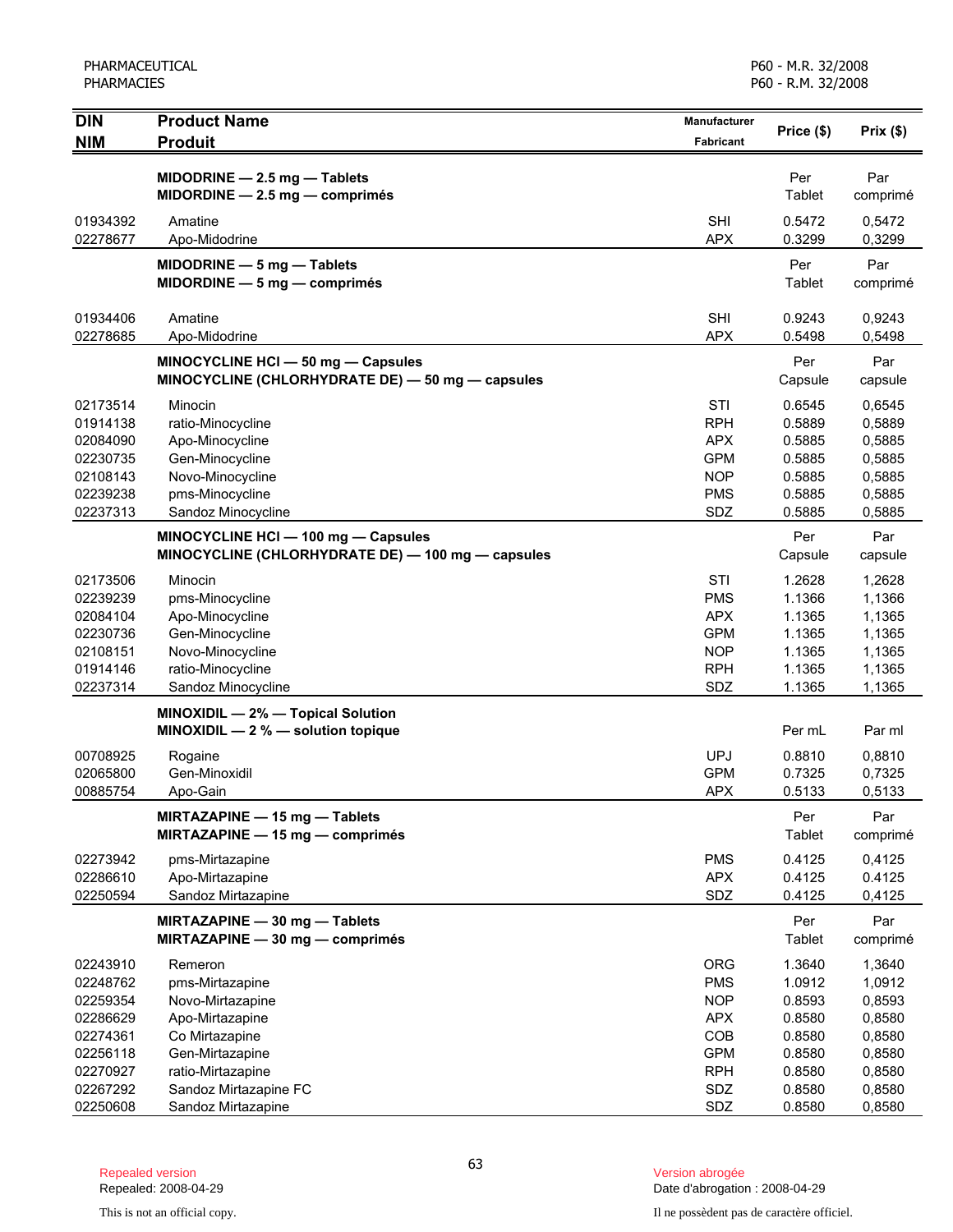PHARMACEUTICAL PHARMACIES

P60 - M.R. 32/2008 P60 - R.M. 32/2008

| <b>DIN</b>                                                                       | <b>Product Name</b>                                                                                                             | <b>Manufacturer</b>                                                                     |                                                                    | Prix(\$)                                                           |
|----------------------------------------------------------------------------------|---------------------------------------------------------------------------------------------------------------------------------|-----------------------------------------------------------------------------------------|--------------------------------------------------------------------|--------------------------------------------------------------------|
| <b>NIM</b>                                                                       | <b>Produit</b>                                                                                                                  | Fabricant                                                                               | Price (\$)                                                         |                                                                    |
|                                                                                  | MIDODRINE $-2.5$ mg $-$ Tablets<br>$MIDORDINE - 2.5 mg - comprimés$                                                             |                                                                                         | Per<br>Tablet                                                      | Par<br>comprimé                                                    |
| 01934392<br>02278677                                                             | Amatine<br>Apo-Midodrine                                                                                                        | <b>SHI</b><br><b>APX</b>                                                                | 0.5472<br>0.3299                                                   | 0,5472<br>0,3299                                                   |
|                                                                                  | MIDODRINE $-5$ mg $-$ Tablets<br>$MIDORDINE - 5 mg - comprimés$                                                                 |                                                                                         | Per<br>Tablet                                                      | Par<br>comprimé                                                    |
| 01934406<br>02278685                                                             | Amatine<br>Apo-Midodrine                                                                                                        | <b>SHI</b><br><b>APX</b>                                                                | 0.9243<br>0.5498                                                   | 0,9243<br>0,5498                                                   |
|                                                                                  | MINOCYCLINE HCI - 50 mg - Capsules<br>MINOCYCLINE (CHLORHYDRATE DE) - 50 mg - capsules                                          |                                                                                         | Per<br>Capsule                                                     | Par<br>capsule                                                     |
| 02173514<br>01914138<br>02084090<br>02230735<br>02108143<br>02239238<br>02237313 | Minocin<br>ratio-Minocycline<br>Apo-Minocycline<br>Gen-Minocycline<br>Novo-Minocycline<br>pms-Minocycline<br>Sandoz Minocycline | STI<br><b>RPH</b><br><b>APX</b><br><b>GPM</b><br><b>NOP</b><br><b>PMS</b><br>SDZ        | 0.6545<br>0.5889<br>0.5885<br>0.5885<br>0.5885<br>0.5885<br>0.5885 | 0,6545<br>0,5889<br>0,5885<br>0,5885<br>0,5885<br>0,5885<br>0,5885 |
|                                                                                  | MINOCYCLINE HCI - 100 mg - Capsules<br>MINOCYCLINE (CHLORHYDRATE DE) - 100 mg - capsules                                        |                                                                                         | Per<br>Capsule                                                     | Par<br>capsule                                                     |
| 02173506<br>02239239<br>02084104<br>02230736<br>02108151<br>01914146<br>02237314 | Minocin<br>pms-Minocycline<br>Apo-Minocycline<br>Gen-Minocycline<br>Novo-Minocycline<br>ratio-Minocycline<br>Sandoz Minocycline | STI<br><b>PMS</b><br><b>APX</b><br><b>GPM</b><br><b>NOP</b><br><b>RPH</b><br>SDZ        | 1.2628<br>1.1366<br>1.1365<br>1.1365<br>1.1365<br>1.1365<br>1.1365 | 1,2628<br>1,1366<br>1,1365<br>1,1365<br>1,1365<br>1,1365<br>1,1365 |
|                                                                                  | MINOXIDIL - 2% - Topical Solution<br>MINOXIDIL - 2 % - solution topique                                                         |                                                                                         | Per mL                                                             | Par ml                                                             |
| 00708925<br>02065800<br>00885754                                                 | Rogaine<br>Gen-Minoxidil<br>Apo-Gain                                                                                            | <b>UPJ</b><br><b>GPM</b><br><b>APX</b>                                                  | 0.8810<br>0.7325<br>0.5133                                         | 0,8810<br>0,7325<br>0,5133                                         |
|                                                                                  | MIRTAZAPINE - 15 mg - Tablets<br>MIRTAZAPINE - 15 mg - comprimés                                                                |                                                                                         | Per<br>Tablet                                                      | Par<br>comprimé                                                    |
| 02273942<br>02286610<br>02250594                                                 | pms-Mirtazapine<br>Apo-Mirtazapine<br>Sandoz Mirtazapine                                                                        | <b>PMS</b><br><b>APX</b><br>SDZ                                                         | 0.4125<br>0.4125<br>0.4125                                         | 0,4125<br>0.4125<br>0,4125                                         |
|                                                                                  | MIRTAZAPINE - 30 mg - Tablets<br>MIRTAZAPINE - 30 mg - comprimés                                                                |                                                                                         | Per<br>Tablet                                                      | Par<br>comprimé                                                    |
| 02243910<br>02248762<br>02259354<br>02286629<br>02274361<br>02256118<br>02270927 | Remeron<br>pms-Mirtazapine<br>Novo-Mirtazapine<br>Apo-Mirtazapine<br>Co Mirtazapine<br>Gen-Mirtazapine<br>ratio-Mirtazapine     | <b>ORG</b><br><b>PMS</b><br><b>NOP</b><br><b>APX</b><br>COB<br><b>GPM</b><br><b>RPH</b> | 1.3640<br>1.0912<br>0.8593<br>0.8580<br>0.8580<br>0.8580<br>0.8580 | 1,3640<br>1,0912<br>0,8593<br>0,8580<br>0,8580<br>0,8580<br>0,8580 |
| 02267292<br>02250608                                                             | Sandoz Mirtazapine FC<br>Sandoz Mirtazapine                                                                                     | SDZ<br>SDZ                                                                              | 0.8580<br>0.8580                                                   | 0,8580<br>0,8580                                                   |

Date d'abrogation : 2008-04-29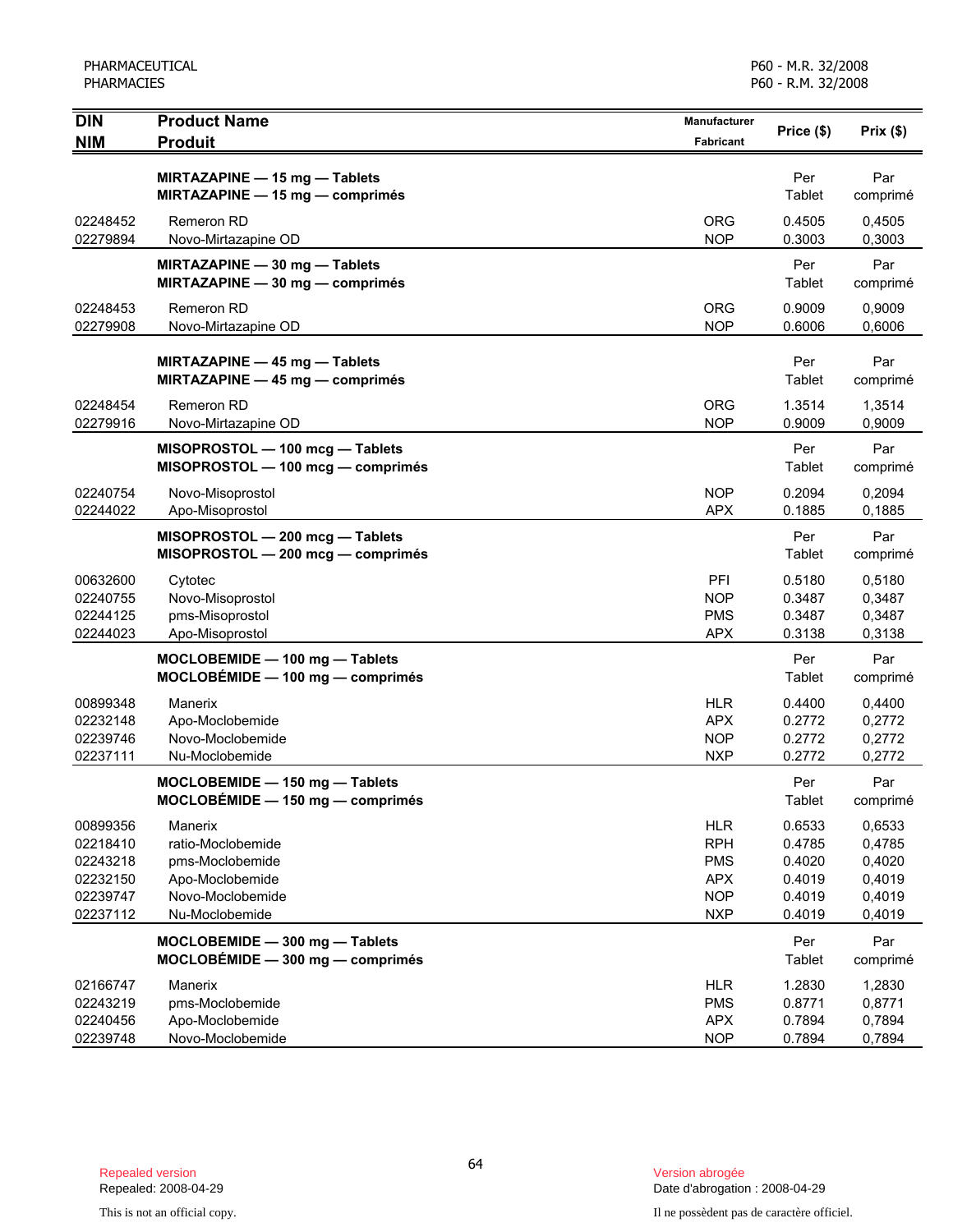PHARMACEUTICAL PHARMACIES

P60 - M.R. 32/2008 P60 - R.M. 32/2008

| <b>DIN</b>                                                           | <b>Product Name</b>                                                                                      | <b>Manufacturer</b>                                                              | Price (\$)                                               | Prix(\$)                                                 |
|----------------------------------------------------------------------|----------------------------------------------------------------------------------------------------------|----------------------------------------------------------------------------------|----------------------------------------------------------|----------------------------------------------------------|
| <b>NIM</b>                                                           | <b>Produit</b>                                                                                           | <b>Fabricant</b>                                                                 |                                                          |                                                          |
|                                                                      | MIRTAZAPINE - 15 mg - Tablets<br>MIRTAZAPINE - 15 mg - comprimés                                         |                                                                                  | Per<br>Tablet                                            | Par<br>comprimé                                          |
| 02248452<br>02279894                                                 | Remeron RD<br>Novo-Mirtazapine OD                                                                        | <b>ORG</b><br><b>NOP</b>                                                         | 0.4505<br>0.3003                                         | 0,4505<br>0,3003                                         |
|                                                                      | MIRTAZAPINE - 30 mg - Tablets<br>MIRTAZAPINE - 30 mg - comprimés                                         |                                                                                  | Per<br>Tablet                                            | Par<br>comprimé                                          |
| 02248453<br>02279908                                                 | Remeron RD<br>Novo-Mirtazapine OD                                                                        | <b>ORG</b><br><b>NOP</b>                                                         | 0.9009<br>0.6006                                         | 0,9009<br>0,6006                                         |
|                                                                      | MIRTAZAPINE - 45 mg - Tablets<br>MIRTAZAPINE - 45 mg - comprimés                                         |                                                                                  | Per<br>Tablet                                            | Par<br>comprimé                                          |
| 02248454<br>02279916                                                 | <b>Remeron RD</b><br>Novo-Mirtazapine OD                                                                 | <b>ORG</b><br><b>NOP</b>                                                         | 1.3514<br>0.9009                                         | 1,3514<br>0,9009                                         |
|                                                                      | MISOPROSTOL - 100 mcg - Tablets<br>MISOPROSTOL - 100 mcg - comprimés                                     |                                                                                  | Per<br>Tablet                                            | Par<br>comprimé                                          |
| 02240754<br>02244022                                                 | Novo-Misoprostol<br>Apo-Misoprostol                                                                      | <b>NOP</b><br><b>APX</b>                                                         | 0.2094<br>0.1885                                         | 0,2094<br>0.1885                                         |
|                                                                      | MISOPROSTOL - 200 mcg - Tablets<br>MISOPROSTOL - 200 mcg - comprimés                                     |                                                                                  | Per<br>Tablet                                            | Par<br>comprimé                                          |
| 00632600<br>02240755<br>02244125<br>02244023                         | Cytotec<br>Novo-Misoprostol<br>pms-Misoprostol<br>Apo-Misoprostol                                        | PFI<br><b>NOP</b><br><b>PMS</b><br><b>APX</b>                                    | 0.5180<br>0.3487<br>0.3487<br>0.3138                     | 0,5180<br>0,3487<br>0,3487<br>0,3138                     |
|                                                                      | MOCLOBEMIDE - 100 mg - Tablets<br>MOCLOBÉMIDE - 100 mg - comprimés                                       |                                                                                  | Per<br>Tablet                                            | Par<br>comprimé                                          |
| 00899348<br>02232148<br>02239746<br>02237111                         | Manerix<br>Apo-Moclobemide<br>Novo-Moclobemide<br>Nu-Moclobemide                                         | <b>HLR</b><br><b>APX</b><br><b>NOP</b><br><b>NXP</b>                             | 0.4400<br>0.2772<br>0.2772<br>0.2772                     | 0,4400<br>0,2772<br>0,2772<br>0,2772                     |
|                                                                      | MOCLOBEMIDE - 150 mg - Tablets<br>$MOCLOBÉMIDE - 150 mg - comprimés$                                     |                                                                                  | Per<br>Tablet                                            | Par<br>comprimé                                          |
| 00899356<br>02218410<br>02243218<br>02232150<br>02239747<br>02237112 | Manerix<br>ratio-Moclobemide<br>pms-Moclobemide<br>Apo-Moclobemide<br>Novo-Moclobemide<br>Nu-Moclobemide | <b>HLR</b><br><b>RPH</b><br><b>PMS</b><br><b>APX</b><br><b>NOP</b><br><b>NXP</b> | 0.6533<br>0.4785<br>0.4020<br>0.4019<br>0.4019<br>0.4019 | 0,6533<br>0,4785<br>0,4020<br>0,4019<br>0,4019<br>0,4019 |
|                                                                      | MOCLOBEMIDE - 300 mg - Tablets<br>$MOCLOBÉMIDE - 300 mg - comprimés$                                     |                                                                                  | Per<br>Tablet                                            | Par<br>comprimé                                          |
| 02166747<br>02243219<br>02240456<br>02239748                         | Manerix<br>pms-Moclobemide<br>Apo-Moclobemide<br>Novo-Moclobemide                                        | <b>HLR</b><br><b>PMS</b><br><b>APX</b><br><b>NOP</b>                             | 1.2830<br>0.8771<br>0.7894<br>0.7894                     | 1,2830<br>0,8771<br>0,7894<br>0,7894                     |

Date d'abrogation : 2008-04-29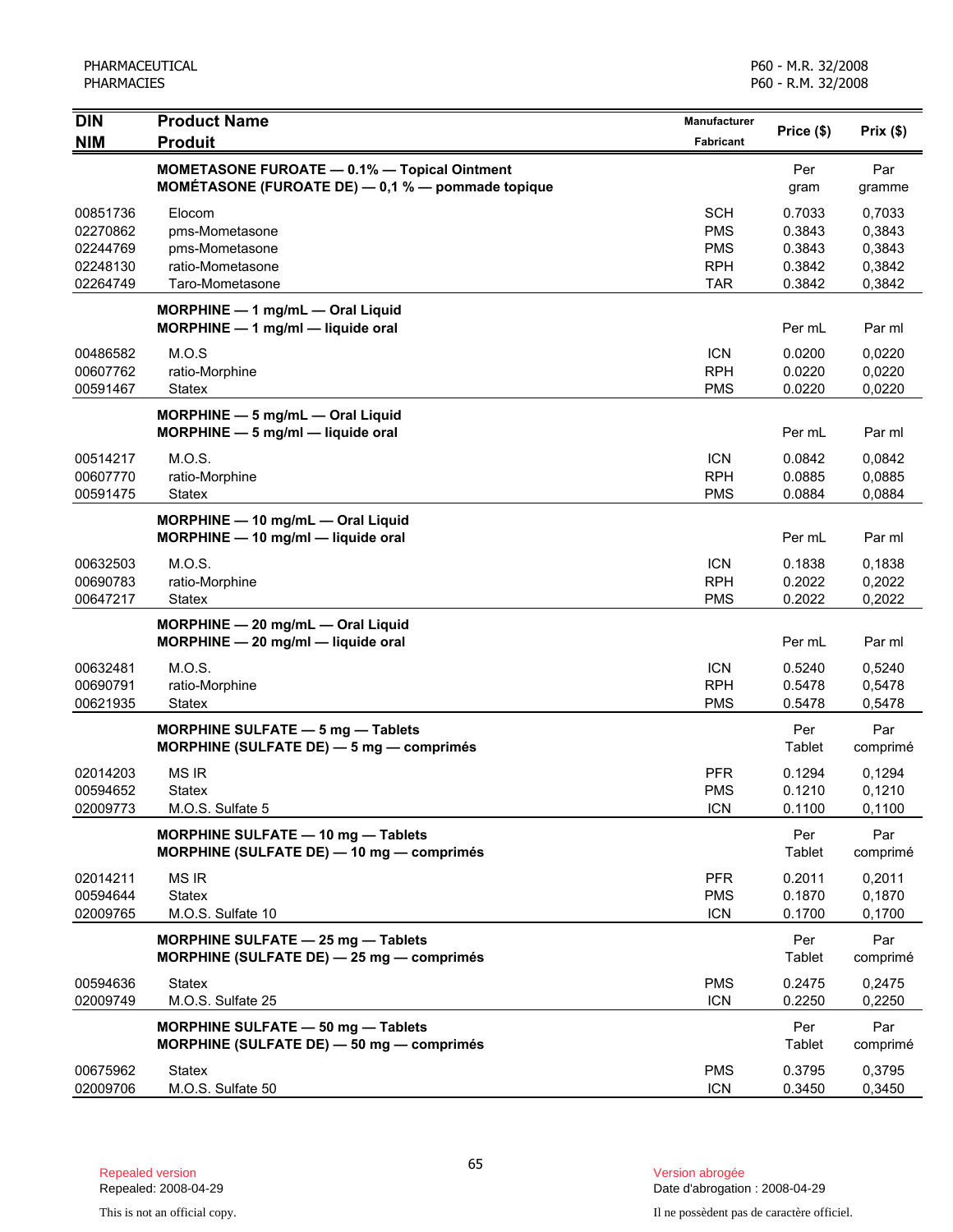| <b>DIN</b>                                               | <b>Product Name</b>                                                                                   | <b>Manufacturer</b>                                                | Price (\$)                                     | Prix(\$)                                       |
|----------------------------------------------------------|-------------------------------------------------------------------------------------------------------|--------------------------------------------------------------------|------------------------------------------------|------------------------------------------------|
| <b>NIM</b>                                               | <b>Produit</b>                                                                                        | Fabricant                                                          |                                                |                                                |
|                                                          | MOMETASONE FUROATE - 0.1% - Topical Ointment<br>MOMÉTASONE (FUROATE DE) $-$ 0,1 % $-$ pommade topique |                                                                    | Per<br>gram                                    | Par<br>gramme                                  |
| 00851736<br>02270862<br>02244769<br>02248130<br>02264749 | Elocom<br>pms-Mometasone<br>pms-Mometasone<br>ratio-Mometasone<br>Taro-Mometasone                     | <b>SCH</b><br><b>PMS</b><br><b>PMS</b><br><b>RPH</b><br><b>TAR</b> | 0.7033<br>0.3843<br>0.3843<br>0.3842<br>0.3842 | 0,7033<br>0,3843<br>0,3843<br>0,3842<br>0,3842 |
|                                                          | MORPHINE - 1 mg/mL - Oral Liquid<br>$MORPHINE - 1$ mg/ml - liquide oral                               |                                                                    | Per mL                                         | Par ml                                         |
| 00486582<br>00607762<br>00591467                         | M.O.S<br>ratio-Morphine<br><b>Statex</b>                                                              | <b>ICN</b><br><b>RPH</b><br><b>PMS</b>                             | 0.0200<br>0.0220<br>0.0220                     | 0,0220<br>0,0220<br>0,0220                     |
|                                                          | MORPHINE - 5 mg/mL - Oral Liquid<br>$MORPHINE - 5$ mg/ml - liquide oral                               |                                                                    | Per mL                                         | Par ml                                         |
| 00514217<br>00607770<br>00591475                         | M.O.S.<br>ratio-Morphine<br>Statex                                                                    | <b>ICN</b><br><b>RPH</b><br><b>PMS</b>                             | 0.0842<br>0.0885<br>0.0884                     | 0,0842<br>0,0885<br>0,0884                     |
|                                                          | MORPHINE - 10 mg/mL - Oral Liquid<br>MORPHINE - 10 mg/ml - liquide oral                               |                                                                    | Per mL                                         | Par ml                                         |
| 00632503<br>00690783<br>00647217                         | M.O.S.<br>ratio-Morphine<br>Statex                                                                    | <b>ICN</b><br><b>RPH</b><br><b>PMS</b>                             | 0.1838<br>0.2022<br>0.2022                     | 0,1838<br>0,2022<br>0,2022                     |
|                                                          | MORPHINE - 20 mg/mL - Oral Liquid<br>MORPHINE - 20 mg/ml - liquide oral                               |                                                                    | Per mL                                         | Par ml                                         |
| 00632481<br>00690791<br>00621935                         | M.O.S.<br>ratio-Morphine<br>Statex                                                                    | <b>ICN</b><br><b>RPH</b><br><b>PMS</b>                             | 0.5240<br>0.5478<br>0.5478                     | 0,5240<br>0,5478<br>0,5478                     |
|                                                          | MORPHINE SULFATE - 5 mg - Tablets<br>MORPHINE (SULFATE DE) - 5 mg - comprimés                         |                                                                    | Per<br>Tablet                                  | Par<br>comprimé                                |
| 02014203<br>00594652<br>02009773                         | <b>MS IR</b><br>Statex<br>M.O.S. Sulfate 5                                                            | <b>PFR</b><br><b>PMS</b><br>ICN                                    | 0.1294<br>0.1210<br>0.1100                     | 0,1294<br>0,1210<br>0,1100                     |
|                                                          | <b>MORPHINE SULFATE - 10 mg - Tablets</b><br>MORPHINE (SULFATE DE) - 10 mg - comprimés                |                                                                    | Per<br>Tablet                                  | Par<br>comprimé                                |
| 02014211<br>00594644<br>02009765                         | <b>MS IR</b><br><b>Statex</b><br>M.O.S. Sulfate 10                                                    | <b>PFR</b><br><b>PMS</b><br><b>ICN</b>                             | 0.2011<br>0.1870<br>0.1700                     | 0,2011<br>0,1870<br>0,1700                     |
|                                                          | MORPHINE SULFATE - 25 mg - Tablets<br>MORPHINE (SULFATE DE) - 25 mg - comprimés                       |                                                                    | Per<br><b>Tablet</b>                           | Par<br>comprimé                                |
| 00594636<br>02009749                                     | <b>Statex</b><br>M.O.S. Sulfate 25                                                                    | <b>PMS</b><br><b>ICN</b>                                           | 0.2475<br>0.2250                               | 0,2475<br>0,2250                               |
|                                                          | <b>MORPHINE SULFATE - 50 mg - Tablets</b><br>MORPHINE (SULFATE DE) - 50 mg - comprimés                |                                                                    | Per<br><b>Tablet</b>                           | Par<br>comprimé                                |
| 00675962<br>02009706                                     | <b>Statex</b><br>M.O.S. Sulfate 50                                                                    | <b>PMS</b><br><b>ICN</b>                                           | 0.3795<br>0.3450                               | 0,3795<br>0,3450                               |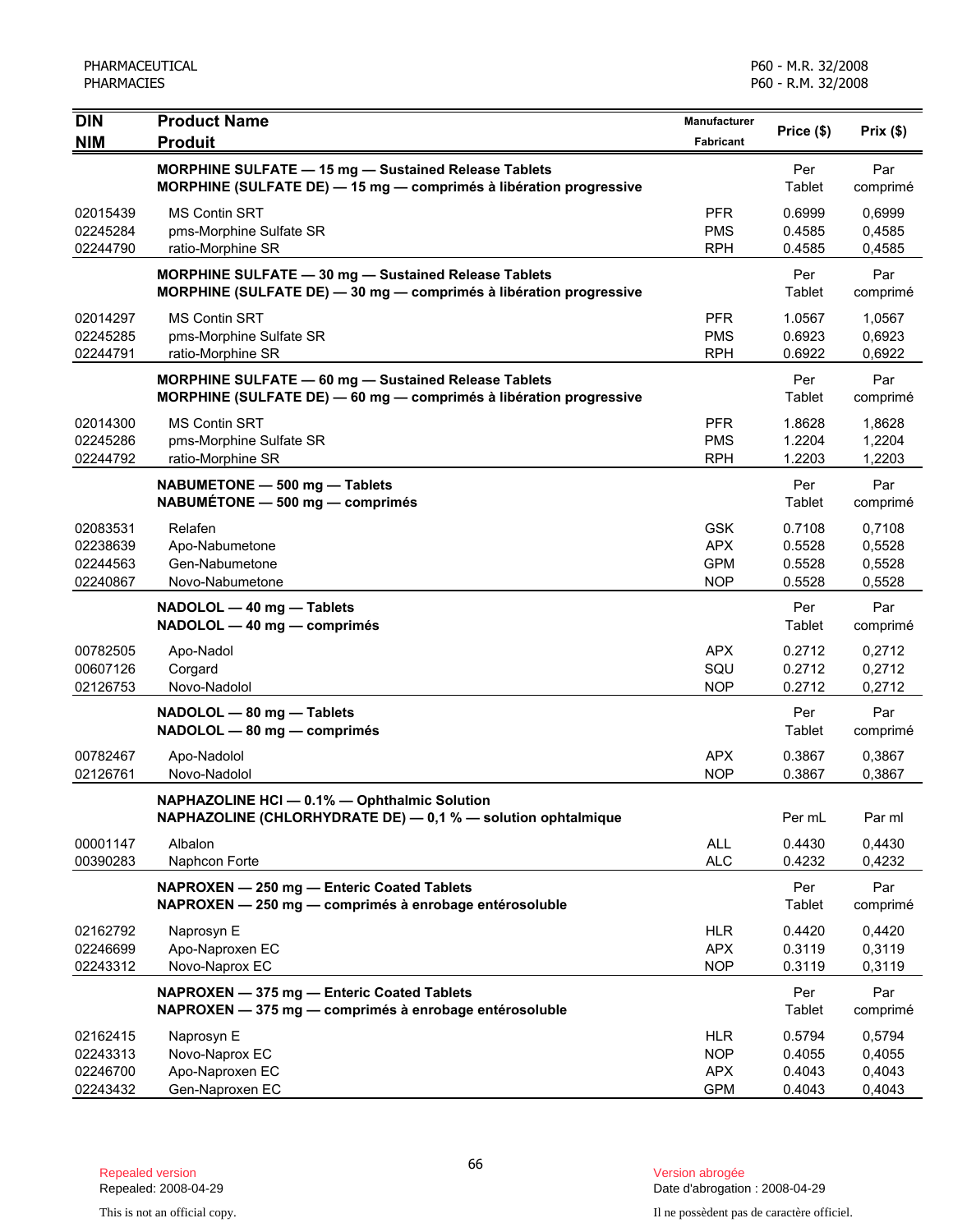| <b>DIN</b>                                   | <b>Product Name</b>                                                                                                        | Manufacturer                                         | Price (\$)                           | Prix(\$)                             |
|----------------------------------------------|----------------------------------------------------------------------------------------------------------------------------|------------------------------------------------------|--------------------------------------|--------------------------------------|
| <b>NIM</b>                                   | <b>Produit</b>                                                                                                             | <b>Fabricant</b>                                     |                                      |                                      |
|                                              | MORPHINE SULFATE - 15 mg - Sustained Release Tablets<br>MORPHINE (SULFATE DE) - 15 mg - comprimés à libération progressive |                                                      | Per<br>Tablet                        | Par<br>comprimé                      |
| 02015439<br>02245284<br>02244790             | <b>MS Contin SRT</b><br>pms-Morphine Sulfate SR<br>ratio-Morphine SR                                                       | <b>PFR</b><br><b>PMS</b><br><b>RPH</b>               | 0.6999<br>0.4585<br>0.4585           | 0,6999<br>0,4585<br>0,4585           |
|                                              | MORPHINE SULFATE - 30 mg - Sustained Release Tablets<br>MORPHINE (SULFATE DE) - 30 mg - comprimés à libération progressive |                                                      | Per<br>Tablet                        | Par<br>comprimé                      |
| 02014297<br>02245285<br>02244791             | <b>MS Contin SRT</b><br>pms-Morphine Sulfate SR<br>ratio-Morphine SR                                                       | <b>PFR</b><br><b>PMS</b><br><b>RPH</b>               | 1.0567<br>0.6923<br>0.6922           | 1,0567<br>0,6923<br>0,6922           |
|                                              | MORPHINE SULFATE - 60 mg - Sustained Release Tablets<br>MORPHINE (SULFATE DE) - 60 mg - comprimés à libération progressive |                                                      | Per<br>Tablet                        | Par<br>comprimé                      |
| 02014300<br>02245286<br>02244792             | <b>MS Contin SRT</b><br>pms-Morphine Sulfate SR<br>ratio-Morphine SR                                                       | <b>PFR</b><br><b>PMS</b><br><b>RPH</b>               | 1.8628<br>1.2204<br>1.2203           | 1,8628<br>1,2204<br>1.2203           |
|                                              | NABUMETONE - 500 mg - Tablets<br>NABUMÉTONE - 500 mg - comprimés                                                           |                                                      | Per<br>Tablet                        | Par<br>comprimé                      |
| 02083531<br>02238639<br>02244563<br>02240867 | Relafen<br>Apo-Nabumetone<br>Gen-Nabumetone<br>Novo-Nabumetone                                                             | <b>GSK</b><br><b>APX</b><br><b>GPM</b><br><b>NOP</b> | 0.7108<br>0.5528<br>0.5528<br>0.5528 | 0.7108<br>0,5528<br>0,5528<br>0,5528 |
|                                              | NADOLOL - 40 mg - Tablets<br>NADOLOL - 40 mg - comprimés                                                                   |                                                      | Per<br>Tablet                        | Par<br>comprimé                      |
| 00782505<br>00607126<br>02126753             | Apo-Nadol<br>Corgard<br>Novo-Nadolol                                                                                       | <b>APX</b><br>SQU<br><b>NOP</b>                      | 0.2712<br>0.2712<br>0.2712           | 0,2712<br>0,2712<br>0,2712           |
|                                              | NADOLOL - 80 mg - Tablets<br>NADOLOL - 80 mg - comprimés                                                                   |                                                      | Per<br>Tablet                        | Par<br>comprimé                      |
| 00782467<br>02126761                         | Apo-Nadolol<br>Novo-Nadolol                                                                                                | <b>APX</b><br><b>NOP</b>                             | 0.3867<br>0.3867                     | 0,3867<br>0,3867                     |
|                                              | NAPHAZOLINE HCI - 0.1% - Ophthalmic Solution<br>NAPHAZOLINE (CHLORHYDRATE DE) - 0,1 % - solution ophtalmique               |                                                      | Per mL                               | Par ml                               |
| 00001147<br>00390283                         | Albalon<br>Naphcon Forte                                                                                                   | <b>ALL</b><br><b>ALC</b>                             | 0.4430<br>0.4232                     | 0,4430<br>0,4232                     |
|                                              | NAPROXEN - 250 mg - Enteric Coated Tablets<br>NAPROXEN - 250 mg - comprimés à enrobage entérosoluble                       |                                                      | Per<br>Tablet                        | Par<br>comprimé                      |
| 02162792<br>02246699<br>02243312             | Naprosyn E<br>Apo-Naproxen EC<br>Novo-Naprox EC                                                                            | <b>HLR</b><br><b>APX</b><br><b>NOP</b>               | 0.4420<br>0.3119<br>0.3119           | 0,4420<br>0,3119<br>0,3119           |
|                                              | NAPROXEN - 375 mg - Enteric Coated Tablets<br>NAPROXEN - 375 mg - comprimés à enrobage entérosoluble                       |                                                      | Per<br>Tablet                        | Par<br>comprimé                      |
| 02162415<br>02243313<br>02246700<br>02243432 | Naprosyn E<br>Novo-Naprox EC<br>Apo-Naproxen EC<br>Gen-Naproxen EC                                                         | <b>HLR</b><br><b>NOP</b><br><b>APX</b><br><b>GPM</b> | 0.5794<br>0.4055<br>0.4043<br>0.4043 | 0,5794<br>0,4055<br>0,4043<br>0,4043 |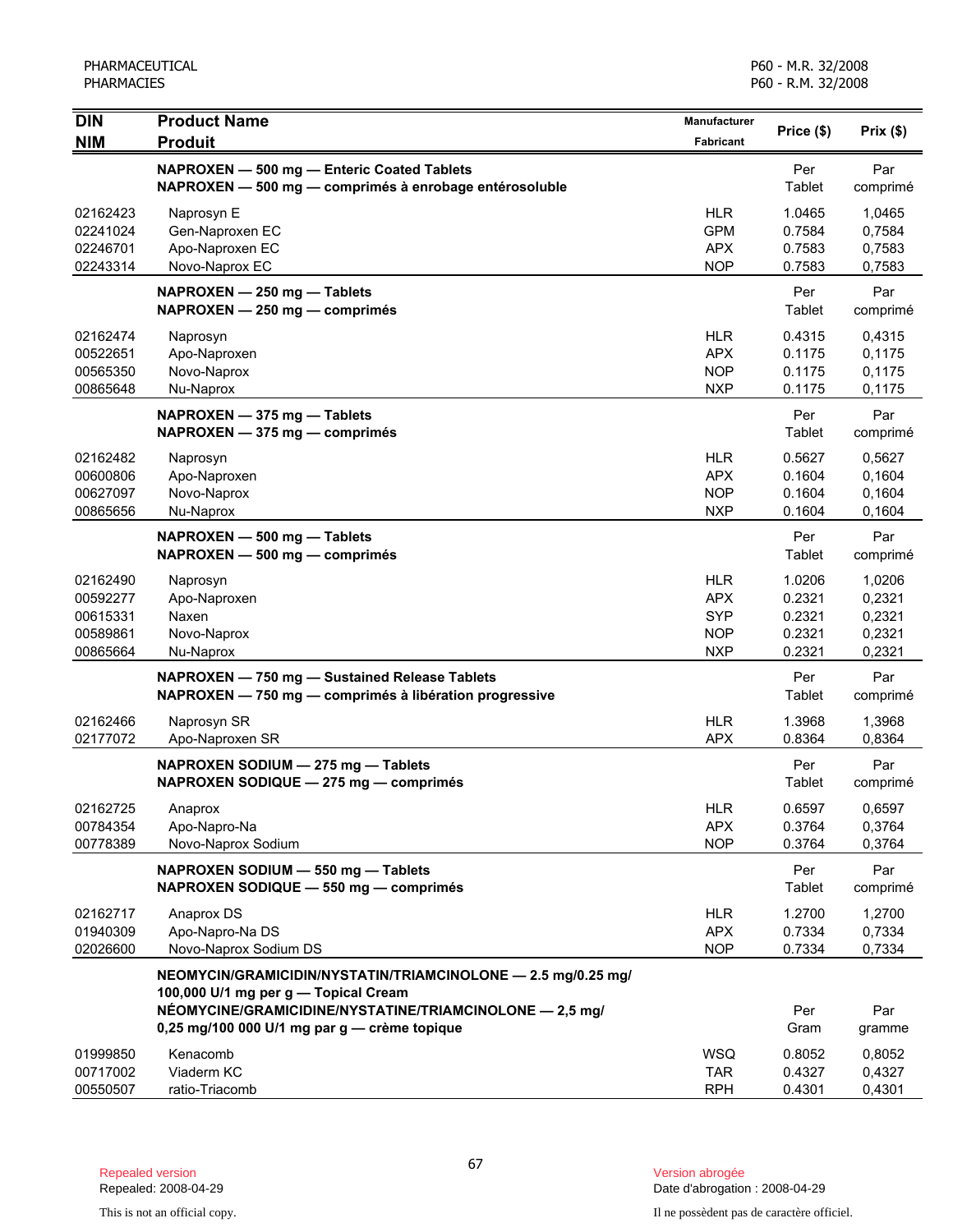| <b>DIN</b><br><b>NIM</b>                                 | <b>Product Name</b><br><b>Produit</b>                                                                                                                                                                           | Manufacturer<br><b>Fabricant</b>                                   | Price (\$)                                     | Prix(\$)                                       |
|----------------------------------------------------------|-----------------------------------------------------------------------------------------------------------------------------------------------------------------------------------------------------------------|--------------------------------------------------------------------|------------------------------------------------|------------------------------------------------|
|                                                          | NAPROXEN - 500 mg - Enteric Coated Tablets<br>NAPROXEN - 500 mg - comprimés à enrobage entérosoluble                                                                                                            |                                                                    | Per<br>Tablet                                  | Par<br>comprimé                                |
| 02162423<br>02241024<br>02246701<br>02243314             | Naprosyn E<br>Gen-Naproxen EC<br>Apo-Naproxen EC<br>Novo-Naprox EC                                                                                                                                              | <b>HLR</b><br><b>GPM</b><br><b>APX</b><br><b>NOP</b>               | 1.0465<br>0.7584<br>0.7583<br>0.7583           | 1,0465<br>0,7584<br>0,7583<br>0,7583           |
|                                                          | NAPROXEN - 250 mg - Tablets<br>NAPROXEN - 250 mg - comprimés                                                                                                                                                    |                                                                    | Per<br>Tablet                                  | Par<br>comprimé                                |
| 02162474<br>00522651<br>00565350<br>00865648             | Naprosyn<br>Apo-Naproxen<br>Novo-Naprox<br>Nu-Naprox                                                                                                                                                            | <b>HLR</b><br><b>APX</b><br><b>NOP</b><br><b>NXP</b>               | 0.4315<br>0.1175<br>0.1175<br>0.1175           | 0,4315<br>0,1175<br>0,1175<br>0,1175           |
|                                                          | NAPROXEN - 375 mg - Tablets<br>NAPROXEN - 375 mg - comprimés                                                                                                                                                    |                                                                    | Per<br>Tablet                                  | Par<br>comprimé                                |
| 02162482<br>00600806<br>00627097<br>00865656             | Naprosyn<br>Apo-Naproxen<br>Novo-Naprox<br>Nu-Naprox                                                                                                                                                            | <b>HLR</b><br><b>APX</b><br><b>NOP</b><br><b>NXP</b>               | 0.5627<br>0.1604<br>0.1604<br>0.1604           | 0,5627<br>0,1604<br>0,1604<br>0,1604           |
|                                                          | NAPROXEN - 500 mg - Tablets<br>NAPROXEN - 500 mg - comprimés                                                                                                                                                    |                                                                    | Per<br>Tablet                                  | Par<br>comprimé                                |
| 02162490<br>00592277<br>00615331<br>00589861<br>00865664 | Naprosyn<br>Apo-Naproxen<br>Naxen<br>Novo-Naprox<br>Nu-Naprox                                                                                                                                                   | <b>HLR</b><br><b>APX</b><br><b>SYP</b><br><b>NOP</b><br><b>NXP</b> | 1.0206<br>0.2321<br>0.2321<br>0.2321<br>0.2321 | 1,0206<br>0,2321<br>0,2321<br>0,2321<br>0,2321 |
|                                                          | NAPROXEN - 750 mg - Sustained Release Tablets<br>NAPROXEN - 750 mg - comprimés à libération progressive                                                                                                         |                                                                    | Per<br>Tablet                                  | Par<br>comprimé                                |
| 02162466<br>02177072                                     | Naprosyn SR<br>Apo-Naproxen SR                                                                                                                                                                                  | <b>HLR</b><br><b>APX</b>                                           | 1.3968<br>0.8364                               | 1,3968<br>0,8364                               |
|                                                          | NAPROXEN SODIUM - 275 mg - Tablets<br>NAPROXEN SODIQUE - 275 mg - comprimés                                                                                                                                     |                                                                    | Per<br>Tablet                                  | Par<br>comprimé                                |
| 02162725<br>00784354<br>00778389                         | Anaprox<br>Apo-Napro-Na<br>Novo-Naprox Sodium                                                                                                                                                                   | <b>HLR</b><br><b>APX</b><br><b>NOP</b>                             | 0.6597<br>0.3764<br>0.3764                     | 0,6597<br>0,3764<br>0,3764                     |
|                                                          | NAPROXEN SODIUM - 550 mg - Tablets<br>NAPROXEN SODIQUE - 550 mg - comprimés                                                                                                                                     |                                                                    | Per<br>Tablet                                  | Par<br>comprimé                                |
| 02162717<br>01940309<br>02026600                         | Anaprox DS<br>Apo-Napro-Na DS<br>Novo-Naprox Sodium DS                                                                                                                                                          | <b>HLR</b><br><b>APX</b><br><b>NOP</b>                             | 1.2700<br>0.7334<br>0.7334                     | 1,2700<br>0,7334<br>0,7334                     |
|                                                          | NEOMYCIN/GRAMICIDIN/NYSTATIN/TRIAMCINOLONE - 2.5 mg/0.25 mg/<br>100,000 U/1 mg per g - Topical Cream<br>NÉOMYCINE/GRAMICIDINE/NYSTATINE/TRIAMCINOLONE - 2,5 mg/<br>0,25 mg/100 000 U/1 mg par g - crème topique |                                                                    | Per<br>Gram                                    | Par<br>gramme                                  |
| 01999850<br>00717002<br>00550507                         | Kenacomb<br>Viaderm KC<br>ratio-Triacomb                                                                                                                                                                        | <b>WSQ</b><br><b>TAR</b><br><b>RPH</b>                             | 0.8052<br>0.4327<br>0.4301                     | 0,8052<br>0,4327<br>0,4301                     |

Date d'abrogation : 2008-04-29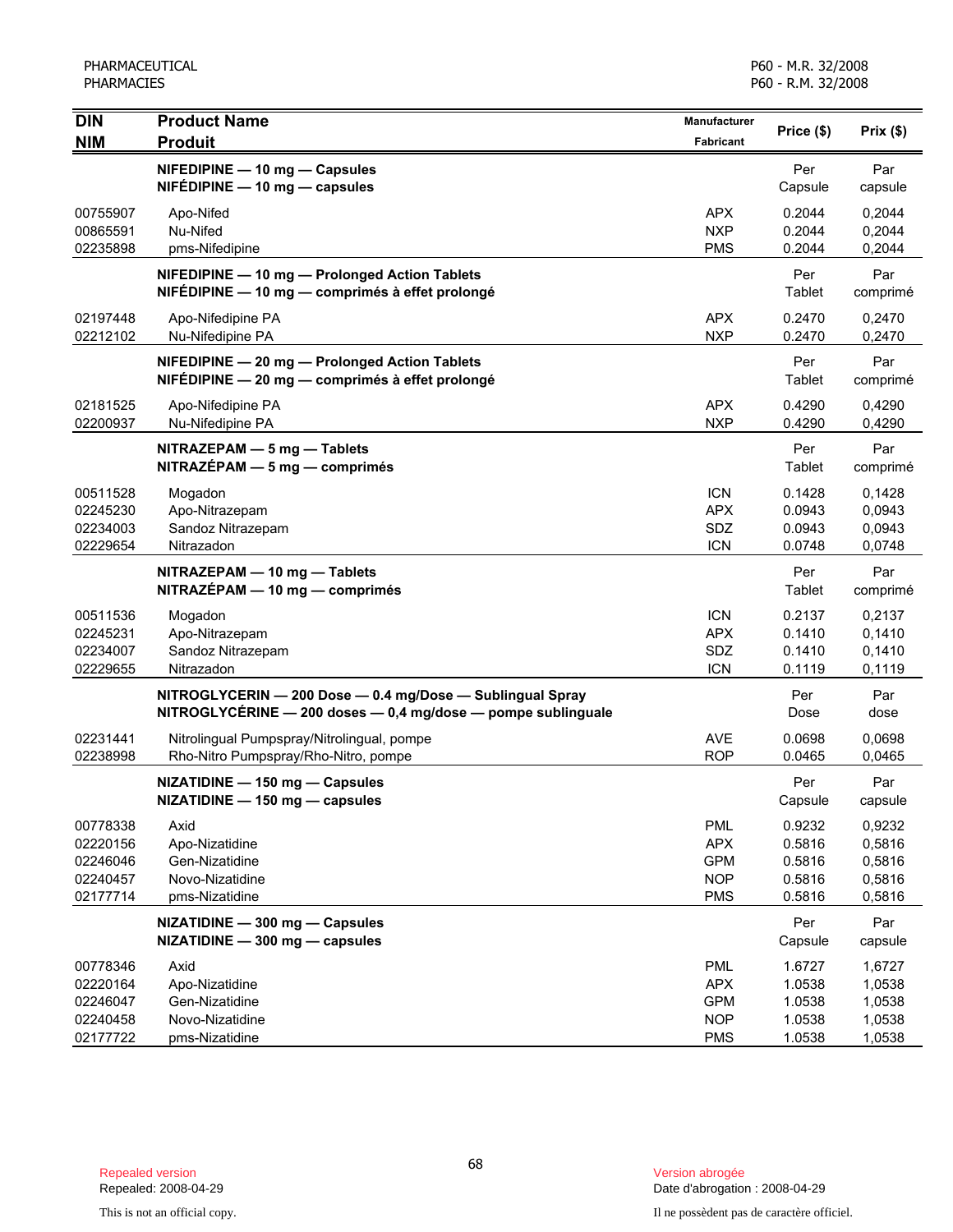| <b>DIN</b>                                               | <b>Product Name</b>                                                                                                             | Manufacturer                                                       | Price (\$)                                     |                                                |
|----------------------------------------------------------|---------------------------------------------------------------------------------------------------------------------------------|--------------------------------------------------------------------|------------------------------------------------|------------------------------------------------|
| <b>NIM</b>                                               | <b>Produit</b>                                                                                                                  | Fabricant                                                          |                                                | Prix(\$)                                       |
|                                                          | NIFEDIPINE - 10 mg - Capsules<br>$NIFÉDIPINE - 10 mg - capsules$                                                                |                                                                    | Per<br>Capsule                                 | Par<br>capsule                                 |
| 00755907<br>00865591<br>02235898                         | Apo-Nifed<br>Nu-Nifed<br>pms-Nifedipine                                                                                         | <b>APX</b><br><b>NXP</b><br><b>PMS</b>                             | 0.2044<br>0.2044<br>0.2044                     | 0,2044<br>0,2044<br>0,2044                     |
|                                                          | NIFEDIPINE - 10 mg - Prolonged Action Tablets<br>NIFÉDIPINE — 10 mg — comprimés à effet prolongé                                |                                                                    | Per<br>Tablet                                  | Par<br>comprimé                                |
| 02197448<br>02212102                                     | Apo-Nifedipine PA<br>Nu-Nifedipine PA                                                                                           | <b>APX</b><br><b>NXP</b>                                           | 0.2470<br>0.2470                               | 0,2470<br>0,2470                               |
|                                                          | NIFEDIPINE - 20 mg - Prolonged Action Tablets<br>NIFÉDIPINE - 20 mg - comprimés à effet prolongé                                |                                                                    | Per<br>Tablet                                  | Par<br>comprimé                                |
| 02181525<br>02200937                                     | Apo-Nifedipine PA<br>Nu-Nifedipine PA                                                                                           | <b>APX</b><br><b>NXP</b>                                           | 0.4290<br>0.4290                               | 0,4290<br>0,4290                               |
|                                                          | NITRAZEPAM - 5 mg - Tablets<br>$NITRAZÉPAM - 5 mg - comprimés$                                                                  |                                                                    | Per<br>Tablet                                  | Par<br>comprimé                                |
| 00511528<br>02245230<br>02234003<br>02229654             | Mogadon<br>Apo-Nitrazepam<br>Sandoz Nitrazepam<br>Nitrazadon                                                                    | <b>ICN</b><br><b>APX</b><br>SDZ<br><b>ICN</b>                      | 0.1428<br>0.0943<br>0.0943<br>0.0748           | 0,1428<br>0,0943<br>0,0943<br>0,0748           |
|                                                          | NITRAZEPAM - 10 mg - Tablets<br>NITRAZÉPAM - 10 mg - comprimés                                                                  |                                                                    | Per<br>Tablet                                  | Par<br>comprimé                                |
| 00511536<br>02245231<br>02234007<br>02229655             | Mogadon<br>Apo-Nitrazepam<br>Sandoz Nitrazepam<br>Nitrazadon                                                                    | <b>ICN</b><br><b>APX</b><br>SDZ<br><b>ICN</b>                      | 0.2137<br>0.1410<br>0.1410<br>0.1119           | 0,2137<br>0,1410<br>0,1410<br>0,1119           |
|                                                          | NITROGLYCERIN - 200 Dose - 0.4 mg/Dose - Sublingual Spray<br>$NITROGLYCERINE - 200$ doses $- 0.4$ mg/dose $-$ pompe sublinguale |                                                                    | Per<br>Dose                                    | Par<br>dose                                    |
| 02231441<br>02238998                                     | Nitrolingual Pumpspray/Nitrolingual, pompe<br>Rho-Nitro Pumpspray/Rho-Nitro, pompe                                              | <b>AVE</b><br><b>ROP</b>                                           | 0.0698<br>0.0465                               | 0,0698<br>0,0465                               |
|                                                          | NIZATIDINE - 150 mg - Capsules<br>NIZATIDINE - 150 mg - capsules                                                                |                                                                    | Per<br>Capsule                                 | Par<br>capsule                                 |
| 00778338<br>02220156<br>02246046<br>02240457<br>02177714 | Axid<br>Apo-Nizatidine<br>Gen-Nizatidine<br>Novo-Nizatidine<br>pms-Nizatidine                                                   | <b>PML</b><br><b>APX</b><br><b>GPM</b><br><b>NOP</b><br><b>PMS</b> | 0.9232<br>0.5816<br>0.5816<br>0.5816<br>0.5816 | 0,9232<br>0,5816<br>0,5816<br>0,5816<br>0,5816 |
|                                                          | NIZATIDINE - 300 mg - Capsules<br>NIZATIDINE - 300 mg - capsules                                                                |                                                                    | Per<br>Capsule                                 | Par<br>capsule                                 |
| 00778346<br>02220164<br>02246047<br>02240458<br>02177722 | Axid<br>Apo-Nizatidine<br>Gen-Nizatidine<br>Novo-Nizatidine<br>pms-Nizatidine                                                   | <b>PML</b><br><b>APX</b><br><b>GPM</b><br><b>NOP</b><br><b>PMS</b> | 1.6727<br>1.0538<br>1.0538<br>1.0538<br>1.0538 | 1,6727<br>1,0538<br>1,0538<br>1,0538<br>1,0538 |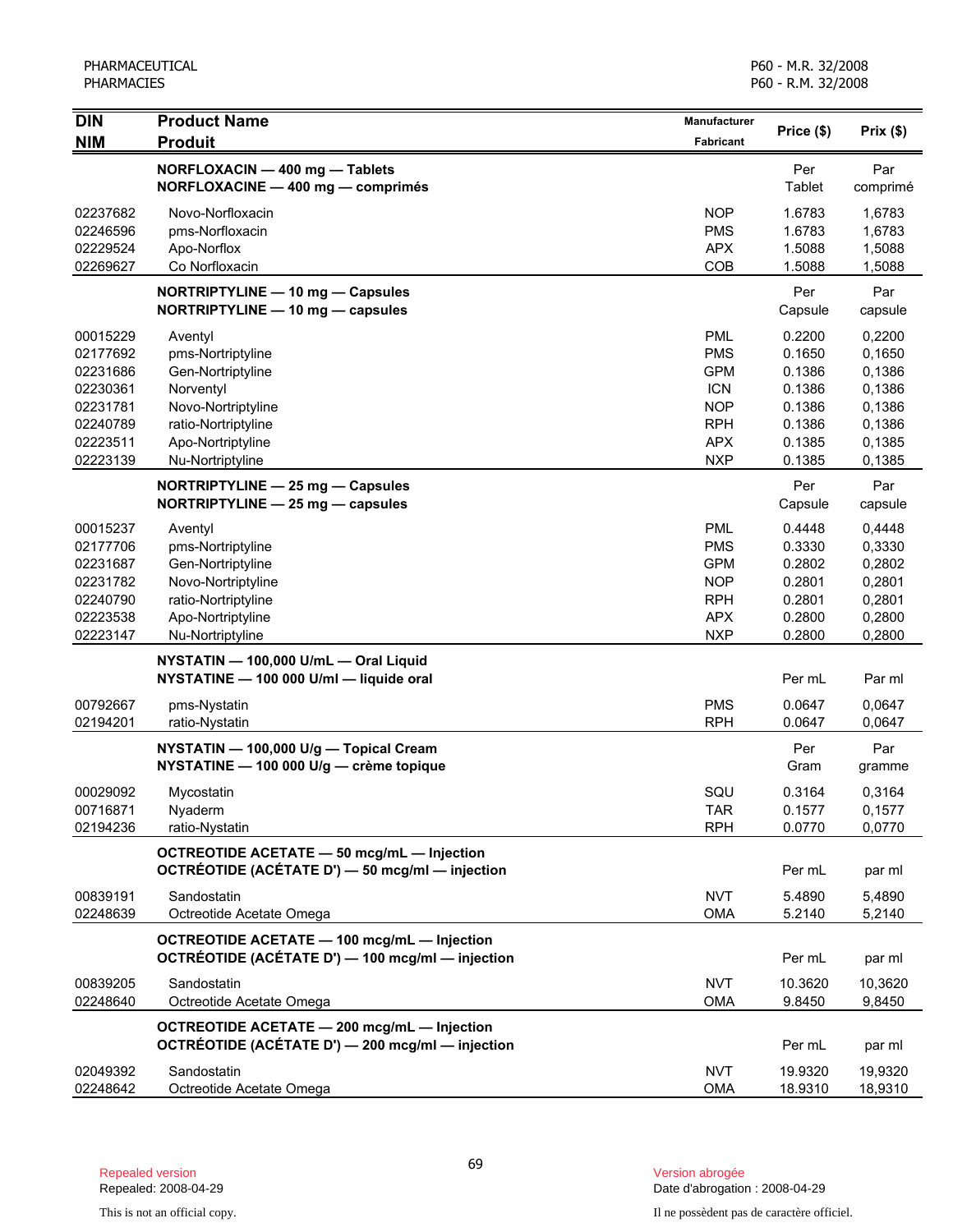| <b>DIN</b>           | <b>Product Name</b>                                                                                    | <b>Manufacturer</b>      | Price (\$)        | Prix(\$)          |
|----------------------|--------------------------------------------------------------------------------------------------------|--------------------------|-------------------|-------------------|
| <b>NIM</b>           | <b>Produit</b>                                                                                         | Fabricant                |                   |                   |
|                      | NORFLOXACIN - 400 mg - Tablets<br>NORFLOXACINE - 400 mg - comprimés                                    |                          | Per<br>Tablet     | Par<br>comprimé   |
| 02237682<br>02246596 | Novo-Norfloxacin<br>pms-Norfloxacin                                                                    | <b>NOP</b><br><b>PMS</b> | 1.6783<br>1.6783  | 1,6783<br>1,6783  |
| 02229524<br>02269627 | Apo-Norflox<br>Co Norfloxacin                                                                          | <b>APX</b><br>COB        | 1.5088<br>1.5088  | 1,5088<br>1,5088  |
|                      | NORTRIPTYLINE - 10 mg - Capsules<br>NORTRIPTYLINE - 10 mg - capsules                                   |                          | Per<br>Capsule    | Par<br>capsule    |
| 00015229             | Aventyl                                                                                                | <b>PML</b>               | 0.2200            | 0,2200            |
| 02177692             | pms-Nortriptyline                                                                                      | <b>PMS</b><br><b>GPM</b> | 0.1650<br>0.1386  | 0,1650<br>0,1386  |
| 02231686<br>02230361 | Gen-Nortriptyline<br>Norventyl                                                                         | <b>ICN</b>               | 0.1386            | 0,1386            |
| 02231781             | Novo-Nortriptyline                                                                                     | <b>NOP</b>               | 0.1386            | 0,1386            |
| 02240789             | ratio-Nortriptyline                                                                                    | <b>RPH</b>               | 0.1386            | 0,1386            |
| 02223511             | Apo-Nortriptyline                                                                                      | <b>APX</b>               | 0.1385            | 0,1385            |
| 02223139             | Nu-Nortriptyline                                                                                       | <b>NXP</b>               | 0.1385            | 0,1385            |
|                      | NORTRIPTYLINE - 25 mg - Capsules                                                                       |                          | Per               | Par               |
|                      | NORTRIPTYLINE - 25 mg - capsules                                                                       |                          | Capsule           | capsule           |
| 00015237             | Aventyl                                                                                                | <b>PML</b>               | 0.4448            | 0.4448            |
| 02177706             | pms-Nortriptyline                                                                                      | <b>PMS</b>               | 0.3330            | 0,3330            |
| 02231687             | Gen-Nortriptyline                                                                                      | <b>GPM</b>               | 0.2802            | 0,2802            |
| 02231782             | Novo-Nortriptyline                                                                                     | <b>NOP</b>               | 0.2801            | 0,2801            |
| 02240790             | ratio-Nortriptyline                                                                                    | <b>RPH</b>               | 0.2801            | 0,2801            |
| 02223538             | Apo-Nortriptyline                                                                                      | <b>APX</b>               | 0.2800            | 0,2800            |
| 02223147             | Nu-Nortriptyline                                                                                       | <b>NXP</b>               | 0.2800            | 0,2800            |
|                      | NYSTATIN - 100,000 U/mL - Oral Liquid<br>NYSTATINE - 100 000 U/ml - liquide oral                       |                          | Per mL            | Par ml            |
| 00792667<br>02194201 | pms-Nystatin<br>ratio-Nystatin                                                                         | <b>PMS</b><br><b>RPH</b> | 0.0647<br>0.0647  | 0,0647<br>0,0647  |
|                      |                                                                                                        |                          |                   |                   |
|                      | NYSTATIN - 100,000 U/g - Topical Cream<br>NYSTATINE - 100 000 U/g - crème topique                      |                          | Per<br>Gram       | Par<br>gramme     |
| 00029092             | Mycostatin                                                                                             | SQU                      | 0.3164            | 0,3164            |
| 00716871             | Nyaderm                                                                                                | <b>TAR</b>               | 0.1577            | 0,1577            |
| 02194236             | ratio-Nystatin                                                                                         | <b>RPH</b>               | 0.0770            | 0,0770            |
|                      | <b>OCTREOTIDE ACETATE - 50 mcg/mL - Injection</b><br>OCTRÉOTIDE (ACÉTATE D') - 50 mcg/ml - injection   |                          | Per mL            | par ml            |
| 00839191<br>02248639 | Sandostatin<br>Octreotide Acetate Omega                                                                | <b>NVT</b><br><b>OMA</b> | 5.4890<br>5.2140  | 5,4890<br>5,2140  |
|                      | <b>OCTREOTIDE ACETATE - 100 mcg/mL - Injection</b><br>OCTRÉOTIDE (ACÉTATE D') - 100 mcg/ml - injection |                          | Per mL            | par ml            |
| 00839205<br>02248640 | Sandostatin<br>Octreotide Acetate Omega                                                                | <b>NVT</b><br><b>OMA</b> | 10.3620<br>9.8450 | 10,3620<br>9,8450 |
|                      | OCTREOTIDE ACETATE - 200 mcg/mL - Injection<br>OCTRÉOTIDE (ACÉTATE D') - 200 mcg/ml - injection        |                          | Per mL            | par ml            |
| 02049392             | Sandostatin                                                                                            | <b>NVT</b>               | 19.9320           | 19,9320           |
| 02248642             | Octreotide Acetate Omega                                                                               | <b>OMA</b>               | 18.9310           | 18,9310           |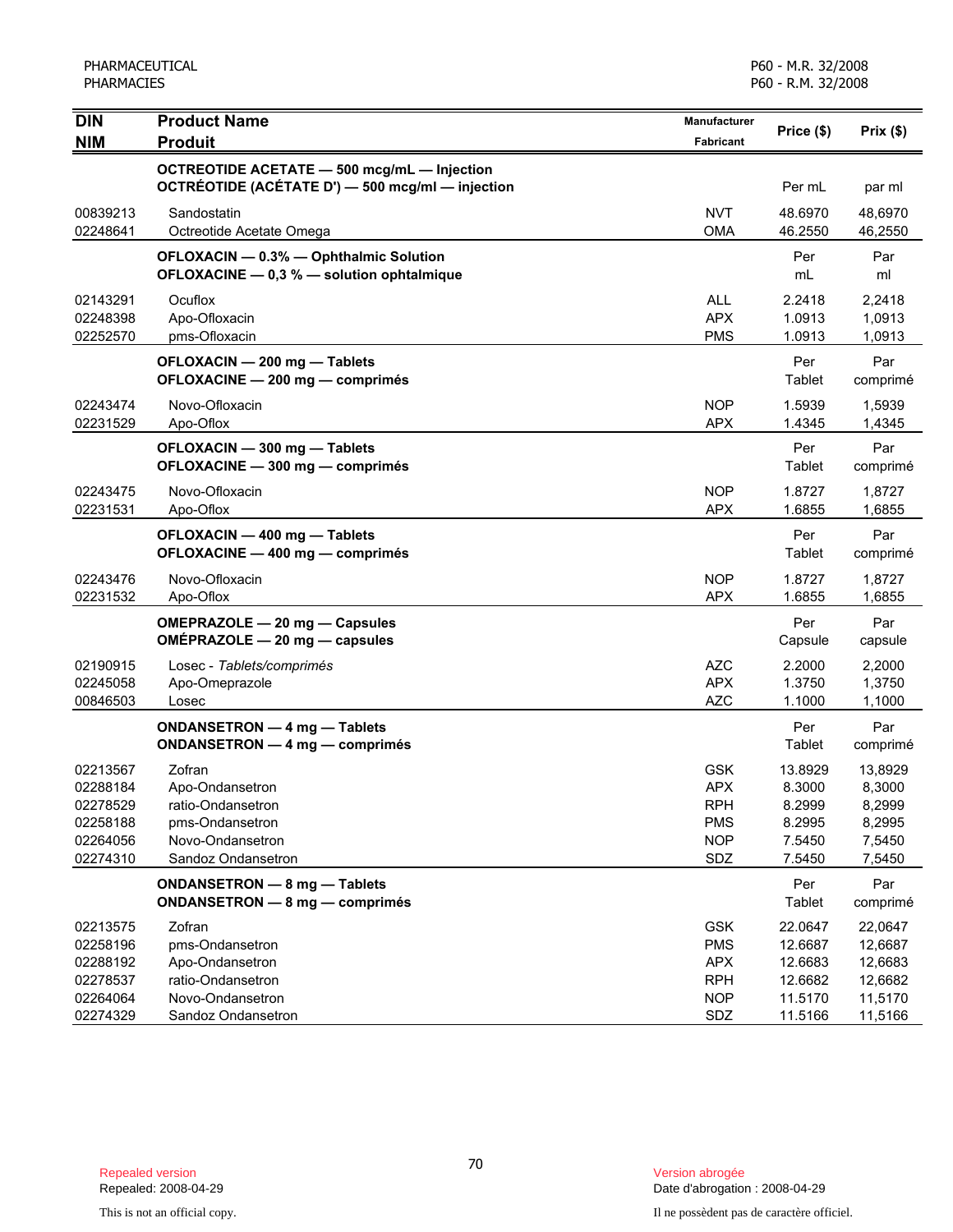| <b>DIN</b>                                                           | <b>Product Name</b>                                                                                         | <b>Manufacturer</b>                                                       |                                                           |                                                           |
|----------------------------------------------------------------------|-------------------------------------------------------------------------------------------------------------|---------------------------------------------------------------------------|-----------------------------------------------------------|-----------------------------------------------------------|
| <b>NIM</b>                                                           | <b>Produit</b>                                                                                              | <b>Fabricant</b>                                                          | Price (\$)                                                | Prix(\$)                                                  |
|                                                                      | OCTREOTIDE ACETATE - 500 mcg/mL - Injection<br>OCTRÉOTIDE (ACÉTATE D') - 500 mcg/ml - injection             |                                                                           | Per mL                                                    | par ml                                                    |
| 00839213<br>02248641                                                 | Sandostatin<br>Octreotide Acetate Omega                                                                     | <b>NVT</b><br><b>OMA</b>                                                  | 48.6970<br>46.2550                                        | 48,6970<br>46,2550                                        |
|                                                                      | OFLOXACIN - 0.3% - Ophthalmic Solution<br>OFLOXACINE - 0,3 % - solution ophtalmique                         |                                                                           | Per<br>mL                                                 | Par<br>ml                                                 |
| 02143291<br>02248398<br>02252570                                     | Ocuflox<br>Apo-Ofloxacin<br>pms-Ofloxacin                                                                   | <b>ALL</b><br><b>APX</b><br><b>PMS</b>                                    | 2.2418<br>1.0913<br>1.0913                                | 2.2418<br>1,0913<br>1,0913                                |
|                                                                      | OFLOXACIN - 200 mg - Tablets<br>OFLOXACINE - 200 mg - comprimés                                             |                                                                           | Per<br>Tablet                                             | Par<br>comprimé                                           |
| 02243474<br>02231529                                                 | Novo-Ofloxacin<br>Apo-Oflox                                                                                 | <b>NOP</b><br><b>APX</b>                                                  | 1.5939<br>1.4345                                          | 1,5939<br>1,4345                                          |
|                                                                      | OFLOXACIN - 300 mg - Tablets<br>OFLOXACINE - 300 mg - comprimés                                             |                                                                           | Per<br>Tablet                                             | Par<br>comprimé                                           |
| 02243475<br>02231531                                                 | Novo-Ofloxacin<br>Apo-Oflox                                                                                 | <b>NOP</b><br><b>APX</b>                                                  | 1.8727<br>1.6855                                          | 1,8727<br>1,6855                                          |
|                                                                      | OFLOXACIN - 400 mg - Tablets<br>OFLOXACINE - 400 mg - comprimés                                             |                                                                           | Per<br>Tablet                                             | Par<br>comprimé                                           |
| 02243476<br>02231532                                                 | Novo-Ofloxacin<br>Apo-Oflox                                                                                 | <b>NOP</b><br><b>APX</b>                                                  | 1.8727<br>1.6855                                          | 1,8727<br>1,6855                                          |
|                                                                      | OMEPRAZOLE - 20 mg - Capsules<br>OMEPRAZOLE - 20 mg - capsules                                              |                                                                           | Per<br>Capsule                                            | Par<br>capsule                                            |
| 02190915<br>02245058<br>00846503                                     | Losec - Tablets/comprimés<br>Apo-Omeprazole<br>Losec                                                        | AZC<br><b>APX</b><br><b>AZC</b>                                           | 2.2000<br>1.3750<br>1.1000                                | 2,2000<br>1,3750<br>1,1000                                |
|                                                                      | <b>ONDANSETRON - 4 mg - Tablets</b><br>ONDANSETRON - 4 mg - comprimés                                       |                                                                           | Per<br>Tablet                                             | Par<br>comprimé                                           |
| 02213567<br>02288184<br>02278529<br>02258188<br>02264056<br>02274310 | Zofran<br>Apo-Ondansetron<br>ratio-Ondansetron<br>pms-Ondansetron<br>Novo-Ondansetron<br>Sandoz Ondansetron | <b>GSK</b><br><b>APX</b><br><b>RPH</b><br><b>PMS</b><br><b>NOP</b><br>SDZ | 13.8929<br>8.3000<br>8.2999<br>8.2995<br>7.5450<br>7.5450 | 13,8929<br>8,3000<br>8,2999<br>8,2995<br>7,5450<br>7,5450 |
|                                                                      | ONDANSETRON - 8 mg - Tablets<br>ONDANSETRON - 8 mg - comprimés                                              |                                                                           | Per<br>Tablet                                             | Par<br>comprimé                                           |
| 02213575<br>02258196<br>02288192<br>02278537<br>02264064             | Zofran<br>pms-Ondansetron<br>Apo-Ondansetron<br>ratio-Ondansetron<br>Novo-Ondansetron                       | <b>GSK</b><br><b>PMS</b><br><b>APX</b><br><b>RPH</b><br><b>NOP</b>        | 22.0647<br>12.6687<br>12.6683<br>12.6682<br>11.5170       | 22,0647<br>12,6687<br>12,6683<br>12,6682<br>11,5170       |
| 02274329                                                             | Sandoz Ondansetron                                                                                          | SDZ                                                                       | 11.5166                                                   | 11,5166                                                   |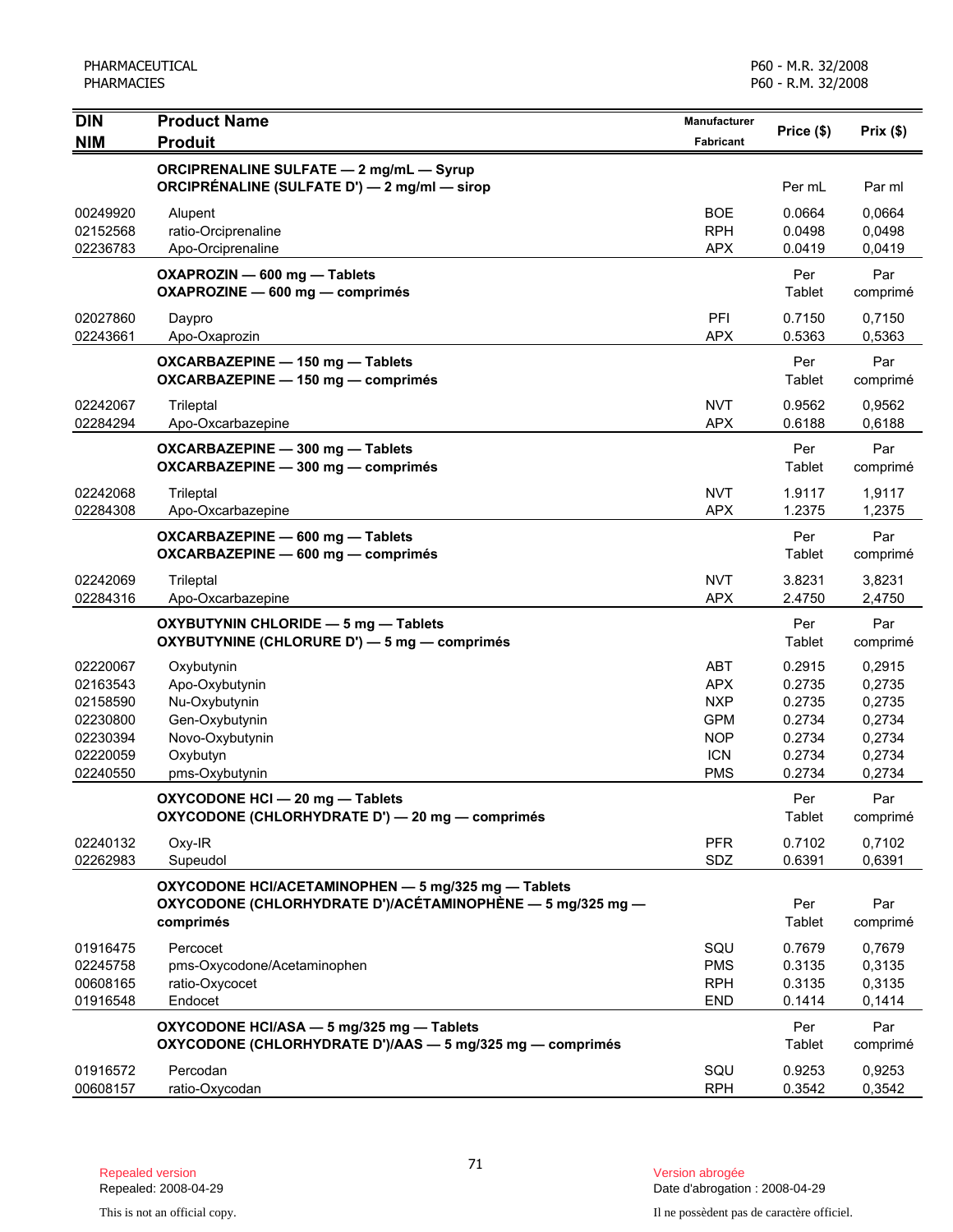| <b>DIN</b>                                                                       | <b>Product Name</b>                                                                                                            | Manufacturer                                                                            | Price (\$)                                                         | Prix(\$)                                                           |
|----------------------------------------------------------------------------------|--------------------------------------------------------------------------------------------------------------------------------|-----------------------------------------------------------------------------------------|--------------------------------------------------------------------|--------------------------------------------------------------------|
| <b>NIM</b>                                                                       | <b>Produit</b>                                                                                                                 | <b>Fabricant</b>                                                                        |                                                                    |                                                                    |
|                                                                                  | <b>ORCIPRENALINE SULFATE - 2 mg/mL - Syrup</b><br>ORCIPRÉNALINE (SULFATE D') — 2 mg/ml — sirop                                 |                                                                                         | Per mL                                                             | Par ml                                                             |
| 00249920<br>02152568<br>02236783                                                 | Alupent<br>ratio-Orciprenaline<br>Apo-Orciprenaline                                                                            | <b>BOE</b><br><b>RPH</b><br><b>APX</b>                                                  | 0.0664<br>0.0498<br>0.0419                                         | 0,0664<br>0,0498<br>0,0419                                         |
|                                                                                  | OXAPROZIN - 600 mg - Tablets<br>OXAPROZINE - 600 mg - comprimés                                                                |                                                                                         | Per<br>Tablet                                                      | Par<br>comprimé                                                    |
| 02027860<br>02243661                                                             | Daypro<br>Apo-Oxaprozin                                                                                                        | PFI<br><b>APX</b>                                                                       | 0.7150<br>0.5363                                                   | 0,7150<br>0,5363                                                   |
|                                                                                  | OXCARBAZEPINE - 150 mg - Tablets<br>OXCARBAZEPINE - 150 mg - comprimés                                                         |                                                                                         | Per<br>Tablet                                                      | Par<br>comprimé                                                    |
| 02242067<br>02284294                                                             | Trileptal<br>Apo-Oxcarbazepine                                                                                                 | <b>NVT</b><br><b>APX</b>                                                                | 0.9562<br>0.6188                                                   | 0,9562<br>0,6188                                                   |
|                                                                                  | OXCARBAZEPINE - 300 mg - Tablets<br>OXCARBAZEPINE - 300 mg - comprimés                                                         |                                                                                         | Per<br>Tablet                                                      | Par<br>comprimé                                                    |
| 02242068<br>02284308                                                             | Trileptal<br>Apo-Oxcarbazepine                                                                                                 | <b>NVT</b><br><b>APX</b>                                                                | 1.9117<br>1.2375                                                   | 1,9117<br>1,2375                                                   |
|                                                                                  | OXCARBAZEPINE - 600 mg - Tablets<br>OXCARBAZEPINE - 600 mg - comprimés                                                         |                                                                                         | Per<br>Tablet                                                      | Par<br>comprimé                                                    |
| 02242069<br>02284316                                                             | Trileptal<br>Apo-Oxcarbazepine                                                                                                 | <b>NVT</b><br><b>APX</b>                                                                | 3.8231<br>2.4750                                                   | 3,8231<br>2,4750                                                   |
|                                                                                  | OXYBUTYNIN CHLORIDE - 5 mg - Tablets<br>OXYBUTYNINE (CHLORURE D') - 5 mg - comprimés                                           |                                                                                         | Per<br>Tablet                                                      | Par<br>comprimé                                                    |
| 02220067<br>02163543<br>02158590<br>02230800<br>02230394<br>02220059<br>02240550 | Oxybutynin<br>Apo-Oxybutynin<br>Nu-Oxybutynin<br>Gen-Oxybutynin<br>Novo-Oxybutynin<br>Oxybutyn<br>pms-Oxybutynin               | ABT<br><b>APX</b><br><b>NXP</b><br><b>GPM</b><br><b>NOP</b><br><b>ICN</b><br><b>PMS</b> | 0.2915<br>0.2735<br>0.2735<br>0.2734<br>0.2734<br>0.2734<br>0.2734 | 0,2915<br>0,2735<br>0,2735<br>0,2734<br>0,2734<br>0,2734<br>0,2734 |
|                                                                                  | OXYCODONE HCI - 20 mg - Tablets<br>OXYCODONE (CHLORHYDRATE D') - 20 mg - comprimés                                             |                                                                                         | Per<br>Tablet                                                      | Par<br>comprimé                                                    |
| 02240132<br>02262983                                                             | Oxy-IR<br>Supeudol                                                                                                             | <b>PFR</b><br>SDZ                                                                       | 0.7102<br>0.6391                                                   | 0,7102<br>0,6391                                                   |
|                                                                                  | OXYCODONE HCI/ACETAMINOPHEN - 5 mg/325 mg - Tablets<br>OXYCODONE (CHLORHYDRATE D')/ACÉTAMINOPHÈNE — 5 mg/325 mg —<br>comprimés |                                                                                         | Per<br>Tablet                                                      | Par<br>comprimé                                                    |
| 01916475<br>02245758<br>00608165<br>01916548                                     | Percocet<br>pms-Oxycodone/Acetaminophen<br>ratio-Oxycocet<br>Endocet                                                           | SQU<br><b>PMS</b><br><b>RPH</b><br><b>END</b>                                           | 0.7679<br>0.3135<br>0.3135<br>0.1414                               | 0,7679<br>0,3135<br>0,3135<br>0,1414                               |
|                                                                                  | OXYCODONE HCI/ASA - 5 mg/325 mg - Tablets<br>OXYCODONE (CHLORHYDRATE D')/AAS - 5 mg/325 mg - comprimés                         |                                                                                         | Per<br>Tablet                                                      | Par<br>comprimé                                                    |
| 01916572<br>00608157                                                             | Percodan<br>ratio-Oxycodan                                                                                                     | SQU<br><b>RPH</b>                                                                       | 0.9253<br>0.3542                                                   | 0,9253<br>0,3542                                                   |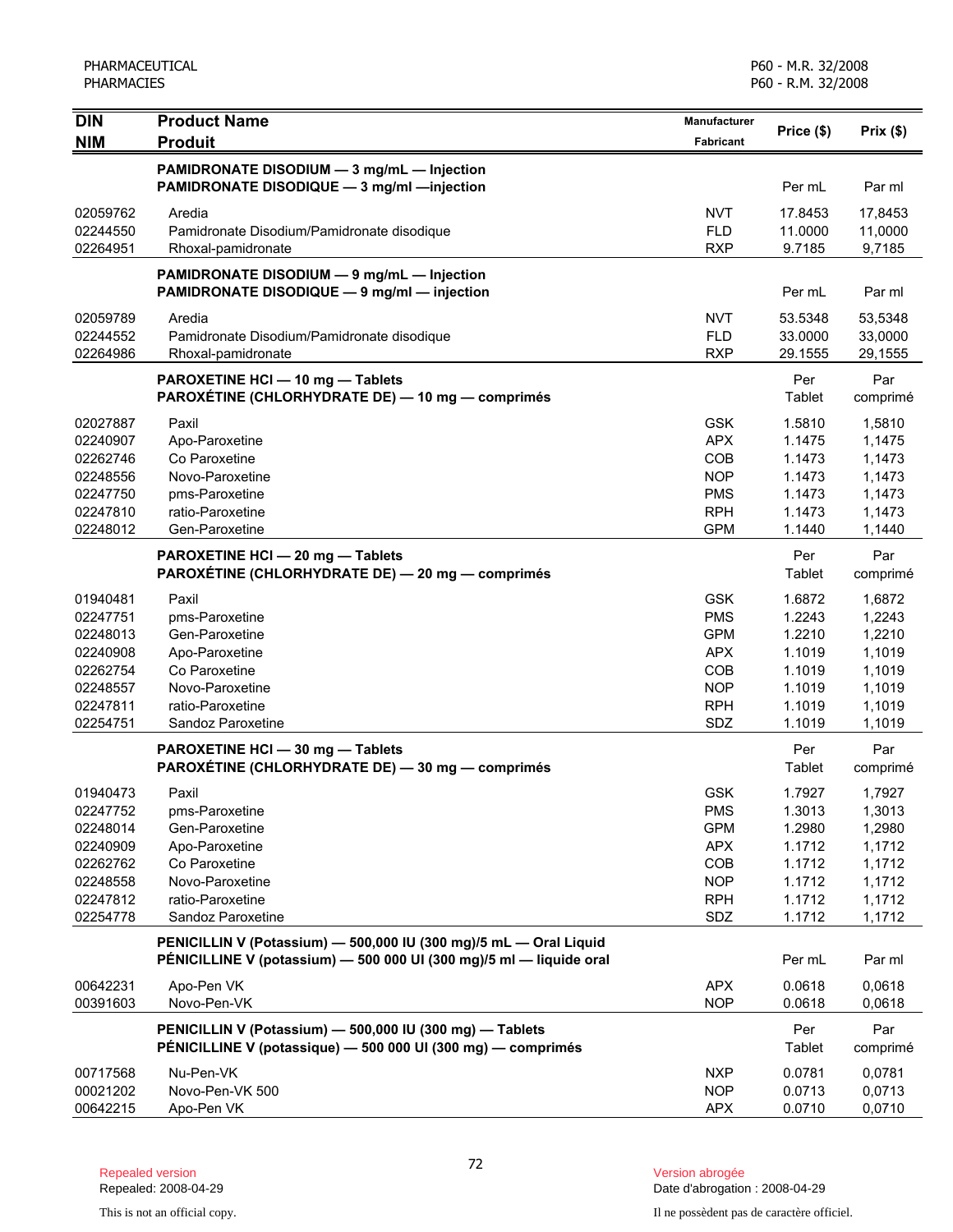| <b>DIN</b><br><b>NIM</b> | <b>Product Name</b><br><b>Produit</b>                                                                                                    | Manufacturer<br>Fabricant | Price (\$)    | Prix(\$)        |
|--------------------------|------------------------------------------------------------------------------------------------------------------------------------------|---------------------------|---------------|-----------------|
|                          |                                                                                                                                          |                           |               |                 |
|                          | PAMIDRONATE DISODIUM - 3 mg/mL - Injection                                                                                               |                           |               |                 |
|                          | PAMIDRONATE DISODIQUE - 3 mg/ml - injection                                                                                              |                           | Per mL        | Par ml          |
| 02059762                 | Aredia                                                                                                                                   | <b>NVT</b>                | 17.8453       | 17,8453         |
| 02244550                 | Pamidronate Disodium/Pamidronate disodique                                                                                               | <b>FLD</b>                | 11.0000       | 11,0000         |
| 02264951                 | Rhoxal-pamidronate                                                                                                                       | <b>RXP</b>                | 9.7185        | 9,7185          |
|                          | PAMIDRONATE DISODIUM - 9 mg/mL - Injection<br>PAMIDRONATE DISODIQUE - 9 mg/ml - injection                                                |                           | Per mL        | Par ml          |
| 02059789                 | Aredia                                                                                                                                   | <b>NVT</b>                | 53.5348       | 53,5348         |
| 02244552                 | Pamidronate Disodium/Pamidronate disodique                                                                                               | <b>FLD</b>                | 33.0000       | 33,0000         |
| 02264986                 | Rhoxal-pamidronate                                                                                                                       | <b>RXP</b>                | 29.1555       | 29,1555         |
|                          | PAROXETINE HCI - 10 mg - Tablets<br>PAROXÉTINE (CHLORHYDRATE DE) - 10 mg - comprimés                                                     |                           | Per<br>Tablet | Par<br>comprimé |
| 02027887                 | Paxil                                                                                                                                    | <b>GSK</b>                | 1.5810        | 1,5810          |
| 02240907                 | Apo-Paroxetine                                                                                                                           | <b>APX</b>                | 1.1475        | 1,1475          |
| 02262746                 | Co Paroxetine                                                                                                                            | COB                       | 1.1473        | 1,1473          |
| 02248556                 | Novo-Paroxetine                                                                                                                          | <b>NOP</b>                | 1.1473        | 1,1473          |
| 02247750                 | pms-Paroxetine                                                                                                                           | <b>PMS</b>                | 1.1473        | 1,1473          |
| 02247810                 | ratio-Paroxetine                                                                                                                         | <b>RPH</b>                | 1.1473        | 1,1473          |
| 02248012                 | Gen-Paroxetine                                                                                                                           | <b>GPM</b>                | 1.1440        | 1,1440          |
|                          | PAROXETINE HCI - 20 mg - Tablets<br>PAROXÉTINE (CHLORHYDRATE DE) - 20 mg - comprimés                                                     |                           | Per<br>Tablet | Par<br>comprimé |
| 01940481                 | Paxil                                                                                                                                    | <b>GSK</b>                | 1.6872        | 1,6872          |
| 02247751                 | pms-Paroxetine                                                                                                                           | <b>PMS</b>                | 1.2243        | 1,2243          |
| 02248013                 | Gen-Paroxetine                                                                                                                           | <b>GPM</b>                | 1.2210        | 1,2210          |
| 02240908                 | Apo-Paroxetine                                                                                                                           | <b>APX</b>                | 1.1019        | 1,1019          |
| 02262754                 | Co Paroxetine                                                                                                                            | COB                       | 1.1019        | 1,1019          |
| 02248557                 | Novo-Paroxetine                                                                                                                          | <b>NOP</b>                | 1.1019        | 1,1019          |
| 02247811                 | ratio-Paroxetine                                                                                                                         | <b>RPH</b>                | 1.1019        | 1,1019          |
| 02254751                 | Sandoz Paroxetine                                                                                                                        | SDZ                       | 1.1019        | 1,1019          |
|                          | PAROXETINE HCI - 30 mg - Tablets<br>PAROXÉTINE (CHLORHYDRATE DE) - 30 mg - comprimés                                                     |                           | Per<br>Tablet | Par<br>comprimé |
| 01940473                 | Paxil                                                                                                                                    | <b>GSK</b>                | 1.7927        | 1,7927          |
| 02247752                 | pms-Paroxetine                                                                                                                           | <b>PMS</b>                | 1.3013        | 1,3013          |
| 02248014                 | Gen-Paroxetine                                                                                                                           | <b>GPM</b>                | 1.2980        | 1,2980          |
| 02240909                 | Apo-Paroxetine                                                                                                                           | <b>APX</b>                | 1.1712        | 1,1712          |
| 02262762                 | Co Paroxetine                                                                                                                            | COB                       | 1.1712        | 1,1712          |
| 02248558                 | Novo-Paroxetine                                                                                                                          | <b>NOP</b>                | 1.1712        | 1,1712          |
| 02247812                 | ratio-Paroxetine                                                                                                                         | <b>RPH</b>                | 1.1712        | 1,1712          |
| 02254778                 | Sandoz Paroxetine                                                                                                                        | SDZ                       | 1.1712        | 1,1712          |
|                          | PENICILLIN V (Potassium) - 500,000 IU (300 mg)/5 mL - Oral Liquid<br>PÉNICILLINE V (potassium) - 500 000 UI (300 mg)/5 ml - liquide oral |                           | Per mL        | Par ml          |
| 00642231                 | Apo-Pen VK                                                                                                                               | <b>APX</b>                | 0.0618        | 0,0618          |
| 00391603                 | Novo-Pen-VK                                                                                                                              | <b>NOP</b>                | 0.0618        | 0,0618          |
|                          | PENICILLIN V (Potassium) - 500,000 IU (300 mg) - Tablets                                                                                 |                           | Per           | Par             |
|                          | PÉNICILLINE V (potassique) — 500 000 UI (300 mg) — comprimés                                                                             |                           | Tablet        | comprimé        |
| 00717568                 | Nu-Pen-VK                                                                                                                                | <b>NXP</b>                | 0.0781        | 0,0781          |
| 00021202                 | Novo-Pen-VK 500                                                                                                                          | <b>NOP</b>                | 0.0713        | 0,0713          |
| 00642215                 | Apo-Pen VK                                                                                                                               | <b>APX</b>                | 0.0710        | 0,0710          |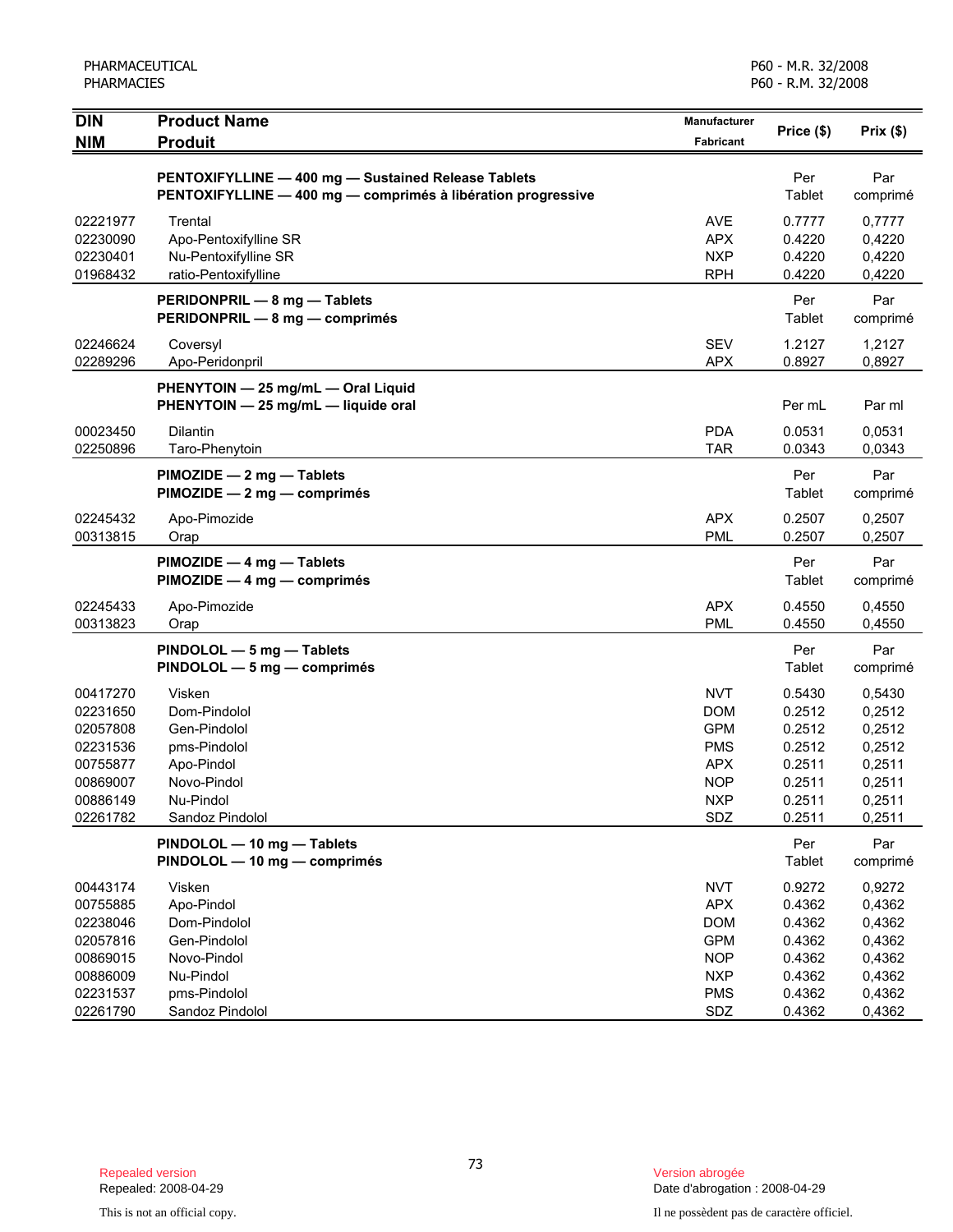| <b>DIN</b>                                                                                   | <b>Product Name</b>                                                                                                 | Manufacturer                                                                                          | Price (\$)                                                                   | Prix(\$)                                                                     |
|----------------------------------------------------------------------------------------------|---------------------------------------------------------------------------------------------------------------------|-------------------------------------------------------------------------------------------------------|------------------------------------------------------------------------------|------------------------------------------------------------------------------|
| <b>NIM</b>                                                                                   | <b>Produit</b>                                                                                                      | <b>Fabricant</b>                                                                                      |                                                                              |                                                                              |
|                                                                                              | PENTOXIFYLLINE - 400 mg - Sustained Release Tablets<br>PENTOXIFYLLINE - 400 mg - comprimés à libération progressive |                                                                                                       | Per<br>Tablet                                                                | Par<br>comprimé                                                              |
| 02221977<br>02230090<br>02230401<br>01968432                                                 | Trental<br>Apo-Pentoxifylline SR<br>Nu-Pentoxifylline SR<br>ratio-Pentoxifylline                                    | <b>AVE</b><br><b>APX</b><br><b>NXP</b><br><b>RPH</b>                                                  | 0.7777<br>0.4220<br>0.4220<br>0.4220                                         | 0,7777<br>0,4220<br>0,4220<br>0,4220                                         |
|                                                                                              | PERIDONPRIL - 8 mg - Tablets<br>PERIDONPRIL - 8 mg - comprimés                                                      |                                                                                                       | Per<br>Tablet                                                                | Par<br>comprimé                                                              |
| 02246624<br>02289296                                                                         | Coversyl<br>Apo-Peridonpril                                                                                         | <b>SEV</b><br><b>APX</b>                                                                              | 1.2127<br>0.8927                                                             | 1,2127<br>0,8927                                                             |
|                                                                                              | PHENYTOIN - 25 mg/mL - Oral Liquid<br>PHENYTOIN - 25 mg/mL - liquide oral                                           |                                                                                                       | Per mL                                                                       | Par ml                                                                       |
| 00023450<br>02250896                                                                         | Dilantin<br>Taro-Phenytoin                                                                                          | <b>PDA</b><br><b>TAR</b>                                                                              | 0.0531<br>0.0343                                                             | 0,0531<br>0,0343                                                             |
|                                                                                              | PIMOZIDE - 2 mg - Tablets<br>$PIMOZIDE - 2 mg - comprimés$                                                          |                                                                                                       | Per<br>Tablet                                                                | Par<br>comprimé                                                              |
| 02245432<br>00313815                                                                         | Apo-Pimozide<br>Orap                                                                                                | APX<br><b>PML</b>                                                                                     | 0.2507<br>0.2507                                                             | 0,2507<br>0,2507                                                             |
|                                                                                              | PIMOZIDE - 4 mg - Tablets<br>PIMOZIDE - 4 mg - comprimés                                                            |                                                                                                       | Per<br>Tablet                                                                | Par<br>comprimé                                                              |
| 02245433<br>00313823                                                                         | Apo-Pimozide<br>Orap                                                                                                | <b>APX</b><br><b>PML</b>                                                                              | 0.4550<br>0.4550                                                             | 0,4550<br>0,4550                                                             |
|                                                                                              | PINDOLOL - 5 mg - Tablets<br>PINDOLOL - 5 mg - comprimés                                                            |                                                                                                       | Per<br>Tablet                                                                | Par<br>comprimé                                                              |
| 00417270<br>02231650<br>02057808<br>02231536<br>00755877<br>00869007<br>00886149<br>02261782 | Visken<br>Dom-Pindolol<br>Gen-Pindolol<br>pms-Pindolol<br>Apo-Pindol<br>Novo-Pindol<br>Nu-Pindol<br>Sandoz Pindolol | <b>NVT</b><br><b>DOM</b><br><b>GPM</b><br><b>PMS</b><br><b>APX</b><br><b>NOP</b><br><b>NXP</b><br>SDZ | 0.5430<br>0.2512<br>0.2512<br>0.2512<br>0.2511<br>0.2511<br>0.2511<br>0.2511 | 0,5430<br>0,2512<br>0,2512<br>0,2512<br>0,2511<br>0,2511<br>0,2511<br>0,2511 |
|                                                                                              | PINDOLOL - 10 mg - Tablets<br>PINDOLOL - 10 mg - comprimés                                                          |                                                                                                       | Per<br>Tablet                                                                | Par<br>comprimé                                                              |
| 00443174<br>00755885<br>02238046<br>02057816<br>00869015<br>00886009<br>02231537             | Visken<br>Apo-Pindol<br>Dom-Pindolol<br>Gen-Pindolol<br>Novo-Pindol<br>Nu-Pindol<br>pms-Pindolol                    | <b>NVT</b><br><b>APX</b><br><b>DOM</b><br><b>GPM</b><br><b>NOP</b><br><b>NXP</b><br><b>PMS</b>        | 0.9272<br>0.4362<br>0.4362<br>0.4362<br>0.4362<br>0.4362<br>0.4362           | 0,9272<br>0,4362<br>0,4362<br>0,4362<br>0,4362<br>0,4362<br>0,4362           |
| 02261790                                                                                     | Sandoz Pindolol                                                                                                     | SDZ                                                                                                   | 0.4362                                                                       | 0,4362                                                                       |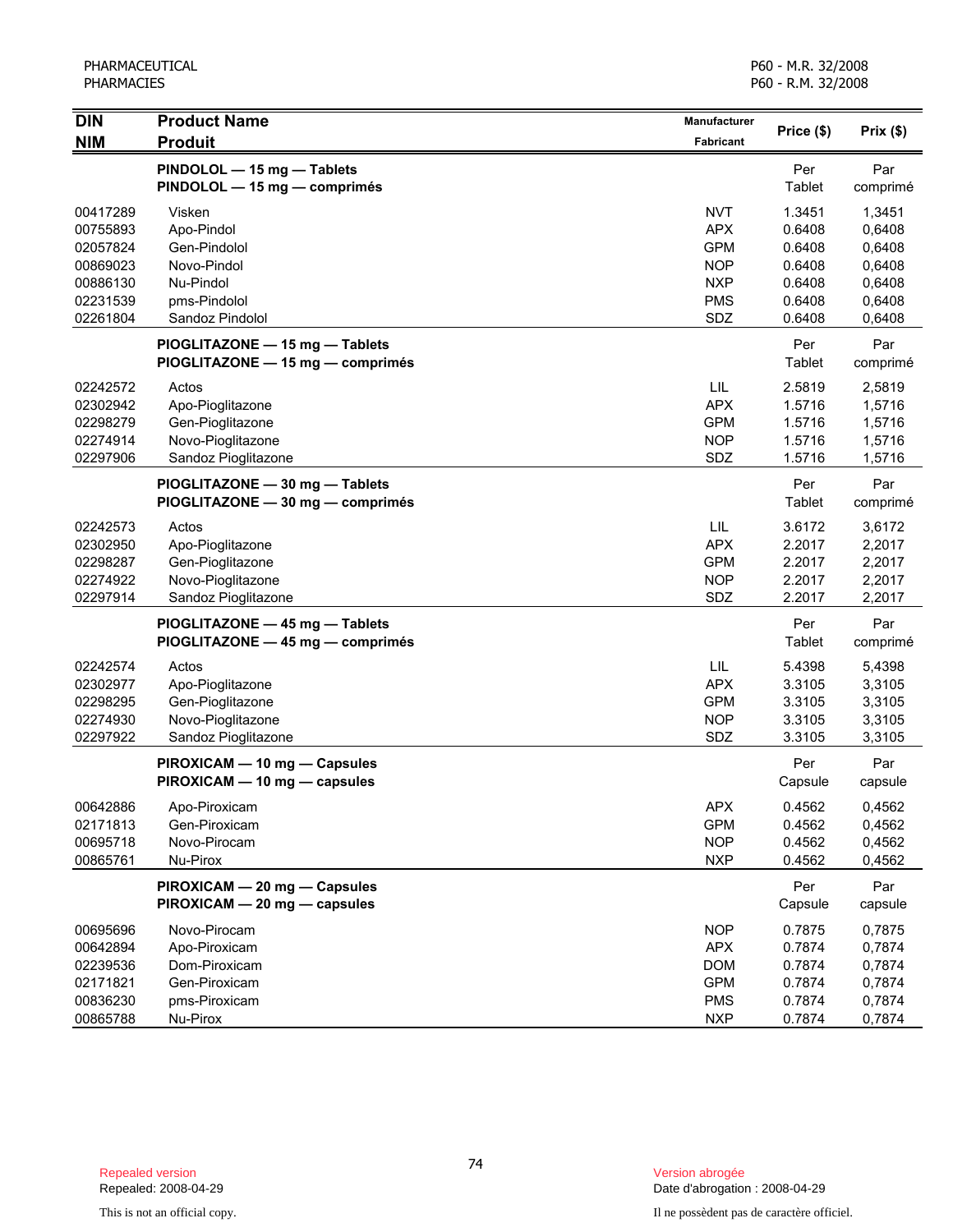| <b>DIN</b>                                                                       | <b>Product Name</b>                                                                                 | <b>Manufacturer</b>                                                                     |                                                                    |                                                                    |
|----------------------------------------------------------------------------------|-----------------------------------------------------------------------------------------------------|-----------------------------------------------------------------------------------------|--------------------------------------------------------------------|--------------------------------------------------------------------|
| <b>NIM</b>                                                                       | <b>Produit</b>                                                                                      | <b>Fabricant</b>                                                                        | Price (\$)                                                         | Prix(\$)                                                           |
|                                                                                  | PINDOLOL - 15 mg - Tablets<br>PINDOLOL - 15 mg - comprimés                                          |                                                                                         | Per<br>Tablet                                                      | Par<br>comprimé                                                    |
| 00417289<br>00755893<br>02057824<br>00869023<br>00886130<br>02231539<br>02261804 | Visken<br>Apo-Pindol<br>Gen-Pindolol<br>Novo-Pindol<br>Nu-Pindol<br>pms-Pindolol<br>Sandoz Pindolol | <b>NVT</b><br><b>APX</b><br><b>GPM</b><br><b>NOP</b><br><b>NXP</b><br><b>PMS</b><br>SDZ | 1.3451<br>0.6408<br>0.6408<br>0.6408<br>0.6408<br>0.6408<br>0.6408 | 1,3451<br>0,6408<br>0,6408<br>0,6408<br>0,6408<br>0,6408<br>0,6408 |
|                                                                                  | PIOGLITAZONE - 15 mg - Tablets<br>PIOGLITAZONE - 15 mg - comprimés                                  |                                                                                         | Per<br>Tablet                                                      | Par<br>comprimé                                                    |
| 02242572<br>02302942<br>02298279<br>02274914<br>02297906                         | Actos<br>Apo-Pioglitazone<br>Gen-Pioglitazone<br>Novo-Pioglitazone<br>Sandoz Pioglitazone           | LIL<br><b>APX</b><br><b>GPM</b><br><b>NOP</b><br>SDZ                                    | 2.5819<br>1.5716<br>1.5716<br>1.5716<br>1.5716                     | 2,5819<br>1,5716<br>1,5716<br>1,5716<br>1,5716                     |
|                                                                                  | PIOGLITAZONE - 30 mg - Tablets<br>PIOGLITAZONE - 30 mg - comprimés                                  |                                                                                         | Per<br>Tablet                                                      | Par<br>comprimé                                                    |
| 02242573<br>02302950<br>02298287<br>02274922<br>02297914                         | Actos<br>Apo-Pioglitazone<br>Gen-Pioglitazone<br>Novo-Pioglitazone<br>Sandoz Pioglitazone           | LIL<br><b>APX</b><br><b>GPM</b><br><b>NOP</b><br>SDZ                                    | 3.6172<br>2.2017<br>2.2017<br>2.2017<br>2.2017                     | 3,6172<br>2,2017<br>2,2017<br>2,2017<br>2,2017                     |
|                                                                                  | PIOGLITAZONE - 45 mg - Tablets<br>PIOGLITAZONE - 45 mg - comprimés                                  |                                                                                         | Per<br>Tablet                                                      | Par<br>comprimé                                                    |
| 02242574<br>02302977<br>02298295<br>02274930<br>02297922                         | Actos<br>Apo-Pioglitazone<br>Gen-Pioglitazone<br>Novo-Pioglitazone<br>Sandoz Pioglitazone           | LIL<br><b>APX</b><br><b>GPM</b><br><b>NOP</b><br>SDZ                                    | 5.4398<br>3.3105<br>3.3105<br>3.3105<br>3.3105                     | 5,4398<br>3,3105<br>3,3105<br>3,3105<br>3,3105                     |
|                                                                                  | PIROXICAM - 10 mg - Capsules<br>PIROXICAM - 10 mg - capsules                                        |                                                                                         | Per<br>Capsule                                                     | Par<br>capsule                                                     |
| 00642886<br>02171813<br>00695718<br>00865761                                     | Apo-Piroxicam<br>Gen-Piroxicam<br>Novo-Pirocam<br>Nu-Pirox                                          | <b>APX</b><br><b>GPM</b><br><b>NOP</b><br><b>NXP</b>                                    | 0.4562<br>0.4562<br>0.4562<br>0.4562                               | 0,4562<br>0,4562<br>0,4562<br>0,4562                               |
|                                                                                  | PIROXICAM - 20 mg - Capsules<br>PIROXICAM - 20 mg - capsules                                        |                                                                                         | Per<br>Capsule                                                     | Par<br>capsule                                                     |
| 00695696<br>00642894<br>02239536<br>02171821<br>00836230<br>00865788             | Novo-Pirocam<br>Apo-Piroxicam<br>Dom-Piroxicam<br>Gen-Piroxicam<br>pms-Piroxicam<br>Nu-Pirox        | <b>NOP</b><br><b>APX</b><br><b>DOM</b><br><b>GPM</b><br><b>PMS</b><br><b>NXP</b>        | 0.7875<br>0.7874<br>0.7874<br>0.7874<br>0.7874<br>0.7874           | 0,7875<br>0,7874<br>0,7874<br>0,7874<br>0,7874<br>0,7874           |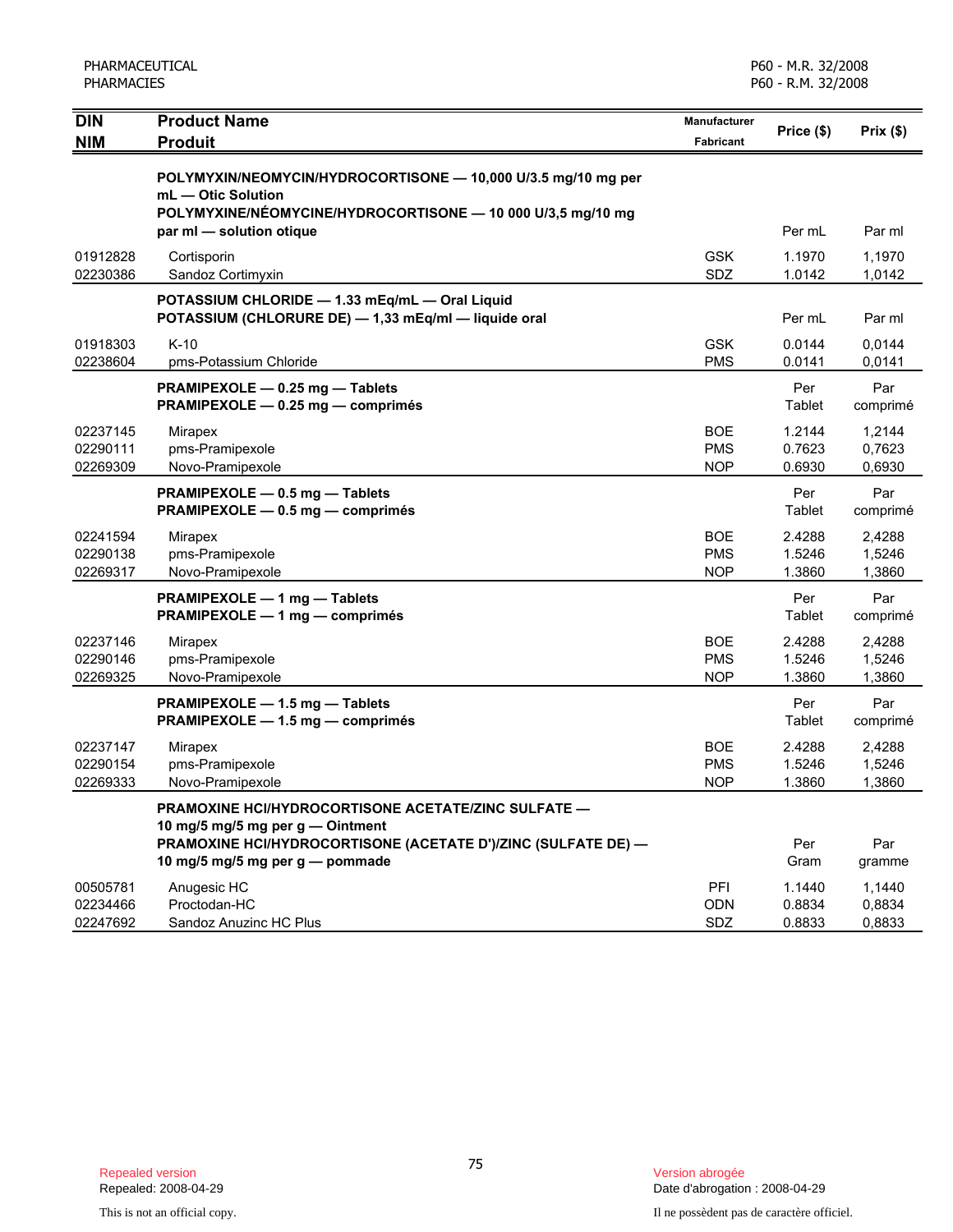| PHARMACEUTICAL<br><b>PHARMACIES</b> |                                                                                                                                                                                             |                                        | P60 - M.R. 32/2008<br>P60 - R.M. 32/2008 |                            |
|-------------------------------------|---------------------------------------------------------------------------------------------------------------------------------------------------------------------------------------------|----------------------------------------|------------------------------------------|----------------------------|
| <b>DIN</b><br><b>NIM</b>            | <b>Product Name</b><br><b>Produit</b>                                                                                                                                                       | Manufacturer<br><b>Fabricant</b>       | Price (\$)                               | Prix(\$)                   |
|                                     | POLYMYXIN/NEOMYCIN/HYDROCORTISONE - 10,000 U/3.5 mg/10 mg per<br>mL - Otic Solution<br>POLYMYXINE/NÉOMYCINE/HYDROCORTISONE - 10 000 U/3,5 mg/10 mg<br>par ml - solution otique              |                                        | Per mL                                   | Par ml                     |
| 01912828<br>02230386                | Cortisporin<br>Sandoz Cortimyxin                                                                                                                                                            | <b>GSK</b><br>SDZ                      | 1.1970<br>1.0142                         | 1,1970<br>1,0142           |
|                                     | POTASSIUM CHLORIDE - 1.33 mEq/mL - Oral Liquid<br>POTASSIUM (CHLORURE DE) - 1,33 mEq/ml - liquide oral                                                                                      |                                        | Per mL                                   | Par ml                     |
| 01918303<br>02238604                | $K-10$<br>pms-Potassium Chloride                                                                                                                                                            | <b>GSK</b><br><b>PMS</b>               | 0.0144<br>0.0141                         | 0,0144<br>0,0141           |
|                                     | PRAMIPEXOLE - 0.25 mg - Tablets<br>PRAMIPEXOLE - 0.25 mg - comprimés                                                                                                                        |                                        | Per<br>Tablet                            | Par<br>comprimé            |
| 02237145<br>02290111<br>02269309    | Mirapex<br>pms-Pramipexole<br>Novo-Pramipexole                                                                                                                                              | <b>BOE</b><br><b>PMS</b><br><b>NOP</b> | 1.2144<br>0.7623<br>0.6930               | 1,2144<br>0,7623<br>0,6930 |
|                                     | PRAMIPEXOLE - 0.5 mg - Tablets<br>PRAMIPEXOLE - 0.5 mg - comprimés                                                                                                                          |                                        | Per<br>Tablet                            | Par<br>comprimé            |
| 02241594<br>02290138<br>02269317    | Mirapex<br>pms-Pramipexole<br>Novo-Pramipexole                                                                                                                                              | <b>BOE</b><br><b>PMS</b><br><b>NOP</b> | 2.4288<br>1.5246<br>1.3860               | 2,4288<br>1,5246<br>1,3860 |
|                                     | PRAMIPEXOLE - 1 mg - Tablets<br>PRAMIPEXOLE - 1 mg - comprimés                                                                                                                              |                                        | Per<br>Tablet                            | Par<br>comprimé            |
| 02237146<br>02290146<br>02269325    | Mirapex<br>pms-Pramipexole<br>Novo-Pramipexole                                                                                                                                              | <b>BOE</b><br><b>PMS</b><br><b>NOP</b> | 2.4288<br>1.5246<br>1.3860               | 2,4288<br>1,5246<br>1,3860 |
|                                     | PRAMIPEXOLE - 1.5 mg - Tablets<br>PRAMIPEXOLE - 1.5 mg - comprimés                                                                                                                          |                                        | Per<br>Tablet                            | Par<br>comprimé            |
| 02237147<br>02290154<br>02269333    | Mirapex<br>pms-Pramipexole<br>Novo-Pramipexole                                                                                                                                              | <b>BOE</b><br><b>PMS</b><br><b>NOP</b> | 2.4288<br>1.5246<br>1.3860               | 2.4288<br>1,5246<br>1,3860 |
|                                     | PRAMOXINE HCI/HYDROCORTISONE ACETATE/ZINC SULFATE -<br>10 mg/5 mg/5 mg per g - Ointment<br>PRAMOXINE HCI/HYDROCORTISONE (ACETATE D')/ZINC (SULFATE DE) -<br>10 mg/5 mg/5 mg per g - pommade |                                        | Per<br>Gram                              | Par<br>gramme              |
| 00505781<br>02234466<br>02247692    | Anugesic HC<br>Proctodan-HC<br>Sandoz Anuzinc HC Plus                                                                                                                                       | PFI<br><b>ODN</b><br>SDZ               | 1.1440<br>0.8834<br>0.8833               | 1,1440<br>0,8834<br>0,8833 |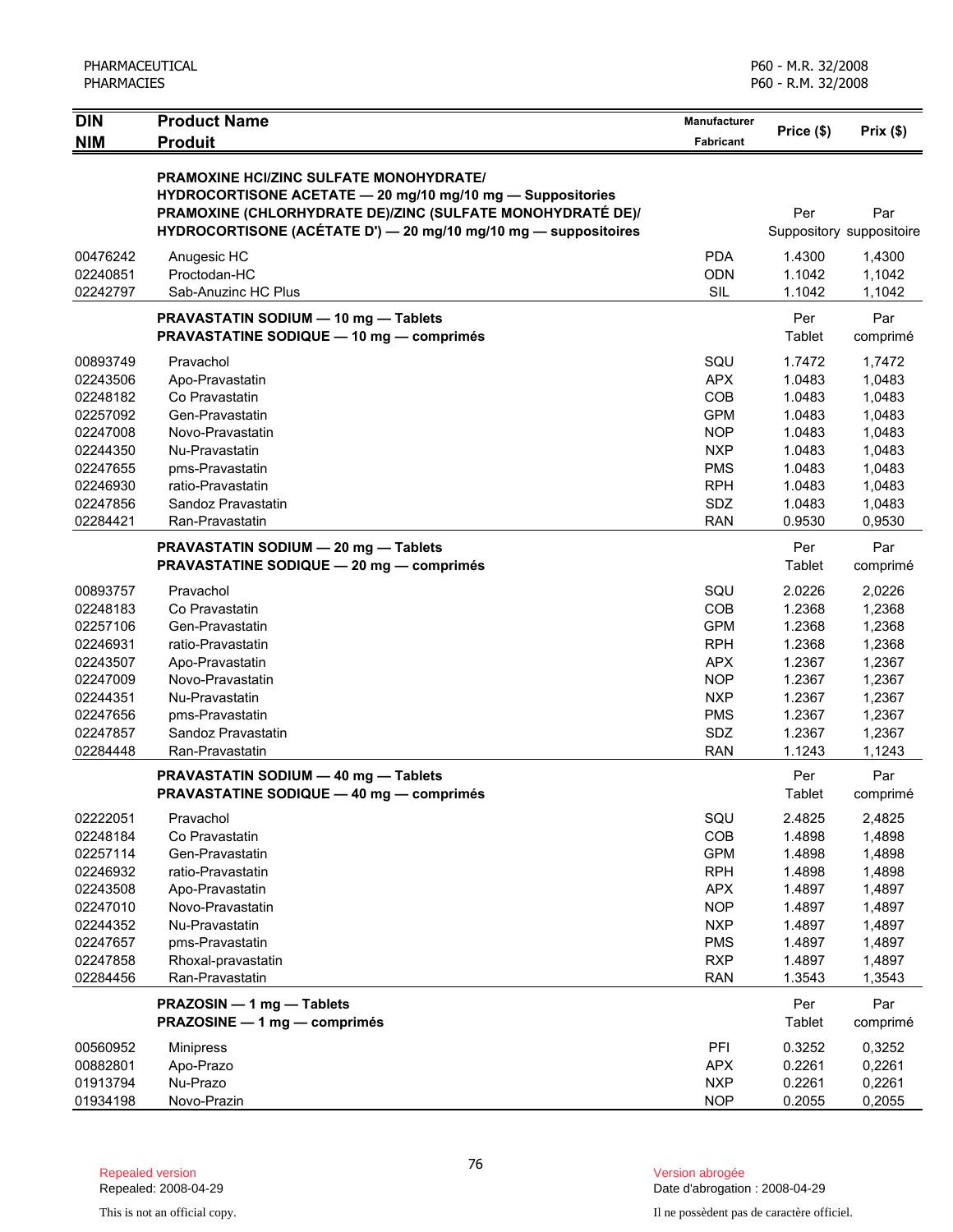| PHARMACEUTICAL<br><b>PHARMACIES</b>                                                                                  |                                                                                                                                                                                                                                               | P60 - M.R. 32/2008<br>P60 - R.M. 32/2008                                                                                   |                                                                                                  |                                                                                                  |
|----------------------------------------------------------------------------------------------------------------------|-----------------------------------------------------------------------------------------------------------------------------------------------------------------------------------------------------------------------------------------------|----------------------------------------------------------------------------------------------------------------------------|--------------------------------------------------------------------------------------------------|--------------------------------------------------------------------------------------------------|
| <b>DIN</b><br><b>NIM</b>                                                                                             | <b>Product Name</b><br><b>Produit</b>                                                                                                                                                                                                         | <b>Manufacturer</b><br><b>Fabricant</b>                                                                                    | Price (\$)                                                                                       | Prix(\$)                                                                                         |
|                                                                                                                      | <b>PRAMOXINE HCI/ZINC SULFATE MONOHYDRATE/</b><br>HYDROCORTISONE ACETATE - 20 mg/10 mg/10 mg - Suppositories<br>PRAMOXINE (CHLORHYDRATE DE)/ZINC (SULFATE MONOHYDRATÉ DE)/<br>HYDROCORTISONE (ACÉTATE D') - 20 mg/10 mg/10 mg - suppositoires |                                                                                                                            | Per                                                                                              | Par<br>Suppository suppositoire                                                                  |
| 00476242<br>02240851<br>02242797                                                                                     | Anugesic HC<br>Proctodan-HC<br>Sab-Anuzinc HC Plus                                                                                                                                                                                            | <b>PDA</b><br><b>ODN</b><br>SIL                                                                                            | 1.4300<br>1.1042<br>1.1042                                                                       | 1,4300<br>1,1042<br>1,1042                                                                       |
|                                                                                                                      | PRAVASTATIN SODIUM - 10 mg - Tablets<br><b>PRAVASTATINE SODIQUE - 10 mg - comprimés</b>                                                                                                                                                       |                                                                                                                            | Per<br>Tablet                                                                                    | Par<br>comprimé                                                                                  |
| 00893749<br>02243506<br>02248182<br>02257092<br>02247008<br>02244350<br>02247655<br>02246930<br>02247856<br>02284421 | Pravachol<br>Apo-Pravastatin<br>Co Pravastatin<br>Gen-Pravastatin<br>Novo-Pravastatin<br>Nu-Pravastatin<br>pms-Pravastatin<br>ratio-Pravastatin<br>Sandoz Pravastatin<br>Ran-Pravastatin                                                      | SQU<br><b>APX</b><br>COB<br><b>GPM</b><br><b>NOP</b><br><b>NXP</b><br><b>PMS</b><br><b>RPH</b><br>SDZ<br><b>RAN</b>        | 1.7472<br>1.0483<br>1.0483<br>1.0483<br>1.0483<br>1.0483<br>1.0483<br>1.0483<br>1.0483<br>0.9530 | 1,7472<br>1,0483<br>1,0483<br>1,0483<br>1,0483<br>1,0483<br>1,0483<br>1,0483<br>1,0483<br>0,9530 |
|                                                                                                                      | PRAVASTATIN SODIUM - 20 mg - Tablets<br><b>PRAVASTATINE SODIQUE - 20 mg - comprimés</b>                                                                                                                                                       |                                                                                                                            | Per<br>Tablet                                                                                    | Par<br>comprimé                                                                                  |
| 00893757<br>02248183<br>02257106<br>02246931<br>02243507<br>02247009<br>02244351<br>02247656<br>02247857<br>02284448 | Pravachol<br>Co Pravastatin<br>Gen-Pravastatin<br>ratio-Pravastatin<br>Apo-Pravastatin<br>Novo-Pravastatin<br>Nu-Pravastatin<br>pms-Pravastatin<br>Sandoz Pravastatin<br>Ran-Pravastatin                                                      | SQU<br>COB<br><b>GPM</b><br><b>RPH</b><br><b>APX</b><br><b>NOP</b><br><b>NXP</b><br><b>PMS</b><br>SDZ<br><b>RAN</b>        | 2.0226<br>1.2368<br>1.2368<br>1.2368<br>1.2367<br>1.2367<br>1.2367<br>1.2367<br>1.2367<br>1.1243 | 2,0226<br>1,2368<br>1,2368<br>1,2368<br>1,2367<br>1,2367<br>1,2367<br>1,2367<br>1,2367<br>1,1243 |
|                                                                                                                      | PRAVASTATIN SODIUM - 40 mg - Tablets<br><b>PRAVASTATINE SODIQUE - 40 mg - comprimés</b>                                                                                                                                                       |                                                                                                                            | Per<br>Tablet                                                                                    | Par<br>comprimé                                                                                  |
| 02222051<br>02248184<br>02257114<br>02246932<br>02243508<br>02247010<br>02244352<br>02247657<br>02247858<br>02284456 | Pravachol<br>Co Pravastatin<br>Gen-Pravastatin<br>ratio-Pravastatin<br>Apo-Pravastatin<br>Novo-Pravastatin<br>Nu-Pravastatin<br>pms-Pravastatin<br>Rhoxal-pravastatin<br>Ran-Pravastatin                                                      | SQU<br>COB<br><b>GPM</b><br><b>RPH</b><br><b>APX</b><br><b>NOP</b><br><b>NXP</b><br><b>PMS</b><br><b>RXP</b><br><b>RAN</b> | 2.4825<br>1.4898<br>1.4898<br>1.4898<br>1.4897<br>1.4897<br>1.4897<br>1.4897<br>1.4897<br>1.3543 | 2,4825<br>1,4898<br>1,4898<br>1,4898<br>1,4897<br>1,4897<br>1,4897<br>1,4897<br>1,4897<br>1,3543 |
|                                                                                                                      | PRAZOSIN - 1 mg - Tablets<br>PRAZOSINE - 1 mg - comprimés                                                                                                                                                                                     |                                                                                                                            | Per<br>Tablet                                                                                    | Par<br>comprimé                                                                                  |
| 00560952<br>00882801<br>01913794<br>01934198                                                                         | <b>Minipress</b><br>Apo-Prazo<br>Nu-Prazo<br>Novo-Prazin                                                                                                                                                                                      | PFI<br><b>APX</b><br><b>NXP</b><br><b>NOP</b>                                                                              | 0.3252<br>0.2261<br>0.2261<br>0.2055                                                             | 0,3252<br>0,2261<br>0,2261<br>0,2055                                                             |

Version abrogée<br>Date d'abrogation : 2008-04-29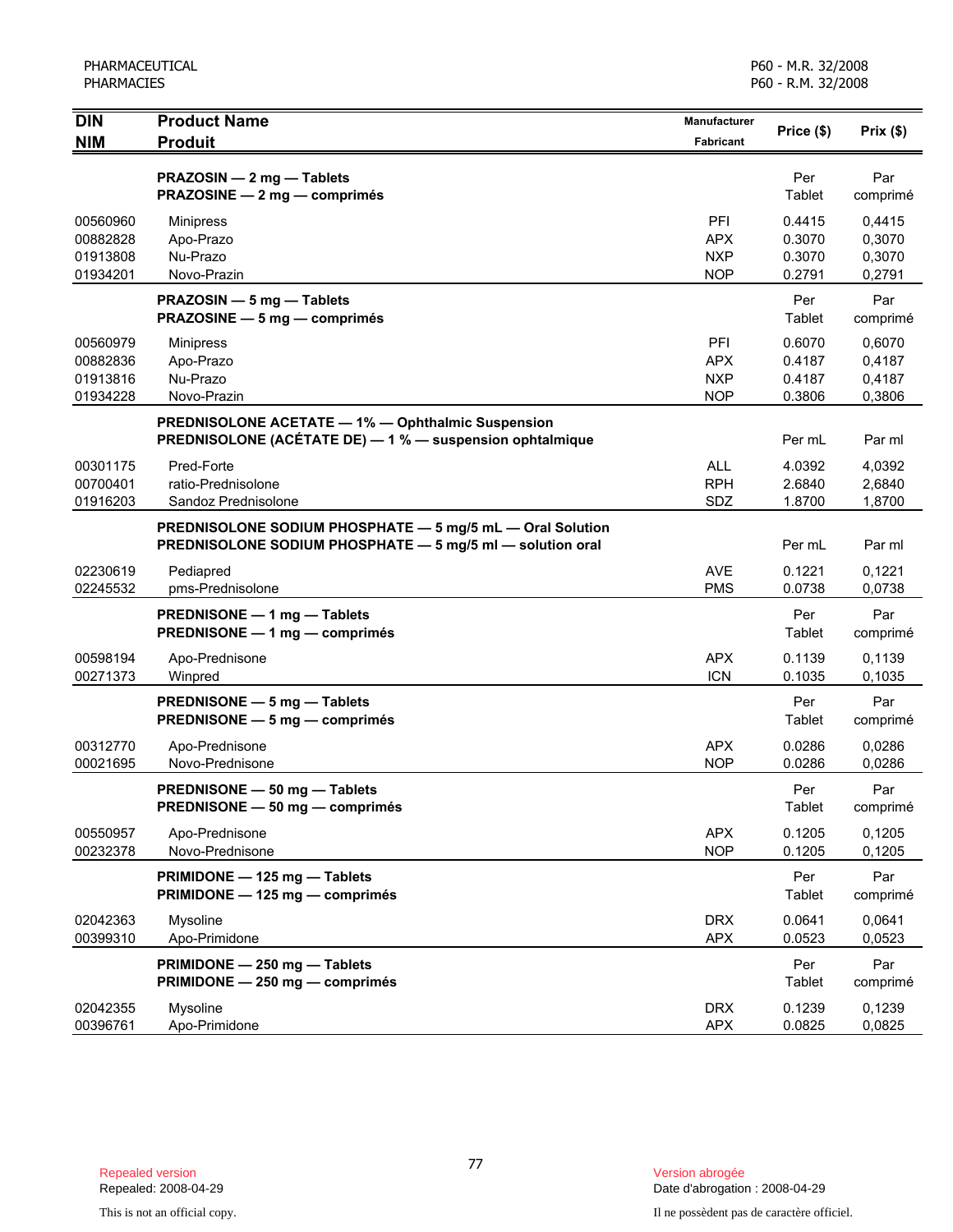| <b>DIN</b>                                   | <b>Product Name</b>                                                                                                    | Manufacturer                                  | Price (\$)                           | Prix(\$)                             |
|----------------------------------------------|------------------------------------------------------------------------------------------------------------------------|-----------------------------------------------|--------------------------------------|--------------------------------------|
| <b>NIM</b>                                   | <b>Produit</b>                                                                                                         | <b>Fabricant</b>                              |                                      |                                      |
|                                              | PRAZOSIN - 2 mg - Tablets<br>PRAZOSINE - 2 mg - comprimés                                                              |                                               | Per<br>Tablet                        | Par<br>comprimé                      |
| 00560960<br>00882828<br>01913808<br>01934201 | <b>Minipress</b><br>Apo-Prazo<br>Nu-Prazo<br>Novo-Prazin                                                               | PFI<br><b>APX</b><br><b>NXP</b><br><b>NOP</b> | 0.4415<br>0.3070<br>0.3070<br>0.2791 | 0,4415<br>0,3070<br>0,3070<br>0,2791 |
|                                              | PRAZOSIN - 5 mg - Tablets<br>PRAZOSINE - 5 mg - comprimés                                                              |                                               | Per<br>Tablet                        | Par<br>comprimé                      |
| 00560979<br>00882836<br>01913816<br>01934228 | <b>Minipress</b><br>Apo-Prazo<br>Nu-Prazo<br>Novo-Prazin                                                               | PFI<br><b>APX</b><br><b>NXP</b><br><b>NOP</b> | 0.6070<br>0.4187<br>0.4187<br>0.3806 | 0,6070<br>0,4187<br>0,4187<br>0,3806 |
|                                              | PREDNISOLONE ACETATE - 1% - Ophthalmic Suspension<br>PREDNISOLONE (ACÉTATE DE) - 1 % - suspension ophtalmique          |                                               | Per mL                               | Par ml                               |
| 00301175<br>00700401<br>01916203             | Pred-Forte<br>ratio-Prednisolone<br>Sandoz Prednisolone                                                                | <b>ALL</b><br><b>RPH</b><br>SDZ               | 4.0392<br>2.6840<br>1.8700           | 4,0392<br>2,6840<br>1,8700           |
|                                              | PREDNISOLONE SODIUM PHOSPHATE - 5 mg/5 mL - Oral Solution<br>PREDNISOLONE SODIUM PHOSPHATE - 5 mg/5 ml - solution oral |                                               | Per mL                               | Par ml                               |
| 02230619<br>02245532                         | Pediapred<br>pms-Prednisolone                                                                                          | AVE<br><b>PMS</b>                             | 0.1221<br>0.0738                     | 0.1221<br>0,0738                     |
|                                              | PREDNISONE - 1 mg - Tablets<br>PREDNISONE - 1 mg - comprimés                                                           |                                               | Per<br>Tablet                        | Par<br>comprimé                      |
| 00598194<br>00271373                         | Apo-Prednisone<br>Winpred                                                                                              | <b>APX</b><br><b>ICN</b>                      | 0.1139<br>0.1035                     | 0,1139<br>0,1035                     |
|                                              | PREDNISONE - 5 mg - Tablets<br>PREDNISONE - 5 mg - comprimés                                                           |                                               | Per<br>Tablet                        | Par<br>comprimé                      |
| 00312770<br>00021695                         | Apo-Prednisone<br>Novo-Prednisone                                                                                      | <b>APX</b><br><b>NOP</b>                      | 0.0286<br>0.0286                     | 0,0286<br>0,0286                     |
|                                              | PREDNISONE - 50 mg - Tablets<br>PREDNISONE - 50 mg - comprimés                                                         |                                               | Per<br>Tablet                        | Par<br>comprimé                      |
| 00550957<br>00232378                         | Apo-Prednisone<br>Novo-Prednisone                                                                                      | <b>APX</b><br><b>NOP</b>                      | 0.1205<br>0.1205                     | 0.1205<br>0,1205                     |
|                                              | PRIMIDONE - 125 mg - Tablets<br>PRIMIDONE - 125 mg - comprimés                                                         |                                               | Per<br>Tablet                        | Par<br>comprimé                      |
| 02042363<br>00399310                         | Mysoline<br>Apo-Primidone                                                                                              | <b>DRX</b><br><b>APX</b>                      | 0.0641<br>0.0523                     | 0,0641<br>0,0523                     |
|                                              | PRIMIDONE - 250 mg - Tablets<br>PRIMIDONE - 250 mg - comprimés                                                         |                                               | Per<br>Tablet                        | Par<br>comprimé                      |
| 02042355<br>00396761                         | Mysoline<br>Apo-Primidone                                                                                              | <b>DRX</b><br><b>APX</b>                      | 0.1239<br>0.0825                     | 0,1239<br>0,0825                     |

Date d'abrogation : 2008-04-29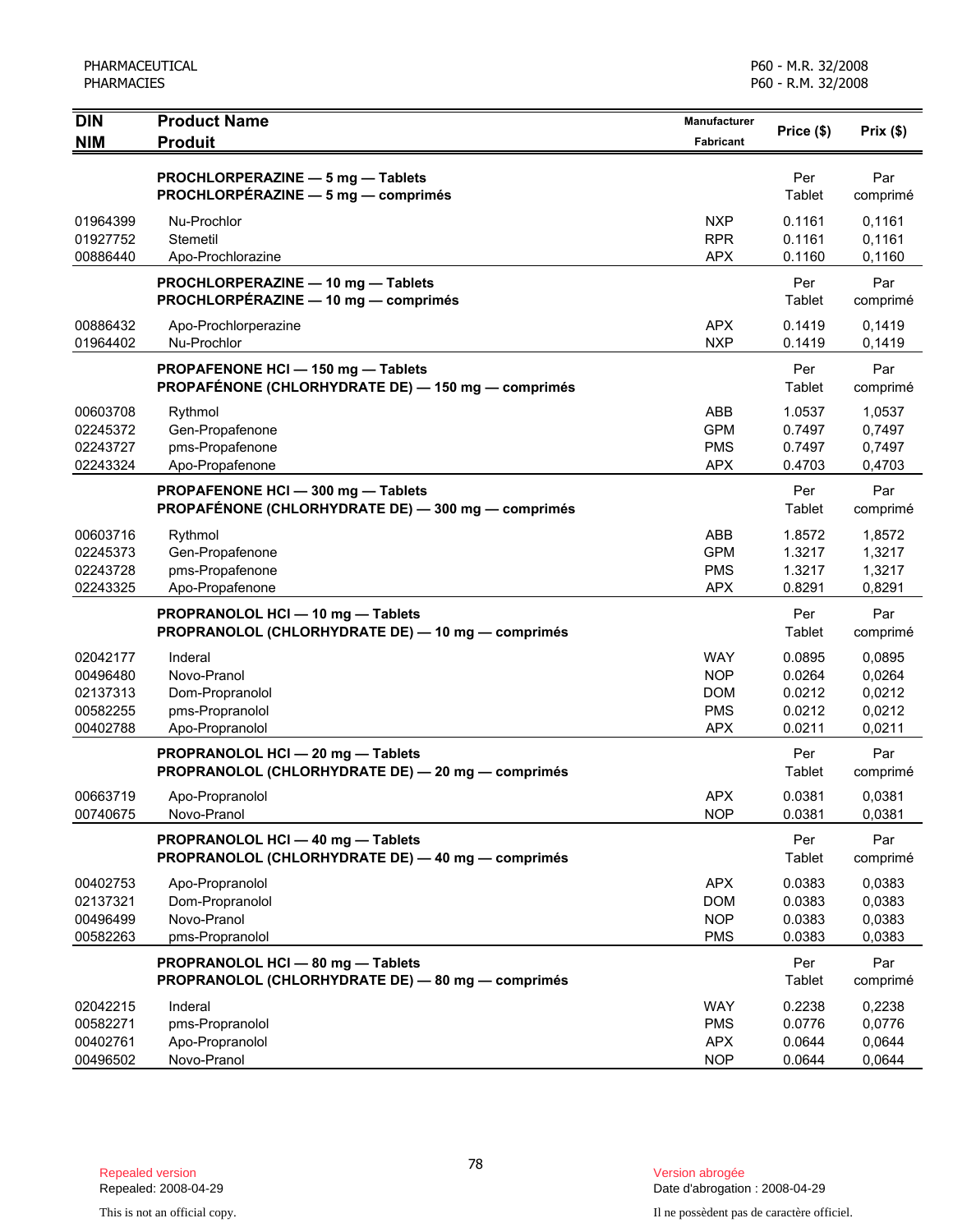| <b>DIN</b>                                               | <b>Product Name</b>                                                                      | <b>Manufacturer</b>                                                | Price (\$)                                     | Prix(\$)                                       |
|----------------------------------------------------------|------------------------------------------------------------------------------------------|--------------------------------------------------------------------|------------------------------------------------|------------------------------------------------|
| <b>NIM</b>                                               | <b>Produit</b>                                                                           | <b>Fabricant</b>                                                   |                                                |                                                |
|                                                          | PROCHLORPERAZINE - 5 mg - Tablets<br>PROCHLORPÉRAZINE - 5 mg - comprimés                 |                                                                    | Per<br>Tablet                                  | Par<br>comprimé                                |
| 01964399<br>01927752<br>00886440                         | Nu-Prochlor<br>Stemetil<br>Apo-Prochlorazine                                             | <b>NXP</b><br><b>RPR</b><br><b>APX</b>                             | 0.1161<br>0.1161<br>0.1160                     | 0,1161<br>0,1161<br>0,1160                     |
|                                                          | PROCHLORPERAZINE - 10 mg - Tablets<br>PROCHLORPÉRAZINE - 10 mg - comprimés               |                                                                    | Per<br>Tablet                                  | Par<br>comprimé                                |
| 00886432<br>01964402                                     | Apo-Prochlorperazine<br>Nu-Prochlor                                                      | <b>APX</b><br><b>NXP</b>                                           | 0.1419<br>0.1419                               | 0,1419<br>0,1419                               |
|                                                          | PROPAFENONE HCI - 150 mg - Tablets<br>PROPAFÉNONE (CHLORHYDRATE DE) - 150 mg - comprimés |                                                                    | Per<br>Tablet                                  | Par<br>comprimé                                |
| 00603708<br>02245372<br>02243727<br>02243324             | Rythmol<br>Gen-Propafenone<br>pms-Propafenone<br>Apo-Propafenone                         | ABB<br><b>GPM</b><br><b>PMS</b><br><b>APX</b>                      | 1.0537<br>0.7497<br>0.7497<br>0.4703           | 1,0537<br>0,7497<br>0,7497<br>0,4703           |
|                                                          | PROPAFENONE HCI - 300 mg - Tablets<br>PROPAFÉNONE (CHLORHYDRATE DE) - 300 mg - comprimés |                                                                    | Per<br>Tablet                                  | Par<br>comprimé                                |
| 00603716<br>02245373<br>02243728<br>02243325             | Rythmol<br>Gen-Propafenone<br>pms-Propafenone<br>Apo-Propafenone                         | ABB<br><b>GPM</b><br><b>PMS</b><br><b>APX</b>                      | 1.8572<br>1.3217<br>1.3217<br>0.8291           | 1,8572<br>1,3217<br>1,3217<br>0,8291           |
|                                                          | PROPRANOLOL HCI - 10 mg - Tablets<br>PROPRANOLOL (CHLORHYDRATE DE) - 10 mg - comprimés   |                                                                    | Per<br>Tablet                                  | Par<br>comprimé                                |
| 02042177<br>00496480<br>02137313<br>00582255<br>00402788 | Inderal<br>Novo-Pranol<br>Dom-Propranolol<br>pms-Propranolol<br>Apo-Propranolol          | <b>WAY</b><br><b>NOP</b><br><b>DOM</b><br><b>PMS</b><br><b>APX</b> | 0.0895<br>0.0264<br>0.0212<br>0.0212<br>0.0211 | 0,0895<br>0,0264<br>0,0212<br>0,0212<br>0,0211 |
|                                                          | PROPRANOLOL HCI - 20 mg - Tablets<br>PROPRANOLOL (CHLORHYDRATE DE) - 20 mg - comprimés   |                                                                    | Per<br>Tablet                                  | Par<br>comprimé                                |
| 00663719<br>00740675                                     | Apo-Propranolol<br>Novo-Pranol                                                           | <b>APX</b><br><b>NOP</b>                                           | 0.0381<br>0.0381                               | 0,0381<br>0,0381                               |
|                                                          | PROPRANOLOL HCI - 40 mg - Tablets<br>PROPRANOLOL (CHLORHYDRATE DE) - 40 mg - comprimés   |                                                                    | Per<br>Tablet                                  | Par<br>comprimé                                |
| 00402753<br>02137321<br>00496499<br>00582263             | Apo-Propranolol<br>Dom-Propranolol<br>Novo-Pranol<br>pms-Propranolol                     | <b>APX</b><br><b>DOM</b><br><b>NOP</b><br><b>PMS</b>               | 0.0383<br>0.0383<br>0.0383<br>0.0383           | 0,0383<br>0,0383<br>0,0383<br>0,0383           |
|                                                          | PROPRANOLOL HCI-80 mg-Tablets<br>PROPRANOLOL (CHLORHYDRATE DE) - 80 mg - comprimés       |                                                                    | Per<br>Tablet                                  | Par<br>comprimé                                |
| 02042215<br>00582271<br>00402761<br>00496502             | Inderal<br>pms-Propranolol<br>Apo-Propranolol<br>Novo-Pranol                             | <b>WAY</b><br><b>PMS</b><br><b>APX</b><br><b>NOP</b>               | 0.2238<br>0.0776<br>0.0644<br>0.0644           | 0,2238<br>0,0776<br>0,0644<br>0,0644           |

Date d'abrogation : 2008-04-29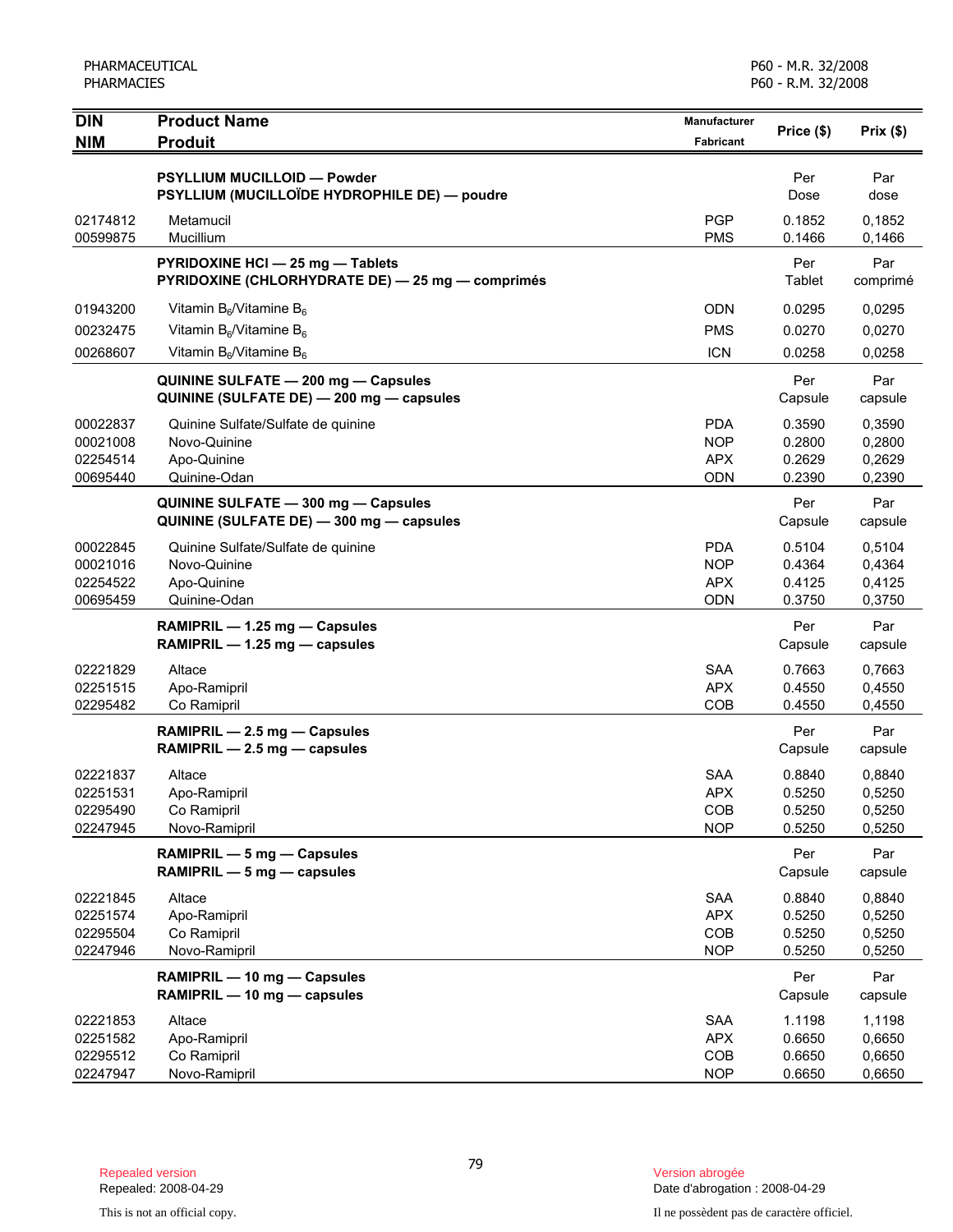| <b>DIN</b>           | <b>Product Name</b>                                                             | <b>Manufacturer</b>      | Price (\$)       | Prix(\$)         |
|----------------------|---------------------------------------------------------------------------------|--------------------------|------------------|------------------|
| <b>NIM</b>           | <b>Produit</b>                                                                  | <b>Fabricant</b>         |                  |                  |
|                      | <b>PSYLLIUM MUCILLOID - Powder</b>                                              |                          | Per              | Par              |
|                      | PSYLLIUM (MUCILLOÏDE HYDROPHILE DE) - poudre                                    |                          | Dose             | dose             |
| 02174812             | Metamucil                                                                       | <b>PGP</b>               | 0.1852           | 0,1852           |
| 00599875             | Mucillium                                                                       | <b>PMS</b>               | 0.1466           | 0,1466           |
|                      | PYRIDOXINE HCI - 25 mg - Tablets                                                |                          | Per              | Par              |
|                      | PYRIDOXINE (CHLORHYDRATE DE) - 25 mg - comprimés                                |                          | Tablet           | comprimé         |
| 01943200             | Vitamin $B_6$ /Vitamine $B_6$                                                   | <b>ODN</b>               | 0.0295           | 0,0295           |
| 00232475             | Vitamin $B_6$ /Vitamine $B_6$                                                   | <b>PMS</b>               | 0.0270           | 0,0270           |
| 00268607             | Vitamin $B_6$ /Vitamine $B_6$                                                   | <b>ICN</b>               | 0.0258           | 0,0258           |
|                      | QUININE SULFATE - 200 mg - Capsules                                             |                          | Per              | Par              |
|                      | QUININE (SULFATE DE) - 200 mg - capsules                                        |                          | Capsule          | capsule          |
| 00022837             | Quinine Sulfate/Sulfate de quinine                                              | <b>PDA</b>               | 0.3590           | 0,3590           |
| 00021008             | Novo-Quinine                                                                    | <b>NOP</b>               | 0.2800           | 0,2800           |
| 02254514             | Apo-Quinine                                                                     | <b>APX</b>               | 0.2629           | 0,2629           |
| 00695440             | Quinine-Odan                                                                    | <b>ODN</b>               | 0.2390           | 0,2390           |
|                      | QUININE SULFATE - 300 mg - Capsules<br>QUININE (SULFATE DE) - 300 mg - capsules |                          | Per<br>Capsule   | Par              |
|                      |                                                                                 |                          |                  | capsule          |
| 00022845<br>00021016 | Quinine Sulfate/Sulfate de quinine<br>Novo-Quinine                              | <b>PDA</b><br><b>NOP</b> | 0.5104<br>0.4364 | 0,5104<br>0,4364 |
| 02254522             | Apo-Quinine                                                                     | <b>APX</b>               | 0.4125           | 0,4125           |
| 00695459             | Quinine-Odan                                                                    | <b>ODN</b>               | 0.3750           | 0,3750           |
|                      | RAMIPRIL - 1.25 mg - Capsules                                                   |                          | Per              | Par              |
|                      | RAMIPRIL - 1.25 mg - capsules                                                   |                          | Capsule          | capsule          |
| 02221829             | Altace                                                                          | <b>SAA</b>               | 0.7663           | 0,7663           |
| 02251515             | Apo-Ramipril                                                                    | <b>APX</b>               | 0.4550           | 0,4550           |
| 02295482             | Co Ramipril                                                                     | COB                      | 0.4550           | 0,4550           |
|                      | RAMIPRIL - 2.5 mg - Capsules                                                    |                          | Per              | Par              |
|                      | RAMIPRIL - 2.5 mg - capsules                                                    |                          | Capsule          | capsule          |
| 02221837             | Altace                                                                          | <b>SAA</b>               | 0.8840           | 0,8840           |
| 02251531             | Apo-Ramipril                                                                    | <b>APX</b>               | 0.5250           | 0,5250           |
| 02295490<br>02247945 | Co Ramipril                                                                     | COB<br><b>NOP</b>        | 0.5250<br>0.5250 | 0,5250<br>0,5250 |
|                      | Novo-Ramipril                                                                   |                          |                  |                  |
|                      | RAMIPRIL - 5 mg - Capsules<br>RAMIPRIL - 5 mg - capsules                        |                          | Per<br>Capsule   | Par<br>capsule   |
|                      | Altace                                                                          | <b>SAA</b>               | 0.8840           |                  |
| 02221845<br>02251574 | Apo-Ramipril                                                                    | <b>APX</b>               | 0.5250           | 0,8840<br>0,5250 |
| 02295504             | Co Ramipril                                                                     | COB                      | 0.5250           | 0,5250           |
| 02247946             | Novo-Ramipril                                                                   | <b>NOP</b>               | 0.5250           | 0,5250           |
|                      | RAMIPRIL - 10 mg - Capsules                                                     |                          | Per              | Par              |
|                      | RAMIPRIL - 10 mg - capsules                                                     |                          | Capsule          | capsule          |
| 02221853             | Altace                                                                          | SAA                      | 1.1198           | 1,1198           |
| 02251582             | Apo-Ramipril                                                                    | <b>APX</b>               | 0.6650           | 0,6650           |
| 02295512             | Co Ramipril                                                                     | COB                      | 0.6650           | 0,6650           |
| 02247947             | Novo-Ramipril                                                                   | <b>NOP</b>               | 0.6650           | 0,6650           |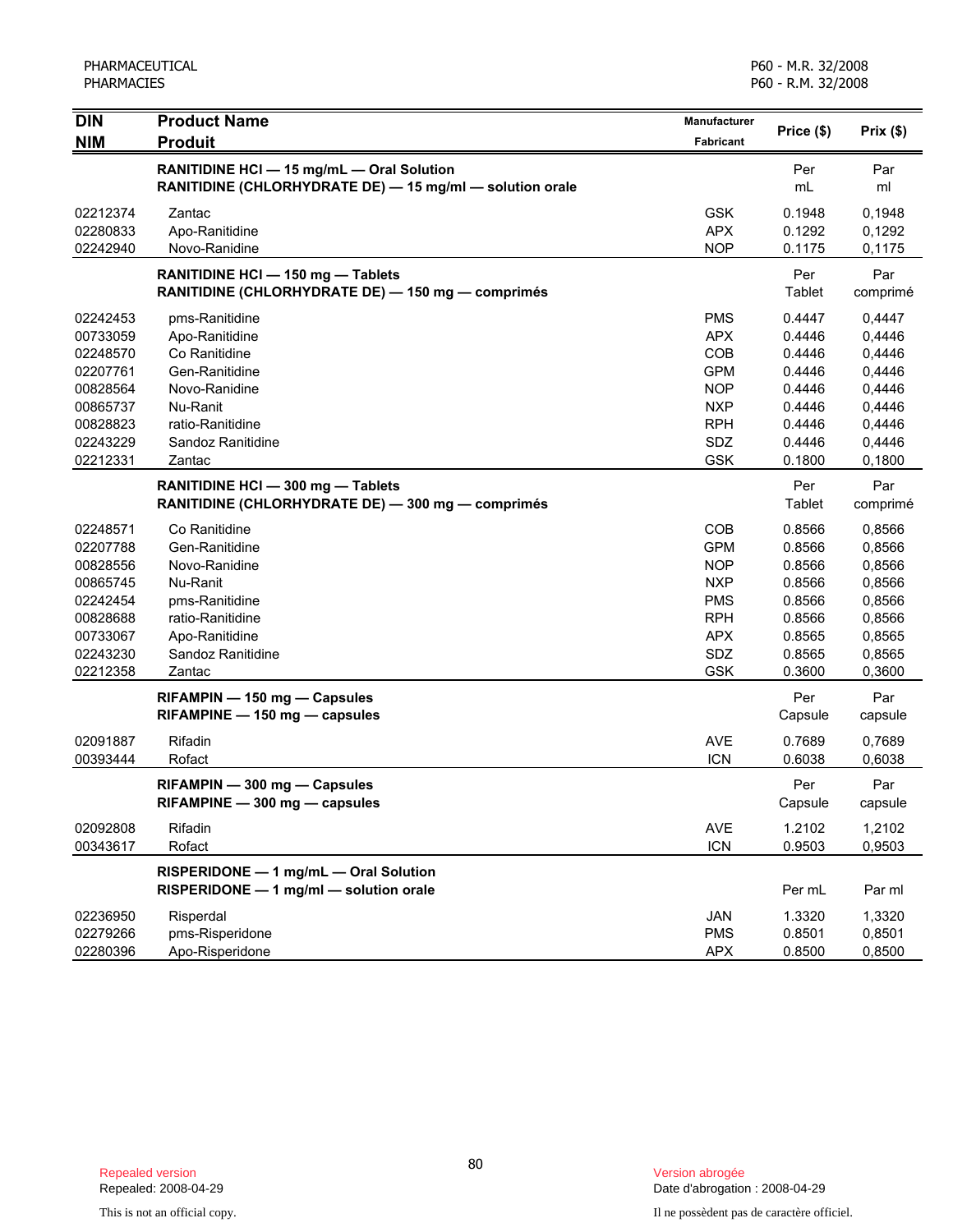| <b>DIN</b> | <b>Product Name</b>                                      | Manufacturer     | Price (\$) |          |
|------------|----------------------------------------------------------|------------------|------------|----------|
| <b>NIM</b> | <b>Produit</b>                                           | <b>Fabricant</b> |            | Prix(\$) |
|            | RANITIDINE HCI - 15 mg/mL - Oral Solution                |                  | Per        | Par      |
|            | RANITIDINE (CHLORHYDRATE DE) - 15 mg/ml - solution orale |                  | mL         | ml       |
| 02212374   | Zantac                                                   | <b>GSK</b>       | 0.1948     | 0,1948   |
| 02280833   | Apo-Ranitidine                                           | <b>APX</b>       | 0.1292     | 0,1292   |
| 02242940   | Novo-Ranidine                                            | <b>NOP</b>       | 0.1175     | 0,1175   |
|            | RANITIDINE HCI - 150 mg - Tablets                        |                  | Per        | Par      |
|            | RANITIDINE (CHLORHYDRATE DE) - 150 mg - comprimés        |                  | Tablet     | comprimé |
| 02242453   | pms-Ranitidine                                           | <b>PMS</b>       | 0.4447     | 0,4447   |
| 00733059   | Apo-Ranitidine                                           | <b>APX</b>       | 0.4446     | 0,4446   |
| 02248570   | Co Ranitidine                                            | COB              | 0.4446     | 0,4446   |
| 02207761   | Gen-Ranitidine                                           | <b>GPM</b>       | 0.4446     | 0,4446   |
| 00828564   | Novo-Ranidine                                            | <b>NOP</b>       | 0.4446     | 0,4446   |
| 00865737   | Nu-Ranit                                                 | <b>NXP</b>       | 0.4446     | 0,4446   |
| 00828823   | ratio-Ranitidine                                         | <b>RPH</b>       | 0.4446     | 0,4446   |
| 02243229   | Sandoz Ranitidine                                        | SDZ              | 0.4446     | 0,4446   |
| 02212331   | Zantac                                                   | <b>GSK</b>       | 0.1800     | 0,1800   |
|            | RANITIDINE HCI - 300 mg - Tablets                        |                  | Per        | Par      |
|            | RANITIDINE (CHLORHYDRATE DE) - 300 mg - comprimés        |                  | Tablet     | comprimé |
| 02248571   | Co Ranitidine                                            | COB              | 0.8566     | 0,8566   |
| 02207788   | Gen-Ranitidine                                           | <b>GPM</b>       | 0.8566     | 0,8566   |
| 00828556   | Novo-Ranidine                                            | <b>NOP</b>       | 0.8566     | 0,8566   |
| 00865745   | Nu-Ranit                                                 | <b>NXP</b>       | 0.8566     | 0,8566   |
| 02242454   | pms-Ranitidine                                           | <b>PMS</b>       | 0.8566     | 0,8566   |
| 00828688   | ratio-Ranitidine                                         | <b>RPH</b>       | 0.8566     | 0,8566   |
| 00733067   | Apo-Ranitidine                                           | <b>APX</b>       | 0.8565     | 0,8565   |
| 02243230   | Sandoz Ranitidine                                        | SDZ              | 0.8565     | 0,8565   |
| 02212358   | Zantac                                                   | <b>GSK</b>       | 0.3600     | 0,3600   |
|            | RIFAMPIN - 150 mg - Capsules                             |                  | Per        | Par      |
|            | RIFAMPINE - 150 mg - capsules                            |                  | Capsule    | capsule  |
| 02091887   | Rifadin                                                  | <b>AVE</b>       | 0.7689     | 0,7689   |
| 00393444   | Rofact                                                   | <b>ICN</b>       | 0.6038     | 0,6038   |
|            | RIFAMPIN - 300 mg - Capsules                             |                  | Per        | Par      |
|            | RIFAMPINE - 300 mg - capsules                            |                  | Capsule    | capsule  |
| 02092808   | Rifadin                                                  | <b>AVE</b>       | 1.2102     | 1,2102   |
| 00343617   | Rofact                                                   | <b>ICN</b>       | 0.9503     | 0,9503   |
|            | RISPERIDONE - 1 mg/mL - Oral Solution                    |                  |            |          |
|            | RISPERIDONE - 1 mg/ml - solution orale                   |                  | Per mL     | Par ml   |
| 02236950   | Risperdal                                                | JAN              | 1.3320     | 1,3320   |
| 02279266   | pms-Risperidone                                          | <b>PMS</b>       | 0.8501     | 0,8501   |
| 02280396   | Apo-Risperidone                                          | <b>APX</b>       | 0.8500     | 0,8500   |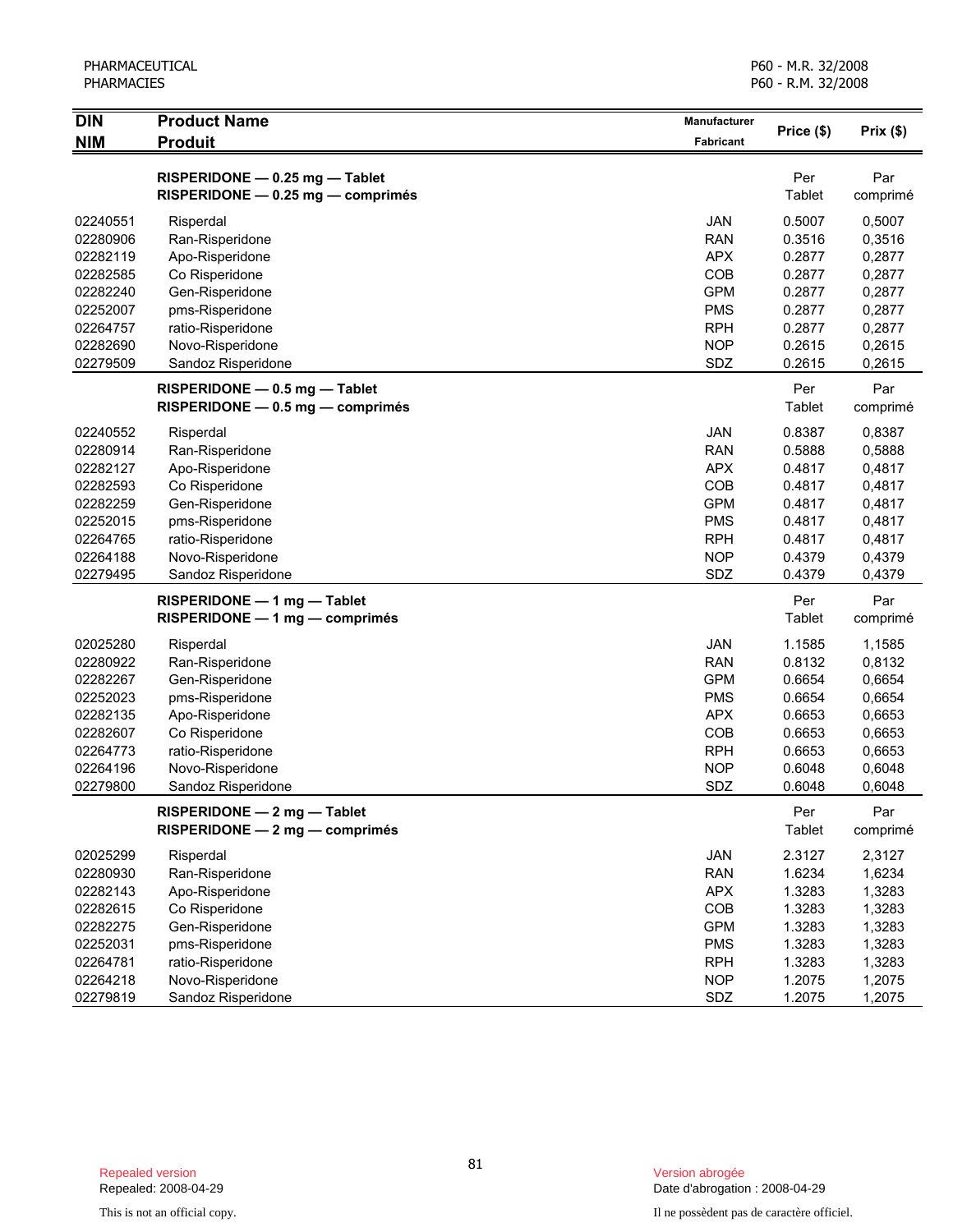| <b>DIN</b> | <b>Product Name</b>               | Manufacturer | Price (\$) | Prix(\$) |
|------------|-----------------------------------|--------------|------------|----------|
| <b>NIM</b> | <b>Produit</b>                    | Fabricant    |            |          |
|            | RISPERIDONE - 0.25 mg - Tablet    |              | Per        | Par      |
|            | RISPERIDONE - 0.25 mg - comprimés |              | Tablet     | comprimé |
| 02240551   | Risperdal                         | <b>JAN</b>   | 0.5007     | 0,5007   |
| 02280906   | Ran-Risperidone                   | <b>RAN</b>   | 0.3516     | 0,3516   |
| 02282119   | Apo-Risperidone                   | <b>APX</b>   | 0.2877     | 0,2877   |
| 02282585   | Co Risperidone                    | COB          | 0.2877     | 0,2877   |
| 02282240   | Gen-Risperidone                   | <b>GPM</b>   | 0.2877     | 0,2877   |
| 02252007   | pms-Risperidone                   | <b>PMS</b>   | 0.2877     | 0,2877   |
| 02264757   | ratio-Risperidone                 | <b>RPH</b>   | 0.2877     | 0,2877   |
| 02282690   | Novo-Risperidone                  | <b>NOP</b>   | 0.2615     | 0,2615   |
| 02279509   | Sandoz Risperidone                | SDZ          | 0.2615     | 0,2615   |
|            | RISPERIDONE - 0.5 mg - Tablet     |              | Per        | Par      |
|            | RISPERIDONE - 0.5 mg - comprimés  |              | Tablet     | comprimé |
| 02240552   | Risperdal                         | JAN          | 0.8387     | 0,8387   |
| 02280914   | Ran-Risperidone                   | <b>RAN</b>   | 0.5888     | 0,5888   |
| 02282127   | Apo-Risperidone                   | <b>APX</b>   | 0.4817     | 0,4817   |
| 02282593   | Co Risperidone                    | COB          | 0.4817     | 0,4817   |
| 02282259   | Gen-Risperidone                   | <b>GPM</b>   | 0.4817     | 0,4817   |
| 02252015   | pms-Risperidone                   | <b>PMS</b>   | 0.4817     | 0,4817   |
| 02264765   | ratio-Risperidone                 | <b>RPH</b>   | 0.4817     | 0,4817   |
| 02264188   | Novo-Risperidone                  | <b>NOP</b>   | 0.4379     | 0,4379   |
| 02279495   | Sandoz Risperidone                | SDZ          | 0.4379     | 0,4379   |
|            | RISPERIDONE - 1 mg - Tablet       |              | Per        | Par      |
|            | $RISPERIDONE - 1 mg - comprimés$  |              | Tablet     | comprimé |
| 02025280   | Risperdal                         | <b>JAN</b>   | 1.1585     | 1,1585   |
| 02280922   | Ran-Risperidone                   | <b>RAN</b>   | 0.8132     | 0,8132   |
| 02282267   | Gen-Risperidone                   | <b>GPM</b>   | 0.6654     | 0,6654   |
| 02252023   | pms-Risperidone                   | <b>PMS</b>   | 0.6654     | 0,6654   |
| 02282135   | Apo-Risperidone                   | <b>APX</b>   | 0.6653     | 0,6653   |
| 02282607   | Co Risperidone                    | COB          | 0.6653     | 0,6653   |
| 02264773   | ratio-Risperidone                 | <b>RPH</b>   | 0.6653     | 0,6653   |
| 02264196   | Novo-Risperidone                  | <b>NOP</b>   | 0.6048     | 0,6048   |
| 02279800   | Sandoz Risperidone                | SDZ          | 0.6048     | 0,6048   |
|            | RISPERIDONE - 2 mg - Tablet       |              | Per        | Par      |
|            | RISPERIDONE - 2 mg - comprimés    |              | Tablet     | comprimé |
| 02025299   | Risperdal                         | JAN          | 2.3127     | 2,3127   |
| 02280930   | Ran-Risperidone                   | <b>RAN</b>   | 1.6234     | 1,6234   |
| 02282143   | Apo-Risperidone                   | <b>APX</b>   | 1.3283     | 1,3283   |
| 02282615   | Co Risperidone                    | COB          | 1.3283     | 1,3283   |
| 02282275   | Gen-Risperidone                   | <b>GPM</b>   | 1.3283     | 1,3283   |
| 02252031   | pms-Risperidone                   | <b>PMS</b>   | 1.3283     | 1,3283   |
| 02264781   | ratio-Risperidone                 | <b>RPH</b>   | 1.3283     | 1,3283   |
| 02264218   | Novo-Risperidone                  | <b>NOP</b>   | 1.2075     | 1,2075   |

02279819 Sandoz Risperidone Subset of the SDZ 1.2075 1,2075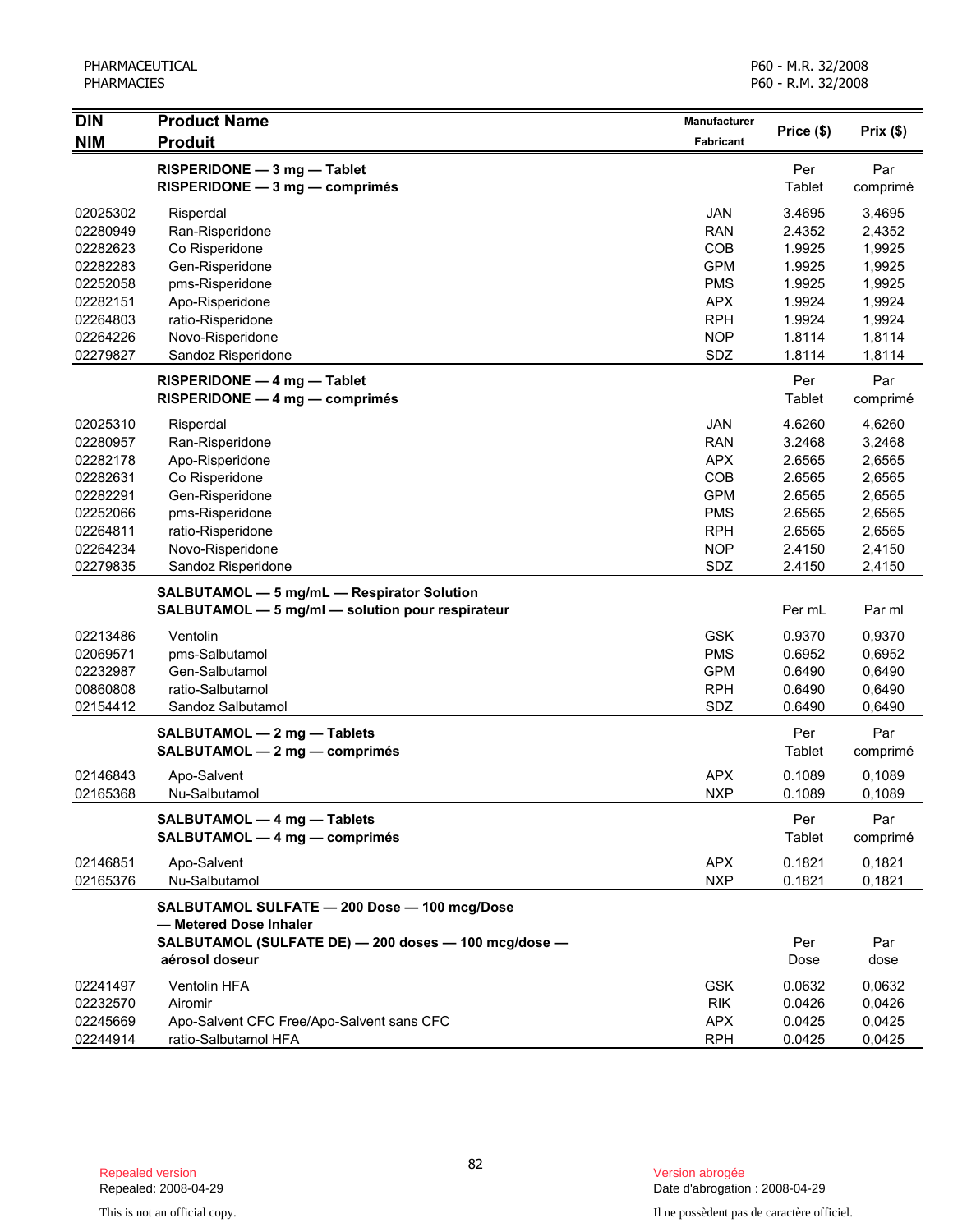| <b>DIN</b> | <b>Product Name</b>                                                                            | Manufacturer | Price (\$) | Prix(\$)         |
|------------|------------------------------------------------------------------------------------------------|--------------|------------|------------------|
| <b>NIM</b> | <b>Produit</b>                                                                                 | Fabricant    |            |                  |
|            | RISPERIDONE - 3 mg - Tablet                                                                    |              | Per        | Par              |
|            | RISPERIDONE - 3 mg - comprimés                                                                 |              | Tablet     | comprimé         |
| 02025302   | Risperdal                                                                                      | <b>JAN</b>   | 3.4695     | 3,4695           |
| 02280949   | Ran-Risperidone                                                                                | <b>RAN</b>   | 2.4352     | 2,4352           |
| 02282623   | Co Risperidone                                                                                 | COB          | 1.9925     | 1,9925           |
| 02282283   | Gen-Risperidone                                                                                | <b>GPM</b>   | 1.9925     | 1,9925           |
| 02252058   | pms-Risperidone                                                                                | <b>PMS</b>   | 1.9925     | 1,9925           |
| 02282151   | Apo-Risperidone                                                                                | <b>APX</b>   | 1.9924     | 1,9924           |
| 02264803   | ratio-Risperidone                                                                              | <b>RPH</b>   | 1.9924     | 1,9924           |
| 02264226   | Novo-Risperidone                                                                               | <b>NOP</b>   | 1.8114     | 1,8114           |
| 02279827   | Sandoz Risperidone                                                                             | SDZ          | 1.8114     | 1,8114           |
|            | RISPERIDONE - 4 mg - Tablet                                                                    |              | Per        | Par              |
|            | $RISPERIDONE - 4 mg - comprimés$                                                               |              | Tablet     | comprimé         |
| 02025310   | Risperdal                                                                                      | <b>JAN</b>   | 4.6260     | 4,6260           |
| 02280957   | Ran-Risperidone                                                                                | <b>RAN</b>   | 3.2468     | 3,2468           |
| 02282178   | Apo-Risperidone                                                                                | <b>APX</b>   | 2.6565     | 2,6565           |
| 02282631   | Co Risperidone                                                                                 | COB          | 2.6565     | 2,6565           |
| 02282291   | Gen-Risperidone                                                                                | <b>GPM</b>   | 2.6565     | 2,6565           |
| 02252066   | pms-Risperidone                                                                                | <b>PMS</b>   | 2.6565     | 2,6565           |
| 02264811   | ratio-Risperidone                                                                              | <b>RPH</b>   | 2.6565     | 2,6565           |
| 02264234   | Novo-Risperidone                                                                               | <b>NOP</b>   | 2.4150     | 2,4150           |
| 02279835   | Sandoz Risperidone                                                                             | SDZ          | 2.4150     | 2,4150           |
|            | SALBUTAMOL - 5 mg/mL - Respirator Solution<br>SALBUTAMOL - 5 mg/ml - solution pour respirateur |              | Per mL     | Par ml           |
| 02213486   | Ventolin                                                                                       | <b>GSK</b>   | 0.9370     | 0,9370           |
| 02069571   | pms-Salbutamol                                                                                 | <b>PMS</b>   | 0.6952     | 0,6952           |
| 02232987   | Gen-Salbutamol                                                                                 | <b>GPM</b>   | 0.6490     | 0,6490           |
| 00860808   | ratio-Salbutamol                                                                               | <b>RPH</b>   | 0.6490     | 0,6490           |
| 02154412   | Sandoz Salbutamol                                                                              | SDZ          | 0.6490     | 0,6490           |
|            | SALBUTAMOL - 2 mg - Tablets                                                                    |              | Per        | Par              |
|            | SALBUTAMOL - 2 mg - comprimés                                                                  |              | Tablet     | comprimé         |
| 02146843   |                                                                                                | APX          | 0.1089     |                  |
| 02165368   | Apo-Salvent<br>Nu-Salbutamol                                                                   | <b>NXP</b>   | 0.1089     | 0,1089<br>0,1089 |
|            |                                                                                                |              |            |                  |
|            | SALBUTAMOL - 4 mg - Tablets                                                                    |              | Per        | Par              |
|            | SALBUTAMOL - 4 mg - comprimés                                                                  |              | Tablet     | comprimé         |
| 02146851   | Apo-Salvent                                                                                    | <b>APX</b>   | 0.1821     | 0,1821           |
| 02165376   | Nu-Salbutamol                                                                                  | <b>NXP</b>   | 0.1821     | 0,1821           |
|            | SALBUTAMOL SULFATE - 200 Dose - 100 mcg/Dose<br>- Metered Dose Inhaler                         |              |            |                  |
|            | SALBUTAMOL (SULFATE DE) - 200 doses - 100 mcg/dose -                                           |              | Per        | Par              |
|            | aérosol doseur                                                                                 |              | Dose       | dose             |
| 02241497   | Ventolin HFA                                                                                   | <b>GSK</b>   | 0.0632     | 0,0632           |
| 02232570   | Airomir                                                                                        | <b>RIK</b>   | 0.0426     | 0,0426           |
| 02245669   | Apo-Salvent CFC Free/Apo-Salvent sans CFC                                                      | <b>APX</b>   | 0.0425     | 0,0425           |
| 02244914   | ratio-Salbutamol HFA                                                                           | <b>RPH</b>   | 0.0425     | 0,0425           |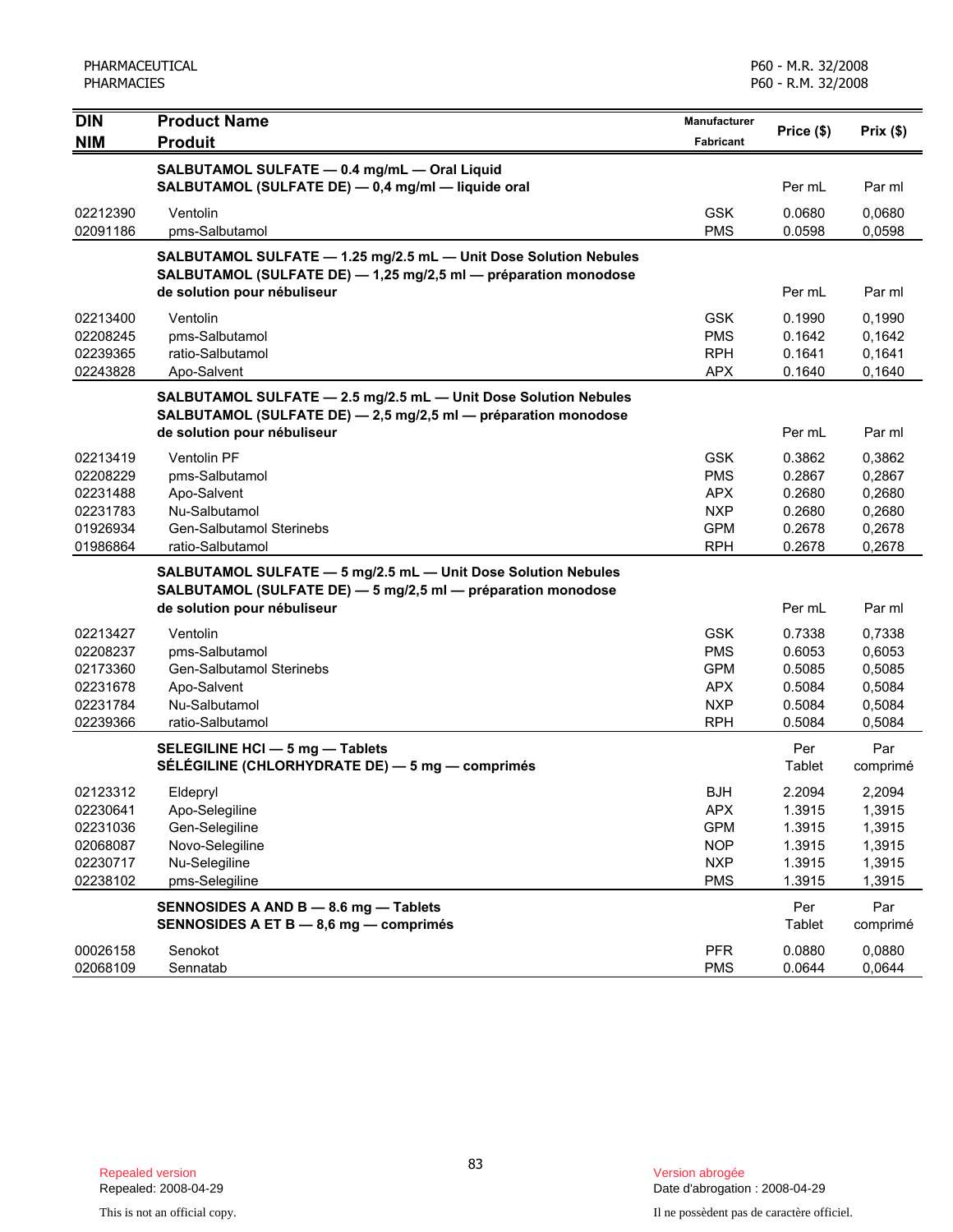| <b>DIN</b><br><b>NIM</b> | <b>Product Name</b><br><b>Produit</b>                                                                                               | Manufacturer<br><b>Fabricant</b> | Price (\$)       | Prix(\$)         |
|--------------------------|-------------------------------------------------------------------------------------------------------------------------------------|----------------------------------|------------------|------------------|
|                          | SALBUTAMOL SULFATE - 0.4 mg/mL - Oral Liquid                                                                                        |                                  |                  |                  |
|                          | SALBUTAMOL (SULFATE DE) - 0,4 mg/ml - liquide oral                                                                                  |                                  | Per mL           | Par ml           |
| 02212390                 | Ventolin                                                                                                                            | <b>GSK</b>                       | 0.0680           | 0,0680           |
| 02091186                 | pms-Salbutamol                                                                                                                      | <b>PMS</b>                       | 0.0598           | 0,0598           |
|                          | SALBUTAMOL SULFATE - 1.25 mg/2.5 mL - Unit Dose Solution Nebules<br>SALBUTAMOL (SULFATE DE) - 1,25 mg/2,5 ml - préparation monodose |                                  |                  |                  |
|                          | de solution pour nébuliseur                                                                                                         |                                  | Per mL           | Par ml           |
| 02213400                 | Ventolin                                                                                                                            | <b>GSK</b>                       | 0.1990           | 0,1990           |
| 02208245<br>02239365     | pms-Salbutamol<br>ratio-Salbutamol                                                                                                  | <b>PMS</b><br><b>RPH</b>         | 0.1642<br>0.1641 | 0,1642<br>0,1641 |
| 02243828                 | Apo-Salvent                                                                                                                         | <b>APX</b>                       | 0.1640           | 0,1640           |
|                          | SALBUTAMOL SULFATE - 2.5 mg/2.5 mL - Unit Dose Solution Nebules<br>SALBUTAMOL (SULFATE DE) - 2,5 mg/2,5 ml - préparation monodose   |                                  |                  |                  |
|                          | de solution pour nébuliseur                                                                                                         |                                  | Per mL           | Par ml           |
| 02213419                 | <b>Ventolin PF</b>                                                                                                                  | <b>GSK</b>                       | 0.3862           | 0,3862           |
| 02208229                 | pms-Salbutamol                                                                                                                      | <b>PMS</b>                       | 0.2867           | 0,2867           |
| 02231488                 | Apo-Salvent                                                                                                                         | <b>APX</b>                       | 0.2680           | 0,2680           |
| 02231783                 | Nu-Salbutamol                                                                                                                       | <b>NXP</b>                       | 0.2680           | 0,2680           |
| 01926934<br>01986864     | Gen-Salbutamol Sterinebs<br>ratio-Salbutamol                                                                                        | <b>GPM</b><br><b>RPH</b>         | 0.2678<br>0.2678 | 0,2678<br>0,2678 |
|                          | SALBUTAMOL SULFATE - 5 mg/2.5 mL - Unit Dose Solution Nebules                                                                       |                                  |                  |                  |
|                          | SALBUTAMOL (SULFATE DE) - 5 mg/2,5 ml - préparation monodose                                                                        |                                  |                  |                  |
|                          | de solution pour nébuliseur                                                                                                         |                                  | Per mL           | Par ml           |
| 02213427                 | Ventolin                                                                                                                            | <b>GSK</b>                       | 0.7338           | 0,7338           |
| 02208237                 | pms-Salbutamol                                                                                                                      | <b>PMS</b>                       | 0.6053           | 0,6053           |
| 02173360                 | <b>Gen-Salbutamol Sterinebs</b>                                                                                                     | <b>GPM</b>                       | 0.5085           | 0,5085           |
| 02231678                 | Apo-Salvent                                                                                                                         | <b>APX</b>                       | 0.5084           | 0,5084           |
| 02231784                 | Nu-Salbutamol                                                                                                                       | <b>NXP</b>                       | 0.5084           | 0,5084           |
| 02239366                 | ratio-Salbutamol                                                                                                                    | <b>RPH</b>                       | 0.5084           | 0,5084           |
|                          | SELEGILINE HCI - 5 mg - Tablets<br>SÉLÉGILINE (CHLORHYDRATE DE) - 5 mg - comprimés                                                  |                                  | Per<br>Tablet    | Par<br>comprimé  |
| 02123312                 | Eldepryl                                                                                                                            | <b>BJH</b>                       | 2.2094           | 2,2094           |
| 02230641                 | Apo-Selegiline                                                                                                                      | <b>APX</b>                       | 1.3915           | 1,3915           |
| 02231036                 | Gen-Selegiline                                                                                                                      | <b>GPM</b>                       | 1.3915           | 1,3915           |
| 02068087                 | Novo-Selegiline                                                                                                                     | <b>NOP</b>                       | 1.3915           | 1,3915           |
| 02230717                 | Nu-Selegiline                                                                                                                       | <b>NXP</b>                       | 1.3915           | 1,3915           |
| 02238102                 | pms-Selegiline                                                                                                                      | <b>PMS</b>                       | 1.3915           | 1,3915           |
|                          | SENNOSIDES A AND B - 8.6 mg - Tablets<br>SENNOSIDES A ET B - 8,6 mg - comprimés                                                     |                                  | Per<br>Tablet    | Par<br>comprimé  |
| 00026158                 | Senokot                                                                                                                             | <b>PFR</b>                       | 0.0880           | 0,0880           |
| 02068109                 | Sennatab                                                                                                                            | <b>PMS</b>                       | 0.0644           | 0,0644           |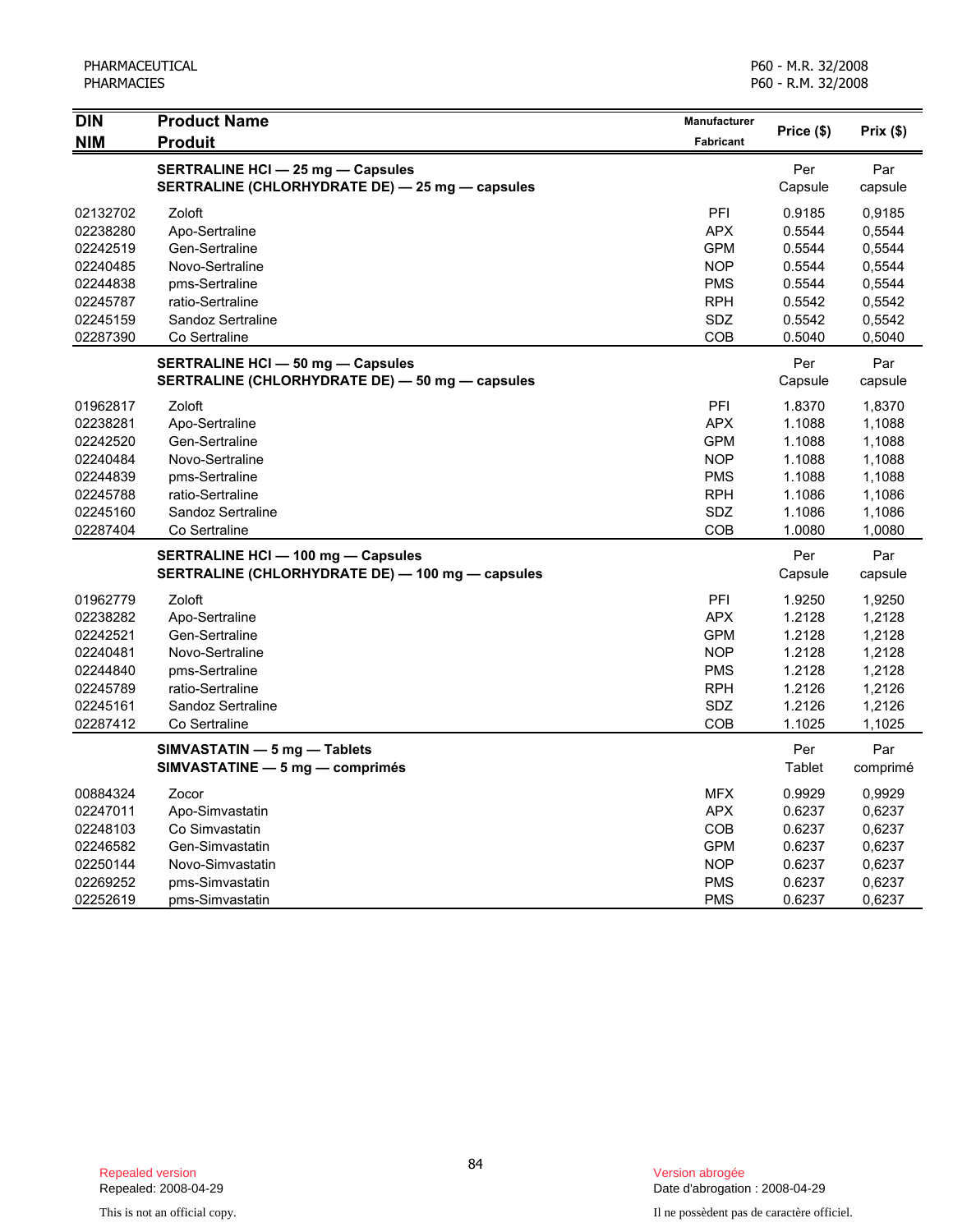| <b>DIN</b> | <b>Product Name</b>                              | Manufacturer     |            |          |
|------------|--------------------------------------------------|------------------|------------|----------|
| <b>NIM</b> | <b>Produit</b>                                   | <b>Fabricant</b> | Price (\$) | Prix(\$) |
|            | <b>SERTRALINE HCI - 25 mg - Capsules</b>         |                  | Per        | Par      |
|            | SERTRALINE (CHLORHYDRATE DE) - 25 mg - capsules  |                  | Capsule    | capsule  |
| 02132702   | Zoloft                                           | PFI              | 0.9185     | 0,9185   |
| 02238280   | Apo-Sertraline                                   | <b>APX</b>       | 0.5544     | 0,5544   |
| 02242519   | Gen-Sertraline                                   | <b>GPM</b>       | 0.5544     | 0,5544   |
| 02240485   | Novo-Sertraline                                  | <b>NOP</b>       | 0.5544     | 0,5544   |
| 02244838   | pms-Sertraline                                   | <b>PMS</b>       | 0.5544     | 0,5544   |
| 02245787   | ratio-Sertraline                                 | <b>RPH</b>       | 0.5542     | 0,5542   |
| 02245159   | Sandoz Sertraline                                | <b>SDZ</b>       | 0.5542     | 0,5542   |
| 02287390   | Co Sertraline                                    | <b>COB</b>       | 0.5040     | 0,5040   |
|            | <b>SERTRALINE HCI - 50 mg - Capsules</b>         |                  | Per        | Par      |
|            | SERTRALINE (CHLORHYDRATE DE) - 50 mg - capsules  |                  | Capsule    | capsule  |
| 01962817   | Zoloft                                           | <b>PFI</b>       | 1.8370     | 1,8370   |
| 02238281   | Apo-Sertraline                                   | <b>APX</b>       | 1.1088     | 1,1088   |
| 02242520   | Gen-Sertraline                                   | <b>GPM</b>       | 1.1088     | 1,1088   |
| 02240484   | Novo-Sertraline                                  | <b>NOP</b>       | 1.1088     | 1,1088   |
| 02244839   | pms-Sertraline                                   | <b>PMS</b>       | 1.1088     | 1,1088   |
| 02245788   | ratio-Sertraline                                 | <b>RPH</b>       | 1.1086     | 1,1086   |
| 02245160   | Sandoz Sertraline                                | SDZ              | 1.1086     | 1,1086   |
| 02287404   | Co Sertraline                                    | COB              | 1.0080     | 1,0080   |
|            | <b>SERTRALINE HCI - 100 mg - Capsules</b>        |                  | Per        | Par      |
|            | SERTRALINE (CHLORHYDRATE DE) - 100 mg - capsules |                  | Capsule    | capsule  |
| 01962779   | Zoloft                                           | PFI              | 1.9250     | 1,9250   |
| 02238282   | Apo-Sertraline                                   | <b>APX</b>       | 1.2128     | 1,2128   |
| 02242521   | Gen-Sertraline                                   | <b>GPM</b>       | 1.2128     | 1,2128   |
| 02240481   | Novo-Sertraline                                  | <b>NOP</b>       | 1.2128     | 1,2128   |
| 02244840   | pms-Sertraline                                   | <b>PMS</b>       | 1.2128     | 1,2128   |
| 02245789   | ratio-Sertraline                                 | <b>RPH</b>       | 1.2126     | 1,2126   |
| 02245161   | Sandoz Sertraline                                | <b>SDZ</b>       | 1.2126     | 1,2126   |
| 02287412   | Co Sertraline                                    | COB              | 1.1025     | 1,1025   |
|            | SIMVASTATIN - 5 mg - Tablets                     |                  | Per        | Par      |
|            | SIMVASTATINE - 5 mg - comprimés                  |                  | Tablet     | comprimé |
| 00884324   | Zocor                                            | <b>MFX</b>       | 0.9929     | 0,9929   |
| 02247011   | Apo-Simvastatin                                  | <b>APX</b>       | 0.6237     | 0,6237   |
| 02248103   | Co Simvastatin                                   | <b>COB</b>       | 0.6237     | 0,6237   |
| 02246582   | Gen-Simvastatin                                  | <b>GPM</b>       | 0.6237     | 0,6237   |
| 02250144   | Novo-Simvastatin                                 | <b>NOP</b>       | 0.6237     | 0,6237   |
| 02269252   | pms-Simvastatin                                  | <b>PMS</b>       | 0.6237     | 0,6237   |
| 02252619   | pms-Simvastatin                                  | <b>PMS</b>       | 0.6237     | 0,6237   |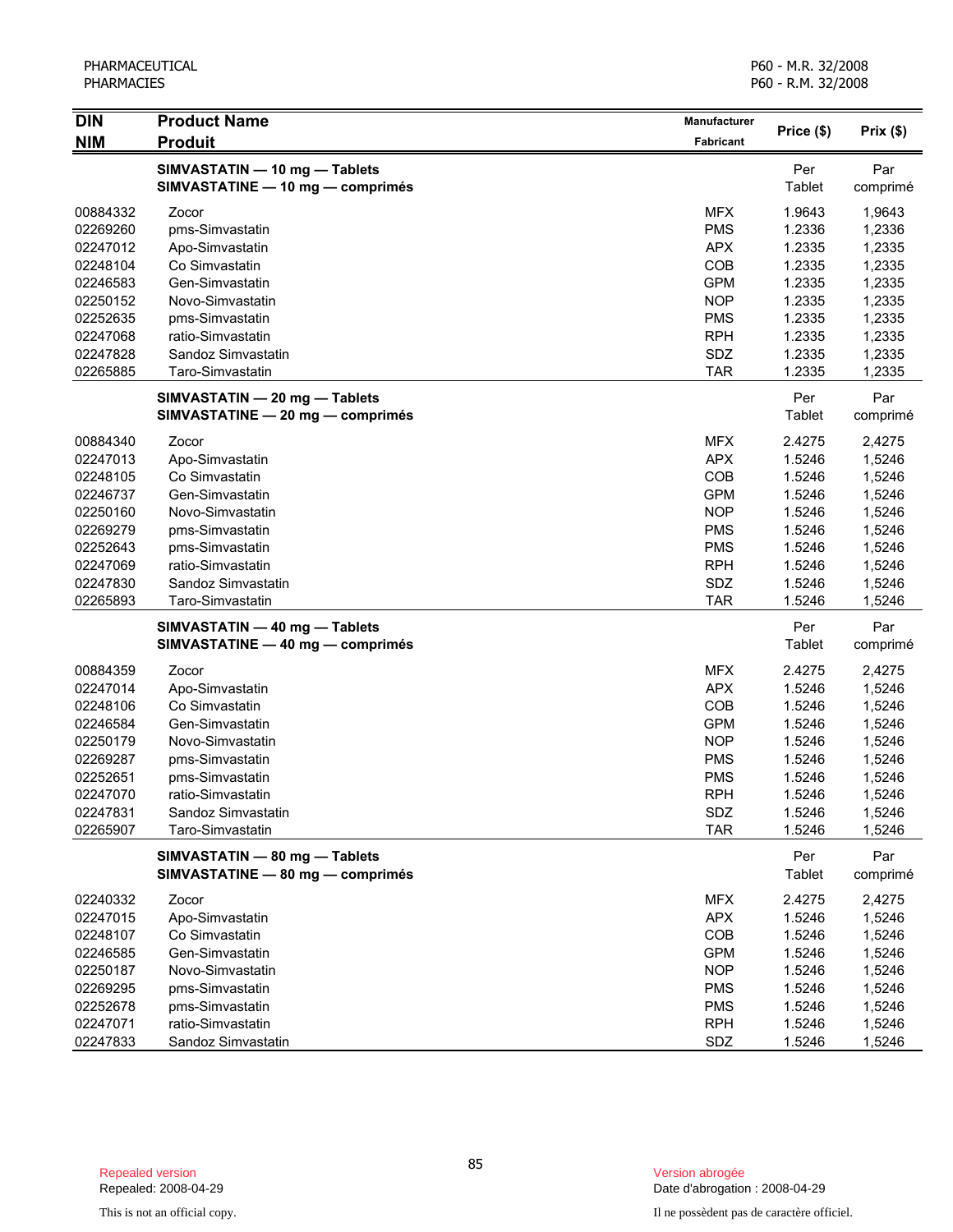| <b>DIN</b> | <b>Product Name</b>              | Manufacturer     | Price (\$) | Prix(\$) |
|------------|----------------------------------|------------------|------------|----------|
| <b>NIM</b> | <b>Produit</b>                   | <b>Fabricant</b> |            |          |
|            | SIMVASTATIN - 10 mg - Tablets    |                  | Per        | Par      |
|            | SIMVASTATINE - 10 mg - comprimés |                  | Tablet     | comprimé |
| 00884332   | Zocor                            | <b>MFX</b>       | 1.9643     | 1,9643   |
| 02269260   | pms-Simvastatin                  | <b>PMS</b>       | 1.2336     | 1,2336   |
| 02247012   | Apo-Simvastatin                  | <b>APX</b>       | 1.2335     | 1,2335   |
| 02248104   | Co Simvastatin                   | COB              | 1.2335     | 1,2335   |
| 02246583   | Gen-Simvastatin                  | <b>GPM</b>       | 1.2335     | 1,2335   |
| 02250152   | Novo-Simvastatin                 | <b>NOP</b>       | 1.2335     | 1,2335   |
| 02252635   | pms-Simvastatin                  | <b>PMS</b>       | 1.2335     | 1,2335   |
| 02247068   | ratio-Simvastatin                | <b>RPH</b>       | 1.2335     | 1,2335   |
| 02247828   | Sandoz Simvastatin               | SDZ              | 1.2335     | 1,2335   |
| 02265885   | Taro-Simvastatin                 | <b>TAR</b>       | 1.2335     | 1,2335   |
|            | SIMVASTATIN - 20 mg - Tablets    |                  | Per        | Par      |
|            | SIMVASTATINE - 20 mg - comprimés |                  | Tablet     | comprimé |
| 00884340   | Zocor                            | <b>MFX</b>       | 2.4275     | 2,4275   |
| 02247013   | Apo-Simvastatin                  | <b>APX</b>       | 1.5246     | 1,5246   |
| 02248105   | Co Simvastatin                   | COB              | 1.5246     | 1,5246   |
| 02246737   | Gen-Simvastatin                  | <b>GPM</b>       | 1.5246     | 1,5246   |
| 02250160   | Novo-Simvastatin                 | <b>NOP</b>       | 1.5246     | 1,5246   |
| 02269279   | pms-Simvastatin                  | <b>PMS</b>       | 1.5246     | 1,5246   |
| 02252643   | pms-Simvastatin                  | <b>PMS</b>       | 1.5246     | 1,5246   |
| 02247069   | ratio-Simvastatin                | <b>RPH</b>       | 1.5246     | 1,5246   |
| 02247830   | Sandoz Simvastatin               | SDZ              | 1.5246     | 1,5246   |
| 02265893   | Taro-Simvastatin                 | <b>TAR</b>       | 1.5246     | 1,5246   |
|            | SIMVASTATIN - 40 mg - Tablets    |                  | Per        | Par      |
|            | SIMVASTATINE - 40 mg - comprimés |                  | Tablet     | comprimé |
| 00884359   | Zocor                            | <b>MFX</b>       | 2.4275     | 2,4275   |
| 02247014   | Apo-Simvastatin                  | <b>APX</b>       | 1.5246     | 1,5246   |
| 02248106   | Co Simvastatin                   | COB              | 1.5246     | 1,5246   |
| 02246584   | Gen-Simvastatin                  | <b>GPM</b>       | 1.5246     | 1,5246   |
| 02250179   | Novo-Simvastatin                 | <b>NOP</b>       | 1.5246     | 1,5246   |
| 02269287   | pms-Simvastatin                  | <b>PMS</b>       | 1.5246     | 1,5246   |
| 02252651   | pms-Simvastatin                  | <b>PMS</b>       | 1.5246     | 1,5246   |
| 02247070   | ratio-Simvastatin                | <b>RPH</b>       | 1.5246     | 1,5246   |
| 02247831   | Sandoz Simvastatin               | SDZ              | 1.5246     | 1,5246   |
| 02265907   | Taro-Simvastatin                 | <b>TAR</b>       | 1.5246     | 1,5246   |
|            | SIMVASTATIN - 80 mg - Tablets    |                  | Per        | Par      |
|            | SIMVASTATINE - 80 mg - comprimés |                  | Tablet     | comprimé |
| 02240332   | Zocor                            | <b>MFX</b>       | 2.4275     | 2,4275   |
| 02247015   | Apo-Simvastatin                  | <b>APX</b>       | 1.5246     | 1,5246   |
| 02248107   | Co Simvastatin                   | COB              | 1.5246     | 1,5246   |
| 02246585   | Gen-Simvastatin                  | <b>GPM</b>       | 1.5246     | 1,5246   |
| 02250187   | Novo-Simvastatin                 | <b>NOP</b>       | 1.5246     | 1,5246   |
| 02269295   | pms-Simvastatin                  | <b>PMS</b>       | 1.5246     | 1,5246   |
| 02252678   | pms-Simvastatin                  | <b>PMS</b>       | 1.5246     | 1,5246   |
| 02247071   | ratio-Simvastatin                | <b>RPH</b>       | 1.5246     | 1,5246   |
| 02247833   | Sandoz Simvastatin               | SDZ              | 1.5246     | 1,5246   |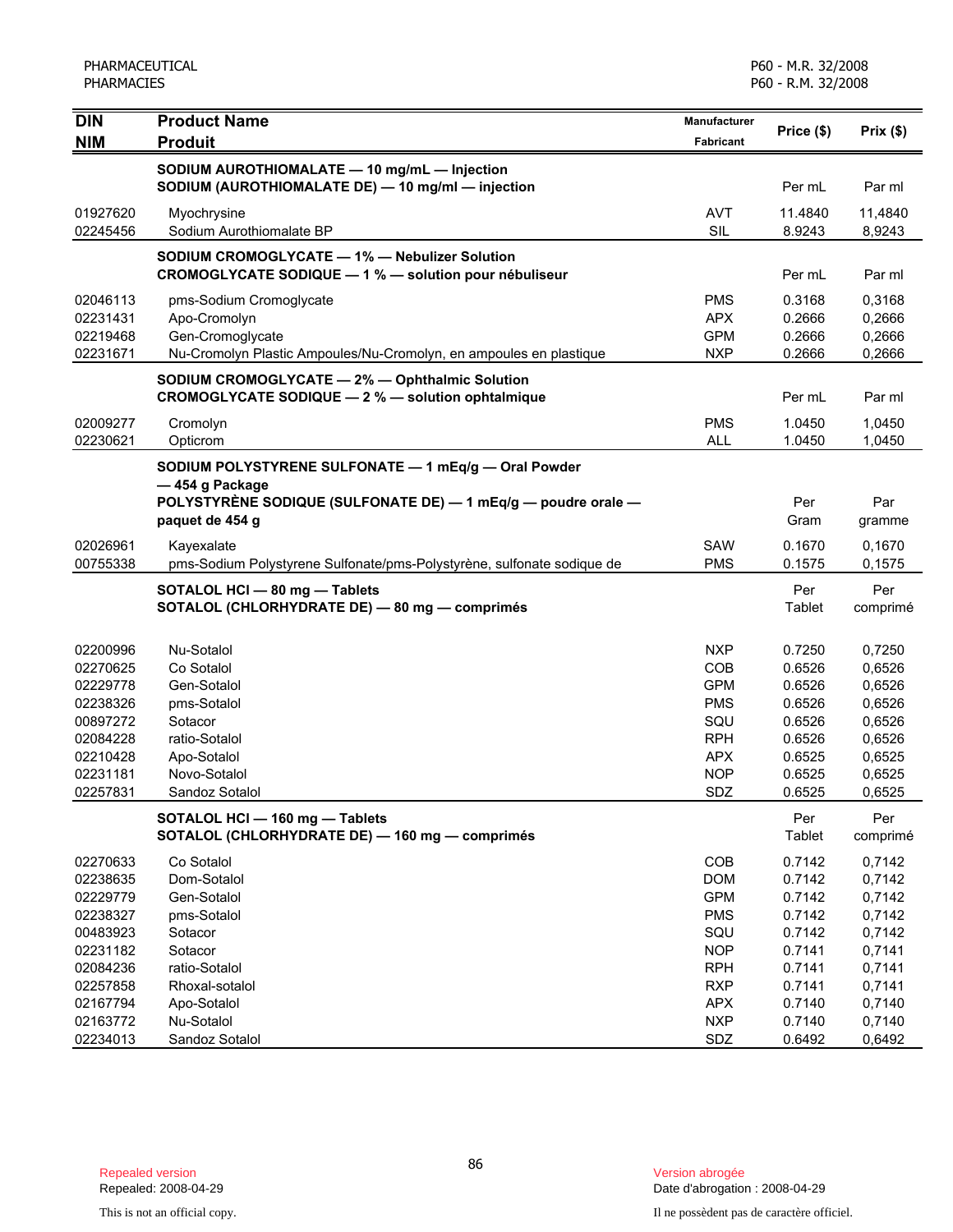| <b>DIN</b>           | <b>Product Name</b>                                                    | <b>Manufacturer</b>      | Price (\$)       | Prix(\$)         |
|----------------------|------------------------------------------------------------------------|--------------------------|------------------|------------------|
| <b>NIM</b>           | <b>Produit</b>                                                         | Fabricant                |                  |                  |
|                      | SODIUM AUROTHIOMALATE - 10 mg/mL - Injection                           |                          |                  |                  |
|                      | SODIUM (AUROTHIOMALATE DE) - 10 mg/ml - injection                      |                          | Per mL           | Par ml           |
| 01927620             | Myochrysine                                                            | <b>AVT</b>               | 11.4840          | 11,4840          |
| 02245456             | Sodium Aurothiomalate BP                                               | <b>SIL</b>               | 8.9243           | 8,9243           |
|                      | SODIUM CROMOGLYCATE - 1% - Nebulizer Solution                          |                          |                  |                  |
|                      | CROMOGLYCATE SODIQUE - 1 % - solution pour nébuliseur                  |                          | Per mL           | Par ml           |
| 02046113             | pms-Sodium Cromoglycate                                                | <b>PMS</b>               | 0.3168           | 0,3168           |
| 02231431             | Apo-Cromolyn                                                           | <b>APX</b>               | 0.2666           | 0,2666           |
| 02219468             | Gen-Cromoglycate                                                       | <b>GPM</b>               | 0.2666           | 0,2666           |
| 02231671             | Nu-Cromolyn Plastic Ampoules/Nu-Cromolyn, en ampoules en plastique     | <b>NXP</b>               | 0.2666           | 0,2666           |
|                      | SODIUM CROMOGLYCATE - 2% - Ophthalmic Solution                         |                          |                  |                  |
|                      | CROMOGLYCATE SODIQUE - 2 % - solution ophtalmique                      |                          | Per mL           | Par ml           |
| 02009277             | Cromolyn                                                               | <b>PMS</b>               | 1.0450           | 1,0450           |
| 02230621             | Opticrom                                                               | <b>ALL</b>               | 1.0450           | 1,0450           |
|                      | SODIUM POLYSTYRENE SULFONATE - 1 mEq/g - Oral Powder                   |                          |                  |                  |
|                      | -454 g Package                                                         |                          |                  |                  |
|                      | POLYSTYRÈNE SODIQUE (SULFONATE DE) — 1 mEq/g — poudre orale —          |                          | Per              | Par              |
|                      | paquet de 454 g                                                        |                          | Gram             | gramme           |
| 02026961             | Kayexalate                                                             | SAW                      | 0.1670           | 0,1670           |
| 00755338             | pms-Sodium Polystyrene Sulfonate/pms-Polystyrène, sulfonate sodique de | <b>PMS</b>               | 0.1575           | 0,1575           |
|                      | SOTALOL HCI - 80 mg - Tablets                                          |                          | Per              | Per              |
|                      | SOTALOL (CHLORHYDRATE DE) - 80 mg - comprimés                          |                          | Tablet           | comprimé         |
|                      |                                                                        |                          |                  |                  |
| 02200996<br>02270625 | Nu-Sotalol<br>Co Sotalol                                               | <b>NXP</b><br><b>COB</b> | 0.7250<br>0.6526 | 0,7250           |
| 02229778             | Gen-Sotalol                                                            | <b>GPM</b>               | 0.6526           | 0,6526<br>0,6526 |
| 02238326             | pms-Sotalol                                                            | <b>PMS</b>               | 0.6526           | 0,6526           |
| 00897272             | Sotacor                                                                | SQU                      | 0.6526           | 0,6526           |
| 02084228             | ratio-Sotalol                                                          | <b>RPH</b>               | 0.6526           | 0,6526           |
| 02210428             | Apo-Sotalol                                                            | <b>APX</b>               | 0.6525           | 0,6525           |
| 02231181             | Novo-Sotalol                                                           | <b>NOP</b>               | 0.6525           | 0,6525           |
| 02257831             | Sandoz Sotalol                                                         | SDZ                      | 0.6525           | 0,6525           |
|                      | SOTALOL HCI - 160 mg - Tablets                                         |                          | Per              | Per              |
|                      | SOTALOL (CHLORHYDRATE DE) - 160 mg - comprimés                         |                          | Tablet           | comprimé         |
| 02270633             | Co Sotalol                                                             | COB                      | 0.7142           | 0,7142           |
| 02238635             | Dom-Sotalol                                                            | <b>DOM</b>               | 0.7142           | 0,7142           |
| 02229779             | Gen-Sotalol                                                            | <b>GPM</b>               | 0.7142           | 0,7142           |
| 02238327             | pms-Sotalol                                                            | <b>PMS</b>               | 0.7142           | 0,7142           |
| 00483923             | Sotacor                                                                | SQU                      | 0.7142           | 0,7142           |
| 02231182             | Sotacor                                                                | <b>NOP</b>               | 0.7141           | 0,7141           |
| 02084236             | ratio-Sotalol                                                          | <b>RPH</b>               | 0.7141           | 0,7141           |
| 02257858             | Rhoxal-sotalol                                                         | <b>RXP</b>               | 0.7141           | 0,7141           |
| 02167794             | Apo-Sotalol                                                            | <b>APX</b>               | 0.7140           | 0,7140           |
| 02163772             | Nu-Sotalol                                                             | <b>NXP</b>               | 0.7140           | 0,7140           |
| 02234013             | Sandoz Sotalol                                                         | SDZ                      | 0.6492           | 0,6492           |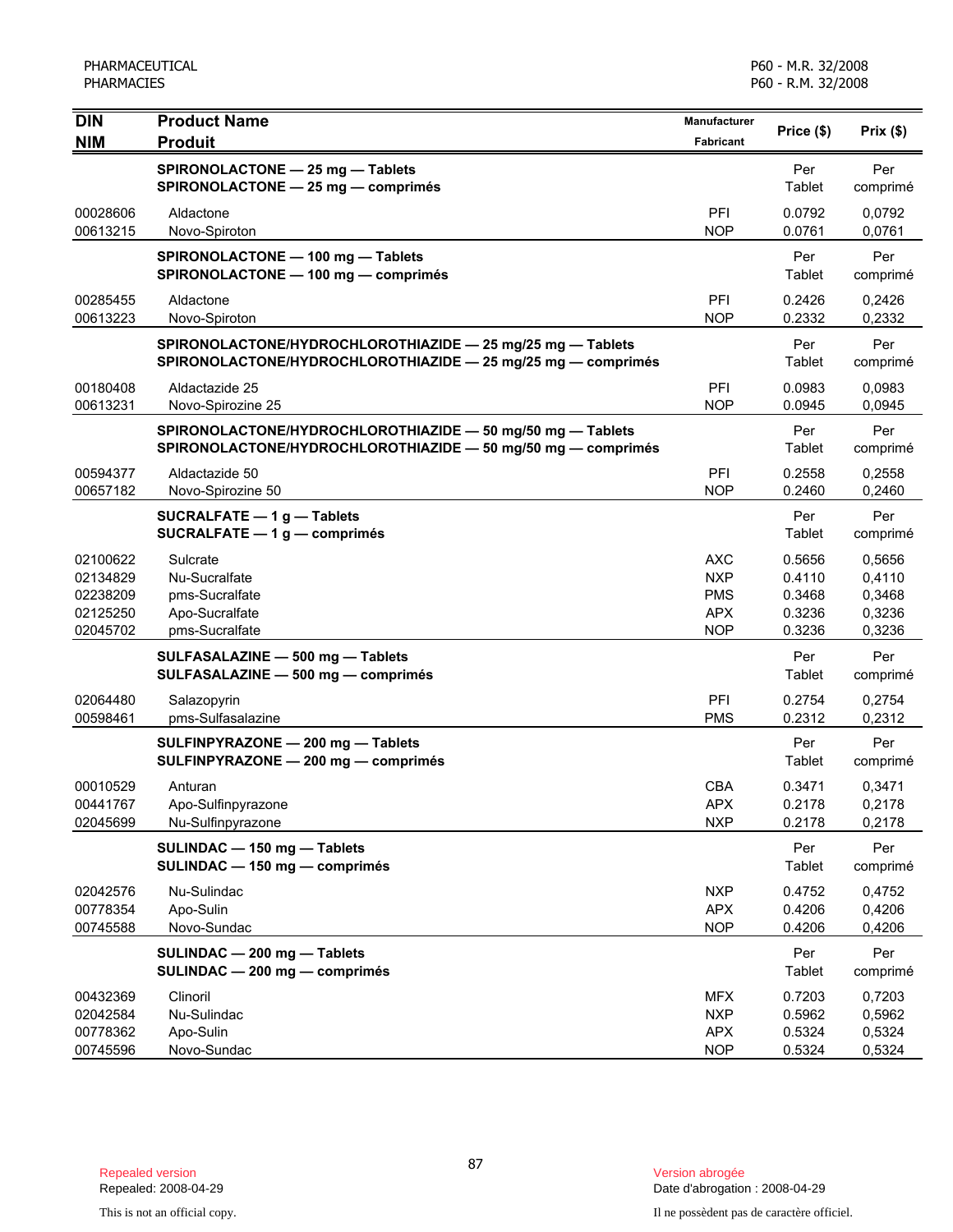| <b>DIN</b><br><b>NIM</b>                                 | <b>Product Name</b><br><b>Produit</b>                                                                                      | Manufacturer<br>Fabricant                                   | Price (\$)                                     | Prix(\$)                                       |
|----------------------------------------------------------|----------------------------------------------------------------------------------------------------------------------------|-------------------------------------------------------------|------------------------------------------------|------------------------------------------------|
|                                                          | SPIRONOLACTONE - 25 mg - Tablets<br>SPIRONOLACTONE - 25 mg - comprimés                                                     |                                                             | Per<br>Tablet                                  | Per<br>comprimé                                |
| 00028606<br>00613215                                     | Aldactone<br>Novo-Spiroton                                                                                                 | PFI<br><b>NOP</b>                                           | 0.0792<br>0.0761                               | 0.0792<br>0,0761                               |
|                                                          | SPIRONOLACTONE - 100 mg - Tablets<br>SPIRONOLACTONE - 100 mg - comprimés                                                   |                                                             | Per<br>Tablet                                  | Per<br>comprimé                                |
| 00285455<br>00613223                                     | Aldactone<br>Novo-Spiroton                                                                                                 | PFI<br><b>NOP</b>                                           | 0.2426<br>0.2332                               | 0,2426<br>0,2332                               |
|                                                          | SPIRONOLACTONE/HYDROCHLOROTHIAZIDE - 25 mg/25 mg - Tablets<br>SPIRONOLACTONE/HYDROCHLOROTHIAZIDE - 25 mg/25 mg - comprimés |                                                             | Per<br>Tablet                                  | Per<br>comprimé                                |
| 00180408<br>00613231                                     | Aldactazide 25<br>Novo-Spirozine 25                                                                                        | PFI<br><b>NOP</b>                                           | 0.0983<br>0.0945                               | 0,0983<br>0,0945                               |
|                                                          | SPIRONOLACTONE/HYDROCHLOROTHIAZIDE - 50 mg/50 mg - Tablets<br>SPIRONOLACTONE/HYDROCHLOROTHIAZIDE - 50 mg/50 mg - comprimés |                                                             | Per<br>Tablet                                  | Per<br>comprimé                                |
| 00594377<br>00657182                                     | Aldactazide 50<br>Novo-Spirozine 50                                                                                        | PFI<br><b>NOP</b>                                           | 0.2558<br>0.2460                               | 0,2558<br>0,2460                               |
|                                                          | SUCRALFATE - 1 g - Tablets<br>SUCRALFATE $-1$ g $-$ comprimés                                                              |                                                             | Per<br>Tablet                                  | Per<br>comprimé                                |
| 02100622<br>02134829<br>02238209<br>02125250<br>02045702 | Sulcrate<br>Nu-Sucralfate<br>pms-Sucralfate<br>Apo-Sucralfate<br>pms-Sucralfate                                            | AXC<br><b>NXP</b><br><b>PMS</b><br><b>APX</b><br><b>NOP</b> | 0.5656<br>0.4110<br>0.3468<br>0.3236<br>0.3236 | 0,5656<br>0,4110<br>0,3468<br>0,3236<br>0,3236 |
|                                                          | SULFASALAZINE - 500 mg - Tablets<br>SULFASALAZINE - 500 mg - comprimés                                                     |                                                             | Per<br>Tablet                                  | Per<br>comprimé                                |
| 02064480<br>00598461                                     | Salazopyrin<br>pms-Sulfasalazine                                                                                           | PFI<br><b>PMS</b>                                           | 0.2754<br>0.2312                               | 0,2754<br>0,2312                               |
|                                                          | SULFINPYRAZONE - 200 mg - Tablets<br>SULFINPYRAZONE - 200 mg - comprimés                                                   |                                                             | Per<br>Tablet                                  | Per<br>comprimé                                |
| 00010529<br>00441767<br>02045699                         | Anturan<br>Apo-Sulfinpyrazone<br>Nu-Sulfinpyrazone                                                                         | <b>CBA</b><br><b>APX</b><br><b>NXP</b>                      | 0.3471<br>0.2178<br>0.2178                     | 0,3471<br>0,2178<br>0,2178                     |
|                                                          | SULINDAC - 150 mg - Tablets<br>SULINDAC - 150 mg - comprimés                                                               |                                                             | Per<br>Tablet                                  | Per<br>comprimé                                |
| 02042576<br>00778354<br>00745588                         | Nu-Sulindac<br>Apo-Sulin<br>Novo-Sundac                                                                                    | <b>NXP</b><br><b>APX</b><br><b>NOP</b>                      | 0.4752<br>0.4206<br>0.4206                     | 0,4752<br>0,4206<br>0,4206                     |
|                                                          | SULINDAC - 200 mg - Tablets<br>SULINDAC - 200 mg - comprimés                                                               |                                                             | Per<br>Tablet                                  | Per<br>comprimé                                |
| 00432369<br>02042584<br>00778362<br>00745596             | Clinoril<br>Nu-Sulindac<br>Apo-Sulin<br>Novo-Sundac                                                                        | <b>MFX</b><br><b>NXP</b><br><b>APX</b><br><b>NOP</b>        | 0.7203<br>0.5962<br>0.5324<br>0.5324           | 0,7203<br>0,5962<br>0,5324<br>0,5324           |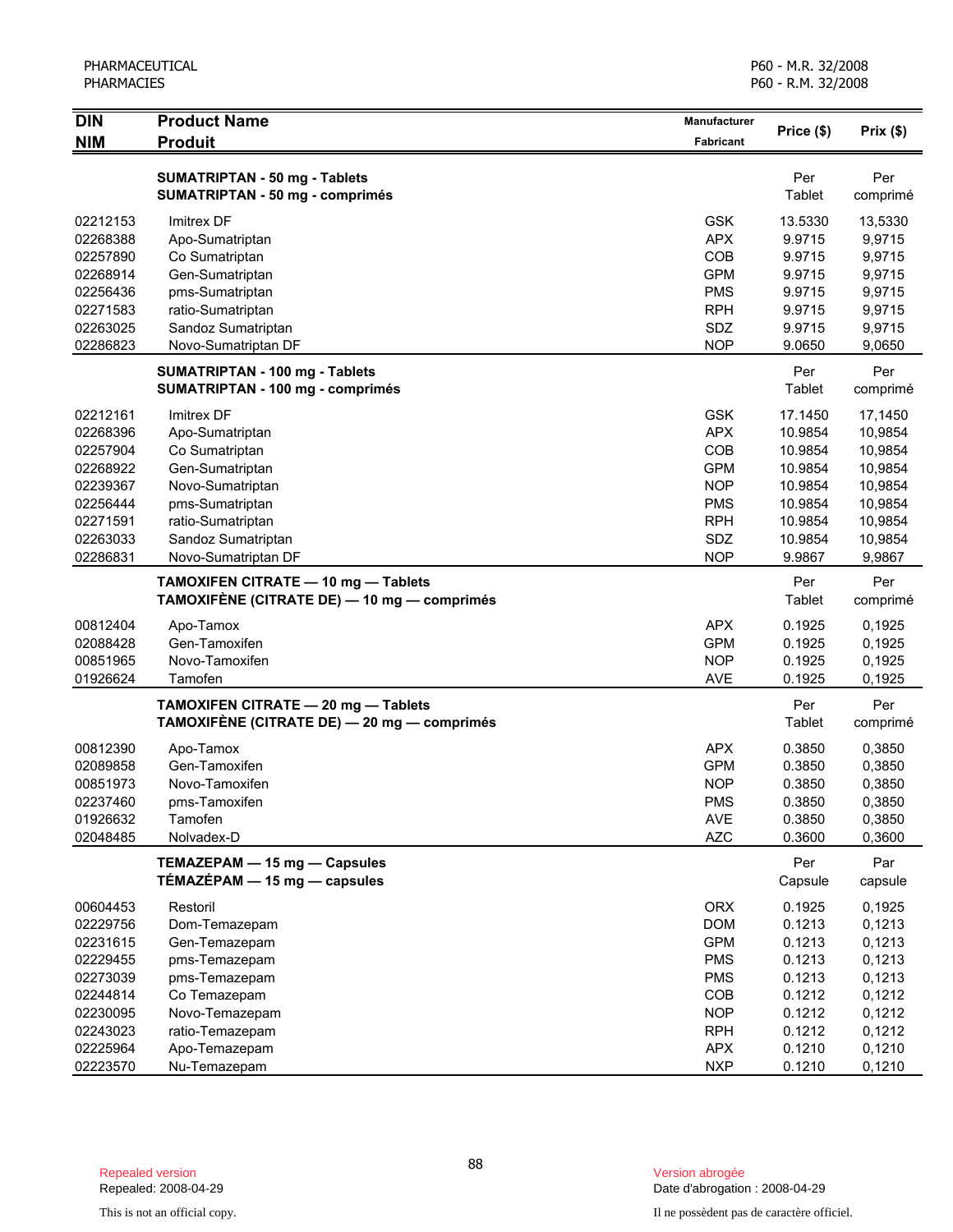| <b>DIN</b> | <b>Product Name</b>                         | <b>Manufacturer</b> | Price (\$) | Prix(\$) |
|------------|---------------------------------------------|---------------------|------------|----------|
| <b>NIM</b> | <b>Produit</b>                              | Fabricant           |            |          |
|            | <b>SUMATRIPTAN - 50 mg - Tablets</b>        |                     | Per        | Per      |
|            | <b>SUMATRIPTAN - 50 mg - comprimés</b>      |                     | Tablet     | comprimé |
| 02212153   | Imitrex DF                                  | <b>GSK</b>          | 13.5330    | 13,5330  |
| 02268388   | Apo-Sumatriptan                             | <b>APX</b>          | 9.9715     | 9,9715   |
| 02257890   | Co Sumatriptan                              | COB                 | 9.9715     | 9,9715   |
| 02268914   | Gen-Sumatriptan                             | <b>GPM</b>          | 9.9715     | 9,9715   |
| 02256436   | pms-Sumatriptan                             | <b>PMS</b>          | 9.9715     | 9,9715   |
| 02271583   | ratio-Sumatriptan                           | <b>RPH</b>          | 9.9715     | 9,9715   |
| 02263025   | Sandoz Sumatriptan                          | SDZ                 | 9.9715     | 9,9715   |
| 02286823   | Novo-Sumatriptan DF                         | <b>NOP</b>          | 9.0650     | 9,0650   |
|            | SUMATRIPTAN - 100 mg - Tablets              |                     | Per        | Per      |
|            | <b>SUMATRIPTAN - 100 mg - comprimés</b>     |                     | Tablet     | comprimé |
| 02212161   | Imitrex DF                                  | <b>GSK</b>          | 17.1450    | 17,1450  |
| 02268396   | Apo-Sumatriptan                             | <b>APX</b>          | 10.9854    | 10,9854  |
| 02257904   | Co Sumatriptan                              | COB                 | 10.9854    | 10,9854  |
| 02268922   | Gen-Sumatriptan                             | <b>GPM</b>          | 10.9854    | 10,9854  |
| 02239367   | Novo-Sumatriptan                            | <b>NOP</b>          | 10.9854    | 10,9854  |
| 02256444   | pms-Sumatriptan                             | <b>PMS</b>          | 10.9854    | 10,9854  |
| 02271591   | ratio-Sumatriptan                           | <b>RPH</b>          | 10.9854    | 10,9854  |
| 02263033   | Sandoz Sumatriptan                          | SDZ                 | 10.9854    | 10,9854  |
| 02286831   | Novo-Sumatriptan DF                         | <b>NOP</b>          | 9.9867     | 9,9867   |
|            | TAMOXIFEN CITRATE - 10 mg - Tablets         |                     | Per        | Per      |
|            | TAMOXIFÈNE (CITRATE DE) — 10 mg — comprimés |                     | Tablet     | comprimé |
| 00812404   | Apo-Tamox                                   | <b>APX</b>          | 0.1925     | 0,1925   |
| 02088428   | Gen-Tamoxifen                               | <b>GPM</b>          | 0.1925     | 0,1925   |
| 00851965   | Novo-Tamoxifen                              | <b>NOP</b>          | 0.1925     | 0,1925   |
| 01926624   | Tamofen                                     | <b>AVE</b>          | 0.1925     | 0,1925   |
|            | TAMOXIFEN CITRATE - 20 mg - Tablets         |                     | Per        | Per      |
|            | TAMOXIFÈNE (CITRATE DE) - 20 mg - comprimés |                     | Tablet     | comprimé |
| 00812390   | Apo-Tamox                                   | <b>APX</b>          | 0.3850     | 0,3850   |
| 02089858   | Gen-Tamoxifen                               | <b>GPM</b>          | 0.3850     | 0,3850   |
| 00851973   | Novo-Tamoxifen                              | <b>NOP</b>          | 0.3850     | 0,3850   |
| 02237460   | pms-Tamoxifen                               | <b>PMS</b>          | 0.3850     | 0,3850   |
| 01926632   | Tamofen                                     | <b>AVE</b>          | 0.3850     | 0,3850   |
| 02048485   | Nolvadex-D                                  | <b>AZC</b>          | 0.3600     | 0,3600   |
|            | TEMAZEPAM - 15 mg - Capsules                |                     | Per        | Par      |
|            | TÉMAZÉPAM $-$ 15 mg $-$ capsules            |                     | Capsule    | capsule  |
| 00604453   | Restoril                                    | <b>ORX</b>          | 0.1925     | 0,1925   |
| 02229756   | Dom-Temazepam                               | <b>DOM</b>          | 0.1213     | 0,1213   |
| 02231615   | Gen-Temazepam                               | <b>GPM</b>          | 0.1213     | 0,1213   |
| 02229455   | pms-Temazepam                               | <b>PMS</b>          | 0.1213     | 0,1213   |
| 02273039   | pms-Temazepam                               | <b>PMS</b>          | 0.1213     | 0,1213   |
| 02244814   | Co Temazepam                                | COB                 | 0.1212     | 0,1212   |
| 02230095   | Novo-Temazepam                              | <b>NOP</b>          | 0.1212     | 0,1212   |
| 02243023   | ratio-Temazepam                             | <b>RPH</b>          | 0.1212     | 0,1212   |
| 02225964   | Apo-Temazepam                               | <b>APX</b>          | 0.1210     | 0,1210   |
| 02223570   | Nu-Temazepam                                | <b>NXP</b>          | 0.1210     | 0,1210   |

Date d'abrogation : 2008-04-29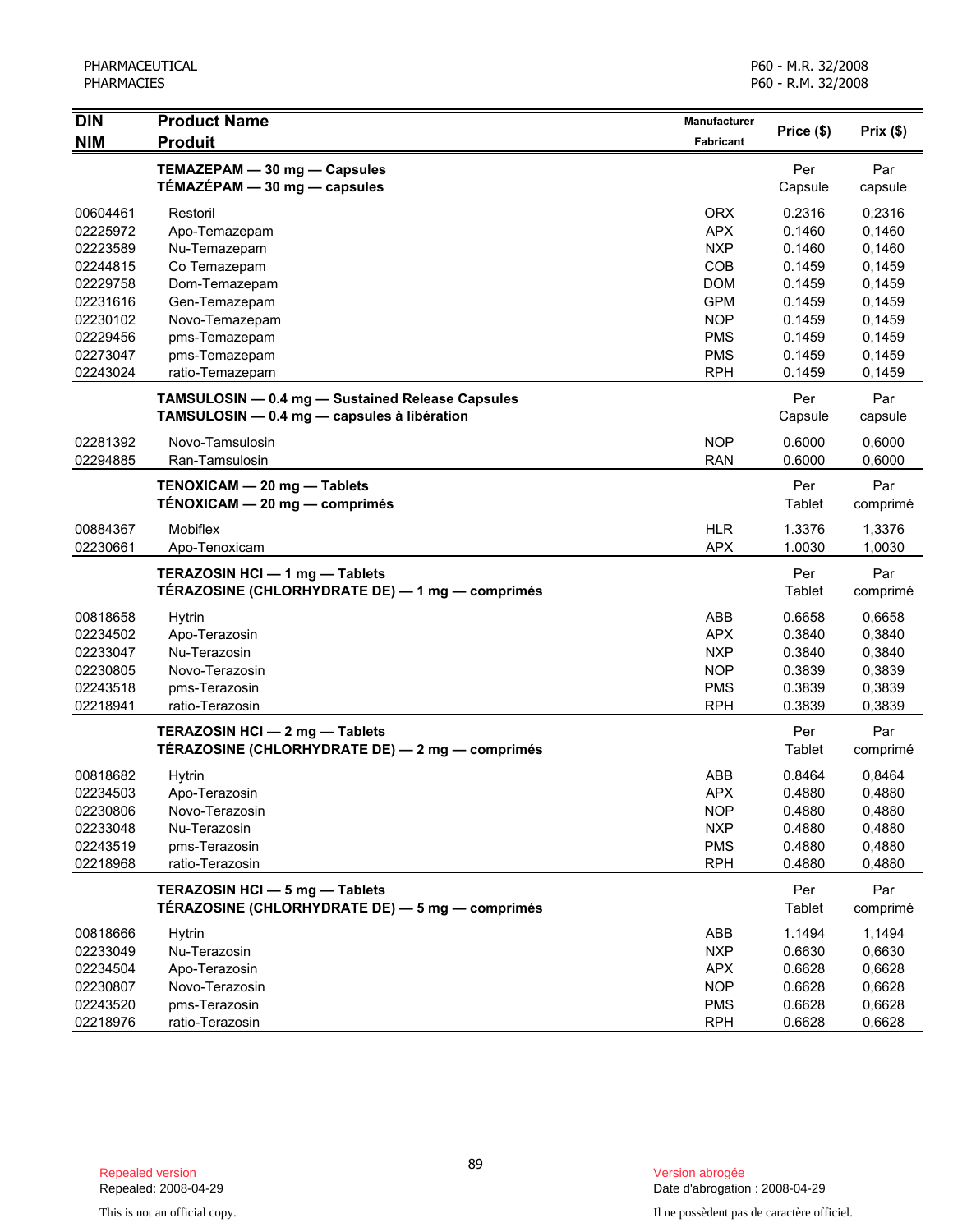| <b>DIN</b> | <b>Product Name</b>                              | Manufacturer |            |          |
|------------|--------------------------------------------------|--------------|------------|----------|
| <b>NIM</b> | <b>Produit</b>                                   | Fabricant    | Price (\$) | Prix(\$) |
|            | TEMAZEPAM - 30 mg - Capsules                     |              | Per        | Par      |
|            | TÉMAZÉPAM - 30 mg - capsules                     |              | Capsule    | capsule  |
| 00604461   | Restoril                                         | <b>ORX</b>   | 0.2316     | 0,2316   |
| 02225972   | Apo-Temazepam                                    | <b>APX</b>   | 0.1460     | 0,1460   |
| 02223589   | Nu-Temazepam                                     | <b>NXP</b>   | 0.1460     | 0,1460   |
| 02244815   | Co Temazepam                                     | COB          | 0.1459     | 0,1459   |
| 02229758   | Dom-Temazepam                                    | <b>DOM</b>   | 0.1459     | 0,1459   |
| 02231616   | Gen-Temazepam                                    | <b>GPM</b>   | 0.1459     | 0,1459   |
| 02230102   | Novo-Temazepam                                   | <b>NOP</b>   | 0.1459     | 0,1459   |
| 02229456   | pms-Temazepam                                    | <b>PMS</b>   | 0.1459     | 0,1459   |
| 02273047   | pms-Temazepam                                    | <b>PMS</b>   | 0.1459     | 0,1459   |
| 02243024   | ratio-Temazepam                                  | <b>RPH</b>   | 0.1459     | 0,1459   |
|            | TAMSULOSIN - 0.4 mg - Sustained Release Capsules |              | Per        | Par      |
|            | TAMSULOSIN - 0.4 mg - capsules à libération      |              | Capsule    | capsule  |
| 02281392   | Novo-Tamsulosin                                  | <b>NOP</b>   | 0.6000     | 0,6000   |
| 02294885   | Ran-Tamsulosin                                   | <b>RAN</b>   | 0.6000     | 0,6000   |
|            | TENOXICAM - 20 mg - Tablets                      |              | Per        | Par      |
|            | TÉNOXICAM — 20 mg — comprimés                    |              | Tablet     | comprimé |
| 00884367   | <b>Mobiflex</b>                                  | <b>HLR</b>   | 1.3376     | 1,3376   |
| 02230661   | Apo-Tenoxicam                                    | <b>APX</b>   | 1.0030     | 1,0030   |
|            | TERAZOSIN HCI - 1 mg - Tablets                   |              | Per        | Par      |
|            | TÉRAZOSINE (CHLORHYDRATE DE) - 1 mg - comprimés  |              | Tablet     | comprimé |
| 00818658   | <b>Hytrin</b>                                    | ABB          | 0.6658     | 0,6658   |
| 02234502   | Apo-Terazosin                                    | <b>APX</b>   | 0.3840     | 0,3840   |
| 02233047   | Nu-Terazosin                                     | <b>NXP</b>   | 0.3840     | 0,3840   |
| 02230805   | Novo-Terazosin                                   | <b>NOP</b>   | 0.3839     | 0,3839   |
| 02243518   | pms-Terazosin                                    | <b>PMS</b>   | 0.3839     | 0,3839   |
| 02218941   | ratio-Terazosin                                  | <b>RPH</b>   | 0.3839     | 0,3839   |
|            | TERAZOSIN HCI - 2 mg - Tablets                   |              | Per        | Par      |
|            | TÉRAZOSINE (CHLORHYDRATE DE) - 2 mg - comprimés  |              | Tablet     | comprimé |
| 00818682   | Hytrin                                           | ABB          | 0.8464     | 0,8464   |
| 02234503   | Apo-Terazosin                                    | <b>APX</b>   | 0.4880     | 0,4880   |
| 02230806   | Novo-Terazosin                                   | NOP          | 0.4880     | 0,4880   |
| 02233048   | Nu-Terazosin                                     | <b>NXP</b>   | 0.4880     | 0,4880   |
| 02243519   | pms-Terazosin                                    | <b>PMS</b>   | 0.4880     | 0,4880   |
| 02218968   | ratio-Terazosin                                  | <b>RPH</b>   | 0.4880     | 0,4880   |
|            | TERAZOSIN HCI - 5 mg - Tablets                   |              | Per        | Par      |
|            | TÉRAZOSINE (CHLORHYDRATE DE) - 5 mg - comprimés  |              | Tablet     | comprimé |
| 00818666   | <b>Hytrin</b>                                    | ABB          | 1.1494     | 1,1494   |
| 02233049   | Nu-Terazosin                                     | <b>NXP</b>   | 0.6630     | 0,6630   |
| 02234504   | Apo-Terazosin                                    | <b>APX</b>   | 0.6628     | 0,6628   |
| 02230807   | Novo-Terazosin                                   | <b>NOP</b>   | 0.6628     | 0,6628   |
| 02243520   | pms-Terazosin                                    | <b>PMS</b>   | 0.6628     | 0,6628   |
| 02218976   | ratio-Terazosin                                  | <b>RPH</b>   | 0.6628     | 0,6628   |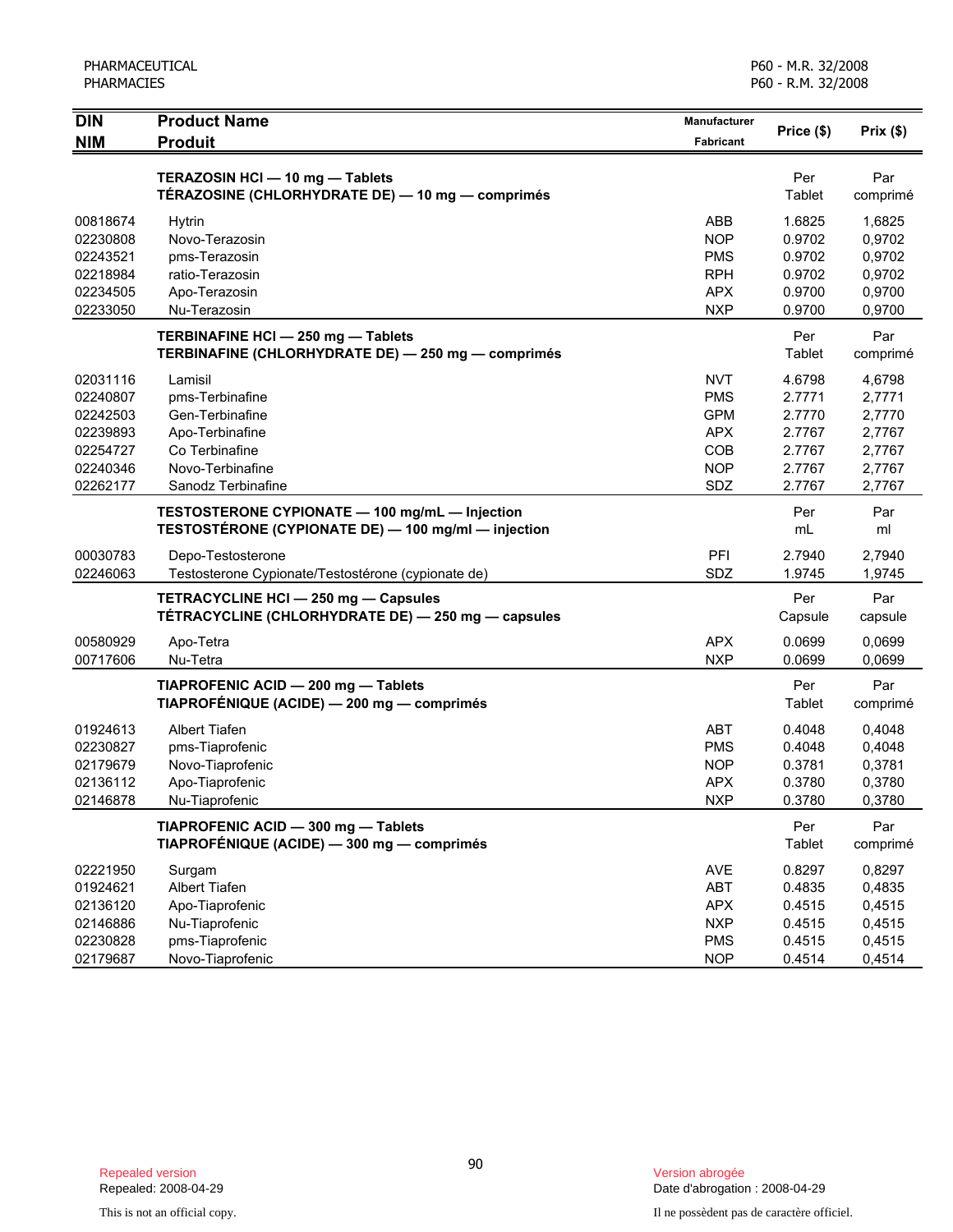| <b>DIN</b> | <b>Product Name</b>                                 | <b>Manufacturer</b> | Price (\$) | Prix (\$) |
|------------|-----------------------------------------------------|---------------------|------------|-----------|
| <b>NIM</b> | <b>Produit</b>                                      | <b>Fabricant</b>    |            |           |
|            | TERAZOSIN HCI - 10 mg - Tablets                     |                     | Per        | Par       |
|            | TÉRAZOSINE (CHLORHYDRATE DE) — 10 mg — comprimés    |                     | Tablet     | comprimé  |
| 00818674   | Hytrin                                              | ABB                 | 1.6825     | 1,6825    |
| 02230808   | Novo-Terazosin                                      | <b>NOP</b>          | 0.9702     | 0,9702    |
| 02243521   | pms-Terazosin                                       | <b>PMS</b>          | 0.9702     | 0,9702    |
| 02218984   | ratio-Terazosin                                     | <b>RPH</b>          | 0.9702     | 0,9702    |
| 02234505   | Apo-Terazosin                                       | <b>APX</b>          | 0.9700     | 0,9700    |
| 02233050   | Nu-Terazosin                                        | <b>NXP</b>          | 0.9700     | 0,9700    |
|            | TERBINAFINE HCI - 250 mg - Tablets                  |                     | Per        | Par       |
|            | TERBINAFINE (CHLORHYDRATE DE) - 250 mg - comprimés  |                     | Tablet     | comprimé  |
| 02031116   | Lamisil                                             | <b>NVT</b>          | 4.6798     | 4,6798    |
| 02240807   | pms-Terbinafine                                     | <b>PMS</b>          | 2.7771     | 2,7771    |
| 02242503   | Gen-Terbinafine                                     | <b>GPM</b>          | 2.7770     | 2,7770    |
| 02239893   | Apo-Terbinafine                                     | <b>APX</b>          | 2.7767     | 2,7767    |
| 02254727   | Co Terbinafine                                      | COB                 | 2.7767     | 2,7767    |
| 02240346   | Novo-Terbinafine                                    | <b>NOP</b>          | 2.7767     | 2,7767    |
| 02262177   | Sanodz Terbinafine                                  | SDZ                 | 2.7767     | 2,7767    |
|            | TESTOSTERONE CYPIONATE - 100 mg/mL - Injection      |                     | Per        | Par       |
|            | TESTOSTÉRONE (CYPIONATE DE) - 100 mg/ml - injection |                     | mL         | ml        |
| 00030783   | Depo-Testosterone                                   | PFI                 | 2.7940     | 2,7940    |
| 02246063   | Testosterone Cypionate/Testostérone (cypionate de)  | SDZ                 | 1.9745     | 1,9745    |
|            | TETRACYCLINE HCI - 250 mg - Capsules                |                     | Per        | Par       |
|            | TÉTRACYCLINE (CHLORHYDRATE DE) - 250 mg - capsules  |                     | Capsule    | capsule   |
| 00580929   | Apo-Tetra                                           | <b>APX</b>          | 0.0699     | 0,0699    |
| 00717606   | Nu-Tetra                                            | <b>NXP</b>          | 0.0699     | 0,0699    |
|            | TIAPROFENIC ACID - 200 mg - Tablets                 |                     | Per        | Par       |
|            | TIAPROFÉNIQUE (ACIDE) - 200 mg - comprimés          |                     | Tablet     | comprimé  |
| 01924613   | <b>Albert Tiafen</b>                                | <b>ABT</b>          | 0.4048     | 0,4048    |
| 02230827   | pms-Tiaprofenic                                     | <b>PMS</b>          | 0.4048     | 0,4048    |
| 02179679   | Novo-Tiaprofenic                                    | <b>NOP</b>          | 0.3781     | 0,3781    |
| 02136112   | Apo-Tiaprofenic                                     | <b>APX</b>          | 0.3780     | 0,3780    |
| 02146878   | Nu-Tiaprofenic                                      | <b>NXP</b>          | 0.3780     | 0,3780    |
|            | TIAPROFENIC ACID - 300 mg - Tablets                 |                     | Per        | Par       |
|            | TIAPROFÉNIQUE (ACIDE) - 300 mg - comprimés          |                     | Tablet     | comprimé  |
| 02221950   | Surgam                                              | AVE                 | 0.8297     | 0,8297    |
| 01924621   | Albert Tiafen                                       | <b>ABT</b>          | 0.4835     | 0,4835    |
| 02136120   | Apo-Tiaprofenic                                     | <b>APX</b>          | 0.4515     | 0,4515    |
| 02146886   | Nu-Tiaprofenic                                      | <b>NXP</b>          | 0.4515     | 0,4515    |
| 02230828   | pms-Tiaprofenic                                     | <b>PMS</b>          | 0.4515     | 0,4515    |
| 02179687   | Novo-Tiaprofenic                                    | <b>NOP</b>          | 0.4514     | 0,4514    |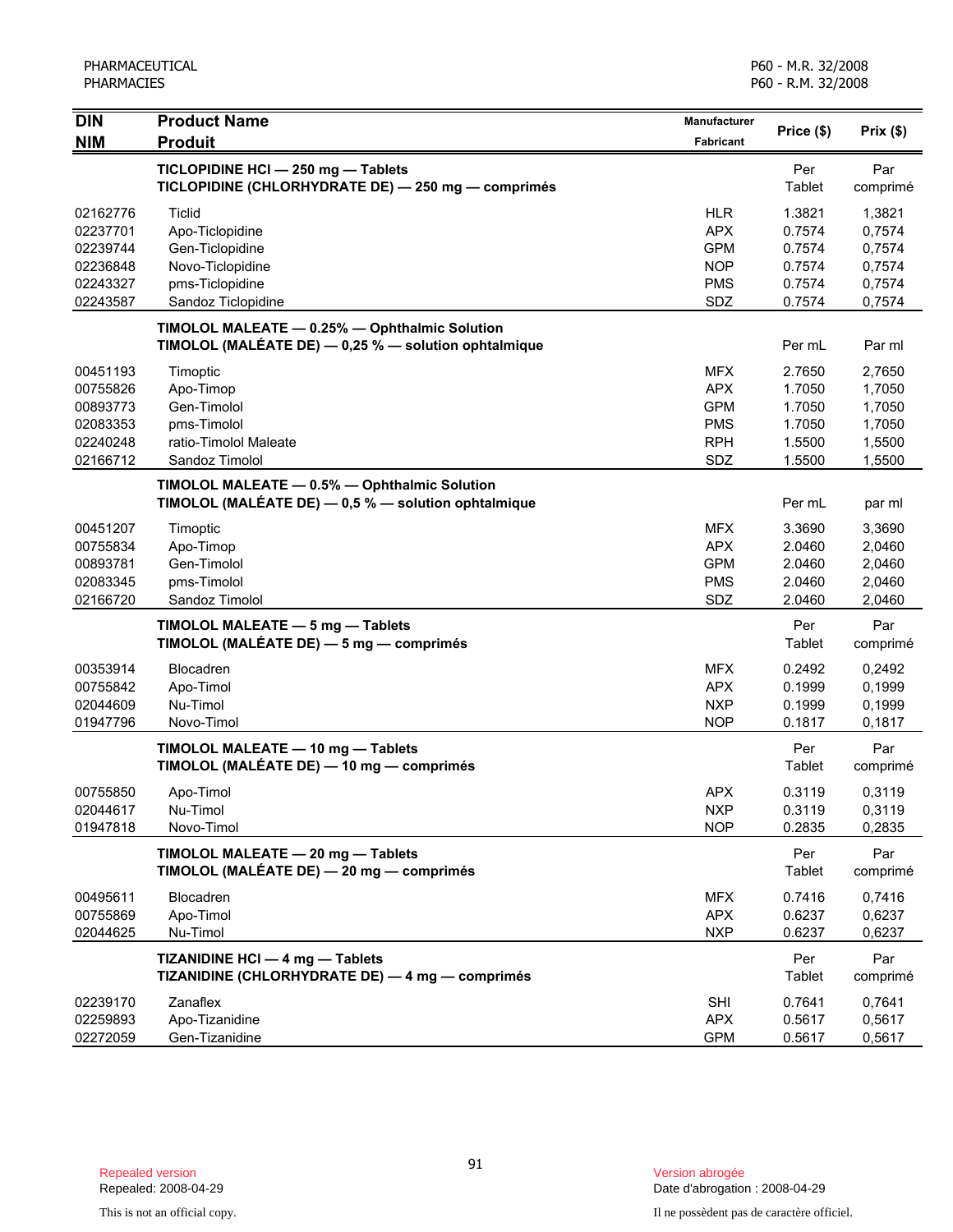| <b>DIN</b> | <b>Product Name</b>                                     | Manufacturer     |            |          |
|------------|---------------------------------------------------------|------------------|------------|----------|
| <b>NIM</b> | <b>Produit</b>                                          | <b>Fabricant</b> | Price (\$) | Prix(\$) |
|            | TICLOPIDINE HCI - 250 mg - Tablets                      |                  | Per        | Par      |
|            | TICLOPIDINE (CHLORHYDRATE DE) - 250 mg - comprimés      |                  | Tablet     | comprimé |
| 02162776   | <b>Ticlid</b>                                           | <b>HLR</b>       | 1.3821     | 1,3821   |
| 02237701   | Apo-Ticlopidine                                         | <b>APX</b>       | 0.7574     | 0,7574   |
| 02239744   | Gen-Ticlopidine                                         | <b>GPM</b>       | 0.7574     | 0,7574   |
| 02236848   | Novo-Ticlopidine                                        | <b>NOP</b>       | 0.7574     | 0,7574   |
| 02243327   | pms-Ticlopidine                                         | <b>PMS</b>       | 0.7574     | 0,7574   |
| 02243587   | Sandoz Ticlopidine                                      | SDZ              | 0.7574     | 0,7574   |
|            | TIMOLOL MALEATE - 0.25% - Ophthalmic Solution           |                  |            |          |
|            | TIMOLOL (MALÉATE DE) - 0,25 % - solution ophtalmique    |                  | Per mL     | Par ml   |
| 00451193   | Timoptic                                                | <b>MFX</b>       | 2.7650     | 2,7650   |
| 00755826   | Apo-Timop                                               | <b>APX</b>       | 1.7050     | 1,7050   |
| 00893773   | Gen-Timolol                                             | <b>GPM</b>       | 1.7050     | 1,7050   |
| 02083353   | pms-Timolol                                             | <b>PMS</b>       | 1.7050     | 1,7050   |
| 02240248   | ratio-Timolol Maleate                                   | <b>RPH</b>       | 1.5500     | 1,5500   |
| 02166712   | Sandoz Timolol                                          | SDZ              | 1.5500     | 1,5500   |
|            | TIMOLOL MALEATE - 0.5% - Ophthalmic Solution            |                  |            |          |
|            | TIMOLOL (MALÉATE DE) $-$ 0,5 % $-$ solution ophtalmique |                  | Per mL     | par ml   |
| 00451207   | Timoptic                                                | <b>MFX</b>       | 3.3690     | 3,3690   |
| 00755834   | Apo-Timop                                               | <b>APX</b>       | 2.0460     | 2,0460   |
| 00893781   | Gen-Timolol                                             | <b>GPM</b>       | 2.0460     | 2,0460   |
| 02083345   | pms-Timolol                                             | <b>PMS</b>       | 2.0460     | 2,0460   |
| 02166720   | Sandoz Timolol                                          | SDZ              | 2.0460     | 2,0460   |
|            | TIMOLOL MALEATE - 5 mg - Tablets                        |                  | Per        | Par      |
|            | TIMOLOL (MALÉATE DE) - 5 mg - comprimés                 |                  | Tablet     | comprimé |
| 00353914   | Blocadren                                               | <b>MFX</b>       | 0.2492     | 0,2492   |
| 00755842   | Apo-Timol                                               | <b>APX</b>       | 0.1999     | 0,1999   |
| 02044609   | Nu-Timol                                                | <b>NXP</b>       | 0.1999     | 0,1999   |
| 01947796   | Novo-Timol                                              | <b>NOP</b>       | 0.1817     | 0,1817   |
|            | TIMOLOL MALEATE - 10 mg - Tablets                       |                  | Per        | Par      |
|            | TIMOLOL (MALÉATE DE) - 10 mg - comprimés                |                  | Tablet     | comprimé |
| 00755850   | Apo-Timol                                               | <b>APX</b>       | 0.3119     | 0,3119   |
| 02044617   | Nu-Timol                                                | <b>NXP</b>       | 0.3119     | 0,3119   |
| 01947818   | Novo-Timol                                              | <b>NOP</b>       | 0.2835     | 0,2835   |
|            | TIMOLOL MALEATE - 20 mg - Tablets                       |                  | Per        | Par      |
|            | TIMOLOL (MALÉATE DE) - 20 mg - comprimés                |                  | Tablet     | comprimé |
| 00495611   | Blocadren                                               | <b>MFX</b>       | 0.7416     | 0,7416   |
| 00755869   | Apo-Timol                                               | <b>APX</b>       | 0.6237     | 0,6237   |
| 02044625   | Nu-Timol                                                | <b>NXP</b>       | 0.6237     | 0,6237   |
|            | TIZANIDINE HCI - 4 mg - Tablets                         |                  | Per        | Par      |
|            | TIZANIDINE (CHLORHYDRATE DE) - 4 mg - comprimés         |                  | Tablet     | comprimé |
| 02239170   | Zanaflex                                                | SHI              | 0.7641     | 0,7641   |
| 02259893   | Apo-Tizanidine                                          | <b>APX</b>       | 0.5617     | 0,5617   |
| 02272059   | Gen-Tizanidine                                          | <b>GPM</b>       | 0.5617     | 0,5617   |

Date d'abrogation : 2008-04-29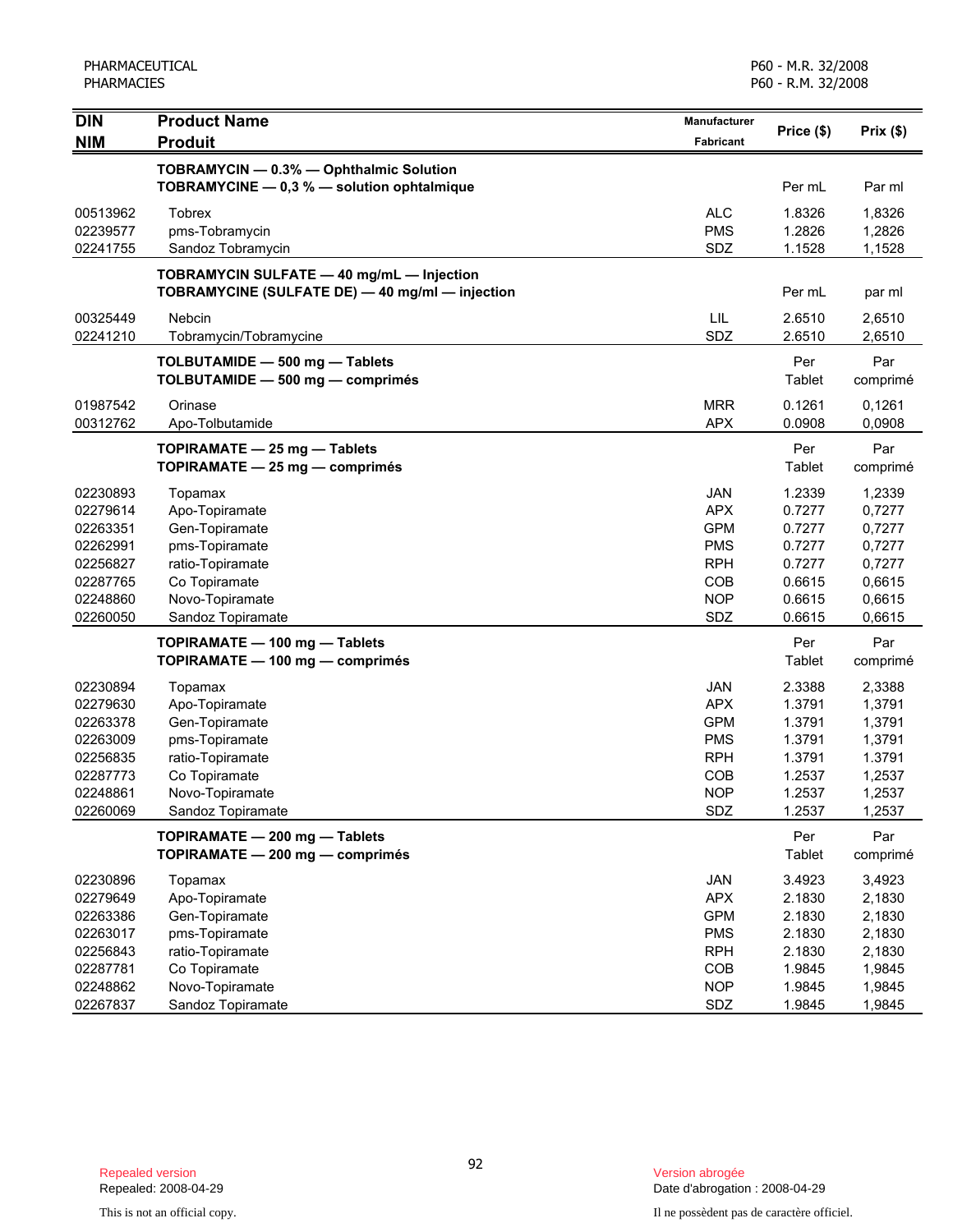| <b>DIN</b>           | <b>Product Name</b>                                                                          | Manufacturer | Price (\$)       | Prix(\$)         |
|----------------------|----------------------------------------------------------------------------------------------|--------------|------------------|------------------|
| <b>NIM</b>           | <b>Produit</b>                                                                               | Fabricant    |                  |                  |
|                      | TOBRAMYCIN - 0.3% - Ophthalmic Solution<br>TOBRAMYCINE - 0,3 % - solution ophtalmique        |              | Per mL           | Par ml           |
| 00513962             | <b>Tobrex</b>                                                                                | <b>ALC</b>   | 1.8326           | 1,8326           |
| 02239577             | pms-Tobramycin                                                                               | <b>PMS</b>   | 1.2826           | 1,2826           |
| 02241755             | Sandoz Tobramycin                                                                            | SDZ          | 1.1528           | 1,1528           |
|                      | TOBRAMYCIN SULFATE - 40 mg/mL - Injection<br>TOBRAMYCINE (SULFATE DE) - 40 mg/ml - injection |              | Per mL           | par ml           |
| 00325449<br>02241210 | Nebcin<br>Tobramycin/Tobramycine                                                             | LIL<br>SDZ   | 2.6510<br>2.6510 | 2,6510<br>2,6510 |
|                      | TOLBUTAMIDE - 500 mg - Tablets<br>TOLBUTAMIDE - 500 mg - comprimés                           |              | Per<br>Tablet    | Par<br>comprimé  |
| 01987542             | Orinase                                                                                      | <b>MRR</b>   | 0.1261           | 0,1261           |
| 00312762             | Apo-Tolbutamide                                                                              | <b>APX</b>   | 0.0908           | 0,0908           |
|                      | TOPIRAMATE - 25 mg - Tablets<br>TOPIRAMATE - 25 mg - comprimés                               |              | Per<br>Tablet    | Par<br>comprimé  |
| 02230893             | Topamax                                                                                      | <b>JAN</b>   | 1.2339           | 1,2339           |
| 02279614             | Apo-Topiramate                                                                               | <b>APX</b>   | 0.7277           | 0,7277           |
| 02263351             | Gen-Topiramate                                                                               | <b>GPM</b>   | 0.7277           | 0,7277           |
| 02262991             | pms-Topiramate                                                                               | <b>PMS</b>   | 0.7277           | 0,7277           |
| 02256827             | ratio-Topiramate                                                                             | <b>RPH</b>   | 0.7277           | 0,7277           |
| 02287765             | Co Topiramate                                                                                | <b>COB</b>   | 0.6615           | 0,6615           |
| 02248860             | Novo-Topiramate                                                                              | <b>NOP</b>   | 0.6615           | 0,6615           |
| 02260050             | Sandoz Topiramate                                                                            | SDZ          | 0.6615           | 0,6615           |
|                      | TOPIRAMATE - 100 mg - Tablets<br>TOPIRAMATE - 100 mg - comprimés                             |              | Per<br>Tablet    | Par<br>comprimé  |
| 02230894             | Topamax                                                                                      | <b>JAN</b>   | 2.3388           | 2,3388           |
| 02279630             | Apo-Topiramate                                                                               | <b>APX</b>   | 1.3791           | 1,3791           |
| 02263378             | Gen-Topiramate                                                                               | <b>GPM</b>   | 1.3791           | 1,3791           |
| 02263009             | pms-Topiramate                                                                               | <b>PMS</b>   | 1.3791           | 1,3791           |
| 02256835             | ratio-Topiramate                                                                             | <b>RPH</b>   | 1.3791           | 1.3791           |
| 02287773             | Co Topiramate                                                                                | <b>COB</b>   | 1.2537           | 1,2537           |
| 02248861             | Novo-Topiramate                                                                              | <b>NOP</b>   | 1.2537           | 1,2537           |
| 02260069             | Sandoz Topiramate                                                                            | SDZ          | 1.2537           | 1,2537           |
|                      | TOPIRAMATE - 200 mg - Tablets<br>TOPIRAMATE - 200 mg - comprimés                             |              | Per<br>Tablet    | Par<br>comprimé  |
| 02230896             | Topamax                                                                                      | JAN          | 3.4923           | 3,4923           |
| 02279649             | Apo-Topiramate                                                                               | <b>APX</b>   | 2.1830           | 2,1830           |
| 02263386             | Gen-Topiramate                                                                               | <b>GPM</b>   | 2.1830           | 2,1830           |
| 02263017             | pms-Topiramate                                                                               | <b>PMS</b>   | 2.1830           | 2,1830           |
| 02256843             | ratio-Topiramate                                                                             | <b>RPH</b>   | 2.1830           | 2,1830           |
| 02287781             | Co Topiramate                                                                                | COB          | 1.9845           | 1,9845           |
| 02248862             | Novo-Topiramate                                                                              | <b>NOP</b>   | 1.9845           | 1,9845           |
| 02267837             | Sandoz Topiramate                                                                            | SDZ          | 1.9845           | 1,9845           |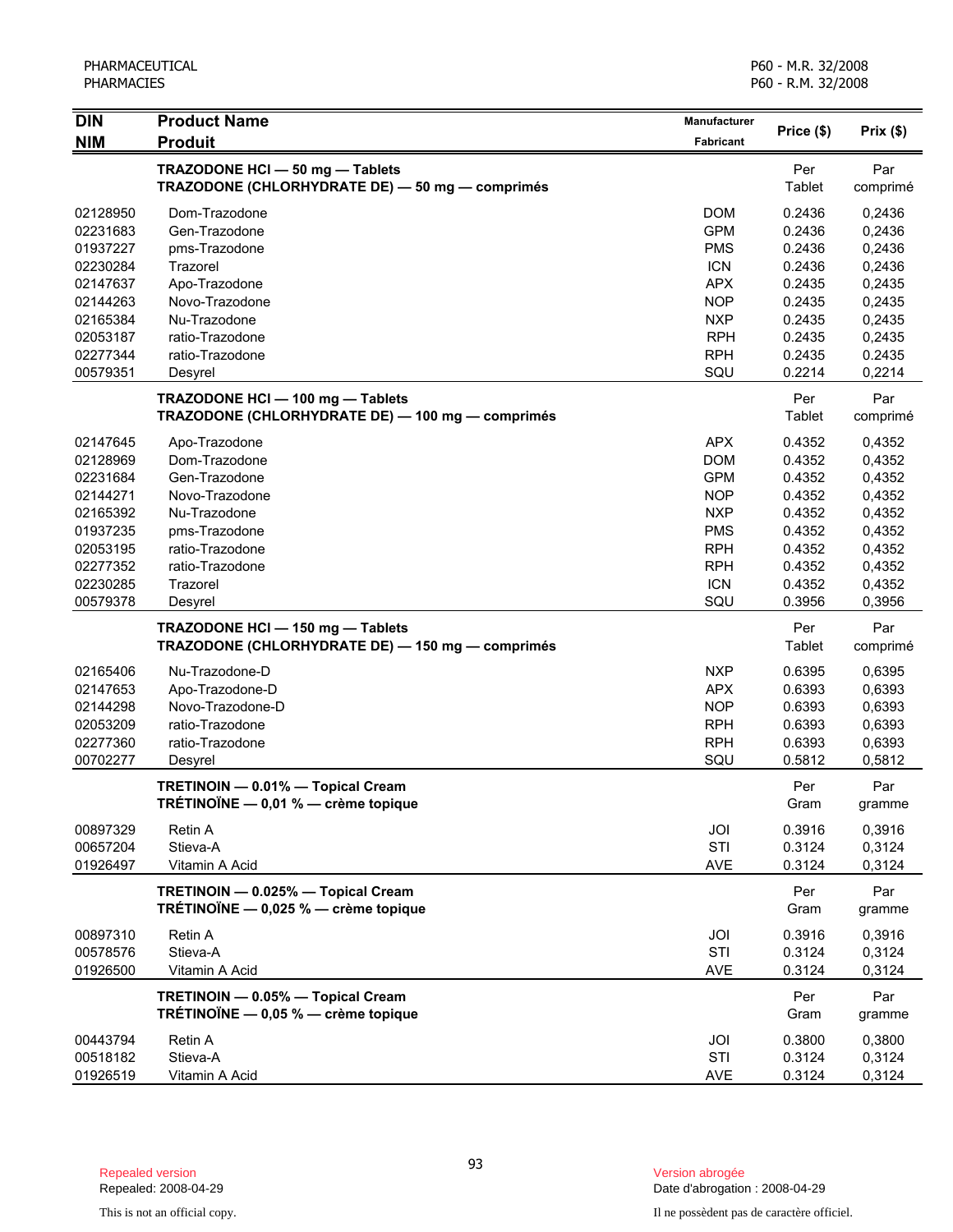| <b>DIN</b> | <b>Product Name</b>                              | Manufacturer |            |          |
|------------|--------------------------------------------------|--------------|------------|----------|
| <b>NIM</b> | <b>Produit</b>                                   | Fabricant    | Price (\$) | Prix(\$) |
|            | TRAZODONE HCI - 50 mg - Tablets                  |              | Per        | Par      |
|            | TRAZODONE (CHLORHYDRATE DE) - 50 mg - comprimés  |              | Tablet     | comprimé |
| 02128950   | Dom-Trazodone                                    | <b>DOM</b>   | 0.2436     | 0,2436   |
| 02231683   | Gen-Trazodone                                    | <b>GPM</b>   | 0.2436     | 0,2436   |
| 01937227   | pms-Trazodone                                    | <b>PMS</b>   | 0.2436     | 0,2436   |
| 02230284   | Trazorel                                         | <b>ICN</b>   | 0.2436     | 0,2436   |
| 02147637   | Apo-Trazodone                                    | <b>APX</b>   | 0.2435     | 0,2435   |
| 02144263   | Novo-Trazodone                                   | <b>NOP</b>   | 0.2435     | 0,2435   |
| 02165384   | Nu-Trazodone                                     | <b>NXP</b>   | 0.2435     | 0,2435   |
| 02053187   | ratio-Trazodone                                  | <b>RPH</b>   | 0.2435     | 0,2435   |
| 02277344   | ratio-Trazodone                                  | <b>RPH</b>   | 0.2435     | 0.2435   |
| 00579351   | Desyrel                                          | SQU          | 0.2214     | 0,2214   |
|            | TRAZODONE HCI - 100 mg - Tablets                 |              | Per        | Par      |
|            | TRAZODONE (CHLORHYDRATE DE) - 100 mg - comprimés |              | Tablet     | comprimé |
| 02147645   | Apo-Trazodone                                    | <b>APX</b>   | 0.4352     | 0,4352   |
| 02128969   | Dom-Trazodone                                    | <b>DOM</b>   | 0.4352     | 0,4352   |
| 02231684   | Gen-Trazodone                                    | <b>GPM</b>   | 0.4352     | 0,4352   |
| 02144271   | Novo-Trazodone                                   | <b>NOP</b>   | 0.4352     | 0,4352   |
| 02165392   | Nu-Trazodone                                     | <b>NXP</b>   | 0.4352     | 0,4352   |
| 01937235   | pms-Trazodone                                    | <b>PMS</b>   | 0.4352     | 0,4352   |
| 02053195   | ratio-Trazodone                                  | <b>RPH</b>   | 0.4352     | 0,4352   |
| 02277352   | ratio-Trazodone                                  | <b>RPH</b>   | 0.4352     | 0,4352   |
| 02230285   | Trazorel                                         | <b>ICN</b>   | 0.4352     | 0,4352   |
| 00579378   | Desyrel                                          | SQU          | 0.3956     | 0,3956   |
|            | TRAZODONE HCI - 150 mg - Tablets                 |              | Per        | Par      |
|            | TRAZODONE (CHLORHYDRATE DE) - 150 mg - comprimés |              | Tablet     | comprimé |
| 02165406   | Nu-Trazodone-D                                   | <b>NXP</b>   | 0.6395     | 0,6395   |
| 02147653   | Apo-Trazodone-D                                  | <b>APX</b>   | 0.6393     | 0,6393   |
| 02144298   | Novo-Trazodone-D                                 | <b>NOP</b>   | 0.6393     | 0,6393   |
| 02053209   | ratio-Trazodone                                  | <b>RPH</b>   | 0.6393     | 0,6393   |
| 02277360   | ratio-Trazodone                                  | <b>RPH</b>   | 0.6393     | 0,6393   |
| 00702277   | Desyrel                                          | SQU          | 0.5812     | 0,5812   |
|            | TRETINOIN - 0.01% - Topical Cream                |              | Per        | Par      |
|            | TRÉTINOÏNE - 0,01 % - crème topique              |              | Gram       | gramme   |
| 00897329   | Retin A                                          | JOI          | 0.3916     | 0,3916   |
| 00657204   | Stieva-A                                         | STI          | 0.3124     | 0,3124   |
| 01926497   | Vitamin A Acid                                   | AVE          | 0.3124     | 0,3124   |
|            | TRETINOIN - 0.025% - Topical Cream               |              | Per        | Par      |
|            | TRÉTINOÏNE - 0,025 % - crème topique             |              | Gram       | gramme   |
| 00897310   | Retin A                                          | JOI          | 0.3916     | 0,3916   |
| 00578576   | Stieva-A                                         | STI          | 0.3124     | 0,3124   |
| 01926500   | Vitamin A Acid                                   | <b>AVE</b>   | 0.3124     | 0,3124   |
|            | TRETINOIN - 0.05% - Topical Cream                |              | Per        | Par      |
|            | TRÉTINOÏNE $-$ 0,05 % $-$ crème topique          |              | Gram       | gramme   |
| 00443794   | Retin A                                          | JOI          | 0.3800     | 0,3800   |
| 00518182   | Stieva-A                                         | STI          | 0.3124     | 0,3124   |
| 01926519   | Vitamin A Acid                                   | <b>AVE</b>   | 0.3124     | 0,3124   |

Date d'abrogation : 2008-04-29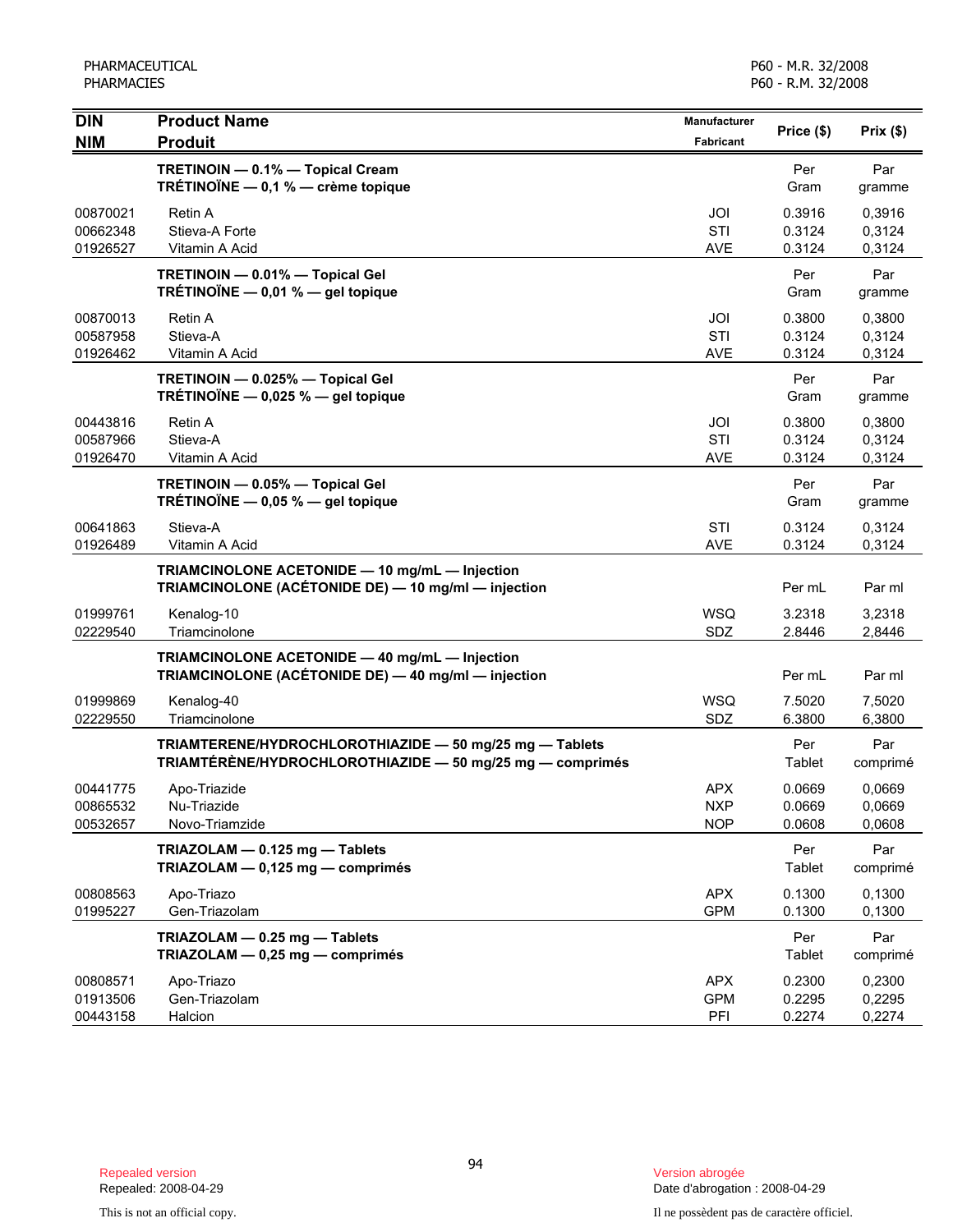| <b>DIN</b>                       | <b>Product Name</b>                                                                                                  | Manufacturer             | Price (\$)                 | Prix(\$)                   |
|----------------------------------|----------------------------------------------------------------------------------------------------------------------|--------------------------|----------------------------|----------------------------|
| <b>NIM</b>                       | <b>Produit</b>                                                                                                       | <b>Fabricant</b>         |                            |                            |
|                                  | TRETINOIN - 0.1% - Topical Cream<br>TRÉTINOÏNE - 0,1 % - crème topique                                               |                          | Per<br>Gram                | Par<br>gramme              |
| 00870021<br>00662348             | Retin A<br>Stieva-A Forte                                                                                            | JOI<br>STI               | 0.3916<br>0.3124           | 0.3916<br>0,3124           |
| 01926527                         | Vitamin A Acid                                                                                                       | <b>AVE</b>               | 0.3124                     | 0,3124                     |
|                                  | TRETINOIN - 0.01% - Topical Gel<br>TRÉTINOÏNE $-$ 0,01 % $-$ gel topique                                             |                          | Per<br>Gram                | Par<br>gramme              |
| 00870013<br>00587958             | Retin A<br>Stieva-A                                                                                                  | JOI<br>STI               | 0.3800<br>0.3124           | 0,3800<br>0,3124           |
| 01926462                         | Vitamin A Acid                                                                                                       | <b>AVE</b>               | 0.3124                     | 0,3124                     |
|                                  | TRETINOIN - 0.025% - Topical Gel<br>TRÉTINOÏNE $-$ 0,025 % $-$ gel topique                                           |                          | Per<br>Gram                | Par<br>gramme              |
| 00443816                         | Retin A                                                                                                              | JOI                      | 0.3800                     | 0,3800                     |
| 00587966                         | Stieva-A                                                                                                             | STI                      | 0.3124                     | 0,3124                     |
| 01926470                         | Vitamin A Acid                                                                                                       | <b>AVE</b>               | 0.3124                     | 0,3124                     |
|                                  | TRETINOIN - 0.05% - Topical Gel<br>TRÉTINOÏNE $-$ 0,05 % $-$ gel topique                                             |                          | Per<br>Gram                | Par<br>gramme              |
| 00641863                         | Stieva-A                                                                                                             | STI                      | 0.3124                     | 0,3124                     |
| 01926489                         | Vitamin A Acid                                                                                                       | <b>AVE</b>               | 0.3124                     | 0,3124                     |
|                                  | TRIAMCINOLONE ACETONIDE - 10 mg/mL - Injection<br>TRIAMCINOLONE (ACÉTONIDE DE) - 10 mg/ml - injection                |                          | Per mL                     | Par ml                     |
| 01999761<br>02229540             | Kenalog-10<br>Triamcinolone                                                                                          | <b>WSQ</b><br>SDZ        | 3.2318<br>2.8446           | 3,2318<br>2,8446           |
|                                  | TRIAMCINOLONE ACETONIDE - 40 mg/mL - Injection<br>TRIAMCINOLONE (ACÉTONIDE DE) - 40 mg/ml - injection                |                          |                            |                            |
|                                  |                                                                                                                      |                          | Per mL                     | Par ml                     |
| 01999869<br>02229550             | Kenalog-40<br>Triamcinolone                                                                                          | <b>WSQ</b><br>SDZ        | 7.5020<br>6.3800           | 7,5020<br>6,3800           |
|                                  | TRIAMTERENE/HYDROCHLOROTHIAZIDE - 50 mg/25 mg - Tablets<br>TRIAMTÉRÉNE/HYDROCHLOROTHIAZIDE - 50 mg/25 mg - comprimés |                          | Per<br>Tablet              | Par<br>comprimé            |
| 00441775                         | Apo-Triazide                                                                                                         | <b>APX</b>               | 0.0669                     | 0,0669                     |
| 00865532<br>00532657             | Nu-Triazide<br>Novo-Triamzide                                                                                        | <b>NXP</b><br><b>NOP</b> | 0.0669<br>0.0608           | 0,0669<br>0,0608           |
|                                  | TRIAZOLAM - 0.125 mg - Tablets<br>TRIAZOLAM - 0,125 mg - comprimés                                                   |                          | Per<br>Tablet              | Par<br>comprimé            |
| 00808563<br>01995227             | Apo-Triazo<br>Gen-Triazolam                                                                                          | <b>APX</b><br><b>GPM</b> | 0.1300<br>0.1300           | 0,1300<br>0,1300           |
|                                  | TRIAZOLAM - 0.25 mg - Tablets<br>TRIAZOLAM - 0,25 mg - comprimés                                                     |                          | Per<br>Tablet              | Par<br>comprimé            |
| 00808571<br>01913506<br>00443158 | Apo-Triazo<br>Gen-Triazolam<br>Halcion                                                                               | APX<br><b>GPM</b><br>PFI | 0.2300<br>0.2295<br>0.2274 | 0,2300<br>0,2295<br>0,2274 |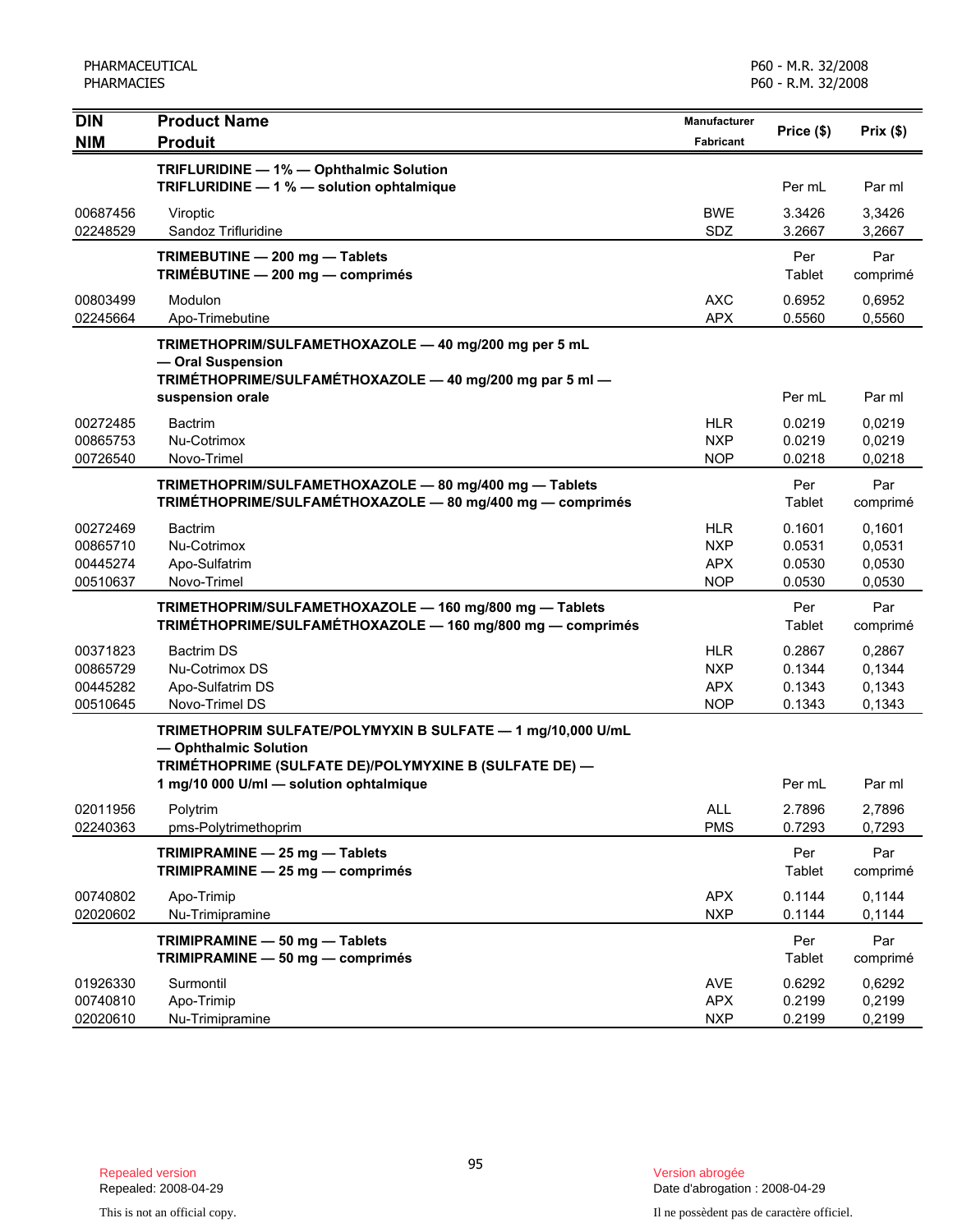| <b>DIN</b>           | <b>Product Name</b>                                                                  | Manufacturer             | Price (\$)       | Prix(\$)         |
|----------------------|--------------------------------------------------------------------------------------|--------------------------|------------------|------------------|
| <b>NIM</b>           | <b>Produit</b>                                                                       | Fabricant                |                  |                  |
|                      | TRIFLURIDINE - 1% - Ophthalmic Solution                                              |                          |                  |                  |
|                      | TRIFLURIDINE - 1 % - solution ophtalmique                                            |                          | Per mL           | Par ml           |
| 00687456             | Viroptic                                                                             | <b>BWE</b>               | 3.3426           | 3,3426           |
| 02248529             | Sandoz Trifluridine                                                                  | SDZ                      | 3.2667           | 3,2667           |
|                      | TRIMEBUTINE - 200 mg - Tablets                                                       |                          | Per              | Par              |
|                      | TRIMÉBUTINE - 200 mg - comprimés                                                     |                          | Tablet           | comprimé         |
| 00803499             | Modulon                                                                              | <b>AXC</b>               | 0.6952           | 0,6952           |
| 02245664             | Apo-Trimebutine                                                                      | <b>APX</b>               | 0.5560           | 0,5560           |
|                      | TRIMETHOPRIM/SULFAMETHOXAZOLE - 40 mg/200 mg per 5 mL                                |                          |                  |                  |
|                      | - Oral Suspension<br>TRIMÉTHOPRIME/SULFAMÉTHOXAZOLE - 40 mg/200 mg par 5 ml -        |                          |                  |                  |
|                      | suspension orale                                                                     |                          | Per mL           | Par ml           |
| 00272485             | <b>Bactrim</b>                                                                       | <b>HLR</b>               | 0.0219           | 0,0219           |
| 00865753             | Nu-Cotrimox                                                                          | <b>NXP</b>               | 0.0219           | 0,0219           |
| 00726540             | Novo-Trimel                                                                          | <b>NOP</b>               | 0.0218           | 0,0218           |
|                      | TRIMETHOPRIM/SULFAMETHOXAZOLE - 80 mg/400 mg - Tablets                               |                          | Per              | Par              |
|                      | TRIMÉTHOPRIME/SULFAMÉTHOXAZOLE - 80 mg/400 mg - comprimés                            |                          | Tablet           | comprimé         |
| 00272469             | <b>Bactrim</b>                                                                       | <b>HLR</b>               | 0.1601           | 0,1601           |
| 00865710             | Nu-Cotrimox                                                                          | <b>NXP</b>               | 0.0531           | 0,0531           |
| 00445274             | Apo-Sulfatrim                                                                        | <b>APX</b>               | 0.0530           | 0,0530           |
| 00510637             | Novo-Trimel                                                                          | <b>NOP</b>               | 0.0530           | 0,0530           |
|                      | TRIMETHOPRIM/SULFAMETHOXAZOLE - 160 mg/800 mg - Tablets                              |                          | Per              | Par              |
|                      | TRIMÉTHOPRIME/SULFAMÉTHOXAZOLE - 160 mg/800 mg - comprimés                           |                          | Tablet           | comprimé         |
| 00371823             | <b>Bactrim DS</b>                                                                    | <b>HLR</b>               | 0.2867           | 0,2867           |
| 00865729             | Nu-Cotrimox DS                                                                       | <b>NXP</b>               | 0.1344           | 0,1344           |
| 00445282<br>00510645 | Apo-Sulfatrim DS<br>Novo-Trimel DS                                                   | <b>APX</b><br><b>NOP</b> | 0.1343<br>0.1343 | 0,1343<br>0,1343 |
|                      |                                                                                      |                          |                  |                  |
|                      | TRIMETHOPRIM SULFATE/POLYMYXIN B SULFATE - 1 mg/10,000 U/mL<br>- Ophthalmic Solution |                          |                  |                  |
|                      | TRIMÉTHOPRIME (SULFATE DE)/POLYMYXINE B (SULFATE DE) -                               |                          |                  |                  |
|                      | 1 mg/10 000 U/ml - solution ophtalmique                                              |                          | Per mL           | Par ml           |
| 02011956             | Polytrim                                                                             | ALL                      | 2.7896           | 2,7896           |
| 02240363             | pms-Polytrimethoprim                                                                 | <b>PMS</b>               | 0.7293           | 0,7293           |
|                      | TRIMIPRAMINE - 25 mg - Tablets                                                       |                          | Per              | Par              |
|                      | TRIMIPRAMINE - 25 mg - comprimés                                                     |                          | Tablet           | comprimé         |
| 00740802             | Apo-Trimip                                                                           | <b>APX</b>               | 0.1144           | 0,1144           |
| 02020602             | Nu-Trimipramine                                                                      | <b>NXP</b>               | 0.1144           | 0,1144           |
|                      | TRIMIPRAMINE - 50 mg - Tablets                                                       |                          | Per              | Par              |
|                      | TRIMIPRAMINE - 50 mg - comprimés                                                     |                          | <b>Tablet</b>    | comprimé         |
| 01926330             | Surmontil                                                                            | <b>AVE</b>               | 0.6292           | 0,6292           |
| 00740810             | Apo-Trimip                                                                           | <b>APX</b>               | 0.2199           | 0,2199           |
| 02020610             | Nu-Trimipramine                                                                      | <b>NXP</b>               | 0.2199           | 0,2199           |

Date d'abrogation : 2008-04-29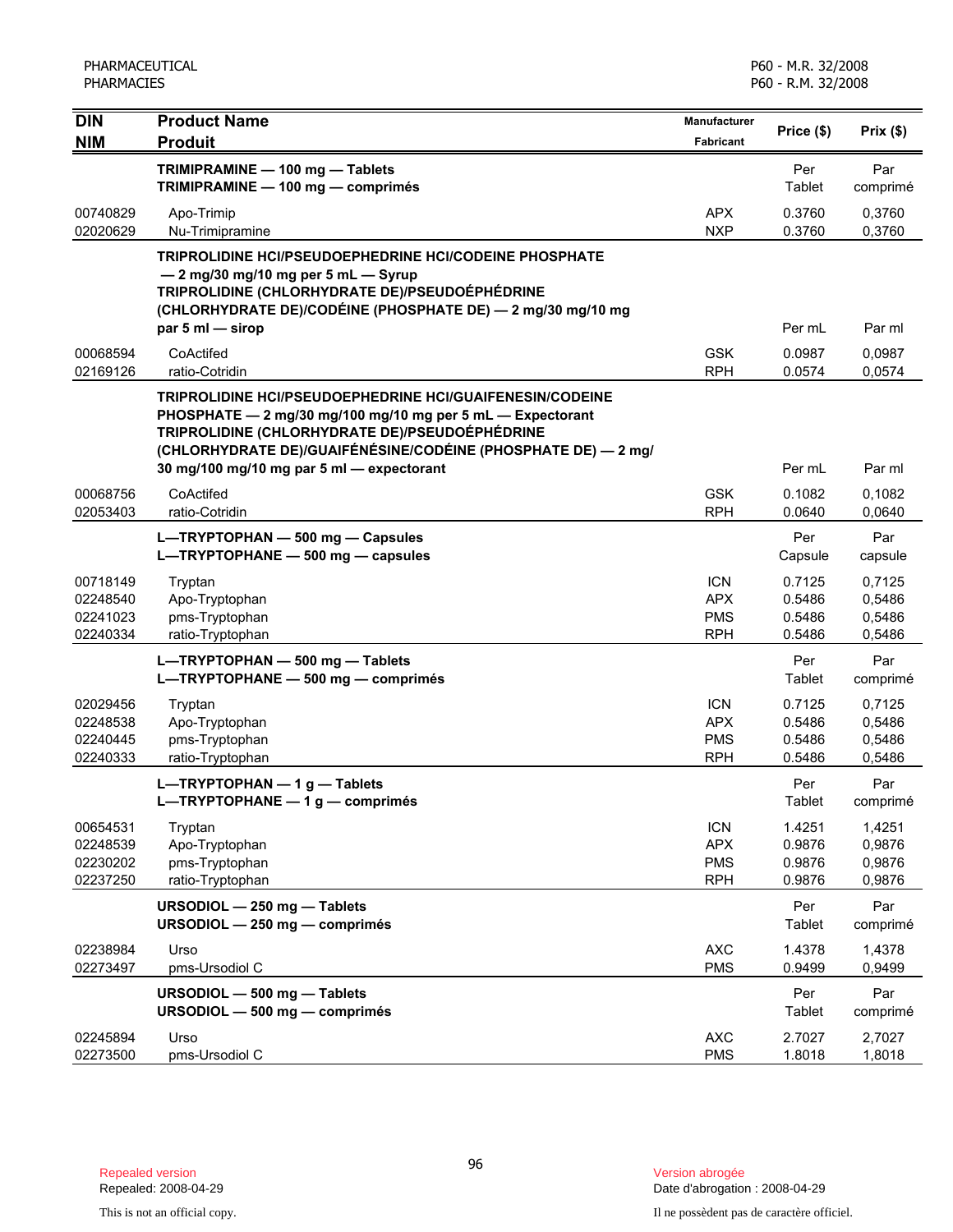| <b>DIN</b>                                   | <b>Product Name</b>                                                                                                                                                                                                                                                                           | Manufacturer                                         | Price (\$)                           | Prix(\$)                             |
|----------------------------------------------|-----------------------------------------------------------------------------------------------------------------------------------------------------------------------------------------------------------------------------------------------------------------------------------------------|------------------------------------------------------|--------------------------------------|--------------------------------------|
| <b>NIM</b>                                   | <b>Produit</b>                                                                                                                                                                                                                                                                                | Fabricant                                            |                                      |                                      |
|                                              | TRIMIPRAMINE - 100 mg - Tablets<br>TRIMIPRAMINE - 100 mg - comprimés                                                                                                                                                                                                                          |                                                      | Per<br>Tablet                        | Par<br>comprimé                      |
| 00740829<br>02020629                         | Apo-Trimip<br>Nu-Trimipramine                                                                                                                                                                                                                                                                 | <b>APX</b><br><b>NXP</b>                             | 0.3760<br>0.3760                     | 0,3760<br>0,3760                     |
|                                              | TRIPROLIDINE HCI/PSEUDOEPHEDRINE HCI/CODEINE PHOSPHATE<br>$-2$ mg/30 mg/10 mg per 5 mL $-$ Syrup<br>TRIPROLIDINE (CHLORHYDRATE DE)/PSEUDOÉPHÉDRINE<br>(CHLORHYDRATE DE)/CODÉINE (PHOSPHATE DE) - 2 mg/30 mg/10 mg<br>par 5 ml - sirop                                                         |                                                      | Per mL                               | Par ml                               |
| 00068594<br>02169126                         | CoActifed<br>ratio-Cotridin                                                                                                                                                                                                                                                                   | <b>GSK</b><br><b>RPH</b>                             | 0.0987<br>0.0574                     | 0,0987<br>0,0574                     |
|                                              | <b>TRIPROLIDINE HCI/PSEUDOEPHEDRINE HCI/GUAIFENESIN/CODEINE</b><br>PHOSPHATE - 2 mg/30 mg/100 mg/10 mg per 5 mL - Expectorant<br>TRIPROLIDINE (CHLORHYDRATE DE)/PSEUDOÉPHÉDRINE<br>(CHLORHYDRATE DE)/GUAIFÉNÉSINE/CODÉINE (PHOSPHATE DE) — 2 mg/<br>30 mg/100 mg/10 mg par 5 ml - expectorant |                                                      | Per mL                               | Par ml                               |
| 00068756<br>02053403                         | CoActifed<br>ratio-Cotridin                                                                                                                                                                                                                                                                   | <b>GSK</b><br><b>RPH</b>                             | 0.1082<br>0.0640                     | 0.1082<br>0,0640                     |
|                                              | L-TRYPTOPHAN - 500 mg - Capsules<br>L-TRYPTOPHANE - 500 mg - capsules                                                                                                                                                                                                                         |                                                      | Per<br>Capsule                       | Par<br>capsule                       |
| 00718149<br>02248540<br>02241023<br>02240334 | Tryptan<br>Apo-Tryptophan<br>pms-Tryptophan<br>ratio-Tryptophan                                                                                                                                                                                                                               | <b>ICN</b><br><b>APX</b><br><b>PMS</b><br><b>RPH</b> | 0.7125<br>0.5486<br>0.5486<br>0.5486 | 0,7125<br>0,5486<br>0,5486<br>0,5486 |
|                                              | L-TRYPTOPHAN - 500 mg - Tablets<br>L-TRYPTOPHANE - 500 mg - comprimés                                                                                                                                                                                                                         |                                                      | Per<br>Tablet                        | Par<br>comprimé                      |
| 02029456<br>02248538<br>02240445<br>02240333 | Tryptan<br>Apo-Tryptophan<br>pms-Tryptophan<br>ratio-Tryptophan                                                                                                                                                                                                                               | <b>ICN</b><br><b>APX</b><br><b>PMS</b><br><b>RPH</b> | 0.7125<br>0.5486<br>0.5486<br>0.5486 | 0,7125<br>0,5486<br>0,5486<br>0,5486 |
|                                              | L-TRYPTOPHAN $-1$ g - Tablets<br>L-TRYPTOPHANE $- 1 g$ - comprimés                                                                                                                                                                                                                            |                                                      | Per<br>Tablet                        | Par<br>comprimé                      |
| 00654531<br>02248539<br>02230202<br>02237250 | Tryptan<br>Apo-Tryptophan<br>pms-Tryptophan<br>ratio-Tryptophan                                                                                                                                                                                                                               | <b>ICN</b><br><b>APX</b><br><b>PMS</b><br><b>RPH</b> | 1.4251<br>0.9876<br>0.9876<br>0.9876 | 1,4251<br>0,9876<br>0,9876<br>0,9876 |
|                                              | URSODIOL - 250 mg - Tablets<br>URSODIOL - 250 mg - comprimés                                                                                                                                                                                                                                  |                                                      | Per<br>Tablet                        | Par<br>comprimé                      |
| 02238984<br>02273497                         | Urso<br>pms-Ursodiol C                                                                                                                                                                                                                                                                        | <b>AXC</b><br><b>PMS</b>                             | 1.4378<br>0.9499                     | 1,4378<br>0,9499                     |
|                                              | URSODIOL - 500 mg - Tablets<br>URSODIOL - 500 mg - comprimés                                                                                                                                                                                                                                  |                                                      | Per<br>Tablet                        | Par<br>comprimé                      |
| 02245894<br>02273500                         | Urso<br>pms-Ursodiol C                                                                                                                                                                                                                                                                        | <b>AXC</b><br><b>PMS</b>                             | 2.7027<br>1.8018                     | 2,7027<br>1,8018                     |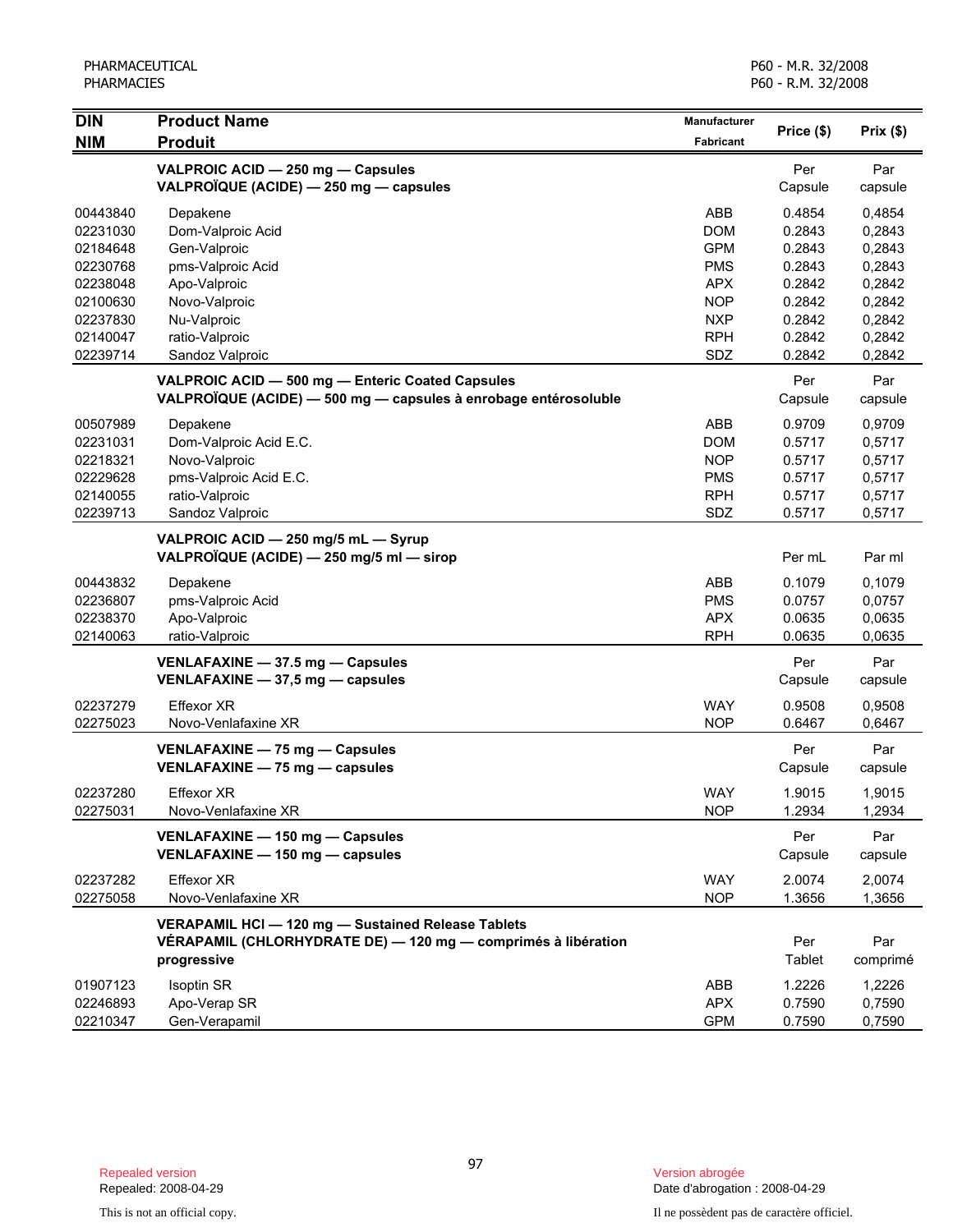| <b>DIN</b>           | <b>Product Name</b>                                                         | Manufacturer             | Price (\$)       | Prix(\$)         |
|----------------------|-----------------------------------------------------------------------------|--------------------------|------------------|------------------|
| <b>NIM</b>           | <b>Produit</b>                                                              | Fabricant                |                  |                  |
|                      | VALPROIC ACID - 250 mg - Capsules<br>VALPROÏQUE (ACIDE) - 250 mg - capsules |                          | Per<br>Capsule   | Par<br>capsule   |
| 00443840             | Depakene                                                                    | ABB                      | 0.4854           | 0,4854           |
| 02231030             | Dom-Valproic Acid                                                           | <b>DOM</b>               | 0.2843           | 0,2843           |
| 02184648             | Gen-Valproic                                                                | <b>GPM</b>               | 0.2843           | 0,2843           |
| 02230768             | pms-Valproic Acid                                                           | <b>PMS</b>               | 0.2843           | 0,2843           |
| 02238048             | Apo-Valproic                                                                | <b>APX</b>               | 0.2842           | 0,2842           |
| 02100630             | Novo-Valproic                                                               | <b>NOP</b>               | 0.2842           | 0,2842           |
| 02237830             | Nu-Valproic                                                                 | <b>NXP</b>               | 0.2842           | 0,2842           |
| 02140047             | ratio-Valproic                                                              | <b>RPH</b>               | 0.2842           | 0,2842           |
| 02239714             | Sandoz Valproic                                                             | SDZ                      | 0.2842           | 0,2842           |
|                      | VALPROIC ACID - 500 mg - Enteric Coated Capsules                            |                          | Per              | Par              |
|                      | VALPROÏQUE (ACIDE) - 500 mg - capsules à enrobage entérosoluble             |                          | Capsule          | capsule          |
| 00507989             | Depakene                                                                    | ABB                      | 0.9709           | 0,9709           |
| 02231031             | Dom-Valproic Acid E.C.                                                      | <b>DOM</b>               | 0.5717           | 0,5717           |
| 02218321             | Novo-Valproic                                                               | <b>NOP</b>               | 0.5717           | 0,5717           |
| 02229628             | pms-Valproic Acid E.C.                                                      | <b>PMS</b>               | 0.5717           | 0,5717           |
| 02140055             | ratio-Valproic                                                              | <b>RPH</b>               | 0.5717           | 0,5717           |
| 02239713             | Sandoz Valproic                                                             | SDZ                      | 0.5717           | 0,5717           |
|                      | VALPROIC ACID - 250 mg/5 mL - Syrup                                         |                          |                  |                  |
|                      | VALPROÏQUE (ACIDE) - 250 mg/5 ml - sirop                                    |                          | Per mL           | Par ml           |
| 00443832             | Depakene                                                                    | ABB                      | 0.1079           | 0,1079           |
| 02236807             | pms-Valproic Acid                                                           | <b>PMS</b>               | 0.0757           | 0,0757           |
| 02238370             | Apo-Valproic                                                                | <b>APX</b>               | 0.0635           | 0,0635           |
| 02140063             | ratio-Valproic                                                              | <b>RPH</b>               | 0.0635           | 0,0635           |
|                      | VENLAFAXINE - 37.5 mg - Capsules                                            |                          | Per              | Par              |
|                      | VENLAFAXINE - 37,5 mg - capsules                                            |                          | Capsule          | capsule          |
| 02237279             | <b>Effexor XR</b>                                                           | <b>WAY</b>               | 0.9508           | 0,9508           |
| 02275023             | Novo-Venlafaxine XR                                                         | <b>NOP</b>               | 0.6467           | 0,6467           |
|                      | VENLAFAXINE - 75 mg - Capsules                                              |                          | Per              | Par              |
|                      | VENLAFAXINE - 75 mg - capsules                                              |                          | Capsule          | capsule          |
|                      |                                                                             |                          |                  |                  |
| 02237280<br>02275031 | <b>Effexor XR</b><br>Novo-Venlafaxine XR                                    | <b>WAY</b><br><b>NOP</b> | 1.9015<br>1.2934 | 1,9015<br>1,2934 |
|                      |                                                                             |                          |                  |                  |
|                      | VENLAFAXINE - 150 mg - Capsules                                             |                          | Per              | Par              |
|                      | VENLAFAXINE - 150 mg - capsules                                             |                          | Capsule          | capsule          |
| 02237282             | Effexor XR                                                                  | <b>WAY</b>               | 2.0074           | 2,0074           |
| 02275058             | Novo-Venlafaxine XR                                                         | <b>NOP</b>               | 1.3656           | 1,3656           |
|                      | VERAPAMIL HCI - 120 mg - Sustained Release Tablets                          |                          |                  |                  |
|                      | VERAPAMIL (CHLORHYDRATE DE) - 120 mg - comprimés à libération               |                          | Per              | Par              |
|                      | progressive                                                                 |                          | Tablet           | comprimé         |
| 01907123             | <b>Isoptin SR</b>                                                           | ABB                      | 1.2226           | 1,2226           |
| 02246893             | Apo-Verap SR                                                                | <b>APX</b>               | 0.7590           | 0,7590           |
| 02210347             | Gen-Verapamil                                                               | <b>GPM</b>               | 0.7590           | 0,7590           |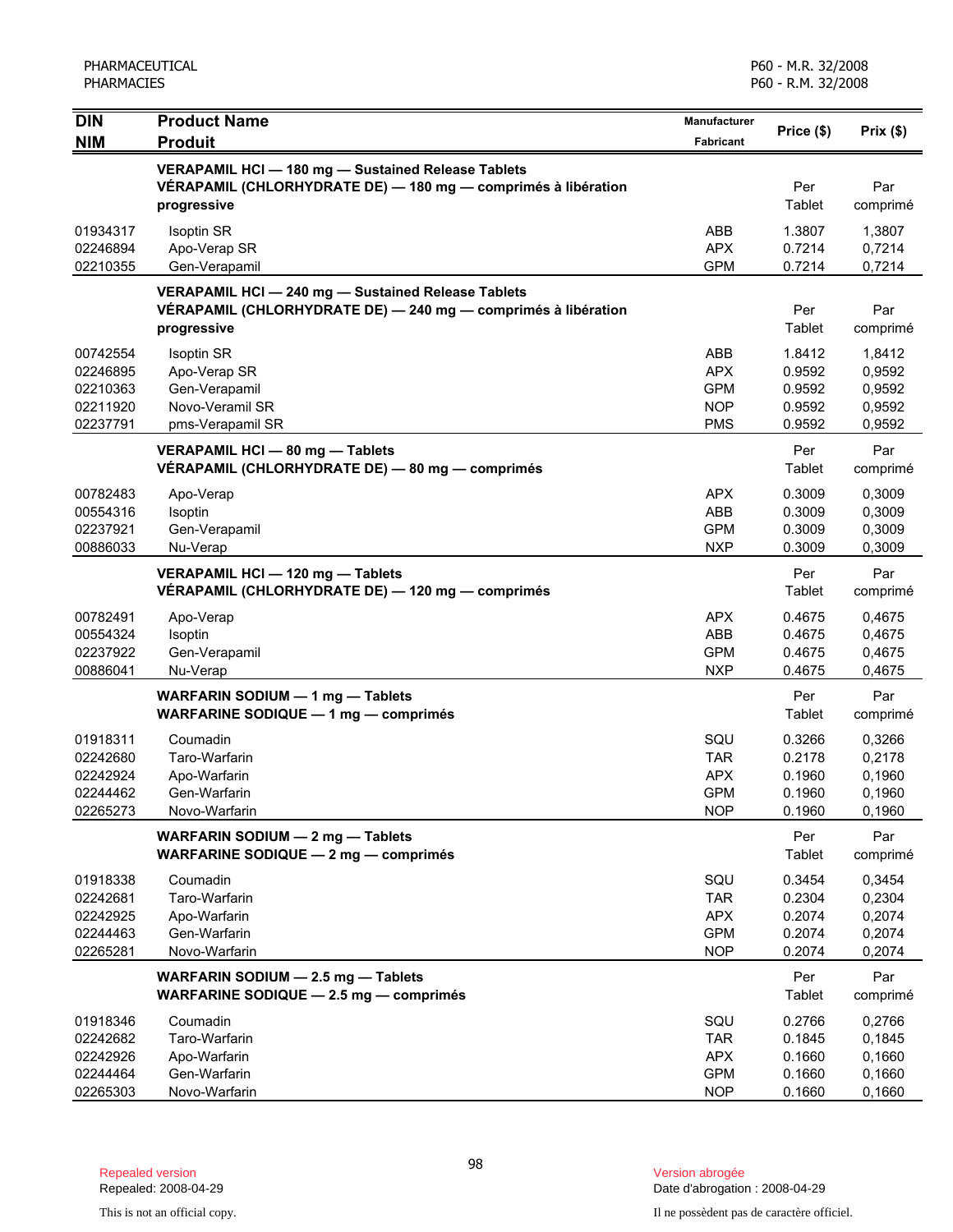| <b>DIN</b>           | <b>Product Name</b>                                                                                                 | Manufacturer             | Price (\$)       | Prix(\$)         |
|----------------------|---------------------------------------------------------------------------------------------------------------------|--------------------------|------------------|------------------|
| <b>NIM</b>           | <b>Produit</b>                                                                                                      | Fabricant                |                  |                  |
|                      | VERAPAMIL HCI - 180 mg - Sustained Release Tablets                                                                  |                          |                  |                  |
|                      | VÉRAPAMIL (CHLORHYDRATE DE) - 180 mg - comprimés à libération                                                       |                          | Per              | Par              |
|                      | progressive                                                                                                         |                          | Tablet           | comprimé         |
| 01934317             | Isoptin SR                                                                                                          | ABB                      | 1.3807           | 1,3807           |
| 02246894<br>02210355 | Apo-Verap SR<br>Gen-Verapamil                                                                                       | <b>APX</b><br><b>GPM</b> | 0.7214<br>0.7214 | 0,7214<br>0,7214 |
|                      |                                                                                                                     |                          |                  |                  |
|                      | VERAPAMIL HCI - 240 mg - Sustained Release Tablets<br>VÉRAPAMIL (CHLORHYDRATE DE) - 240 mg - comprimés à libération |                          | Per              | Par              |
|                      | progressive                                                                                                         |                          | Tablet           | comprimé         |
| 00742554             | Isoptin SR                                                                                                          | ABB                      | 1.8412           | 1,8412           |
| 02246895             | Apo-Verap SR                                                                                                        | <b>APX</b>               | 0.9592           | 0,9592           |
| 02210363             | Gen-Verapamil                                                                                                       | <b>GPM</b>               | 0.9592           | 0,9592           |
| 02211920             | Novo-Veramil SR                                                                                                     | <b>NOP</b>               | 0.9592           | 0,9592           |
| 02237791             | pms-Verapamil SR                                                                                                    | <b>PMS</b>               | 0.9592           | 0,9592           |
|                      | VERAPAMIL HCI - 80 mg - Tablets                                                                                     |                          | Per              | Par              |
|                      | VÉRAPAMIL (CHLORHYDRATE DE) - 80 mg - comprimés                                                                     |                          | Tablet           | comprimé         |
| 00782483             | Apo-Verap                                                                                                           | <b>APX</b>               | 0.3009           | 0,3009           |
| 00554316             | Isoptin                                                                                                             | ABB                      | 0.3009           | 0,3009           |
| 02237921             | Gen-Verapamil                                                                                                       | <b>GPM</b>               | 0.3009           | 0,3009           |
| 00886033             | Nu-Verap                                                                                                            | <b>NXP</b>               | 0.3009           | 0,3009           |
|                      | VERAPAMIL HCI - 120 mg - Tablets                                                                                    |                          | Per              | Par              |
|                      | VÉRAPAMIL (CHLORHYDRATE DE) — 120 mg — comprimés                                                                    |                          | Tablet           | comprimé         |
| 00782491             | Apo-Verap                                                                                                           | <b>APX</b>               | 0.4675           | 0,4675           |
| 00554324             | Isoptin                                                                                                             | ABB                      | 0.4675           | 0,4675           |
| 02237922             | Gen-Verapamil                                                                                                       | <b>GPM</b>               | 0.4675           | 0,4675           |
| 00886041             | Nu-Verap                                                                                                            | <b>NXP</b>               | 0.4675           | 0,4675           |
|                      | WARFARIN SODIUM - 1 mg - Tablets                                                                                    |                          | Per              | Par              |
|                      | WARFARINE SODIQUE - 1 mg - comprimés                                                                                |                          | Tablet           | comprimé         |
| 01918311             | Coumadin                                                                                                            | SQU                      | 0.3266           | 0,3266           |
| 02242680             | Taro-Warfarin                                                                                                       | <b>TAR</b>               | 0.2178           | 0,2178           |
| 02242924             | Apo-Warfarin                                                                                                        | <b>APX</b>               | 0.1960           | 0,1960           |
| 02244462<br>02265273 | Gen-Warfarin<br>Novo-Warfarin                                                                                       | <b>GPM</b><br><b>NOP</b> | 0.1960<br>0.1960 | 0,1960<br>0,1960 |
|                      |                                                                                                                     |                          |                  |                  |
|                      | WARFARIN SODIUM - 2 mg - Tablets<br><b>WARFARINE SODIQUE - 2 mg - comprimés</b>                                     |                          | Per<br>Tablet    | Par<br>comprimé  |
|                      |                                                                                                                     |                          |                  |                  |
| 01918338             | Coumadin                                                                                                            | SQU                      | 0.3454           | 0,3454           |
| 02242681<br>02242925 | Taro-Warfarin<br>Apo-Warfarin                                                                                       | <b>TAR</b><br><b>APX</b> | 0.2304<br>0.2074 | 0,2304<br>0,2074 |
| 02244463             | Gen-Warfarin                                                                                                        | <b>GPM</b>               | 0.2074           | 0,2074           |
| 02265281             | Novo-Warfarin                                                                                                       | <b>NOP</b>               | 0.2074           | 0,2074           |
|                      | WARFARIN SODIUM - 2.5 mg - Tablets                                                                                  |                          | Per              | Par              |
|                      | WARFARINE SODIQUE - 2.5 mg - comprimés                                                                              |                          | Tablet           | comprimé         |
| 01918346             | Coumadin                                                                                                            | SQU                      | 0.2766           | 0,2766           |
| 02242682             | Taro-Warfarin                                                                                                       | <b>TAR</b>               | 0.1845           | 0,1845           |
| 02242926             | Apo-Warfarin                                                                                                        | <b>APX</b>               | 0.1660           | 0,1660           |
| 02244464             | Gen-Warfarin                                                                                                        | <b>GPM</b>               | 0.1660           | 0,1660           |
| 02265303             | Novo-Warfarin                                                                                                       | <b>NOP</b>               | 0.1660           | 0,1660           |

Date d'abrogation : 2008-04-29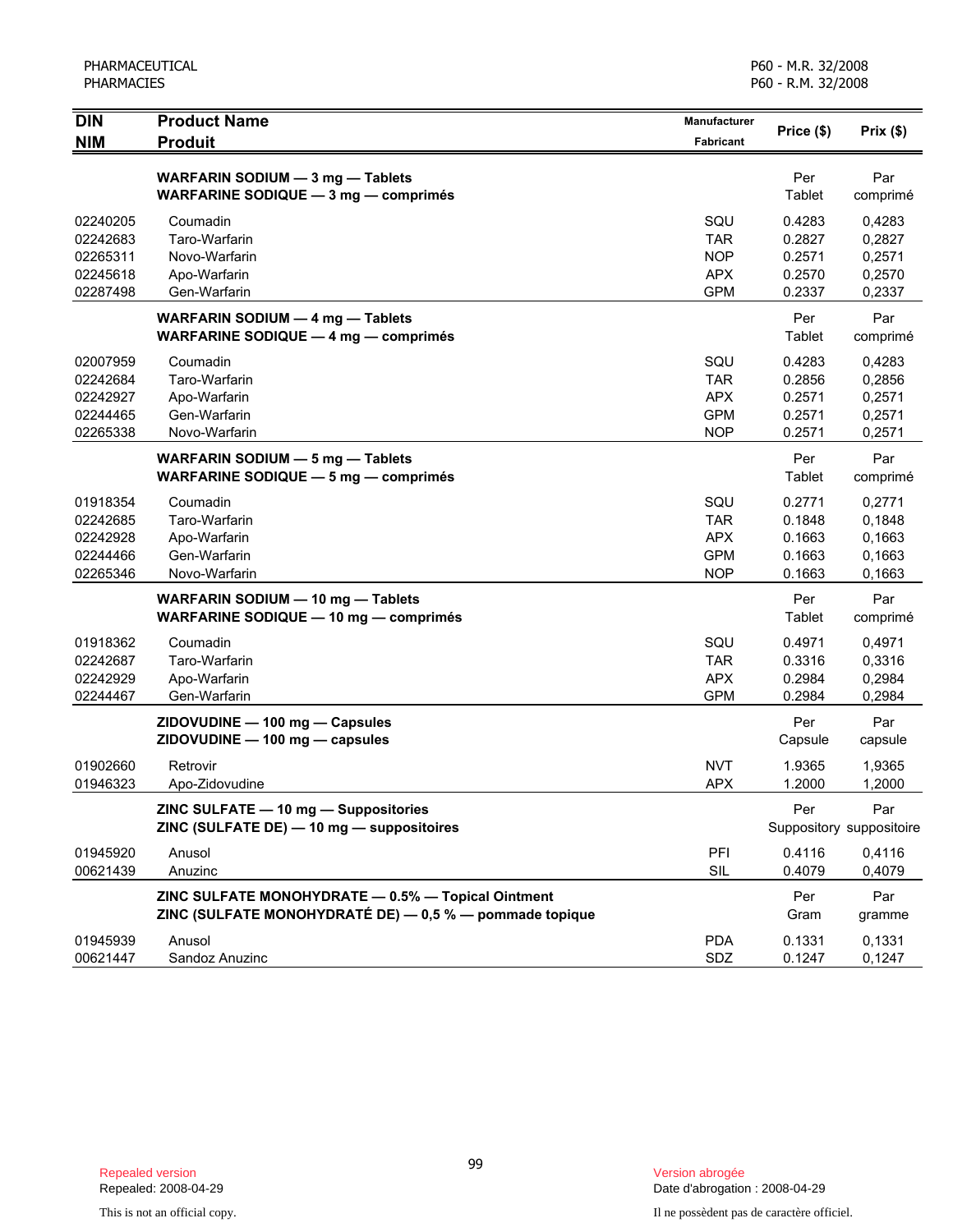| <b>DIN</b> | <b>Product Name</b>                                     | Manufacturer     | Price (\$) | Prix(\$)                 |
|------------|---------------------------------------------------------|------------------|------------|--------------------------|
| <b>NIM</b> | <b>Produit</b>                                          | <b>Fabricant</b> |            |                          |
|            | WARFARIN SODIUM - 3 mg - Tablets                        |                  | Per        | Par                      |
|            | WARFARINE SODIQUE - 3 mg - comprimés                    |                  | Tablet     | comprimé                 |
| 02240205   | Coumadin                                                | SQU              | 0.4283     | 0,4283                   |
| 02242683   | Taro-Warfarin                                           | <b>TAR</b>       | 0.2827     | 0,2827                   |
| 02265311   | Novo-Warfarin                                           | <b>NOP</b>       | 0.2571     | 0,2571                   |
| 02245618   | Apo-Warfarin                                            | <b>APX</b>       | 0.2570     | 0,2570                   |
| 02287498   | Gen-Warfarin                                            | <b>GPM</b>       | 0.2337     | 0,2337                   |
|            | WARFARIN SODIUM - 4 mg - Tablets                        |                  | Per        | Par                      |
|            | <b>WARFARINE SODIQUE - 4 mg - comprimés</b>             |                  | Tablet     | comprimé                 |
| 02007959   | Coumadin                                                | SQU              | 0.4283     | 0,4283                   |
| 02242684   | Taro-Warfarin                                           | <b>TAR</b>       | 0.2856     | 0,2856                   |
| 02242927   | Apo-Warfarin                                            | <b>APX</b>       | 0.2571     | 0,2571                   |
| 02244465   | Gen-Warfarin                                            | <b>GPM</b>       | 0.2571     | 0,2571                   |
| 02265338   | Novo-Warfarin                                           | <b>NOP</b>       | 0.2571     | 0,2571                   |
|            | WARFARIN SODIUM - 5 mg - Tablets                        |                  | Per        | Par                      |
|            | WARFARINE SODIQUE - 5 mg - comprimés                    |                  | Tablet     | comprimé                 |
| 01918354   | Coumadin                                                | SQU              | 0.2771     | 0,2771                   |
| 02242685   | Taro-Warfarin                                           | <b>TAR</b>       | 0.1848     | 0,1848                   |
| 02242928   | Apo-Warfarin                                            | <b>APX</b>       | 0.1663     | 0,1663                   |
| 02244466   | Gen-Warfarin                                            | <b>GPM</b>       | 0.1663     | 0,1663                   |
| 02265346   | Novo-Warfarin                                           | <b>NOP</b>       | 0.1663     | 0,1663                   |
|            | WARFARIN SODIUM - 10 mg - Tablets                       |                  | Per        | Par                      |
|            | WARFARINE SODIQUE - 10 mg - comprimés                   |                  | Tablet     | comprimé                 |
| 01918362   | Coumadin                                                | SQU              | 0.4971     | 0,4971                   |
| 02242687   | Taro-Warfarin                                           | <b>TAR</b>       | 0.3316     | 0,3316                   |
| 02242929   | Apo-Warfarin                                            | <b>APX</b>       | 0.2984     | 0,2984                   |
| 02244467   | Gen-Warfarin                                            | <b>GPM</b>       | 0.2984     | 0,2984                   |
|            | ZIDOVUDINE - 100 mg - Capsules                          |                  | Per        | Par                      |
|            | ZIDOVUDINE - 100 mg - capsules                          |                  | Capsule    | capsule                  |
| 01902660   | Retrovir                                                | <b>NVT</b>       | 1.9365     | 1,9365                   |
| 01946323   | Apo-Zidovudine                                          | <b>APX</b>       | 1.2000     | 1,2000                   |
|            | ZINC SULFATE - 10 mg - Suppositories                    |                  | Per        | Par                      |
|            | ZINC (SULFATE DE) - 10 mg - suppositoires               |                  |            | Suppository suppositoire |
| 01945920   | Anusol                                                  | PFI              | 0.4116     | 0,4116                   |
| 00621439   | Anuzinc                                                 | SIL              | 0.4079     | 0,4079                   |
|            | ZINC SULFATE MONOHYDRATE - 0.5% - Topical Ointment      |                  | Per        | Par                      |
|            | ZINC (SULFATE MONOHYDRATÉ DE) - 0,5 % - pommade topique |                  | Gram       | gramme                   |
| 01945939   | Anusol                                                  | <b>PDA</b>       | 0.1331     | 0,1331                   |
| 00621447   | Sandoz Anuzinc                                          | SDZ              | 0.1247     | 0,1247                   |